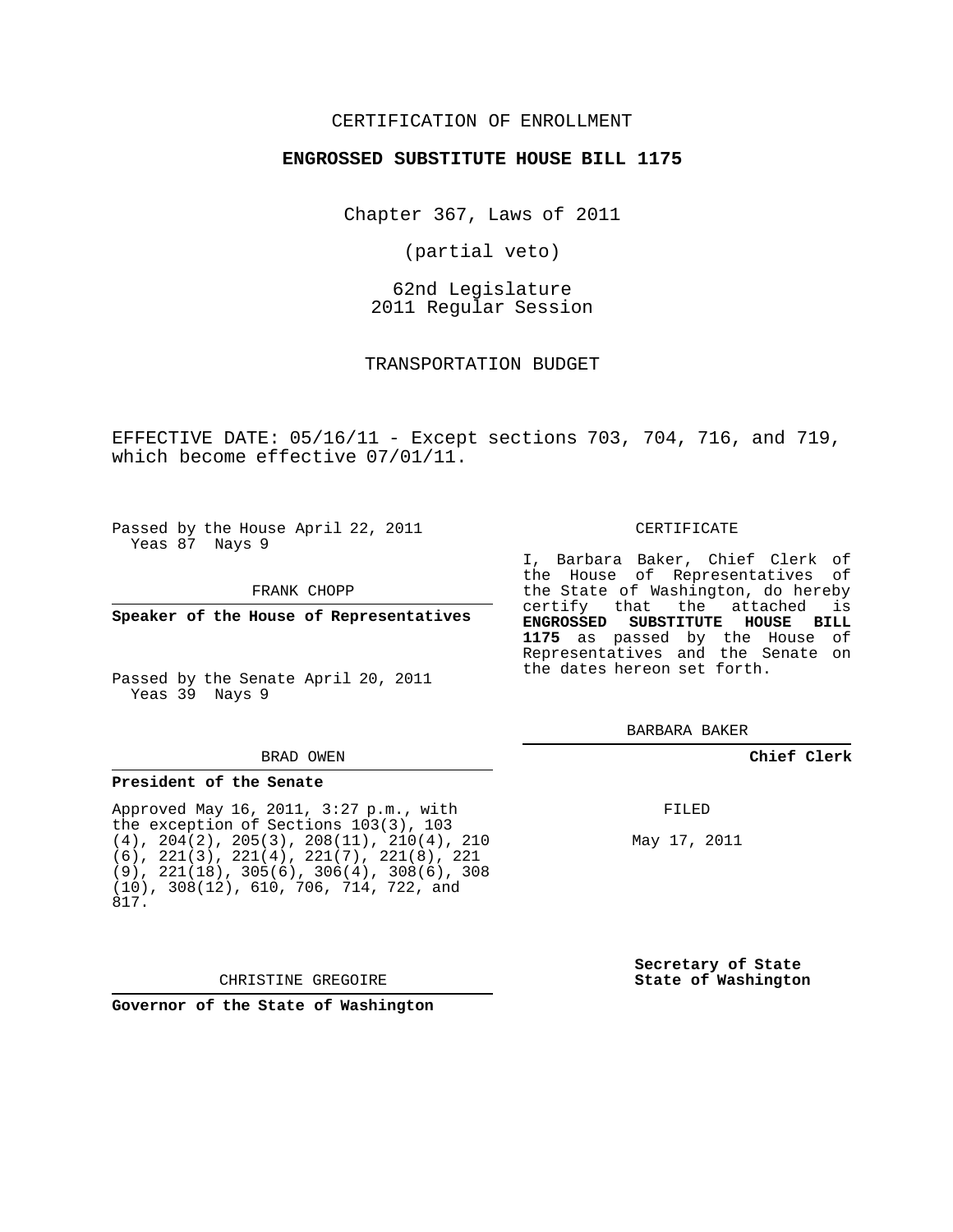### CERTIFICATION OF ENROLLMENT

#### **ENGROSSED SUBSTITUTE HOUSE BILL 1175**

Chapter 367, Laws of 2011

(partial veto)

62nd Legislature 2011 Regular Session

TRANSPORTATION BUDGET

EFFECTIVE DATE:  $05/16/11$  - Except sections 703, 704, 716, and 719, which become effective 07/01/11.

Passed by the House April 22, 2011 Yeas 87 Nays 9

FRANK CHOPP

**Speaker of the House of Representatives**

Passed by the Senate April 20, 2011 Yeas 39 Nays 9

#### BRAD OWEN

#### **President of the Senate**

Approved May 16, 2011, 3:27 p.m., with the exception of Sections 103(3), 103 (4), 204(2), 205(3), 208(11), 210(4), 210 (6), 221(3), 221(4), 221(7), 221(8), 221 (9), 221(18), 305(6), 306(4), 308(6), 308 (10), 308(12), 610, 706, 714, 722, and 817.

CHRISTINE GREGOIRE

**Governor of the State of Washington**

CERTIFICATE

I, Barbara Baker, Chief Clerk of the House of Representatives of the State of Washington, do hereby certify that the attached is **ENGROSSED SUBSTITUTE HOUSE BILL 1175** as passed by the House of Representatives and the Senate on the dates hereon set forth.

BARBARA BAKER

#### **Chief Clerk**

FILED

May 17, 2011

**Secretary of State State of Washington**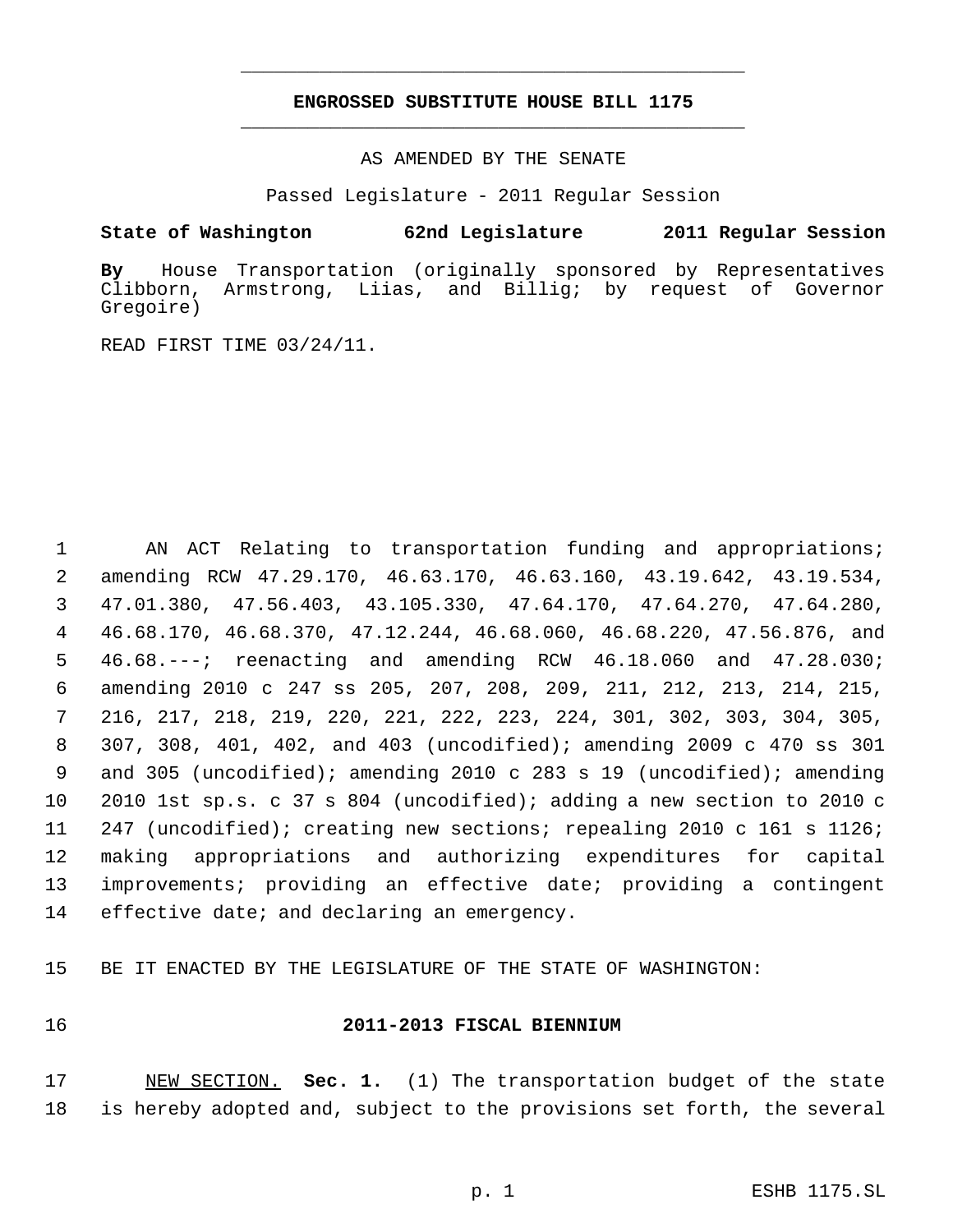### **ENGROSSED SUBSTITUTE HOUSE BILL 1175** \_\_\_\_\_\_\_\_\_\_\_\_\_\_\_\_\_\_\_\_\_\_\_\_\_\_\_\_\_\_\_\_\_\_\_\_\_\_\_\_\_\_\_\_\_

\_\_\_\_\_\_\_\_\_\_\_\_\_\_\_\_\_\_\_\_\_\_\_\_\_\_\_\_\_\_\_\_\_\_\_\_\_\_\_\_\_\_\_\_\_

AS AMENDED BY THE SENATE

Passed Legislature - 2011 Regular Session

**State of Washington 62nd Legislature 2011 Regular Session**

**By** House Transportation (originally sponsored by Representatives Armstrong, Liias, and Billig; by request of Governor Gregoire)

READ FIRST TIME 03/24/11.

 AN ACT Relating to transportation funding and appropriations; amending RCW 47.29.170, 46.63.170, 46.63.160, 43.19.642, 43.19.534, 47.01.380, 47.56.403, 43.105.330, 47.64.170, 47.64.270, 47.64.280, 46.68.170, 46.68.370, 47.12.244, 46.68.060, 46.68.220, 47.56.876, and 46.68.---; reenacting and amending RCW 46.18.060 and 47.28.030; amending 2010 c 247 ss 205, 207, 208, 209, 211, 212, 213, 214, 215, 216, 217, 218, 219, 220, 221, 222, 223, 224, 301, 302, 303, 304, 305, 307, 308, 401, 402, and 403 (uncodified); amending 2009 c 470 ss 301 and 305 (uncodified); amending 2010 c 283 s 19 (uncodified); amending 2010 1st sp.s. c 37 s 804 (uncodified); adding a new section to 2010 c 247 (uncodified); creating new sections; repealing 2010 c 161 s 1126; making appropriations and authorizing expenditures for capital improvements; providing an effective date; providing a contingent effective date; and declaring an emergency.

BE IT ENACTED BY THE LEGISLATURE OF THE STATE OF WASHINGTON:

### **2011-2013 FISCAL BIENNIUM**

 NEW SECTION. **Sec. 1.** (1) The transportation budget of the state is hereby adopted and, subject to the provisions set forth, the several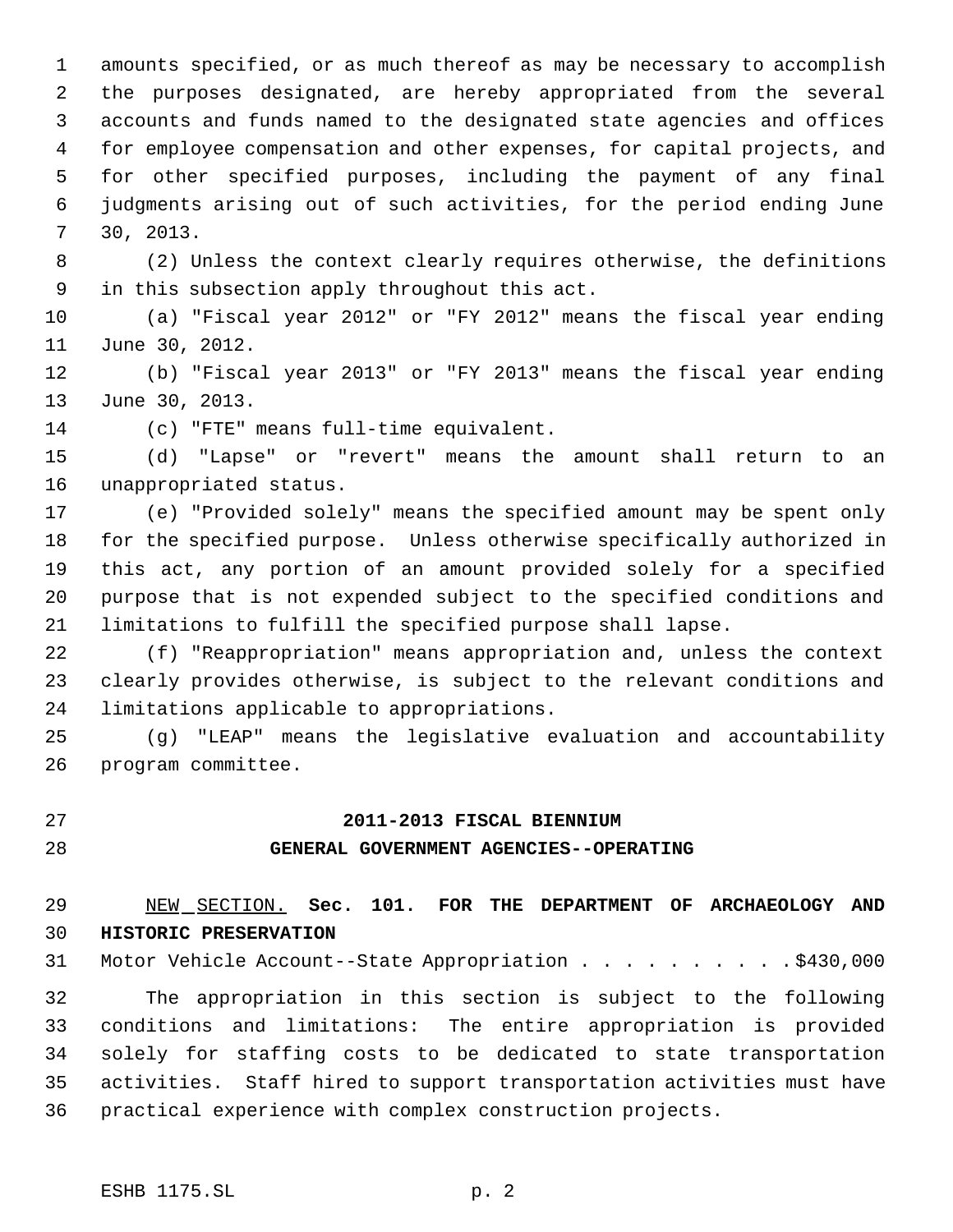amounts specified, or as much thereof as may be necessary to accomplish the purposes designated, are hereby appropriated from the several accounts and funds named to the designated state agencies and offices for employee compensation and other expenses, for capital projects, and for other specified purposes, including the payment of any final judgments arising out of such activities, for the period ending June 30, 2013.

 (2) Unless the context clearly requires otherwise, the definitions in this subsection apply throughout this act.

 (a) "Fiscal year 2012" or "FY 2012" means the fiscal year ending June 30, 2012.

 (b) "Fiscal year 2013" or "FY 2013" means the fiscal year ending June 30, 2013.

(c) "FTE" means full-time equivalent.

 (d) "Lapse" or "revert" means the amount shall return to an unappropriated status.

 (e) "Provided solely" means the specified amount may be spent only for the specified purpose. Unless otherwise specifically authorized in this act, any portion of an amount provided solely for a specified purpose that is not expended subject to the specified conditions and limitations to fulfill the specified purpose shall lapse.

 (f) "Reappropriation" means appropriation and, unless the context clearly provides otherwise, is subject to the relevant conditions and limitations applicable to appropriations.

 (g) "LEAP" means the legislative evaluation and accountability program committee.

# **2011-2013 FISCAL BIENNIUM**

### **GENERAL GOVERNMENT AGENCIES--OPERATING**

 NEW SECTION. **Sec. 101. FOR THE DEPARTMENT OF ARCHAEOLOGY AND HISTORIC PRESERVATION**

Motor Vehicle Account--State Appropriation . . . . . . . . . . \$430,000

 The appropriation in this section is subject to the following conditions and limitations: The entire appropriation is provided solely for staffing costs to be dedicated to state transportation activities. Staff hired to support transportation activities must have practical experience with complex construction projects.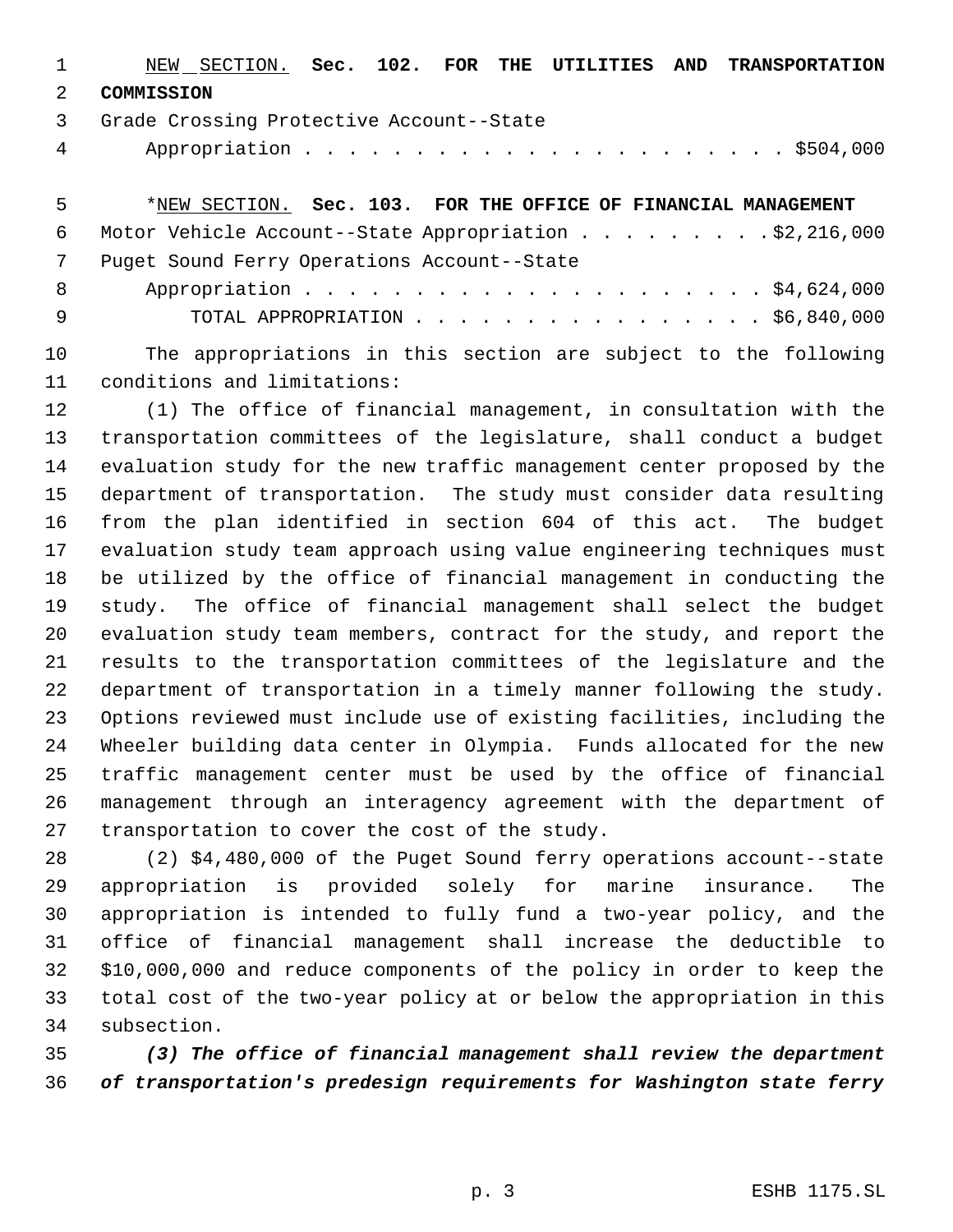| $-1$ and $-1$ | NEW SECTION. Sec. 102. FOR THE UTILITIES AND TRANSPORTATION |  |  |  |  |
|---------------|-------------------------------------------------------------|--|--|--|--|
|               | 2 COMMISSION                                                |  |  |  |  |
|               | 3 Grade Crossing Protective Account--State                  |  |  |  |  |
|               |                                                             |  |  |  |  |

# \*NEW SECTION. **Sec. 103. FOR THE OFFICE OF FINANCIAL MANAGEMENT** Motor Vehicle Account--State Appropriation . . . . . . . . . \$2,216,000 Puget Sound Ferry Operations Account--State Appropriation . . . . . . . . . . . . . . . . . . . . . \$4,624,000 TOTAL APPROPRIATION . . . . . . . . . . . . . . . . \$6,840,000

 The appropriations in this section are subject to the following conditions and limitations:

 (1) The office of financial management, in consultation with the transportation committees of the legislature, shall conduct a budget evaluation study for the new traffic management center proposed by the department of transportation. The study must consider data resulting from the plan identified in section 604 of this act. The budget evaluation study team approach using value engineering techniques must be utilized by the office of financial management in conducting the study. The office of financial management shall select the budget evaluation study team members, contract for the study, and report the results to the transportation committees of the legislature and the department of transportation in a timely manner following the study. Options reviewed must include use of existing facilities, including the Wheeler building data center in Olympia. Funds allocated for the new traffic management center must be used by the office of financial management through an interagency agreement with the department of transportation to cover the cost of the study.

 (2) \$4,480,000 of the Puget Sound ferry operations account--state appropriation is provided solely for marine insurance. The appropriation is intended to fully fund a two-year policy, and the office of financial management shall increase the deductible to \$10,000,000 and reduce components of the policy in order to keep the total cost of the two-year policy at or below the appropriation in this subsection.

 *(3) The office of financial management shall review the department of transportation's predesign requirements for Washington state ferry*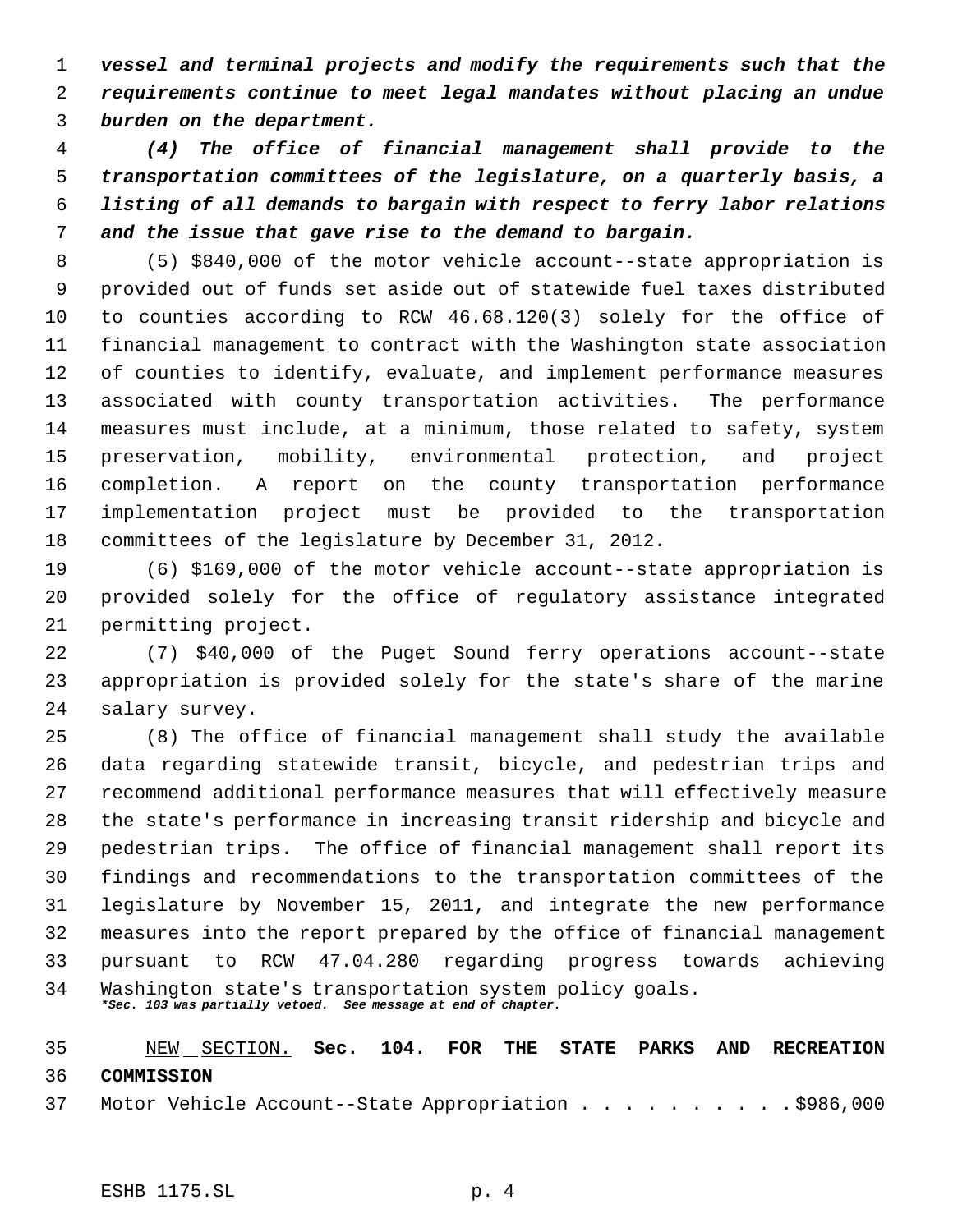*vessel and terminal projects and modify the requirements such that the requirements continue to meet legal mandates without placing an undue burden on the department.*

 *(4) The office of financial management shall provide to the transportation committees of the legislature, on a quarterly basis, a listing of all demands to bargain with respect to ferry labor relations and the issue that gave rise to the demand to bargain.*

 (5) \$840,000 of the motor vehicle account--state appropriation is provided out of funds set aside out of statewide fuel taxes distributed to counties according to RCW 46.68.120(3) solely for the office of financial management to contract with the Washington state association of counties to identify, evaluate, and implement performance measures associated with county transportation activities. The performance measures must include, at a minimum, those related to safety, system preservation, mobility, environmental protection, and project completion. A report on the county transportation performance implementation project must be provided to the transportation committees of the legislature by December 31, 2012.

 (6) \$169,000 of the motor vehicle account--state appropriation is provided solely for the office of regulatory assistance integrated permitting project.

 (7) \$40,000 of the Puget Sound ferry operations account--state appropriation is provided solely for the state's share of the marine salary survey.

 (8) The office of financial management shall study the available data regarding statewide transit, bicycle, and pedestrian trips and recommend additional performance measures that will effectively measure the state's performance in increasing transit ridership and bicycle and pedestrian trips. The office of financial management shall report its findings and recommendations to the transportation committees of the legislature by November 15, 2011, and integrate the new performance measures into the report prepared by the office of financial management pursuant to RCW 47.04.280 regarding progress towards achieving Washington state's transportation system policy goals. *\*Sec. 103 was partially vetoed. See message at end of chapter.*

 NEW SECTION. **Sec. 104. FOR THE STATE PARKS AND RECREATION COMMISSION**

Motor Vehicle Account--State Appropriation . . . . . . . . . . \$986,000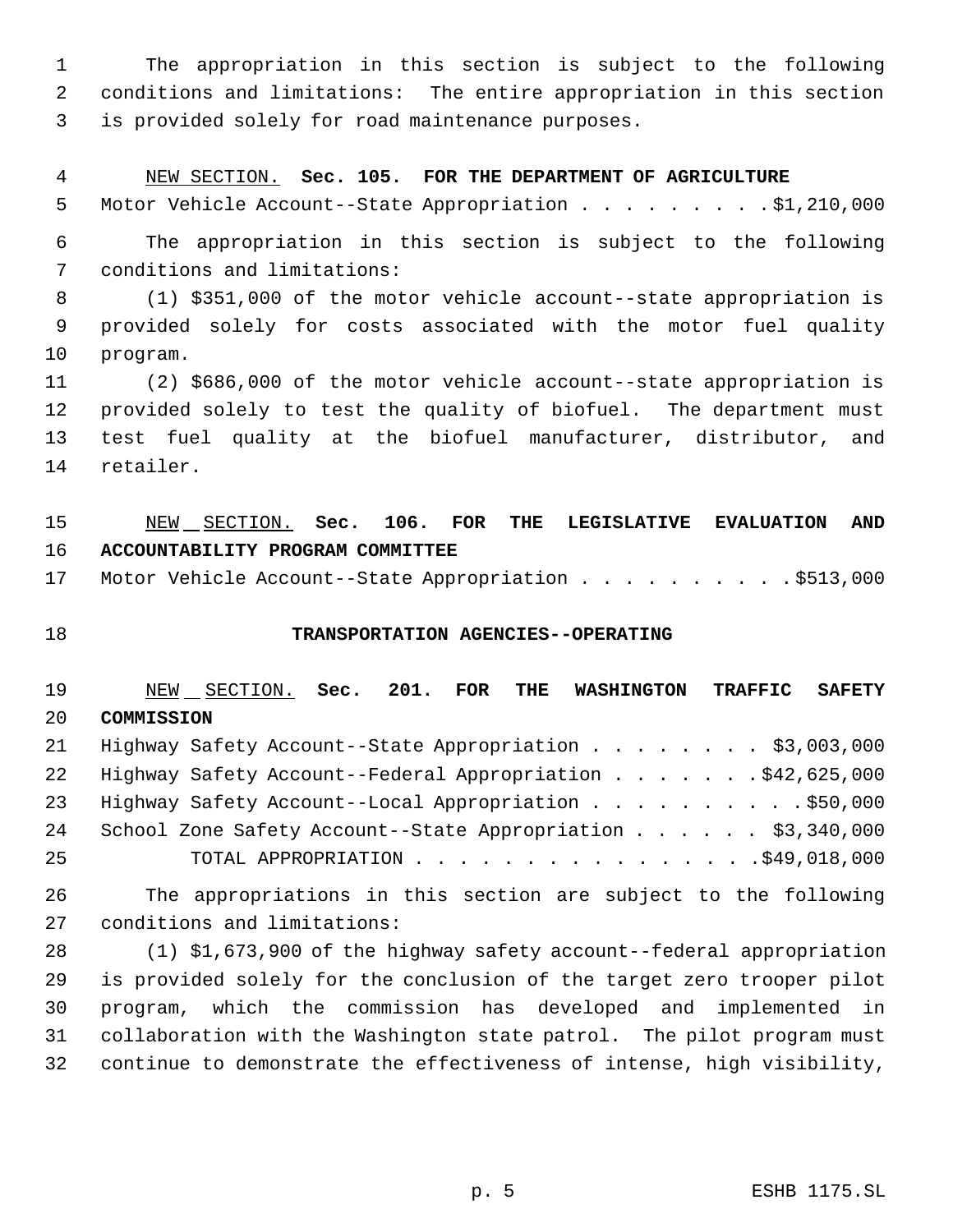The appropriation in this section is subject to the following conditions and limitations: The entire appropriation in this section is provided solely for road maintenance purposes.

### NEW SECTION. **Sec. 105. FOR THE DEPARTMENT OF AGRICULTURE**

5 Motor Vehicle Account--State Appropriation . . . . . . . . . \$1,210,000

 The appropriation in this section is subject to the following conditions and limitations:

 (1) \$351,000 of the motor vehicle account--state appropriation is provided solely for costs associated with the motor fuel quality program.

 (2) \$686,000 of the motor vehicle account--state appropriation is provided solely to test the quality of biofuel. The department must test fuel quality at the biofuel manufacturer, distributor, and retailer.

## NEW SECTION. **Sec. 106. FOR THE LEGISLATIVE EVALUATION AND ACCOUNTABILITY PROGRAM COMMITTEE**

17 Motor Vehicle Account--State Appropriation . . . . . . . . . . \$513,000

### **TRANSPORTATION AGENCIES--OPERATING**

# NEW SECTION. **Sec. 201. FOR THE WASHINGTON TRAFFIC SAFETY COMMISSION**

|    | 21 Highway Safety Account--State Appropriation \$3,003,000     |  |  |  |
|----|----------------------------------------------------------------|--|--|--|
|    | 22 Highway Safety Account--Federal Appropriation \$42,625,000  |  |  |  |
|    | 23 Highway Safety Account--Local Appropriation \$50,000        |  |  |  |
|    | 24 School Zone Safety Account--State Appropriation \$3,340,000 |  |  |  |
| 25 | TOTAL APPROPRIATION $\ldots$ , 949,018,000                     |  |  |  |

 The appropriations in this section are subject to the following conditions and limitations:

 (1) \$1,673,900 of the highway safety account--federal appropriation is provided solely for the conclusion of the target zero trooper pilot program, which the commission has developed and implemented in collaboration with the Washington state patrol. The pilot program must continue to demonstrate the effectiveness of intense, high visibility,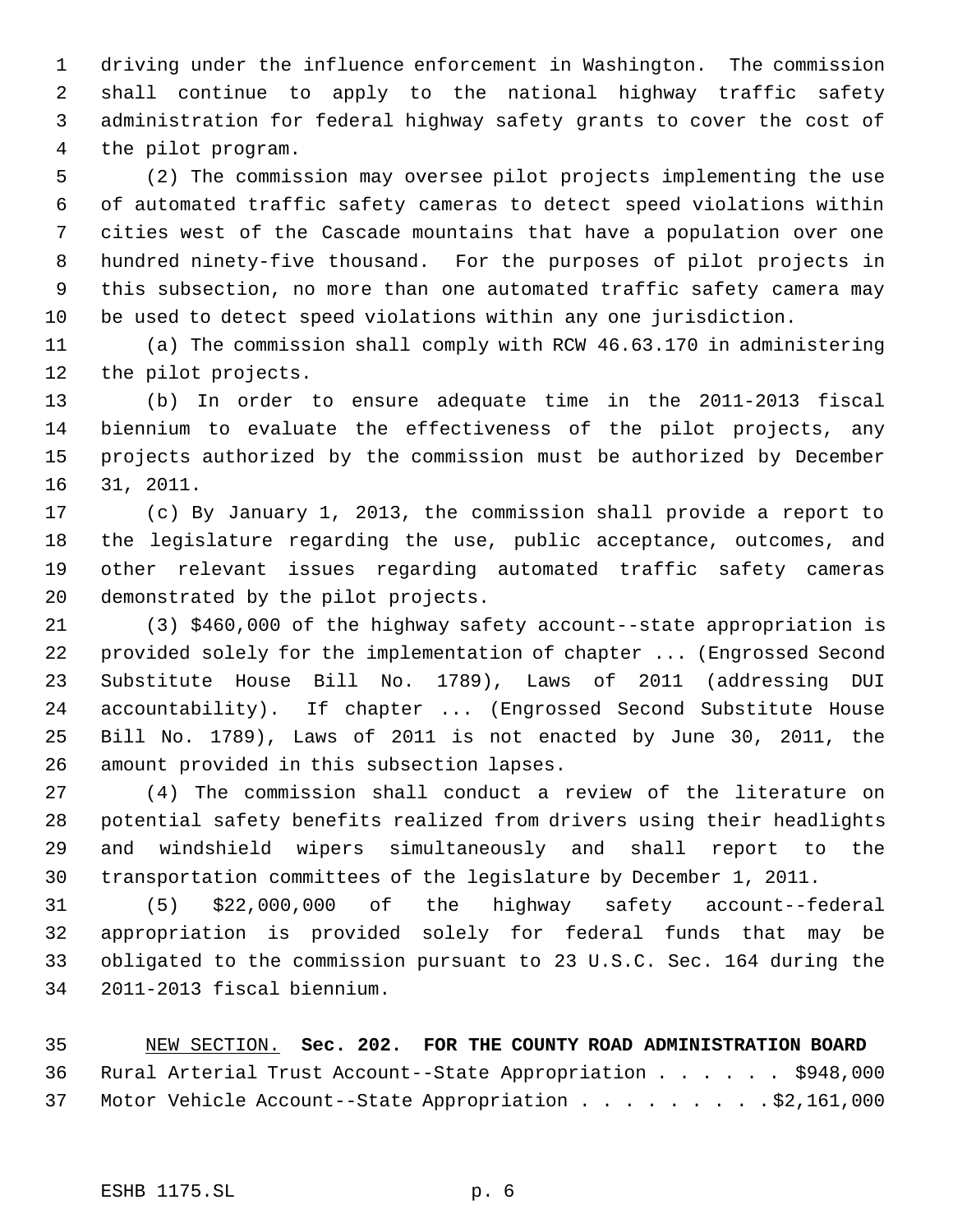driving under the influence enforcement in Washington. The commission shall continue to apply to the national highway traffic safety administration for federal highway safety grants to cover the cost of the pilot program.

 (2) The commission may oversee pilot projects implementing the use of automated traffic safety cameras to detect speed violations within cities west of the Cascade mountains that have a population over one hundred ninety-five thousand. For the purposes of pilot projects in this subsection, no more than one automated traffic safety camera may be used to detect speed violations within any one jurisdiction.

 (a) The commission shall comply with RCW 46.63.170 in administering the pilot projects.

 (b) In order to ensure adequate time in the 2011-2013 fiscal biennium to evaluate the effectiveness of the pilot projects, any projects authorized by the commission must be authorized by December 31, 2011.

 (c) By January 1, 2013, the commission shall provide a report to the legislature regarding the use, public acceptance, outcomes, and other relevant issues regarding automated traffic safety cameras demonstrated by the pilot projects.

 (3) \$460,000 of the highway safety account--state appropriation is provided solely for the implementation of chapter ... (Engrossed Second Substitute House Bill No. 1789), Laws of 2011 (addressing DUI accountability). If chapter ... (Engrossed Second Substitute House Bill No. 1789), Laws of 2011 is not enacted by June 30, 2011, the amount provided in this subsection lapses.

 (4) The commission shall conduct a review of the literature on potential safety benefits realized from drivers using their headlights and windshield wipers simultaneously and shall report to the transportation committees of the legislature by December 1, 2011.

 (5) \$22,000,000 of the highway safety account--federal appropriation is provided solely for federal funds that may be obligated to the commission pursuant to 23 U.S.C. Sec. 164 during the 2011-2013 fiscal biennium.

 NEW SECTION. **Sec. 202. FOR THE COUNTY ROAD ADMINISTRATION BOARD** Rural Arterial Trust Account--State Appropriation . . . . . . \$948,000 37 Motor Vehicle Account--State Appropriation . . . . . . . . \$2,161,000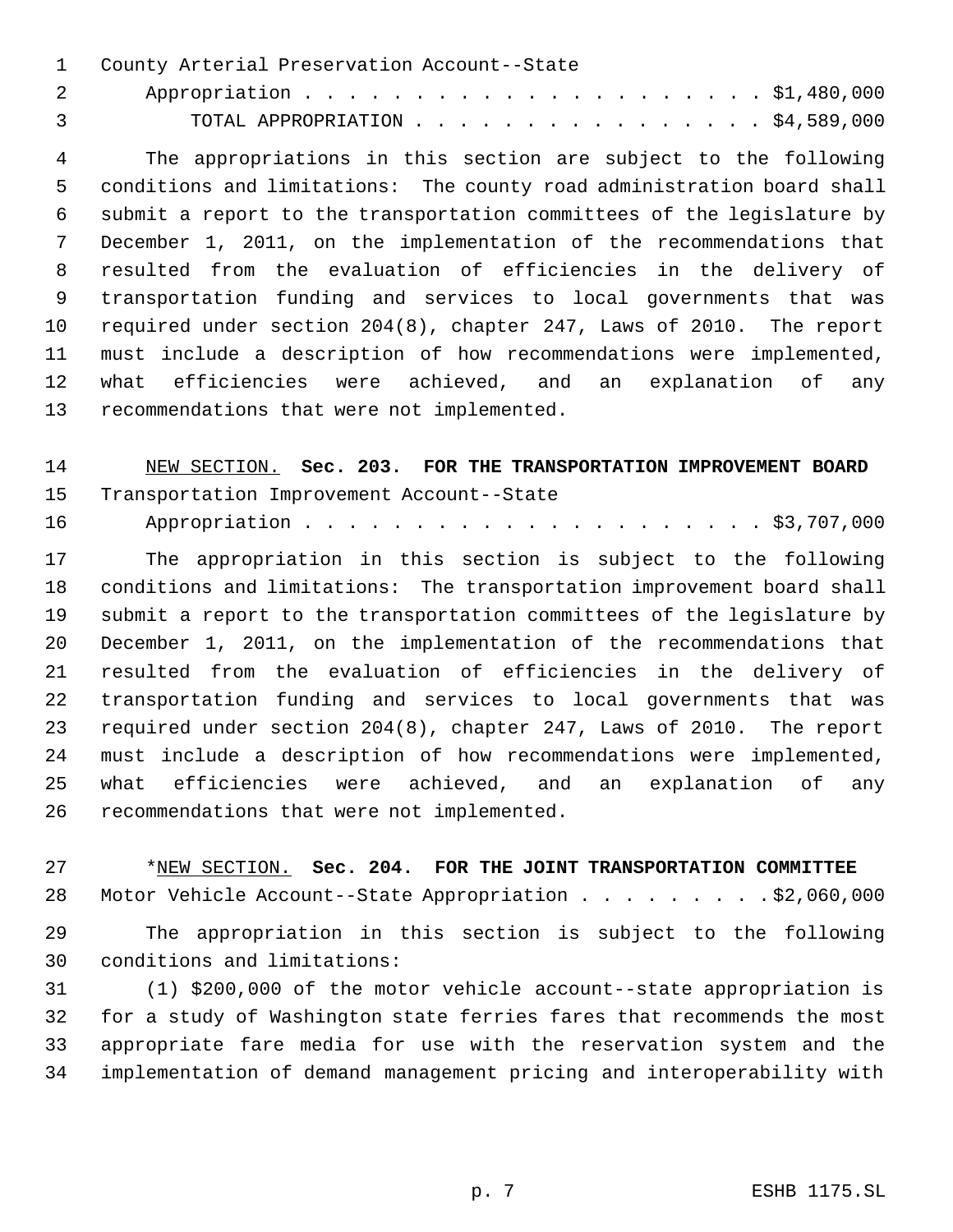County Arterial Preservation Account--State

| TOTAL APPROPRIATION \$4,589,000 |  |  |  |  |  |  |  |  |  |
|---------------------------------|--|--|--|--|--|--|--|--|--|

 The appropriations in this section are subject to the following conditions and limitations: The county road administration board shall submit a report to the transportation committees of the legislature by December 1, 2011, on the implementation of the recommendations that resulted from the evaluation of efficiencies in the delivery of transportation funding and services to local governments that was required under section 204(8), chapter 247, Laws of 2010. The report must include a description of how recommendations were implemented, what efficiencies were achieved, and an explanation of any recommendations that were not implemented.

## NEW SECTION. **Sec. 203. FOR THE TRANSPORTATION IMPROVEMENT BOARD** Transportation Improvement Account--State

Appropriation . . . . . . . . . . . . . . . . . . . . . \$3,707,000

 The appropriation in this section is subject to the following conditions and limitations: The transportation improvement board shall submit a report to the transportation committees of the legislature by December 1, 2011, on the implementation of the recommendations that resulted from the evaluation of efficiencies in the delivery of transportation funding and services to local governments that was required under section 204(8), chapter 247, Laws of 2010. The report must include a description of how recommendations were implemented, what efficiencies were achieved, and an explanation of any recommendations that were not implemented.

 \*NEW SECTION. **Sec. 204. FOR THE JOINT TRANSPORTATION COMMITTEE** 28 Motor Vehicle Account--State Appropriation . . . . . . . . . \$2,060,000

 The appropriation in this section is subject to the following conditions and limitations:

 (1) \$200,000 of the motor vehicle account--state appropriation is for a study of Washington state ferries fares that recommends the most appropriate fare media for use with the reservation system and the implementation of demand management pricing and interoperability with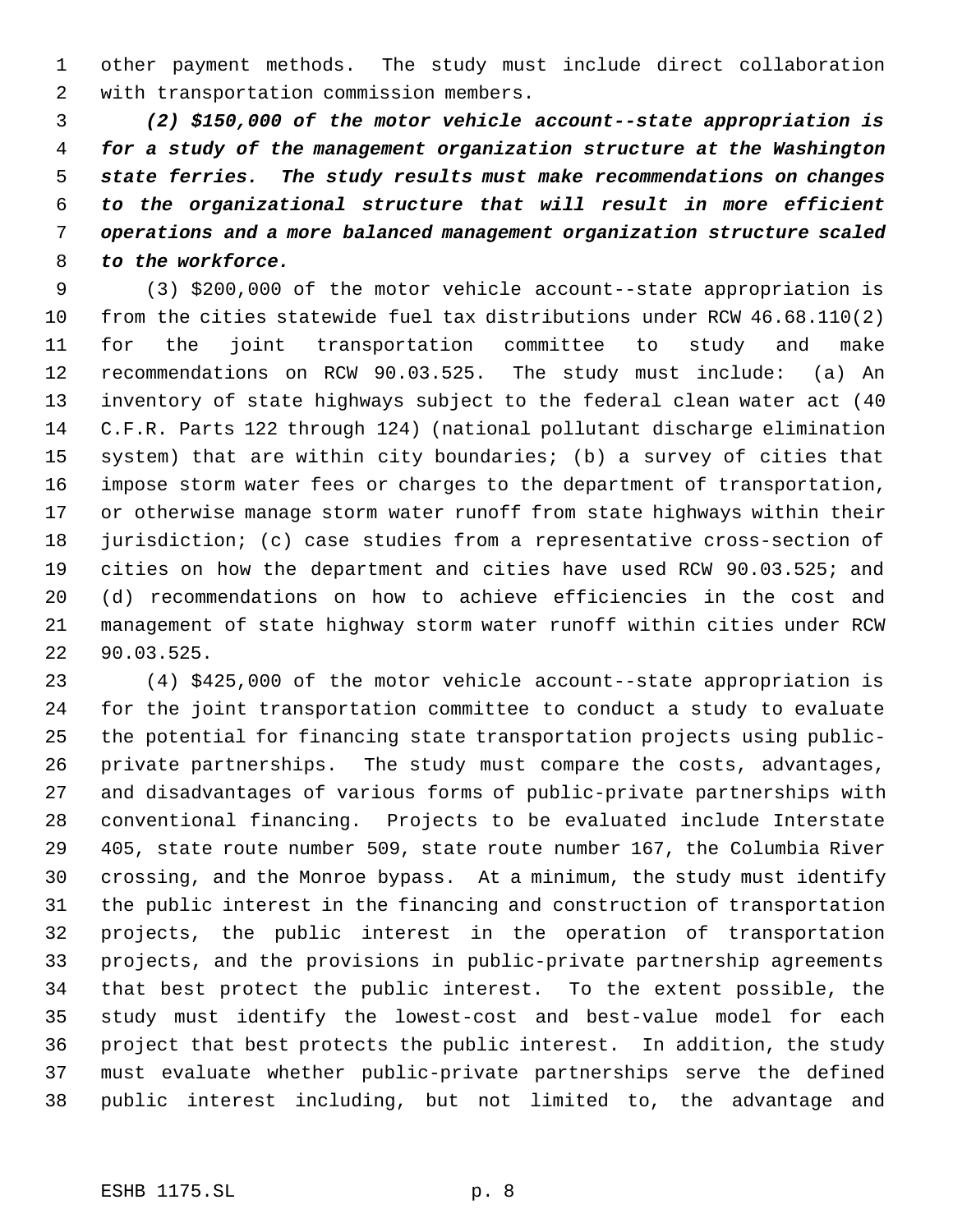other payment methods. The study must include direct collaboration with transportation commission members.

 *(2) \$150,000 of the motor vehicle account--state appropriation is for a study of the management organization structure at the Washington state ferries. The study results must make recommendations on changes to the organizational structure that will result in more efficient operations and a more balanced management organization structure scaled to the workforce.*

 (3) \$200,000 of the motor vehicle account--state appropriation is from the cities statewide fuel tax distributions under RCW 46.68.110(2) for the joint transportation committee to study and make recommendations on RCW 90.03.525. The study must include: (a) An inventory of state highways subject to the federal clean water act (40 C.F.R. Parts 122 through 124) (national pollutant discharge elimination system) that are within city boundaries; (b) a survey of cities that impose storm water fees or charges to the department of transportation, or otherwise manage storm water runoff from state highways within their jurisdiction; (c) case studies from a representative cross-section of cities on how the department and cities have used RCW 90.03.525; and (d) recommendations on how to achieve efficiencies in the cost and management of state highway storm water runoff within cities under RCW 90.03.525.

 (4) \$425,000 of the motor vehicle account--state appropriation is for the joint transportation committee to conduct a study to evaluate the potential for financing state transportation projects using public- private partnerships. The study must compare the costs, advantages, and disadvantages of various forms of public-private partnerships with conventional financing. Projects to be evaluated include Interstate 405, state route number 509, state route number 167, the Columbia River crossing, and the Monroe bypass. At a minimum, the study must identify the public interest in the financing and construction of transportation projects, the public interest in the operation of transportation projects, and the provisions in public-private partnership agreements that best protect the public interest. To the extent possible, the study must identify the lowest-cost and best-value model for each project that best protects the public interest. In addition, the study must evaluate whether public-private partnerships serve the defined public interest including, but not limited to, the advantage and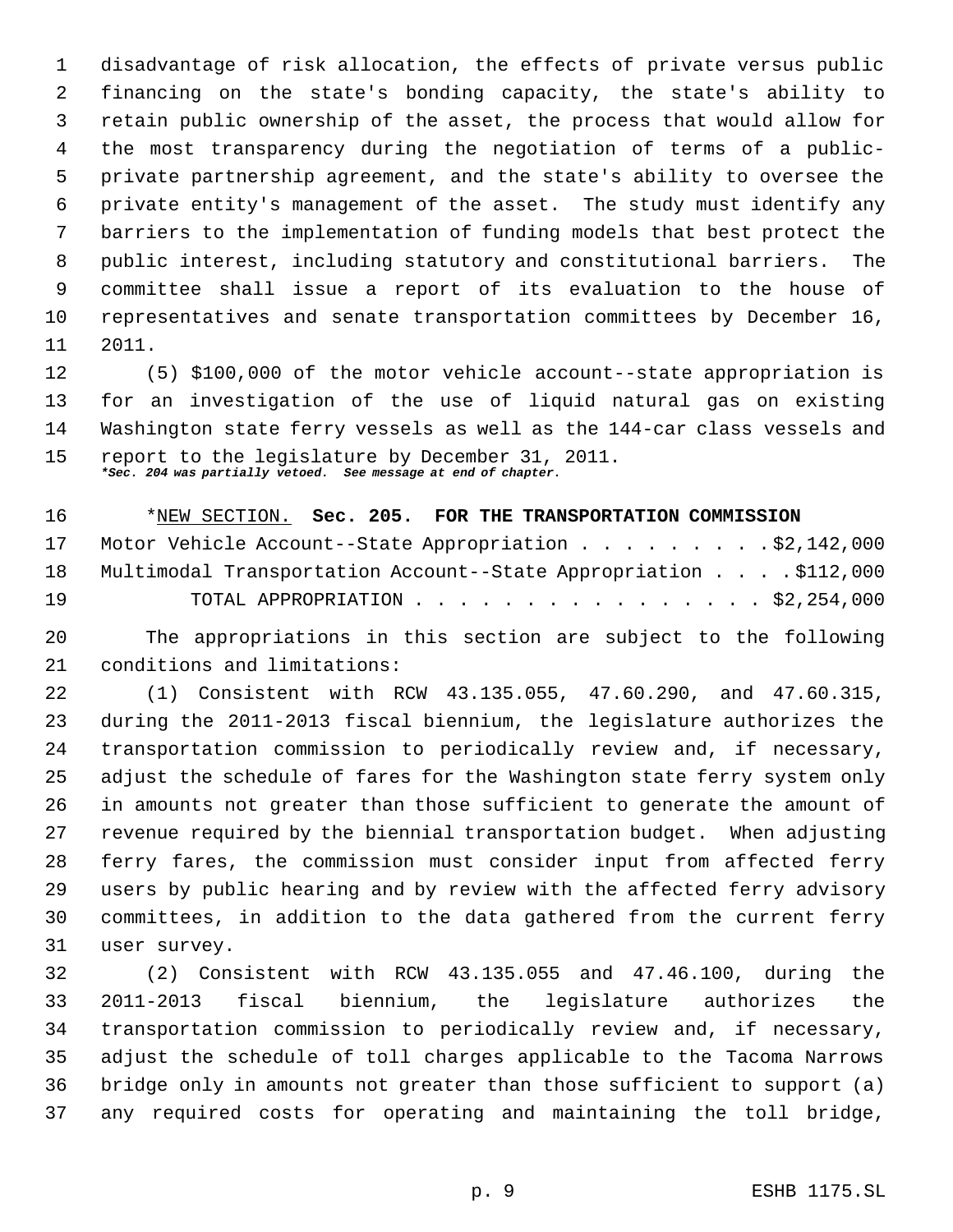disadvantage of risk allocation, the effects of private versus public financing on the state's bonding capacity, the state's ability to retain public ownership of the asset, the process that would allow for the most transparency during the negotiation of terms of a public- private partnership agreement, and the state's ability to oversee the private entity's management of the asset. The study must identify any barriers to the implementation of funding models that best protect the public interest, including statutory and constitutional barriers. The committee shall issue a report of its evaluation to the house of representatives and senate transportation committees by December 16, 2011.

 (5) \$100,000 of the motor vehicle account--state appropriation is for an investigation of the use of liquid natural gas on existing Washington state ferry vessels as well as the 144-car class vessels and report to the legislature by December 31, 2011. *\*Sec. 204 was partially vetoed. See message at end of chapter.*

 \*NEW SECTION. **Sec. 205. FOR THE TRANSPORTATION COMMISSION** Motor Vehicle Account--State Appropriation . . . . . . . . . \$2,142,000 Multimodal Transportation Account--State Appropriation . . . . \$112,000 TOTAL APPROPRIATION . . . . . . . . . . . . . . . . \$2,254,000

 The appropriations in this section are subject to the following conditions and limitations:

 (1) Consistent with RCW 43.135.055, 47.60.290, and 47.60.315, during the 2011-2013 fiscal biennium, the legislature authorizes the transportation commission to periodically review and, if necessary, adjust the schedule of fares for the Washington state ferry system only in amounts not greater than those sufficient to generate the amount of revenue required by the biennial transportation budget. When adjusting ferry fares, the commission must consider input from affected ferry users by public hearing and by review with the affected ferry advisory committees, in addition to the data gathered from the current ferry user survey.

 (2) Consistent with RCW 43.135.055 and 47.46.100, during the 2011-2013 fiscal biennium, the legislature authorizes the transportation commission to periodically review and, if necessary, adjust the schedule of toll charges applicable to the Tacoma Narrows bridge only in amounts not greater than those sufficient to support (a) any required costs for operating and maintaining the toll bridge,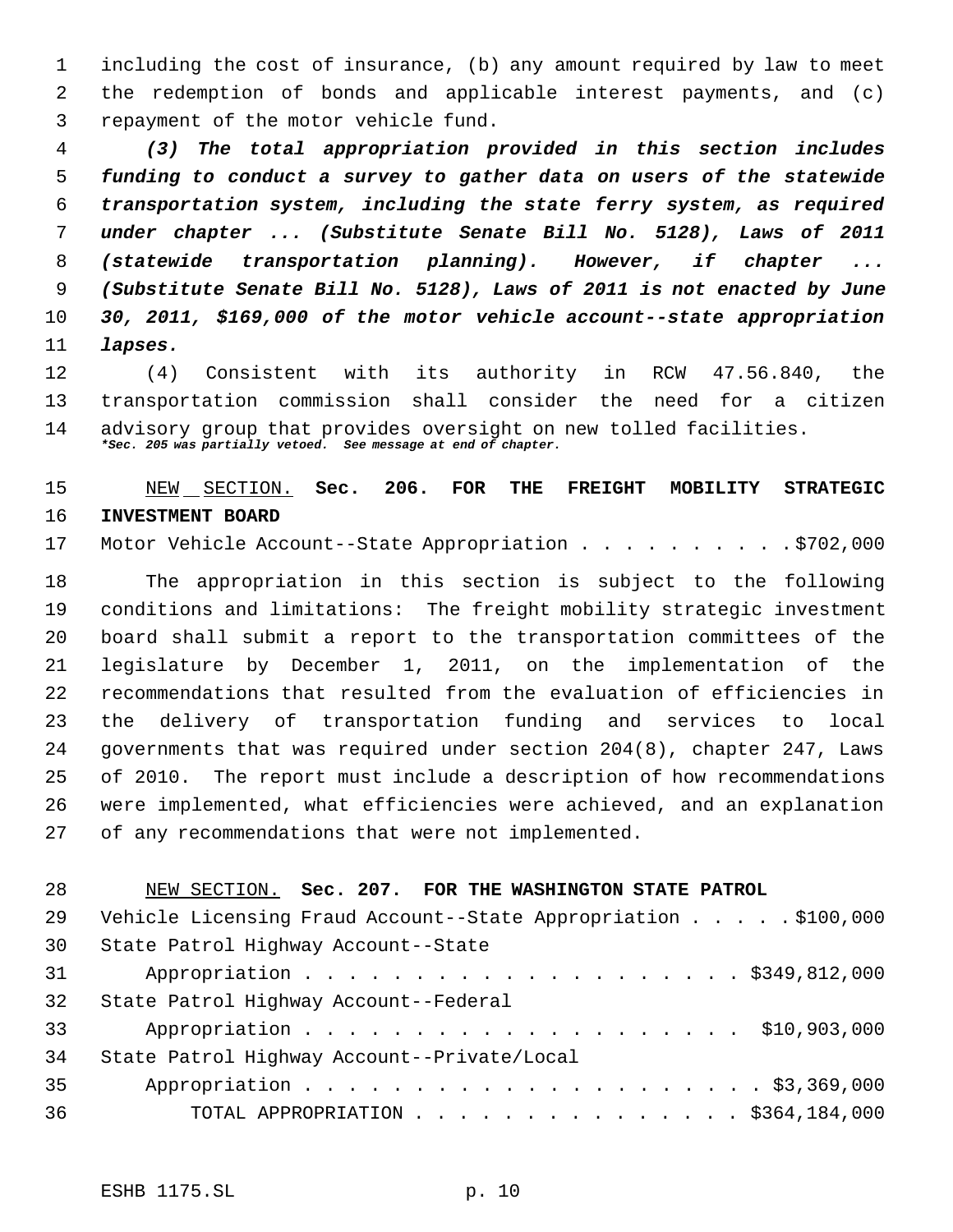including the cost of insurance, (b) any amount required by law to meet the redemption of bonds and applicable interest payments, and (c) repayment of the motor vehicle fund.

 *(3) The total appropriation provided in this section includes funding to conduct a survey to gather data on users of the statewide transportation system, including the state ferry system, as required under chapter ... (Substitute Senate Bill No. 5128), Laws of 2011 (statewide transportation planning). However, if chapter ... (Substitute Senate Bill No. 5128), Laws of 2011 is not enacted by June 30, 2011, \$169,000 of the motor vehicle account--state appropriation lapses.*

 (4) Consistent with its authority in RCW 47.56.840, the transportation commission shall consider the need for a citizen advisory group that provides oversight on new tolled facilities. *\*Sec. 205 was partially vetoed. See message at end of chapter.*

## NEW SECTION. **Sec. 206. FOR THE FREIGHT MOBILITY STRATEGIC INVESTMENT BOARD**

17 Motor Vehicle Account--State Appropriation . . . . . . . . . \$702,000

 The appropriation in this section is subject to the following conditions and limitations: The freight mobility strategic investment board shall submit a report to the transportation committees of the legislature by December 1, 2011, on the implementation of the recommendations that resulted from the evaluation of efficiencies in the delivery of transportation funding and services to local governments that was required under section 204(8), chapter 247, Laws of 2010. The report must include a description of how recommendations were implemented, what efficiencies were achieved, and an explanation of any recommendations that were not implemented.

### NEW SECTION. **Sec. 207. FOR THE WASHINGTON STATE PATROL**

| 29              | Vehicle Licensing Fraud Account--State Appropriation \$100,000 |
|-----------------|----------------------------------------------------------------|
| 30              | State Patrol Highway Account--State                            |
| 31              | Appropriation \$349,812,000                                    |
| 32 <sup>°</sup> | State Patrol Highway Account--Federal                          |
| 33              |                                                                |
| 34              | State Patrol Highway Account--Private/Local                    |
| 35              |                                                                |
| 36              | TOTAL APPROPRIATION \$364,184,000                              |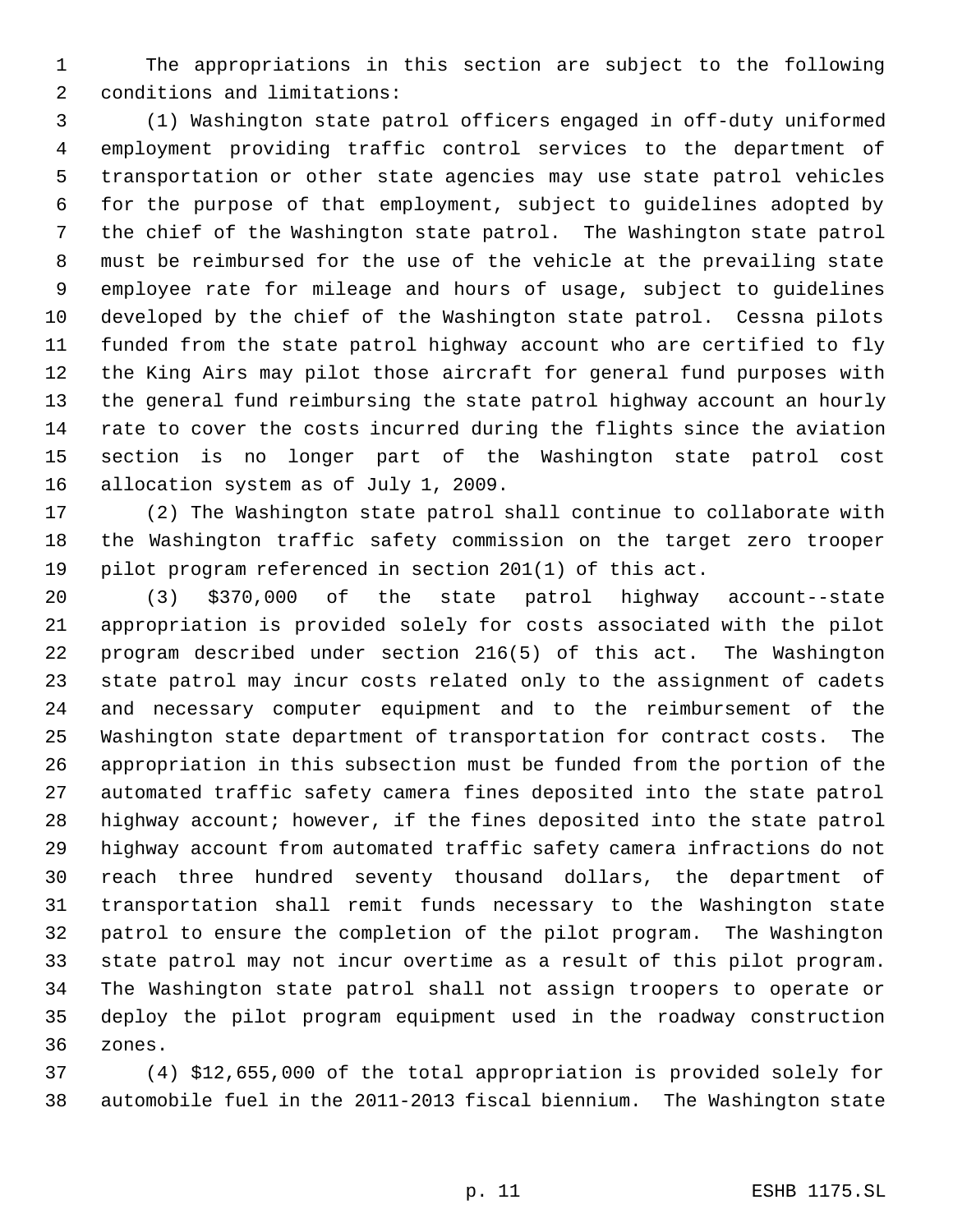The appropriations in this section are subject to the following conditions and limitations:

 (1) Washington state patrol officers engaged in off-duty uniformed employment providing traffic control services to the department of transportation or other state agencies may use state patrol vehicles for the purpose of that employment, subject to guidelines adopted by the chief of the Washington state patrol. The Washington state patrol must be reimbursed for the use of the vehicle at the prevailing state employee rate for mileage and hours of usage, subject to guidelines developed by the chief of the Washington state patrol. Cessna pilots funded from the state patrol highway account who are certified to fly the King Airs may pilot those aircraft for general fund purposes with the general fund reimbursing the state patrol highway account an hourly rate to cover the costs incurred during the flights since the aviation section is no longer part of the Washington state patrol cost allocation system as of July 1, 2009.

 (2) The Washington state patrol shall continue to collaborate with the Washington traffic safety commission on the target zero trooper pilot program referenced in section 201(1) of this act.

 (3) \$370,000 of the state patrol highway account--state appropriation is provided solely for costs associated with the pilot program described under section 216(5) of this act. The Washington state patrol may incur costs related only to the assignment of cadets and necessary computer equipment and to the reimbursement of the Washington state department of transportation for contract costs. The appropriation in this subsection must be funded from the portion of the automated traffic safety camera fines deposited into the state patrol highway account; however, if the fines deposited into the state patrol highway account from automated traffic safety camera infractions do not reach three hundred seventy thousand dollars, the department of transportation shall remit funds necessary to the Washington state patrol to ensure the completion of the pilot program. The Washington state patrol may not incur overtime as a result of this pilot program. The Washington state patrol shall not assign troopers to operate or deploy the pilot program equipment used in the roadway construction zones.

 (4) \$12,655,000 of the total appropriation is provided solely for automobile fuel in the 2011-2013 fiscal biennium. The Washington state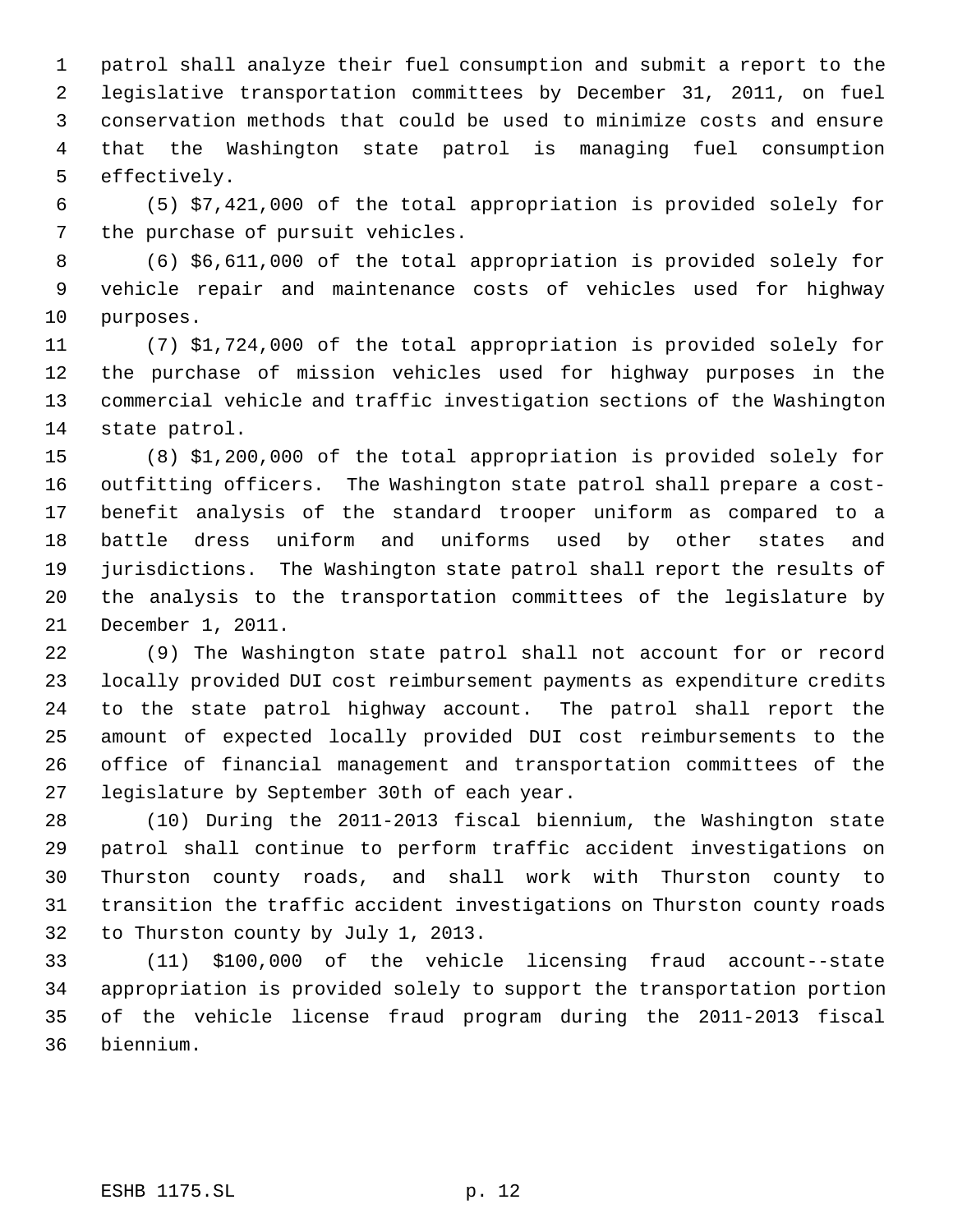patrol shall analyze their fuel consumption and submit a report to the legislative transportation committees by December 31, 2011, on fuel conservation methods that could be used to minimize costs and ensure that the Washington state patrol is managing fuel consumption effectively.

 (5) \$7,421,000 of the total appropriation is provided solely for the purchase of pursuit vehicles.

 (6) \$6,611,000 of the total appropriation is provided solely for vehicle repair and maintenance costs of vehicles used for highway purposes.

 (7) \$1,724,000 of the total appropriation is provided solely for the purchase of mission vehicles used for highway purposes in the commercial vehicle and traffic investigation sections of the Washington state patrol.

 (8) \$1,200,000 of the total appropriation is provided solely for outfitting officers. The Washington state patrol shall prepare a cost- benefit analysis of the standard trooper uniform as compared to a battle dress uniform and uniforms used by other states and jurisdictions. The Washington state patrol shall report the results of the analysis to the transportation committees of the legislature by December 1, 2011.

 (9) The Washington state patrol shall not account for or record locally provided DUI cost reimbursement payments as expenditure credits to the state patrol highway account. The patrol shall report the amount of expected locally provided DUI cost reimbursements to the office of financial management and transportation committees of the legislature by September 30th of each year.

 (10) During the 2011-2013 fiscal biennium, the Washington state patrol shall continue to perform traffic accident investigations on Thurston county roads, and shall work with Thurston county to transition the traffic accident investigations on Thurston county roads to Thurston county by July 1, 2013.

 (11) \$100,000 of the vehicle licensing fraud account--state appropriation is provided solely to support the transportation portion of the vehicle license fraud program during the 2011-2013 fiscal biennium.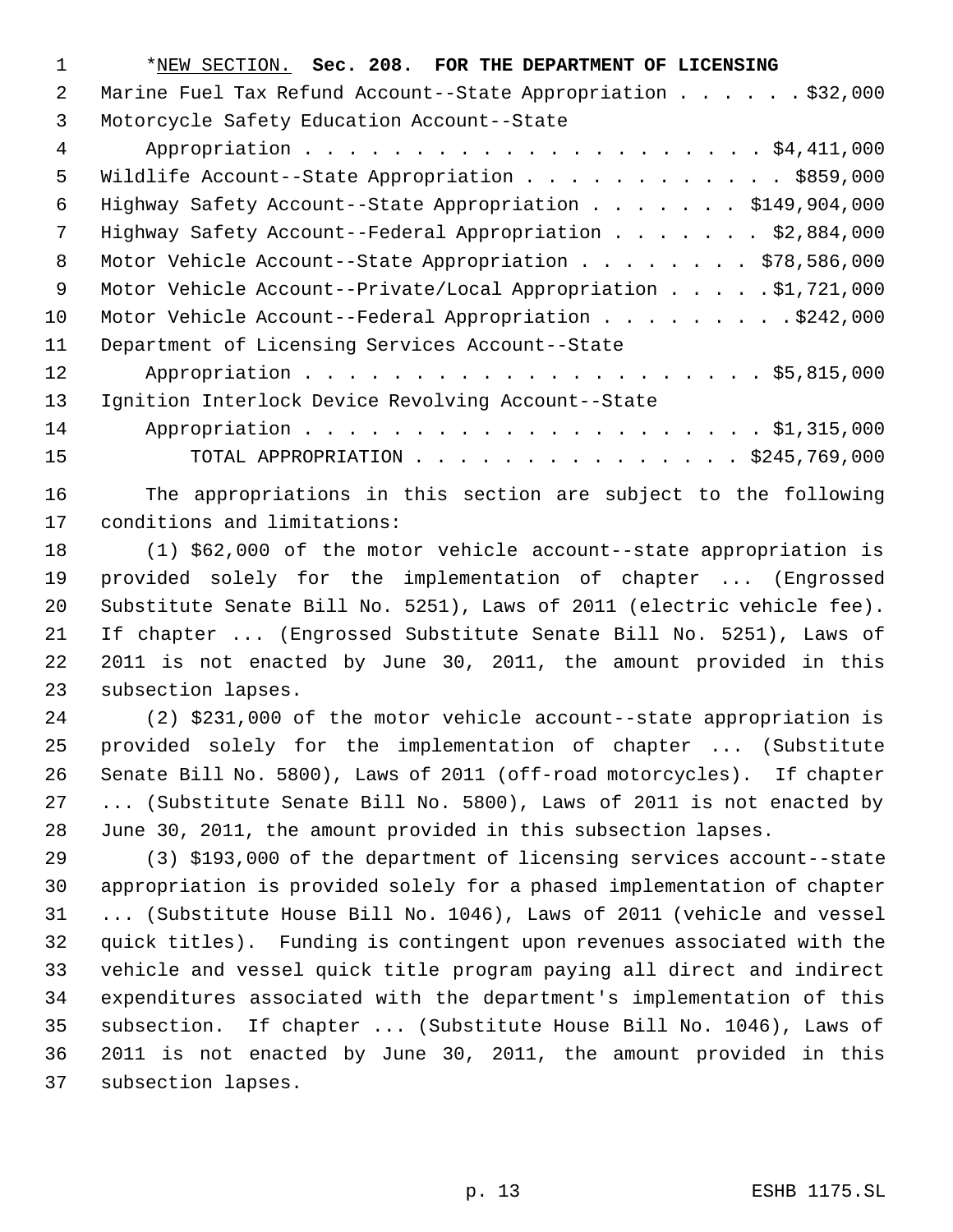| 1  | *NEW SECTION. Sec. 208. FOR THE DEPARTMENT OF LICENSING               |
|----|-----------------------------------------------------------------------|
| 2  | Marine Fuel Tax Refund Account--State Appropriation $\ldots$ \$32,000 |
| 3  | Motorcycle Safety Education Account--State                            |
| 4  |                                                                       |
| 5  | Wildlife Account--State Appropriation \$859,000                       |
| 6  | Highway Safety Account--State Appropriation \$149,904,000             |
| 7  | Highway Safety Account--Federal Appropriation \$2,884,000             |
| 8  | Motor Vehicle Account--State Appropriation \$78,586,000               |
| 9  | Motor Vehicle Account--Private/Local Appropriation \$1,721,000        |
| 10 | Motor Vehicle Account--Federal Appropriation \$242,000                |
| 11 | Department of Licensing Services Account--State                       |
| 12 |                                                                       |
| 13 | Ignition Interlock Device Revolving Account--State                    |
| 14 |                                                                       |
| 15 | TOTAL APPROPRIATION \$245,769,000                                     |
|    |                                                                       |

 The appropriations in this section are subject to the following conditions and limitations:

 (1) \$62,000 of the motor vehicle account--state appropriation is provided solely for the implementation of chapter ... (Engrossed Substitute Senate Bill No. 5251), Laws of 2011 (electric vehicle fee). If chapter ... (Engrossed Substitute Senate Bill No. 5251), Laws of 2011 is not enacted by June 30, 2011, the amount provided in this subsection lapses.

 (2) \$231,000 of the motor vehicle account--state appropriation is provided solely for the implementation of chapter ... (Substitute Senate Bill No. 5800), Laws of 2011 (off-road motorcycles). If chapter ... (Substitute Senate Bill No. 5800), Laws of 2011 is not enacted by June 30, 2011, the amount provided in this subsection lapses.

 (3) \$193,000 of the department of licensing services account--state appropriation is provided solely for a phased implementation of chapter ... (Substitute House Bill No. 1046), Laws of 2011 (vehicle and vessel quick titles). Funding is contingent upon revenues associated with the vehicle and vessel quick title program paying all direct and indirect expenditures associated with the department's implementation of this subsection. If chapter ... (Substitute House Bill No. 1046), Laws of 2011 is not enacted by June 30, 2011, the amount provided in this subsection lapses.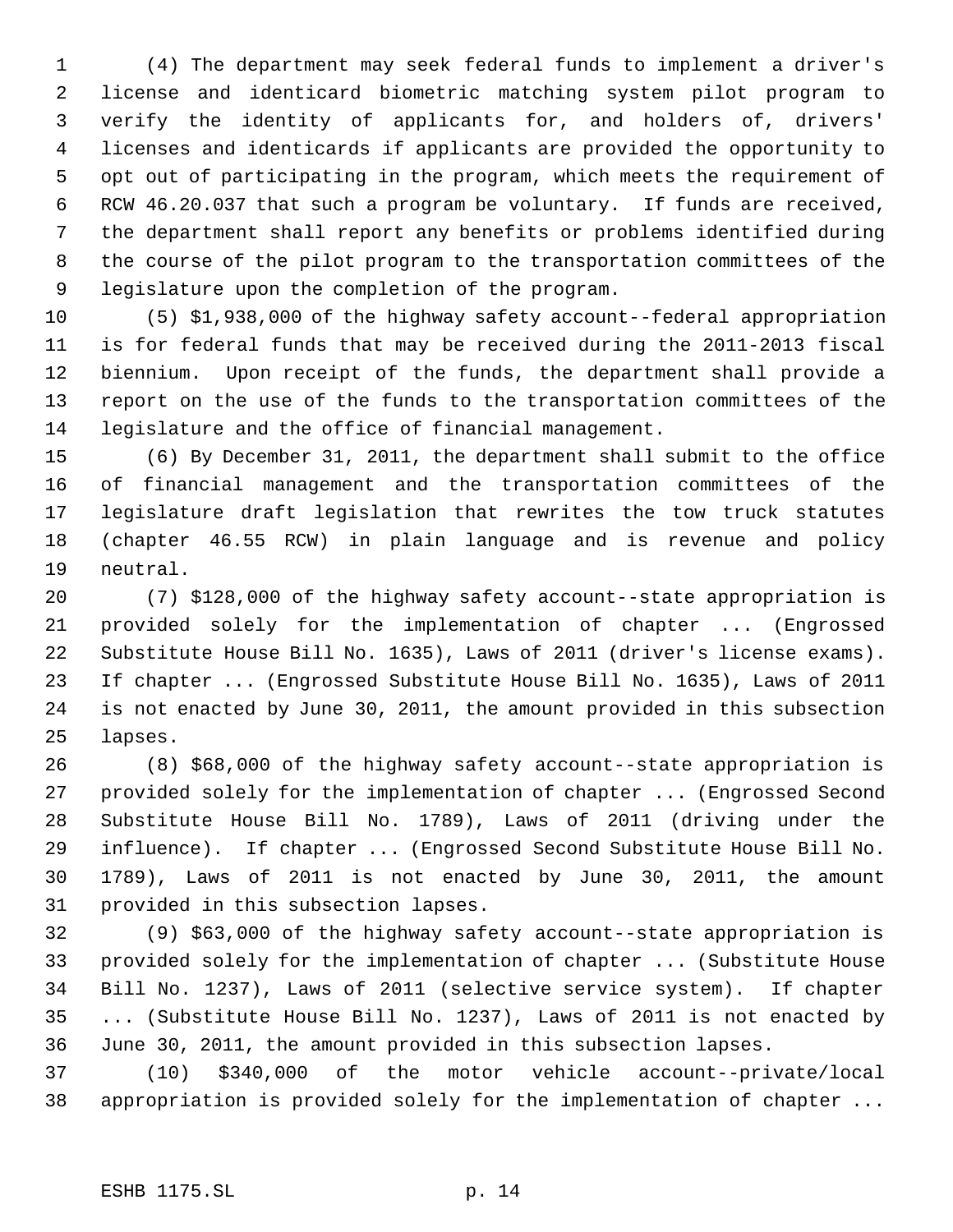(4) The department may seek federal funds to implement a driver's license and identicard biometric matching system pilot program to verify the identity of applicants for, and holders of, drivers' licenses and identicards if applicants are provided the opportunity to opt out of participating in the program, which meets the requirement of RCW 46.20.037 that such a program be voluntary. If funds are received, the department shall report any benefits or problems identified during the course of the pilot program to the transportation committees of the legislature upon the completion of the program.

 (5) \$1,938,000 of the highway safety account--federal appropriation is for federal funds that may be received during the 2011-2013 fiscal biennium. Upon receipt of the funds, the department shall provide a report on the use of the funds to the transportation committees of the legislature and the office of financial management.

 (6) By December 31, 2011, the department shall submit to the office of financial management and the transportation committees of the legislature draft legislation that rewrites the tow truck statutes (chapter 46.55 RCW) in plain language and is revenue and policy neutral.

 (7) \$128,000 of the highway safety account--state appropriation is provided solely for the implementation of chapter ... (Engrossed Substitute House Bill No. 1635), Laws of 2011 (driver's license exams). If chapter ... (Engrossed Substitute House Bill No. 1635), Laws of 2011 is not enacted by June 30, 2011, the amount provided in this subsection lapses.

 (8) \$68,000 of the highway safety account--state appropriation is provided solely for the implementation of chapter ... (Engrossed Second Substitute House Bill No. 1789), Laws of 2011 (driving under the influence). If chapter ... (Engrossed Second Substitute House Bill No. 1789), Laws of 2011 is not enacted by June 30, 2011, the amount provided in this subsection lapses.

 (9) \$63,000 of the highway safety account--state appropriation is provided solely for the implementation of chapter ... (Substitute House Bill No. 1237), Laws of 2011 (selective service system). If chapter ... (Substitute House Bill No. 1237), Laws of 2011 is not enacted by June 30, 2011, the amount provided in this subsection lapses.

 (10) \$340,000 of the motor vehicle account--private/local appropriation is provided solely for the implementation of chapter ...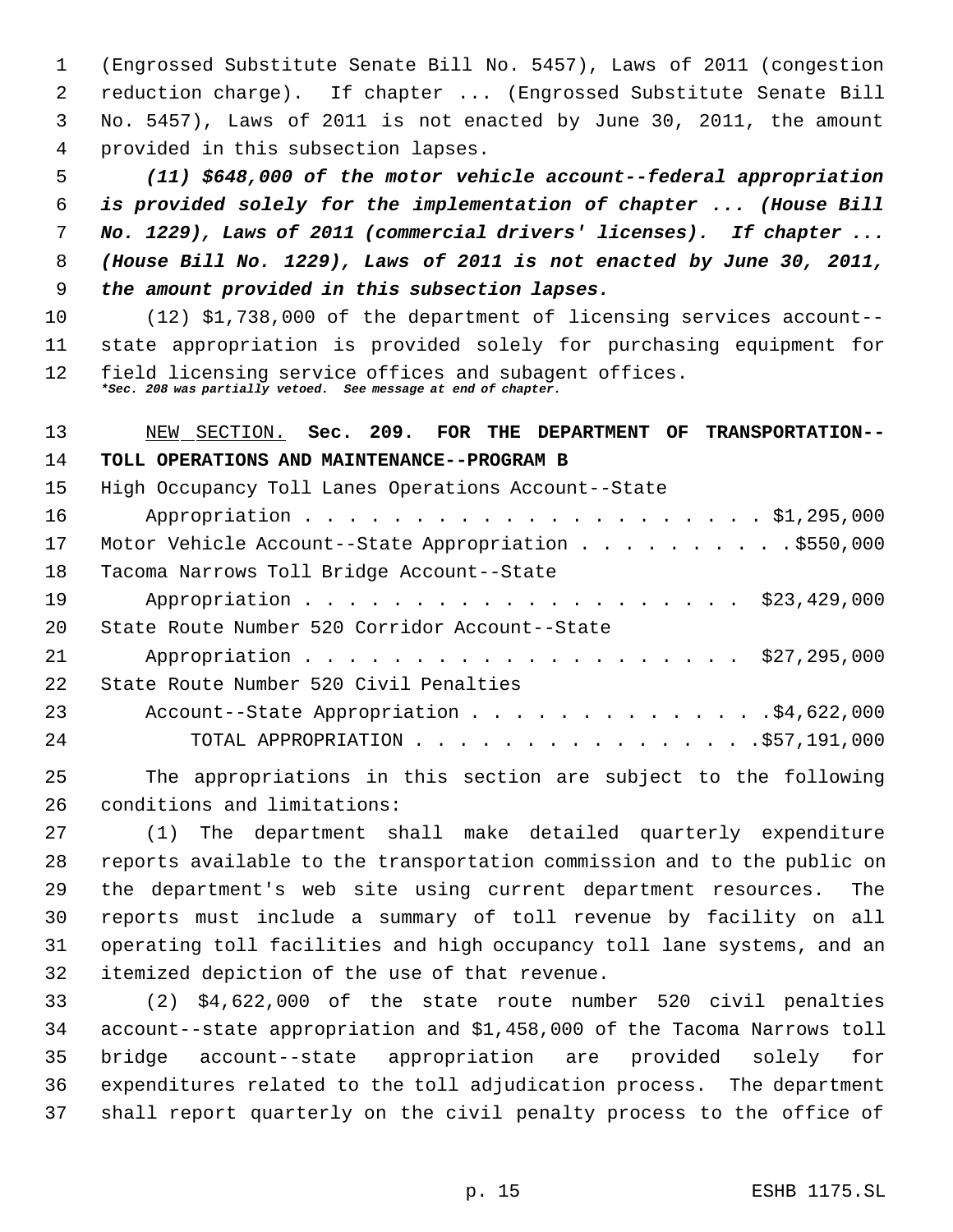(Engrossed Substitute Senate Bill No. 5457), Laws of 2011 (congestion reduction charge). If chapter ... (Engrossed Substitute Senate Bill No. 5457), Laws of 2011 is not enacted by June 30, 2011, the amount provided in this subsection lapses.

 *(11) \$648,000 of the motor vehicle account--federal appropriation is provided solely for the implementation of chapter ... (House Bill No. 1229), Laws of 2011 (commercial drivers' licenses). If chapter ... (House Bill No. 1229), Laws of 2011 is not enacted by June 30, 2011, the amount provided in this subsection lapses.*

 (12) \$1,738,000 of the department of licensing services account-- state appropriation is provided solely for purchasing equipment for field licensing service offices and subagent offices. *\*Sec. 208 was partially vetoed. See message at end of chapter.*

### NEW SECTION. **Sec. 209. FOR THE DEPARTMENT OF TRANSPORTATION-- TOLL OPERATIONS AND MAINTENANCE--PROGRAM B**

| 15 <sub>1</sub> | High Occupancy Toll Lanes Operations Account--State  |
|-----------------|------------------------------------------------------|
| 16              |                                                      |
| 17              | Motor Vehicle Account--State Appropriation \$550,000 |
| 18              | Tacoma Narrows Toll Bridge Account--State            |
| 19              | Appropriation \$23,429,000                           |
| 20              | State Route Number 520 Corridor Account--State       |
| 21              | Appropriation \$27,295,000                           |
| 22              | State Route Number 520 Civil Penalties               |
| 23              | Account--State Appropriation \$4,622,000             |
| 24              | TOTAL APPROPRIATION $\ldots$ , 557,191,000           |

 The appropriations in this section are subject to the following conditions and limitations:

 (1) The department shall make detailed quarterly expenditure reports available to the transportation commission and to the public on the department's web site using current department resources. The reports must include a summary of toll revenue by facility on all operating toll facilities and high occupancy toll lane systems, and an itemized depiction of the use of that revenue.

 (2) \$4,622,000 of the state route number 520 civil penalties account--state appropriation and \$1,458,000 of the Tacoma Narrows toll bridge account--state appropriation are provided solely for expenditures related to the toll adjudication process. The department shall report quarterly on the civil penalty process to the office of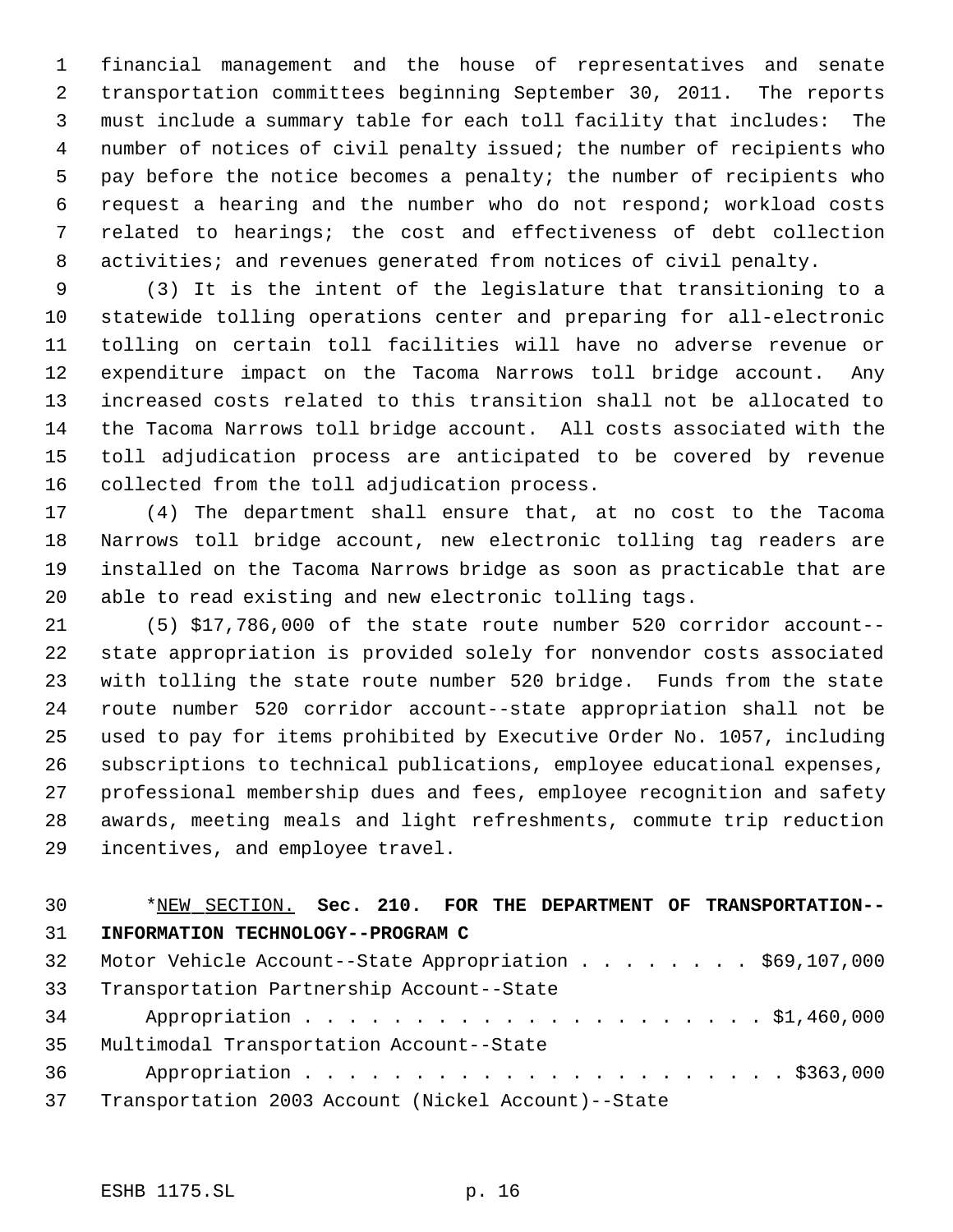financial management and the house of representatives and senate transportation committees beginning September 30, 2011. The reports must include a summary table for each toll facility that includes: The number of notices of civil penalty issued; the number of recipients who pay before the notice becomes a penalty; the number of recipients who request a hearing and the number who do not respond; workload costs related to hearings; the cost and effectiveness of debt collection 8 activities; and revenues generated from notices of civil penalty.

 (3) It is the intent of the legislature that transitioning to a statewide tolling operations center and preparing for all-electronic tolling on certain toll facilities will have no adverse revenue or expenditure impact on the Tacoma Narrows toll bridge account. Any increased costs related to this transition shall not be allocated to the Tacoma Narrows toll bridge account. All costs associated with the toll adjudication process are anticipated to be covered by revenue collected from the toll adjudication process.

 (4) The department shall ensure that, at no cost to the Tacoma Narrows toll bridge account, new electronic tolling tag readers are installed on the Tacoma Narrows bridge as soon as practicable that are able to read existing and new electronic tolling tags.

 (5) \$17,786,000 of the state route number 520 corridor account-- state appropriation is provided solely for nonvendor costs associated with tolling the state route number 520 bridge. Funds from the state route number 520 corridor account--state appropriation shall not be used to pay for items prohibited by Executive Order No. 1057, including subscriptions to technical publications, employee educational expenses, professional membership dues and fees, employee recognition and safety awards, meeting meals and light refreshments, commute trip reduction incentives, and employee travel.

# \*NEW SECTION. **Sec. 210. FOR THE DEPARTMENT OF TRANSPORTATION-- INFORMATION TECHNOLOGY--PROGRAM C** Motor Vehicle Account--State Appropriation . . . . . . . . \$69,107,000 Transportation Partnership Account--State Appropriation . . . . . . . . . . . . . . . . . . . . . \$1,460,000 Multimodal Transportation Account--State Appropriation . . . . . . . . . . . . . . . . . . . . . . \$363,000 Transportation 2003 Account (Nickel Account)--State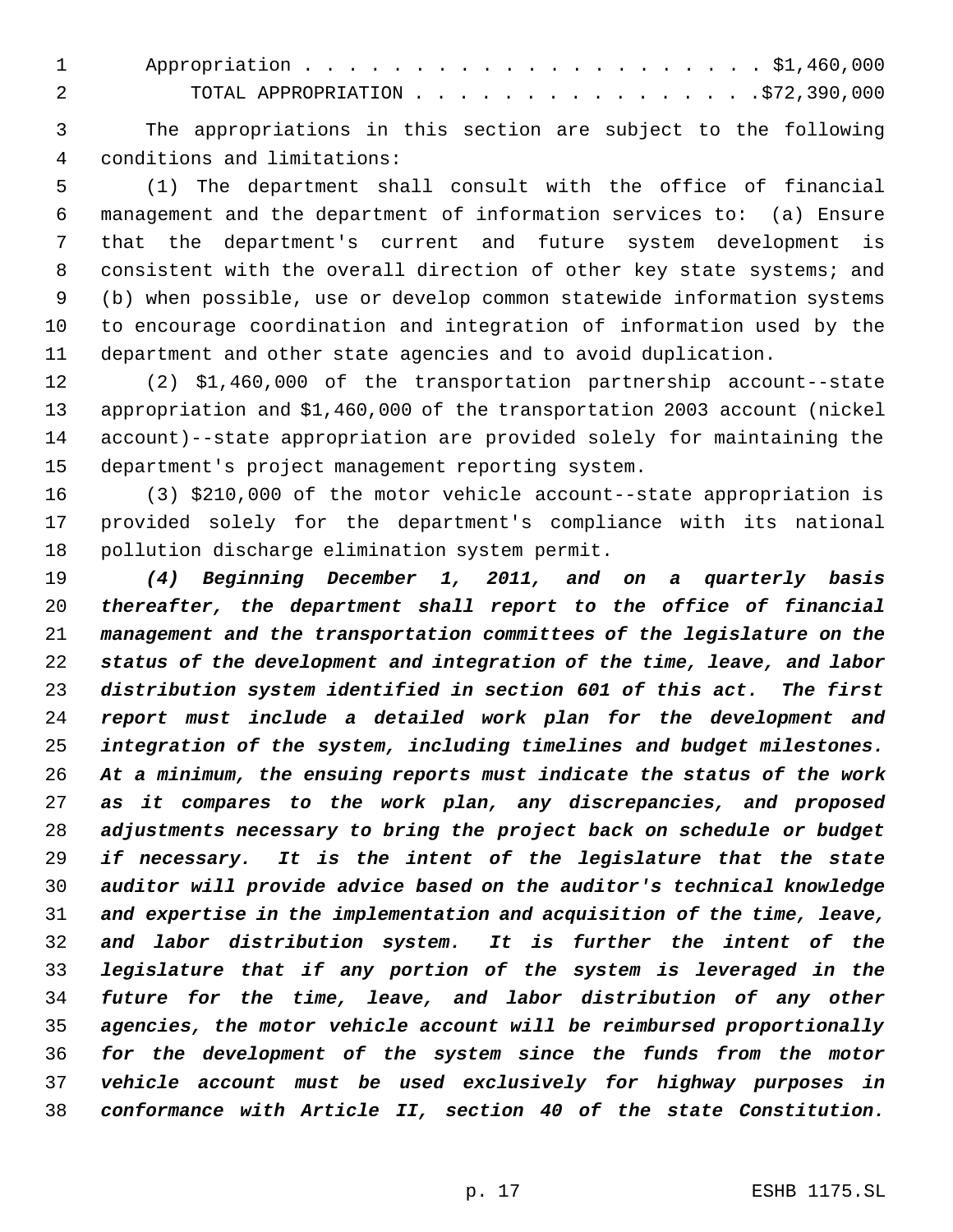| 1 Appropriation \$1,460,000     |  |  |  |  |  |  |  |  |
|---------------------------------|--|--|--|--|--|--|--|--|
| TOTAL APPROPRIATION 572,390,000 |  |  |  |  |  |  |  |  |

 The appropriations in this section are subject to the following conditions and limitations:

 (1) The department shall consult with the office of financial management and the department of information services to: (a) Ensure that the department's current and future system development is consistent with the overall direction of other key state systems; and (b) when possible, use or develop common statewide information systems to encourage coordination and integration of information used by the department and other state agencies and to avoid duplication.

 (2) \$1,460,000 of the transportation partnership account--state appropriation and \$1,460,000 of the transportation 2003 account (nickel account)--state appropriation are provided solely for maintaining the department's project management reporting system.

 (3) \$210,000 of the motor vehicle account--state appropriation is provided solely for the department's compliance with its national pollution discharge elimination system permit.

 *(4) Beginning December 1, 2011, and on a quarterly basis thereafter, the department shall report to the office of financial management and the transportation committees of the legislature on the status of the development and integration of the time, leave, and labor distribution system identified in section 601 of this act. The first report must include a detailed work plan for the development and integration of the system, including timelines and budget milestones. At a minimum, the ensuing reports must indicate the status of the work as it compares to the work plan, any discrepancies, and proposed adjustments necessary to bring the project back on schedule or budget if necessary. It is the intent of the legislature that the state auditor will provide advice based on the auditor's technical knowledge and expertise in the implementation and acquisition of the time, leave, and labor distribution system. It is further the intent of the legislature that if any portion of the system is leveraged in the future for the time, leave, and labor distribution of any other agencies, the motor vehicle account will be reimbursed proportionally for the development of the system since the funds from the motor vehicle account must be used exclusively for highway purposes in conformance with Article II, section 40 of the state Constitution.*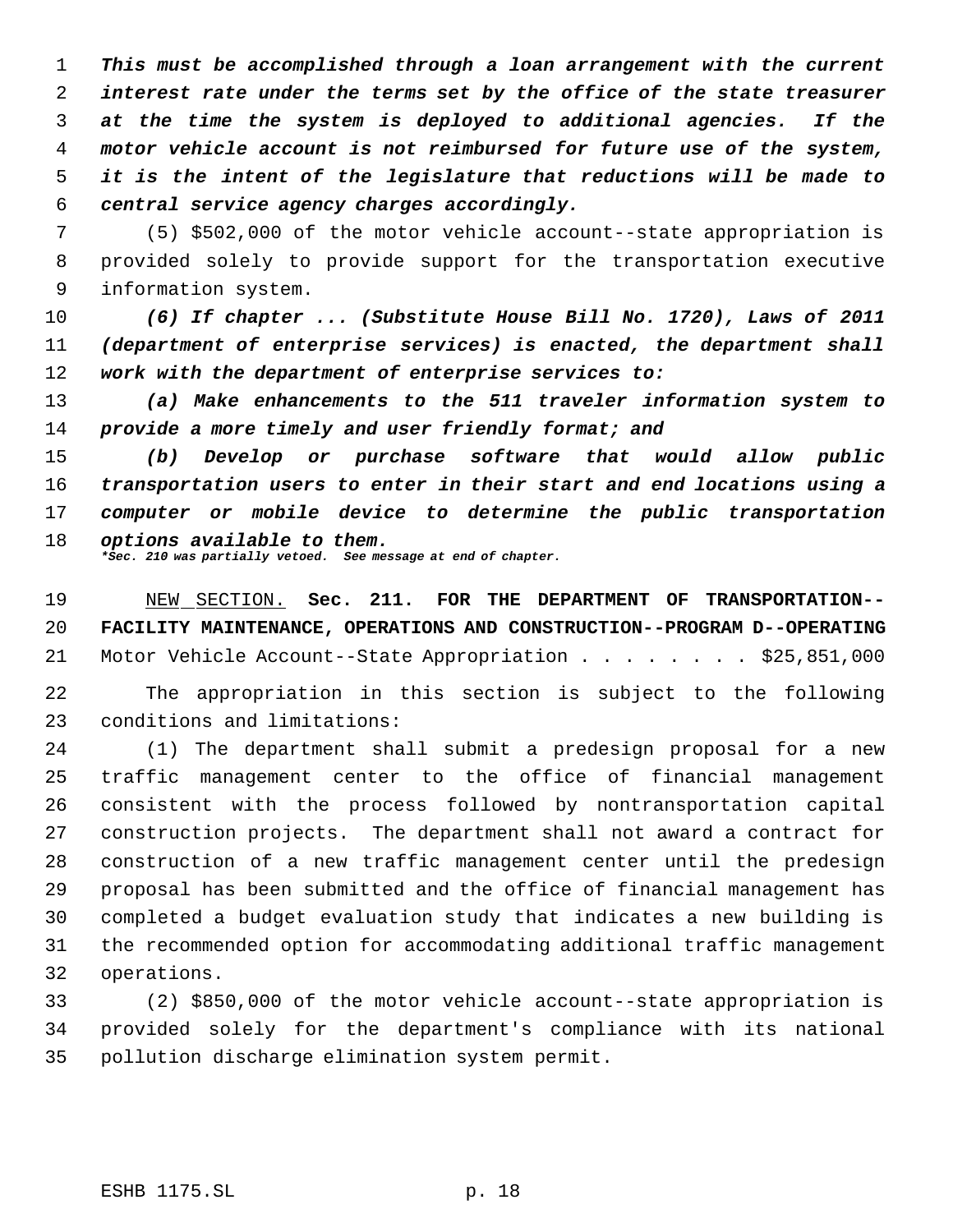*This must be accomplished through a loan arrangement with the current interest rate under the terms set by the office of the state treasurer at the time the system is deployed to additional agencies. If the motor vehicle account is not reimbursed for future use of the system, it is the intent of the legislature that reductions will be made to central service agency charges accordingly.*

 (5) \$502,000 of the motor vehicle account--state appropriation is provided solely to provide support for the transportation executive information system.

 *(6) If chapter ... (Substitute House Bill No. 1720), Laws of 2011 (department of enterprise services) is enacted, the department shall work with the department of enterprise services to:*

 *(a) Make enhancements to the 511 traveler information system to provide a more timely and user friendly format; and*

 *(b) Develop or purchase software that would allow public transportation users to enter in their start and end locations using a computer or mobile device to determine the public transportation options available to them. \*Sec. 210 was partially vetoed. See message at end of chapter.*

 NEW SECTION. **Sec. 211. FOR THE DEPARTMENT OF TRANSPORTATION-- FACILITY MAINTENANCE, OPERATIONS AND CONSTRUCTION--PROGRAM D--OPERATING** 21 Motor Vehicle Account--State Appropriation . . . . . . . \$25,851,000

 The appropriation in this section is subject to the following conditions and limitations:

 (1) The department shall submit a predesign proposal for a new traffic management center to the office of financial management consistent with the process followed by nontransportation capital construction projects. The department shall not award a contract for construction of a new traffic management center until the predesign proposal has been submitted and the office of financial management has completed a budget evaluation study that indicates a new building is the recommended option for accommodating additional traffic management operations.

 (2) \$850,000 of the motor vehicle account--state appropriation is provided solely for the department's compliance with its national pollution discharge elimination system permit.

### ESHB 1175.SL p. 18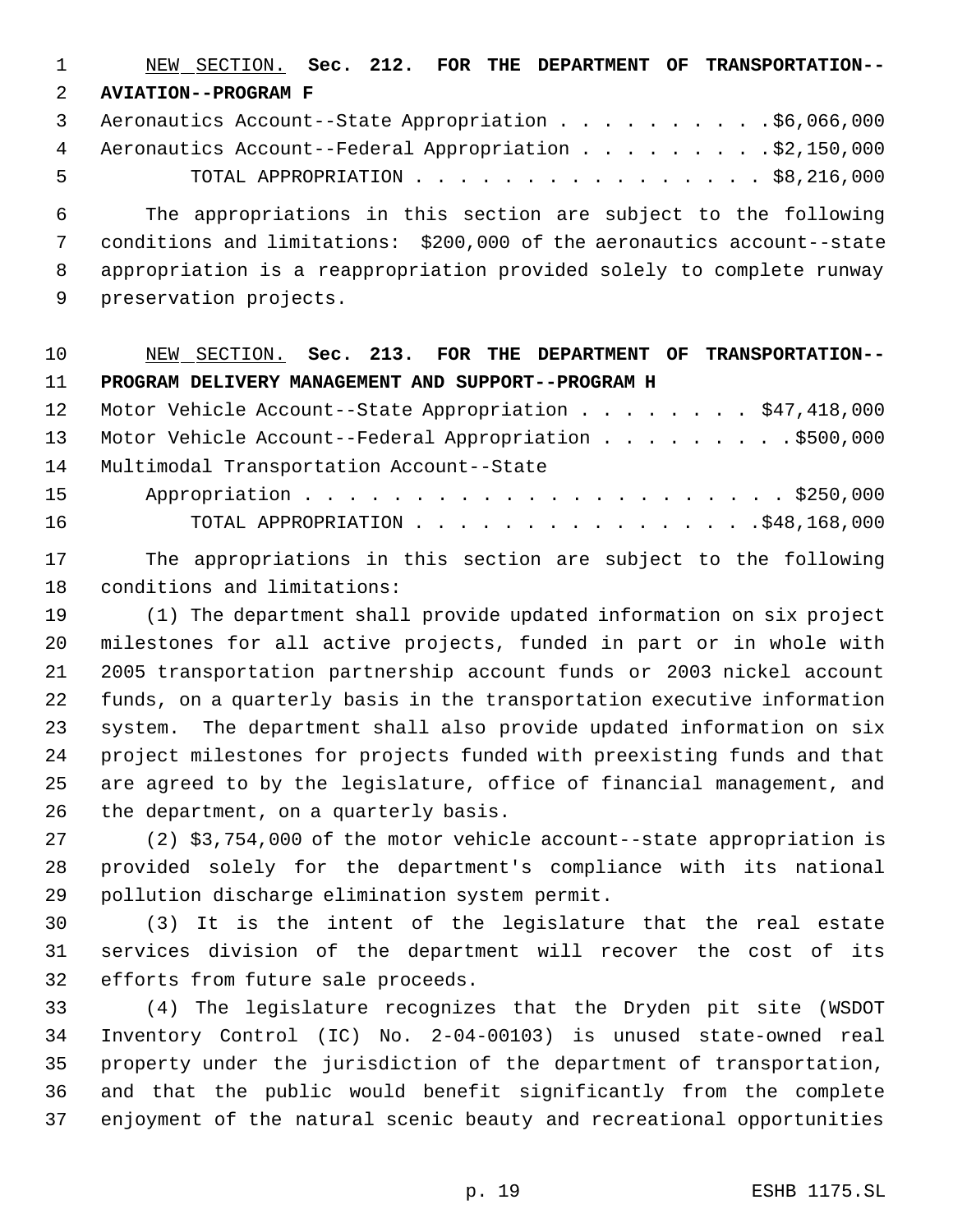NEW SECTION. **Sec. 212. FOR THE DEPARTMENT OF TRANSPORTATION-- AVIATION--PROGRAM F**

|      | 3 Aeronautics Account--State Appropriation \$6,066,000   |
|------|----------------------------------------------------------|
|      | 4 Aeronautics Account--Federal Appropriation \$2,150,000 |
| $-5$ | TOTAL APPROPRIATION $\ldots$ , \$8,216,000               |

 The appropriations in this section are subject to the following conditions and limitations: \$200,000 of the aeronautics account--state appropriation is a reappropriation provided solely to complete runway preservation projects.

 NEW SECTION. **Sec. 213. FOR THE DEPARTMENT OF TRANSPORTATION-- PROGRAM DELIVERY MANAGEMENT AND SUPPORT--PROGRAM H**

|    | 12 Motor Vehicle Account--State Appropriation \$47,418,000 |
|----|------------------------------------------------------------|
|    | 13 Motor Vehicle Account--Federal Appropriation \$500,000  |
|    | 14 Multimodal Transportation Account--State                |
| 15 |                                                            |
| 16 |                                                            |

 The appropriations in this section are subject to the following conditions and limitations:

 (1) The department shall provide updated information on six project milestones for all active projects, funded in part or in whole with 2005 transportation partnership account funds or 2003 nickel account funds, on a quarterly basis in the transportation executive information system. The department shall also provide updated information on six project milestones for projects funded with preexisting funds and that are agreed to by the legislature, office of financial management, and the department, on a quarterly basis.

 (2) \$3,754,000 of the motor vehicle account--state appropriation is provided solely for the department's compliance with its national pollution discharge elimination system permit.

 (3) It is the intent of the legislature that the real estate services division of the department will recover the cost of its efforts from future sale proceeds.

 (4) The legislature recognizes that the Dryden pit site (WSDOT Inventory Control (IC) No. 2-04-00103) is unused state-owned real property under the jurisdiction of the department of transportation, and that the public would benefit significantly from the complete enjoyment of the natural scenic beauty and recreational opportunities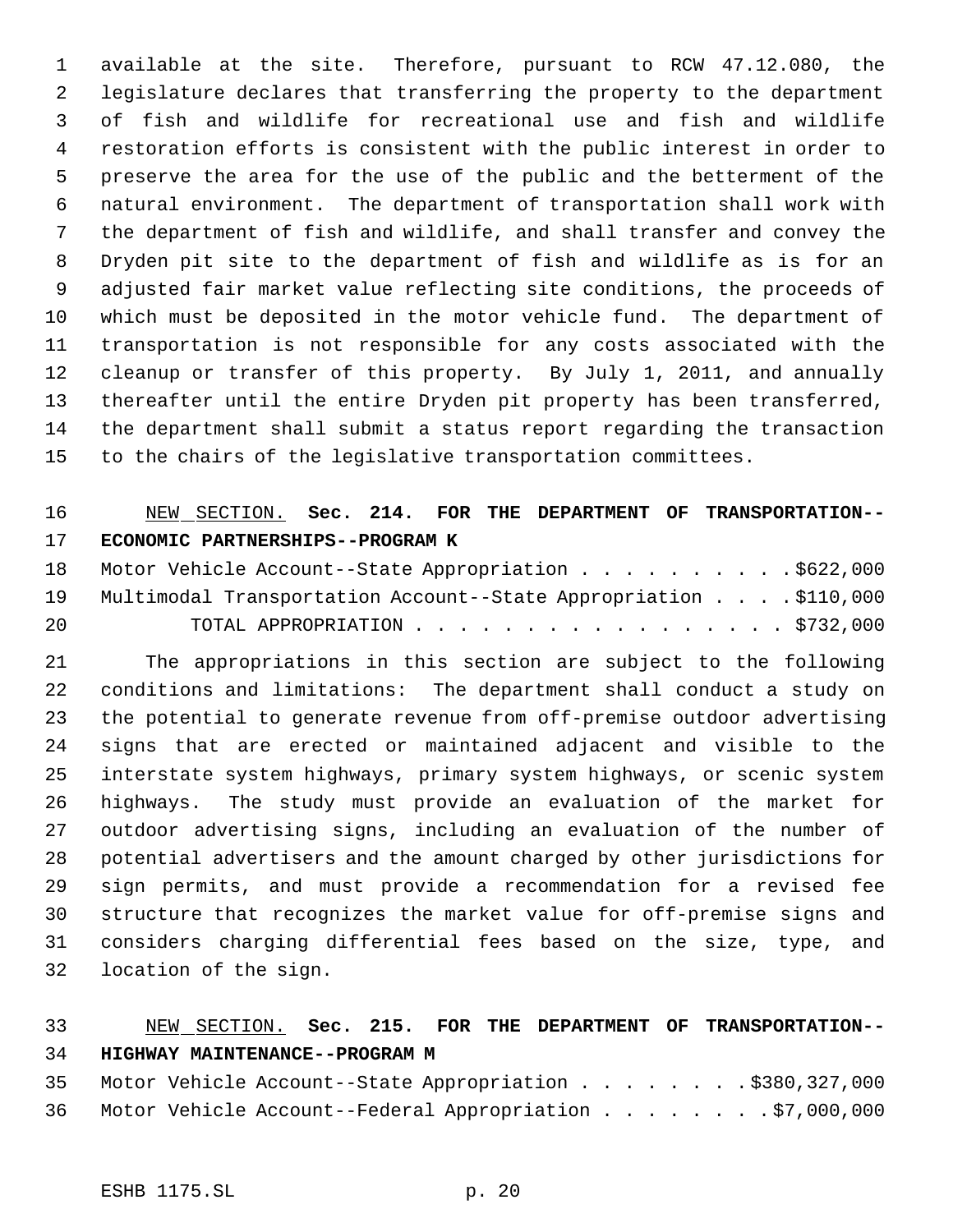available at the site. Therefore, pursuant to RCW 47.12.080, the legislature declares that transferring the property to the department of fish and wildlife for recreational use and fish and wildlife restoration efforts is consistent with the public interest in order to preserve the area for the use of the public and the betterment of the natural environment. The department of transportation shall work with the department of fish and wildlife, and shall transfer and convey the Dryden pit site to the department of fish and wildlife as is for an adjusted fair market value reflecting site conditions, the proceeds of which must be deposited in the motor vehicle fund. The department of transportation is not responsible for any costs associated with the cleanup or transfer of this property. By July 1, 2011, and annually thereafter until the entire Dryden pit property has been transferred, the department shall submit a status report regarding the transaction to the chairs of the legislative transportation committees.

## NEW SECTION. **Sec. 214. FOR THE DEPARTMENT OF TRANSPORTATION-- ECONOMIC PARTNERSHIPS--PROGRAM K**

|    | 18 Motor Vehicle Account--State Appropriation \$622,000             |  |
|----|---------------------------------------------------------------------|--|
|    | 19 Multimodal Transportation Account--State Appropriation \$110,000 |  |
| 20 | TOTAL APPROPRIATION \$732,000                                       |  |

 The appropriations in this section are subject to the following conditions and limitations: The department shall conduct a study on the potential to generate revenue from off-premise outdoor advertising signs that are erected or maintained adjacent and visible to the interstate system highways, primary system highways, or scenic system highways. The study must provide an evaluation of the market for outdoor advertising signs, including an evaluation of the number of potential advertisers and the amount charged by other jurisdictions for sign permits, and must provide a recommendation for a revised fee structure that recognizes the market value for off-premise signs and considers charging differential fees based on the size, type, and location of the sign.

## NEW SECTION. **Sec. 215. FOR THE DEPARTMENT OF TRANSPORTATION-- HIGHWAY MAINTENANCE--PROGRAM M**

 Motor Vehicle Account--State Appropriation . . . . . . . . \$380,327,000 Motor Vehicle Account--Federal Appropriation . . . . . . . . \$7,000,000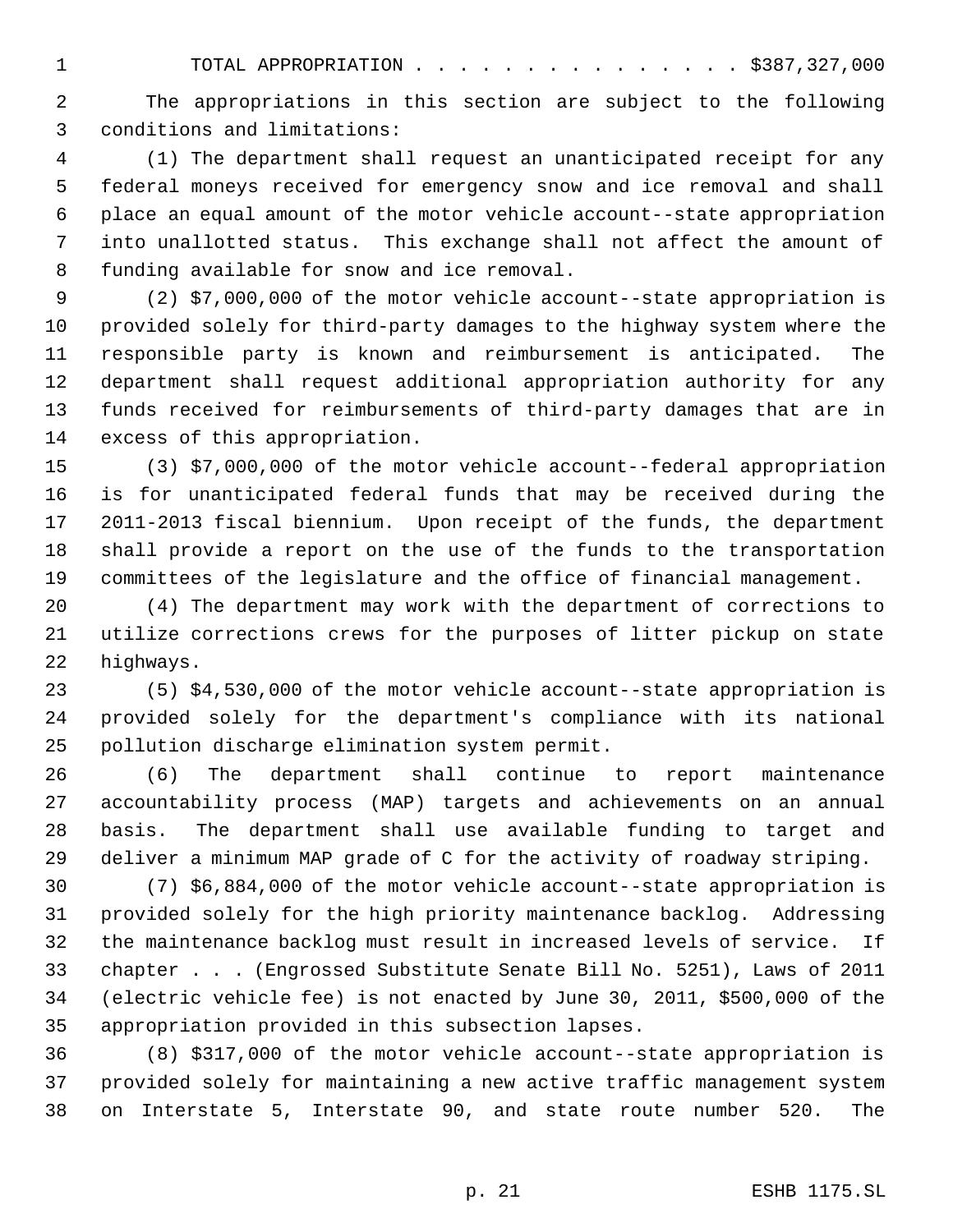TOTAL APPROPRIATION . . . . . . . . . . . . . . . \$387,327,000

 The appropriations in this section are subject to the following conditions and limitations:

 (1) The department shall request an unanticipated receipt for any federal moneys received for emergency snow and ice removal and shall place an equal amount of the motor vehicle account--state appropriation into unallotted status. This exchange shall not affect the amount of funding available for snow and ice removal.

 (2) \$7,000,000 of the motor vehicle account--state appropriation is provided solely for third-party damages to the highway system where the responsible party is known and reimbursement is anticipated. The department shall request additional appropriation authority for any funds received for reimbursements of third-party damages that are in excess of this appropriation.

 (3) \$7,000,000 of the motor vehicle account--federal appropriation is for unanticipated federal funds that may be received during the 2011-2013 fiscal biennium. Upon receipt of the funds, the department shall provide a report on the use of the funds to the transportation committees of the legislature and the office of financial management.

 (4) The department may work with the department of corrections to utilize corrections crews for the purposes of litter pickup on state highways.

 (5) \$4,530,000 of the motor vehicle account--state appropriation is provided solely for the department's compliance with its national pollution discharge elimination system permit.

 (6) The department shall continue to report maintenance accountability process (MAP) targets and achievements on an annual basis. The department shall use available funding to target and deliver a minimum MAP grade of C for the activity of roadway striping.

 (7) \$6,884,000 of the motor vehicle account--state appropriation is provided solely for the high priority maintenance backlog. Addressing the maintenance backlog must result in increased levels of service. If chapter . . . (Engrossed Substitute Senate Bill No. 5251), Laws of 2011 (electric vehicle fee) is not enacted by June 30, 2011, \$500,000 of the appropriation provided in this subsection lapses.

 (8) \$317,000 of the motor vehicle account--state appropriation is provided solely for maintaining a new active traffic management system on Interstate 5, Interstate 90, and state route number 520. The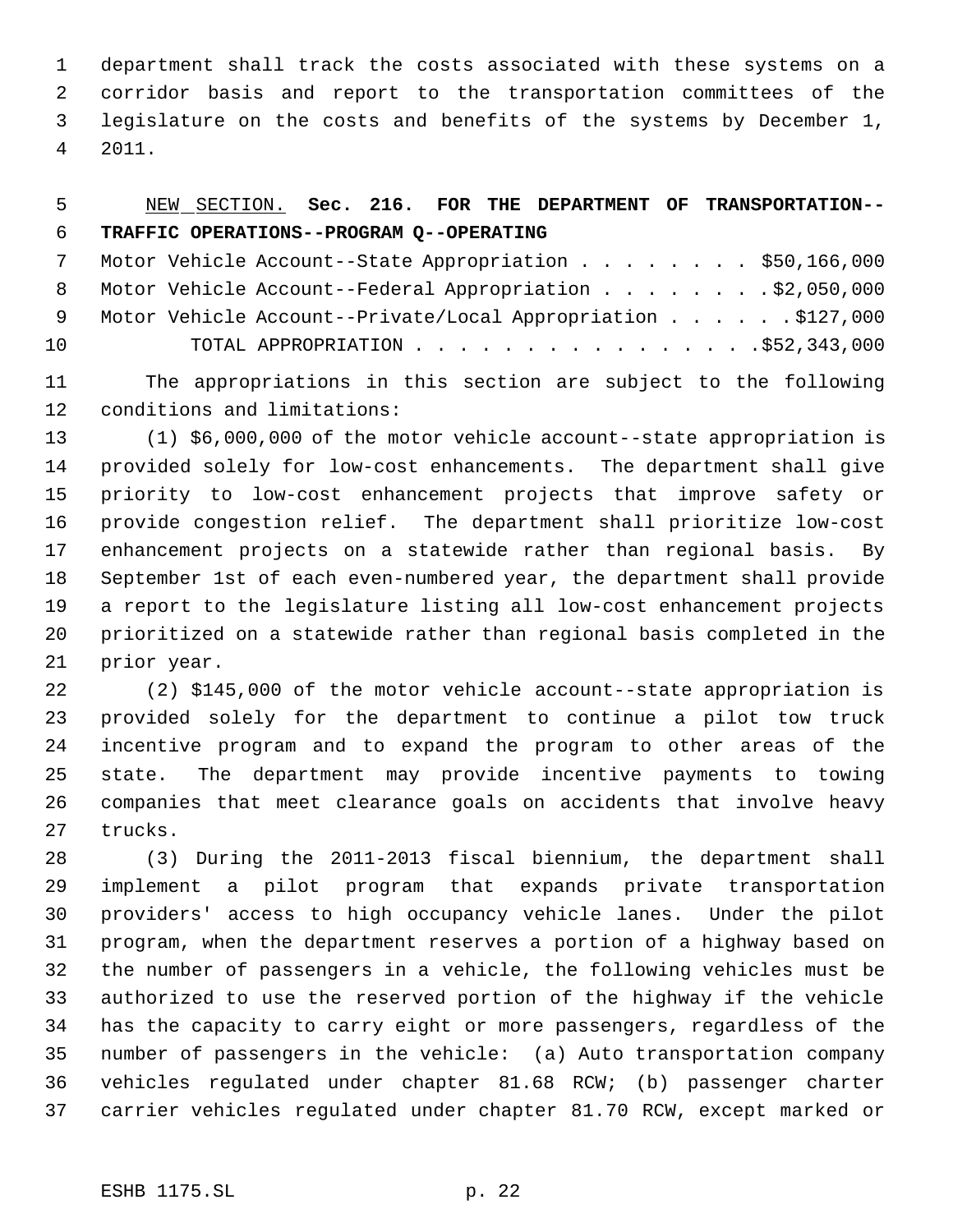department shall track the costs associated with these systems on a corridor basis and report to the transportation committees of the legislature on the costs and benefits of the systems by December 1, 2011.

## NEW SECTION. **Sec. 216. FOR THE DEPARTMENT OF TRANSPORTATION-- TRAFFIC OPERATIONS--PROGRAM Q--OPERATING** 7 Motor Vehicle Account--State Appropriation . . . . . . . \$50,166,000 8 Motor Vehicle Account--Federal Appropriation . . . . . . . \$2,050,000 9 Motor Vehicle Account--Private/Local Appropriation . . . . . \$127,000 TOTAL APPROPRIATION . . . . . . . . . . . . . . . .\$52,343,000

 The appropriations in this section are subject to the following conditions and limitations:

 (1) \$6,000,000 of the motor vehicle account--state appropriation is provided solely for low-cost enhancements. The department shall give priority to low-cost enhancement projects that improve safety or provide congestion relief. The department shall prioritize low-cost enhancement projects on a statewide rather than regional basis. By September 1st of each even-numbered year, the department shall provide a report to the legislature listing all low-cost enhancement projects prioritized on a statewide rather than regional basis completed in the prior year.

 (2) \$145,000 of the motor vehicle account--state appropriation is provided solely for the department to continue a pilot tow truck incentive program and to expand the program to other areas of the state. The department may provide incentive payments to towing companies that meet clearance goals on accidents that involve heavy trucks.

 (3) During the 2011-2013 fiscal biennium, the department shall implement a pilot program that expands private transportation providers' access to high occupancy vehicle lanes. Under the pilot program, when the department reserves a portion of a highway based on the number of passengers in a vehicle, the following vehicles must be authorized to use the reserved portion of the highway if the vehicle has the capacity to carry eight or more passengers, regardless of the number of passengers in the vehicle: (a) Auto transportation company vehicles regulated under chapter 81.68 RCW; (b) passenger charter carrier vehicles regulated under chapter 81.70 RCW, except marked or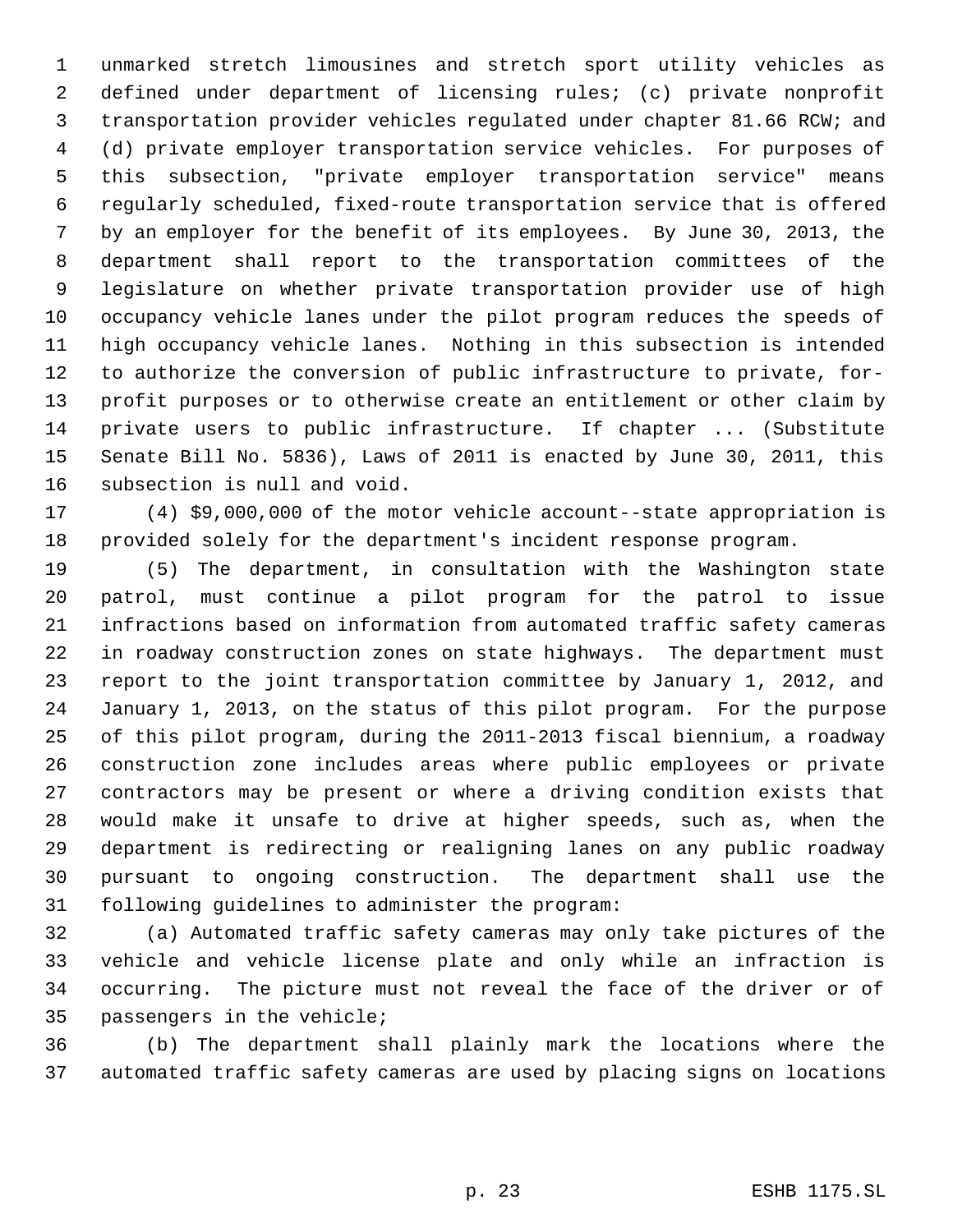unmarked stretch limousines and stretch sport utility vehicles as defined under department of licensing rules; (c) private nonprofit transportation provider vehicles regulated under chapter 81.66 RCW; and (d) private employer transportation service vehicles. For purposes of this subsection, "private employer transportation service" means regularly scheduled, fixed-route transportation service that is offered by an employer for the benefit of its employees. By June 30, 2013, the department shall report to the transportation committees of the legislature on whether private transportation provider use of high occupancy vehicle lanes under the pilot program reduces the speeds of high occupancy vehicle lanes. Nothing in this subsection is intended to authorize the conversion of public infrastructure to private, for- profit purposes or to otherwise create an entitlement or other claim by private users to public infrastructure. If chapter ... (Substitute Senate Bill No. 5836), Laws of 2011 is enacted by June 30, 2011, this subsection is null and void.

 (4) \$9,000,000 of the motor vehicle account--state appropriation is provided solely for the department's incident response program.

 (5) The department, in consultation with the Washington state patrol, must continue a pilot program for the patrol to issue infractions based on information from automated traffic safety cameras in roadway construction zones on state highways. The department must report to the joint transportation committee by January 1, 2012, and January 1, 2013, on the status of this pilot program. For the purpose of this pilot program, during the 2011-2013 fiscal biennium, a roadway construction zone includes areas where public employees or private contractors may be present or where a driving condition exists that would make it unsafe to drive at higher speeds, such as, when the department is redirecting or realigning lanes on any public roadway pursuant to ongoing construction. The department shall use the following guidelines to administer the program:

 (a) Automated traffic safety cameras may only take pictures of the vehicle and vehicle license plate and only while an infraction is occurring. The picture must not reveal the face of the driver or of passengers in the vehicle;

 (b) The department shall plainly mark the locations where the automated traffic safety cameras are used by placing signs on locations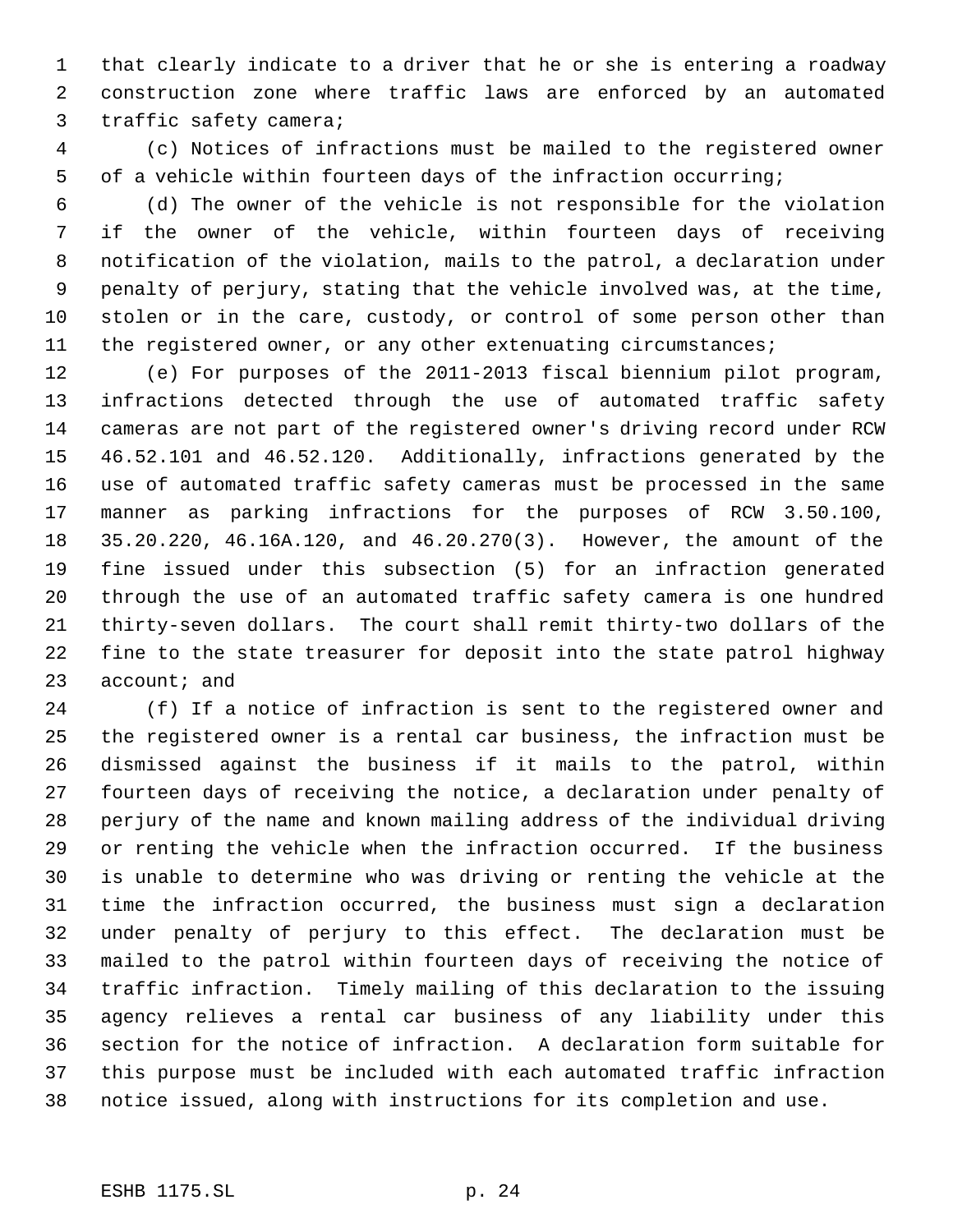that clearly indicate to a driver that he or she is entering a roadway construction zone where traffic laws are enforced by an automated traffic safety camera;

 (c) Notices of infractions must be mailed to the registered owner of a vehicle within fourteen days of the infraction occurring;

 (d) The owner of the vehicle is not responsible for the violation if the owner of the vehicle, within fourteen days of receiving notification of the violation, mails to the patrol, a declaration under penalty of perjury, stating that the vehicle involved was, at the time, stolen or in the care, custody, or control of some person other than the registered owner, or any other extenuating circumstances;

 (e) For purposes of the 2011-2013 fiscal biennium pilot program, infractions detected through the use of automated traffic safety cameras are not part of the registered owner's driving record under RCW 46.52.101 and 46.52.120. Additionally, infractions generated by the use of automated traffic safety cameras must be processed in the same manner as parking infractions for the purposes of RCW 3.50.100, 35.20.220, 46.16A.120, and 46.20.270(3). However, the amount of the fine issued under this subsection (5) for an infraction generated through the use of an automated traffic safety camera is one hundred thirty-seven dollars. The court shall remit thirty-two dollars of the fine to the state treasurer for deposit into the state patrol highway 23 account; and

 (f) If a notice of infraction is sent to the registered owner and the registered owner is a rental car business, the infraction must be dismissed against the business if it mails to the patrol, within fourteen days of receiving the notice, a declaration under penalty of perjury of the name and known mailing address of the individual driving or renting the vehicle when the infraction occurred. If the business is unable to determine who was driving or renting the vehicle at the time the infraction occurred, the business must sign a declaration under penalty of perjury to this effect. The declaration must be mailed to the patrol within fourteen days of receiving the notice of traffic infraction. Timely mailing of this declaration to the issuing agency relieves a rental car business of any liability under this section for the notice of infraction. A declaration form suitable for this purpose must be included with each automated traffic infraction notice issued, along with instructions for its completion and use.

### ESHB 1175.SL p. 24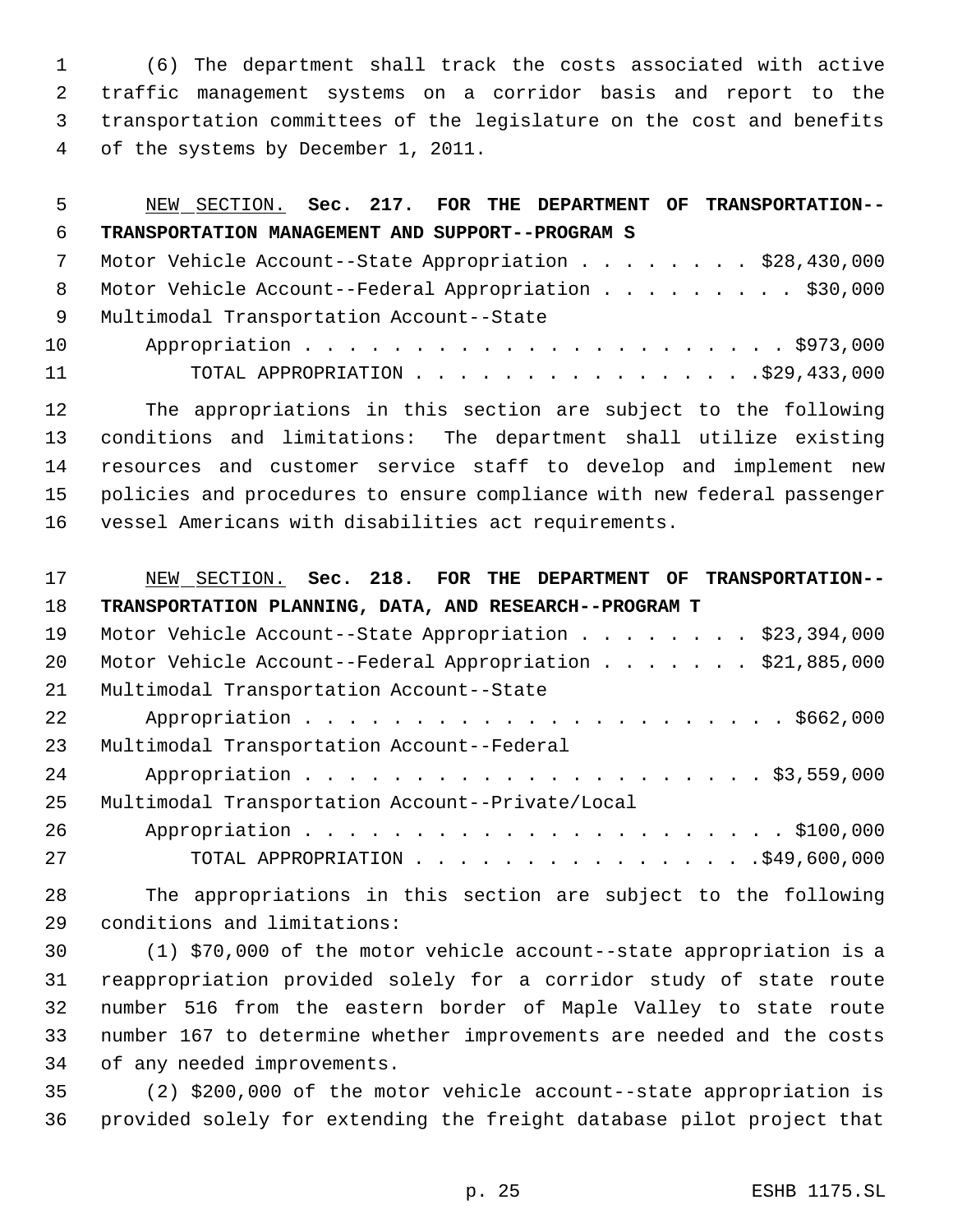(6) The department shall track the costs associated with active traffic management systems on a corridor basis and report to the transportation committees of the legislature on the cost and benefits of the systems by December 1, 2011.

| 5  | SECTION. Sec. 217. FOR THE DEPARTMENT OF TRANSPORTATION--<br>NEW              |
|----|-------------------------------------------------------------------------------|
| 6  | TRANSPORTATION MANAGEMENT AND SUPPORT--PROGRAM S                              |
| 7  | Motor Vehicle Account--State Appropriation \$28,430,000                       |
| 8  | Motor Vehicle Account--Federal Appropriation \$30,000                         |
| 9  | Multimodal Transportation Account--State                                      |
| 10 |                                                                               |
| 11 |                                                                               |
| 12 | The appropriations in this section are subject to the following               |
| 13 | conditions and limitations: The department shall utilize existing             |
| 14 | resources and customer service staff to develop and implement new             |
| 15 | policies and procedures to ensure compliance with new federal passenger       |
| 16 | vessel Americans with disabilities act requirements.                          |
|    |                                                                               |
| 17 | SECTION. Sec. 218. FOR<br>NEW<br>THE DEPARTMENT OF<br><b>TRANSPORTATION--</b> |

| 18 | TRANSPORTATION PLANNING, DATA, AND RESEARCH--PROGRAM T    |
|----|-----------------------------------------------------------|
| 19 | Motor Vehicle Account--State Appropriation \$23,394,000   |
| 20 | Motor Vehicle Account--Federal Appropriation \$21,885,000 |
| 21 | Multimodal Transportation Account--State                  |
| 22 |                                                           |
| 23 | Multimodal Transportation Account--Federal                |
| 24 |                                                           |
| 25 | Multimodal Transportation Account--Private/Local          |
| 26 |                                                           |
| 27 | TOTAL APPROPRIATION \$49,600,000                          |

 The appropriations in this section are subject to the following conditions and limitations:

 (1) \$70,000 of the motor vehicle account--state appropriation is a reappropriation provided solely for a corridor study of state route number 516 from the eastern border of Maple Valley to state route number 167 to determine whether improvements are needed and the costs of any needed improvements.

 (2) \$200,000 of the motor vehicle account--state appropriation is provided solely for extending the freight database pilot project that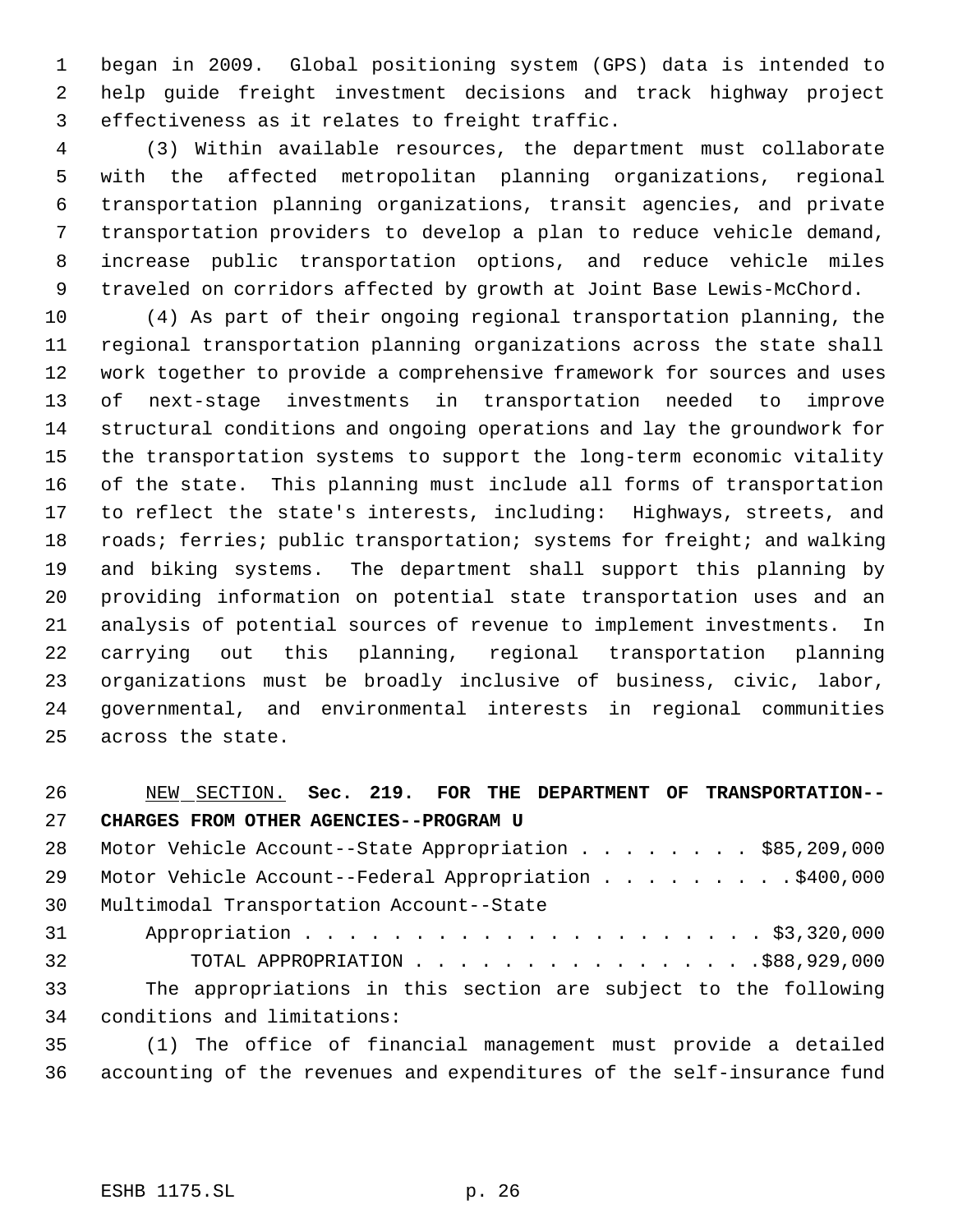began in 2009. Global positioning system (GPS) data is intended to help guide freight investment decisions and track highway project effectiveness as it relates to freight traffic.

 (3) Within available resources, the department must collaborate with the affected metropolitan planning organizations, regional transportation planning organizations, transit agencies, and private transportation providers to develop a plan to reduce vehicle demand, increase public transportation options, and reduce vehicle miles traveled on corridors affected by growth at Joint Base Lewis-McChord.

 (4) As part of their ongoing regional transportation planning, the regional transportation planning organizations across the state shall work together to provide a comprehensive framework for sources and uses of next-stage investments in transportation needed to improve structural conditions and ongoing operations and lay the groundwork for the transportation systems to support the long-term economic vitality of the state. This planning must include all forms of transportation to reflect the state's interests, including: Highways, streets, and 18 roads; ferries; public transportation; systems for freight; and walking and biking systems. The department shall support this planning by providing information on potential state transportation uses and an analysis of potential sources of revenue to implement investments. In carrying out this planning, regional transportation planning organizations must be broadly inclusive of business, civic, labor, governmental, and environmental interests in regional communities across the state.

 NEW SECTION. **Sec. 219. FOR THE DEPARTMENT OF TRANSPORTATION-- CHARGES FROM OTHER AGENCIES--PROGRAM U** 28 Motor Vehicle Account--State Appropriation . . . . . . . \$85,209,000 29 Motor Vehicle Account--Federal Appropriation . . . . . . . . . \$400,000 Multimodal Transportation Account--State Appropriation . . . . . . . . . . . . . . . . . . . . . \$3,320,000 TOTAL APPROPRIATION . . . . . . . . . . . . . . . .\$88,929,000 The appropriations in this section are subject to the following conditions and limitations: (1) The office of financial management must provide a detailed

accounting of the revenues and expenditures of the self-insurance fund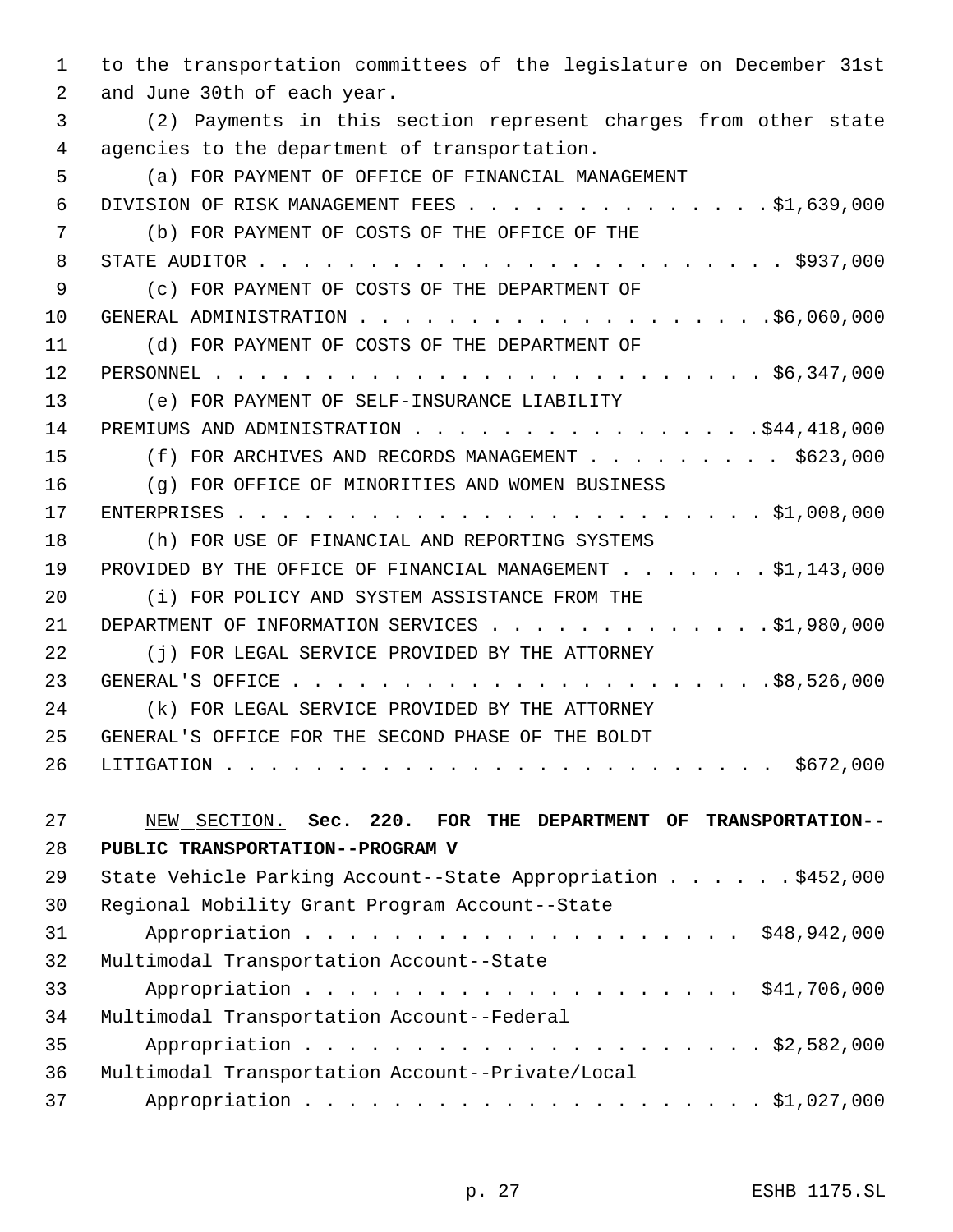to the transportation committees of the legislature on December 31st and June 30th of each year. (2) Payments in this section represent charges from other state agencies to the department of transportation. (a) FOR PAYMENT OF OFFICE OF FINANCIAL MANAGEMENT DIVISION OF RISK MANAGEMENT FEES . . . . . . . . . . . . . . \$1,639,000 (b) FOR PAYMENT OF COSTS OF THE OFFICE OF THE STATE AUDITOR . . . . . . . . . . . . . . . . . . . . . . . . \$937,000 (c) FOR PAYMENT OF COSTS OF THE DEPARTMENT OF GENERAL ADMINISTRATION . . . . . . . . . . . . . . . . . . .\$6,060,000 (d) FOR PAYMENT OF COSTS OF THE DEPARTMENT OF PERSONNEL . . . . . . . . . . . . . . . . . . . . . . . . . \$6,347,000 (e) FOR PAYMENT OF SELF-INSURANCE LIABILITY 14 PREMIUMS AND ADMINISTRATION . . . . . . . . . . . . . . . . \$44,418,000 15 (f) FOR ARCHIVES AND RECORDS MANAGEMENT . . . . . . . . \$623,000 (g) FOR OFFICE OF MINORITIES AND WOMEN BUSINESS ENTERPRISES . . . . . . . . . . . . . . . . . . . . . . . . \$1,008,000 (h) FOR USE OF FINANCIAL AND REPORTING SYSTEMS 19 PROVIDED BY THE OFFICE OF FINANCIAL MANAGEMENT . . . . . . \$1,143,000 (i) FOR POLICY AND SYSTEM ASSISTANCE FROM THE 21 DEPARTMENT OF INFORMATION SERVICES . . . . . . . . . . . . . \$1,980,000 (j) FOR LEGAL SERVICE PROVIDED BY THE ATTORNEY GENERAL'S OFFICE . . . . . . . . . . . . . . . . . . . . . .\$8,526,000 (k) FOR LEGAL SERVICE PROVIDED BY THE ATTORNEY GENERAL'S OFFICE FOR THE SECOND PHASE OF THE BOLDT LITIGATION . . . . . . . . . . . . . . . . . . . . . . . . . \$672,000 NEW SECTION. **Sec. 220. FOR THE DEPARTMENT OF TRANSPORTATION-- PUBLIC TRANSPORTATION--PROGRAM V** 29 State Vehicle Parking Account--State Appropriation . . . . . \$452,000 Regional Mobility Grant Program Account--State Appropriation . . . . . . . . . . . . . . . . . . . . \$48,942,000 Multimodal Transportation Account--State Appropriation . . . . . . . . . . . . . . . . . . . . \$41,706,000 Multimodal Transportation Account--Federal Appropriation . . . . . . . . . . . . . . . . . . . . . \$2,582,000 Multimodal Transportation Account--Private/Local Appropriation . . . . . . . . . . . . . . . . . . . . . \$1,027,000

p. 27 ESHB 1175.SL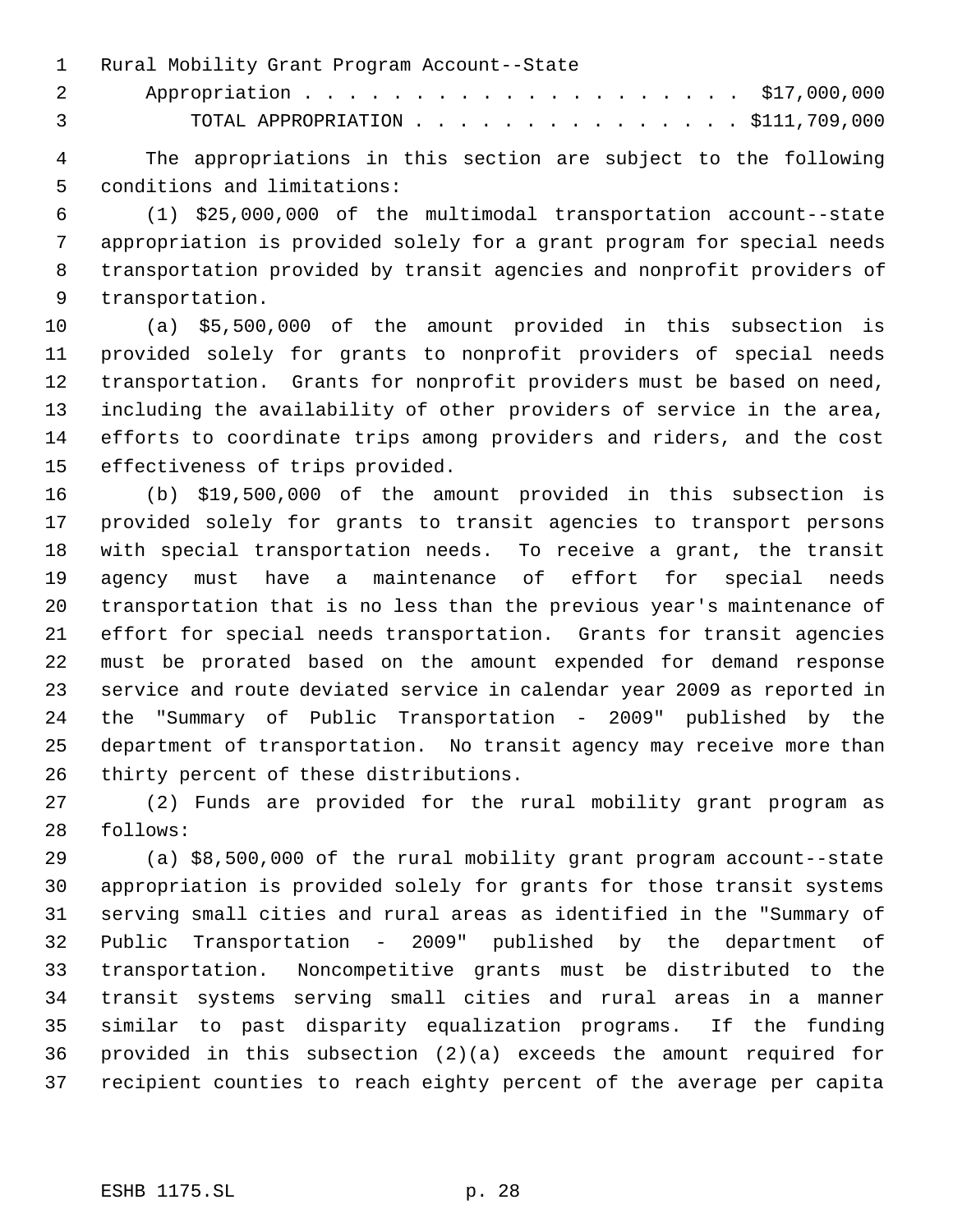Rural Mobility Grant Program Account--State

 Appropriation . . . . . . . . . . . . . . . . . . . . \$17,000,000 TOTAL APPROPRIATION . . . . . . . . . . . . . . . \$111,709,000

 The appropriations in this section are subject to the following conditions and limitations:

 (1) \$25,000,000 of the multimodal transportation account--state appropriation is provided solely for a grant program for special needs transportation provided by transit agencies and nonprofit providers of transportation.

 (a) \$5,500,000 of the amount provided in this subsection is provided solely for grants to nonprofit providers of special needs transportation. Grants for nonprofit providers must be based on need, including the availability of other providers of service in the area, efforts to coordinate trips among providers and riders, and the cost effectiveness of trips provided.

 (b) \$19,500,000 of the amount provided in this subsection is provided solely for grants to transit agencies to transport persons with special transportation needs. To receive a grant, the transit agency must have a maintenance of effort for special needs transportation that is no less than the previous year's maintenance of effort for special needs transportation. Grants for transit agencies must be prorated based on the amount expended for demand response service and route deviated service in calendar year 2009 as reported in the "Summary of Public Transportation - 2009" published by the department of transportation. No transit agency may receive more than thirty percent of these distributions.

 (2) Funds are provided for the rural mobility grant program as follows:

 (a) \$8,500,000 of the rural mobility grant program account--state appropriation is provided solely for grants for those transit systems serving small cities and rural areas as identified in the "Summary of Public Transportation - 2009" published by the department of transportation. Noncompetitive grants must be distributed to the transit systems serving small cities and rural areas in a manner similar to past disparity equalization programs. If the funding provided in this subsection (2)(a) exceeds the amount required for recipient counties to reach eighty percent of the average per capita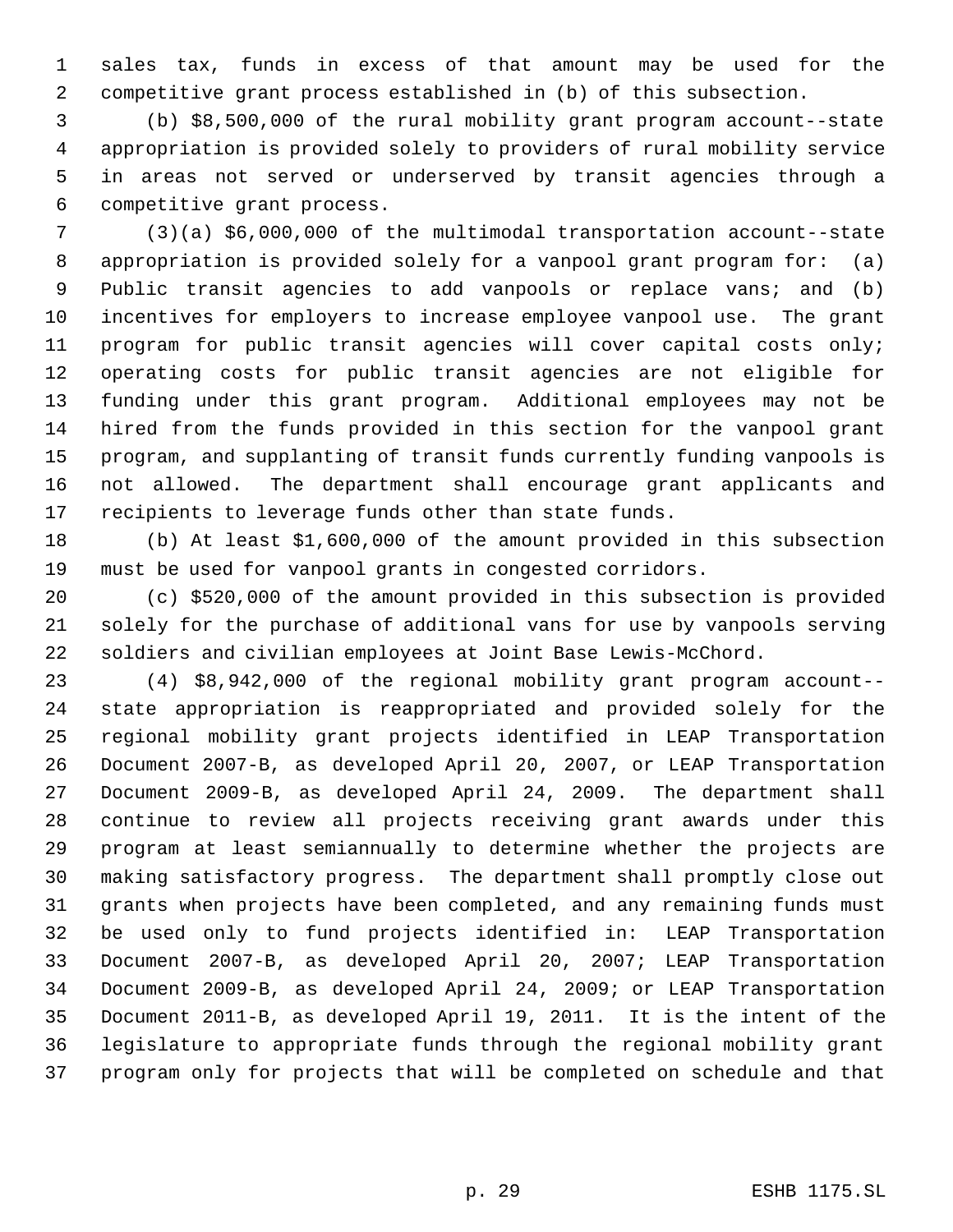sales tax, funds in excess of that amount may be used for the competitive grant process established in (b) of this subsection.

 (b) \$8,500,000 of the rural mobility grant program account--state appropriation is provided solely to providers of rural mobility service in areas not served or underserved by transit agencies through a competitive grant process.

 (3)(a) \$6,000,000 of the multimodal transportation account--state appropriation is provided solely for a vanpool grant program for: (a) Public transit agencies to add vanpools or replace vans; and (b) incentives for employers to increase employee vanpool use. The grant program for public transit agencies will cover capital costs only; operating costs for public transit agencies are not eligible for funding under this grant program. Additional employees may not be hired from the funds provided in this section for the vanpool grant program, and supplanting of transit funds currently funding vanpools is not allowed. The department shall encourage grant applicants and recipients to leverage funds other than state funds.

 (b) At least \$1,600,000 of the amount provided in this subsection must be used for vanpool grants in congested corridors.

 (c) \$520,000 of the amount provided in this subsection is provided solely for the purchase of additional vans for use by vanpools serving soldiers and civilian employees at Joint Base Lewis-McChord.

 (4) \$8,942,000 of the regional mobility grant program account-- state appropriation is reappropriated and provided solely for the regional mobility grant projects identified in LEAP Transportation Document 2007-B, as developed April 20, 2007, or LEAP Transportation Document 2009-B, as developed April 24, 2009. The department shall continue to review all projects receiving grant awards under this program at least semiannually to determine whether the projects are making satisfactory progress. The department shall promptly close out grants when projects have been completed, and any remaining funds must be used only to fund projects identified in: LEAP Transportation Document 2007-B, as developed April 20, 2007; LEAP Transportation Document 2009-B, as developed April 24, 2009; or LEAP Transportation Document 2011-B, as developed April 19, 2011. It is the intent of the legislature to appropriate funds through the regional mobility grant program only for projects that will be completed on schedule and that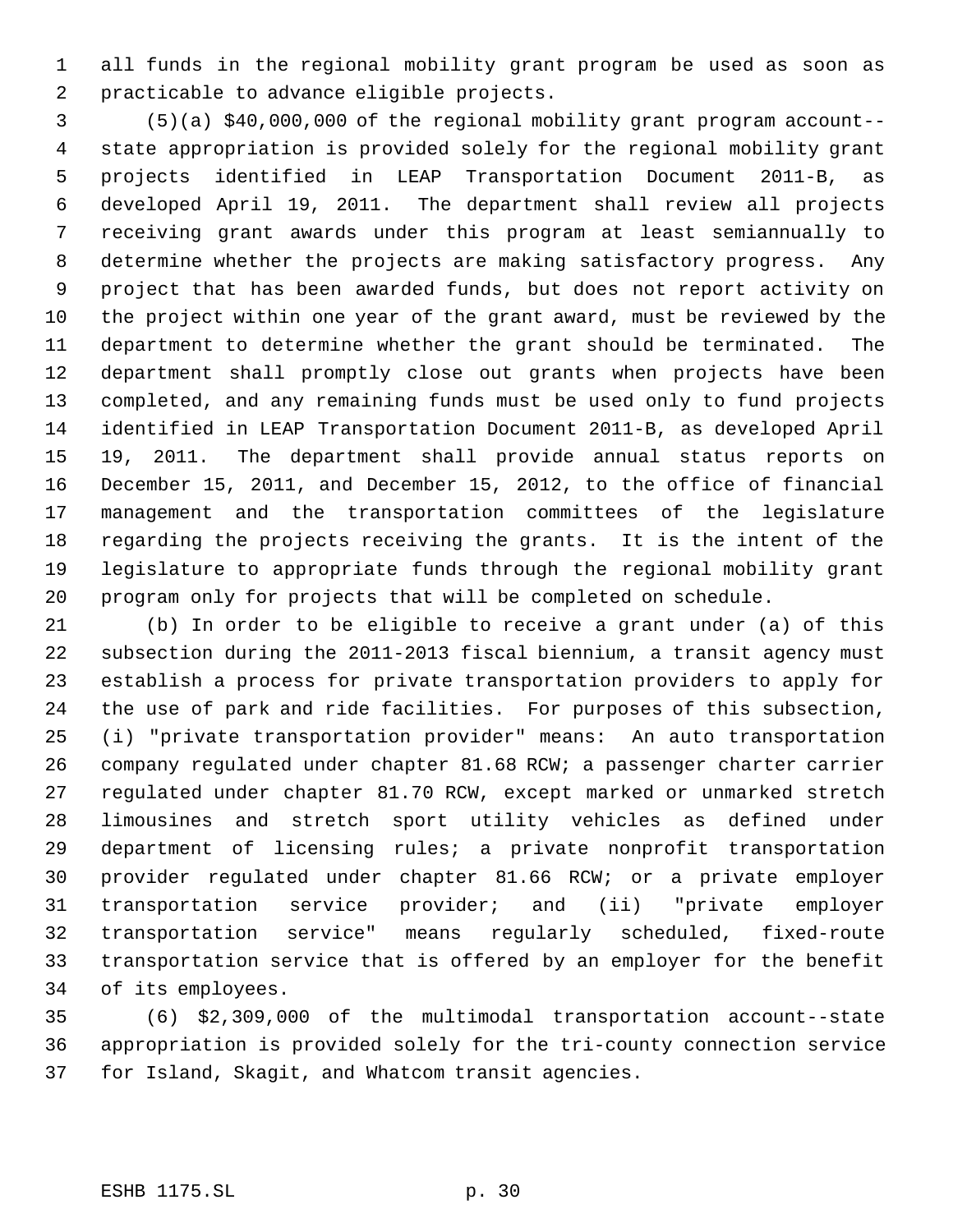all funds in the regional mobility grant program be used as soon as practicable to advance eligible projects.

 (5)(a) \$40,000,000 of the regional mobility grant program account-- state appropriation is provided solely for the regional mobility grant projects identified in LEAP Transportation Document 2011-B, as developed April 19, 2011. The department shall review all projects receiving grant awards under this program at least semiannually to determine whether the projects are making satisfactory progress. Any project that has been awarded funds, but does not report activity on the project within one year of the grant award, must be reviewed by the department to determine whether the grant should be terminated. The department shall promptly close out grants when projects have been completed, and any remaining funds must be used only to fund projects identified in LEAP Transportation Document 2011-B, as developed April 19, 2011. The department shall provide annual status reports on December 15, 2011, and December 15, 2012, to the office of financial management and the transportation committees of the legislature regarding the projects receiving the grants. It is the intent of the legislature to appropriate funds through the regional mobility grant program only for projects that will be completed on schedule.

 (b) In order to be eligible to receive a grant under (a) of this subsection during the 2011-2013 fiscal biennium, a transit agency must establish a process for private transportation providers to apply for the use of park and ride facilities. For purposes of this subsection, (i) "private transportation provider" means: An auto transportation company regulated under chapter 81.68 RCW; a passenger charter carrier regulated under chapter 81.70 RCW, except marked or unmarked stretch limousines and stretch sport utility vehicles as defined under department of licensing rules; a private nonprofit transportation provider regulated under chapter 81.66 RCW; or a private employer transportation service provider; and (ii) "private employer transportation service" means regularly scheduled, fixed-route transportation service that is offered by an employer for the benefit of its employees.

 (6) \$2,309,000 of the multimodal transportation account--state appropriation is provided solely for the tri-county connection service for Island, Skagit, and Whatcom transit agencies.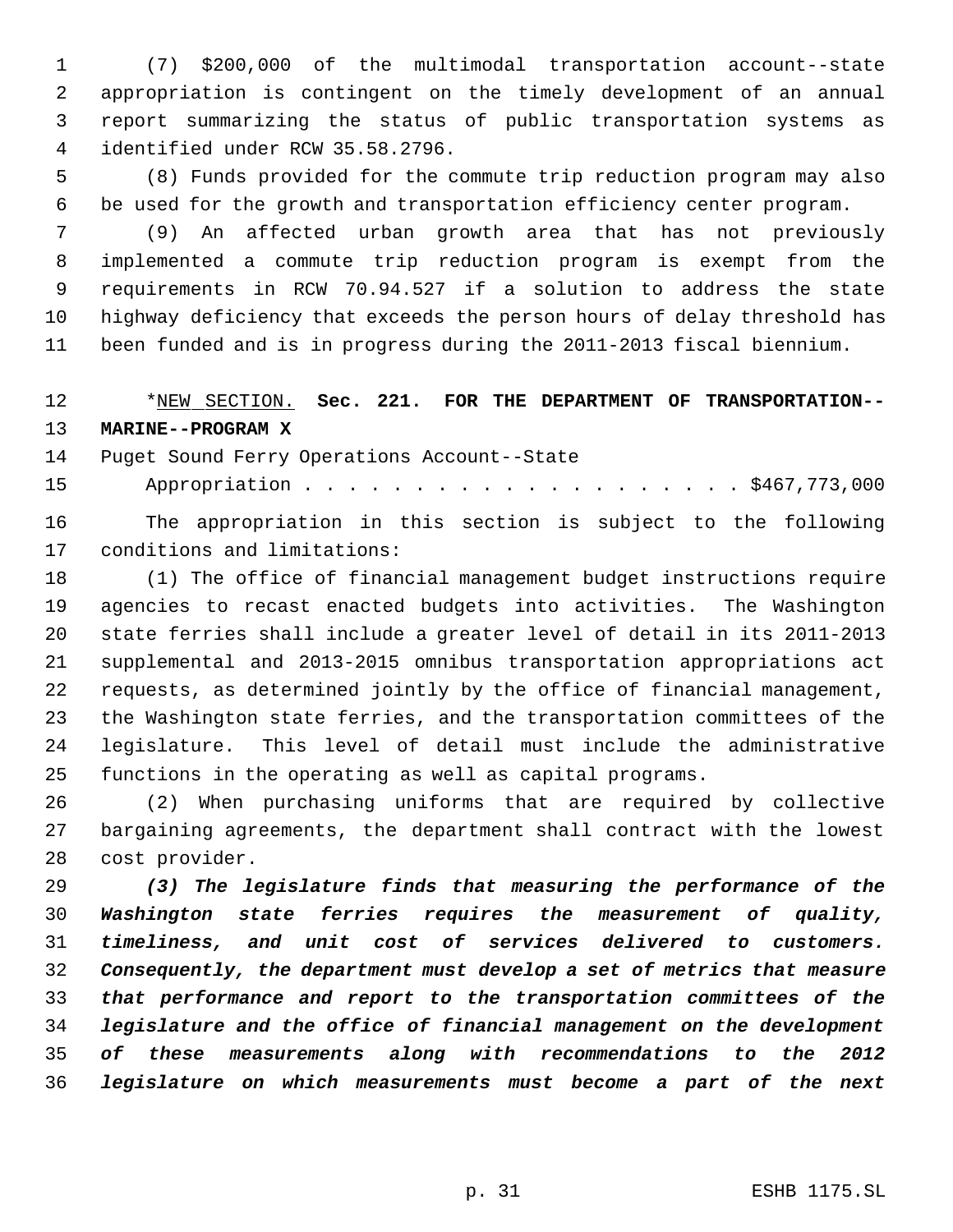(7) \$200,000 of the multimodal transportation account--state appropriation is contingent on the timely development of an annual report summarizing the status of public transportation systems as identified under RCW 35.58.2796.

 (8) Funds provided for the commute trip reduction program may also be used for the growth and transportation efficiency center program.

 (9) An affected urban growth area that has not previously implemented a commute trip reduction program is exempt from the requirements in RCW 70.94.527 if a solution to address the state highway deficiency that exceeds the person hours of delay threshold has been funded and is in progress during the 2011-2013 fiscal biennium.

 \*NEW SECTION. **Sec. 221. FOR THE DEPARTMENT OF TRANSPORTATION-- MARINE--PROGRAM X**

Puget Sound Ferry Operations Account--State

15 Appropriation . . . . . . . . . . . . . . . . . . \$467,773,000

 The appropriation in this section is subject to the following conditions and limitations:

 (1) The office of financial management budget instructions require agencies to recast enacted budgets into activities. The Washington state ferries shall include a greater level of detail in its 2011-2013 supplemental and 2013-2015 omnibus transportation appropriations act requests, as determined jointly by the office of financial management, the Washington state ferries, and the transportation committees of the legislature. This level of detail must include the administrative functions in the operating as well as capital programs.

 (2) When purchasing uniforms that are required by collective bargaining agreements, the department shall contract with the lowest cost provider.

 *(3) The legislature finds that measuring the performance of the Washington state ferries requires the measurement of quality, timeliness, and unit cost of services delivered to customers. Consequently, the department must develop a set of metrics that measure that performance and report to the transportation committees of the legislature and the office of financial management on the development of these measurements along with recommendations to the 2012 legislature on which measurements must become a part of the next*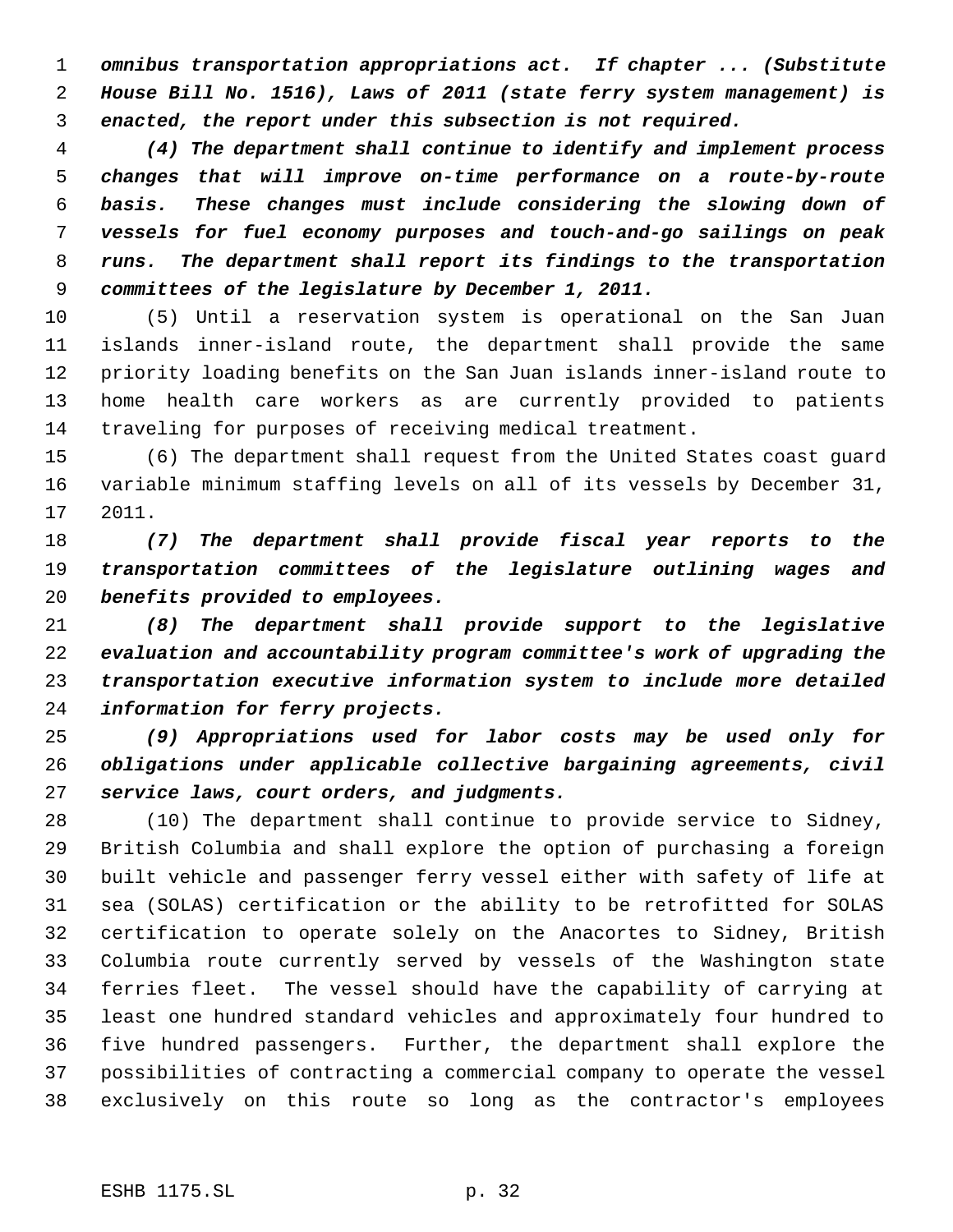*omnibus transportation appropriations act. If chapter ... (Substitute House Bill No. 1516), Laws of 2011 (state ferry system management) is enacted, the report under this subsection is not required.*

 *(4) The department shall continue to identify and implement process changes that will improve on-time performance on a route-by-route basis. These changes must include considering the slowing down of vessels for fuel economy purposes and touch-and-go sailings on peak runs. The department shall report its findings to the transportation committees of the legislature by December 1, 2011.*

 (5) Until a reservation system is operational on the San Juan islands inner-island route, the department shall provide the same priority loading benefits on the San Juan islands inner-island route to home health care workers as are currently provided to patients traveling for purposes of receiving medical treatment.

 (6) The department shall request from the United States coast guard variable minimum staffing levels on all of its vessels by December 31, 2011.

 *(7) The department shall provide fiscal year reports to the transportation committees of the legislature outlining wages and benefits provided to employees.*

 *(8) The department shall provide support to the legislative evaluation and accountability program committee's work of upgrading the transportation executive information system to include more detailed information for ferry projects.*

 *(9) Appropriations used for labor costs may be used only for obligations under applicable collective bargaining agreements, civil service laws, court orders, and judgments.*

 (10) The department shall continue to provide service to Sidney, British Columbia and shall explore the option of purchasing a foreign built vehicle and passenger ferry vessel either with safety of life at sea (SOLAS) certification or the ability to be retrofitted for SOLAS certification to operate solely on the Anacortes to Sidney, British Columbia route currently served by vessels of the Washington state ferries fleet. The vessel should have the capability of carrying at least one hundred standard vehicles and approximately four hundred to five hundred passengers. Further, the department shall explore the possibilities of contracting a commercial company to operate the vessel exclusively on this route so long as the contractor's employees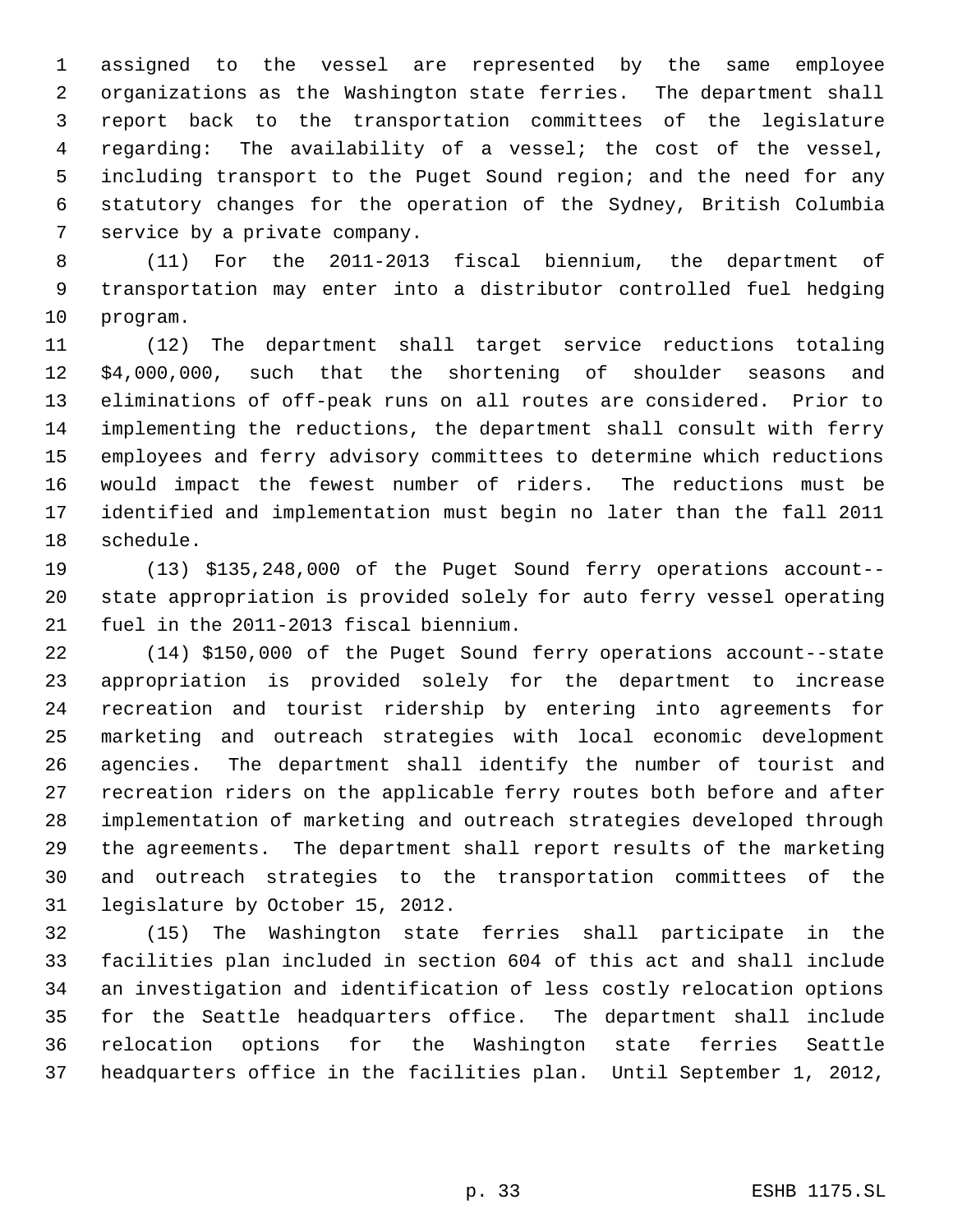assigned to the vessel are represented by the same employee organizations as the Washington state ferries. The department shall report back to the transportation committees of the legislature regarding: The availability of a vessel; the cost of the vessel, including transport to the Puget Sound region; and the need for any statutory changes for the operation of the Sydney, British Columbia service by a private company.

 (11) For the 2011-2013 fiscal biennium, the department of transportation may enter into a distributor controlled fuel hedging program.

 (12) The department shall target service reductions totaling \$4,000,000, such that the shortening of shoulder seasons and eliminations of off-peak runs on all routes are considered. Prior to implementing the reductions, the department shall consult with ferry employees and ferry advisory committees to determine which reductions would impact the fewest number of riders. The reductions must be identified and implementation must begin no later than the fall 2011 schedule.

 (13) \$135,248,000 of the Puget Sound ferry operations account-- state appropriation is provided solely for auto ferry vessel operating fuel in the 2011-2013 fiscal biennium.

 (14) \$150,000 of the Puget Sound ferry operations account--state appropriation is provided solely for the department to increase recreation and tourist ridership by entering into agreements for marketing and outreach strategies with local economic development agencies. The department shall identify the number of tourist and recreation riders on the applicable ferry routes both before and after implementation of marketing and outreach strategies developed through the agreements. The department shall report results of the marketing and outreach strategies to the transportation committees of the legislature by October 15, 2012.

 (15) The Washington state ferries shall participate in the facilities plan included in section 604 of this act and shall include an investigation and identification of less costly relocation options for the Seattle headquarters office. The department shall include relocation options for the Washington state ferries Seattle headquarters office in the facilities plan. Until September 1, 2012,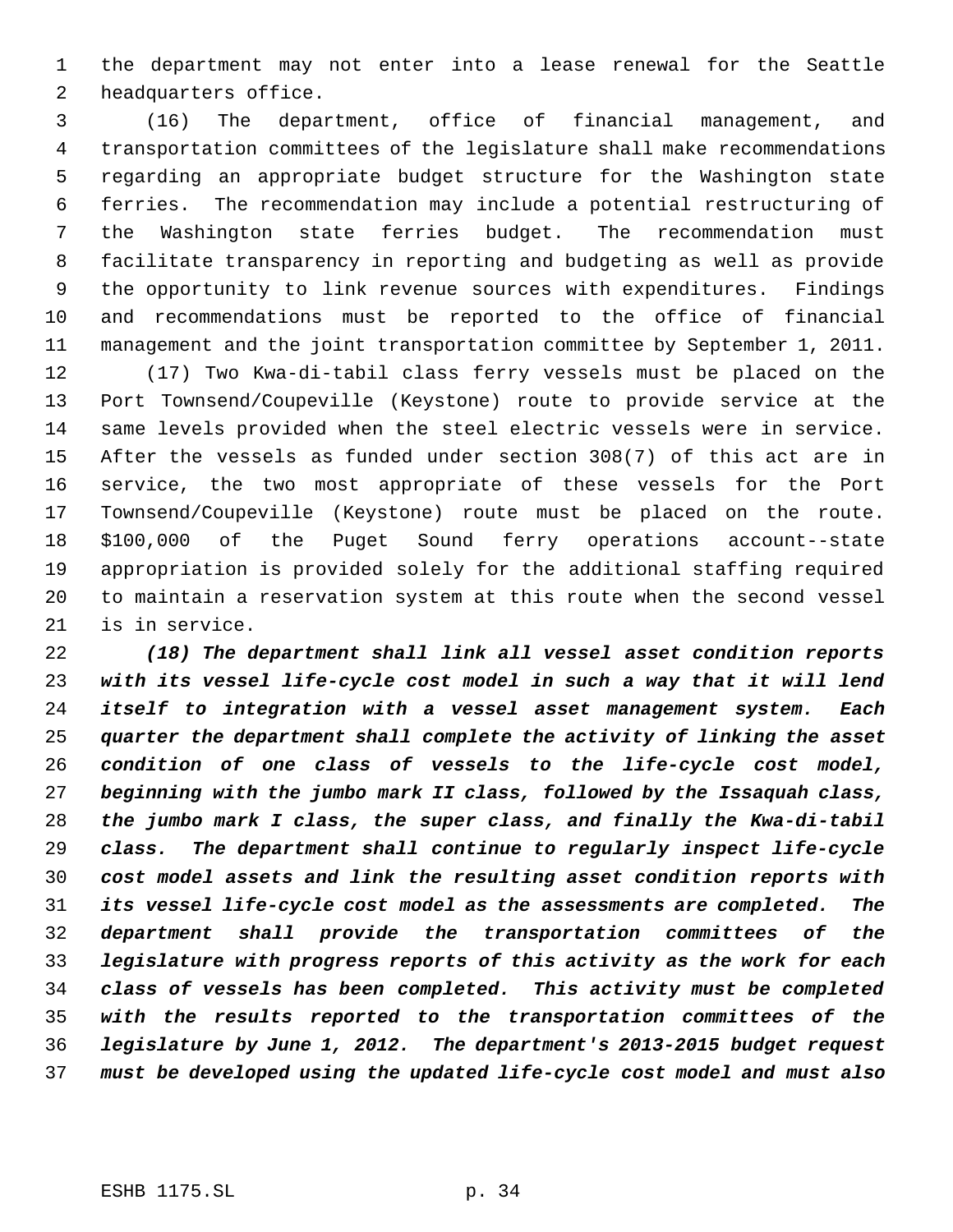the department may not enter into a lease renewal for the Seattle headquarters office.

 (16) The department, office of financial management, and transportation committees of the legislature shall make recommendations regarding an appropriate budget structure for the Washington state ferries. The recommendation may include a potential restructuring of the Washington state ferries budget. The recommendation must facilitate transparency in reporting and budgeting as well as provide the opportunity to link revenue sources with expenditures. Findings and recommendations must be reported to the office of financial management and the joint transportation committee by September 1, 2011.

 (17) Two Kwa-di-tabil class ferry vessels must be placed on the Port Townsend/Coupeville (Keystone) route to provide service at the same levels provided when the steel electric vessels were in service. After the vessels as funded under section 308(7) of this act are in service, the two most appropriate of these vessels for the Port Townsend/Coupeville (Keystone) route must be placed on the route. \$100,000 of the Puget Sound ferry operations account--state appropriation is provided solely for the additional staffing required to maintain a reservation system at this route when the second vessel is in service.

 *(18) The department shall link all vessel asset condition reports with its vessel life-cycle cost model in such a way that it will lend itself to integration with a vessel asset management system. Each quarter the department shall complete the activity of linking the asset condition of one class of vessels to the life-cycle cost model, beginning with the jumbo mark II class, followed by the Issaquah class, the jumbo mark I class, the super class, and finally the Kwa-di-tabil class. The department shall continue to regularly inspect life-cycle cost model assets and link the resulting asset condition reports with its vessel life-cycle cost model as the assessments are completed. The department shall provide the transportation committees of the legislature with progress reports of this activity as the work for each class of vessels has been completed. This activity must be completed with the results reported to the transportation committees of the legislature by June 1, 2012. The department's 2013-2015 budget request must be developed using the updated life-cycle cost model and must also*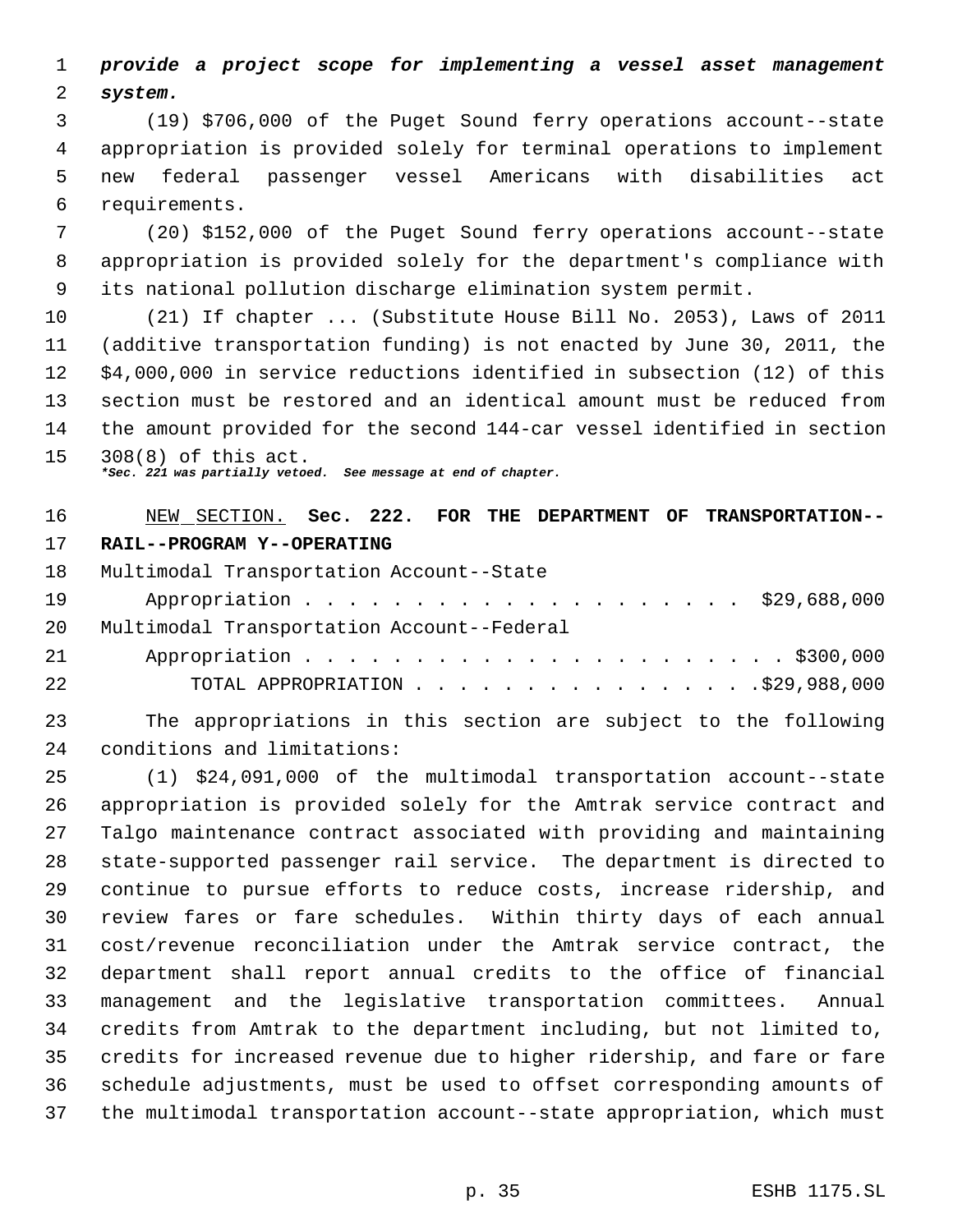*provide a project scope for implementing a vessel asset management system.*

 (19) \$706,000 of the Puget Sound ferry operations account--state appropriation is provided solely for terminal operations to implement new federal passenger vessel Americans with disabilities act requirements.

 (20) \$152,000 of the Puget Sound ferry operations account--state appropriation is provided solely for the department's compliance with its national pollution discharge elimination system permit.

 (21) If chapter ... (Substitute House Bill No. 2053), Laws of 2011 (additive transportation funding) is not enacted by June 30, 2011, the \$4,000,000 in service reductions identified in subsection (12) of this section must be restored and an identical amount must be reduced from the amount provided for the second 144-car vessel identified in section 308(8) of this act.

*\*Sec. 221 was partially vetoed. See message at end of chapter.*

## NEW SECTION. **Sec. 222. FOR THE DEPARTMENT OF TRANSPORTATION-- RAIL--PROGRAM Y--OPERATING**

|    | 18 Multimodal Transportation Account--State   |
|----|-----------------------------------------------|
| 19 | Appropriation \$29,688,000                    |
|    | 20 Multimodal Transportation Account--Federal |
| 21 |                                               |
| 22 | TOTAL APPROPRIATION $\ldots$ , 929, 988, 000  |

 The appropriations in this section are subject to the following conditions and limitations:

 (1) \$24,091,000 of the multimodal transportation account--state appropriation is provided solely for the Amtrak service contract and Talgo maintenance contract associated with providing and maintaining state-supported passenger rail service. The department is directed to continue to pursue efforts to reduce costs, increase ridership, and review fares or fare schedules. Within thirty days of each annual cost/revenue reconciliation under the Amtrak service contract, the department shall report annual credits to the office of financial management and the legislative transportation committees. Annual credits from Amtrak to the department including, but not limited to, credits for increased revenue due to higher ridership, and fare or fare schedule adjustments, must be used to offset corresponding amounts of the multimodal transportation account--state appropriation, which must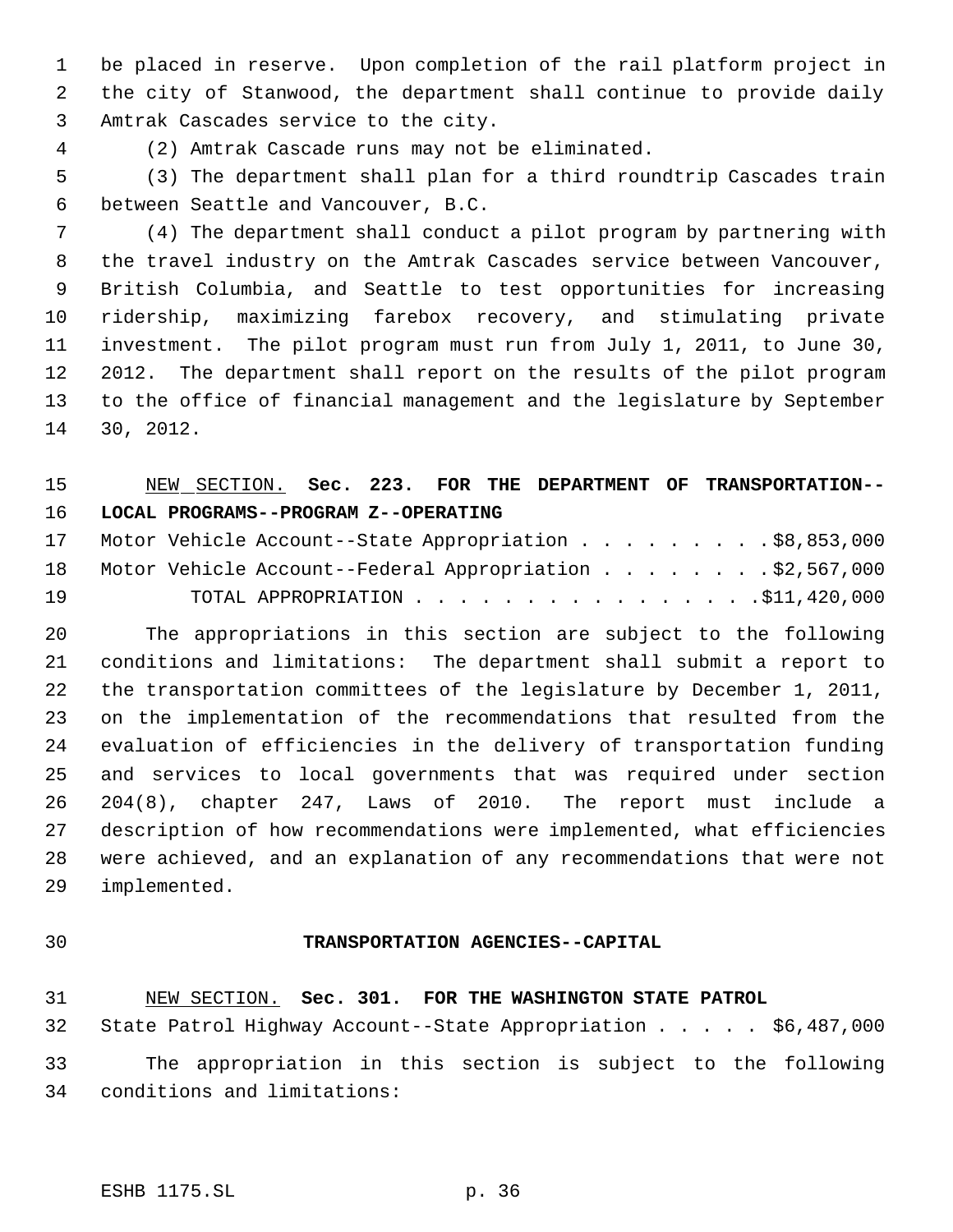be placed in reserve. Upon completion of the rail platform project in the city of Stanwood, the department shall continue to provide daily Amtrak Cascades service to the city.

(2) Amtrak Cascade runs may not be eliminated.

 (3) The department shall plan for a third roundtrip Cascades train between Seattle and Vancouver, B.C.

 (4) The department shall conduct a pilot program by partnering with the travel industry on the Amtrak Cascades service between Vancouver, British Columbia, and Seattle to test opportunities for increasing ridership, maximizing farebox recovery, and stimulating private investment. The pilot program must run from July 1, 2011, to June 30, 2012. The department shall report on the results of the pilot program to the office of financial management and the legislature by September 30, 2012.

### NEW SECTION. **Sec. 223. FOR THE DEPARTMENT OF TRANSPORTATION-- LOCAL PROGRAMS--PROGRAM Z--OPERATING**

|    | 17 Motor Vehicle Account--State Appropriation \$8,853,000   |  |  |  |  |
|----|-------------------------------------------------------------|--|--|--|--|
|    | 18 Motor Vehicle Account--Federal Appropriation \$2,567,000 |  |  |  |  |
| 19 |                                                             |  |  |  |  |

 The appropriations in this section are subject to the following conditions and limitations: The department shall submit a report to the transportation committees of the legislature by December 1, 2011, on the implementation of the recommendations that resulted from the evaluation of efficiencies in the delivery of transportation funding and services to local governments that was required under section 204(8), chapter 247, Laws of 2010. The report must include a description of how recommendations were implemented, what efficiencies were achieved, and an explanation of any recommendations that were not implemented.

#### **TRANSPORTATION AGENCIES--CAPITAL**

NEW SECTION. **Sec. 301. FOR THE WASHINGTON STATE PATROL**

 State Patrol Highway Account--State Appropriation . . . . . \$6,487,000 The appropriation in this section is subject to the following conditions and limitations: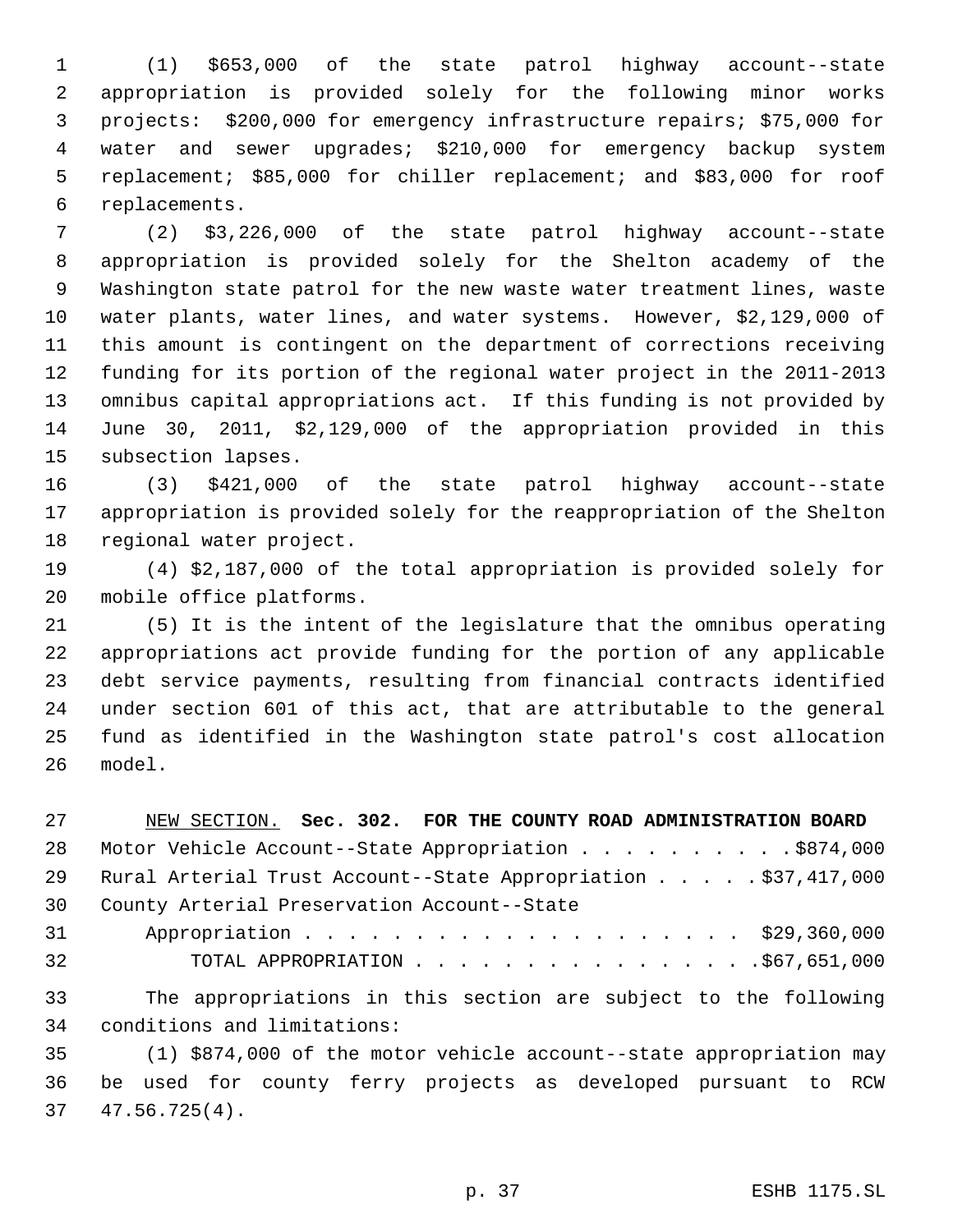(1) \$653,000 of the state patrol highway account--state appropriation is provided solely for the following minor works projects: \$200,000 for emergency infrastructure repairs; \$75,000 for water and sewer upgrades; \$210,000 for emergency backup system replacement; \$85,000 for chiller replacement; and \$83,000 for roof replacements.

 (2) \$3,226,000 of the state patrol highway account--state appropriation is provided solely for the Shelton academy of the Washington state patrol for the new waste water treatment lines, waste water plants, water lines, and water systems. However, \$2,129,000 of this amount is contingent on the department of corrections receiving funding for its portion of the regional water project in the 2011-2013 omnibus capital appropriations act. If this funding is not provided by June 30, 2011, \$2,129,000 of the appropriation provided in this subsection lapses.

 (3) \$421,000 of the state patrol highway account--state appropriation is provided solely for the reappropriation of the Shelton regional water project.

 (4) \$2,187,000 of the total appropriation is provided solely for mobile office platforms.

 (5) It is the intent of the legislature that the omnibus operating appropriations act provide funding for the portion of any applicable debt service payments, resulting from financial contracts identified under section 601 of this act, that are attributable to the general fund as identified in the Washington state patrol's cost allocation model.

| 27 | NEW SECTION. Sec. 302. FOR THE COUNTY ROAD ADMINISTRATION BOARD     |
|----|---------------------------------------------------------------------|
| 28 | Motor Vehicle Account--State Appropriation \$874,000                |
| 29 | Rural Arterial Trust Account--State Appropriation \$37,417,000      |
| 30 | County Arterial Preservation Account--State                         |
| 31 | Appropriation \$29,360,000                                          |
| 32 | TOTAL APPROPRIATION $\ldots$ , 567,651,000                          |
| 33 | The appropriations in this section are subject to the following     |
| 34 | conditions and limitations:                                         |
| 35 | (1) \$874,000 of the motor vehicle account--state appropriation may |
| 36 | be used for county ferry projects as developed pursuant to RCW      |

47.56.725(4).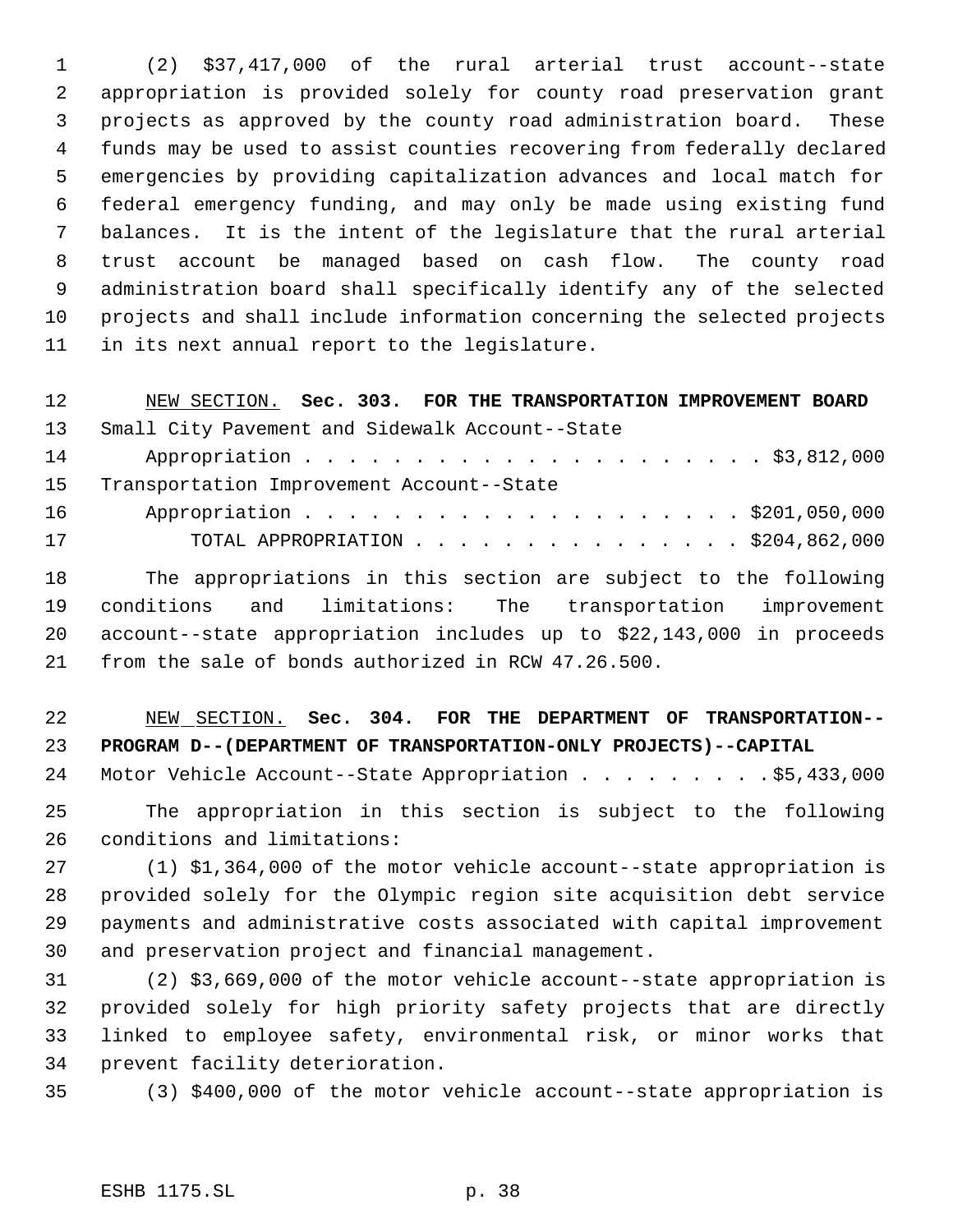(2) \$37,417,000 of the rural arterial trust account--state appropriation is provided solely for county road preservation grant projects as approved by the county road administration board. These funds may be used to assist counties recovering from federally declared emergencies by providing capitalization advances and local match for federal emergency funding, and may only be made using existing fund balances. It is the intent of the legislature that the rural arterial trust account be managed based on cash flow. The county road administration board shall specifically identify any of the selected projects and shall include information concerning the selected projects in its next annual report to the legislature.

 NEW SECTION. **Sec. 303. FOR THE TRANSPORTATION IMPROVEMENT BOARD** Small City Pavement and Sidewalk Account--State 14 Appropriation . . . . . . . . . . . . . . . . . . \$3,812,000 Transportation Improvement Account--State 16 Appropriation . . . . . . . . . . . . . . . . . . \$201,050,000 TOTAL APPROPRIATION . . . . . . . . . . . . . . . \$204,862,000 The appropriations in this section are subject to the following conditions and limitations: The transportation improvement

 account--state appropriation includes up to \$22,143,000 in proceeds from the sale of bonds authorized in RCW 47.26.500.

 NEW SECTION. **Sec. 304. FOR THE DEPARTMENT OF TRANSPORTATION-- PROGRAM D--(DEPARTMENT OF TRANSPORTATION-ONLY PROJECTS)--CAPITAL** 24 Motor Vehicle Account--State Appropriation . . . . . . . . \$5,433,000

The appropriation in this section is subject to the following

conditions and limitations:

 (1) \$1,364,000 of the motor vehicle account--state appropriation is provided solely for the Olympic region site acquisition debt service payments and administrative costs associated with capital improvement and preservation project and financial management.

 (2) \$3,669,000 of the motor vehicle account--state appropriation is provided solely for high priority safety projects that are directly linked to employee safety, environmental risk, or minor works that prevent facility deterioration.

(3) \$400,000 of the motor vehicle account--state appropriation is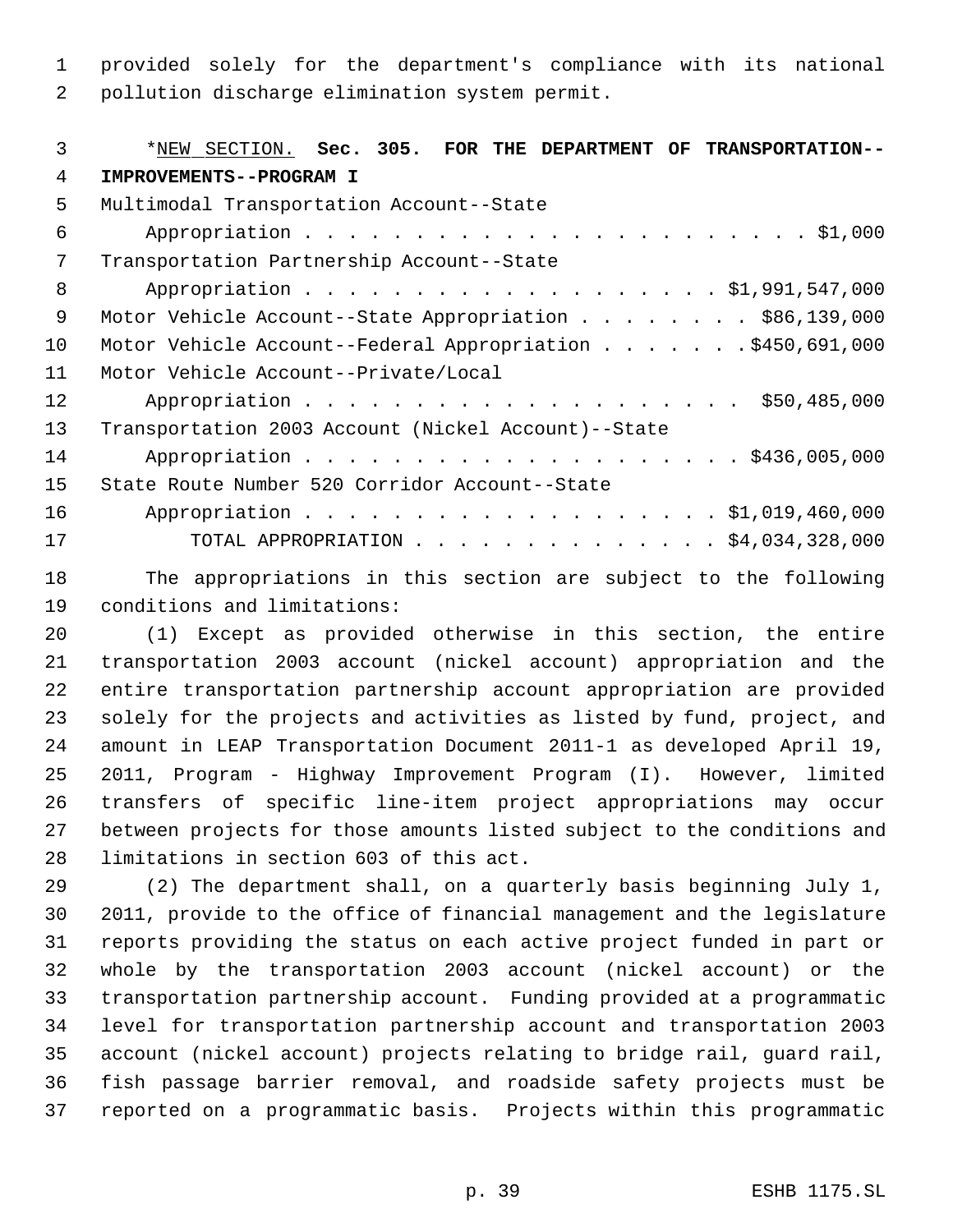provided solely for the department's compliance with its national

pollution discharge elimination system permit.

| 3  | *NEW SECTION. Sec. 305. FOR THE DEPARTMENT OF TRANSPORTATION-- |
|----|----------------------------------------------------------------|
| 4  | IMPROVEMENTS--PROGRAM I                                        |
| 5  | Multimodal Transportation Account--State                       |
| 6  |                                                                |
| 7  | Transportation Partnership Account--State                      |
| 8  |                                                                |
| 9  | Motor Vehicle Account--State Appropriation \$86,139,000        |
| 10 | Motor Vehicle Account--Federal Appropriation \$450,691,000     |
| 11 | Motor Vehicle Account--Private/Local                           |
| 12 |                                                                |
| 13 | Transportation 2003 Account (Nickel Account)--State            |
| 14 |                                                                |
| 15 | State Route Number 520 Corridor Account--State                 |
| 16 |                                                                |
| 17 | TOTAL APPROPRIATION \$4,034,328,000                            |
|    |                                                                |

 The appropriations in this section are subject to the following conditions and limitations:

 (1) Except as provided otherwise in this section, the entire transportation 2003 account (nickel account) appropriation and the entire transportation partnership account appropriation are provided solely for the projects and activities as listed by fund, project, and amount in LEAP Transportation Document 2011-1 as developed April 19, 2011, Program - Highway Improvement Program (I). However, limited transfers of specific line-item project appropriations may occur between projects for those amounts listed subject to the conditions and limitations in section 603 of this act.

 (2) The department shall, on a quarterly basis beginning July 1, 2011, provide to the office of financial management and the legislature reports providing the status on each active project funded in part or whole by the transportation 2003 account (nickel account) or the transportation partnership account. Funding provided at a programmatic level for transportation partnership account and transportation 2003 account (nickel account) projects relating to bridge rail, guard rail, fish passage barrier removal, and roadside safety projects must be reported on a programmatic basis. Projects within this programmatic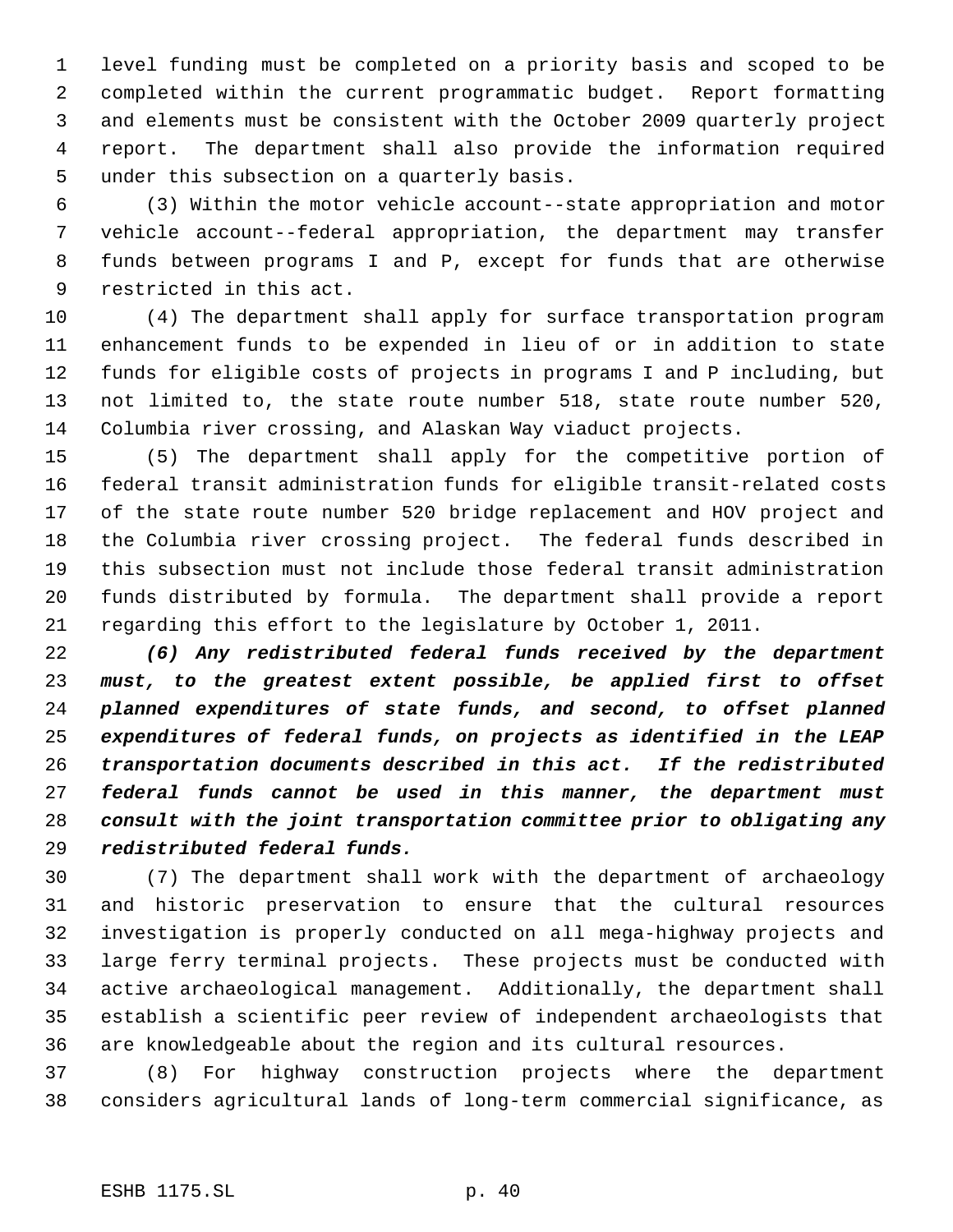level funding must be completed on a priority basis and scoped to be completed within the current programmatic budget. Report formatting and elements must be consistent with the October 2009 quarterly project report. The department shall also provide the information required under this subsection on a quarterly basis.

 (3) Within the motor vehicle account--state appropriation and motor vehicle account--federal appropriation, the department may transfer funds between programs I and P, except for funds that are otherwise restricted in this act.

 (4) The department shall apply for surface transportation program enhancement funds to be expended in lieu of or in addition to state funds for eligible costs of projects in programs I and P including, but not limited to, the state route number 518, state route number 520, Columbia river crossing, and Alaskan Way viaduct projects.

 (5) The department shall apply for the competitive portion of federal transit administration funds for eligible transit-related costs of the state route number 520 bridge replacement and HOV project and the Columbia river crossing project. The federal funds described in this subsection must not include those federal transit administration funds distributed by formula. The department shall provide a report regarding this effort to the legislature by October 1, 2011.

 *(6) Any redistributed federal funds received by the department must, to the greatest extent possible, be applied first to offset planned expenditures of state funds, and second, to offset planned expenditures of federal funds, on projects as identified in the LEAP transportation documents described in this act. If the redistributed federal funds cannot be used in this manner, the department must consult with the joint transportation committee prior to obligating any redistributed federal funds.*

 (7) The department shall work with the department of archaeology and historic preservation to ensure that the cultural resources investigation is properly conducted on all mega-highway projects and large ferry terminal projects. These projects must be conducted with active archaeological management. Additionally, the department shall establish a scientific peer review of independent archaeologists that are knowledgeable about the region and its cultural resources.

 (8) For highway construction projects where the department considers agricultural lands of long-term commercial significance, as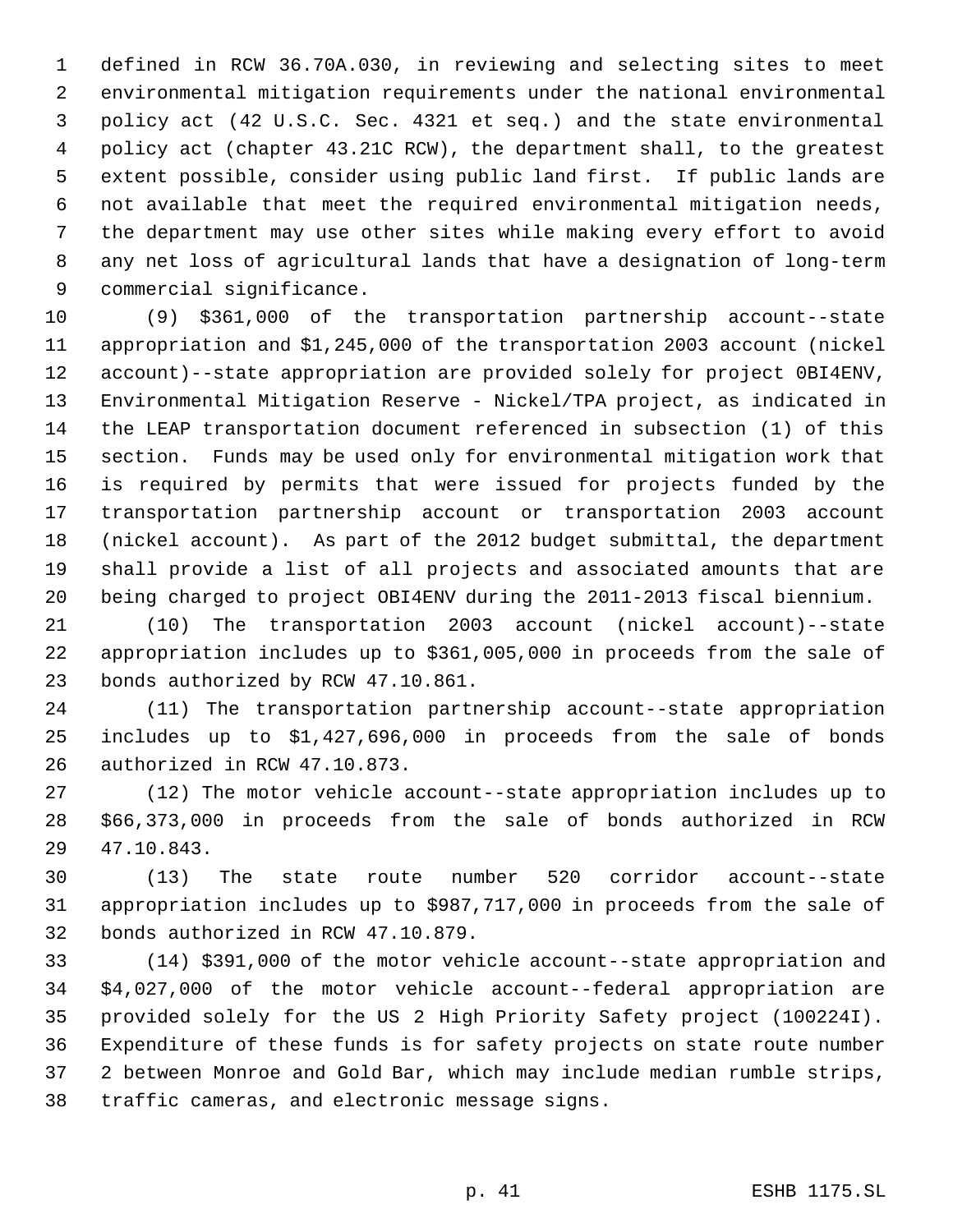defined in RCW 36.70A.030, in reviewing and selecting sites to meet environmental mitigation requirements under the national environmental policy act (42 U.S.C. Sec. 4321 et seq.) and the state environmental policy act (chapter 43.21C RCW), the department shall, to the greatest extent possible, consider using public land first. If public lands are not available that meet the required environmental mitigation needs, the department may use other sites while making every effort to avoid any net loss of agricultural lands that have a designation of long-term commercial significance.

 (9) \$361,000 of the transportation partnership account--state appropriation and \$1,245,000 of the transportation 2003 account (nickel account)--state appropriation are provided solely for project 0BI4ENV, Environmental Mitigation Reserve - Nickel/TPA project, as indicated in the LEAP transportation document referenced in subsection (1) of this section. Funds may be used only for environmental mitigation work that is required by permits that were issued for projects funded by the transportation partnership account or transportation 2003 account (nickel account). As part of the 2012 budget submittal, the department shall provide a list of all projects and associated amounts that are being charged to project OBI4ENV during the 2011-2013 fiscal biennium.

 (10) The transportation 2003 account (nickel account)--state appropriation includes up to \$361,005,000 in proceeds from the sale of bonds authorized by RCW 47.10.861.

 (11) The transportation partnership account--state appropriation includes up to \$1,427,696,000 in proceeds from the sale of bonds authorized in RCW 47.10.873.

 (12) The motor vehicle account--state appropriation includes up to \$66,373,000 in proceeds from the sale of bonds authorized in RCW 47.10.843.

 (13) The state route number 520 corridor account--state appropriation includes up to \$987,717,000 in proceeds from the sale of bonds authorized in RCW 47.10.879.

 (14) \$391,000 of the motor vehicle account--state appropriation and \$4,027,000 of the motor vehicle account--federal appropriation are provided solely for the US 2 High Priority Safety project (100224I). Expenditure of these funds is for safety projects on state route number 2 between Monroe and Gold Bar, which may include median rumble strips, traffic cameras, and electronic message signs.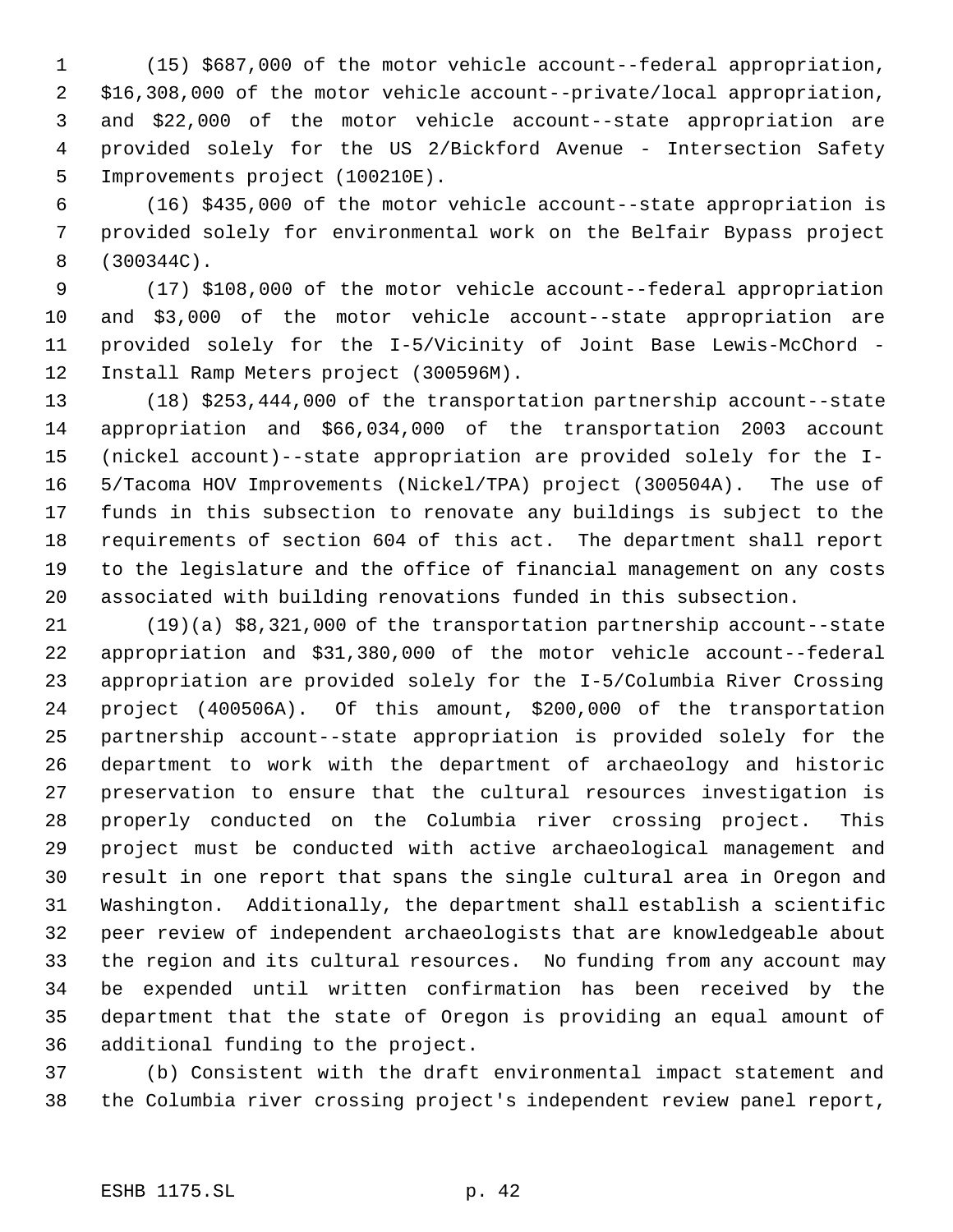(15) \$687,000 of the motor vehicle account--federal appropriation, \$16,308,000 of the motor vehicle account--private/local appropriation, and \$22,000 of the motor vehicle account--state appropriation are provided solely for the US 2/Bickford Avenue - Intersection Safety Improvements project (100210E).

 (16) \$435,000 of the motor vehicle account--state appropriation is provided solely for environmental work on the Belfair Bypass project (300344C).

 (17) \$108,000 of the motor vehicle account--federal appropriation and \$3,000 of the motor vehicle account--state appropriation are provided solely for the I-5/Vicinity of Joint Base Lewis-McChord - Install Ramp Meters project (300596M).

 (18) \$253,444,000 of the transportation partnership account--state appropriation and \$66,034,000 of the transportation 2003 account (nickel account)--state appropriation are provided solely for the I- 5/Tacoma HOV Improvements (Nickel/TPA) project (300504A). The use of funds in this subsection to renovate any buildings is subject to the requirements of section 604 of this act. The department shall report to the legislature and the office of financial management on any costs associated with building renovations funded in this subsection.

 (19)(a) \$8,321,000 of the transportation partnership account--state appropriation and \$31,380,000 of the motor vehicle account--federal appropriation are provided solely for the I-5/Columbia River Crossing project (400506A). Of this amount, \$200,000 of the transportation partnership account--state appropriation is provided solely for the department to work with the department of archaeology and historic preservation to ensure that the cultural resources investigation is properly conducted on the Columbia river crossing project. This project must be conducted with active archaeological management and result in one report that spans the single cultural area in Oregon and Washington. Additionally, the department shall establish a scientific peer review of independent archaeologists that are knowledgeable about the region and its cultural resources. No funding from any account may be expended until written confirmation has been received by the department that the state of Oregon is providing an equal amount of additional funding to the project.

 (b) Consistent with the draft environmental impact statement and the Columbia river crossing project's independent review panel report,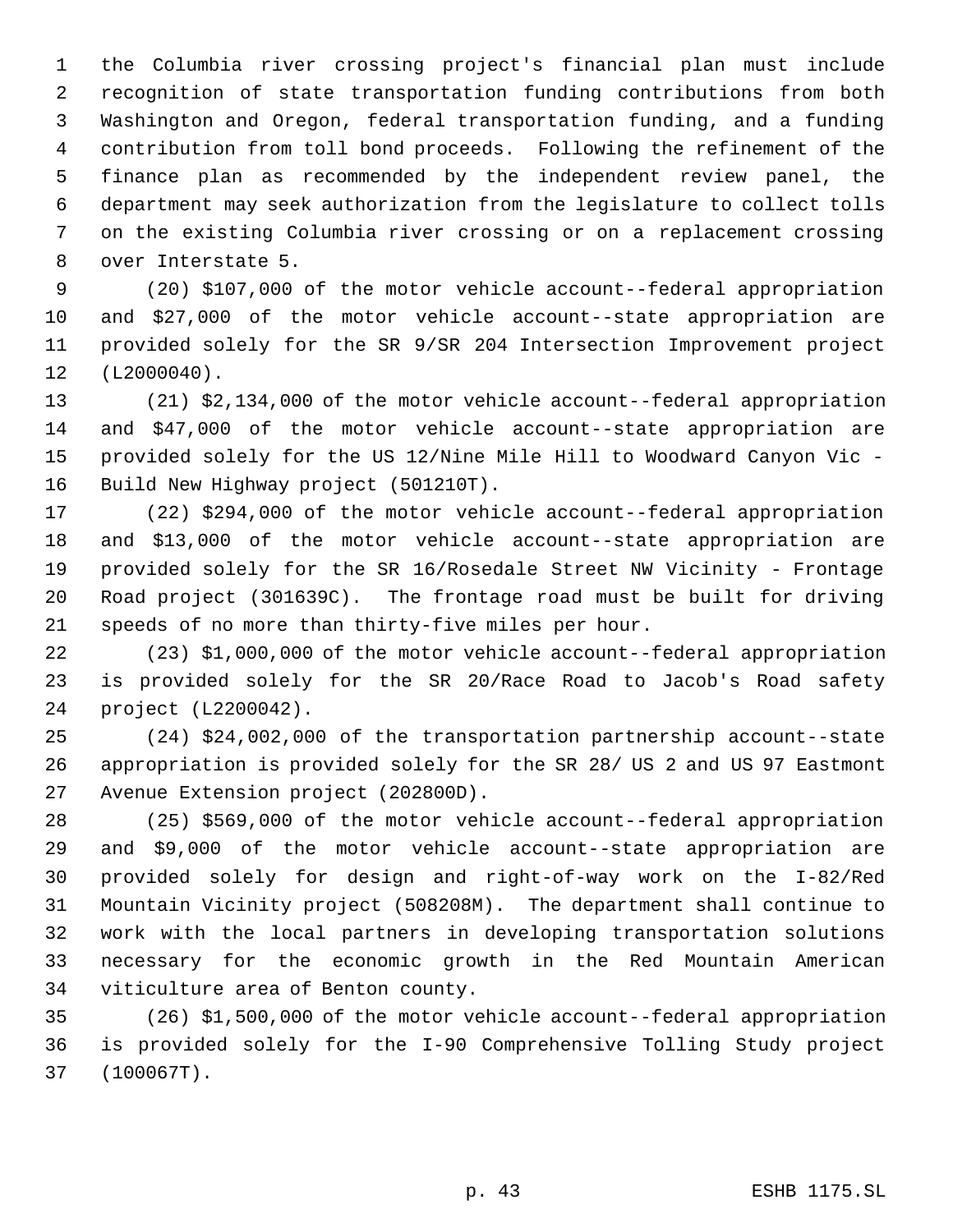the Columbia river crossing project's financial plan must include recognition of state transportation funding contributions from both Washington and Oregon, federal transportation funding, and a funding contribution from toll bond proceeds. Following the refinement of the finance plan as recommended by the independent review panel, the department may seek authorization from the legislature to collect tolls on the existing Columbia river crossing or on a replacement crossing over Interstate 5.

 (20) \$107,000 of the motor vehicle account--federal appropriation and \$27,000 of the motor vehicle account--state appropriation are provided solely for the SR 9/SR 204 Intersection Improvement project (L2000040).

 (21) \$2,134,000 of the motor vehicle account--federal appropriation and \$47,000 of the motor vehicle account--state appropriation are provided solely for the US 12/Nine Mile Hill to Woodward Canyon Vic - Build New Highway project (501210T).

 (22) \$294,000 of the motor vehicle account--federal appropriation and \$13,000 of the motor vehicle account--state appropriation are provided solely for the SR 16/Rosedale Street NW Vicinity - Frontage Road project (301639C). The frontage road must be built for driving speeds of no more than thirty-five miles per hour.

 (23) \$1,000,000 of the motor vehicle account--federal appropriation is provided solely for the SR 20/Race Road to Jacob's Road safety project (L2200042).

 (24) \$24,002,000 of the transportation partnership account--state appropriation is provided solely for the SR 28/ US 2 and US 97 Eastmont Avenue Extension project (202800D).

 (25) \$569,000 of the motor vehicle account--federal appropriation and \$9,000 of the motor vehicle account--state appropriation are provided solely for design and right-of-way work on the I-82/Red Mountain Vicinity project (508208M). The department shall continue to work with the local partners in developing transportation solutions necessary for the economic growth in the Red Mountain American viticulture area of Benton county.

 (26) \$1,500,000 of the motor vehicle account--federal appropriation is provided solely for the I-90 Comprehensive Tolling Study project (100067T).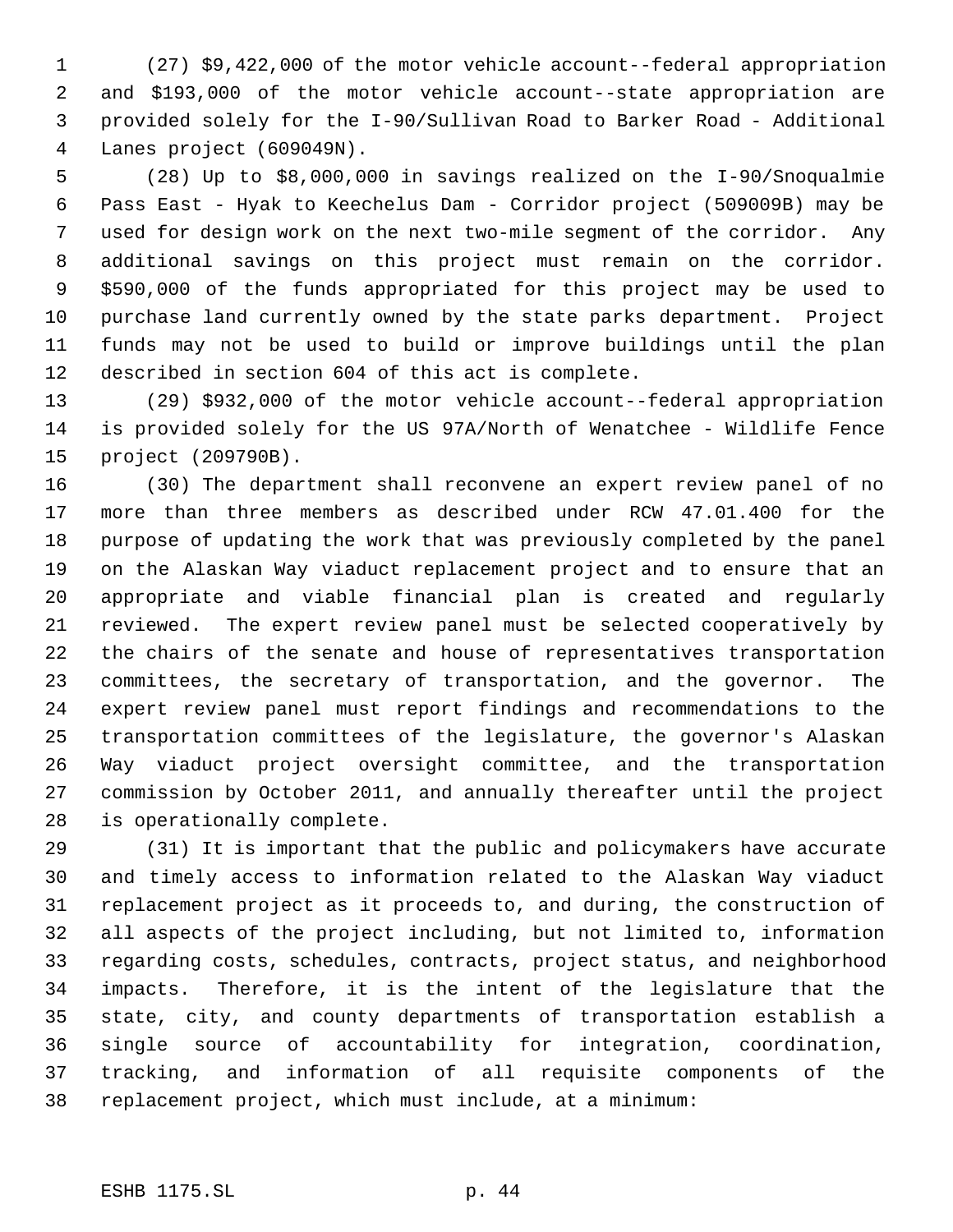(27) \$9,422,000 of the motor vehicle account--federal appropriation and \$193,000 of the motor vehicle account--state appropriation are provided solely for the I-90/Sullivan Road to Barker Road - Additional Lanes project (609049N).

 (28) Up to \$8,000,000 in savings realized on the I-90/Snoqualmie Pass East - Hyak to Keechelus Dam - Corridor project (509009B) may be used for design work on the next two-mile segment of the corridor. Any additional savings on this project must remain on the corridor. \$590,000 of the funds appropriated for this project may be used to purchase land currently owned by the state parks department. Project funds may not be used to build or improve buildings until the plan described in section 604 of this act is complete.

 (29) \$932,000 of the motor vehicle account--federal appropriation is provided solely for the US 97A/North of Wenatchee - Wildlife Fence project (209790B).

 (30) The department shall reconvene an expert review panel of no more than three members as described under RCW 47.01.400 for the purpose of updating the work that was previously completed by the panel on the Alaskan Way viaduct replacement project and to ensure that an appropriate and viable financial plan is created and regularly reviewed. The expert review panel must be selected cooperatively by the chairs of the senate and house of representatives transportation committees, the secretary of transportation, and the governor. The expert review panel must report findings and recommendations to the transportation committees of the legislature, the governor's Alaskan Way viaduct project oversight committee, and the transportation commission by October 2011, and annually thereafter until the project is operationally complete.

 (31) It is important that the public and policymakers have accurate and timely access to information related to the Alaskan Way viaduct replacement project as it proceeds to, and during, the construction of all aspects of the project including, but not limited to, information regarding costs, schedules, contracts, project status, and neighborhood impacts. Therefore, it is the intent of the legislature that the state, city, and county departments of transportation establish a single source of accountability for integration, coordination, tracking, and information of all requisite components of the replacement project, which must include, at a minimum: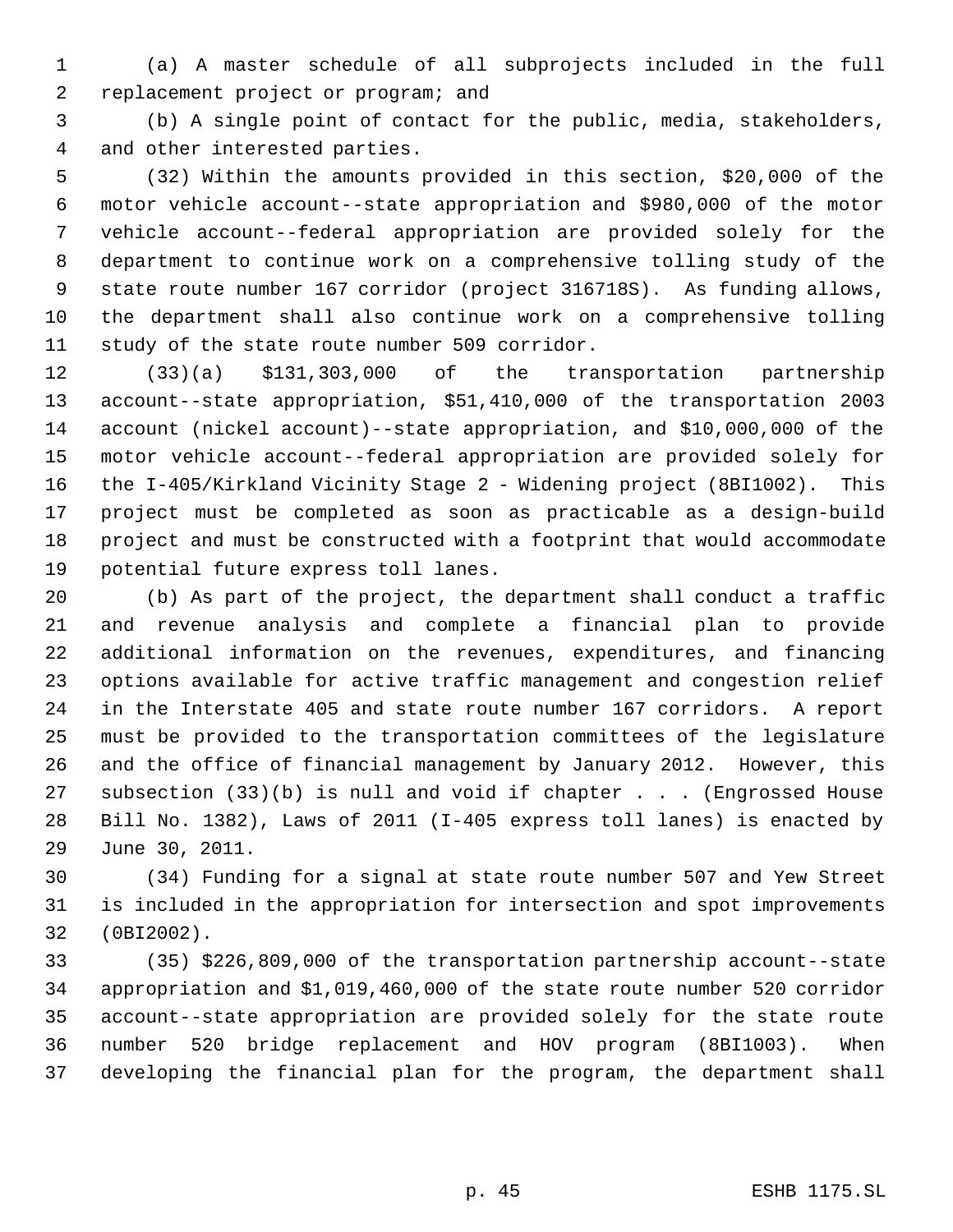(a) A master schedule of all subprojects included in the full replacement project or program; and

 (b) A single point of contact for the public, media, stakeholders, and other interested parties.

 (32) Within the amounts provided in this section, \$20,000 of the motor vehicle account--state appropriation and \$980,000 of the motor vehicle account--federal appropriation are provided solely for the department to continue work on a comprehensive tolling study of the state route number 167 corridor (project 316718S). As funding allows, the department shall also continue work on a comprehensive tolling study of the state route number 509 corridor.

 (33)(a) \$131,303,000 of the transportation partnership account--state appropriation, \$51,410,000 of the transportation 2003 account (nickel account)--state appropriation, and \$10,000,000 of the motor vehicle account--federal appropriation are provided solely for the I-405/Kirkland Vicinity Stage 2 - Widening project (8BI1002). This project must be completed as soon as practicable as a design-build project and must be constructed with a footprint that would accommodate potential future express toll lanes.

 (b) As part of the project, the department shall conduct a traffic and revenue analysis and complete a financial plan to provide additional information on the revenues, expenditures, and financing options available for active traffic management and congestion relief in the Interstate 405 and state route number 167 corridors. A report must be provided to the transportation committees of the legislature and the office of financial management by January 2012. However, this subsection (33)(b) is null and void if chapter . . . (Engrossed House Bill No. 1382), Laws of 2011 (I-405 express toll lanes) is enacted by June 30, 2011.

 (34) Funding for a signal at state route number 507 and Yew Street is included in the appropriation for intersection and spot improvements (0BI2002).

 (35) \$226,809,000 of the transportation partnership account--state appropriation and \$1,019,460,000 of the state route number 520 corridor account--state appropriation are provided solely for the state route number 520 bridge replacement and HOV program (8BI1003). When developing the financial plan for the program, the department shall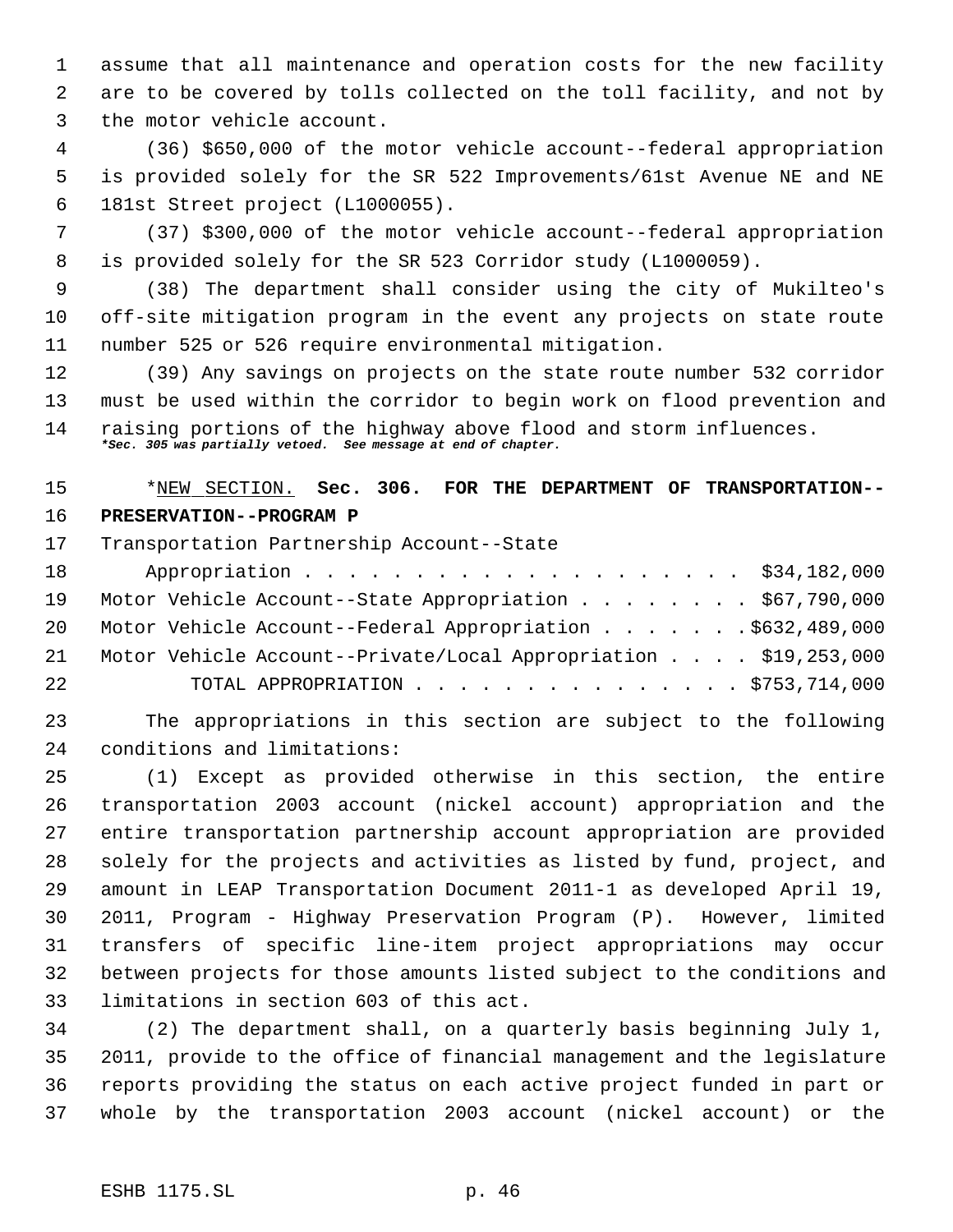assume that all maintenance and operation costs for the new facility are to be covered by tolls collected on the toll facility, and not by the motor vehicle account.

 (36) \$650,000 of the motor vehicle account--federal appropriation is provided solely for the SR 522 Improvements/61st Avenue NE and NE 181st Street project (L1000055).

 (37) \$300,000 of the motor vehicle account--federal appropriation is provided solely for the SR 523 Corridor study (L1000059).

 (38) The department shall consider using the city of Mukilteo's off-site mitigation program in the event any projects on state route number 525 or 526 require environmental mitigation.

 (39) Any savings on projects on the state route number 532 corridor must be used within the corridor to begin work on flood prevention and raising portions of the highway above flood and storm influences. *\*Sec. 305 was partially vetoed. See message at end of chapter.*

 \*NEW SECTION. **Sec. 306. FOR THE DEPARTMENT OF TRANSPORTATION-- PRESERVATION--PROGRAM P**

Transportation Partnership Account--State

| 18 | Appropriation \$34,182,000                                         |
|----|--------------------------------------------------------------------|
|    | 19 Motor Vehicle Account--State Appropriation \$67,790,000         |
|    | 20 Motor Vehicle Account--Federal Appropriation \$632,489,000      |
|    | 21 Motor Vehicle Account--Private/Local Appropriation \$19,253,000 |
| 22 | TOTAL APPROPRIATION $\cdots$ \$753,714,000                         |

 The appropriations in this section are subject to the following conditions and limitations:

 (1) Except as provided otherwise in this section, the entire transportation 2003 account (nickel account) appropriation and the entire transportation partnership account appropriation are provided solely for the projects and activities as listed by fund, project, and amount in LEAP Transportation Document 2011-1 as developed April 19, 2011, Program - Highway Preservation Program (P). However, limited transfers of specific line-item project appropriations may occur between projects for those amounts listed subject to the conditions and limitations in section 603 of this act.

 (2) The department shall, on a quarterly basis beginning July 1, 2011, provide to the office of financial management and the legislature reports providing the status on each active project funded in part or whole by the transportation 2003 account (nickel account) or the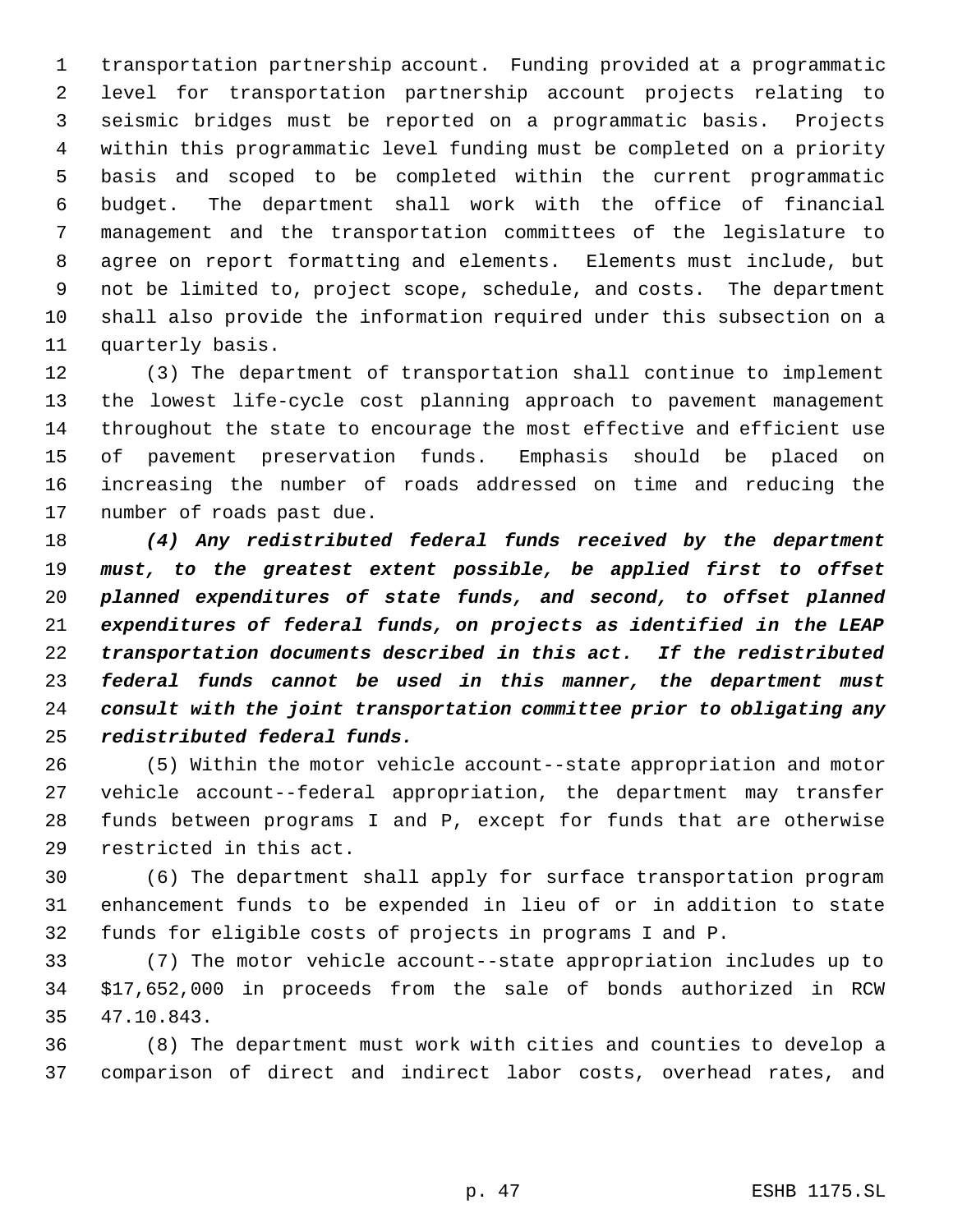transportation partnership account. Funding provided at a programmatic level for transportation partnership account projects relating to seismic bridges must be reported on a programmatic basis. Projects within this programmatic level funding must be completed on a priority basis and scoped to be completed within the current programmatic budget. The department shall work with the office of financial management and the transportation committees of the legislature to agree on report formatting and elements. Elements must include, but not be limited to, project scope, schedule, and costs. The department shall also provide the information required under this subsection on a quarterly basis.

 (3) The department of transportation shall continue to implement the lowest life-cycle cost planning approach to pavement management throughout the state to encourage the most effective and efficient use of pavement preservation funds. Emphasis should be placed on increasing the number of roads addressed on time and reducing the number of roads past due.

 *(4) Any redistributed federal funds received by the department must, to the greatest extent possible, be applied first to offset planned expenditures of state funds, and second, to offset planned expenditures of federal funds, on projects as identified in the LEAP transportation documents described in this act. If the redistributed federal funds cannot be used in this manner, the department must consult with the joint transportation committee prior to obligating any redistributed federal funds.*

 (5) Within the motor vehicle account--state appropriation and motor vehicle account--federal appropriation, the department may transfer funds between programs I and P, except for funds that are otherwise restricted in this act.

 (6) The department shall apply for surface transportation program enhancement funds to be expended in lieu of or in addition to state funds for eligible costs of projects in programs I and P.

 (7) The motor vehicle account--state appropriation includes up to \$17,652,000 in proceeds from the sale of bonds authorized in RCW 47.10.843.

 (8) The department must work with cities and counties to develop a comparison of direct and indirect labor costs, overhead rates, and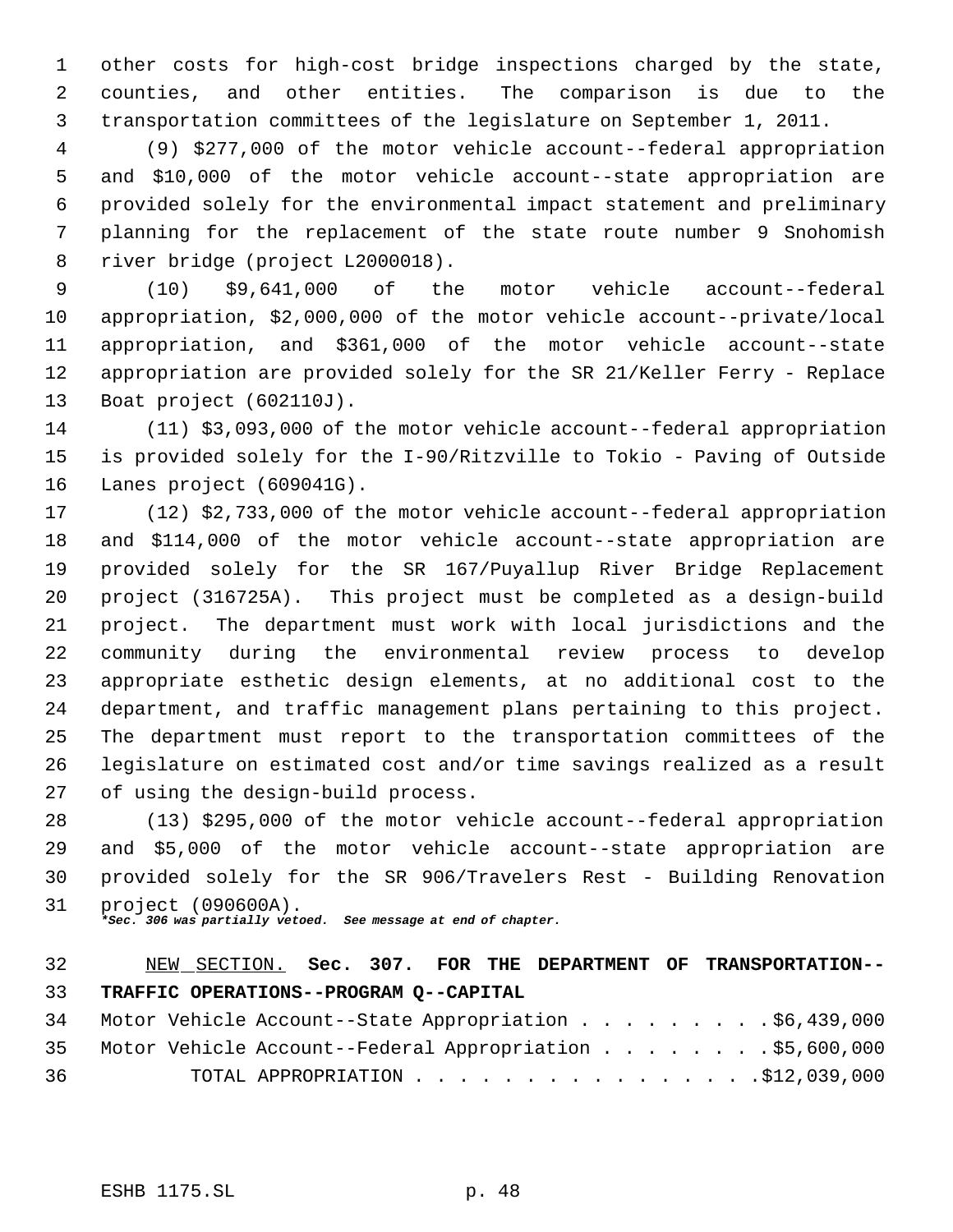other costs for high-cost bridge inspections charged by the state, counties, and other entities. The comparison is due to the transportation committees of the legislature on September 1, 2011.

 (9) \$277,000 of the motor vehicle account--federal appropriation and \$10,000 of the motor vehicle account--state appropriation are provided solely for the environmental impact statement and preliminary planning for the replacement of the state route number 9 Snohomish river bridge (project L2000018).

 (10) \$9,641,000 of the motor vehicle account--federal appropriation, \$2,000,000 of the motor vehicle account--private/local appropriation, and \$361,000 of the motor vehicle account--state appropriation are provided solely for the SR 21/Keller Ferry - Replace Boat project (602110J).

 (11) \$3,093,000 of the motor vehicle account--federal appropriation is provided solely for the I-90/Ritzville to Tokio - Paving of Outside Lanes project (609041G).

 (12) \$2,733,000 of the motor vehicle account--federal appropriation and \$114,000 of the motor vehicle account--state appropriation are provided solely for the SR 167/Puyallup River Bridge Replacement project (316725A). This project must be completed as a design-build project. The department must work with local jurisdictions and the community during the environmental review process to develop appropriate esthetic design elements, at no additional cost to the department, and traffic management plans pertaining to this project. The department must report to the transportation committees of the legislature on estimated cost and/or time savings realized as a result of using the design-build process.

 (13) \$295,000 of the motor vehicle account--federal appropriation and \$5,000 of the motor vehicle account--state appropriation are provided solely for the SR 906/Travelers Rest - Building Renovation project (090600A).

*\*Sec. 306 was partially vetoed. See message at end of chapter.*

 NEW SECTION. **Sec. 307. FOR THE DEPARTMENT OF TRANSPORTATION-- TRAFFIC OPERATIONS--PROGRAM Q--CAPITAL**

|    |  | 34 Motor Vehicle Account--State Appropriation \$6,439,000   |  |
|----|--|-------------------------------------------------------------|--|
|    |  | 35 Motor Vehicle Account--Federal Appropriation \$5,600,000 |  |
| 36 |  | TOTAL APPROPRIATION $\ldots$ , 512,039,000                  |  |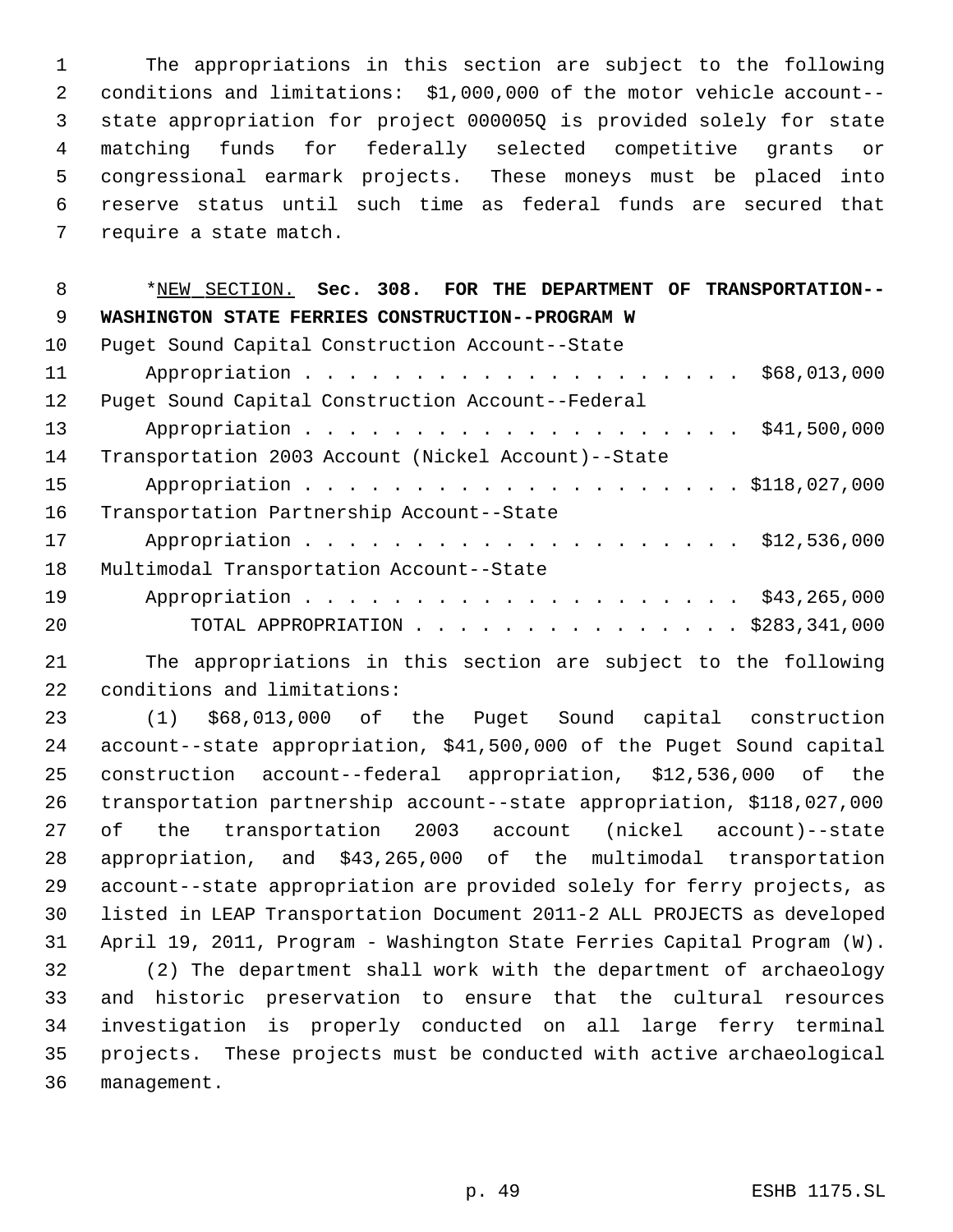The appropriations in this section are subject to the following conditions and limitations: \$1,000,000 of the motor vehicle account-- state appropriation for project 000005Q is provided solely for state matching funds for federally selected competitive grants or congressional earmark projects. These moneys must be placed into reserve status until such time as federal funds are secured that require a state match.

 \*NEW SECTION. **Sec. 308. FOR THE DEPARTMENT OF TRANSPORTATION-- WASHINGTON STATE FERRIES CONSTRUCTION--PROGRAM W** Puget Sound Capital Construction Account--State 11 Appropriation . . . . . . . . . . . . . . . . . . \$68,013,000 Puget Sound Capital Construction Account--Federal Appropriation . . . . . . . . . . . . . . . . . . . . \$41,500,000 Transportation 2003 Account (Nickel Account)--State 15 Appropriation . . . . . . . . . . . . . . . . . . \$118,027,000 Transportation Partnership Account--State 17 Appropriation . . . . . . . . . . . . . . . . . . \$12,536,000 Multimodal Transportation Account--State 19 Appropriation . . . . . . . . . . . . . . . . . . \$43,265,000 TOTAL APPROPRIATION . . . . . . . . . . . . . . . \$283,341,000

 The appropriations in this section are subject to the following conditions and limitations:

 (1) \$68,013,000 of the Puget Sound capital construction account--state appropriation, \$41,500,000 of the Puget Sound capital construction account--federal appropriation, \$12,536,000 of the transportation partnership account--state appropriation, \$118,027,000 of the transportation 2003 account (nickel account)--state appropriation, and \$43,265,000 of the multimodal transportation account--state appropriation are provided solely for ferry projects, as listed in LEAP Transportation Document 2011-2 ALL PROJECTS as developed April 19, 2011, Program - Washington State Ferries Capital Program (W). (2) The department shall work with the department of archaeology and historic preservation to ensure that the cultural resources investigation is properly conducted on all large ferry terminal projects. These projects must be conducted with active archaeological management.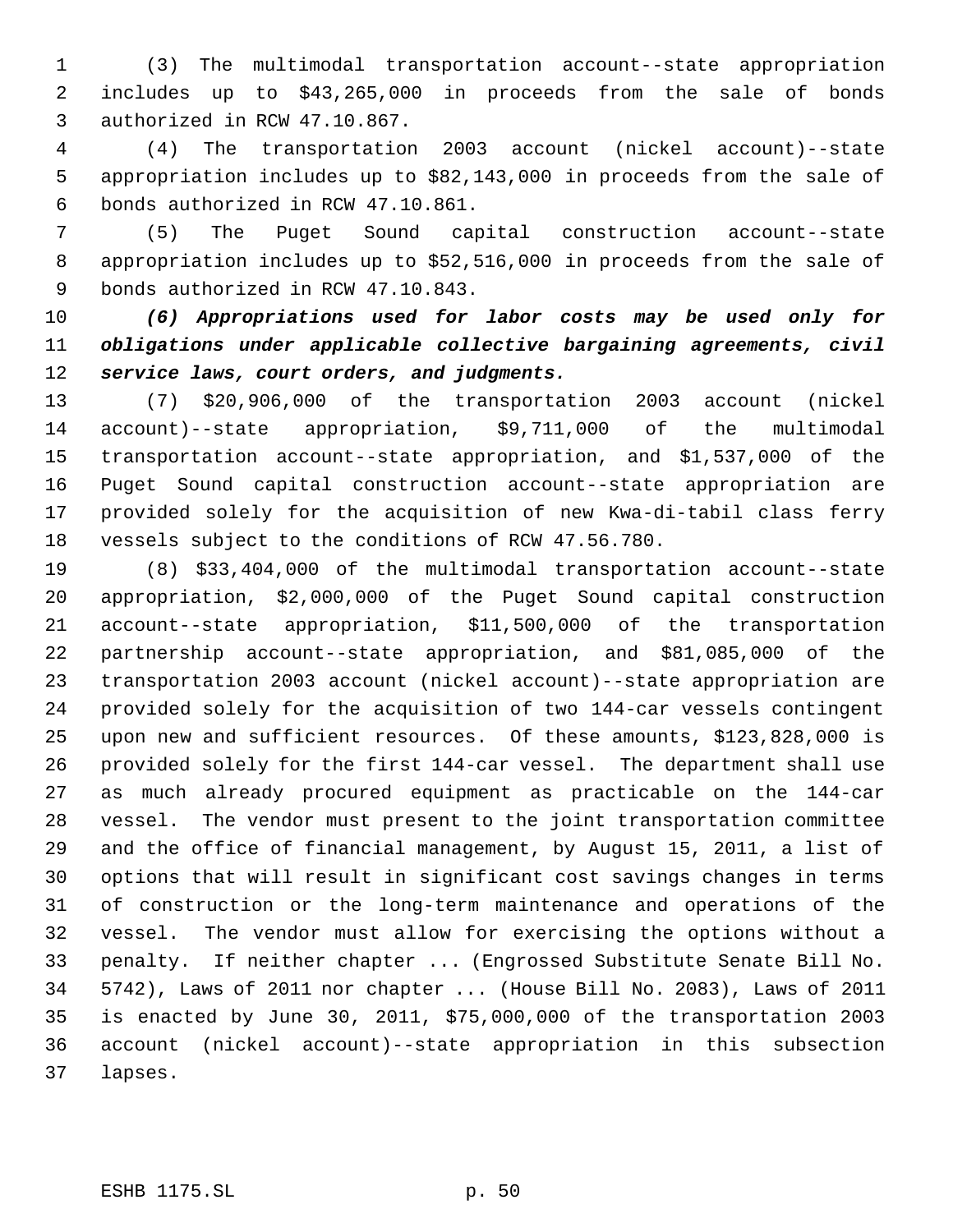(3) The multimodal transportation account--state appropriation includes up to \$43,265,000 in proceeds from the sale of bonds authorized in RCW 47.10.867.

 (4) The transportation 2003 account (nickel account)--state appropriation includes up to \$82,143,000 in proceeds from the sale of bonds authorized in RCW 47.10.861.

 (5) The Puget Sound capital construction account--state appropriation includes up to \$52,516,000 in proceeds from the sale of bonds authorized in RCW 47.10.843.

 *(6) Appropriations used for labor costs may be used only for obligations under applicable collective bargaining agreements, civil service laws, court orders, and judgments.*

 (7) \$20,906,000 of the transportation 2003 account (nickel account)--state appropriation, \$9,711,000 of the multimodal transportation account--state appropriation, and \$1,537,000 of the Puget Sound capital construction account--state appropriation are provided solely for the acquisition of new Kwa-di-tabil class ferry vessels subject to the conditions of RCW 47.56.780.

 (8) \$33,404,000 of the multimodal transportation account--state appropriation, \$2,000,000 of the Puget Sound capital construction account--state appropriation, \$11,500,000 of the transportation partnership account--state appropriation, and \$81,085,000 of the transportation 2003 account (nickel account)--state appropriation are provided solely for the acquisition of two 144-car vessels contingent upon new and sufficient resources. Of these amounts, \$123,828,000 is provided solely for the first 144-car vessel. The department shall use as much already procured equipment as practicable on the 144-car vessel. The vendor must present to the joint transportation committee and the office of financial management, by August 15, 2011, a list of options that will result in significant cost savings changes in terms of construction or the long-term maintenance and operations of the vessel. The vendor must allow for exercising the options without a penalty. If neither chapter ... (Engrossed Substitute Senate Bill No. 5742), Laws of 2011 nor chapter ... (House Bill No. 2083), Laws of 2011 is enacted by June 30, 2011, \$75,000,000 of the transportation 2003 account (nickel account)--state appropriation in this subsection lapses.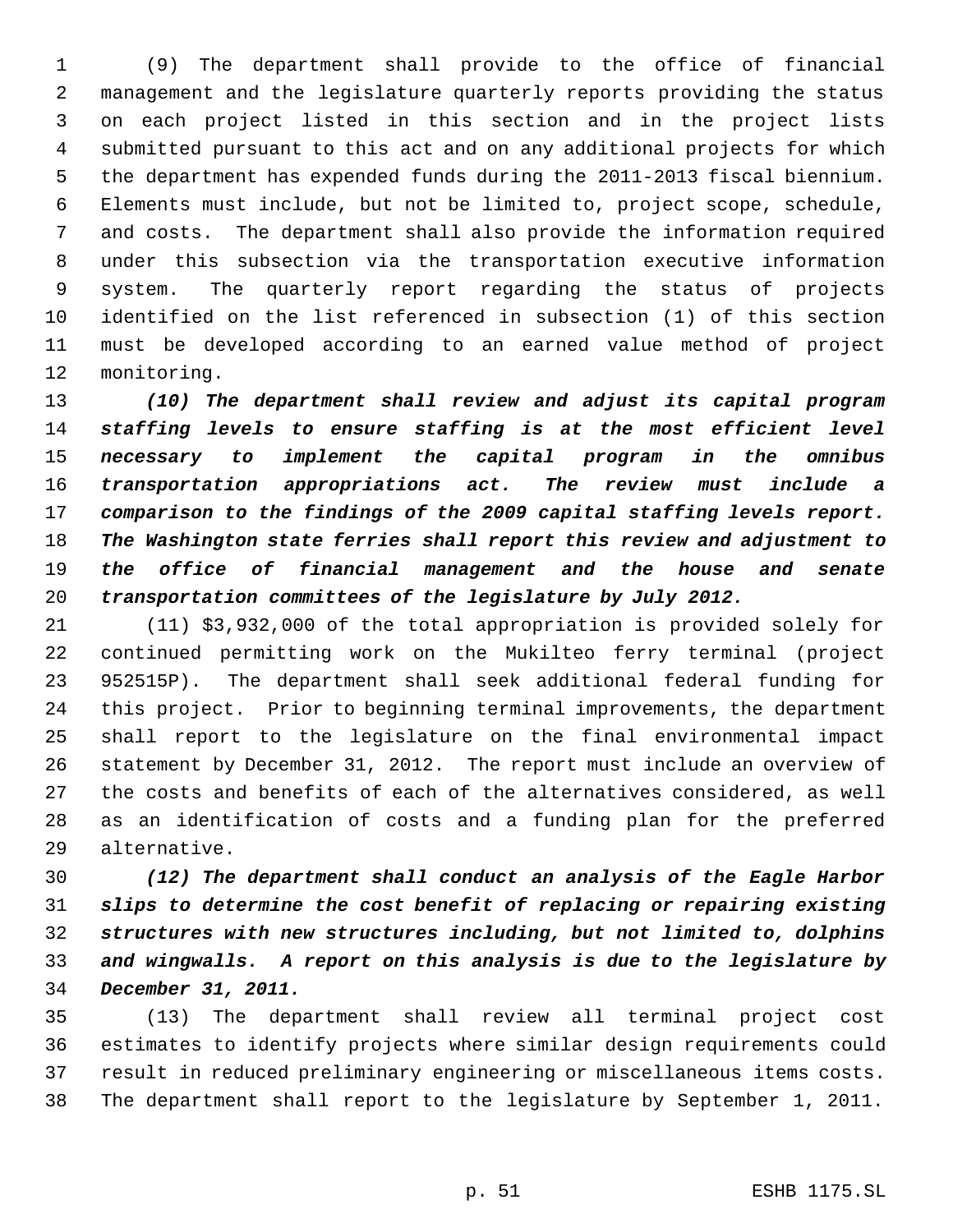(9) The department shall provide to the office of financial management and the legislature quarterly reports providing the status on each project listed in this section and in the project lists submitted pursuant to this act and on any additional projects for which the department has expended funds during the 2011-2013 fiscal biennium. Elements must include, but not be limited to, project scope, schedule, and costs. The department shall also provide the information required under this subsection via the transportation executive information system. The quarterly report regarding the status of projects identified on the list referenced in subsection (1) of this section must be developed according to an earned value method of project monitoring.

 *(10) The department shall review and adjust its capital program staffing levels to ensure staffing is at the most efficient level necessary to implement the capital program in the omnibus transportation appropriations act. The review must include a comparison to the findings of the 2009 capital staffing levels report. The Washington state ferries shall report this review and adjustment to the office of financial management and the house and senate transportation committees of the legislature by July 2012.*

 (11) \$3,932,000 of the total appropriation is provided solely for continued permitting work on the Mukilteo ferry terminal (project 952515P). The department shall seek additional federal funding for this project. Prior to beginning terminal improvements, the department shall report to the legislature on the final environmental impact statement by December 31, 2012. The report must include an overview of the costs and benefits of each of the alternatives considered, as well as an identification of costs and a funding plan for the preferred alternative.

 *(12) The department shall conduct an analysis of the Eagle Harbor slips to determine the cost benefit of replacing or repairing existing structures with new structures including, but not limited to, dolphins and wingwalls. A report on this analysis is due to the legislature by December 31, 2011.*

 (13) The department shall review all terminal project cost estimates to identify projects where similar design requirements could result in reduced preliminary engineering or miscellaneous items costs. The department shall report to the legislature by September 1, 2011.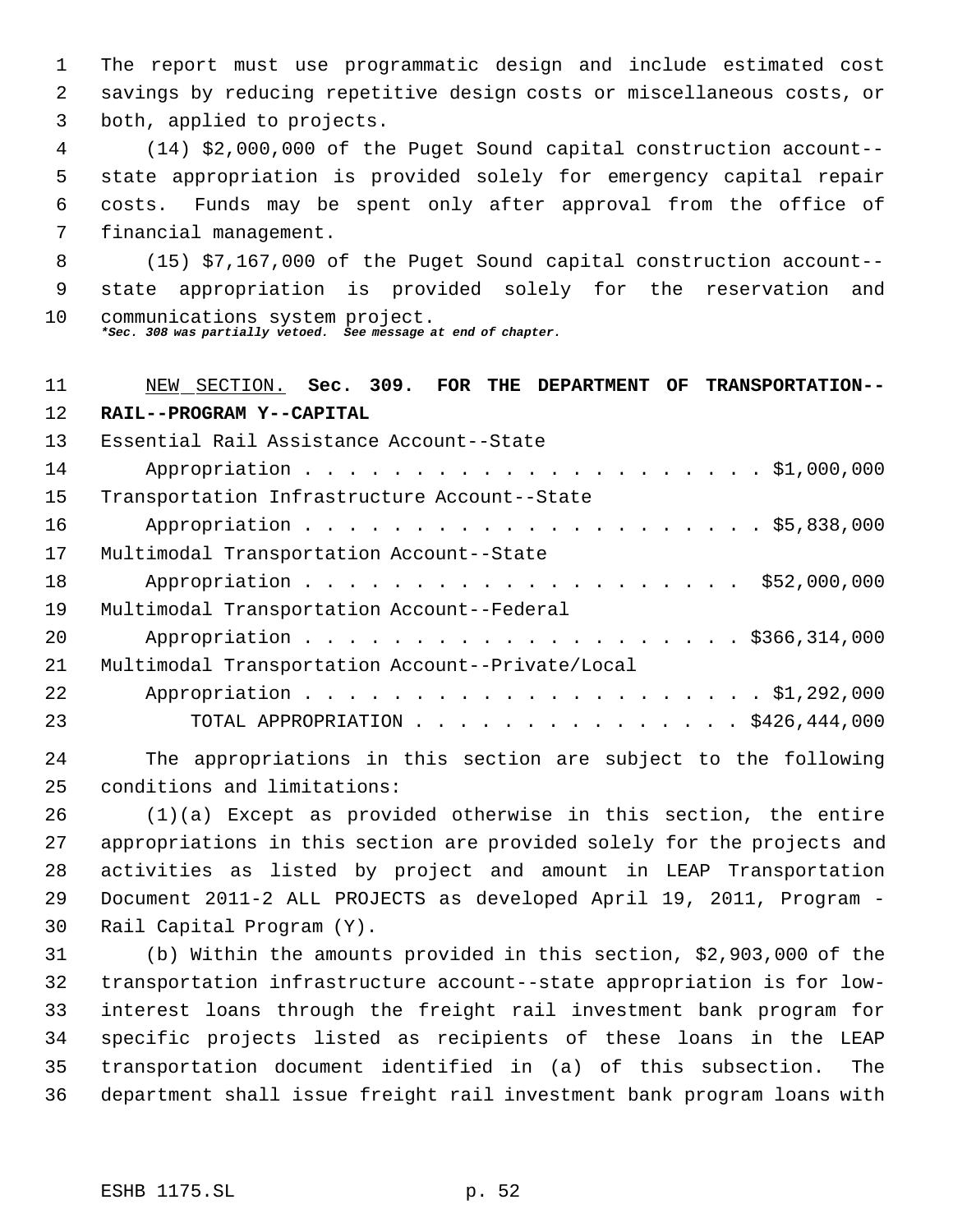The report must use programmatic design and include estimated cost savings by reducing repetitive design costs or miscellaneous costs, or both, applied to projects.

 (14) \$2,000,000 of the Puget Sound capital construction account-- state appropriation is provided solely for emergency capital repair costs. Funds may be spent only after approval from the office of financial management.

 (15) \$7,167,000 of the Puget Sound capital construction account-- state appropriation is provided solely for the reservation and communications system project.

*\*Sec. 308 was partially vetoed. See message at end of chapter.*

### NEW SECTION. **Sec. 309. FOR THE DEPARTMENT OF TRANSPORTATION-- RAIL--PROGRAM Y--CAPITAL**

| 13 <sup>7</sup> | Essential Rail Assistance Account--State         |
|-----------------|--------------------------------------------------|
| 14              |                                                  |
| 15              | Transportation Infrastructure Account--State     |
| 16              |                                                  |
| 17              | Multimodal Transportation Account--State         |
| 18              |                                                  |
| 19              | Multimodal Transportation Account--Federal       |
| 20              |                                                  |
| 21              | Multimodal Transportation Account--Private/Local |
| 22              |                                                  |
| 23              | TOTAL APPROPRIATION $\ldots$ \$426,444,000       |

 The appropriations in this section are subject to the following conditions and limitations:

 (1)(a) Except as provided otherwise in this section, the entire appropriations in this section are provided solely for the projects and activities as listed by project and amount in LEAP Transportation Document 2011-2 ALL PROJECTS as developed April 19, 2011, Program - Rail Capital Program (Y).

 (b) Within the amounts provided in this section, \$2,903,000 of the transportation infrastructure account--state appropriation is for low- interest loans through the freight rail investment bank program for specific projects listed as recipients of these loans in the LEAP transportation document identified in (a) of this subsection. The department shall issue freight rail investment bank program loans with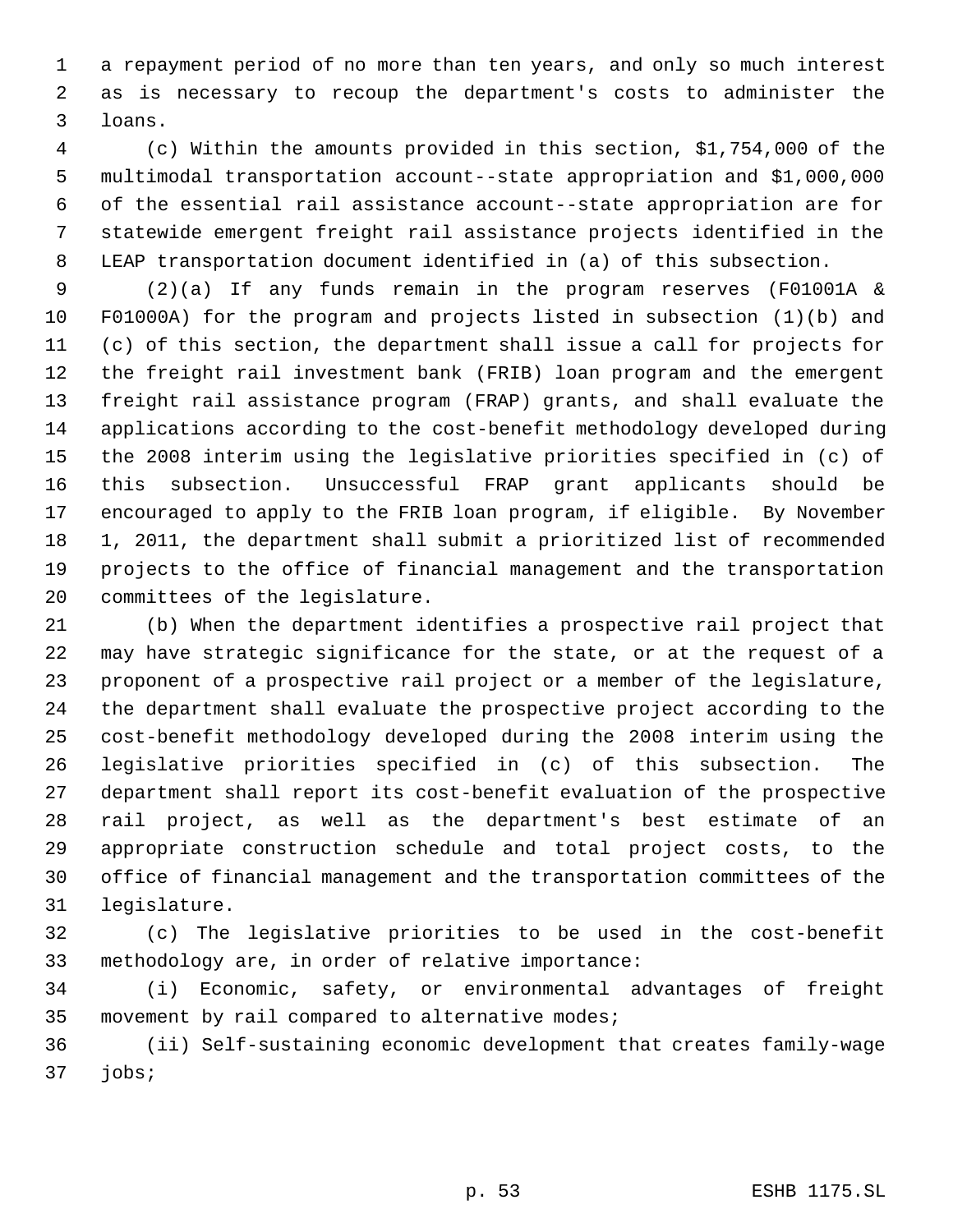a repayment period of no more than ten years, and only so much interest as is necessary to recoup the department's costs to administer the loans.

 (c) Within the amounts provided in this section, \$1,754,000 of the multimodal transportation account--state appropriation and \$1,000,000 of the essential rail assistance account--state appropriation are for statewide emergent freight rail assistance projects identified in the LEAP transportation document identified in (a) of this subsection.

 (2)(a) If any funds remain in the program reserves (F01001A & F01000A) for the program and projects listed in subsection (1)(b) and (c) of this section, the department shall issue a call for projects for the freight rail investment bank (FRIB) loan program and the emergent freight rail assistance program (FRAP) grants, and shall evaluate the applications according to the cost-benefit methodology developed during the 2008 interim using the legislative priorities specified in (c) of this subsection. Unsuccessful FRAP grant applicants should be encouraged to apply to the FRIB loan program, if eligible. By November 1, 2011, the department shall submit a prioritized list of recommended projects to the office of financial management and the transportation committees of the legislature.

 (b) When the department identifies a prospective rail project that may have strategic significance for the state, or at the request of a proponent of a prospective rail project or a member of the legislature, the department shall evaluate the prospective project according to the cost-benefit methodology developed during the 2008 interim using the legislative priorities specified in (c) of this subsection. The department shall report its cost-benefit evaluation of the prospective rail project, as well as the department's best estimate of an appropriate construction schedule and total project costs, to the office of financial management and the transportation committees of the legislature.

 (c) The legislative priorities to be used in the cost-benefit methodology are, in order of relative importance:

 (i) Economic, safety, or environmental advantages of freight movement by rail compared to alternative modes;

 (ii) Self-sustaining economic development that creates family-wage jobs;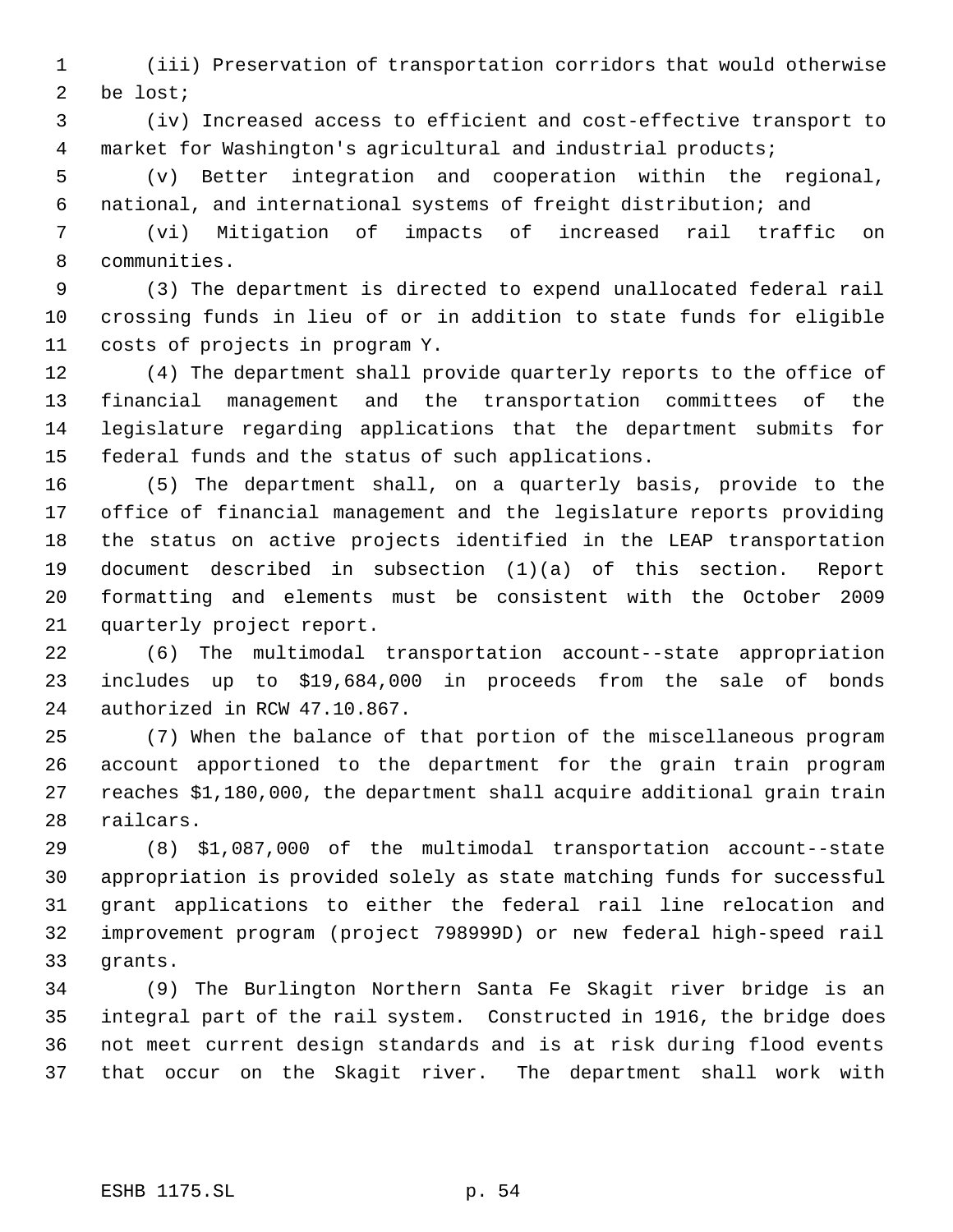(iii) Preservation of transportation corridors that would otherwise be lost;

 (iv) Increased access to efficient and cost-effective transport to market for Washington's agricultural and industrial products;

 (v) Better integration and cooperation within the regional, national, and international systems of freight distribution; and

 (vi) Mitigation of impacts of increased rail traffic on communities.

 (3) The department is directed to expend unallocated federal rail crossing funds in lieu of or in addition to state funds for eligible costs of projects in program Y.

 (4) The department shall provide quarterly reports to the office of financial management and the transportation committees of the legislature regarding applications that the department submits for federal funds and the status of such applications.

 (5) The department shall, on a quarterly basis, provide to the office of financial management and the legislature reports providing the status on active projects identified in the LEAP transportation document described in subsection (1)(a) of this section. Report formatting and elements must be consistent with the October 2009 quarterly project report.

 (6) The multimodal transportation account--state appropriation includes up to \$19,684,000 in proceeds from the sale of bonds authorized in RCW 47.10.867.

 (7) When the balance of that portion of the miscellaneous program account apportioned to the department for the grain train program reaches \$1,180,000, the department shall acquire additional grain train railcars.

 (8) \$1,087,000 of the multimodal transportation account--state appropriation is provided solely as state matching funds for successful grant applications to either the federal rail line relocation and improvement program (project 798999D) or new federal high-speed rail grants.

 (9) The Burlington Northern Santa Fe Skagit river bridge is an integral part of the rail system. Constructed in 1916, the bridge does not meet current design standards and is at risk during flood events that occur on the Skagit river. The department shall work with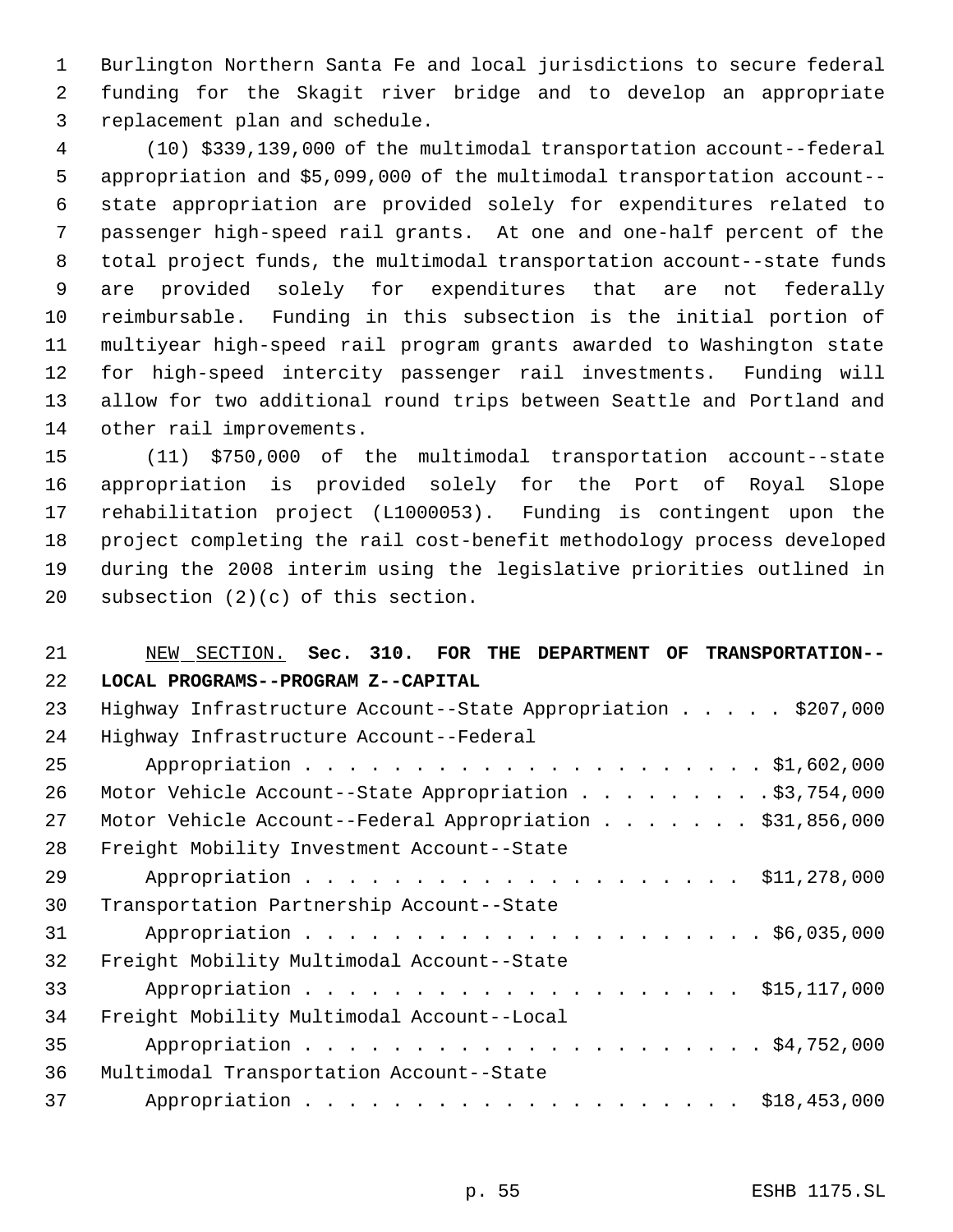Burlington Northern Santa Fe and local jurisdictions to secure federal funding for the Skagit river bridge and to develop an appropriate replacement plan and schedule.

 (10) \$339,139,000 of the multimodal transportation account--federal appropriation and \$5,099,000 of the multimodal transportation account-- state appropriation are provided solely for expenditures related to passenger high-speed rail grants. At one and one-half percent of the total project funds, the multimodal transportation account--state funds are provided solely for expenditures that are not federally reimbursable. Funding in this subsection is the initial portion of multiyear high-speed rail program grants awarded to Washington state for high-speed intercity passenger rail investments. Funding will allow for two additional round trips between Seattle and Portland and other rail improvements.

 (11) \$750,000 of the multimodal transportation account--state appropriation is provided solely for the Port of Royal Slope rehabilitation project (L1000053). Funding is contingent upon the project completing the rail cost-benefit methodology process developed during the 2008 interim using the legislative priorities outlined in subsection (2)(c) of this section.

# NEW SECTION. **Sec. 310. FOR THE DEPARTMENT OF TRANSPORTATION-- LOCAL PROGRAMS--PROGRAM Z--CAPITAL** 23 Highway Infrastructure Account--State Appropriation . . . . \$207,000 Highway Infrastructure Account--Federal Appropriation . . . . . . . . . . . . . . . . . . . . . \$1,602,000 Motor Vehicle Account--State Appropriation . . . . . . . . . \$3,754,000 27 Motor Vehicle Account--Federal Appropriation . . . . . . \$31,856,000 Freight Mobility Investment Account--State 29 Appropriation . . . . . . . . . . . . . . . . . . \$11,278,000 Transportation Partnership Account--State Appropriation . . . . . . . . . . . . . . . . . . . . . \$6,035,000 Freight Mobility Multimodal Account--State Appropriation . . . . . . . . . . . . . . . . . . . . \$15,117,000 Freight Mobility Multimodal Account--Local Appropriation . . . . . . . . . . . . . . . . . . . . . \$4,752,000 Multimodal Transportation Account--State Appropriation . . . . . . . . . . . . . . . . . . . . \$18,453,000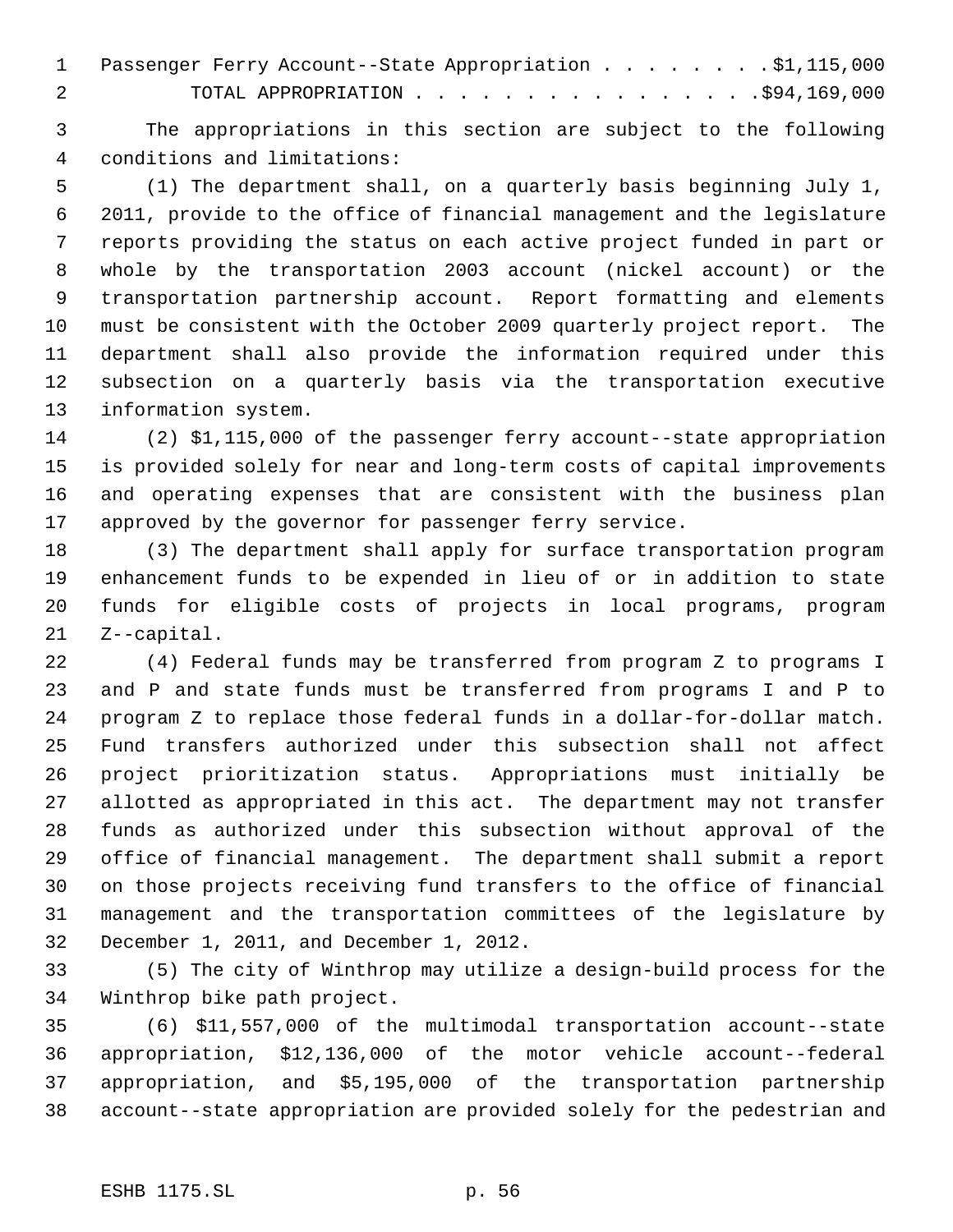| 1 Passenger Ferry Account--State Appropriation \$1,115,000 |
|------------------------------------------------------------|
| TOTAL APPROPRIATION 594,169,000                            |

 The appropriations in this section are subject to the following conditions and limitations:

 (1) The department shall, on a quarterly basis beginning July 1, 2011, provide to the office of financial management and the legislature reports providing the status on each active project funded in part or whole by the transportation 2003 account (nickel account) or the transportation partnership account. Report formatting and elements must be consistent with the October 2009 quarterly project report. The department shall also provide the information required under this subsection on a quarterly basis via the transportation executive information system.

 (2) \$1,115,000 of the passenger ferry account--state appropriation is provided solely for near and long-term costs of capital improvements and operating expenses that are consistent with the business plan approved by the governor for passenger ferry service.

 (3) The department shall apply for surface transportation program enhancement funds to be expended in lieu of or in addition to state funds for eligible costs of projects in local programs, program Z--capital.

 (4) Federal funds may be transferred from program Z to programs I and P and state funds must be transferred from programs I and P to program Z to replace those federal funds in a dollar-for-dollar match. Fund transfers authorized under this subsection shall not affect project prioritization status. Appropriations must initially be allotted as appropriated in this act. The department may not transfer funds as authorized under this subsection without approval of the office of financial management. The department shall submit a report on those projects receiving fund transfers to the office of financial management and the transportation committees of the legislature by December 1, 2011, and December 1, 2012.

 (5) The city of Winthrop may utilize a design-build process for the Winthrop bike path project.

 (6) \$11,557,000 of the multimodal transportation account--state appropriation, \$12,136,000 of the motor vehicle account--federal appropriation, and \$5,195,000 of the transportation partnership account--state appropriation are provided solely for the pedestrian and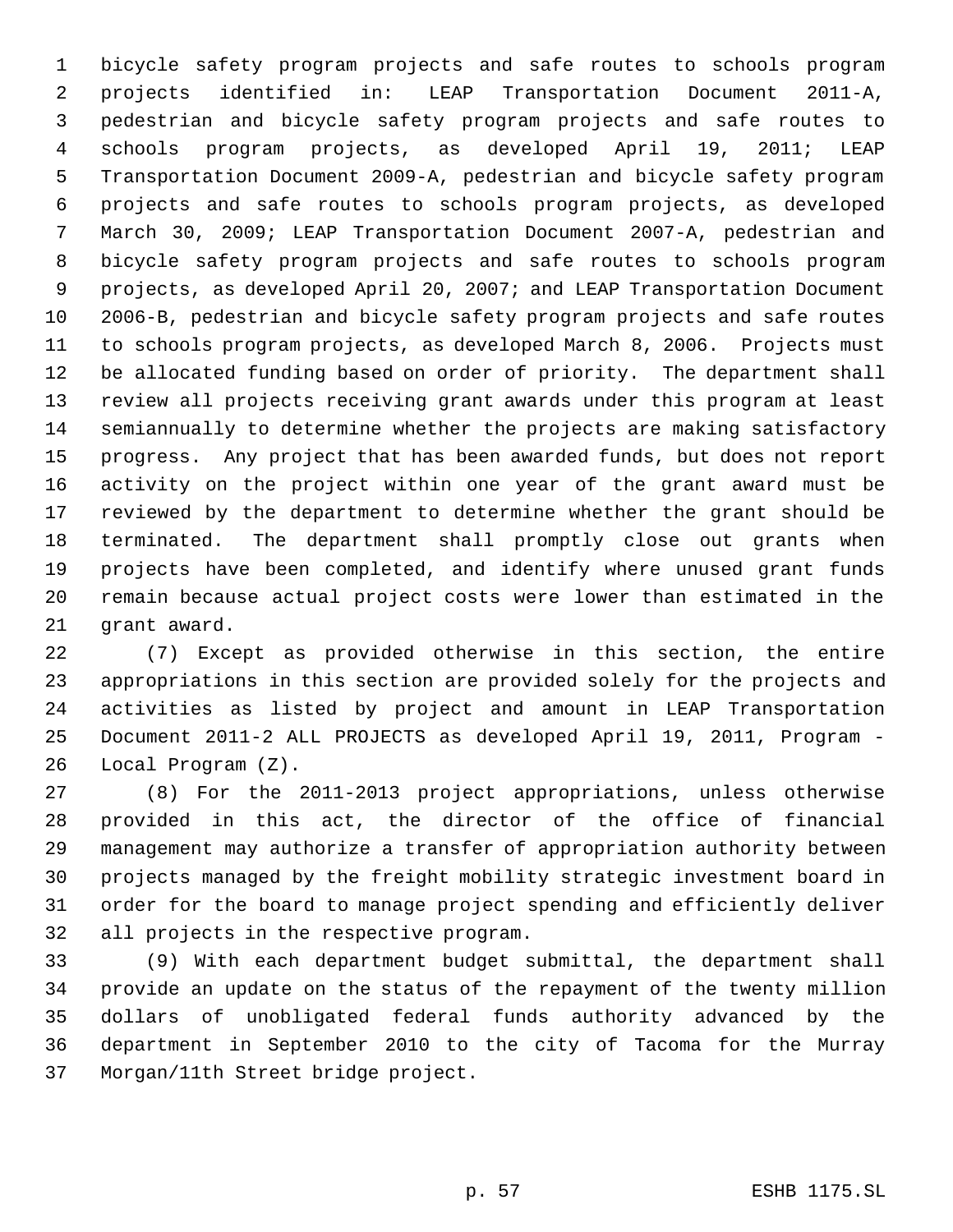bicycle safety program projects and safe routes to schools program projects identified in: LEAP Transportation Document 2011-A, pedestrian and bicycle safety program projects and safe routes to schools program projects, as developed April 19, 2011; LEAP Transportation Document 2009-A, pedestrian and bicycle safety program projects and safe routes to schools program projects, as developed March 30, 2009; LEAP Transportation Document 2007-A, pedestrian and bicycle safety program projects and safe routes to schools program projects, as developed April 20, 2007; and LEAP Transportation Document 2006-B, pedestrian and bicycle safety program projects and safe routes to schools program projects, as developed March 8, 2006. Projects must be allocated funding based on order of priority. The department shall review all projects receiving grant awards under this program at least semiannually to determine whether the projects are making satisfactory progress. Any project that has been awarded funds, but does not report activity on the project within one year of the grant award must be reviewed by the department to determine whether the grant should be terminated. The department shall promptly close out grants when projects have been completed, and identify where unused grant funds remain because actual project costs were lower than estimated in the grant award.

 (7) Except as provided otherwise in this section, the entire appropriations in this section are provided solely for the projects and activities as listed by project and amount in LEAP Transportation Document 2011-2 ALL PROJECTS as developed April 19, 2011, Program - Local Program (Z).

 (8) For the 2011-2013 project appropriations, unless otherwise provided in this act, the director of the office of financial management may authorize a transfer of appropriation authority between projects managed by the freight mobility strategic investment board in order for the board to manage project spending and efficiently deliver all projects in the respective program.

 (9) With each department budget submittal, the department shall provide an update on the status of the repayment of the twenty million dollars of unobligated federal funds authority advanced by the department in September 2010 to the city of Tacoma for the Murray Morgan/11th Street bridge project.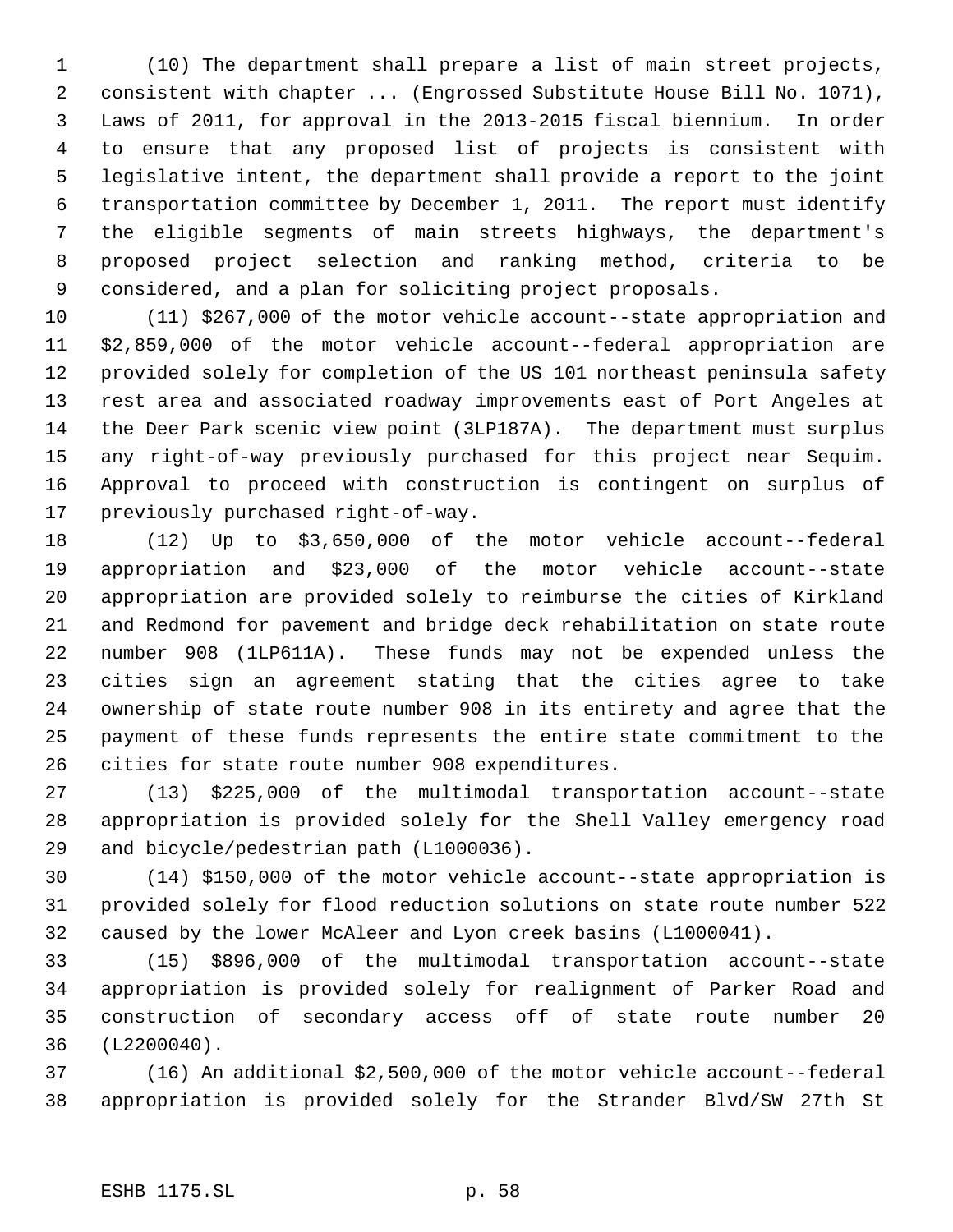(10) The department shall prepare a list of main street projects, consistent with chapter ... (Engrossed Substitute House Bill No. 1071), Laws of 2011, for approval in the 2013-2015 fiscal biennium. In order to ensure that any proposed list of projects is consistent with legislative intent, the department shall provide a report to the joint transportation committee by December 1, 2011. The report must identify the eligible segments of main streets highways, the department's proposed project selection and ranking method, criteria to be considered, and a plan for soliciting project proposals.

 (11) \$267,000 of the motor vehicle account--state appropriation and \$2,859,000 of the motor vehicle account--federal appropriation are provided solely for completion of the US 101 northeast peninsula safety rest area and associated roadway improvements east of Port Angeles at the Deer Park scenic view point (3LP187A). The department must surplus any right-of-way previously purchased for this project near Sequim. Approval to proceed with construction is contingent on surplus of previously purchased right-of-way.

 (12) Up to \$3,650,000 of the motor vehicle account--federal appropriation and \$23,000 of the motor vehicle account--state appropriation are provided solely to reimburse the cities of Kirkland and Redmond for pavement and bridge deck rehabilitation on state route number 908 (1LP611A). These funds may not be expended unless the cities sign an agreement stating that the cities agree to take ownership of state route number 908 in its entirety and agree that the payment of these funds represents the entire state commitment to the cities for state route number 908 expenditures.

 (13) \$225,000 of the multimodal transportation account--state appropriation is provided solely for the Shell Valley emergency road and bicycle/pedestrian path (L1000036).

 (14) \$150,000 of the motor vehicle account--state appropriation is provided solely for flood reduction solutions on state route number 522 caused by the lower McAleer and Lyon creek basins (L1000041).

 (15) \$896,000 of the multimodal transportation account--state appropriation is provided solely for realignment of Parker Road and construction of secondary access off of state route number 20 (L2200040).

 (16) An additional \$2,500,000 of the motor vehicle account--federal appropriation is provided solely for the Strander Blvd/SW 27th St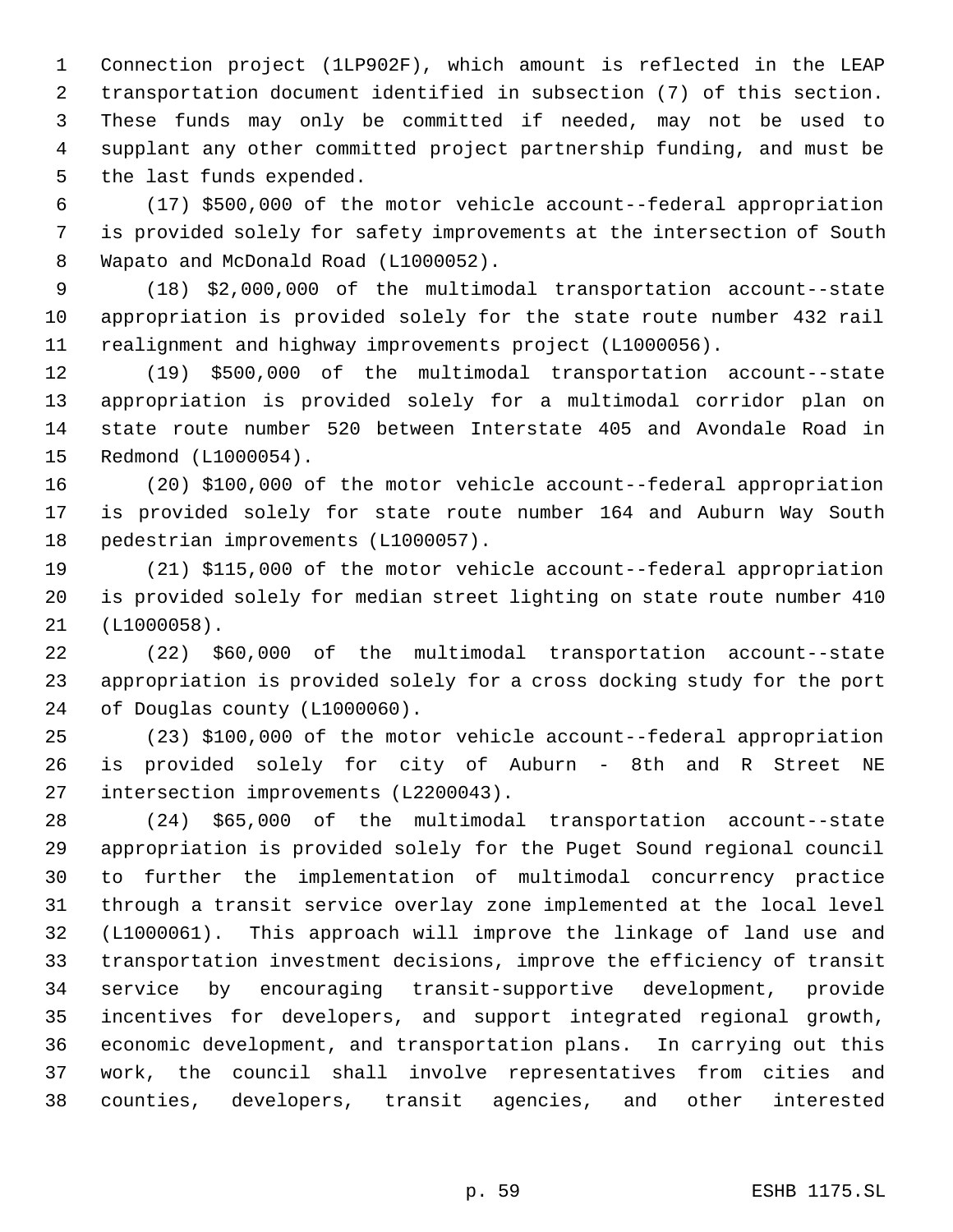Connection project (1LP902F), which amount is reflected in the LEAP transportation document identified in subsection (7) of this section. These funds may only be committed if needed, may not be used to supplant any other committed project partnership funding, and must be the last funds expended.

 (17) \$500,000 of the motor vehicle account--federal appropriation is provided solely for safety improvements at the intersection of South Wapato and McDonald Road (L1000052).

 (18) \$2,000,000 of the multimodal transportation account--state appropriation is provided solely for the state route number 432 rail realignment and highway improvements project (L1000056).

 (19) \$500,000 of the multimodal transportation account--state appropriation is provided solely for a multimodal corridor plan on state route number 520 between Interstate 405 and Avondale Road in Redmond (L1000054).

 (20) \$100,000 of the motor vehicle account--federal appropriation is provided solely for state route number 164 and Auburn Way South pedestrian improvements (L1000057).

 (21) \$115,000 of the motor vehicle account--federal appropriation is provided solely for median street lighting on state route number 410 (L1000058).

 (22) \$60,000 of the multimodal transportation account--state appropriation is provided solely for a cross docking study for the port of Douglas county (L1000060).

 (23) \$100,000 of the motor vehicle account--federal appropriation is provided solely for city of Auburn - 8th and R Street NE intersection improvements (L2200043).

 (24) \$65,000 of the multimodal transportation account--state appropriation is provided solely for the Puget Sound regional council to further the implementation of multimodal concurrency practice through a transit service overlay zone implemented at the local level (L1000061). This approach will improve the linkage of land use and transportation investment decisions, improve the efficiency of transit service by encouraging transit-supportive development, provide incentives for developers, and support integrated regional growth, economic development, and transportation plans. In carrying out this work, the council shall involve representatives from cities and counties, developers, transit agencies, and other interested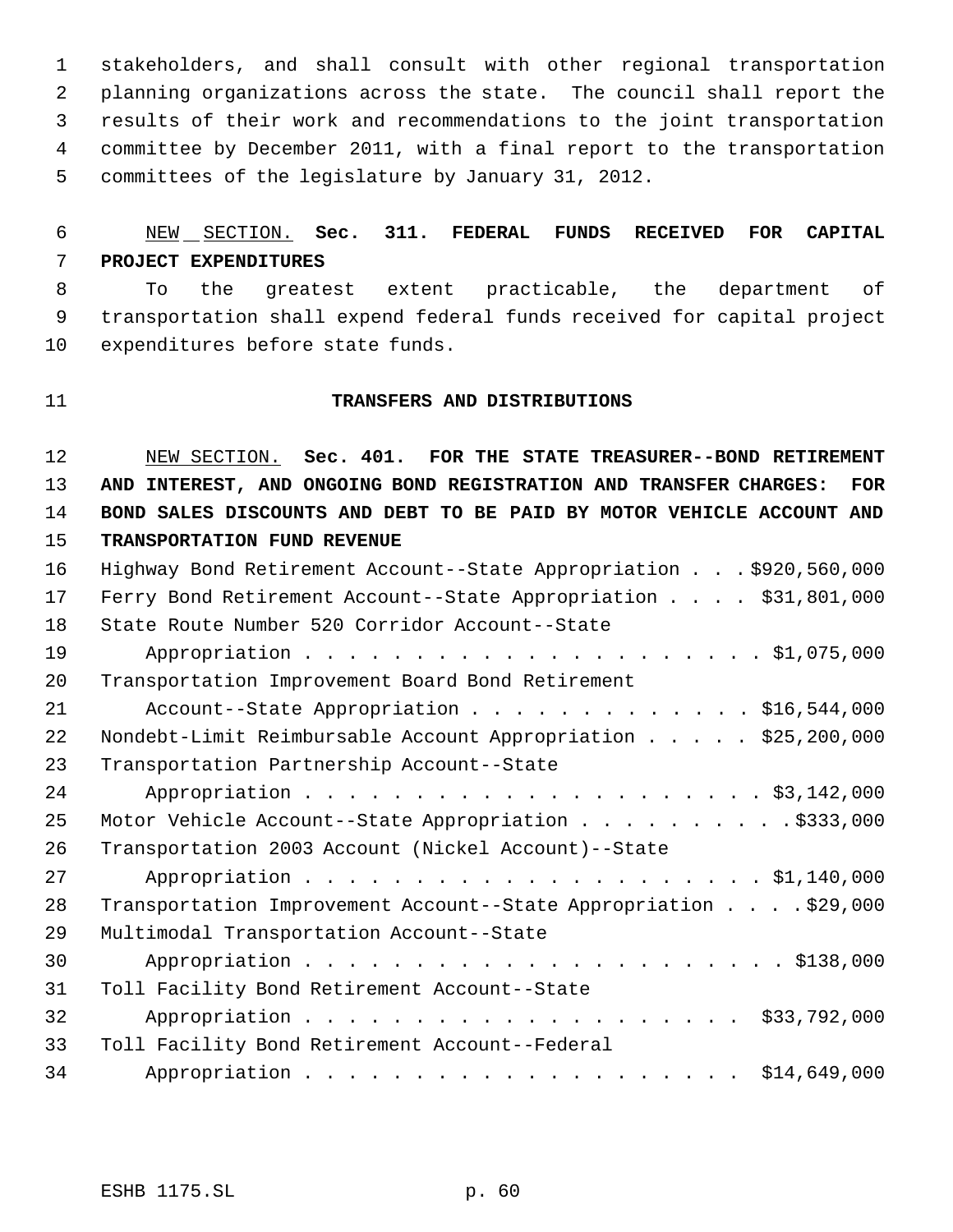stakeholders, and shall consult with other regional transportation planning organizations across the state. The council shall report the results of their work and recommendations to the joint transportation committee by December 2011, with a final report to the transportation committees of the legislature by January 31, 2012.

# NEW SECTION. **Sec. 311. FEDERAL FUNDS RECEIVED FOR CAPITAL PROJECT EXPENDITURES**

 To the greatest extent practicable, the department of transportation shall expend federal funds received for capital project expenditures before state funds.

#### **TRANSFERS AND DISTRIBUTIONS**

 NEW SECTION. **Sec. 401. FOR THE STATE TREASURER--BOND RETIREMENT AND INTEREST, AND ONGOING BOND REGISTRATION AND TRANSFER CHARGES: FOR BOND SALES DISCOUNTS AND DEBT TO BE PAID BY MOTOR VEHICLE ACCOUNT AND TRANSPORTATION FUND REVENUE** Highway Bond Retirement Account--State Appropriation . . . \$920,560,000 Ferry Bond Retirement Account--State Appropriation . . . . \$31,801,000 State Route Number 520 Corridor Account--State Appropriation . . . . . . . . . . . . . . . . . . . . . \$1,075,000 Transportation Improvement Board Bond Retirement Account--State Appropriation . . . . . . . . . . . . . \$16,544,000

|    | 22 Nondebt-Limit Reimbursable Account Appropriation \$25,200,000 |
|----|------------------------------------------------------------------|
|    | 23 Transportation Partnership Account--State                     |
| 24 |                                                                  |

25 Motor Vehicle Account--State Appropriation . . . . . . . . . \$333,000 Transportation 2003 Account (Nickel Account)--State

 Appropriation . . . . . . . . . . . . . . . . . . . . . \$1,140,000 Transportation Improvement Account--State Appropriation . . . . \$29,000 Multimodal Transportation Account--State

 Appropriation . . . . . . . . . . . . . . . . . . . . . . \$138,000 Toll Facility Bond Retirement Account--State

32 Appropriation . . . . . . . . . . . . . . . . . . \$33,792,000 Toll Facility Bond Retirement Account--Federal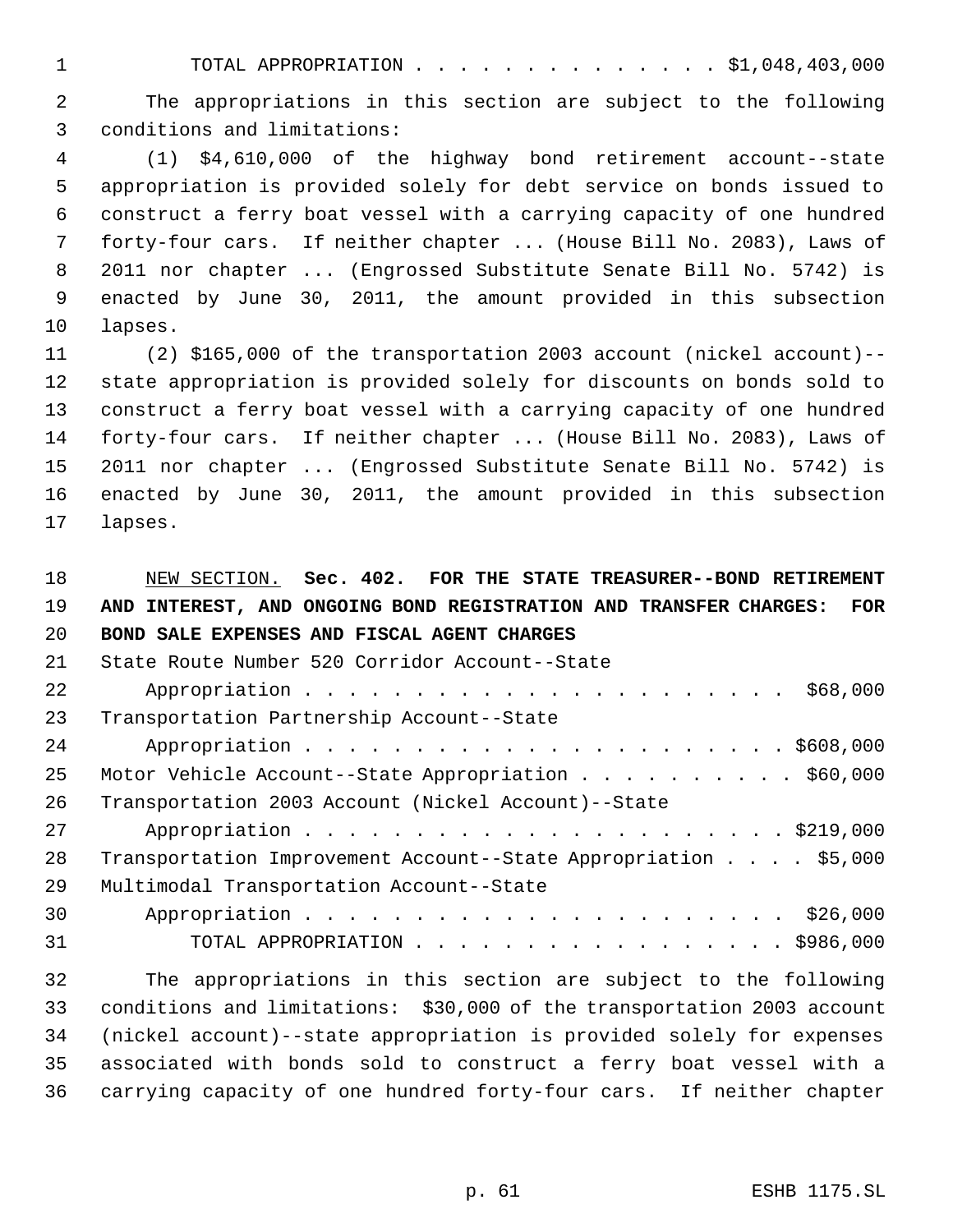TOTAL APPROPRIATION . . . . . . . . . . . . . . \$1,048,403,000

 The appropriations in this section are subject to the following conditions and limitations:

 (1) \$4,610,000 of the highway bond retirement account--state appropriation is provided solely for debt service on bonds issued to construct a ferry boat vessel with a carrying capacity of one hundred forty-four cars. If neither chapter ... (House Bill No. 2083), Laws of 2011 nor chapter ... (Engrossed Substitute Senate Bill No. 5742) is enacted by June 30, 2011, the amount provided in this subsection lapses.

 (2) \$165,000 of the transportation 2003 account (nickel account)-- state appropriation is provided solely for discounts on bonds sold to construct a ferry boat vessel with a carrying capacity of one hundred forty-four cars. If neither chapter ... (House Bill No. 2083), Laws of 2011 nor chapter ... (Engrossed Substitute Senate Bill No. 5742) is enacted by June 30, 2011, the amount provided in this subsection lapses.

 NEW SECTION. **Sec. 402. FOR THE STATE TREASURER--BOND RETIREMENT AND INTEREST, AND ONGOING BOND REGISTRATION AND TRANSFER CHARGES: FOR BOND SALE EXPENSES AND FISCAL AGENT CHARGES**

| 21 | State Route Number 520 Corridor Account--State                  |
|----|-----------------------------------------------------------------|
| 22 | \$68,000                                                        |
| 23 | Transportation Partnership Account--State                       |
| 24 |                                                                 |
| 25 | Motor Vehicle Account--State Appropriation \$60,000             |
| 26 | Transportation 2003 Account (Nickel Account)--State             |
| 27 |                                                                 |
| 28 | Transportation Improvement Account--State Appropriation \$5,000 |
| 29 | Multimodal Transportation Account--State                        |
| 30 |                                                                 |
| 31 | TOTAL APPROPRIATION \$986,000                                   |

 The appropriations in this section are subject to the following conditions and limitations: \$30,000 of the transportation 2003 account (nickel account)--state appropriation is provided solely for expenses associated with bonds sold to construct a ferry boat vessel with a carrying capacity of one hundred forty-four cars. If neither chapter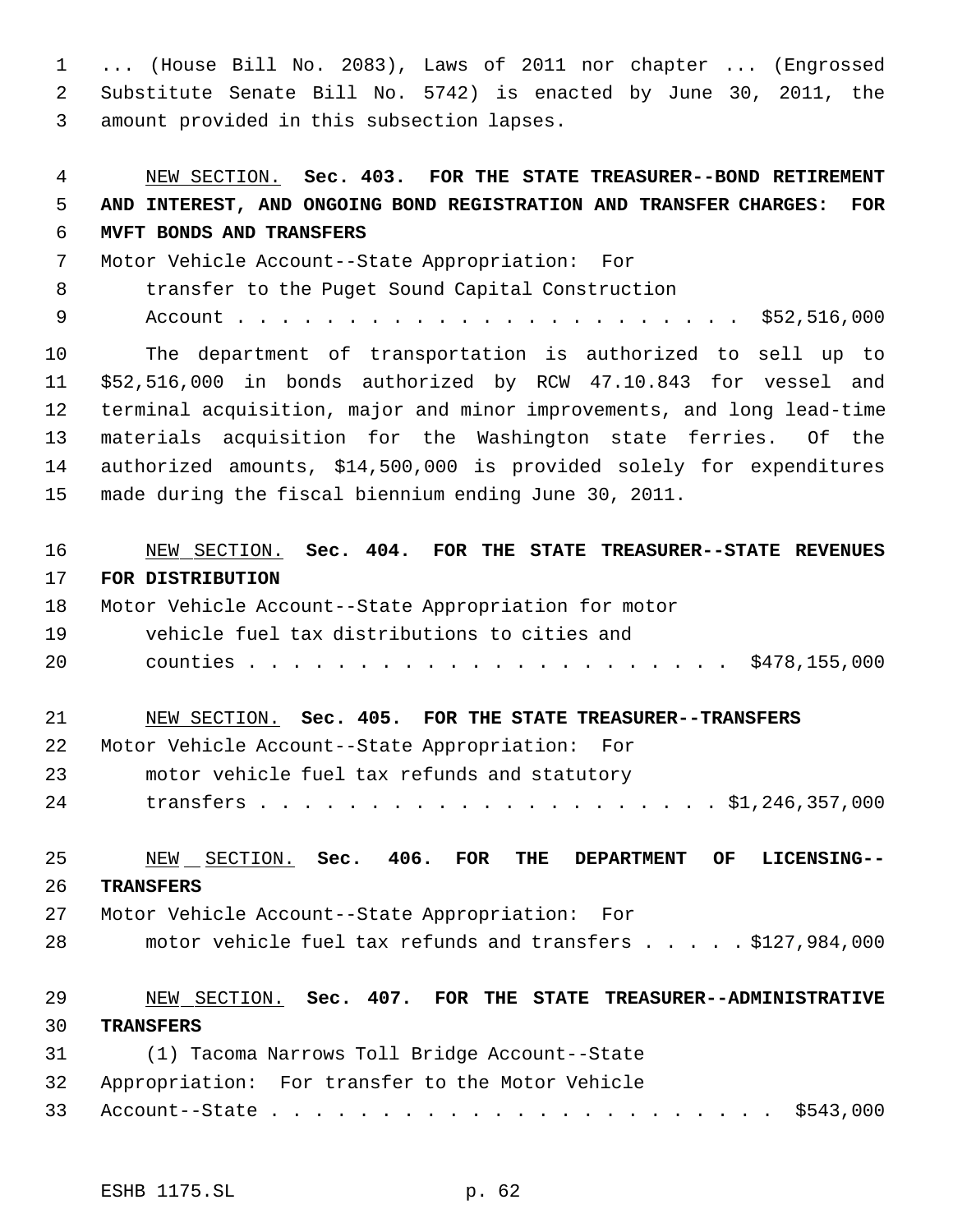... (House Bill No. 2083), Laws of 2011 nor chapter ... (Engrossed Substitute Senate Bill No. 5742) is enacted by June 30, 2011, the amount provided in this subsection lapses.

 NEW SECTION. **Sec. 403. FOR THE STATE TREASURER--BOND RETIREMENT AND INTEREST, AND ONGOING BOND REGISTRATION AND TRANSFER CHARGES: FOR MVFT BONDS AND TRANSFERS** Motor Vehicle Account--State Appropriation: For transfer to the Puget Sound Capital Construction Account . . . . . . . . . . . . . . . . . . . . . . . \$52,516,000 The department of transportation is authorized to sell up to \$52,516,000 in bonds authorized by RCW 47.10.843 for vessel and terminal acquisition, major and minor improvements, and long lead-time materials acquisition for the Washington state ferries. Of the authorized amounts, \$14,500,000 is provided solely for expenditures made during the fiscal biennium ending June 30, 2011. NEW SECTION. **Sec. 404. FOR THE STATE TREASURER--STATE REVENUES FOR DISTRIBUTION** Motor Vehicle Account--State Appropriation for motor vehicle fuel tax distributions to cities and counties . . . . . . . . . . . . . . . . . . . . . . \$478,155,000 NEW SECTION. **Sec. 405. FOR THE STATE TREASURER--TRANSFERS** Motor Vehicle Account--State Appropriation: For motor vehicle fuel tax refunds and statutory transfers . . . . . . . . . . . . . . . . . . . . . \$1,246,357,000 NEW SECTION. **Sec. 406. FOR THE DEPARTMENT OF LICENSING-- TRANSFERS** Motor Vehicle Account--State Appropriation: For motor vehicle fuel tax refunds and transfers . . . . . \$127,984,000 NEW SECTION. **Sec. 407. FOR THE STATE TREASURER--ADMINISTRATIVE TRANSFERS** (1) Tacoma Narrows Toll Bridge Account--State Appropriation: For transfer to the Motor Vehicle Account--State . . . . . . . . . . . . . . . . . . . . . . . \$543,000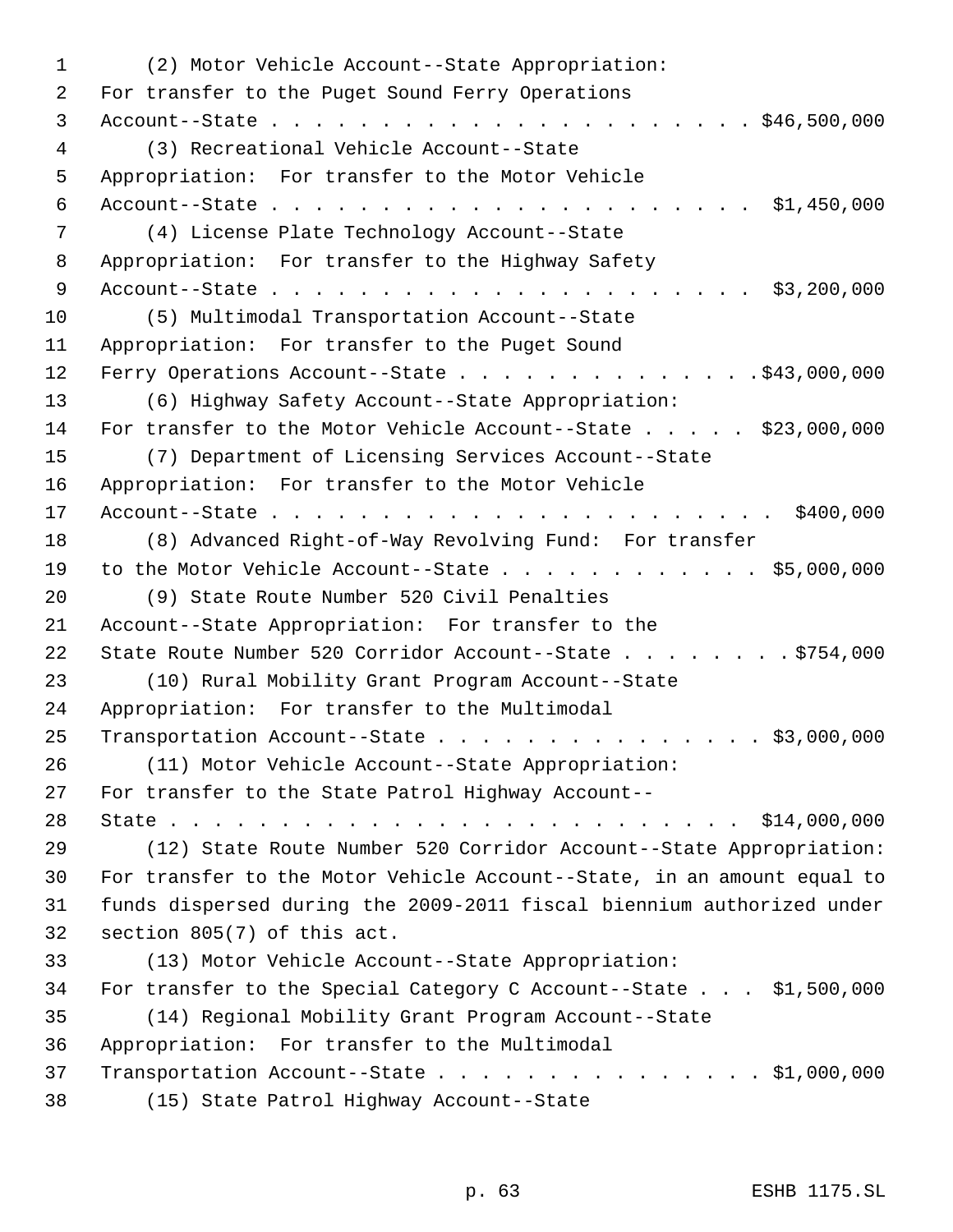(2) Motor Vehicle Account--State Appropriation: For transfer to the Puget Sound Ferry Operations Account--State . . . . . . . . . . . . . . . . . . . . . . \$46,500,000 (3) Recreational Vehicle Account--State Appropriation: For transfer to the Motor Vehicle Account--State . . . . . . . . . . . . . . . . . . . . . . \$1,450,000 (4) License Plate Technology Account--State Appropriation: For transfer to the Highway Safety Account--State . . . . . . . . . . . . . . . . . . . . . . \$3,200,000 (5) Multimodal Transportation Account--State Appropriation: For transfer to the Puget Sound 12 Ferry Operations Account--State . . . . . . . . . . . . . . \$43,000,000 (6) Highway Safety Account--State Appropriation: 14 For transfer to the Motor Vehicle Account--State . . . . \$23,000,000 (7) Department of Licensing Services Account--State Appropriation: For transfer to the Motor Vehicle Account--State . . . . . . . . . . . . . . . . . . . . . . . \$400,000 (8) Advanced Right-of-Way Revolving Fund: For transfer 19 to the Motor Vehicle Account--State . . . . . . . . . . . \$5,000,000 (9) State Route Number 520 Civil Penalties Account--State Appropriation: For transfer to the 22 State Route Number 520 Corridor Account--State . . . . . . . \$754,000 (10) Rural Mobility Grant Program Account--State Appropriation: For transfer to the Multimodal Transportation Account--State . . . . . . . . . . . . . . . \$3,000,000 (11) Motor Vehicle Account--State Appropriation: For transfer to the State Patrol Highway Account-- State . . . . . . . . . . . . . . . . . . . . . . . . . . \$14,000,000 (12) State Route Number 520 Corridor Account--State Appropriation: For transfer to the Motor Vehicle Account--State, in an amount equal to funds dispersed during the 2009-2011 fiscal biennium authorized under section 805(7) of this act. (13) Motor Vehicle Account--State Appropriation: For transfer to the Special Category C Account--State . . . \$1,500,000 (14) Regional Mobility Grant Program Account--State Appropriation: For transfer to the Multimodal Transportation Account--State . . . . . . . . . . . . . . . \$1,000,000 (15) State Patrol Highway Account--State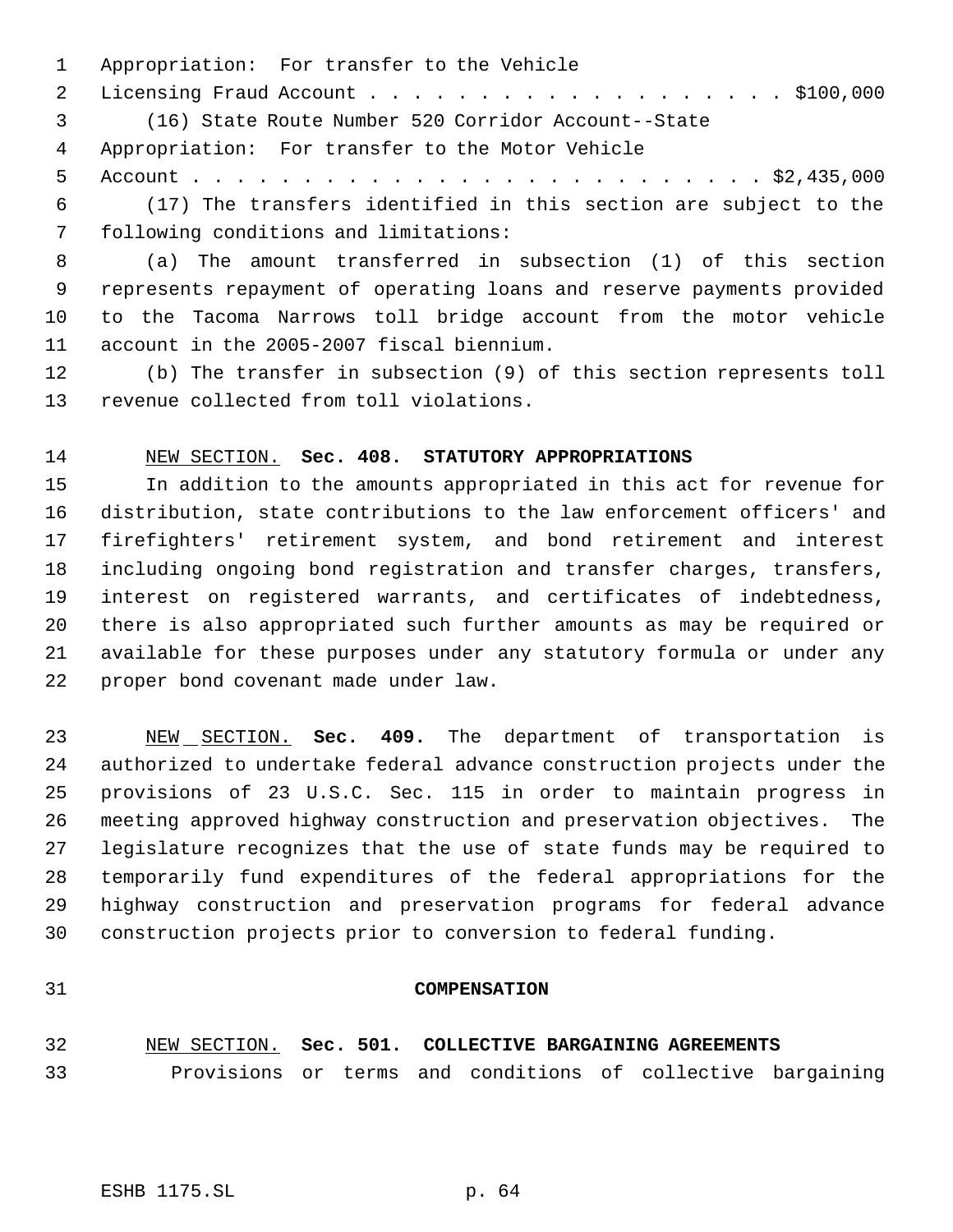Appropriation: For transfer to the Vehicle

 Licensing Fraud Account . . . . . . . . . . . . . . . . . . . \$100,000 (16) State Route Number 520 Corridor Account--State

Appropriation: For transfer to the Motor Vehicle

 Account . . . . . . . . . . . . . . . . . . . . . . . . . . \$2,435,000 (17) The transfers identified in this section are subject to the

following conditions and limitations:

 (a) The amount transferred in subsection (1) of this section represents repayment of operating loans and reserve payments provided to the Tacoma Narrows toll bridge account from the motor vehicle account in the 2005-2007 fiscal biennium.

 (b) The transfer in subsection (9) of this section represents toll revenue collected from toll violations.

#### NEW SECTION. **Sec. 408. STATUTORY APPROPRIATIONS**

 In addition to the amounts appropriated in this act for revenue for distribution, state contributions to the law enforcement officers' and firefighters' retirement system, and bond retirement and interest including ongoing bond registration and transfer charges, transfers, interest on registered warrants, and certificates of indebtedness, there is also appropriated such further amounts as may be required or available for these purposes under any statutory formula or under any proper bond covenant made under law.

 NEW SECTION. **Sec. 409.** The department of transportation is authorized to undertake federal advance construction projects under the provisions of 23 U.S.C. Sec. 115 in order to maintain progress in meeting approved highway construction and preservation objectives. The legislature recognizes that the use of state funds may be required to temporarily fund expenditures of the federal appropriations for the highway construction and preservation programs for federal advance construction projects prior to conversion to federal funding.

#### **COMPENSATION**

 NEW SECTION. **Sec. 501. COLLECTIVE BARGAINING AGREEMENTS** 33 Provisions or terms and conditions of collective bargaining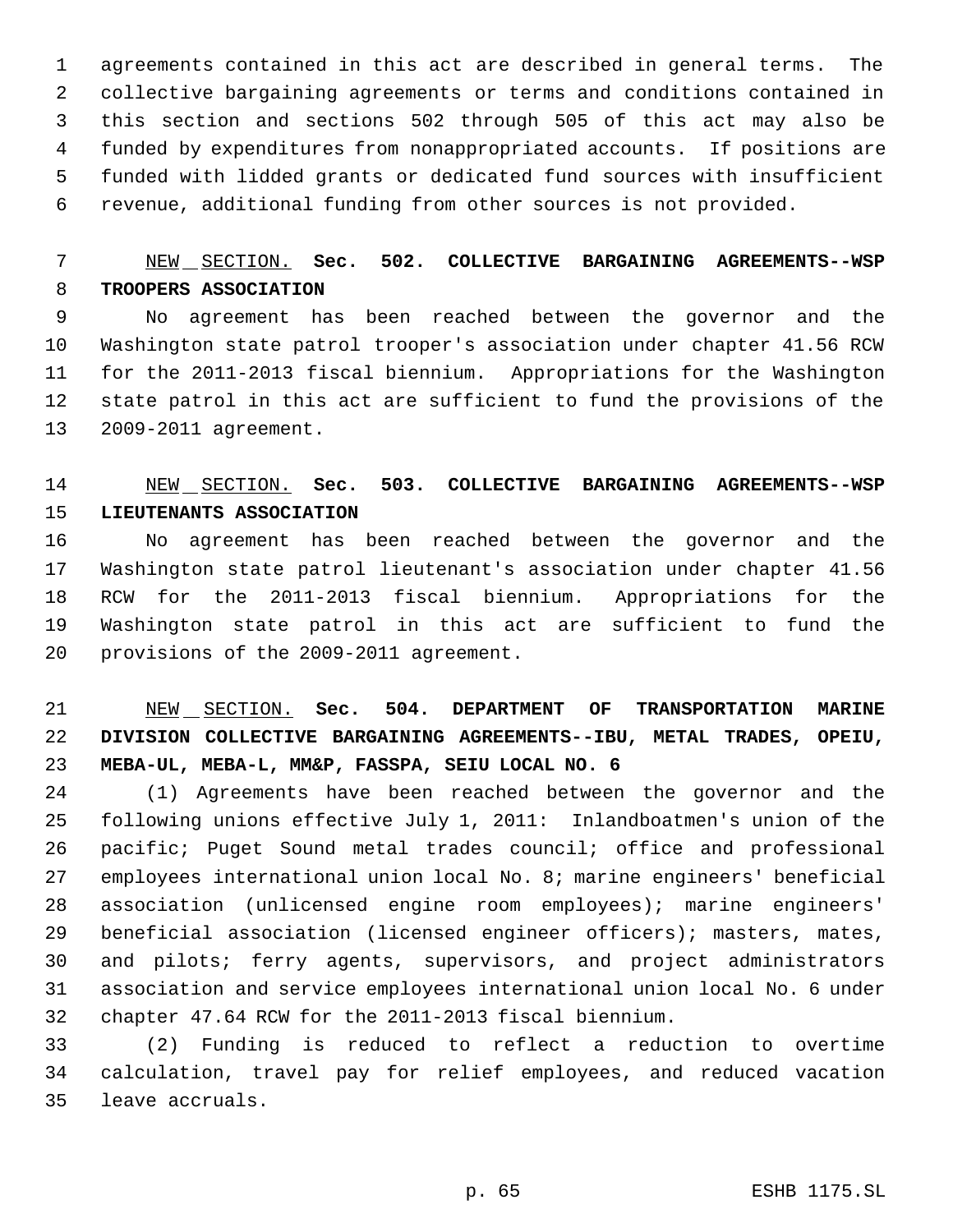agreements contained in this act are described in general terms. The collective bargaining agreements or terms and conditions contained in this section and sections 502 through 505 of this act may also be funded by expenditures from nonappropriated accounts. If positions are funded with lidded grants or dedicated fund sources with insufficient revenue, additional funding from other sources is not provided.

# NEW SECTION. **Sec. 502. COLLECTIVE BARGAINING AGREEMENTS--WSP TROOPERS ASSOCIATION**

 No agreement has been reached between the governor and the Washington state patrol trooper's association under chapter 41.56 RCW for the 2011-2013 fiscal biennium. Appropriations for the Washington state patrol in this act are sufficient to fund the provisions of the 2009-2011 agreement.

# NEW SECTION. **Sec. 503. COLLECTIVE BARGAINING AGREEMENTS--WSP LIEUTENANTS ASSOCIATION**

 No agreement has been reached between the governor and the Washington state patrol lieutenant's association under chapter 41.56 RCW for the 2011-2013 fiscal biennium. Appropriations for the Washington state patrol in this act are sufficient to fund the provisions of the 2009-2011 agreement.

# NEW SECTION. **Sec. 504. DEPARTMENT OF TRANSPORTATION MARINE DIVISION COLLECTIVE BARGAINING AGREEMENTS--IBU, METAL TRADES, OPEIU, MEBA-UL, MEBA-L, MM&P, FASSPA, SEIU LOCAL NO. 6**

 (1) Agreements have been reached between the governor and the following unions effective July 1, 2011: Inlandboatmen's union of the pacific; Puget Sound metal trades council; office and professional employees international union local No. 8; marine engineers' beneficial association (unlicensed engine room employees); marine engineers' beneficial association (licensed engineer officers); masters, mates, and pilots; ferry agents, supervisors, and project administrators association and service employees international union local No. 6 under chapter 47.64 RCW for the 2011-2013 fiscal biennium.

 (2) Funding is reduced to reflect a reduction to overtime calculation, travel pay for relief employees, and reduced vacation leave accruals.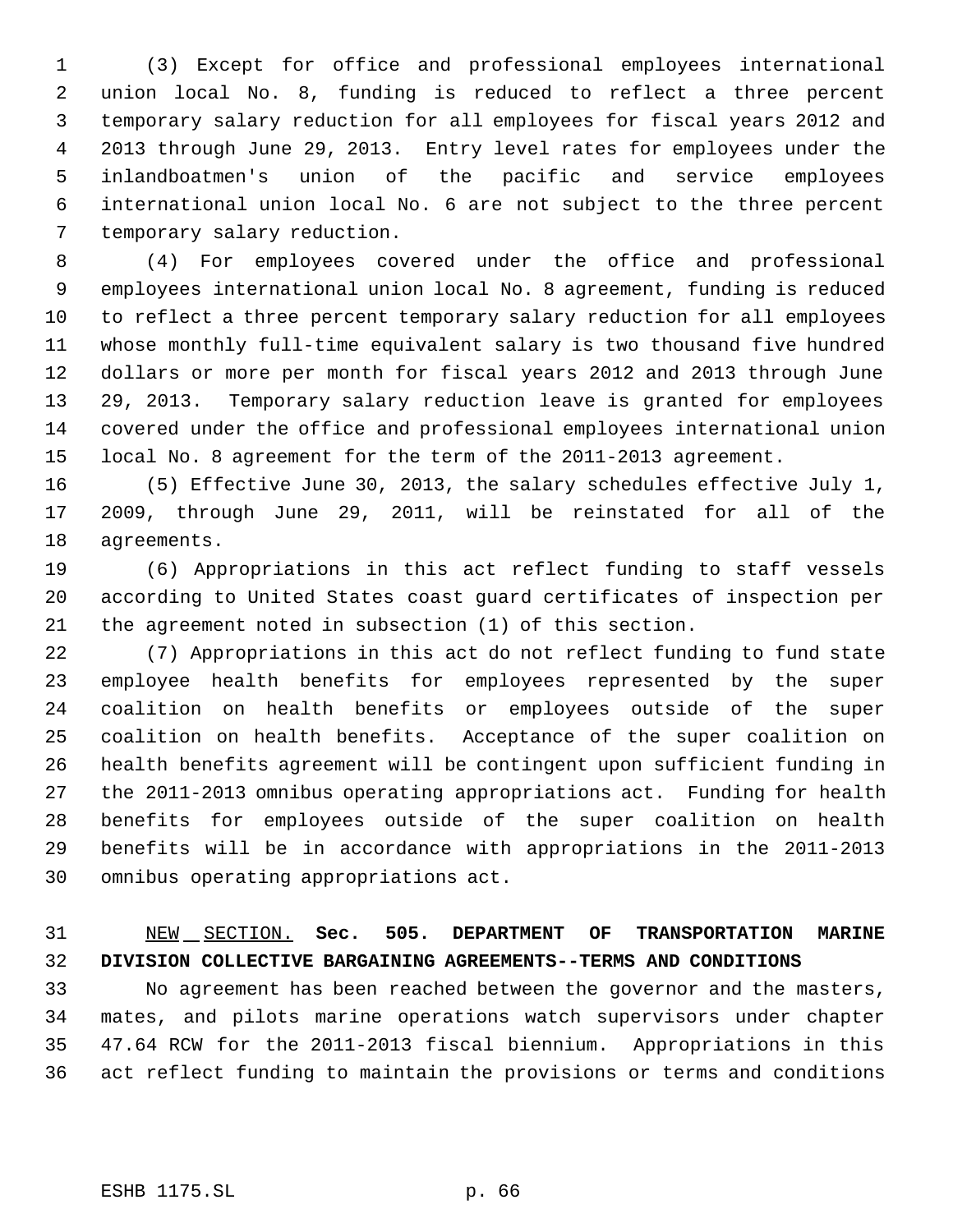(3) Except for office and professional employees international union local No. 8, funding is reduced to reflect a three percent temporary salary reduction for all employees for fiscal years 2012 and 2013 through June 29, 2013. Entry level rates for employees under the inlandboatmen's union of the pacific and service employees international union local No. 6 are not subject to the three percent temporary salary reduction.

 (4) For employees covered under the office and professional employees international union local No. 8 agreement, funding is reduced to reflect a three percent temporary salary reduction for all employees whose monthly full-time equivalent salary is two thousand five hundred dollars or more per month for fiscal years 2012 and 2013 through June 29, 2013. Temporary salary reduction leave is granted for employees covered under the office and professional employees international union local No. 8 agreement for the term of the 2011-2013 agreement.

 (5) Effective June 30, 2013, the salary schedules effective July 1, 2009, through June 29, 2011, will be reinstated for all of the agreements.

 (6) Appropriations in this act reflect funding to staff vessels according to United States coast guard certificates of inspection per the agreement noted in subsection (1) of this section.

 (7) Appropriations in this act do not reflect funding to fund state employee health benefits for employees represented by the super coalition on health benefits or employees outside of the super coalition on health benefits. Acceptance of the super coalition on health benefits agreement will be contingent upon sufficient funding in the 2011-2013 omnibus operating appropriations act. Funding for health benefits for employees outside of the super coalition on health benefits will be in accordance with appropriations in the 2011-2013 omnibus operating appropriations act.

# NEW SECTION. **Sec. 505. DEPARTMENT OF TRANSPORTATION MARINE DIVISION COLLECTIVE BARGAINING AGREEMENTS--TERMS AND CONDITIONS**

 No agreement has been reached between the governor and the masters, mates, and pilots marine operations watch supervisors under chapter 47.64 RCW for the 2011-2013 fiscal biennium. Appropriations in this act reflect funding to maintain the provisions or terms and conditions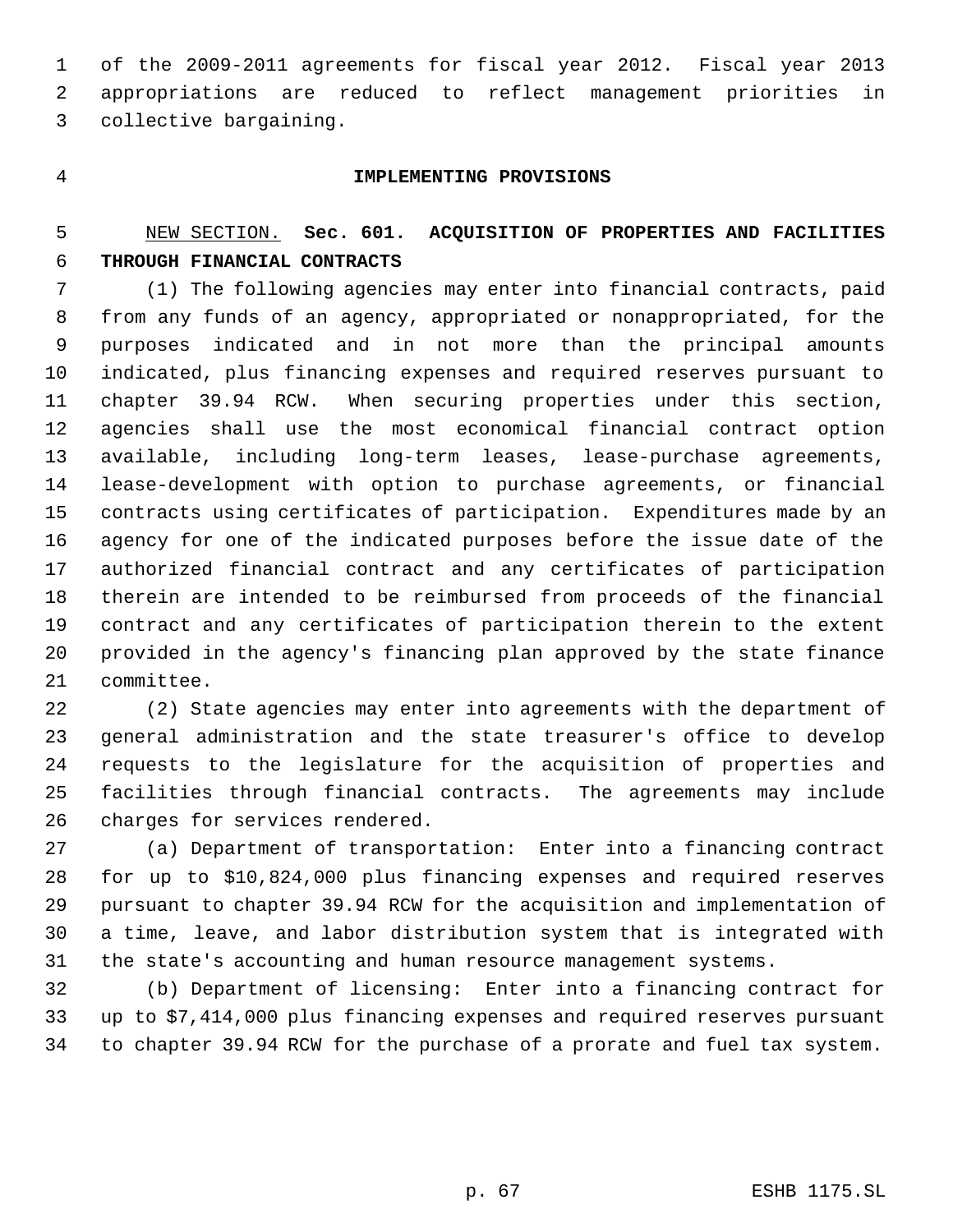of the 2009-2011 agreements for fiscal year 2012. Fiscal year 2013 appropriations are reduced to reflect management priorities in collective bargaining.

#### **IMPLEMENTING PROVISIONS**

# NEW SECTION. **Sec. 601. ACQUISITION OF PROPERTIES AND FACILITIES THROUGH FINANCIAL CONTRACTS**

 (1) The following agencies may enter into financial contracts, paid from any funds of an agency, appropriated or nonappropriated, for the purposes indicated and in not more than the principal amounts indicated, plus financing expenses and required reserves pursuant to chapter 39.94 RCW. When securing properties under this section, agencies shall use the most economical financial contract option available, including long-term leases, lease-purchase agreements, lease-development with option to purchase agreements, or financial contracts using certificates of participation. Expenditures made by an agency for one of the indicated purposes before the issue date of the authorized financial contract and any certificates of participation therein are intended to be reimbursed from proceeds of the financial contract and any certificates of participation therein to the extent provided in the agency's financing plan approved by the state finance committee.

 (2) State agencies may enter into agreements with the department of general administration and the state treasurer's office to develop requests to the legislature for the acquisition of properties and facilities through financial contracts. The agreements may include charges for services rendered.

 (a) Department of transportation: Enter into a financing contract for up to \$10,824,000 plus financing expenses and required reserves pursuant to chapter 39.94 RCW for the acquisition and implementation of a time, leave, and labor distribution system that is integrated with the state's accounting and human resource management systems.

 (b) Department of licensing: Enter into a financing contract for up to \$7,414,000 plus financing expenses and required reserves pursuant to chapter 39.94 RCW for the purchase of a prorate and fuel tax system.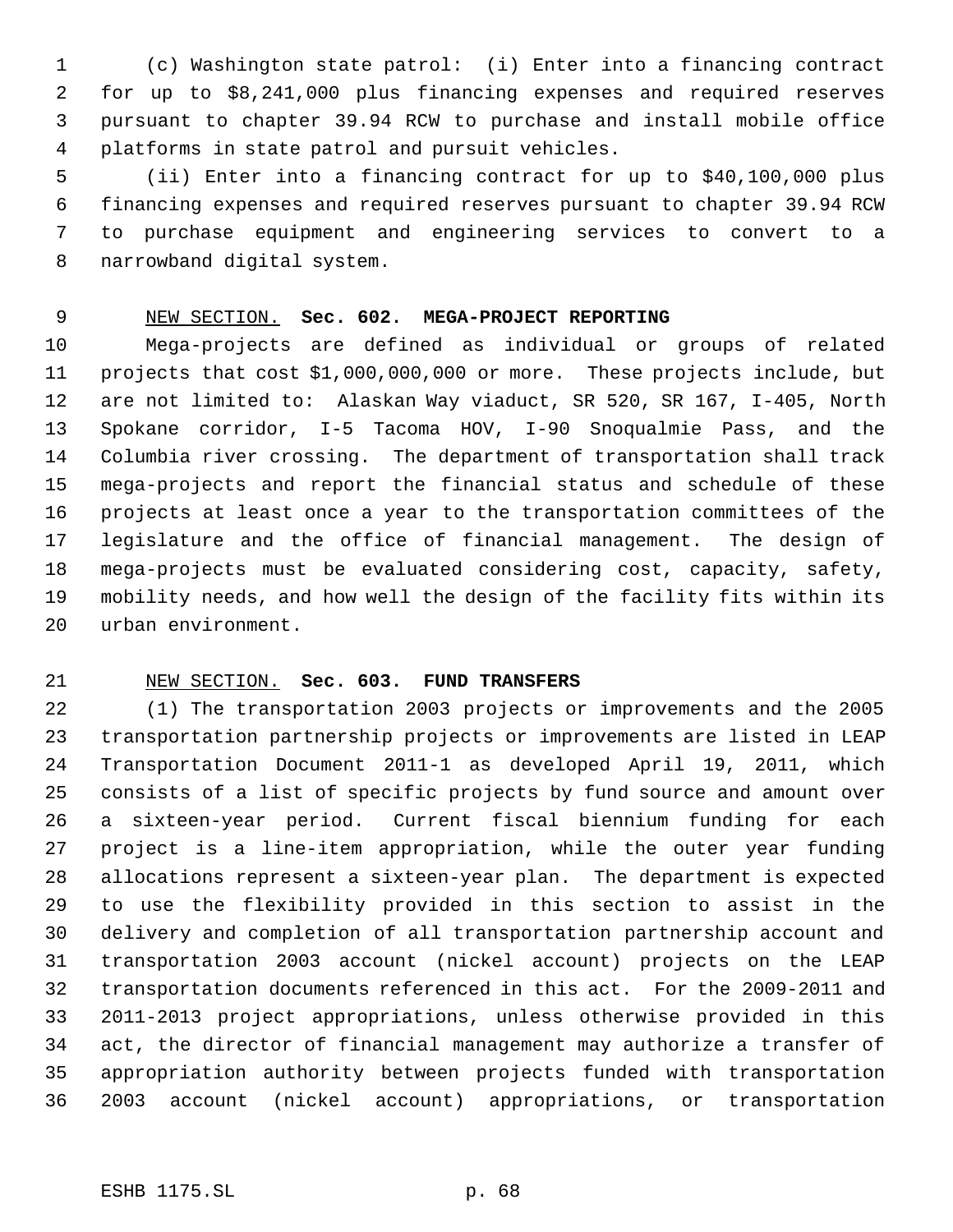(c) Washington state patrol: (i) Enter into a financing contract for up to \$8,241,000 plus financing expenses and required reserves pursuant to chapter 39.94 RCW to purchase and install mobile office platforms in state patrol and pursuit vehicles.

 (ii) Enter into a financing contract for up to \$40,100,000 plus financing expenses and required reserves pursuant to chapter 39.94 RCW to purchase equipment and engineering services to convert to a narrowband digital system.

#### NEW SECTION. **Sec. 602. MEGA-PROJECT REPORTING**

 Mega-projects are defined as individual or groups of related projects that cost \$1,000,000,000 or more. These projects include, but are not limited to: Alaskan Way viaduct, SR 520, SR 167, I-405, North Spokane corridor, I-5 Tacoma HOV, I-90 Snoqualmie Pass, and the Columbia river crossing. The department of transportation shall track mega-projects and report the financial status and schedule of these projects at least once a year to the transportation committees of the legislature and the office of financial management. The design of mega-projects must be evaluated considering cost, capacity, safety, mobility needs, and how well the design of the facility fits within its urban environment.

### NEW SECTION. **Sec. 603. FUND TRANSFERS**

 (1) The transportation 2003 projects or improvements and the 2005 transportation partnership projects or improvements are listed in LEAP Transportation Document 2011-1 as developed April 19, 2011, which consists of a list of specific projects by fund source and amount over a sixteen-year period. Current fiscal biennium funding for each project is a line-item appropriation, while the outer year funding allocations represent a sixteen-year plan. The department is expected to use the flexibility provided in this section to assist in the delivery and completion of all transportation partnership account and transportation 2003 account (nickel account) projects on the LEAP transportation documents referenced in this act. For the 2009-2011 and 2011-2013 project appropriations, unless otherwise provided in this act, the director of financial management may authorize a transfer of appropriation authority between projects funded with transportation 2003 account (nickel account) appropriations, or transportation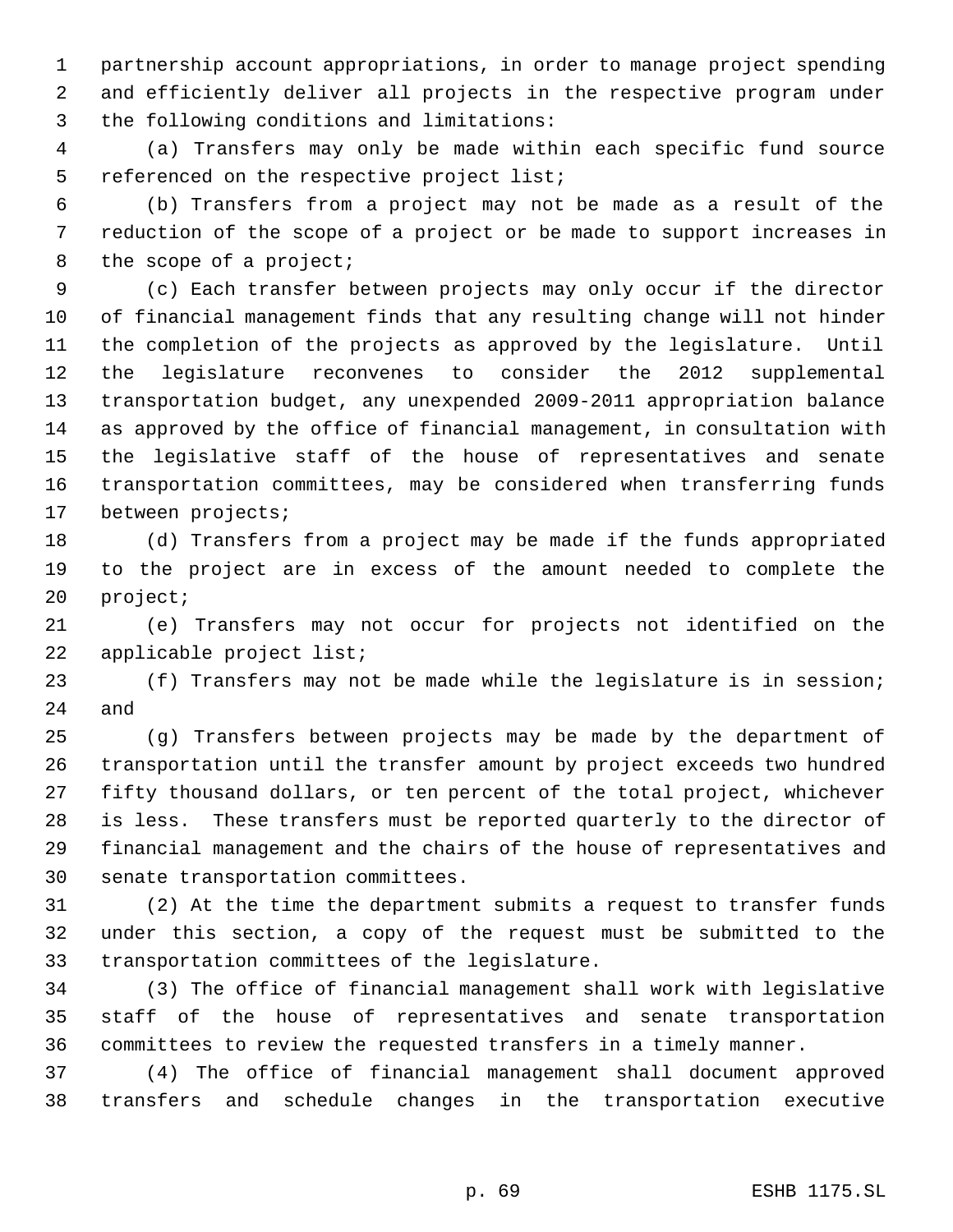partnership account appropriations, in order to manage project spending and efficiently deliver all projects in the respective program under the following conditions and limitations:

 (a) Transfers may only be made within each specific fund source 5 referenced on the respective project list;

 (b) Transfers from a project may not be made as a result of the reduction of the scope of a project or be made to support increases in 8 the scope of a project;

 (c) Each transfer between projects may only occur if the director of financial management finds that any resulting change will not hinder the completion of the projects as approved by the legislature. Until the legislature reconvenes to consider the 2012 supplemental transportation budget, any unexpended 2009-2011 appropriation balance as approved by the office of financial management, in consultation with the legislative staff of the house of representatives and senate transportation committees, may be considered when transferring funds between projects;

 (d) Transfers from a project may be made if the funds appropriated to the project are in excess of the amount needed to complete the project;

 (e) Transfers may not occur for projects not identified on the applicable project list;

 (f) Transfers may not be made while the legislature is in session; and

 (g) Transfers between projects may be made by the department of transportation until the transfer amount by project exceeds two hundred fifty thousand dollars, or ten percent of the total project, whichever is less. These transfers must be reported quarterly to the director of financial management and the chairs of the house of representatives and senate transportation committees.

 (2) At the time the department submits a request to transfer funds under this section, a copy of the request must be submitted to the transportation committees of the legislature.

 (3) The office of financial management shall work with legislative staff of the house of representatives and senate transportation committees to review the requested transfers in a timely manner.

 (4) The office of financial management shall document approved transfers and schedule changes in the transportation executive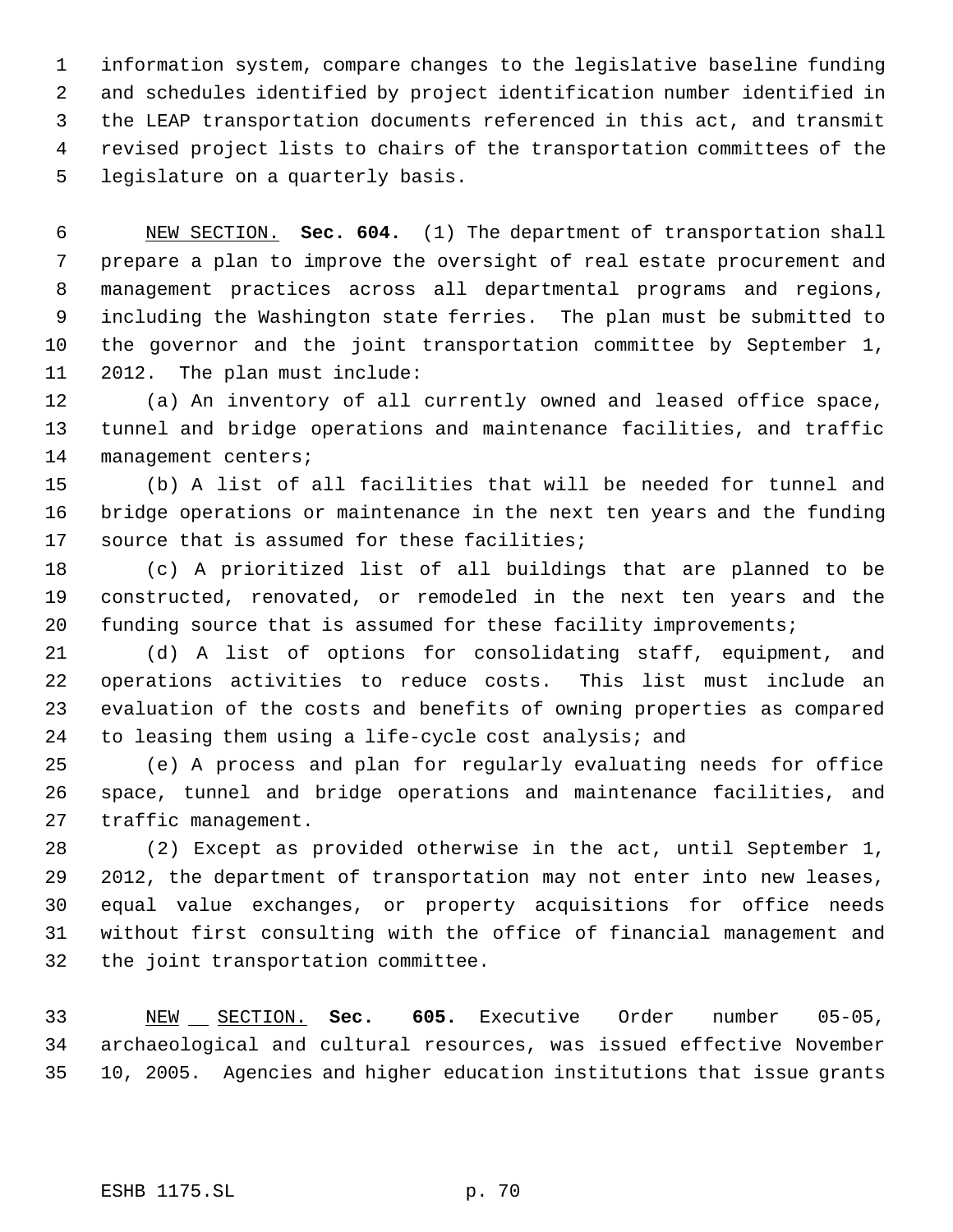information system, compare changes to the legislative baseline funding and schedules identified by project identification number identified in the LEAP transportation documents referenced in this act, and transmit revised project lists to chairs of the transportation committees of the legislature on a quarterly basis.

 NEW SECTION. **Sec. 604.** (1) The department of transportation shall prepare a plan to improve the oversight of real estate procurement and management practices across all departmental programs and regions, including the Washington state ferries. The plan must be submitted to the governor and the joint transportation committee by September 1, 2012. The plan must include:

 (a) An inventory of all currently owned and leased office space, tunnel and bridge operations and maintenance facilities, and traffic management centers;

 (b) A list of all facilities that will be needed for tunnel and bridge operations or maintenance in the next ten years and the funding source that is assumed for these facilities;

 (c) A prioritized list of all buildings that are planned to be constructed, renovated, or remodeled in the next ten years and the funding source that is assumed for these facility improvements;

 (d) A list of options for consolidating staff, equipment, and operations activities to reduce costs. This list must include an evaluation of the costs and benefits of owning properties as compared to leasing them using a life-cycle cost analysis; and

 (e) A process and plan for regularly evaluating needs for office space, tunnel and bridge operations and maintenance facilities, and traffic management.

 (2) Except as provided otherwise in the act, until September 1, 2012, the department of transportation may not enter into new leases, equal value exchanges, or property acquisitions for office needs without first consulting with the office of financial management and the joint transportation committee.

 NEW SECTION. **Sec. 605.** Executive Order number 05-05, archaeological and cultural resources, was issued effective November 10, 2005. Agencies and higher education institutions that issue grants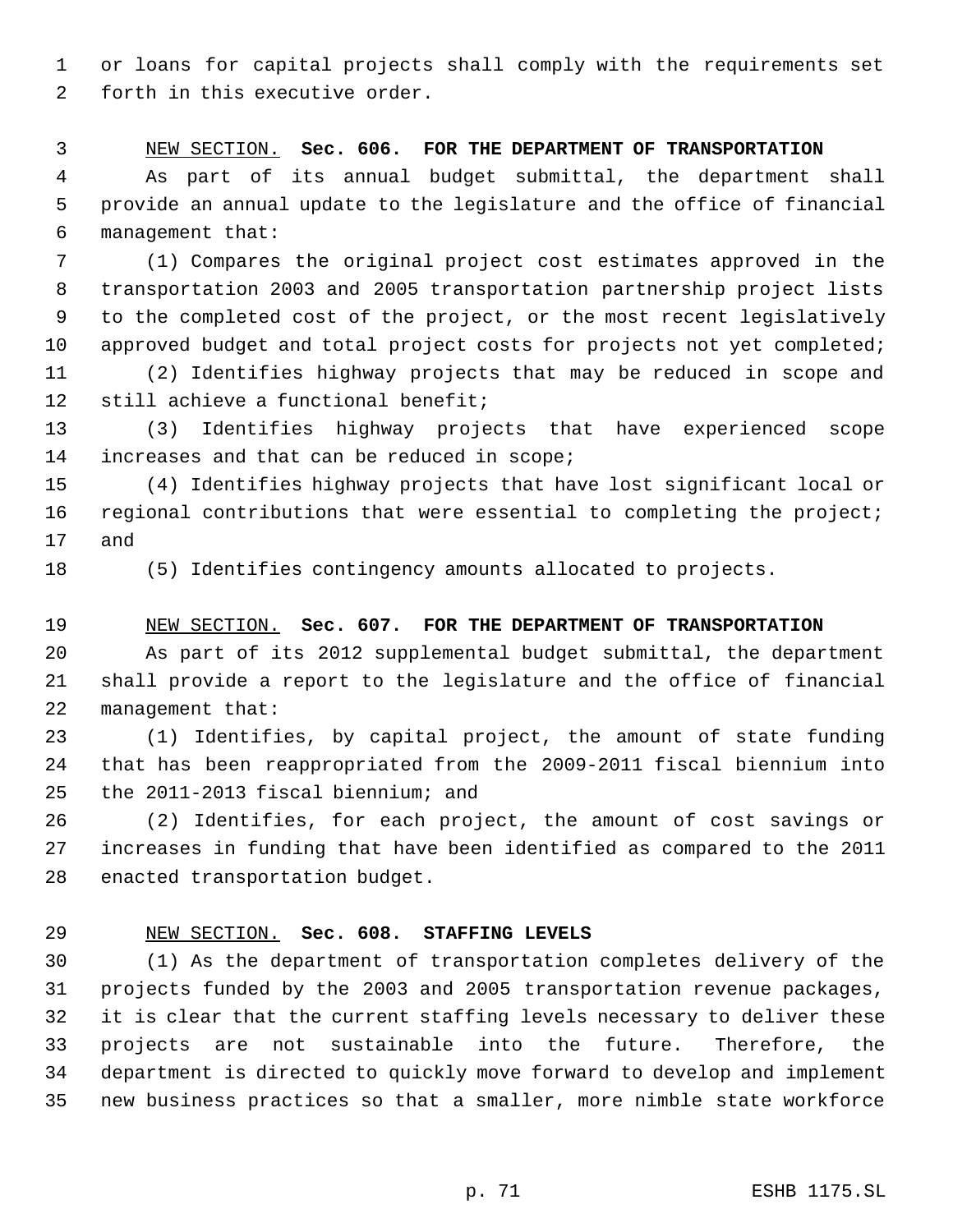or loans for capital projects shall comply with the requirements set forth in this executive order.

NEW SECTION. **Sec. 606. FOR THE DEPARTMENT OF TRANSPORTATION**

 As part of its annual budget submittal, the department shall provide an annual update to the legislature and the office of financial management that:

 (1) Compares the original project cost estimates approved in the transportation 2003 and 2005 transportation partnership project lists to the completed cost of the project, or the most recent legislatively 10 approved budget and total project costs for projects not yet completed;

 (2) Identifies highway projects that may be reduced in scope and still achieve a functional benefit;

 (3) Identifies highway projects that have experienced scope 14 increases and that can be reduced in scope;

 (4) Identifies highway projects that have lost significant local or 16 regional contributions that were essential to completing the project; and

(5) Identifies contingency amounts allocated to projects.

### NEW SECTION. **Sec. 607. FOR THE DEPARTMENT OF TRANSPORTATION**

 As part of its 2012 supplemental budget submittal, the department shall provide a report to the legislature and the office of financial management that:

 (1) Identifies, by capital project, the amount of state funding that has been reappropriated from the 2009-2011 fiscal biennium into the 2011-2013 fiscal biennium; and

 (2) Identifies, for each project, the amount of cost savings or increases in funding that have been identified as compared to the 2011 enacted transportation budget.

### NEW SECTION. **Sec. 608. STAFFING LEVELS**

 (1) As the department of transportation completes delivery of the projects funded by the 2003 and 2005 transportation revenue packages, it is clear that the current staffing levels necessary to deliver these projects are not sustainable into the future. Therefore, the department is directed to quickly move forward to develop and implement new business practices so that a smaller, more nimble state workforce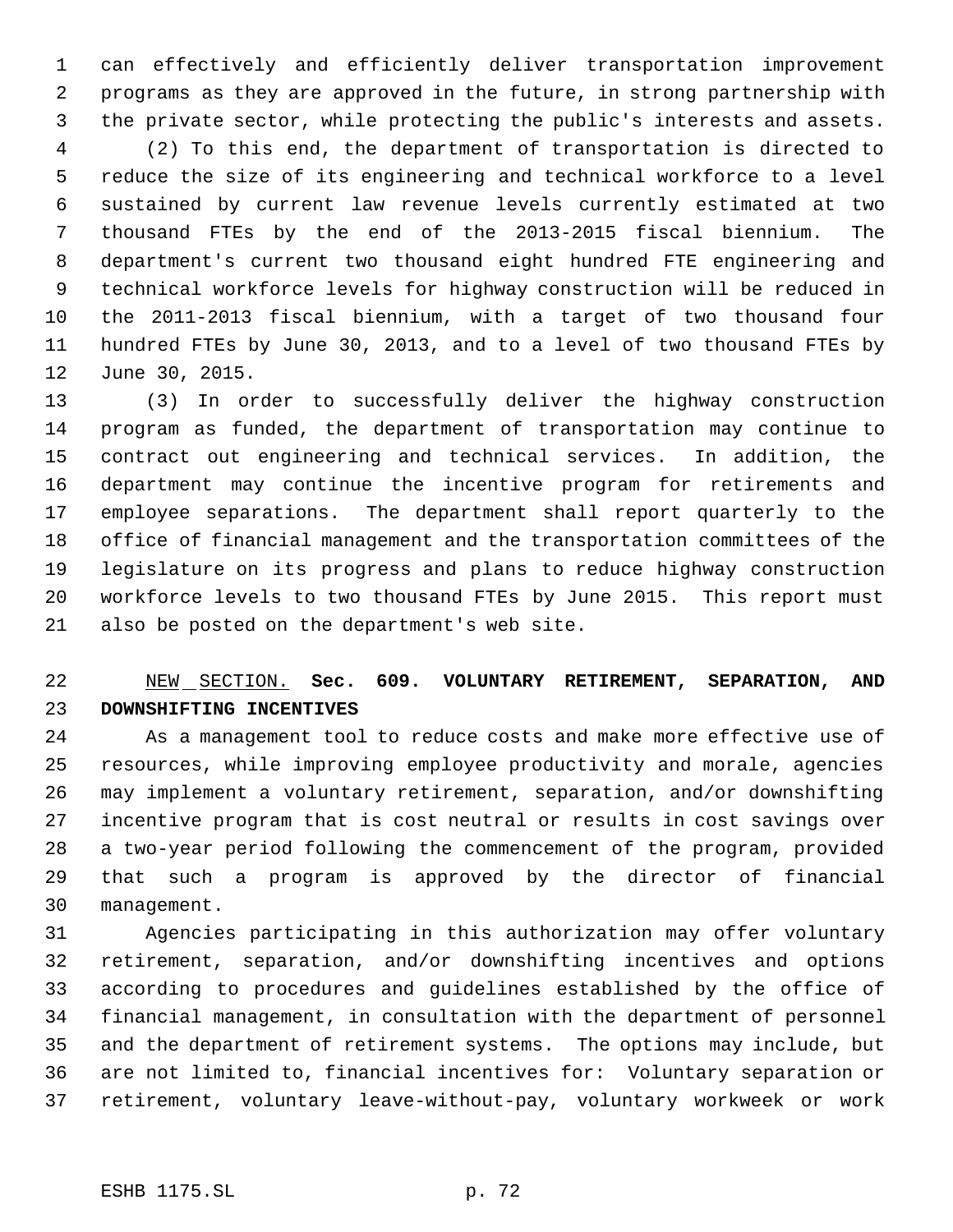can effectively and efficiently deliver transportation improvement programs as they are approved in the future, in strong partnership with the private sector, while protecting the public's interests and assets.

 (2) To this end, the department of transportation is directed to reduce the size of its engineering and technical workforce to a level sustained by current law revenue levels currently estimated at two thousand FTEs by the end of the 2013-2015 fiscal biennium. The department's current two thousand eight hundred FTE engineering and technical workforce levels for highway construction will be reduced in the 2011-2013 fiscal biennium, with a target of two thousand four hundred FTEs by June 30, 2013, and to a level of two thousand FTEs by June 30, 2015.

 (3) In order to successfully deliver the highway construction program as funded, the department of transportation may continue to contract out engineering and technical services. In addition, the department may continue the incentive program for retirements and employee separations. The department shall report quarterly to the office of financial management and the transportation committees of the legislature on its progress and plans to reduce highway construction workforce levels to two thousand FTEs by June 2015. This report must also be posted on the department's web site.

# NEW SECTION. **Sec. 609. VOLUNTARY RETIREMENT, SEPARATION, AND DOWNSHIFTING INCENTIVES**

 As a management tool to reduce costs and make more effective use of resources, while improving employee productivity and morale, agencies may implement a voluntary retirement, separation, and/or downshifting incentive program that is cost neutral or results in cost savings over a two-year period following the commencement of the program, provided that such a program is approved by the director of financial management.

 Agencies participating in this authorization may offer voluntary retirement, separation, and/or downshifting incentives and options according to procedures and guidelines established by the office of financial management, in consultation with the department of personnel and the department of retirement systems. The options may include, but are not limited to, financial incentives for: Voluntary separation or retirement, voluntary leave-without-pay, voluntary workweek or work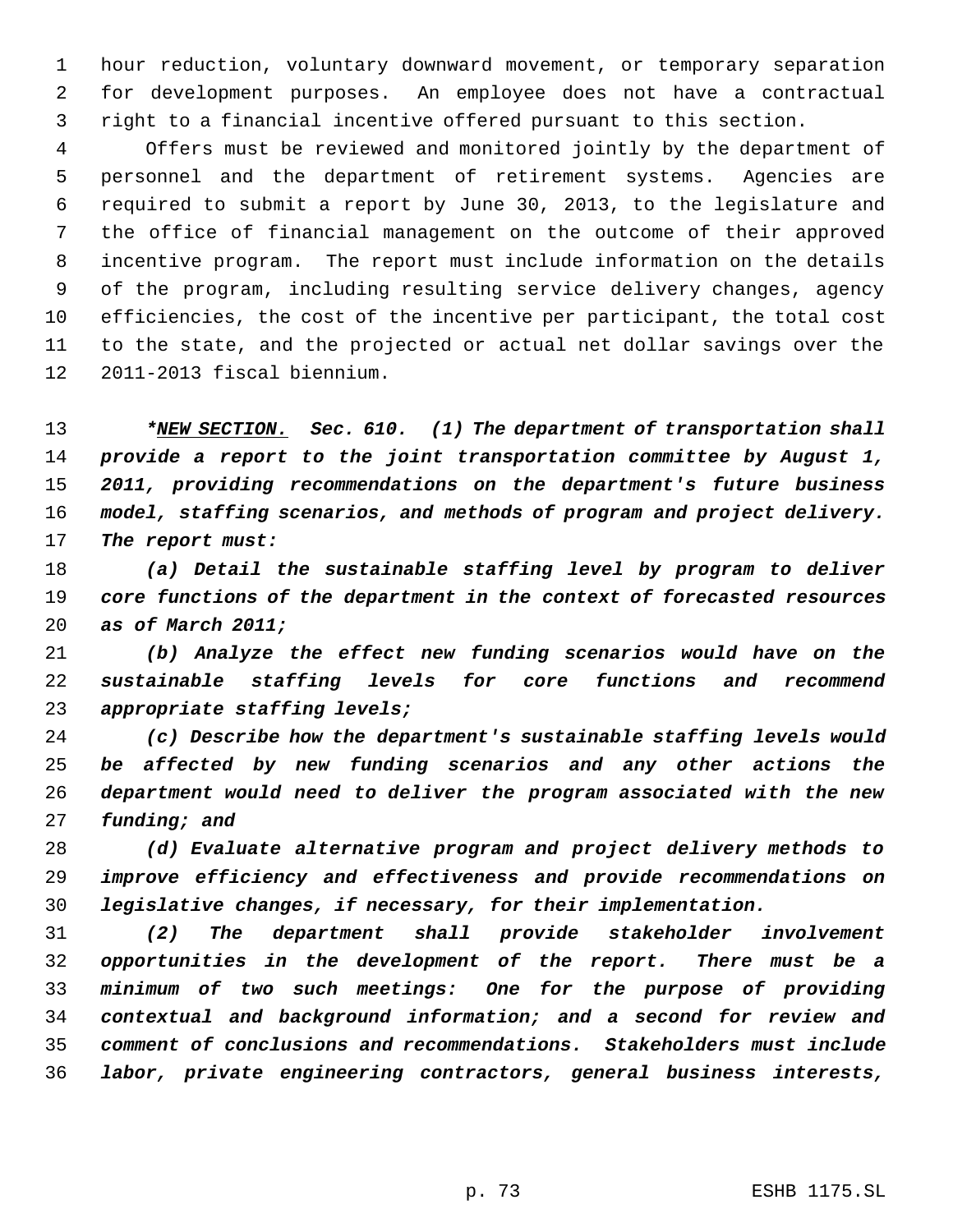hour reduction, voluntary downward movement, or temporary separation for development purposes. An employee does not have a contractual right to a financial incentive offered pursuant to this section.

 Offers must be reviewed and monitored jointly by the department of personnel and the department of retirement systems. Agencies are required to submit a report by June 30, 2013, to the legislature and the office of financial management on the outcome of their approved incentive program. The report must include information on the details of the program, including resulting service delivery changes, agency efficiencies, the cost of the incentive per participant, the total cost to the state, and the projected or actual net dollar savings over the 2011-2013 fiscal biennium.

 *\*NEW SECTION. Sec. 610. (1) The department of transportation shall provide a report to the joint transportation committee by August 1, 2011, providing recommendations on the department's future business model, staffing scenarios, and methods of program and project delivery. The report must:*

 *(a) Detail the sustainable staffing level by program to deliver core functions of the department in the context of forecasted resources as of March 2011;*

 *(b) Analyze the effect new funding scenarios would have on the sustainable staffing levels for core functions and recommend appropriate staffing levels;*

 *(c) Describe how the department's sustainable staffing levels would be affected by new funding scenarios and any other actions the department would need to deliver the program associated with the new funding; and*

 *(d) Evaluate alternative program and project delivery methods to improve efficiency and effectiveness and provide recommendations on legislative changes, if necessary, for their implementation.*

 *(2) The department shall provide stakeholder involvement opportunities in the development of the report. There must be a minimum of two such meetings: One for the purpose of providing contextual and background information; and a second for review and comment of conclusions and recommendations. Stakeholders must include labor, private engineering contractors, general business interests,*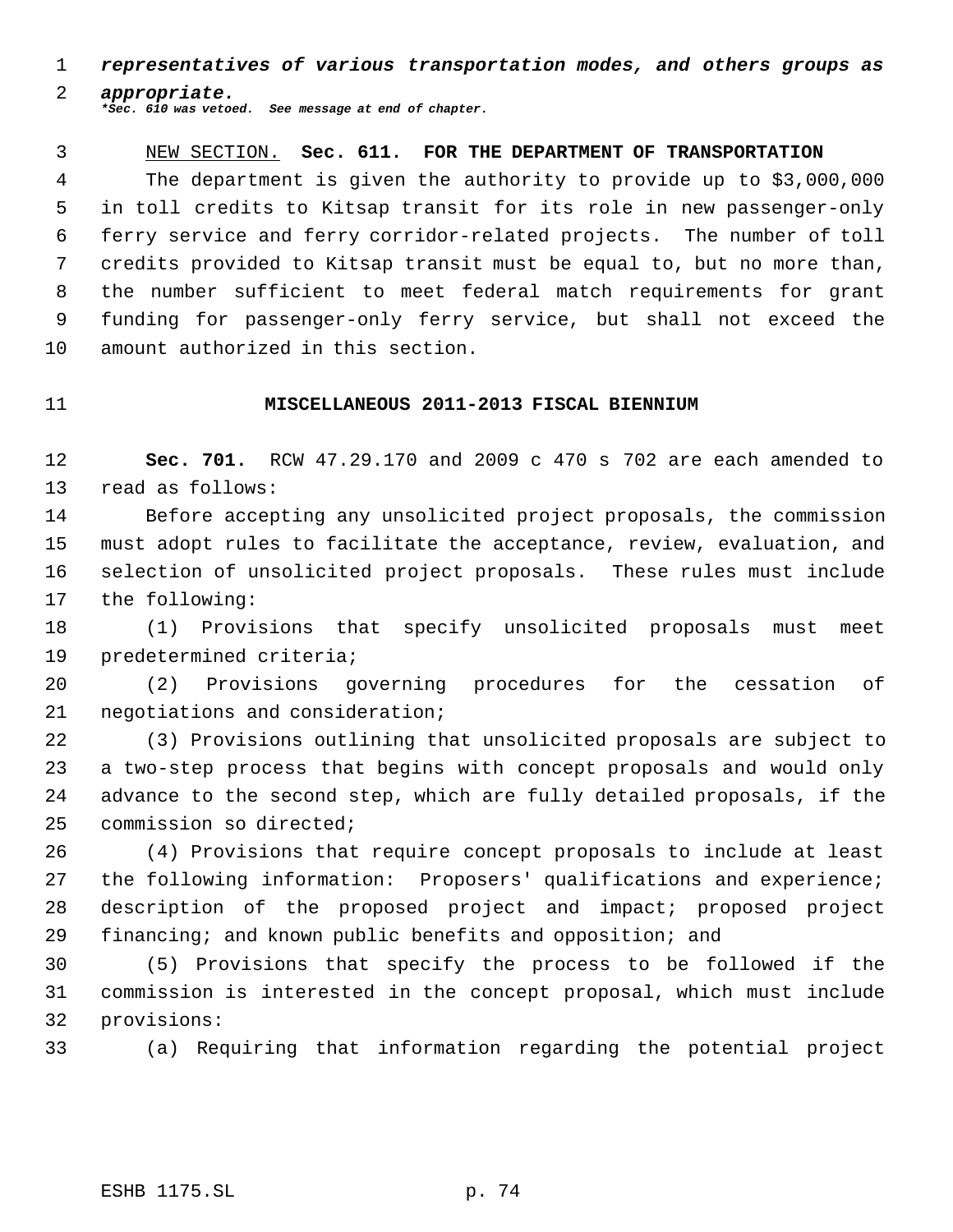*representatives of various transportation modes, and others groups as*

 *appropriate. \*Sec. 610 was vetoed. See message at end of chapter.*

 NEW SECTION. **Sec. 611. FOR THE DEPARTMENT OF TRANSPORTATION** The department is given the authority to provide up to \$3,000,000 in toll credits to Kitsap transit for its role in new passenger-only ferry service and ferry corridor-related projects. The number of toll credits provided to Kitsap transit must be equal to, but no more than, the number sufficient to meet federal match requirements for grant funding for passenger-only ferry service, but shall not exceed the amount authorized in this section.

## **MISCELLANEOUS 2011-2013 FISCAL BIENNIUM**

 **Sec. 701.** RCW 47.29.170 and 2009 c 470 s 702 are each amended to read as follows:

 Before accepting any unsolicited project proposals, the commission must adopt rules to facilitate the acceptance, review, evaluation, and selection of unsolicited project proposals. These rules must include the following:

 (1) Provisions that specify unsolicited proposals must meet predetermined criteria;

 (2) Provisions governing procedures for the cessation of negotiations and consideration;

 (3) Provisions outlining that unsolicited proposals are subject to a two-step process that begins with concept proposals and would only advance to the second step, which are fully detailed proposals, if the commission so directed;

 (4) Provisions that require concept proposals to include at least the following information: Proposers' qualifications and experience; description of the proposed project and impact; proposed project financing; and known public benefits and opposition; and

 (5) Provisions that specify the process to be followed if the commission is interested in the concept proposal, which must include provisions:

(a) Requiring that information regarding the potential project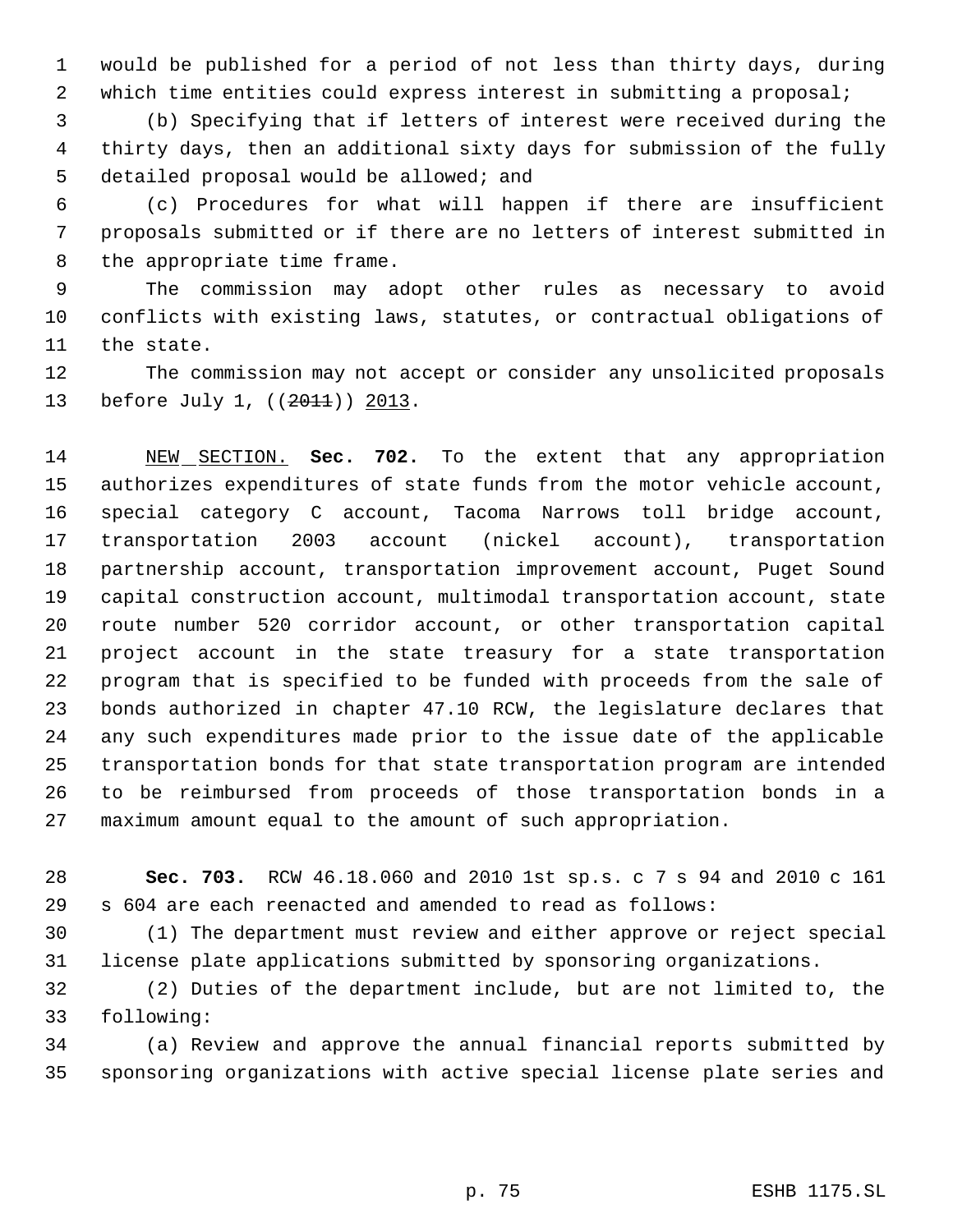would be published for a period of not less than thirty days, during which time entities could express interest in submitting a proposal;

 (b) Specifying that if letters of interest were received during the thirty days, then an additional sixty days for submission of the fully detailed proposal would be allowed; and

 (c) Procedures for what will happen if there are insufficient proposals submitted or if there are no letters of interest submitted in the appropriate time frame.

 The commission may adopt other rules as necessary to avoid conflicts with existing laws, statutes, or contractual obligations of the state.

 The commission may not accept or consider any unsolicited proposals 13 before July 1, ((2011)) 2013.

 NEW SECTION. **Sec. 702.** To the extent that any appropriation authorizes expenditures of state funds from the motor vehicle account, special category C account, Tacoma Narrows toll bridge account, transportation 2003 account (nickel account), transportation partnership account, transportation improvement account, Puget Sound capital construction account, multimodal transportation account, state route number 520 corridor account, or other transportation capital project account in the state treasury for a state transportation program that is specified to be funded with proceeds from the sale of bonds authorized in chapter 47.10 RCW, the legislature declares that any such expenditures made prior to the issue date of the applicable transportation bonds for that state transportation program are intended to be reimbursed from proceeds of those transportation bonds in a maximum amount equal to the amount of such appropriation.

 **Sec. 703.** RCW 46.18.060 and 2010 1st sp.s. c 7 s 94 and 2010 c 161 s 604 are each reenacted and amended to read as follows:

 (1) The department must review and either approve or reject special license plate applications submitted by sponsoring organizations.

 (2) Duties of the department include, but are not limited to, the following:

 (a) Review and approve the annual financial reports submitted by sponsoring organizations with active special license plate series and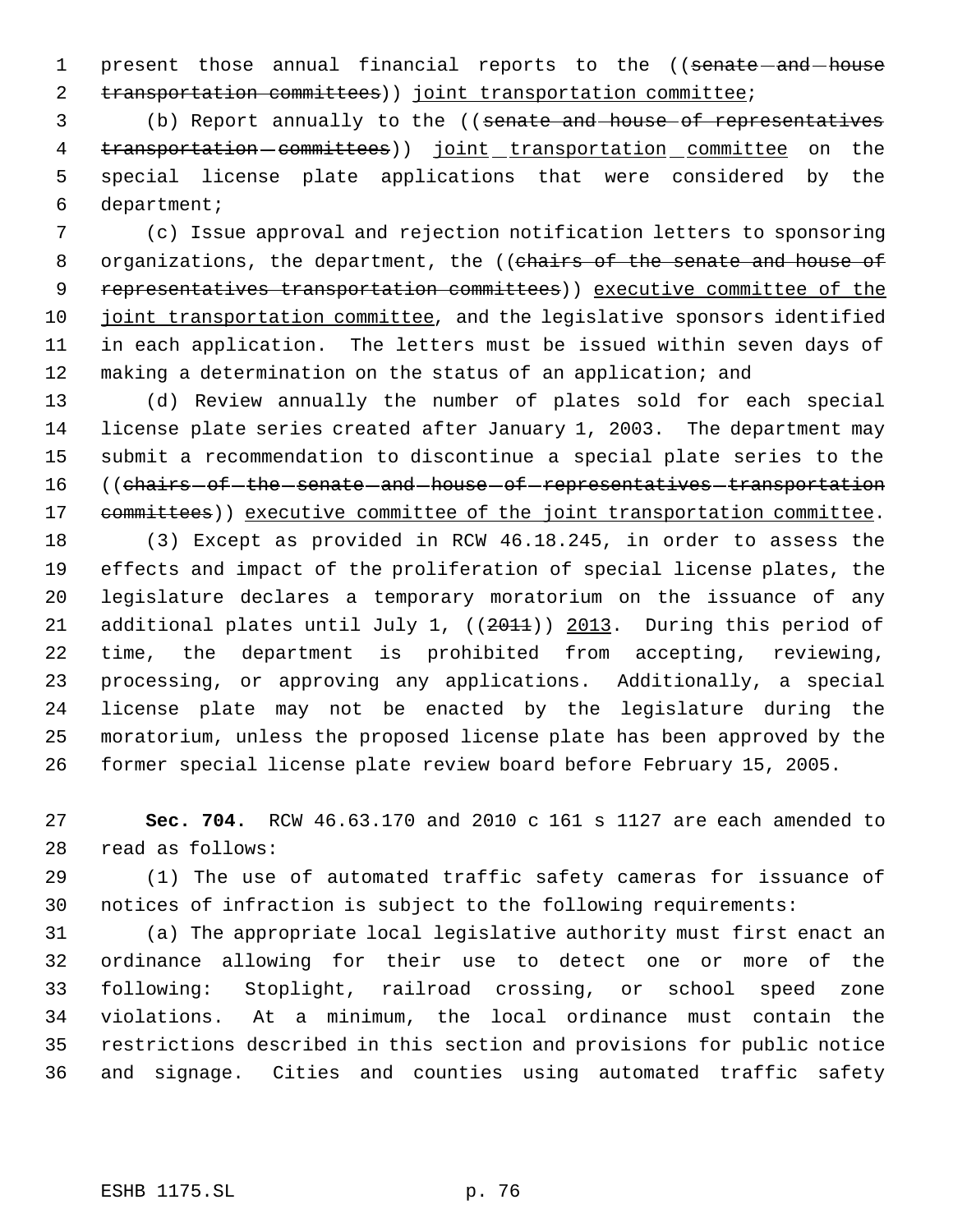1 present those annual financial reports to the ((senate and house transportation committees)) joint transportation committee;

 (b) Report annually to the ((senate and house of representatives 4 transportation-committees)) joint transportation committee on the special license plate applications that were considered by the department;

 (c) Issue approval and rejection notification letters to sponsoring 8 organizations, the department, the ((chairs of the senate and house of 9 representatives transportation committees)) executive committee of the 10 joint transportation committee, and the legislative sponsors identified in each application. The letters must be issued within seven days of making a determination on the status of an application; and

 (d) Review annually the number of plates sold for each special license plate series created after January 1, 2003. The department may submit a recommendation to discontinue a special plate series to the 16 ((chairs-of-the-senate-and-house-of-representatives-transportation 17 committees)) executive committee of the joint transportation committee.

 (3) Except as provided in RCW 46.18.245, in order to assess the effects and impact of the proliferation of special license plates, the legislature declares a temporary moratorium on the issuance of any 21 additional plates until July 1, ((2011)) 2013. During this period of time, the department is prohibited from accepting, reviewing, processing, or approving any applications. Additionally, a special license plate may not be enacted by the legislature during the moratorium, unless the proposed license plate has been approved by the former special license plate review board before February 15, 2005.

 **Sec. 704.** RCW 46.63.170 and 2010 c 161 s 1127 are each amended to read as follows:

 (1) The use of automated traffic safety cameras for issuance of notices of infraction is subject to the following requirements:

 (a) The appropriate local legislative authority must first enact an ordinance allowing for their use to detect one or more of the following: Stoplight, railroad crossing, or school speed zone violations. At a minimum, the local ordinance must contain the restrictions described in this section and provisions for public notice and signage. Cities and counties using automated traffic safety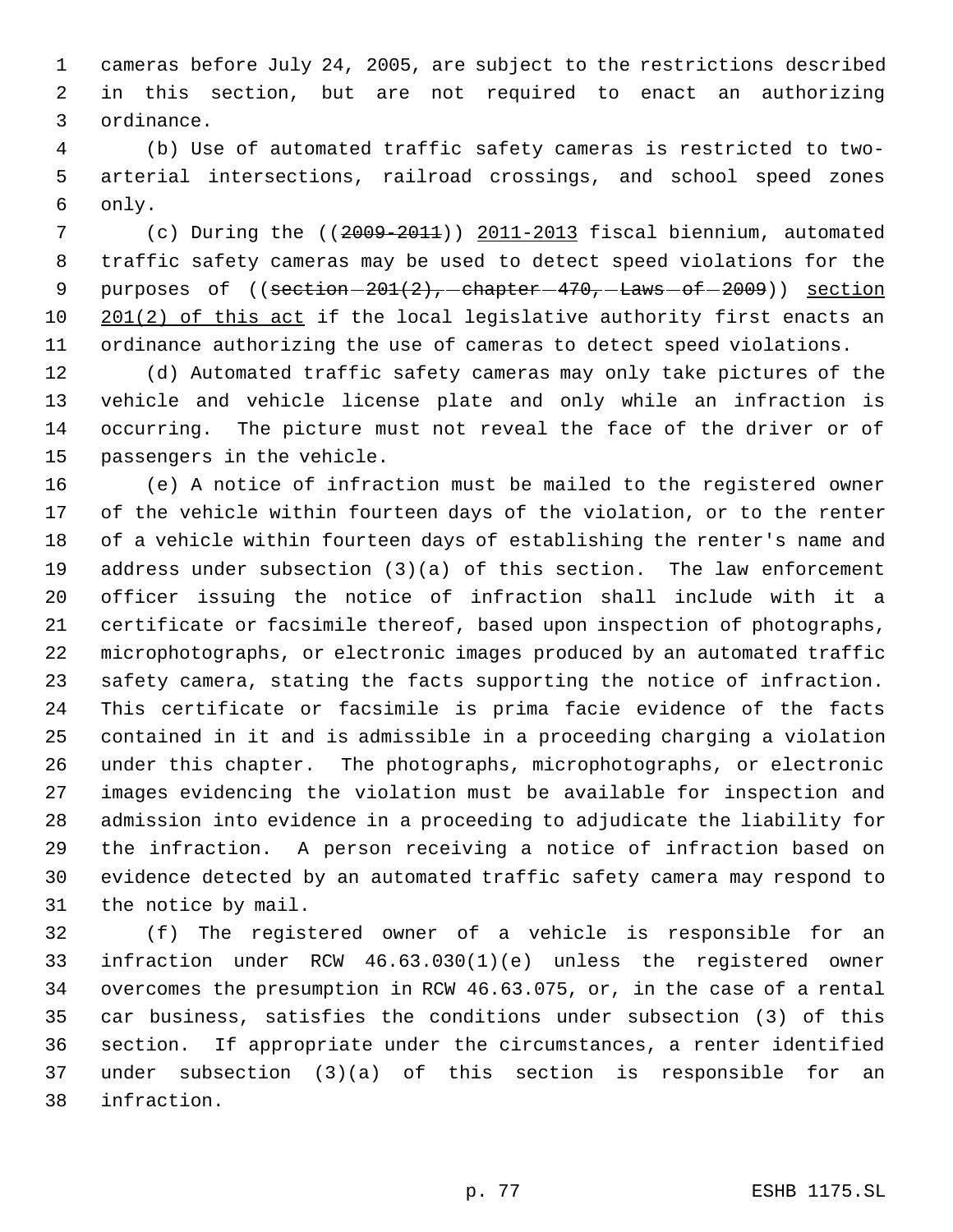cameras before July 24, 2005, are subject to the restrictions described in this section, but are not required to enact an authorizing ordinance.

 (b) Use of automated traffic safety cameras is restricted to two- arterial intersections, railroad crossings, and school speed zones only.

 (c) During the ((2009-2011)) 2011-2013 fiscal biennium, automated traffic safety cameras may be used to detect speed violations for the 9 purposes of ((section-201(2), chapter 470, Laws of 2009)) section 201(2) of this act if the local legislative authority first enacts an ordinance authorizing the use of cameras to detect speed violations.

 (d) Automated traffic safety cameras may only take pictures of the vehicle and vehicle license plate and only while an infraction is occurring. The picture must not reveal the face of the driver or of passengers in the vehicle.

 (e) A notice of infraction must be mailed to the registered owner of the vehicle within fourteen days of the violation, or to the renter of a vehicle within fourteen days of establishing the renter's name and address under subsection (3)(a) of this section. The law enforcement officer issuing the notice of infraction shall include with it a certificate or facsimile thereof, based upon inspection of photographs, microphotographs, or electronic images produced by an automated traffic safety camera, stating the facts supporting the notice of infraction. This certificate or facsimile is prima facie evidence of the facts contained in it and is admissible in a proceeding charging a violation under this chapter. The photographs, microphotographs, or electronic images evidencing the violation must be available for inspection and admission into evidence in a proceeding to adjudicate the liability for the infraction. A person receiving a notice of infraction based on evidence detected by an automated traffic safety camera may respond to the notice by mail.

 (f) The registered owner of a vehicle is responsible for an infraction under RCW 46.63.030(1)(e) unless the registered owner overcomes the presumption in RCW 46.63.075, or, in the case of a rental car business, satisfies the conditions under subsection (3) of this section. If appropriate under the circumstances, a renter identified under subsection (3)(a) of this section is responsible for an infraction.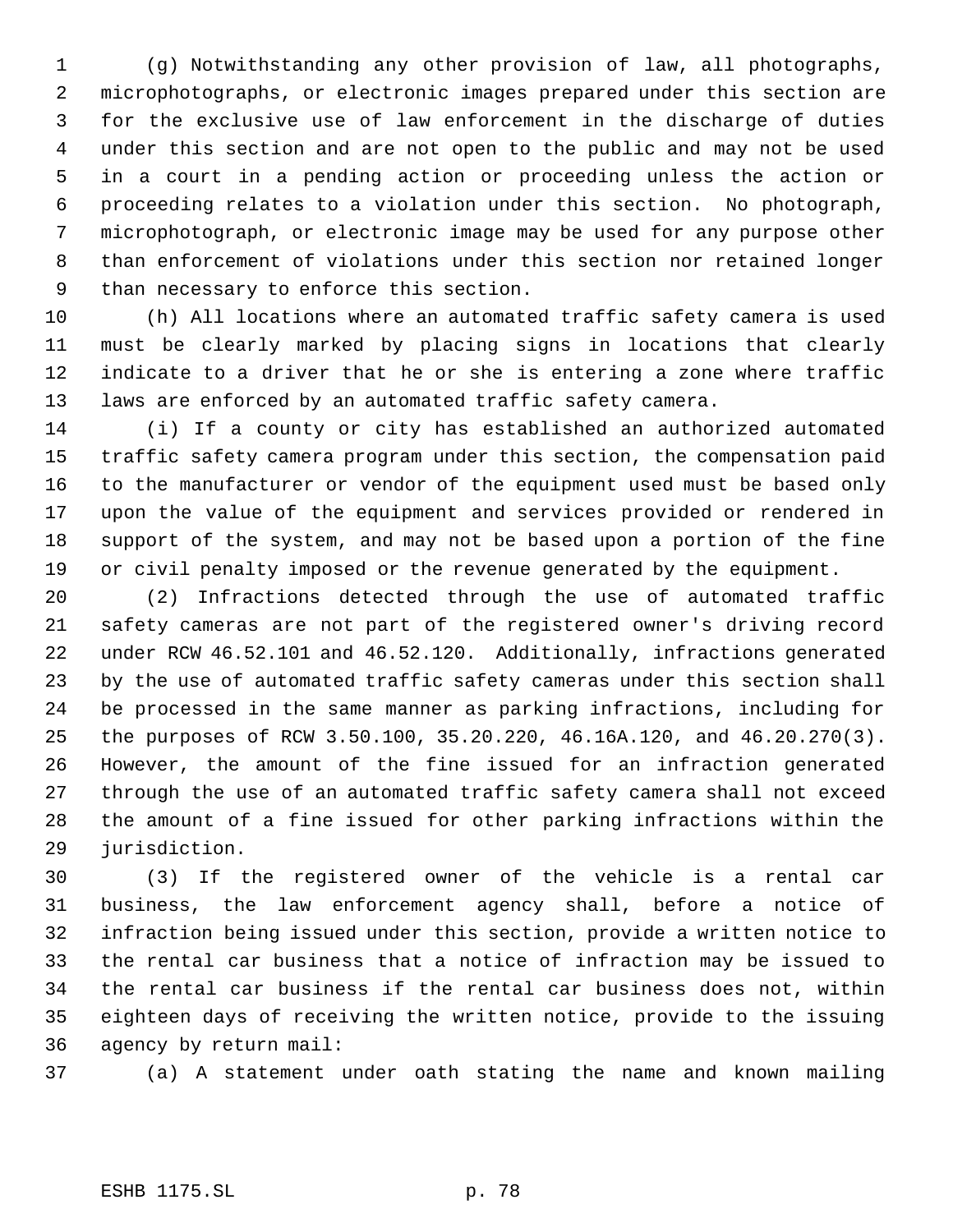(g) Notwithstanding any other provision of law, all photographs, microphotographs, or electronic images prepared under this section are for the exclusive use of law enforcement in the discharge of duties under this section and are not open to the public and may not be used in a court in a pending action or proceeding unless the action or proceeding relates to a violation under this section. No photograph, microphotograph, or electronic image may be used for any purpose other than enforcement of violations under this section nor retained longer than necessary to enforce this section.

 (h) All locations where an automated traffic safety camera is used must be clearly marked by placing signs in locations that clearly indicate to a driver that he or she is entering a zone where traffic laws are enforced by an automated traffic safety camera.

 (i) If a county or city has established an authorized automated traffic safety camera program under this section, the compensation paid to the manufacturer or vendor of the equipment used must be based only upon the value of the equipment and services provided or rendered in support of the system, and may not be based upon a portion of the fine or civil penalty imposed or the revenue generated by the equipment.

 (2) Infractions detected through the use of automated traffic safety cameras are not part of the registered owner's driving record under RCW 46.52.101 and 46.52.120. Additionally, infractions generated by the use of automated traffic safety cameras under this section shall be processed in the same manner as parking infractions, including for the purposes of RCW 3.50.100, 35.20.220, 46.16A.120, and 46.20.270(3). However, the amount of the fine issued for an infraction generated through the use of an automated traffic safety camera shall not exceed the amount of a fine issued for other parking infractions within the jurisdiction.

 (3) If the registered owner of the vehicle is a rental car business, the law enforcement agency shall, before a notice of infraction being issued under this section, provide a written notice to the rental car business that a notice of infraction may be issued to the rental car business if the rental car business does not, within eighteen days of receiving the written notice, provide to the issuing agency by return mail:

(a) A statement under oath stating the name and known mailing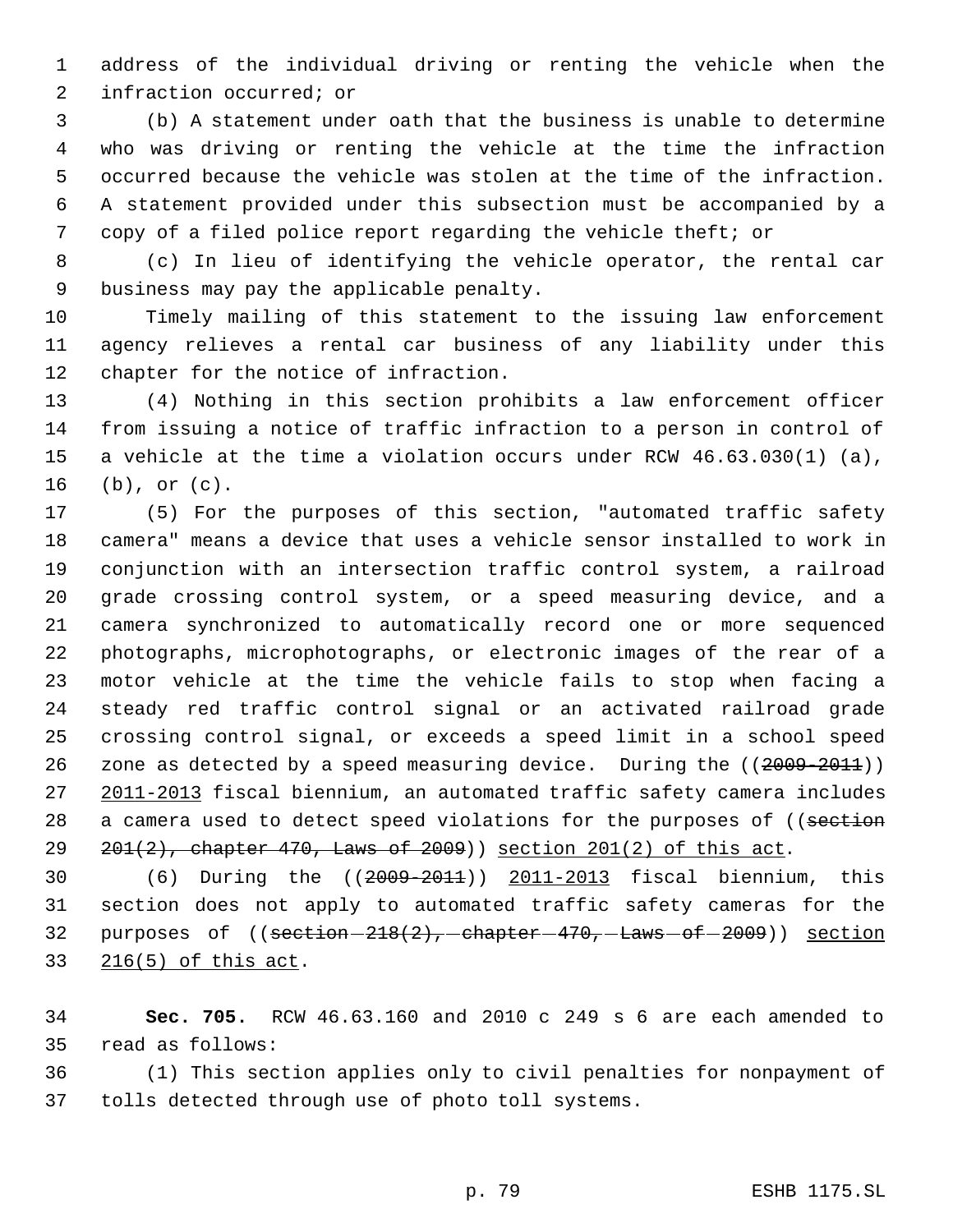address of the individual driving or renting the vehicle when the infraction occurred; or

 (b) A statement under oath that the business is unable to determine who was driving or renting the vehicle at the time the infraction occurred because the vehicle was stolen at the time of the infraction. A statement provided under this subsection must be accompanied by a copy of a filed police report regarding the vehicle theft; or

 (c) In lieu of identifying the vehicle operator, the rental car business may pay the applicable penalty.

 Timely mailing of this statement to the issuing law enforcement agency relieves a rental car business of any liability under this chapter for the notice of infraction.

 (4) Nothing in this section prohibits a law enforcement officer from issuing a notice of traffic infraction to a person in control of a vehicle at the time a violation occurs under RCW 46.63.030(1) (a), (b), or (c).

 (5) For the purposes of this section, "automated traffic safety camera" means a device that uses a vehicle sensor installed to work in conjunction with an intersection traffic control system, a railroad grade crossing control system, or a speed measuring device, and a camera synchronized to automatically record one or more sequenced photographs, microphotographs, or electronic images of the rear of a motor vehicle at the time the vehicle fails to stop when facing a steady red traffic control signal or an activated railroad grade crossing control signal, or exceeds a speed limit in a school speed 26 zone as detected by a speed measuring device. During the ((2009-2011)) 2011-2013 fiscal biennium, an automated traffic safety camera includes 28 a camera used to detect speed violations for the purposes of ((section 201(2), chapter 470, Laws of 2009)) section 201(2) of this act.

 (6) During the ((2009-2011)) 2011-2013 fiscal biennium, this section does not apply to automated traffic safety cameras for the 32 purposes of  $((section-218(2), -chapter-470,-Laws-of-2009))$  section 216(5) of this act.

 **Sec. 705.** RCW 46.63.160 and 2010 c 249 s 6 are each amended to read as follows:

 (1) This section applies only to civil penalties for nonpayment of tolls detected through use of photo toll systems.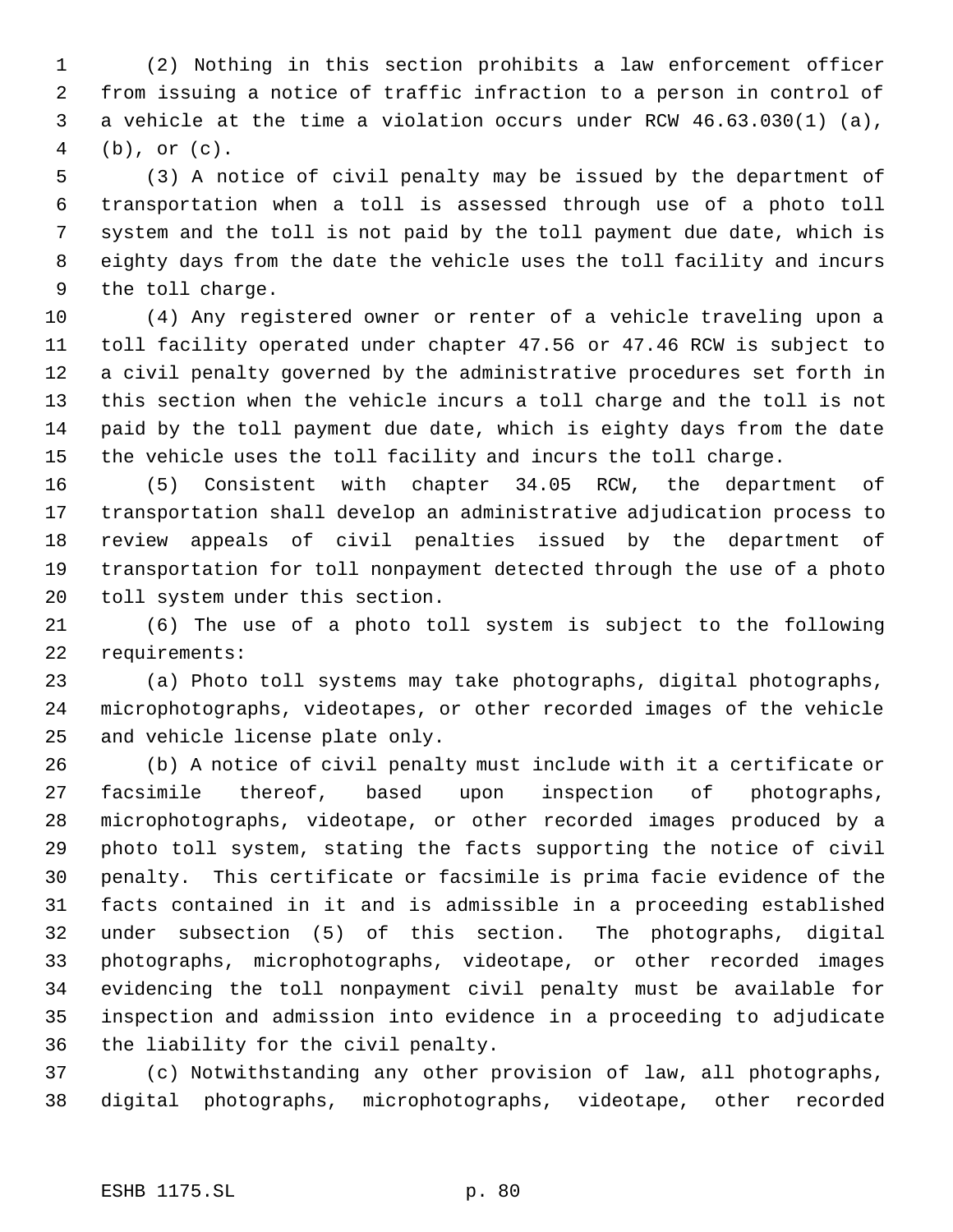(2) Nothing in this section prohibits a law enforcement officer from issuing a notice of traffic infraction to a person in control of a vehicle at the time a violation occurs under RCW 46.63.030(1) (a), (b), or (c).

 (3) A notice of civil penalty may be issued by the department of transportation when a toll is assessed through use of a photo toll system and the toll is not paid by the toll payment due date, which is eighty days from the date the vehicle uses the toll facility and incurs the toll charge.

 (4) Any registered owner or renter of a vehicle traveling upon a toll facility operated under chapter 47.56 or 47.46 RCW is subject to a civil penalty governed by the administrative procedures set forth in this section when the vehicle incurs a toll charge and the toll is not paid by the toll payment due date, which is eighty days from the date the vehicle uses the toll facility and incurs the toll charge.

 (5) Consistent with chapter 34.05 RCW, the department of transportation shall develop an administrative adjudication process to review appeals of civil penalties issued by the department of transportation for toll nonpayment detected through the use of a photo toll system under this section.

 (6) The use of a photo toll system is subject to the following requirements:

 (a) Photo toll systems may take photographs, digital photographs, microphotographs, videotapes, or other recorded images of the vehicle and vehicle license plate only.

 (b) A notice of civil penalty must include with it a certificate or facsimile thereof, based upon inspection of photographs, microphotographs, videotape, or other recorded images produced by a photo toll system, stating the facts supporting the notice of civil penalty. This certificate or facsimile is prima facie evidence of the facts contained in it and is admissible in a proceeding established under subsection (5) of this section. The photographs, digital photographs, microphotographs, videotape, or other recorded images evidencing the toll nonpayment civil penalty must be available for inspection and admission into evidence in a proceeding to adjudicate the liability for the civil penalty.

 (c) Notwithstanding any other provision of law, all photographs, digital photographs, microphotographs, videotape, other recorded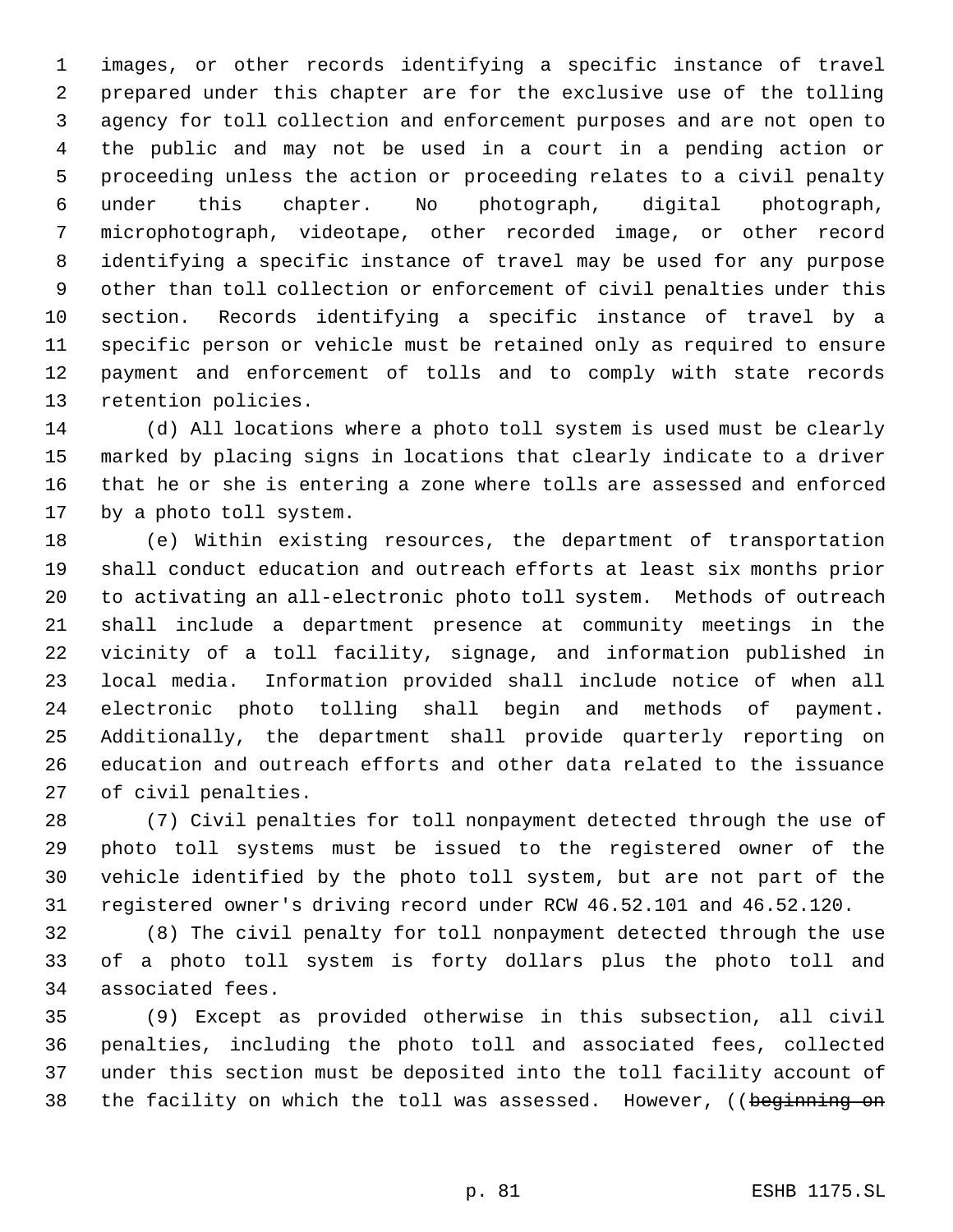images, or other records identifying a specific instance of travel prepared under this chapter are for the exclusive use of the tolling agency for toll collection and enforcement purposes and are not open to the public and may not be used in a court in a pending action or proceeding unless the action or proceeding relates to a civil penalty under this chapter. No photograph, digital photograph, microphotograph, videotape, other recorded image, or other record identifying a specific instance of travel may be used for any purpose other than toll collection or enforcement of civil penalties under this section. Records identifying a specific instance of travel by a specific person or vehicle must be retained only as required to ensure payment and enforcement of tolls and to comply with state records retention policies.

 (d) All locations where a photo toll system is used must be clearly marked by placing signs in locations that clearly indicate to a driver that he or she is entering a zone where tolls are assessed and enforced by a photo toll system.

 (e) Within existing resources, the department of transportation shall conduct education and outreach efforts at least six months prior to activating an all-electronic photo toll system. Methods of outreach shall include a department presence at community meetings in the vicinity of a toll facility, signage, and information published in local media. Information provided shall include notice of when all electronic photo tolling shall begin and methods of payment. Additionally, the department shall provide quarterly reporting on education and outreach efforts and other data related to the issuance of civil penalties.

 (7) Civil penalties for toll nonpayment detected through the use of photo toll systems must be issued to the registered owner of the vehicle identified by the photo toll system, but are not part of the registered owner's driving record under RCW 46.52.101 and 46.52.120.

 (8) The civil penalty for toll nonpayment detected through the use of a photo toll system is forty dollars plus the photo toll and associated fees.

 (9) Except as provided otherwise in this subsection, all civil penalties, including the photo toll and associated fees, collected under this section must be deposited into the toll facility account of 38 the facility on which the toll was assessed. However, ((beginning on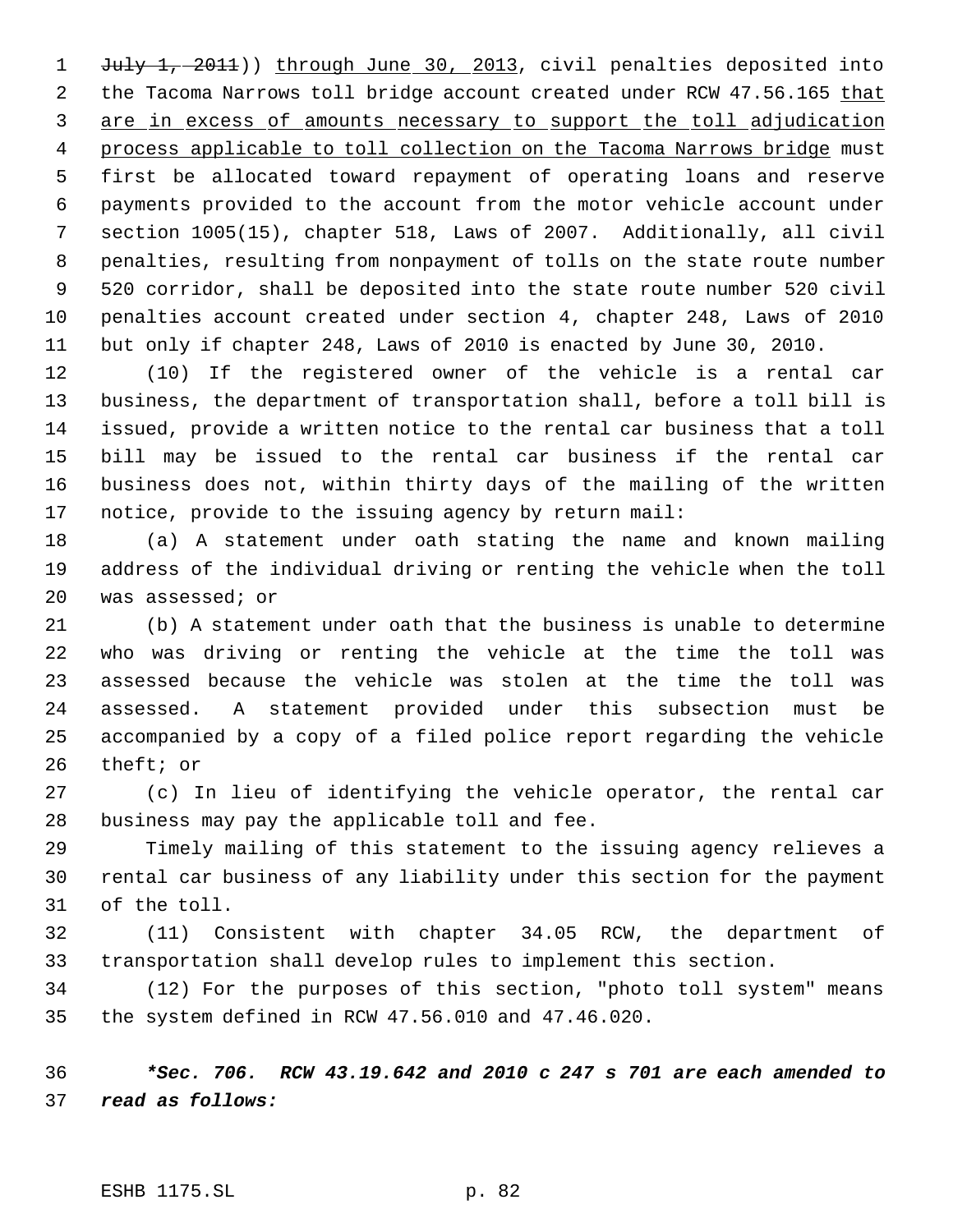1 July 1, 2011)) through June 30, 2013, civil penalties deposited into 2 the Tacoma Narrows toll bridge account created under RCW 47.56.165 that 3 are in excess of amounts necessary to support the toll adjudication 4 process applicable to toll collection on the Tacoma Narrows bridge must first be allocated toward repayment of operating loans and reserve payments provided to the account from the motor vehicle account under section 1005(15), chapter 518, Laws of 2007. Additionally, all civil penalties, resulting from nonpayment of tolls on the state route number 520 corridor, shall be deposited into the state route number 520 civil penalties account created under section 4, chapter 248, Laws of 2010 but only if chapter 248, Laws of 2010 is enacted by June 30, 2010.

 (10) If the registered owner of the vehicle is a rental car business, the department of transportation shall, before a toll bill is issued, provide a written notice to the rental car business that a toll bill may be issued to the rental car business if the rental car business does not, within thirty days of the mailing of the written notice, provide to the issuing agency by return mail:

 (a) A statement under oath stating the name and known mailing address of the individual driving or renting the vehicle when the toll was assessed; or

 (b) A statement under oath that the business is unable to determine who was driving or renting the vehicle at the time the toll was assessed because the vehicle was stolen at the time the toll was assessed. A statement provided under this subsection must be accompanied by a copy of a filed police report regarding the vehicle theft; or

 (c) In lieu of identifying the vehicle operator, the rental car business may pay the applicable toll and fee.

 Timely mailing of this statement to the issuing agency relieves a rental car business of any liability under this section for the payment of the toll.

 (11) Consistent with chapter 34.05 RCW, the department of transportation shall develop rules to implement this section.

 (12) For the purposes of this section, "photo toll system" means the system defined in RCW 47.56.010 and 47.46.020.

 *\*Sec. 706. RCW 43.19.642 and 2010 c 247 s 701 are each amended to read as follows:*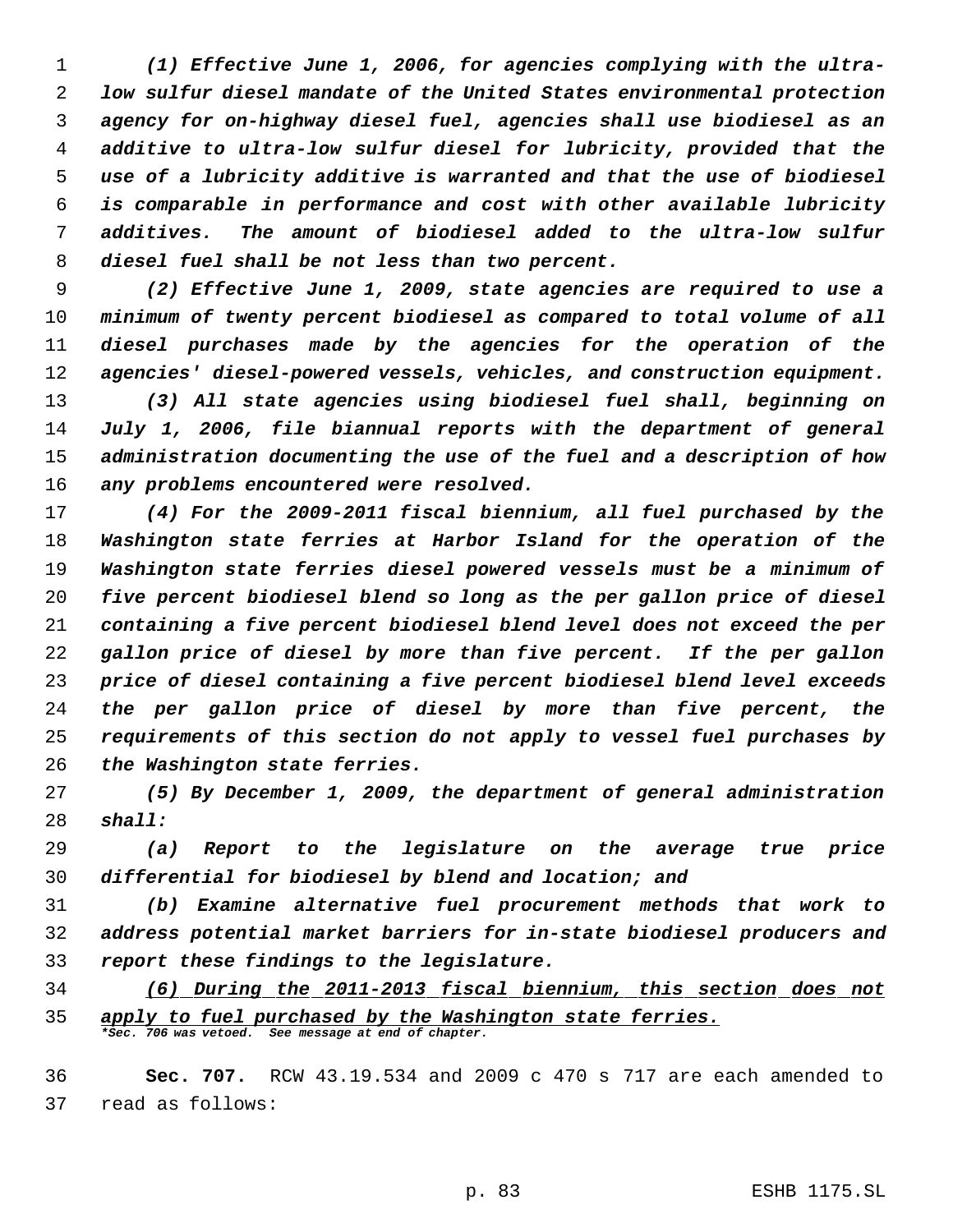*(1) Effective June 1, 2006, for agencies complying with the ultra- low sulfur diesel mandate of the United States environmental protection agency for on-highway diesel fuel, agencies shall use biodiesel as an additive to ultra-low sulfur diesel for lubricity, provided that the use of a lubricity additive is warranted and that the use of biodiesel is comparable in performance and cost with other available lubricity additives. The amount of biodiesel added to the ultra-low sulfur diesel fuel shall be not less than two percent.*

 *(2) Effective June 1, 2009, state agencies are required to use a minimum of twenty percent biodiesel as compared to total volume of all diesel purchases made by the agencies for the operation of the agencies' diesel-powered vessels, vehicles, and construction equipment.*

 *(3) All state agencies using biodiesel fuel shall, beginning on July 1, 2006, file biannual reports with the department of general administration documenting the use of the fuel and a description of how any problems encountered were resolved.*

 *(4) For the 2009-2011 fiscal biennium, all fuel purchased by the Washington state ferries at Harbor Island for the operation of the Washington state ferries diesel powered vessels must be a minimum of five percent biodiesel blend so long as the per gallon price of diesel containing a five percent biodiesel blend level does not exceed the per gallon price of diesel by more than five percent. If the per gallon price of diesel containing a five percent biodiesel blend level exceeds the per gallon price of diesel by more than five percent, the requirements of this section do not apply to vessel fuel purchases by the Washington state ferries.*

 *(5) By December 1, 2009, the department of general administration shall:*

 *(a) Report to the legislature on the average true price differential for biodiesel by blend and location; and*

 *(b) Examine alternative fuel procurement methods that work to address potential market barriers for in-state biodiesel producers and report these findings to the legislature.*

 *(6) During the 2011-2013 fiscal biennium, this section does not apply to fuel purchased by the Washington state ferries. \*Sec. 706 was vetoed. See message at end of chapter.*

 **Sec. 707.** RCW 43.19.534 and 2009 c 470 s 717 are each amended to read as follows: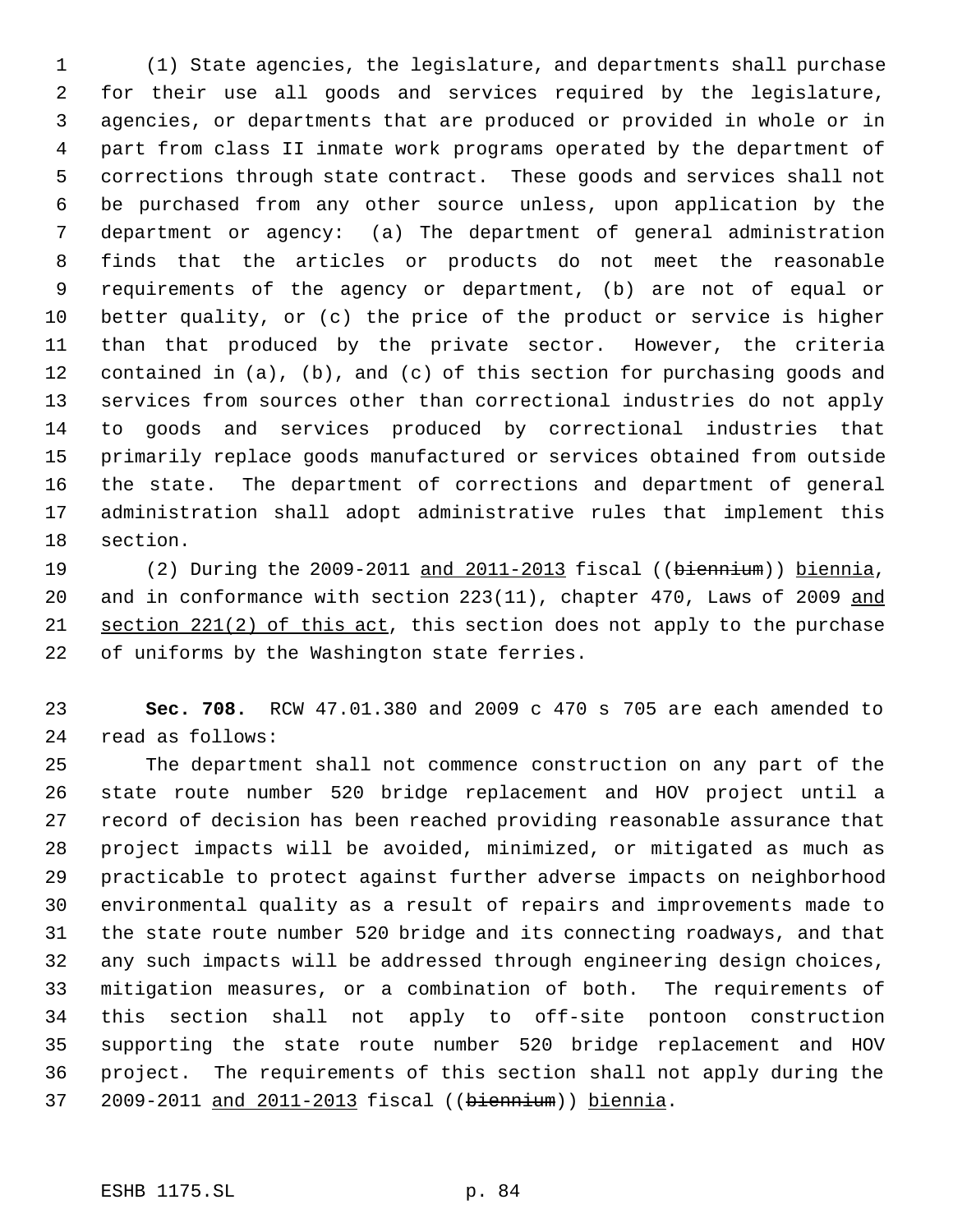(1) State agencies, the legislature, and departments shall purchase for their use all goods and services required by the legislature, agencies, or departments that are produced or provided in whole or in part from class II inmate work programs operated by the department of corrections through state contract. These goods and services shall not be purchased from any other source unless, upon application by the department or agency: (a) The department of general administration finds that the articles or products do not meet the reasonable requirements of the agency or department, (b) are not of equal or better quality, or (c) the price of the product or service is higher than that produced by the private sector. However, the criteria contained in (a), (b), and (c) of this section for purchasing goods and services from sources other than correctional industries do not apply to goods and services produced by correctional industries that primarily replace goods manufactured or services obtained from outside the state. The department of corrections and department of general administration shall adopt administrative rules that implement this section.

19 (2) During the 2009-2011 and 2011-2013 fiscal ((biennium)) biennia, 20 and in conformance with section 223(11), chapter 470, Laws of 2009 and 21 section 221(2) of this act, this section does not apply to the purchase of uniforms by the Washington state ferries.

 **Sec. 708.** RCW 47.01.380 and 2009 c 470 s 705 are each amended to read as follows:

 The department shall not commence construction on any part of the state route number 520 bridge replacement and HOV project until a record of decision has been reached providing reasonable assurance that project impacts will be avoided, minimized, or mitigated as much as practicable to protect against further adverse impacts on neighborhood environmental quality as a result of repairs and improvements made to the state route number 520 bridge and its connecting roadways, and that any such impacts will be addressed through engineering design choices, mitigation measures, or a combination of both. The requirements of this section shall not apply to off-site pontoon construction supporting the state route number 520 bridge replacement and HOV project. The requirements of this section shall not apply during the 2009-2011 and 2011-2013 fiscal ((biennium)) biennia.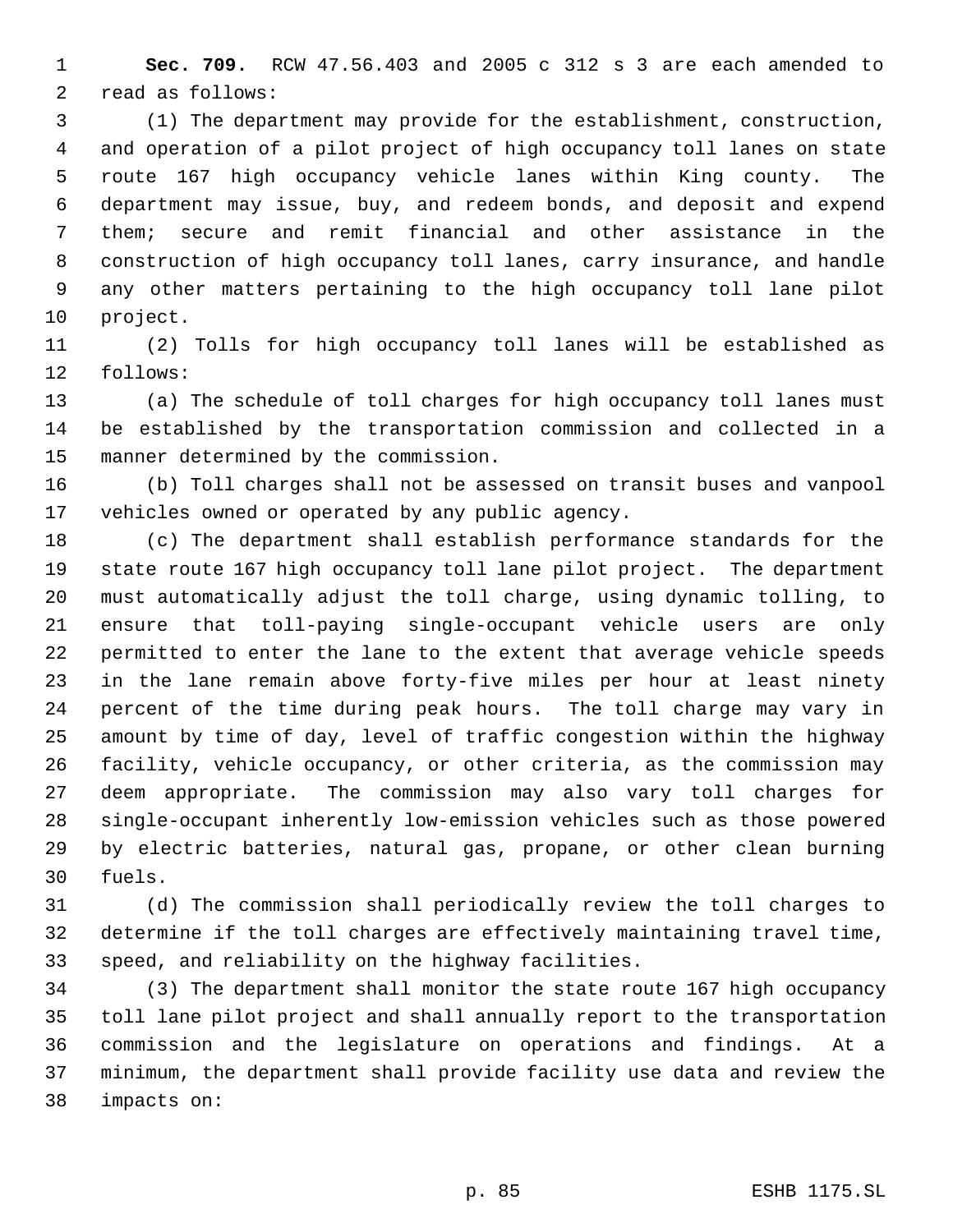**Sec. 709.** RCW 47.56.403 and 2005 c 312 s 3 are each amended to read as follows:

 (1) The department may provide for the establishment, construction, and operation of a pilot project of high occupancy toll lanes on state route 167 high occupancy vehicle lanes within King county. The department may issue, buy, and redeem bonds, and deposit and expend them; secure and remit financial and other assistance in the construction of high occupancy toll lanes, carry insurance, and handle any other matters pertaining to the high occupancy toll lane pilot project.

 (2) Tolls for high occupancy toll lanes will be established as follows:

 (a) The schedule of toll charges for high occupancy toll lanes must be established by the transportation commission and collected in a manner determined by the commission.

 (b) Toll charges shall not be assessed on transit buses and vanpool vehicles owned or operated by any public agency.

 (c) The department shall establish performance standards for the state route 167 high occupancy toll lane pilot project. The department must automatically adjust the toll charge, using dynamic tolling, to ensure that toll-paying single-occupant vehicle users are only permitted to enter the lane to the extent that average vehicle speeds in the lane remain above forty-five miles per hour at least ninety percent of the time during peak hours. The toll charge may vary in amount by time of day, level of traffic congestion within the highway facility, vehicle occupancy, or other criteria, as the commission may deem appropriate. The commission may also vary toll charges for single-occupant inherently low-emission vehicles such as those powered by electric batteries, natural gas, propane, or other clean burning fuels.

 (d) The commission shall periodically review the toll charges to determine if the toll charges are effectively maintaining travel time, speed, and reliability on the highway facilities.

 (3) The department shall monitor the state route 167 high occupancy toll lane pilot project and shall annually report to the transportation commission and the legislature on operations and findings. At a minimum, the department shall provide facility use data and review the impacts on: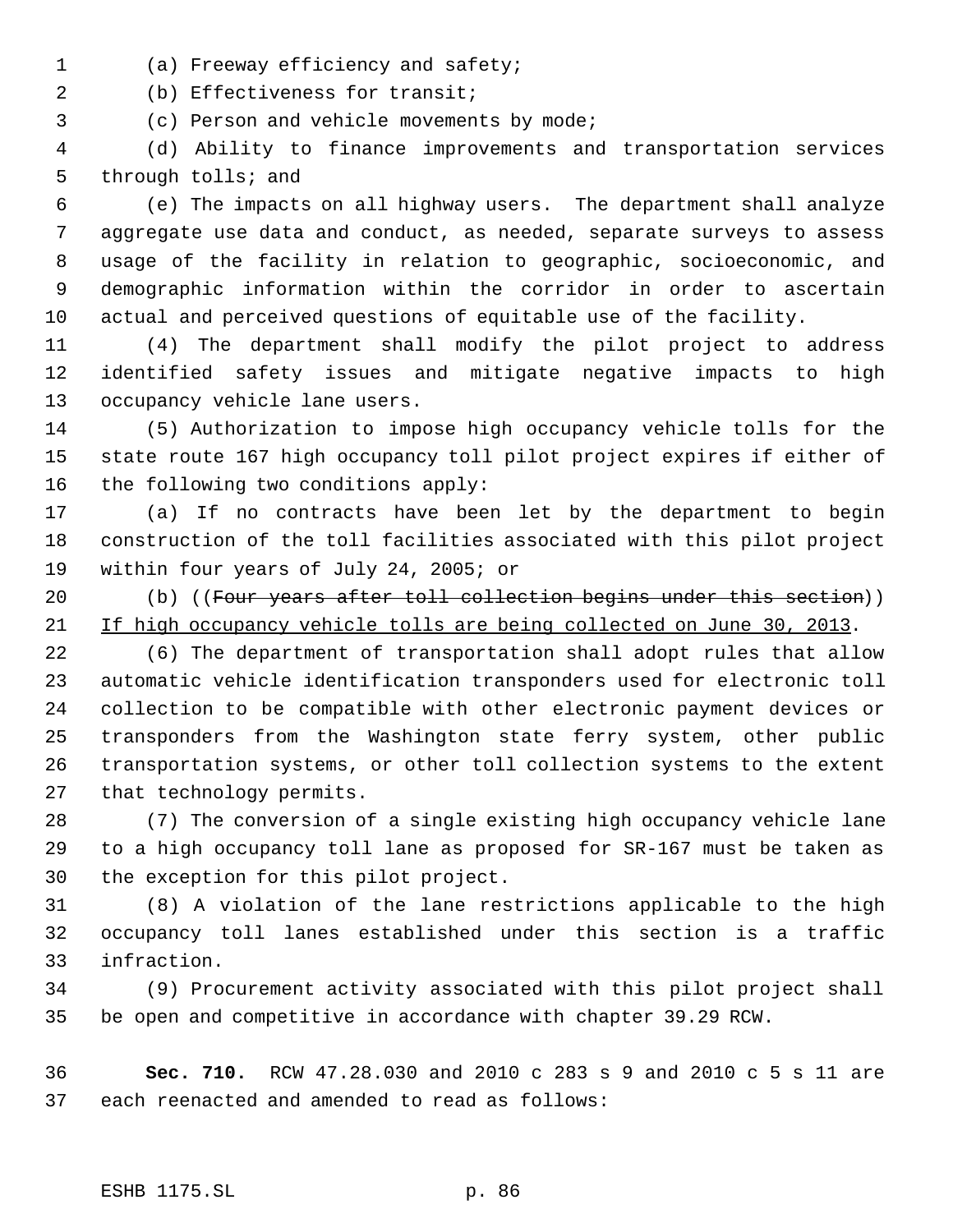(a) Freeway efficiency and safety;

2 (b) Effectiveness for transit;

(c) Person and vehicle movements by mode;

 (d) Ability to finance improvements and transportation services through tolls; and

 (e) The impacts on all highway users. The department shall analyze aggregate use data and conduct, as needed, separate surveys to assess usage of the facility in relation to geographic, socioeconomic, and demographic information within the corridor in order to ascertain actual and perceived questions of equitable use of the facility.

 (4) The department shall modify the pilot project to address identified safety issues and mitigate negative impacts to high occupancy vehicle lane users.

 (5) Authorization to impose high occupancy vehicle tolls for the state route 167 high occupancy toll pilot project expires if either of the following two conditions apply:

 (a) If no contracts have been let by the department to begin construction of the toll facilities associated with this pilot project within four years of July 24, 2005; or

20 (b) ((Four years after toll collection begins under this section)) If high occupancy vehicle tolls are being collected on June 30, 2013.

 (6) The department of transportation shall adopt rules that allow automatic vehicle identification transponders used for electronic toll collection to be compatible with other electronic payment devices or transponders from the Washington state ferry system, other public transportation systems, or other toll collection systems to the extent that technology permits.

 (7) The conversion of a single existing high occupancy vehicle lane to a high occupancy toll lane as proposed for SR-167 must be taken as the exception for this pilot project.

 (8) A violation of the lane restrictions applicable to the high occupancy toll lanes established under this section is a traffic infraction.

 (9) Procurement activity associated with this pilot project shall be open and competitive in accordance with chapter 39.29 RCW.

 **Sec. 710.** RCW 47.28.030 and 2010 c 283 s 9 and 2010 c 5 s 11 are each reenacted and amended to read as follows: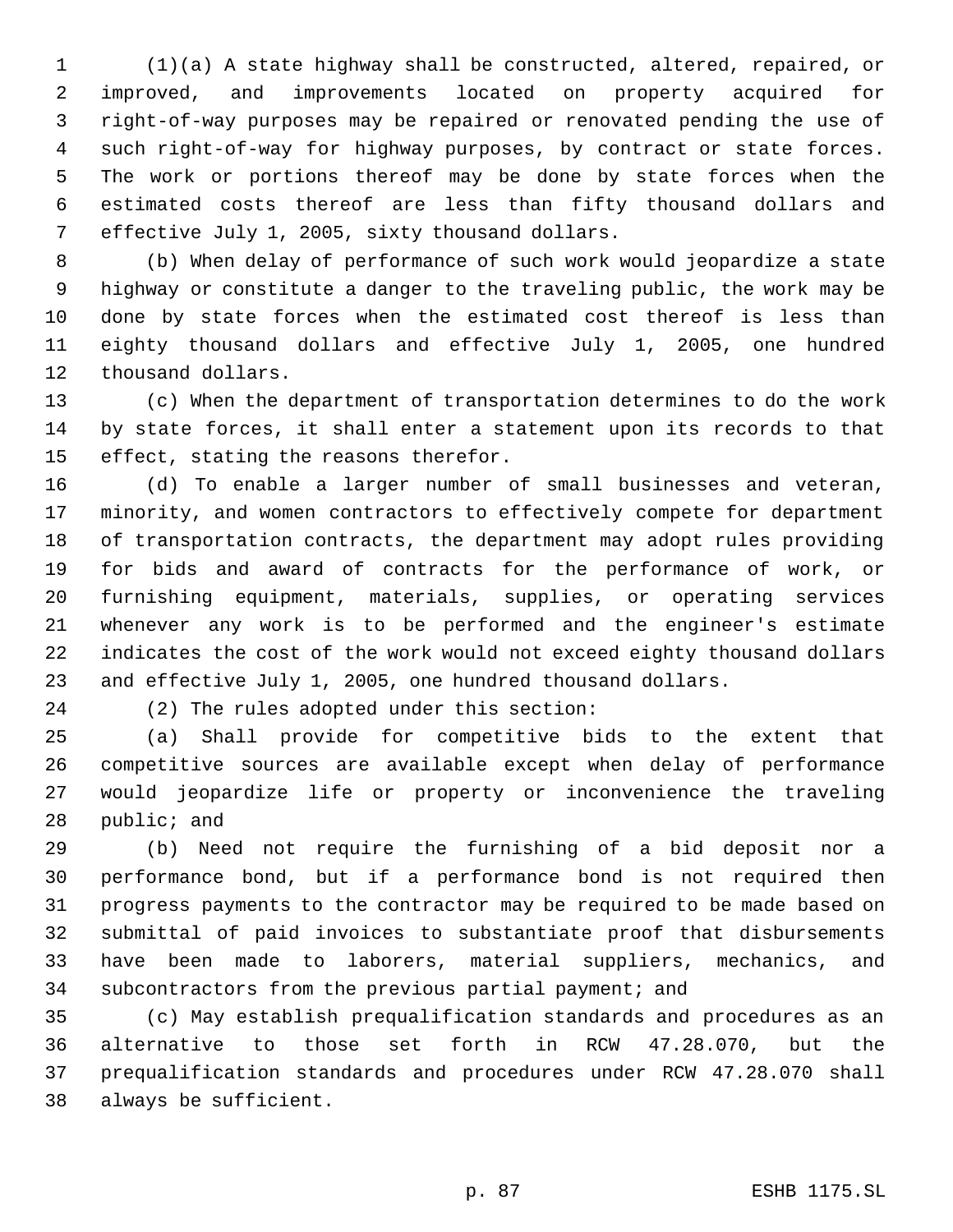(1)(a) A state highway shall be constructed, altered, repaired, or improved, and improvements located on property acquired for right-of-way purposes may be repaired or renovated pending the use of such right-of-way for highway purposes, by contract or state forces. The work or portions thereof may be done by state forces when the estimated costs thereof are less than fifty thousand dollars and effective July 1, 2005, sixty thousand dollars.

 (b) When delay of performance of such work would jeopardize a state highway or constitute a danger to the traveling public, the work may be done by state forces when the estimated cost thereof is less than eighty thousand dollars and effective July 1, 2005, one hundred thousand dollars.

 (c) When the department of transportation determines to do the work by state forces, it shall enter a statement upon its records to that effect, stating the reasons therefor.

 (d) To enable a larger number of small businesses and veteran, minority, and women contractors to effectively compete for department of transportation contracts, the department may adopt rules providing for bids and award of contracts for the performance of work, or furnishing equipment, materials, supplies, or operating services whenever any work is to be performed and the engineer's estimate indicates the cost of the work would not exceed eighty thousand dollars and effective July 1, 2005, one hundred thousand dollars.

(2) The rules adopted under this section:

 (a) Shall provide for competitive bids to the extent that competitive sources are available except when delay of performance would jeopardize life or property or inconvenience the traveling public; and

 (b) Need not require the furnishing of a bid deposit nor a performance bond, but if a performance bond is not required then progress payments to the contractor may be required to be made based on submittal of paid invoices to substantiate proof that disbursements have been made to laborers, material suppliers, mechanics, and subcontractors from the previous partial payment; and

 (c) May establish prequalification standards and procedures as an alternative to those set forth in RCW 47.28.070, but the prequalification standards and procedures under RCW 47.28.070 shall always be sufficient.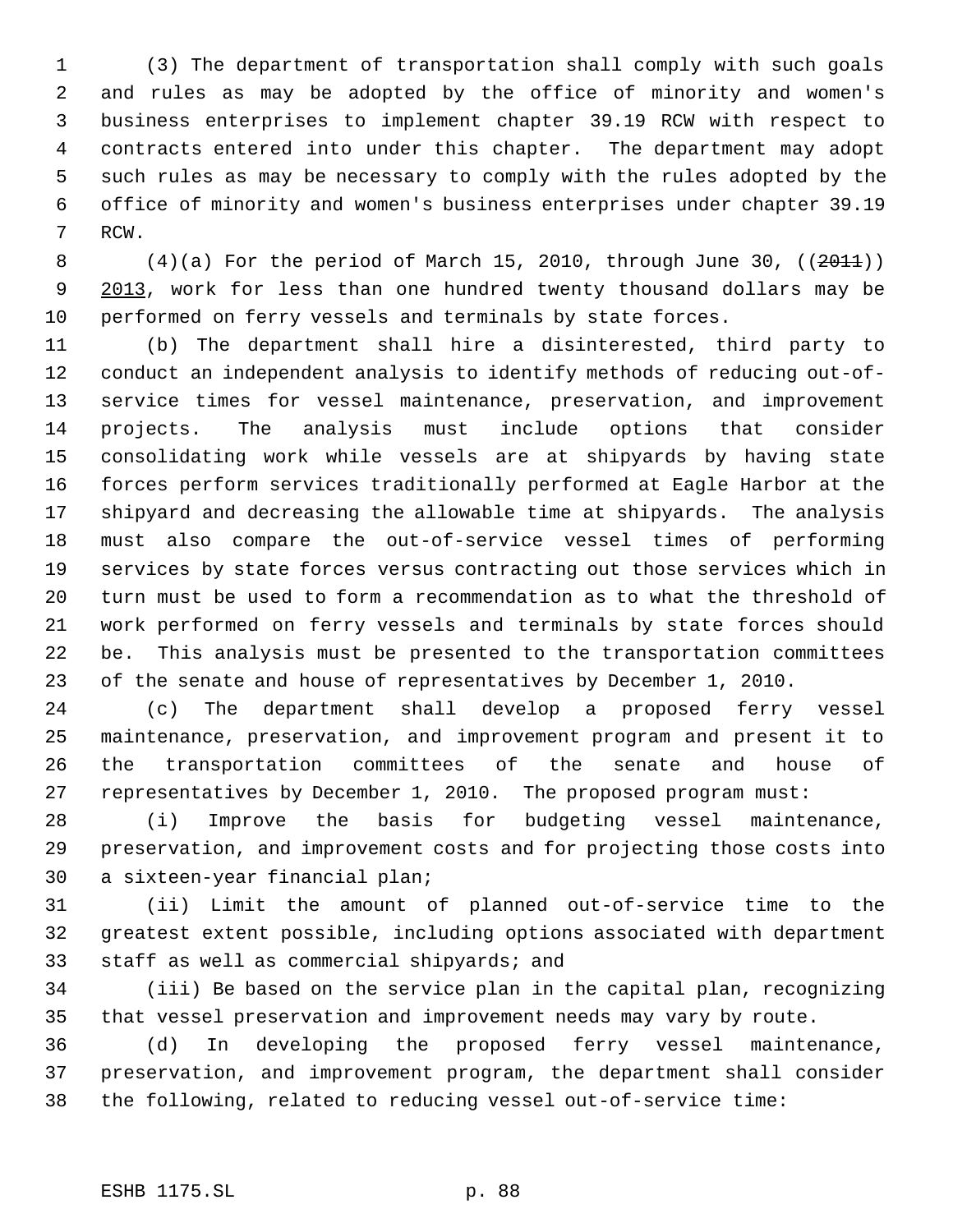(3) The department of transportation shall comply with such goals and rules as may be adopted by the office of minority and women's business enterprises to implement chapter 39.19 RCW with respect to contracts entered into under this chapter. The department may adopt such rules as may be necessary to comply with the rules adopted by the office of minority and women's business enterprises under chapter 39.19 RCW.

8 (4)(a) For the period of March 15, 2010, through June 30,  $(2011)$ ) 9 2013, work for less than one hundred twenty thousand dollars may be performed on ferry vessels and terminals by state forces.

 (b) The department shall hire a disinterested, third party to conduct an independent analysis to identify methods of reducing out-of- service times for vessel maintenance, preservation, and improvement projects. The analysis must include options that consider consolidating work while vessels are at shipyards by having state forces perform services traditionally performed at Eagle Harbor at the shipyard and decreasing the allowable time at shipyards. The analysis must also compare the out-of-service vessel times of performing services by state forces versus contracting out those services which in turn must be used to form a recommendation as to what the threshold of work performed on ferry vessels and terminals by state forces should be. This analysis must be presented to the transportation committees of the senate and house of representatives by December 1, 2010.

 (c) The department shall develop a proposed ferry vessel maintenance, preservation, and improvement program and present it to the transportation committees of the senate and house of representatives by December 1, 2010. The proposed program must:

 (i) Improve the basis for budgeting vessel maintenance, preservation, and improvement costs and for projecting those costs into a sixteen-year financial plan;

 (ii) Limit the amount of planned out-of-service time to the greatest extent possible, including options associated with department staff as well as commercial shipyards; and

 (iii) Be based on the service plan in the capital plan, recognizing that vessel preservation and improvement needs may vary by route.

 (d) In developing the proposed ferry vessel maintenance, preservation, and improvement program, the department shall consider the following, related to reducing vessel out-of-service time: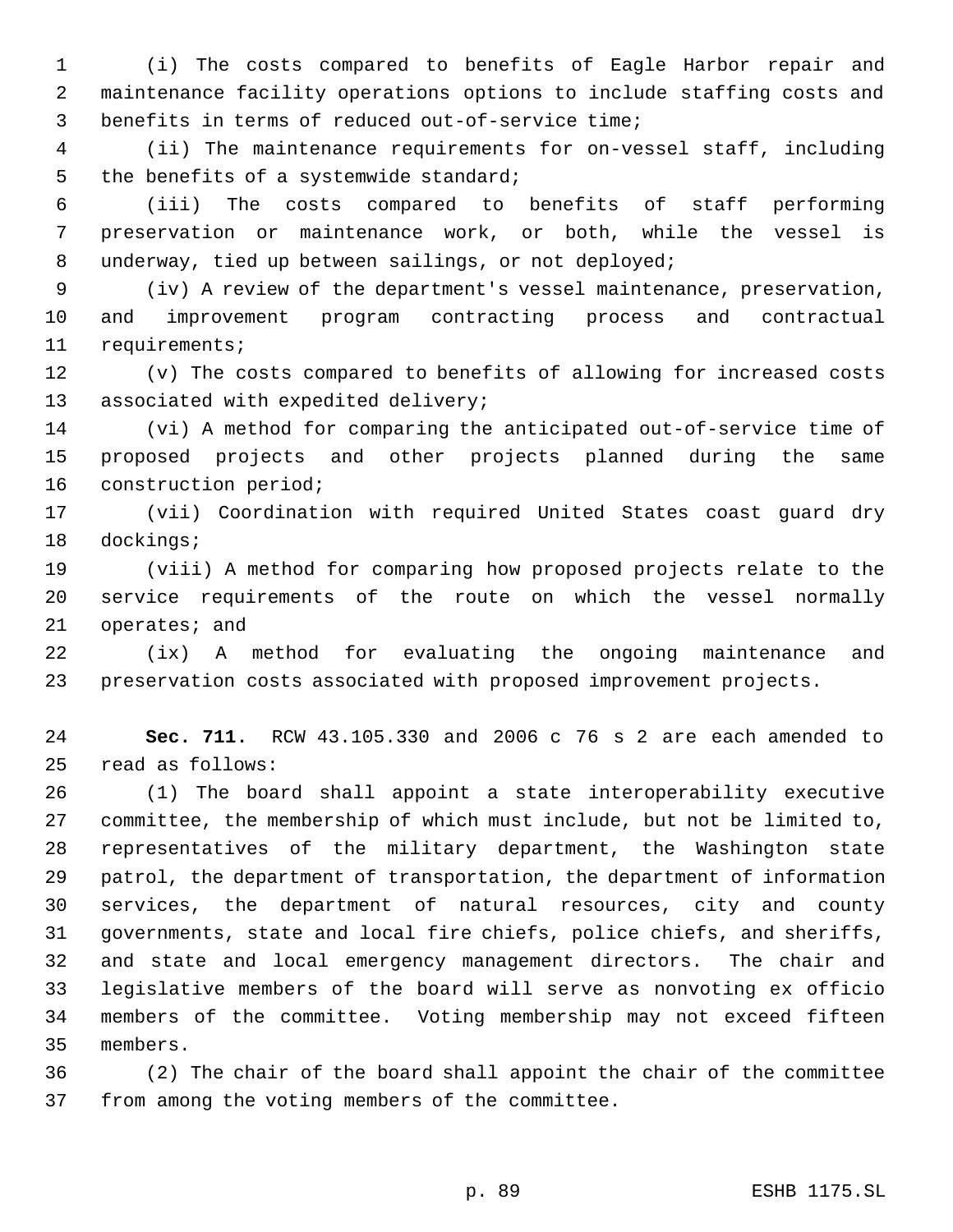(i) The costs compared to benefits of Eagle Harbor repair and maintenance facility operations options to include staffing costs and benefits in terms of reduced out-of-service time;

 (ii) The maintenance requirements for on-vessel staff, including the benefits of a systemwide standard;

 (iii) The costs compared to benefits of staff performing preservation or maintenance work, or both, while the vessel is underway, tied up between sailings, or not deployed;

 (iv) A review of the department's vessel maintenance, preservation, and improvement program contracting process and contractual requirements;

 (v) The costs compared to benefits of allowing for increased costs associated with expedited delivery;

 (vi) A method for comparing the anticipated out-of-service time of proposed projects and other projects planned during the same construction period;

 (vii) Coordination with required United States coast guard dry dockings;

 (viii) A method for comparing how proposed projects relate to the service requirements of the route on which the vessel normally operates; and

 (ix) A method for evaluating the ongoing maintenance and preservation costs associated with proposed improvement projects.

 **Sec. 711.** RCW 43.105.330 and 2006 c 76 s 2 are each amended to read as follows:

 (1) The board shall appoint a state interoperability executive committee, the membership of which must include, but not be limited to, representatives of the military department, the Washington state patrol, the department of transportation, the department of information services, the department of natural resources, city and county governments, state and local fire chiefs, police chiefs, and sheriffs, and state and local emergency management directors. The chair and legislative members of the board will serve as nonvoting ex officio members of the committee. Voting membership may not exceed fifteen members.

 (2) The chair of the board shall appoint the chair of the committee from among the voting members of the committee.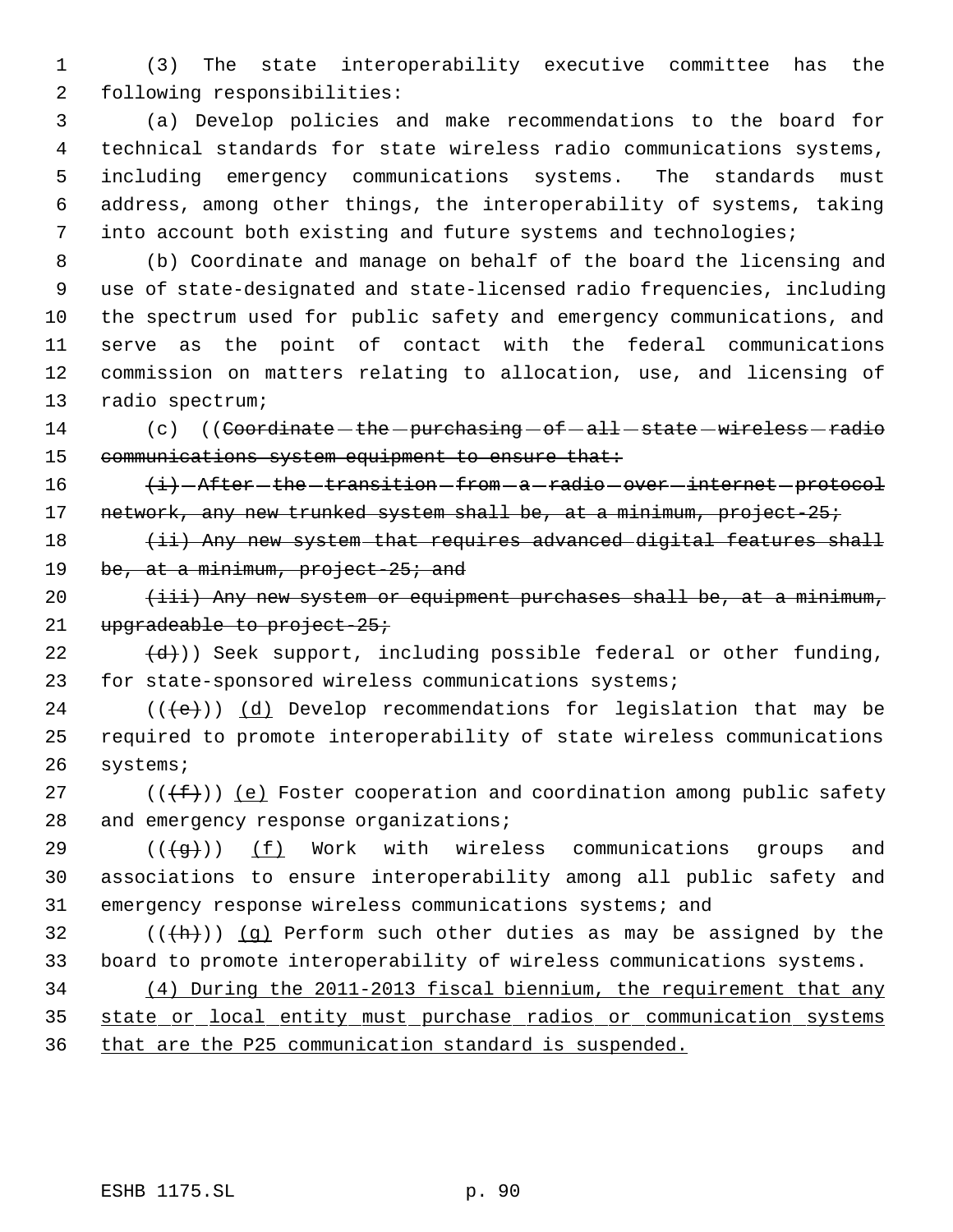(3) The state interoperability executive committee has the following responsibilities:

 (a) Develop policies and make recommendations to the board for technical standards for state wireless radio communications systems, including emergency communications systems. The standards must address, among other things, the interoperability of systems, taking into account both existing and future systems and technologies;

 (b) Coordinate and manage on behalf of the board the licensing and use of state-designated and state-licensed radio frequencies, including the spectrum used for public safety and emergency communications, and serve as the point of contact with the federal communications commission on matters relating to allocation, use, and licensing of radio spectrum;

14 (c) ((Coordinate the purchasing of all state wireless radio 15 communications system equipment to ensure that:

 $(i)$   $(i)$   $\rightarrow$  After the transition from a radio over internet protocol 17 network, any new trunked system shall be, at a minimum, project-25;

18 (ii) Any new system that requires advanced digital features shall 19 be, at a minimum, project-25; and

 $(iii)$  Any new system or equipment purchases shall be, at a minimum, 21 upgradeable to project-25;

22  $(d)$  (d)) Seek support, including possible federal or other funding, for state-sponsored wireless communications systems;

 (( $\left(\frac{1}{12}\right)$ ) (d) Develop recommendations for legislation that may be required to promote interoperability of state wireless communications systems;

27 ( $(\{\text{f}\})$ ) (e) Foster cooperation and coordination among public safety 28 and emergency response organizations;

29 ( $(\overline{+q})$ ) (f) Work with wireless communications groups and associations to ensure interoperability among all public safety and emergency response wireless communications systems; and

 (( $\frac{h}{h}$ )) (g) Perform such other duties as may be assigned by the board to promote interoperability of wireless communications systems.

 (4) During the 2011-2013 fiscal biennium, the requirement that any state or local entity must purchase radios or communication systems that are the P25 communication standard is suspended.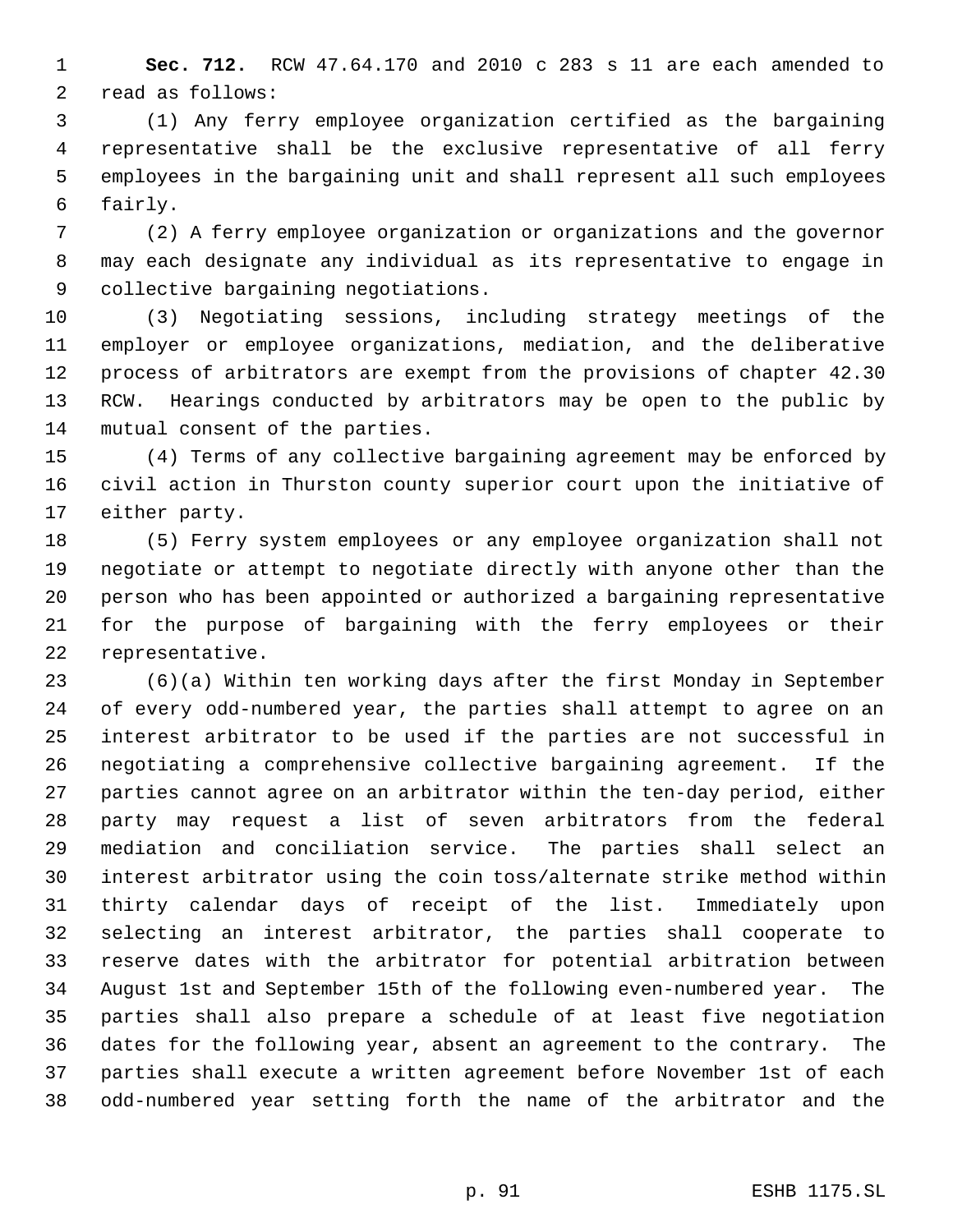**Sec. 712.** RCW 47.64.170 and 2010 c 283 s 11 are each amended to read as follows:

 (1) Any ferry employee organization certified as the bargaining representative shall be the exclusive representative of all ferry employees in the bargaining unit and shall represent all such employees fairly.

 (2) A ferry employee organization or organizations and the governor may each designate any individual as its representative to engage in collective bargaining negotiations.

 (3) Negotiating sessions, including strategy meetings of the employer or employee organizations, mediation, and the deliberative process of arbitrators are exempt from the provisions of chapter 42.30 RCW. Hearings conducted by arbitrators may be open to the public by mutual consent of the parties.

 (4) Terms of any collective bargaining agreement may be enforced by civil action in Thurston county superior court upon the initiative of either party.

 (5) Ferry system employees or any employee organization shall not negotiate or attempt to negotiate directly with anyone other than the person who has been appointed or authorized a bargaining representative for the purpose of bargaining with the ferry employees or their representative.

 (6)(a) Within ten working days after the first Monday in September of every odd-numbered year, the parties shall attempt to agree on an interest arbitrator to be used if the parties are not successful in negotiating a comprehensive collective bargaining agreement. If the parties cannot agree on an arbitrator within the ten-day period, either party may request a list of seven arbitrators from the federal mediation and conciliation service. The parties shall select an interest arbitrator using the coin toss/alternate strike method within thirty calendar days of receipt of the list. Immediately upon selecting an interest arbitrator, the parties shall cooperate to reserve dates with the arbitrator for potential arbitration between August 1st and September 15th of the following even-numbered year. The parties shall also prepare a schedule of at least five negotiation dates for the following year, absent an agreement to the contrary. The parties shall execute a written agreement before November 1st of each odd-numbered year setting forth the name of the arbitrator and the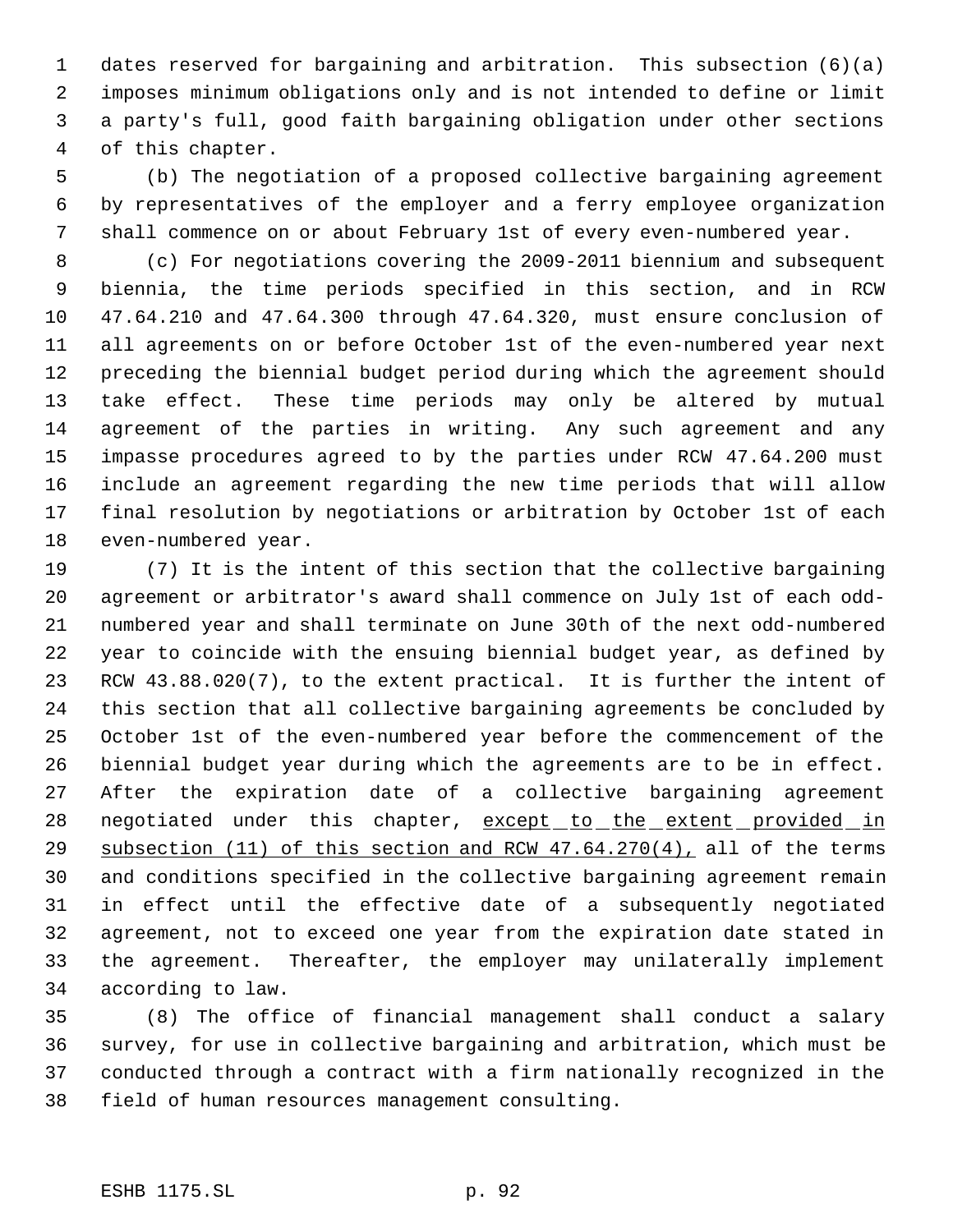dates reserved for bargaining and arbitration. This subsection (6)(a) imposes minimum obligations only and is not intended to define or limit a party's full, good faith bargaining obligation under other sections of this chapter.

 (b) The negotiation of a proposed collective bargaining agreement by representatives of the employer and a ferry employee organization shall commence on or about February 1st of every even-numbered year.

 (c) For negotiations covering the 2009-2011 biennium and subsequent biennia, the time periods specified in this section, and in RCW 47.64.210 and 47.64.300 through 47.64.320, must ensure conclusion of all agreements on or before October 1st of the even-numbered year next preceding the biennial budget period during which the agreement should take effect. These time periods may only be altered by mutual agreement of the parties in writing. Any such agreement and any impasse procedures agreed to by the parties under RCW 47.64.200 must include an agreement regarding the new time periods that will allow final resolution by negotiations or arbitration by October 1st of each even-numbered year.

 (7) It is the intent of this section that the collective bargaining agreement or arbitrator's award shall commence on July 1st of each odd- numbered year and shall terminate on June 30th of the next odd-numbered year to coincide with the ensuing biennial budget year, as defined by RCW 43.88.020(7), to the extent practical. It is further the intent of this section that all collective bargaining agreements be concluded by October 1st of the even-numbered year before the commencement of the biennial budget year during which the agreements are to be in effect. After the expiration date of a collective bargaining agreement 28 negotiated under this chapter, except to the extent provided in 29 subsection (11) of this section and RCW 47.64.270(4), all of the terms and conditions specified in the collective bargaining agreement remain in effect until the effective date of a subsequently negotiated agreement, not to exceed one year from the expiration date stated in the agreement. Thereafter, the employer may unilaterally implement according to law.

 (8) The office of financial management shall conduct a salary survey, for use in collective bargaining and arbitration, which must be conducted through a contract with a firm nationally recognized in the field of human resources management consulting.

#### ESHB 1175.SL p. 92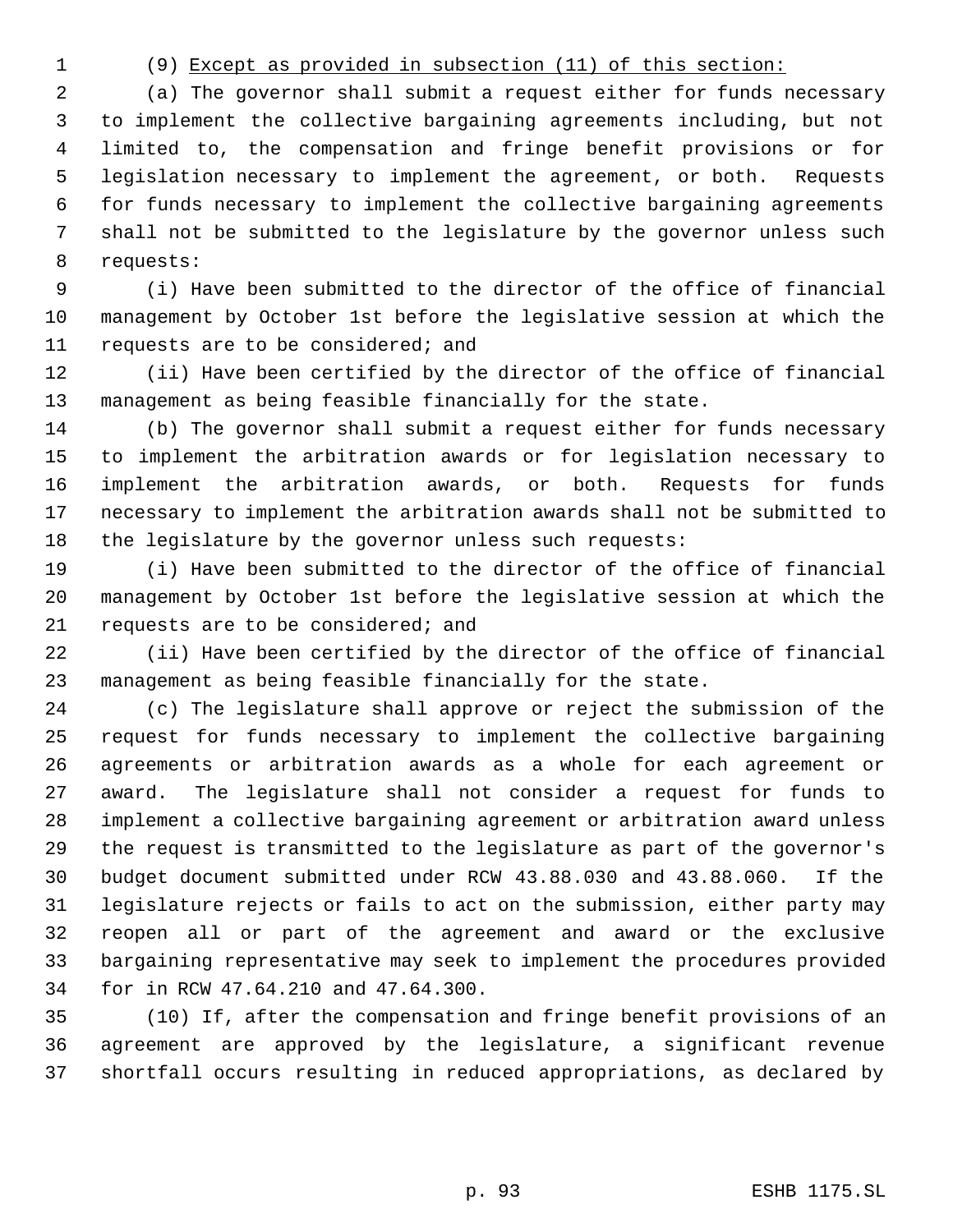### (9) Except as provided in subsection (11) of this section:

 (a) The governor shall submit a request either for funds necessary to implement the collective bargaining agreements including, but not limited to, the compensation and fringe benefit provisions or for legislation necessary to implement the agreement, or both. Requests for funds necessary to implement the collective bargaining agreements shall not be submitted to the legislature by the governor unless such requests:

 (i) Have been submitted to the director of the office of financial management by October 1st before the legislative session at which the requests are to be considered; and

 (ii) Have been certified by the director of the office of financial management as being feasible financially for the state.

 (b) The governor shall submit a request either for funds necessary to implement the arbitration awards or for legislation necessary to implement the arbitration awards, or both. Requests for funds necessary to implement the arbitration awards shall not be submitted to the legislature by the governor unless such requests:

 (i) Have been submitted to the director of the office of financial management by October 1st before the legislative session at which the requests are to be considered; and

 (ii) Have been certified by the director of the office of financial management as being feasible financially for the state.

 (c) The legislature shall approve or reject the submission of the request for funds necessary to implement the collective bargaining agreements or arbitration awards as a whole for each agreement or award. The legislature shall not consider a request for funds to implement a collective bargaining agreement or arbitration award unless the request is transmitted to the legislature as part of the governor's budget document submitted under RCW 43.88.030 and 43.88.060. If the legislature rejects or fails to act on the submission, either party may reopen all or part of the agreement and award or the exclusive bargaining representative may seek to implement the procedures provided for in RCW 47.64.210 and 47.64.300.

 (10) If, after the compensation and fringe benefit provisions of an agreement are approved by the legislature, a significant revenue shortfall occurs resulting in reduced appropriations, as declared by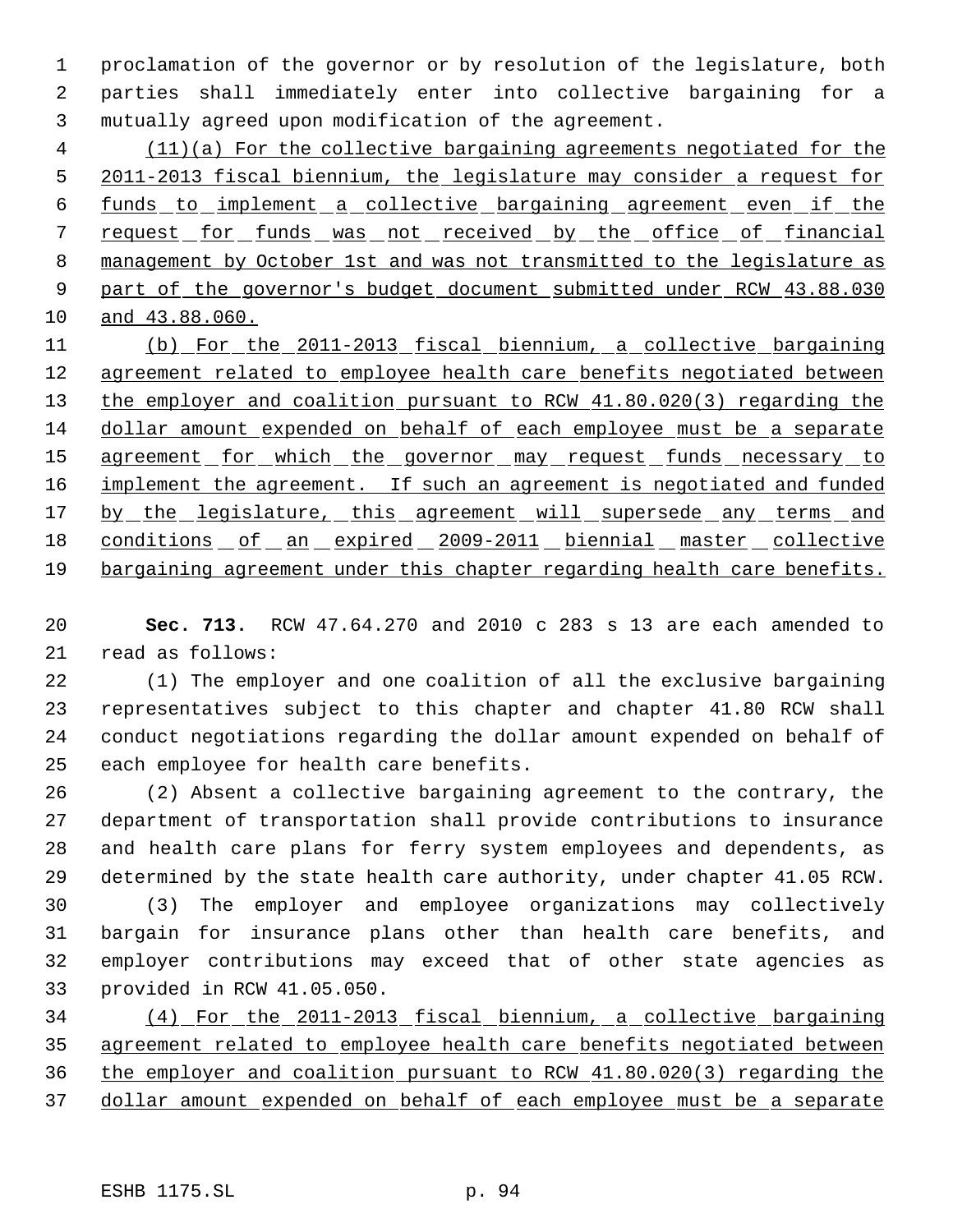proclamation of the governor or by resolution of the legislature, both parties shall immediately enter into collective bargaining for a mutually agreed upon modification of the agreement.

 (11)(a) For the collective bargaining agreements negotiated for the 2011-2013 fiscal biennium, the legislature may consider a request for 6 funds to implement a collective bargaining agreement even if the request for funds was not received by the office of financial management by October 1st and was not transmitted to the legislature as 9 part of the governor's budget document submitted under RCW 43.88.030 and 43.88.060.

 (b) For the 2011-2013 fiscal biennium, a collective bargaining agreement related to employee health care benefits negotiated between 13 the employer and coalition pursuant to RCW 41.80.020(3) regarding the dollar amount expended on behalf of each employee must be a separate 15 agreement for which the governor may request funds necessary to 16 implement the agreement. If such an agreement is negotiated and funded 17 by the legislature, this agreement will supersede any terms and conditions of an expired 2009-2011 biennial master collective bargaining agreement under this chapter regarding health care benefits.

 **Sec. 713.** RCW 47.64.270 and 2010 c 283 s 13 are each amended to read as follows:

 (1) The employer and one coalition of all the exclusive bargaining representatives subject to this chapter and chapter 41.80 RCW shall conduct negotiations regarding the dollar amount expended on behalf of each employee for health care benefits.

 (2) Absent a collective bargaining agreement to the contrary, the department of transportation shall provide contributions to insurance and health care plans for ferry system employees and dependents, as determined by the state health care authority, under chapter 41.05 RCW.

 (3) The employer and employee organizations may collectively bargain for insurance plans other than health care benefits, and employer contributions may exceed that of other state agencies as provided in RCW 41.05.050.

 (4) For the 2011-2013 fiscal biennium, a collective bargaining agreement related to employee health care benefits negotiated between the employer and coalition pursuant to RCW 41.80.020(3) regarding the dollar amount expended on behalf of each employee must be a separate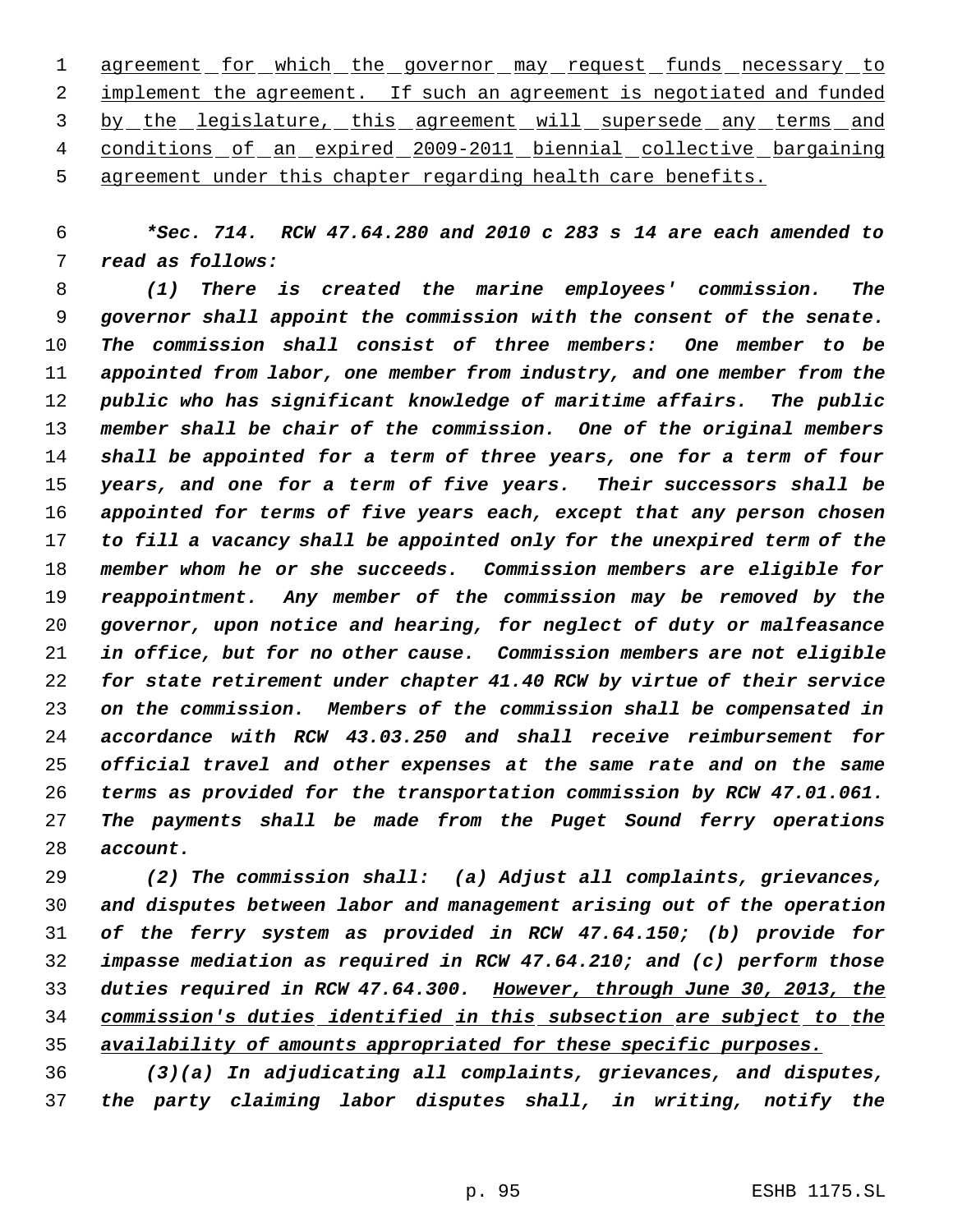1 agreement for which the governor may request funds necessary to implement the agreement. If such an agreement is negotiated and funded 3 by the legislature, this agreement will supersede any terms and conditions of an expired 2009-2011 biennial collective bargaining agreement under this chapter regarding health care benefits.

 *\*Sec. 714. RCW 47.64.280 and 2010 c 283 s 14 are each amended to read as follows:*

 *(1) There is created the marine employees' commission. The governor shall appoint the commission with the consent of the senate. The commission shall consist of three members: One member to be appointed from labor, one member from industry, and one member from the public who has significant knowledge of maritime affairs. The public member shall be chair of the commission. One of the original members shall be appointed for a term of three years, one for a term of four years, and one for a term of five years. Their successors shall be appointed for terms of five years each, except that any person chosen to fill a vacancy shall be appointed only for the unexpired term of the member whom he or she succeeds. Commission members are eligible for reappointment. Any member of the commission may be removed by the governor, upon notice and hearing, for neglect of duty or malfeasance in office, but for no other cause. Commission members are not eligible for state retirement under chapter 41.40 RCW by virtue of their service on the commission. Members of the commission shall be compensated in accordance with RCW 43.03.250 and shall receive reimbursement for official travel and other expenses at the same rate and on the same terms as provided for the transportation commission by RCW 47.01.061. The payments shall be made from the Puget Sound ferry operations account.*

 *(2) The commission shall: (a) Adjust all complaints, grievances, and disputes between labor and management arising out of the operation of the ferry system as provided in RCW 47.64.150; (b) provide for impasse mediation as required in RCW 47.64.210; and (c) perform those duties required in RCW 47.64.300. However, through June 30, 2013, the commission's duties identified in this subsection are subject to the availability of amounts appropriated for these specific purposes.*

 *(3)(a) In adjudicating all complaints, grievances, and disputes, the party claiming labor disputes shall, in writing, notify the*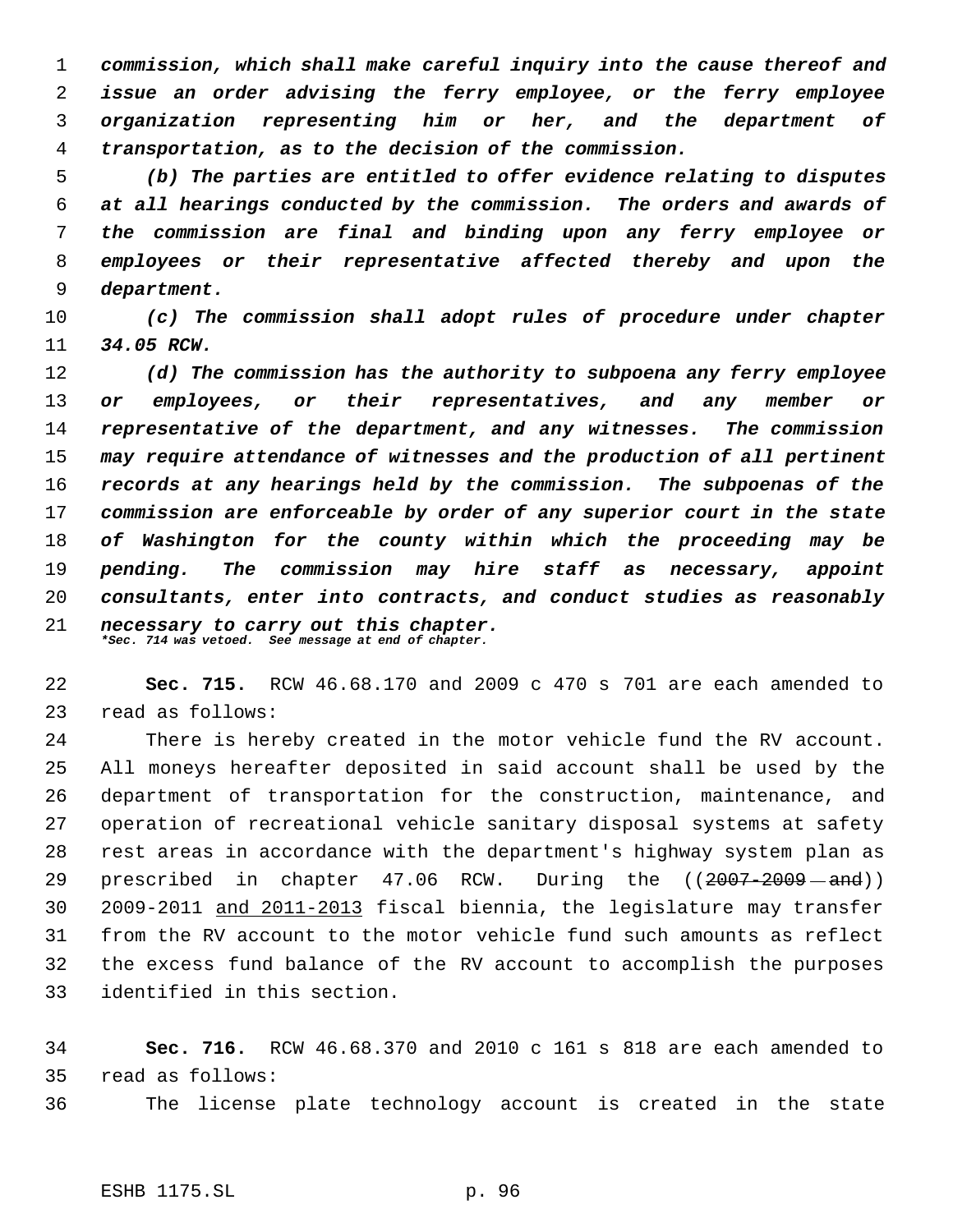*commission, which shall make careful inquiry into the cause thereof and issue an order advising the ferry employee, or the ferry employee organization representing him or her, and the department of transportation, as to the decision of the commission.*

 *(b) The parties are entitled to offer evidence relating to disputes at all hearings conducted by the commission. The orders and awards of the commission are final and binding upon any ferry employee or employees or their representative affected thereby and upon the department.*

 *(c) The commission shall adopt rules of procedure under chapter 34.05 RCW.*

 *(d) The commission has the authority to subpoena any ferry employee or employees, or their representatives, and any member or representative of the department, and any witnesses. The commission may require attendance of witnesses and the production of all pertinent records at any hearings held by the commission. The subpoenas of the commission are enforceable by order of any superior court in the state of Washington for the county within which the proceeding may be pending. The commission may hire staff as necessary, appoint consultants, enter into contracts, and conduct studies as reasonably necessary to carry out this chapter. \*Sec. 714 was vetoed. See message at end of chapter.*

 **Sec. 715.** RCW 46.68.170 and 2009 c 470 s 701 are each amended to read as follows:

 There is hereby created in the motor vehicle fund the RV account. All moneys hereafter deposited in said account shall be used by the department of transportation for the construction, maintenance, and operation of recreational vehicle sanitary disposal systems at safety rest areas in accordance with the department's highway system plan as 29 prescribed in chapter 47.06 RCW. During the ((2007-2009-and)) 2009-2011 and 2011-2013 fiscal biennia, the legislature may transfer from the RV account to the motor vehicle fund such amounts as reflect the excess fund balance of the RV account to accomplish the purposes identified in this section.

 **Sec. 716.** RCW 46.68.370 and 2010 c 161 s 818 are each amended to read as follows:

The license plate technology account is created in the state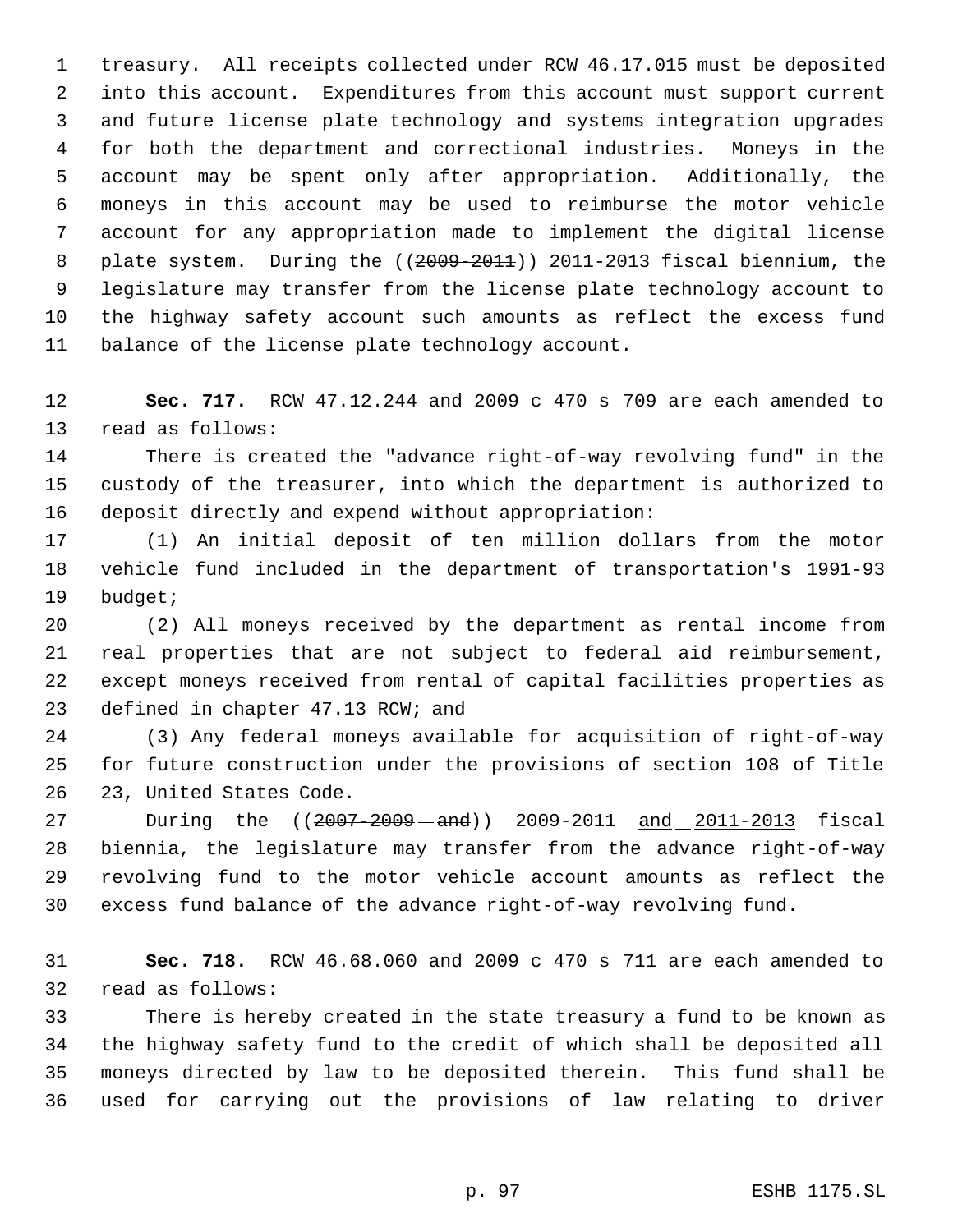treasury. All receipts collected under RCW 46.17.015 must be deposited into this account. Expenditures from this account must support current and future license plate technology and systems integration upgrades for both the department and correctional industries. Moneys in the account may be spent only after appropriation. Additionally, the moneys in this account may be used to reimburse the motor vehicle account for any appropriation made to implement the digital license plate system. During the ((2009-2011)) 2011-2013 fiscal biennium, the legislature may transfer from the license plate technology account to the highway safety account such amounts as reflect the excess fund balance of the license plate technology account.

 **Sec. 717.** RCW 47.12.244 and 2009 c 470 s 709 are each amended to read as follows:

 There is created the "advance right-of-way revolving fund" in the custody of the treasurer, into which the department is authorized to deposit directly and expend without appropriation:

 (1) An initial deposit of ten million dollars from the motor vehicle fund included in the department of transportation's 1991-93 budget;

 (2) All moneys received by the department as rental income from real properties that are not subject to federal aid reimbursement, except moneys received from rental of capital facilities properties as defined in chapter 47.13 RCW; and

 (3) Any federal moneys available for acquisition of right-of-way for future construction under the provisions of section 108 of Title 23, United States Code.

27 During the ((2007-2009 - and)) 2009-2011 and 2011-2013 fiscal biennia, the legislature may transfer from the advance right-of-way revolving fund to the motor vehicle account amounts as reflect the excess fund balance of the advance right-of-way revolving fund.

 **Sec. 718.** RCW 46.68.060 and 2009 c 470 s 711 are each amended to read as follows:

 There is hereby created in the state treasury a fund to be known as the highway safety fund to the credit of which shall be deposited all moneys directed by law to be deposited therein. This fund shall be used for carrying out the provisions of law relating to driver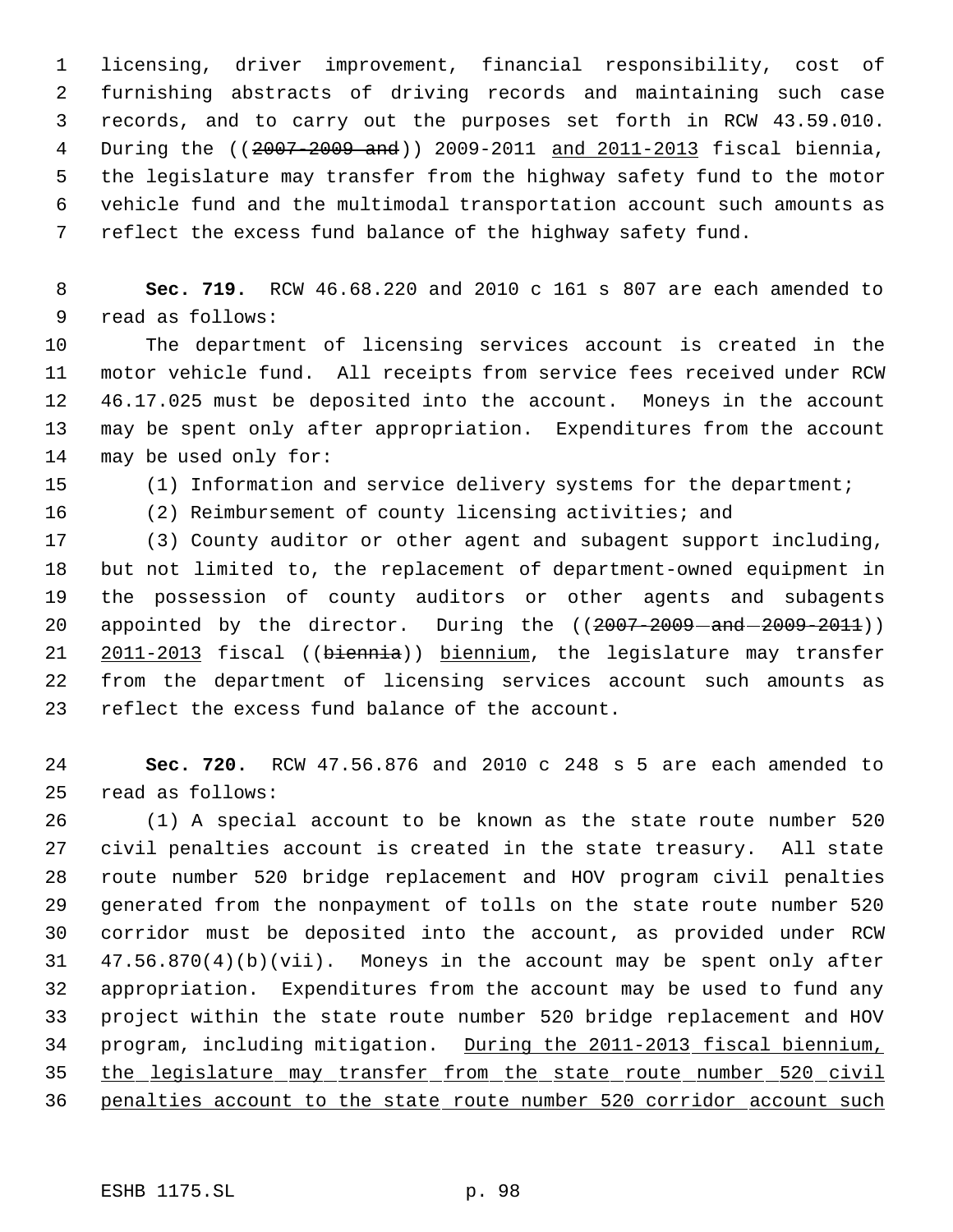licensing, driver improvement, financial responsibility, cost of furnishing abstracts of driving records and maintaining such case records, and to carry out the purposes set forth in RCW 43.59.010. During the ((2007-2009 and)) 2009-2011 and 2011-2013 fiscal biennia, the legislature may transfer from the highway safety fund to the motor vehicle fund and the multimodal transportation account such amounts as reflect the excess fund balance of the highway safety fund.

 **Sec. 719.** RCW 46.68.220 and 2010 c 161 s 807 are each amended to read as follows:

 The department of licensing services account is created in the motor vehicle fund. All receipts from service fees received under RCW 46.17.025 must be deposited into the account. Moneys in the account may be spent only after appropriation. Expenditures from the account may be used only for:

(1) Information and service delivery systems for the department;

(2) Reimbursement of county licensing activities; and

 (3) County auditor or other agent and subagent support including, but not limited to, the replacement of department-owned equipment in the possession of county auditors or other agents and subagents 20 appointed by the director. During the ((2007-2009-and-2009-2011)) 21 2011-2013 fiscal ((biennia)) biennium, the legislature may transfer from the department of licensing services account such amounts as reflect the excess fund balance of the account.

 **Sec. 720.** RCW 47.56.876 and 2010 c 248 s 5 are each amended to read as follows:

 (1) A special account to be known as the state route number 520 civil penalties account is created in the state treasury. All state route number 520 bridge replacement and HOV program civil penalties generated from the nonpayment of tolls on the state route number 520 corridor must be deposited into the account, as provided under RCW 47.56.870(4)(b)(vii). Moneys in the account may be spent only after appropriation. Expenditures from the account may be used to fund any project within the state route number 520 bridge replacement and HOV program, including mitigation. During the 2011-2013 fiscal biennium, the legislature may transfer from the state route number 520 civil penalties account to the state route number 520 corridor account such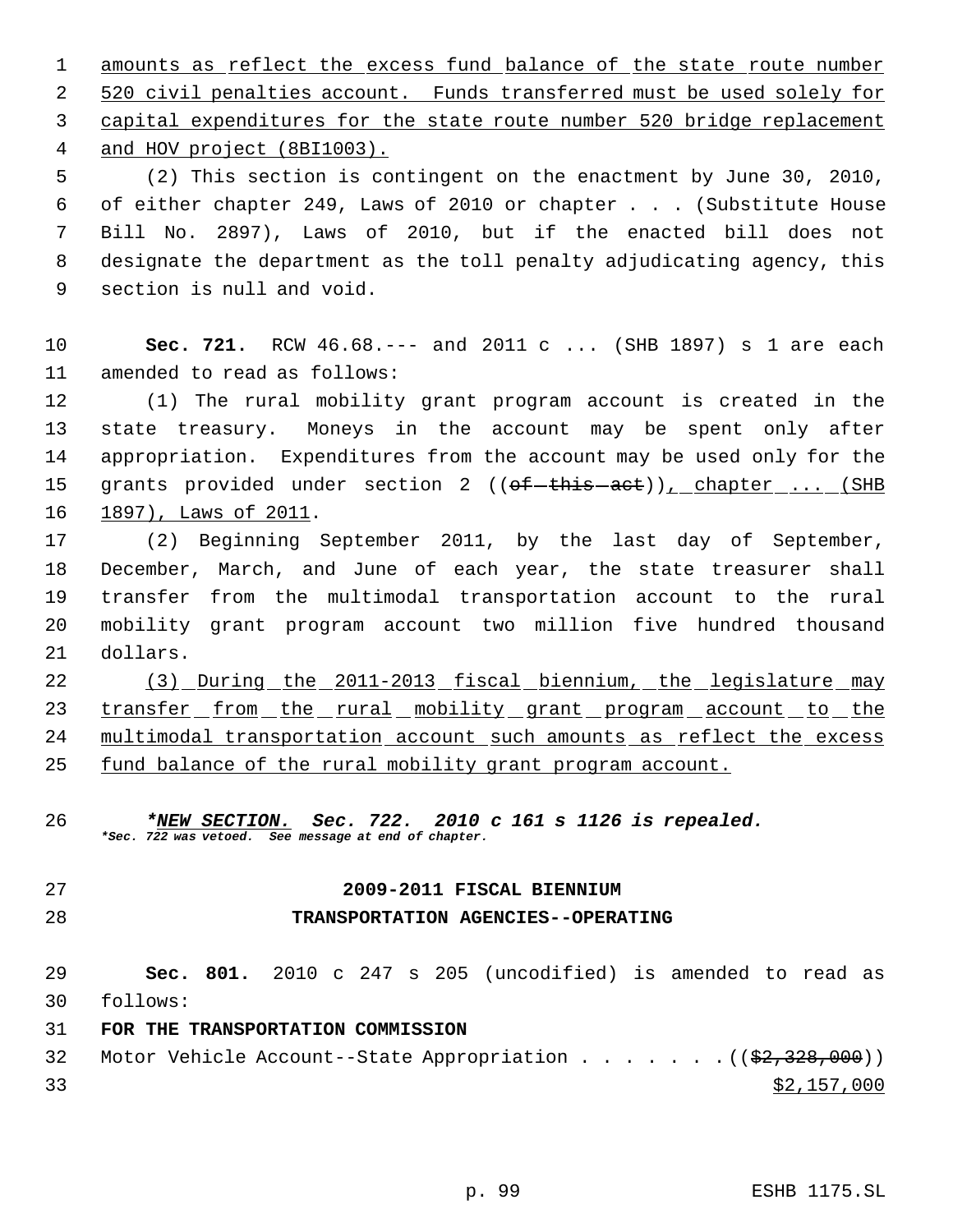amounts as reflect the excess fund balance of the state route number 520 civil penalties account. Funds transferred must be used solely for capital expenditures for the state route number 520 bridge replacement and HOV project (8BI1003).

 (2) This section is contingent on the enactment by June 30, 2010, of either chapter 249, Laws of 2010 or chapter . . . (Substitute House Bill No. 2897), Laws of 2010, but if the enacted bill does not designate the department as the toll penalty adjudicating agency, this section is null and void.

 **Sec. 721.** RCW 46.68.--- and 2011 c ... (SHB 1897) s 1 are each amended to read as follows:

 (1) The rural mobility grant program account is created in the state treasury. Moneys in the account may be spent only after appropriation. Expenditures from the account may be used only for the 15 grants provided under section 2 ((of-this-act)), chapter ... (SHB 1897), Laws of 2011.

 (2) Beginning September 2011, by the last day of September, December, March, and June of each year, the state treasurer shall transfer from the multimodal transportation account to the rural mobility grant program account two million five hundred thousand dollars.

 (3) During the 2011-2013 fiscal biennium, the legislature may 23 transfer from the rural mobility grant program account to the multimodal transportation account such amounts as reflect the excess 25 fund balance of the rural mobility grant program account.

 *\*NEW SECTION. Sec. 722. 2010 c 161 s 1126 is repealed. \*Sec. 722 was vetoed. See message at end of chapter.*

#### **2009-2011 FISCAL BIENNIUM**

## **TRANSPORTATION AGENCIES--OPERATING**

 **Sec. 801.** 2010 c 247 s 205 (uncodified) is amended to read as follows:

**FOR THE TRANSPORTATION COMMISSION**

32 Motor Vehicle Account--State Appropriation . . . . . . . ((\$2,328,000))  $\frac{1}{33}$   $\frac{157}{000}$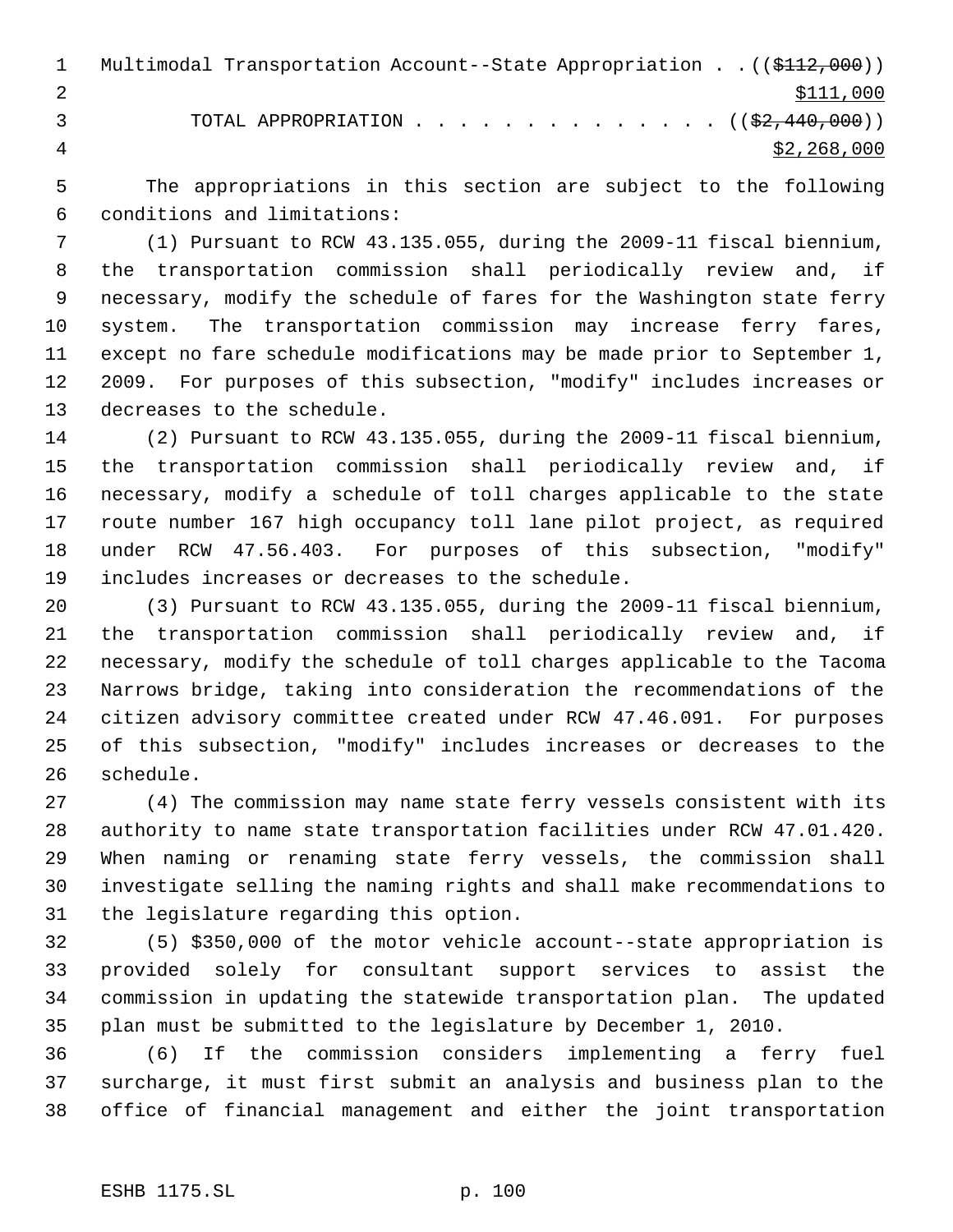1 Multimodal Transportation Account--State Appropriation . . ((\$112,000)) 2  $\frac{$111,000}{ }$ 3 TOTAL APPROPRIATION . . . . . . . . . . . . . . ((\$2,440,000)) 4  $\frac{1}{2}$ , 268,000

 The appropriations in this section are subject to the following conditions and limitations:

 (1) Pursuant to RCW 43.135.055, during the 2009-11 fiscal biennium, the transportation commission shall periodically review and, if necessary, modify the schedule of fares for the Washington state ferry system. The transportation commission may increase ferry fares, except no fare schedule modifications may be made prior to September 1, 2009. For purposes of this subsection, "modify" includes increases or decreases to the schedule.

 (2) Pursuant to RCW 43.135.055, during the 2009-11 fiscal biennium, the transportation commission shall periodically review and, if necessary, modify a schedule of toll charges applicable to the state route number 167 high occupancy toll lane pilot project, as required under RCW 47.56.403. For purposes of this subsection, "modify" includes increases or decreases to the schedule.

 (3) Pursuant to RCW 43.135.055, during the 2009-11 fiscal biennium, the transportation commission shall periodically review and, if necessary, modify the schedule of toll charges applicable to the Tacoma Narrows bridge, taking into consideration the recommendations of the citizen advisory committee created under RCW 47.46.091. For purposes of this subsection, "modify" includes increases or decreases to the schedule.

 (4) The commission may name state ferry vessels consistent with its authority to name state transportation facilities under RCW 47.01.420. When naming or renaming state ferry vessels, the commission shall investigate selling the naming rights and shall make recommendations to the legislature regarding this option.

 (5) \$350,000 of the motor vehicle account--state appropriation is provided solely for consultant support services to assist the commission in updating the statewide transportation plan. The updated plan must be submitted to the legislature by December 1, 2010.

 (6) If the commission considers implementing a ferry fuel surcharge, it must first submit an analysis and business plan to the office of financial management and either the joint transportation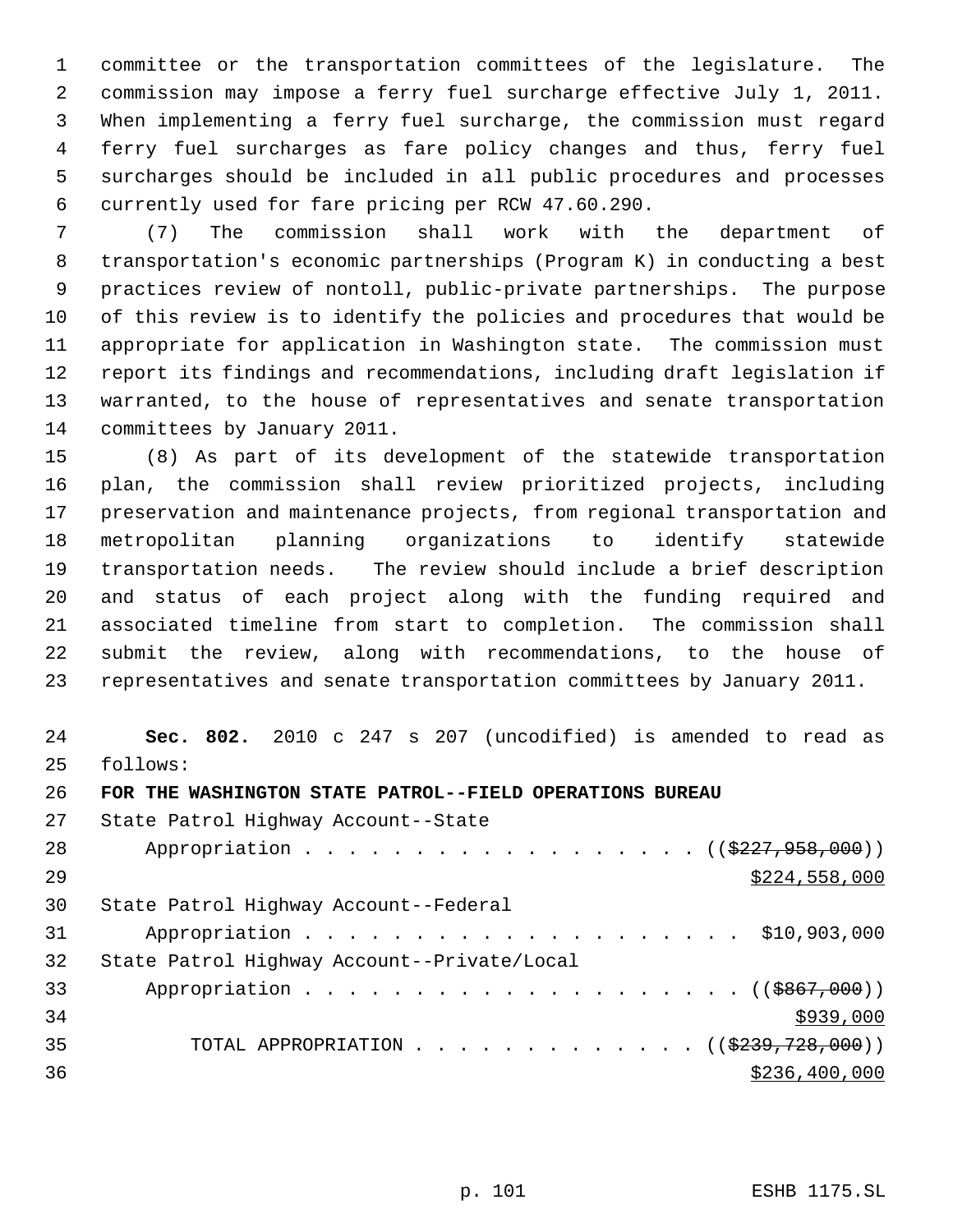committee or the transportation committees of the legislature. The commission may impose a ferry fuel surcharge effective July 1, 2011. When implementing a ferry fuel surcharge, the commission must regard ferry fuel surcharges as fare policy changes and thus, ferry fuel surcharges should be included in all public procedures and processes currently used for fare pricing per RCW 47.60.290.

 (7) The commission shall work with the department of transportation's economic partnerships (Program K) in conducting a best practices review of nontoll, public-private partnerships. The purpose of this review is to identify the policies and procedures that would be appropriate for application in Washington state. The commission must report its findings and recommendations, including draft legislation if warranted, to the house of representatives and senate transportation committees by January 2011.

 (8) As part of its development of the statewide transportation plan, the commission shall review prioritized projects, including preservation and maintenance projects, from regional transportation and metropolitan planning organizations to identify statewide transportation needs. The review should include a brief description and status of each project along with the funding required and associated timeline from start to completion. The commission shall submit the review, along with recommendations, to the house of representatives and senate transportation committees by January 2011.

 **Sec. 802.** 2010 c 247 s 207 (uncodified) is amended to read as follows:

**FOR THE WASHINGTON STATE PATROL--FIELD OPERATIONS BUREAU**

| 27 | State Patrol Highway Account--State                    |
|----|--------------------------------------------------------|
| 28 | Appropriation $($ $(\frac{227}{7}, 958, 000))$         |
| 29 | \$224,558,000                                          |
| 30 | State Patrol Highway Account--Federal                  |
| 31 | Appropriation \$10,903,000                             |
| 32 | State Patrol Highway Account--Private/Local            |
| 33 | Appropriation ( $(\frac{2867,000}{1})$ )               |
| 34 | \$939,000                                              |
| 35 | TOTAL APPROPRIATION ( $(\frac{2239}{728}, 728, 000)$ ) |
| 36 | \$236,400,000                                          |
|    |                                                        |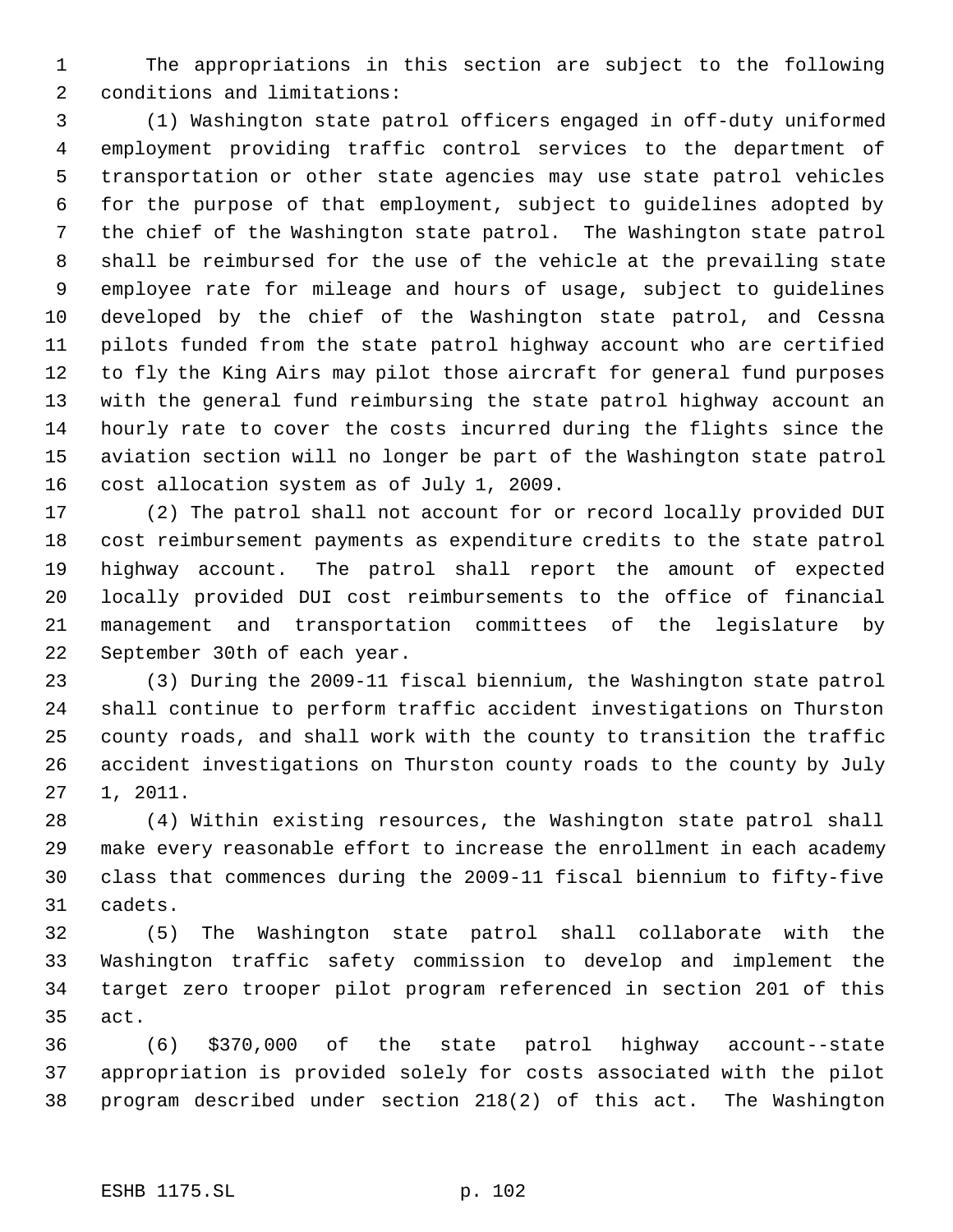The appropriations in this section are subject to the following conditions and limitations:

 (1) Washington state patrol officers engaged in off-duty uniformed employment providing traffic control services to the department of transportation or other state agencies may use state patrol vehicles for the purpose of that employment, subject to guidelines adopted by the chief of the Washington state patrol. The Washington state patrol shall be reimbursed for the use of the vehicle at the prevailing state employee rate for mileage and hours of usage, subject to guidelines developed by the chief of the Washington state patrol, and Cessna pilots funded from the state patrol highway account who are certified to fly the King Airs may pilot those aircraft for general fund purposes with the general fund reimbursing the state patrol highway account an hourly rate to cover the costs incurred during the flights since the aviation section will no longer be part of the Washington state patrol cost allocation system as of July 1, 2009.

 (2) The patrol shall not account for or record locally provided DUI cost reimbursement payments as expenditure credits to the state patrol highway account. The patrol shall report the amount of expected locally provided DUI cost reimbursements to the office of financial management and transportation committees of the legislature by September 30th of each year.

 (3) During the 2009-11 fiscal biennium, the Washington state patrol shall continue to perform traffic accident investigations on Thurston county roads, and shall work with the county to transition the traffic accident investigations on Thurston county roads to the county by July 1, 2011.

 (4) Within existing resources, the Washington state patrol shall make every reasonable effort to increase the enrollment in each academy class that commences during the 2009-11 fiscal biennium to fifty-five cadets.

 (5) The Washington state patrol shall collaborate with the Washington traffic safety commission to develop and implement the target zero trooper pilot program referenced in section 201 of this act.

 (6) \$370,000 of the state patrol highway account--state appropriation is provided solely for costs associated with the pilot program described under section 218(2) of this act. The Washington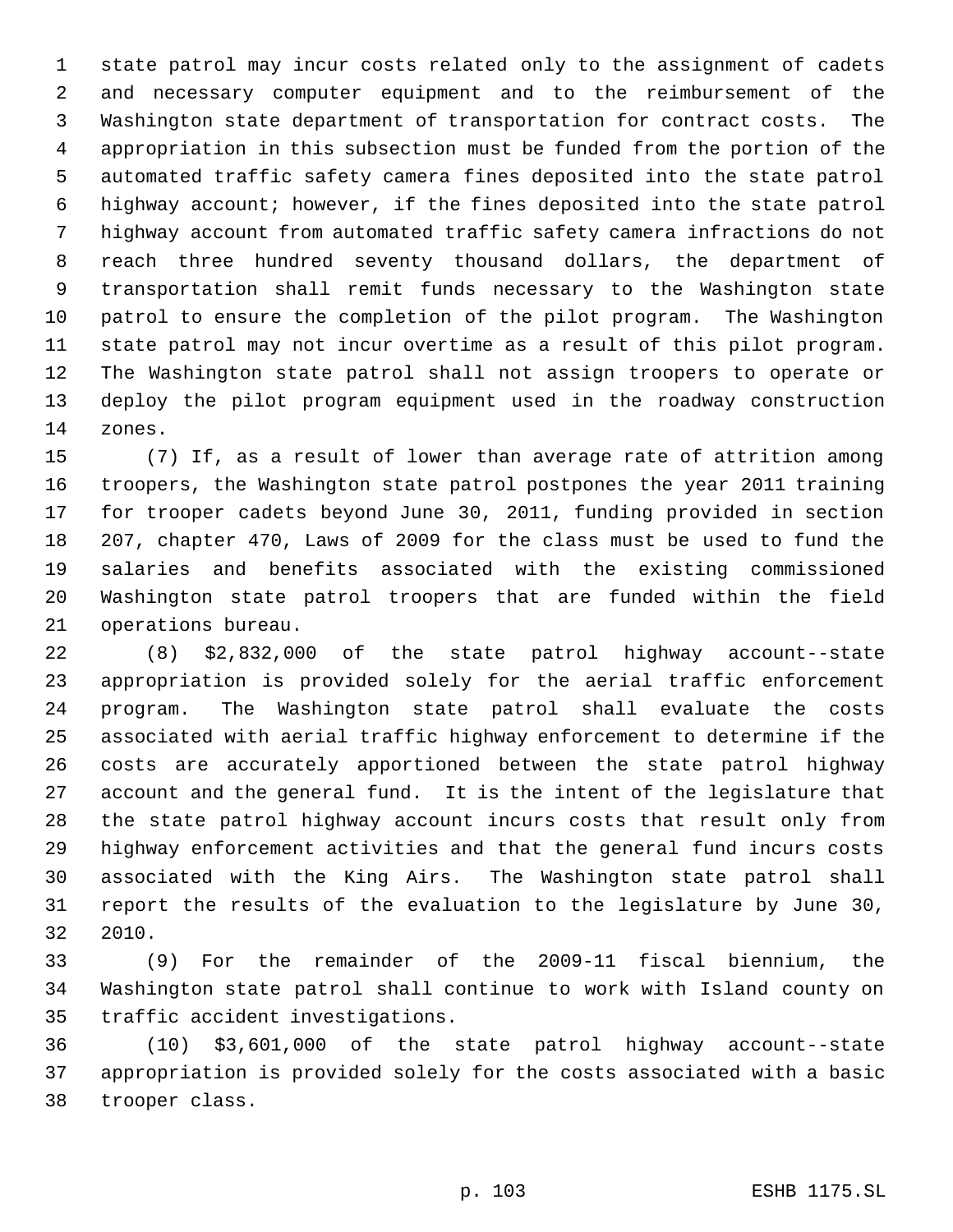state patrol may incur costs related only to the assignment of cadets and necessary computer equipment and to the reimbursement of the Washington state department of transportation for contract costs. The appropriation in this subsection must be funded from the portion of the automated traffic safety camera fines deposited into the state patrol highway account; however, if the fines deposited into the state patrol highway account from automated traffic safety camera infractions do not reach three hundred seventy thousand dollars, the department of transportation shall remit funds necessary to the Washington state patrol to ensure the completion of the pilot program. The Washington state patrol may not incur overtime as a result of this pilot program. The Washington state patrol shall not assign troopers to operate or deploy the pilot program equipment used in the roadway construction zones.

 (7) If, as a result of lower than average rate of attrition among troopers, the Washington state patrol postpones the year 2011 training for trooper cadets beyond June 30, 2011, funding provided in section 207, chapter 470, Laws of 2009 for the class must be used to fund the salaries and benefits associated with the existing commissioned Washington state patrol troopers that are funded within the field operations bureau.

 (8) \$2,832,000 of the state patrol highway account--state appropriation is provided solely for the aerial traffic enforcement program. The Washington state patrol shall evaluate the costs associated with aerial traffic highway enforcement to determine if the costs are accurately apportioned between the state patrol highway account and the general fund. It is the intent of the legislature that the state patrol highway account incurs costs that result only from highway enforcement activities and that the general fund incurs costs associated with the King Airs. The Washington state patrol shall report the results of the evaluation to the legislature by June 30, 2010.

 (9) For the remainder of the 2009-11 fiscal biennium, the Washington state patrol shall continue to work with Island county on traffic accident investigations.

 (10) \$3,601,000 of the state patrol highway account--state appropriation is provided solely for the costs associated with a basic trooper class.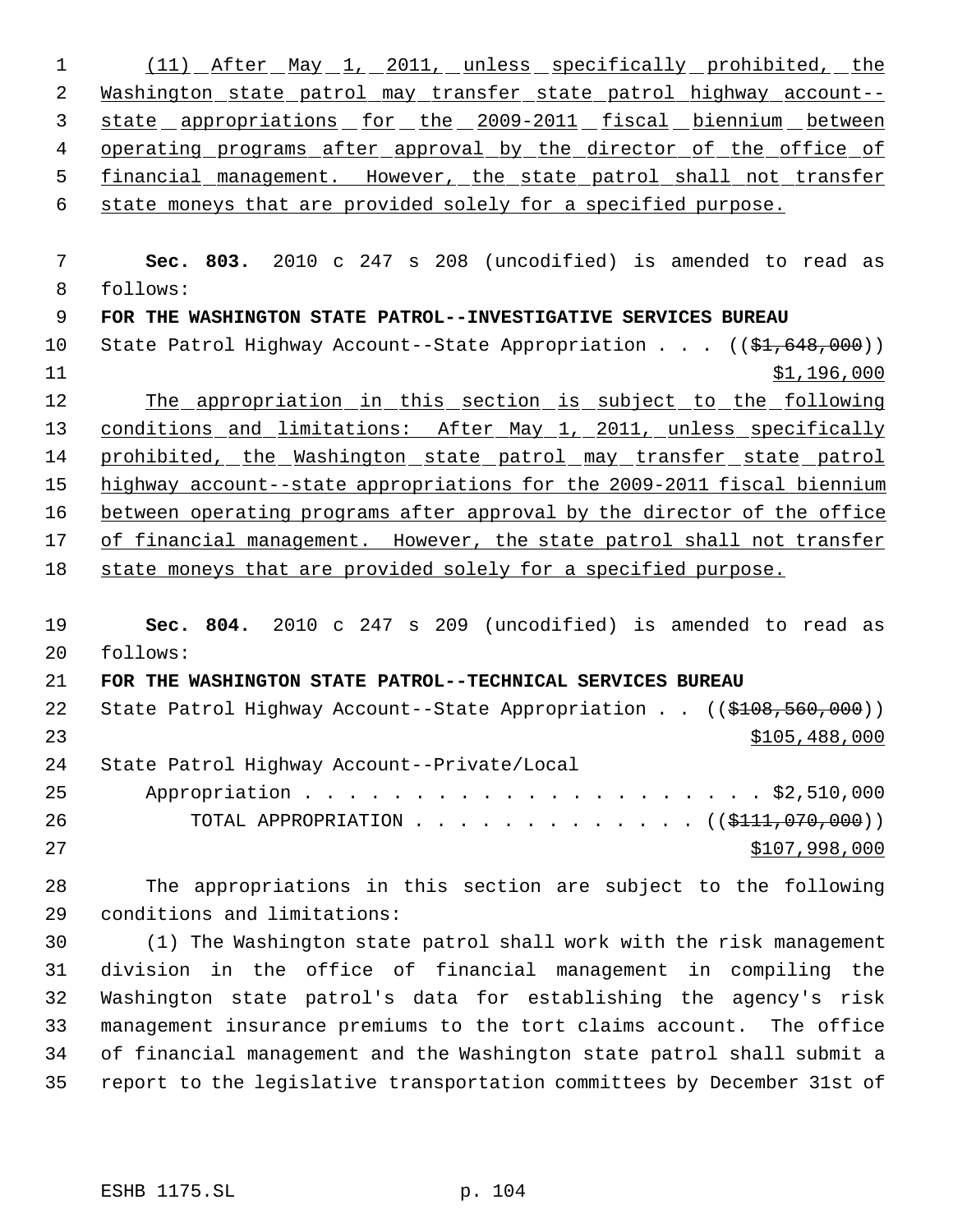| 2<br>3<br>4<br>5<br>6<br>state moneys that are provided solely for a specified purpose.<br>7<br>follows:<br>8<br>$\mathsf 9$<br>FOR THE WASHINGTON STATE PATROL--INVESTIGATIVE SERVICES BUREAU<br>10<br>11<br>12<br>13<br>14<br>15<br>16<br>17<br>18<br>state moneys that are provided solely for a specified purpose.<br>19<br>20<br>follows:<br>21<br>FOR THE WASHINGTON STATE PATROL--TECHNICAL SERVICES BUREAU<br>22<br>23<br>24<br>State Patrol Highway Account--Private/Local<br>25<br>26<br>27<br>28<br>The appropriations in this section are subject to the following<br>29<br>conditions and limitations:<br>30<br>(1) The Washington state patrol shall work with the risk management<br>division in the office of financial management in compiling the<br>31<br>Washington state patrol's data for establishing the agency's risk<br>32<br>33 | $\mathbf 1$ | (11) After May 1, 2011, unless specifically prohibited, the                |
|------------------------------------------------------------------------------------------------------------------------------------------------------------------------------------------------------------------------------------------------------------------------------------------------------------------------------------------------------------------------------------------------------------------------------------------------------------------------------------------------------------------------------------------------------------------------------------------------------------------------------------------------------------------------------------------------------------------------------------------------------------------------------------------------------------------------------------------------------------|-------------|----------------------------------------------------------------------------|
|                                                                                                                                                                                                                                                                                                                                                                                                                                                                                                                                                                                                                                                                                                                                                                                                                                                            |             | Washington state patrol may transfer state patrol highway account-         |
|                                                                                                                                                                                                                                                                                                                                                                                                                                                                                                                                                                                                                                                                                                                                                                                                                                                            |             | state appropriations for the 2009-2011 fiscal biennium between             |
|                                                                                                                                                                                                                                                                                                                                                                                                                                                                                                                                                                                                                                                                                                                                                                                                                                                            |             | <u>operating programs after approval by the director of the office of</u>  |
|                                                                                                                                                                                                                                                                                                                                                                                                                                                                                                                                                                                                                                                                                                                                                                                                                                                            |             | financial management. However, the state patrol shall not transfer         |
|                                                                                                                                                                                                                                                                                                                                                                                                                                                                                                                                                                                                                                                                                                                                                                                                                                                            |             |                                                                            |
|                                                                                                                                                                                                                                                                                                                                                                                                                                                                                                                                                                                                                                                                                                                                                                                                                                                            |             |                                                                            |
|                                                                                                                                                                                                                                                                                                                                                                                                                                                                                                                                                                                                                                                                                                                                                                                                                                                            |             | Sec. 803. 2010 c 247 s 208 (uncodified) is amended to read as              |
|                                                                                                                                                                                                                                                                                                                                                                                                                                                                                                                                                                                                                                                                                                                                                                                                                                                            |             |                                                                            |
|                                                                                                                                                                                                                                                                                                                                                                                                                                                                                                                                                                                                                                                                                                                                                                                                                                                            |             |                                                                            |
|                                                                                                                                                                                                                                                                                                                                                                                                                                                                                                                                                                                                                                                                                                                                                                                                                                                            |             | State Patrol Highway Account--State Appropriation $($ $($ \$1,648,000) $)$ |
|                                                                                                                                                                                                                                                                                                                                                                                                                                                                                                                                                                                                                                                                                                                                                                                                                                                            |             | \$1,196,000                                                                |
|                                                                                                                                                                                                                                                                                                                                                                                                                                                                                                                                                                                                                                                                                                                                                                                                                                                            |             | The appropriation in this section is subject to the following              |
|                                                                                                                                                                                                                                                                                                                                                                                                                                                                                                                                                                                                                                                                                                                                                                                                                                                            |             | conditions and limitations: After May 1, 2011, unless specifically         |
|                                                                                                                                                                                                                                                                                                                                                                                                                                                                                                                                                                                                                                                                                                                                                                                                                                                            |             | prohibited, the Washington state patrol may transfer state patrol          |
|                                                                                                                                                                                                                                                                                                                                                                                                                                                                                                                                                                                                                                                                                                                                                                                                                                                            |             | highway account--state appropriations for the 2009-2011 fiscal biennium    |
|                                                                                                                                                                                                                                                                                                                                                                                                                                                                                                                                                                                                                                                                                                                                                                                                                                                            |             | between operating programs after approval by the director of the office    |
|                                                                                                                                                                                                                                                                                                                                                                                                                                                                                                                                                                                                                                                                                                                                                                                                                                                            |             | of financial management. However, the state patrol shall not transfer      |
|                                                                                                                                                                                                                                                                                                                                                                                                                                                                                                                                                                                                                                                                                                                                                                                                                                                            |             |                                                                            |
|                                                                                                                                                                                                                                                                                                                                                                                                                                                                                                                                                                                                                                                                                                                                                                                                                                                            |             |                                                                            |
|                                                                                                                                                                                                                                                                                                                                                                                                                                                                                                                                                                                                                                                                                                                                                                                                                                                            |             | Sec. 804. 2010 c 247 s 209 (uncodified) is amended to read as              |
|                                                                                                                                                                                                                                                                                                                                                                                                                                                                                                                                                                                                                                                                                                                                                                                                                                                            |             |                                                                            |
|                                                                                                                                                                                                                                                                                                                                                                                                                                                                                                                                                                                                                                                                                                                                                                                                                                                            |             |                                                                            |
|                                                                                                                                                                                                                                                                                                                                                                                                                                                                                                                                                                                                                                                                                                                                                                                                                                                            |             | State Patrol Highway Account--State Appropriation $((\$408,560,000))$      |
|                                                                                                                                                                                                                                                                                                                                                                                                                                                                                                                                                                                                                                                                                                                                                                                                                                                            |             | \$105,488,000                                                              |
|                                                                                                                                                                                                                                                                                                                                                                                                                                                                                                                                                                                                                                                                                                                                                                                                                                                            |             |                                                                            |
|                                                                                                                                                                                                                                                                                                                                                                                                                                                                                                                                                                                                                                                                                                                                                                                                                                                            |             |                                                                            |
|                                                                                                                                                                                                                                                                                                                                                                                                                                                                                                                                                                                                                                                                                                                                                                                                                                                            |             | TOTAL APPROPRIATION $\ldots$ , ( $(\frac{111}{700}, 000)$ )                |
|                                                                                                                                                                                                                                                                                                                                                                                                                                                                                                                                                                                                                                                                                                                                                                                                                                                            |             | \$107,998,000                                                              |
|                                                                                                                                                                                                                                                                                                                                                                                                                                                                                                                                                                                                                                                                                                                                                                                                                                                            |             |                                                                            |
|                                                                                                                                                                                                                                                                                                                                                                                                                                                                                                                                                                                                                                                                                                                                                                                                                                                            |             |                                                                            |
|                                                                                                                                                                                                                                                                                                                                                                                                                                                                                                                                                                                                                                                                                                                                                                                                                                                            |             |                                                                            |
|                                                                                                                                                                                                                                                                                                                                                                                                                                                                                                                                                                                                                                                                                                                                                                                                                                                            |             |                                                                            |
|                                                                                                                                                                                                                                                                                                                                                                                                                                                                                                                                                                                                                                                                                                                                                                                                                                                            |             |                                                                            |
|                                                                                                                                                                                                                                                                                                                                                                                                                                                                                                                                                                                                                                                                                                                                                                                                                                                            |             | management insurance premiums to the tort claims account. The office       |

 of financial management and the Washington state patrol shall submit a report to the legislative transportation committees by December 31st of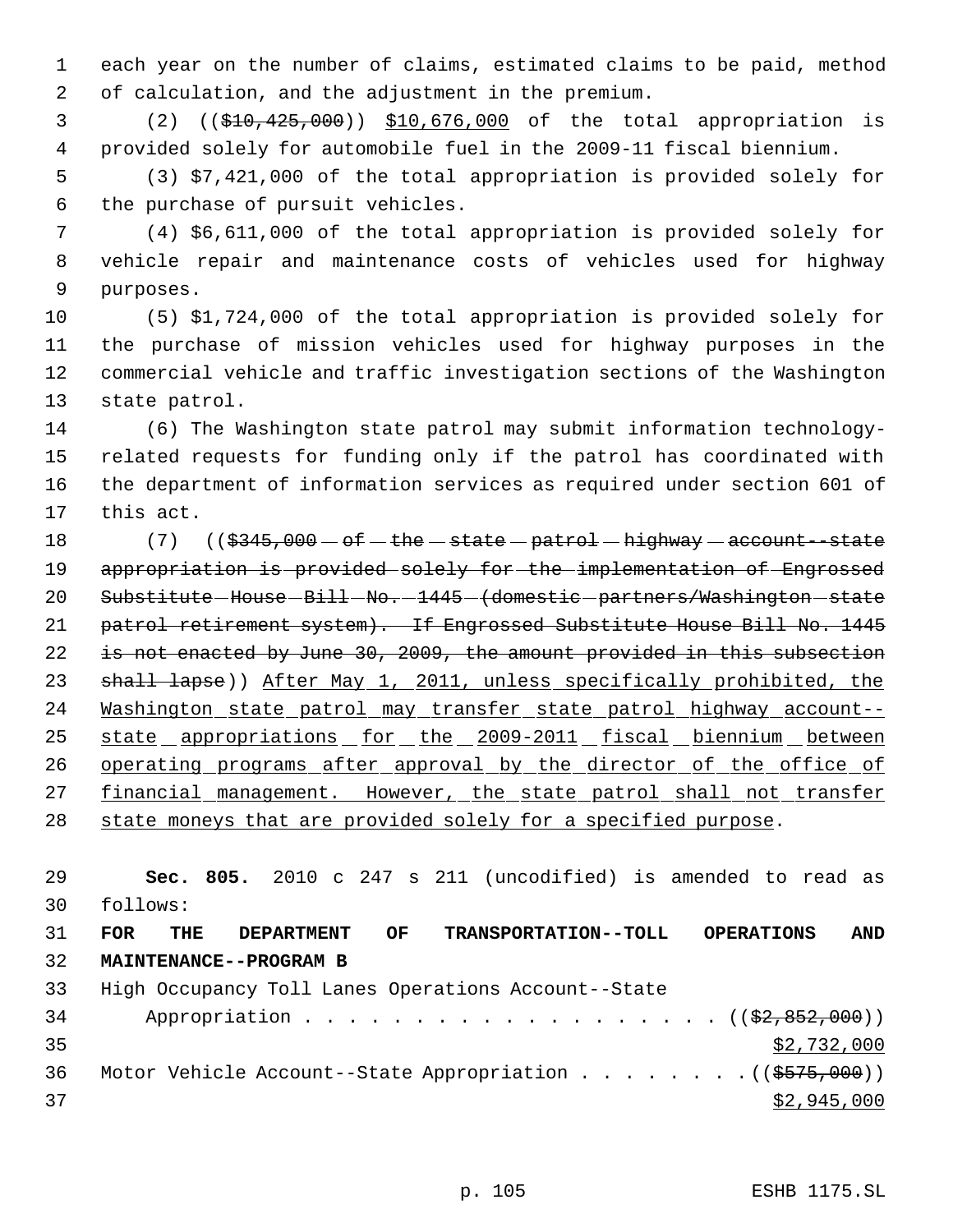each year on the number of claims, estimated claims to be paid, method of calculation, and the adjustment in the premium.

 (2) ((\$10,425,000)) \$10,676,000 of the total appropriation is provided solely for automobile fuel in the 2009-11 fiscal biennium.

 (3) \$7,421,000 of the total appropriation is provided solely for the purchase of pursuit vehicles.

 (4) \$6,611,000 of the total appropriation is provided solely for vehicle repair and maintenance costs of vehicles used for highway purposes.

 (5) \$1,724,000 of the total appropriation is provided solely for the purchase of mission vehicles used for highway purposes in the commercial vehicle and traffic investigation sections of the Washington state patrol.

 (6) The Washington state patrol may submit information technology- related requests for funding only if the patrol has coordinated with the department of information services as required under section 601 of this act.

18  $(7)$   $((\frac{2345}{000} - \text{of} - \text{the} - \text{state} - \text{pattern} - \text{higher} - \text{accel} - \text{ste} - \text{state})$ 19 appropriation is provided solely for the implementation of Engrossed 20 Substitute House Bill No. -1445 (domestic partners/Washington state patrol retirement system). If Engrossed Substitute House Bill No. 1445 is not enacted by June 30, 2009, the amount provided in this subsection 23 shall lapse)) After May 1, 2011, unless specifically prohibited, the Washington state patrol may transfer state patrol highway account-- 25 state appropriations for the 2009-2011 fiscal biennium between 26 operating programs after approval by the director of the office of 27 financial management. However, the state patrol shall not transfer state moneys that are provided solely for a specified purpose.

 **Sec. 805.** 2010 c 247 s 211 (uncodified) is amended to read as follows: **FOR THE DEPARTMENT OF TRANSPORTATION--TOLL OPERATIONS AND MAINTENANCE--PROGRAM B** High Occupancy Toll Lanes Operations Account--State 34 Appropriation . . . . . . . . . . . . . . . . . ((\$2,852,000))  $$2,732,000$ 36 Motor Vehicle Account--State Appropriation . . . . . . . . ((\$575,000))  $\frac{1}{2}$  37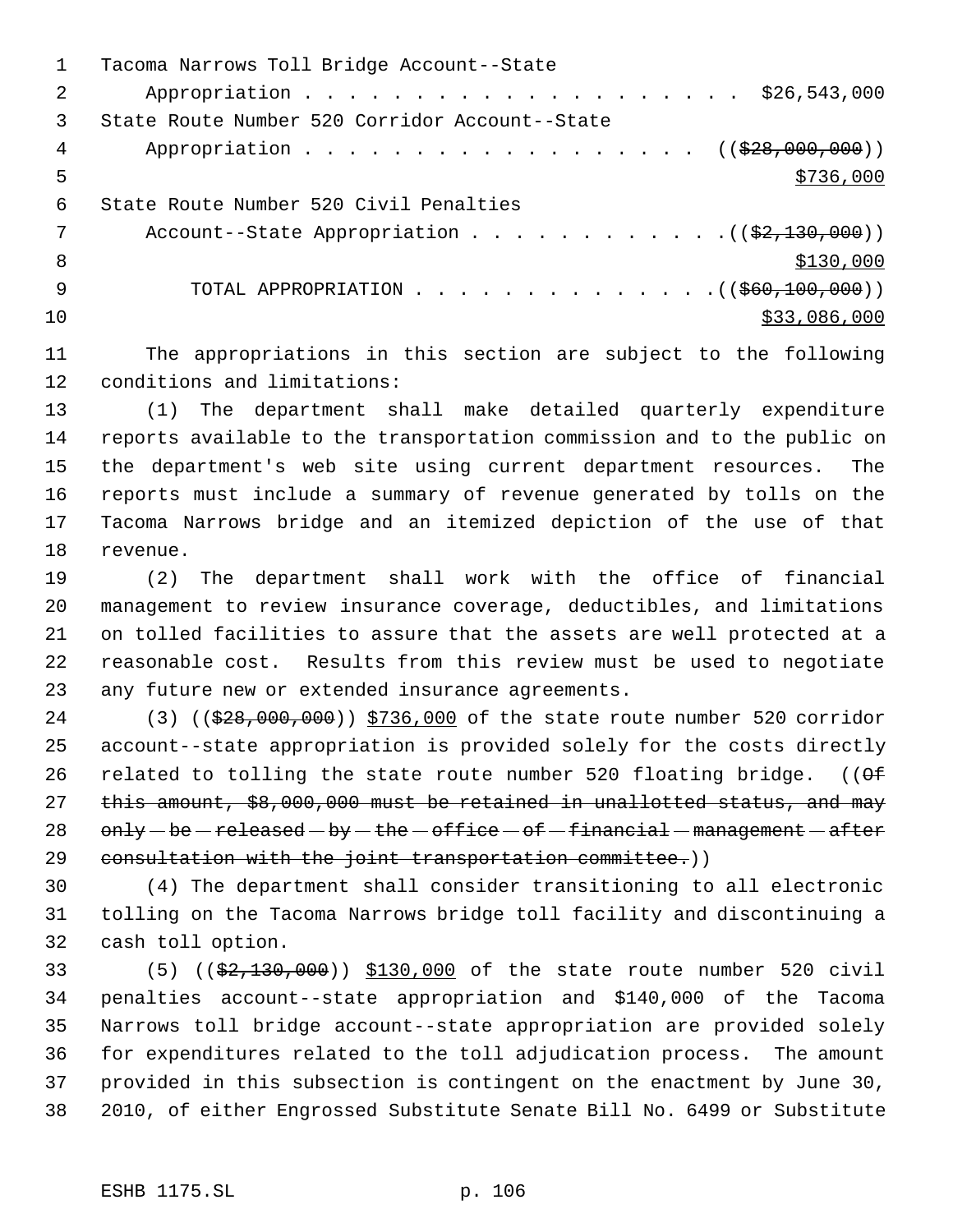|    | Tacoma Narrows Toll Bridge Account--State                       |
|----|-----------------------------------------------------------------|
|    | Appropriation \$26,543,000                                      |
| 3  | State Route Number 520 Corridor Account--State                  |
| 4  | Appropriation $($ $(\frac{228}{100}, 000, 000))$                |
| 5  | \$736,000                                                       |
| 6  | State Route Number 520 Civil Penalties                          |
| 7  | Account--State Appropriation $($ $($ \$2,130,000) $)$           |
| 8  | \$130,000                                                       |
| 9  | TOTAL APPROPRIATION $\ldots$ , ( $(\frac{660,100,000}{\cdots})$ |
| 10 | \$33,086,000                                                    |
|    |                                                                 |

 The appropriations in this section are subject to the following conditions and limitations:

 (1) The department shall make detailed quarterly expenditure reports available to the transportation commission and to the public on the department's web site using current department resources. The reports must include a summary of revenue generated by tolls on the Tacoma Narrows bridge and an itemized depiction of the use of that revenue.

 (2) The department shall work with the office of financial management to review insurance coverage, deductibles, and limitations on tolled facilities to assure that the assets are well protected at a reasonable cost. Results from this review must be used to negotiate any future new or extended insurance agreements.

24 (3) ((\$28,000,000)) \$736,000 of the state route number 520 corridor account--state appropriation is provided solely for the costs directly 26 related to tolling the state route number 520 floating bridge.  $( \theta)$ 27 this amount, \$8,000,000 must be retained in unallotted status, and may 28 only  $-be$   $-$  released  $-$  by  $-$  the  $-$  office  $-$  of  $-$  financial  $-$  management  $-$  after 29 consultation with the joint transportation committee.))

 (4) The department shall consider transitioning to all electronic tolling on the Tacoma Narrows bridge toll facility and discontinuing a cash toll option.

 (5) ((\$2,130,000)) \$130,000 of the state route number 520 civil penalties account--state appropriation and \$140,000 of the Tacoma Narrows toll bridge account--state appropriation are provided solely for expenditures related to the toll adjudication process. The amount provided in this subsection is contingent on the enactment by June 30, 2010, of either Engrossed Substitute Senate Bill No. 6499 or Substitute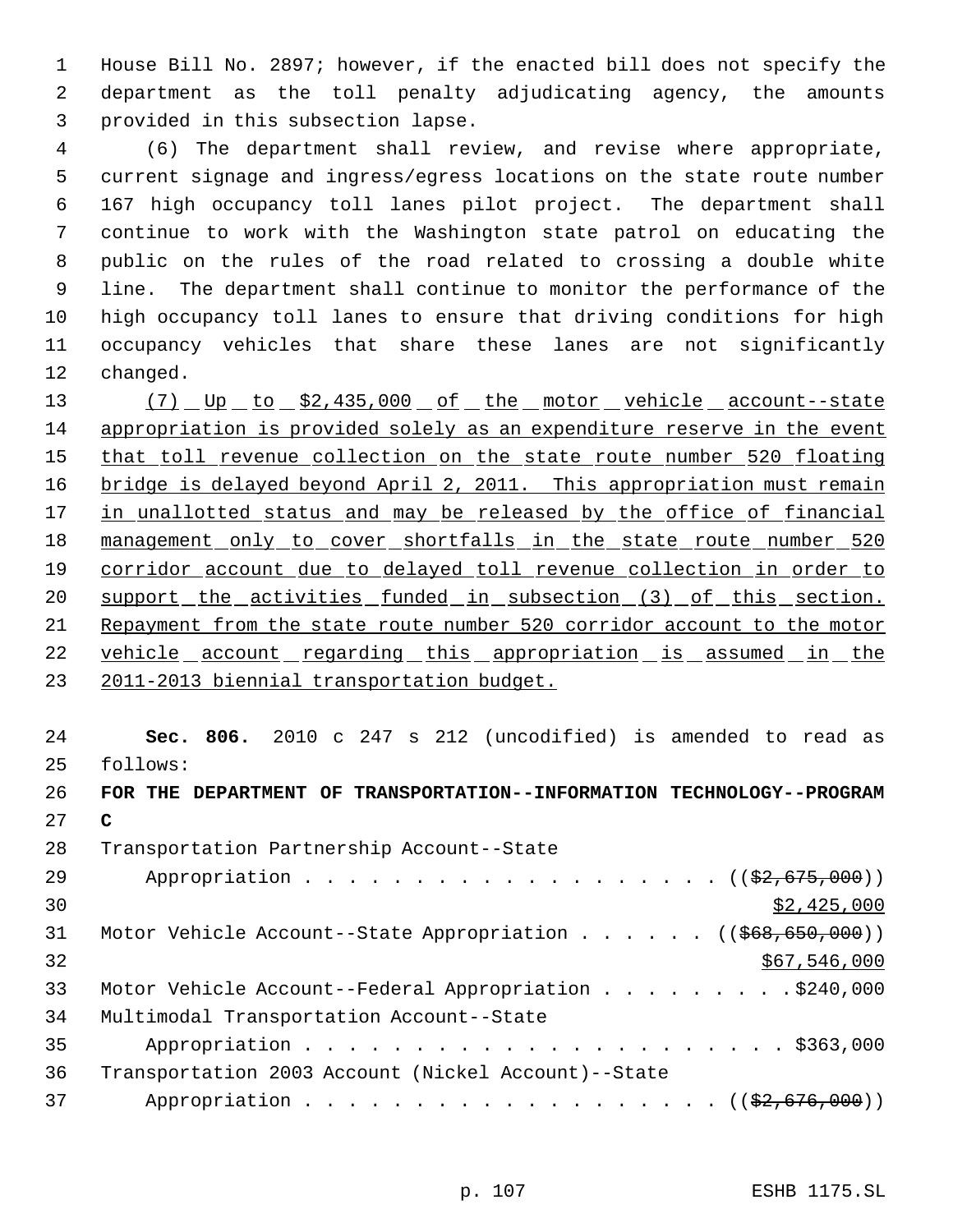House Bill No. 2897; however, if the enacted bill does not specify the department as the toll penalty adjudicating agency, the amounts provided in this subsection lapse.

 (6) The department shall review, and revise where appropriate, current signage and ingress/egress locations on the state route number 167 high occupancy toll lanes pilot project. The department shall continue to work with the Washington state patrol on educating the public on the rules of the road related to crossing a double white line. The department shall continue to monitor the performance of the high occupancy toll lanes to ensure that driving conditions for high occupancy vehicles that share these lanes are not significantly changed.

13 (7) Up to \$2,435,000 of the motor vehicle account--state appropriation is provided solely as an expenditure reserve in the event 15 that toll revenue collection on the state route number 520 floating 16 bridge is delayed beyond April 2, 2011. This appropriation must remain 17 in unallotted status and may be released by the office of financial 18 management only to cover shortfalls in the state route number 520 19 corridor account due to delayed toll revenue collection in order to 20 support the activities funded in subsection (3) of this section. Repayment from the state route number 520 corridor account to the motor vehicle account regarding this appropriation is assumed in the 2011-2013 biennial transportation budget.

 **Sec. 806.** 2010 c 247 s 212 (uncodified) is amended to read as follows:

 **FOR THE DEPARTMENT OF TRANSPORTATION--INFORMATION TECHNOLOGY--PROGRAM C** Transportation Partnership Account--State 29 Appropriation . . . . . . . . . . . . . . . . . ((\$2,675,000)) \$2,425,000 31 Motor Vehicle Account--State Appropriation . . . . . ((\$68,650,000)) \$67,546,000 33 Motor Vehicle Account--Federal Appropriation . . . . . . . . . \$240,000 Multimodal Transportation Account--State Appropriation . . . . . . . . . . . . . . . . . . . . . . \$363,000 Transportation 2003 Account (Nickel Account)--State 37 Appropriation . . . . . . . . . . . . . . . . . ((\$2,676,000))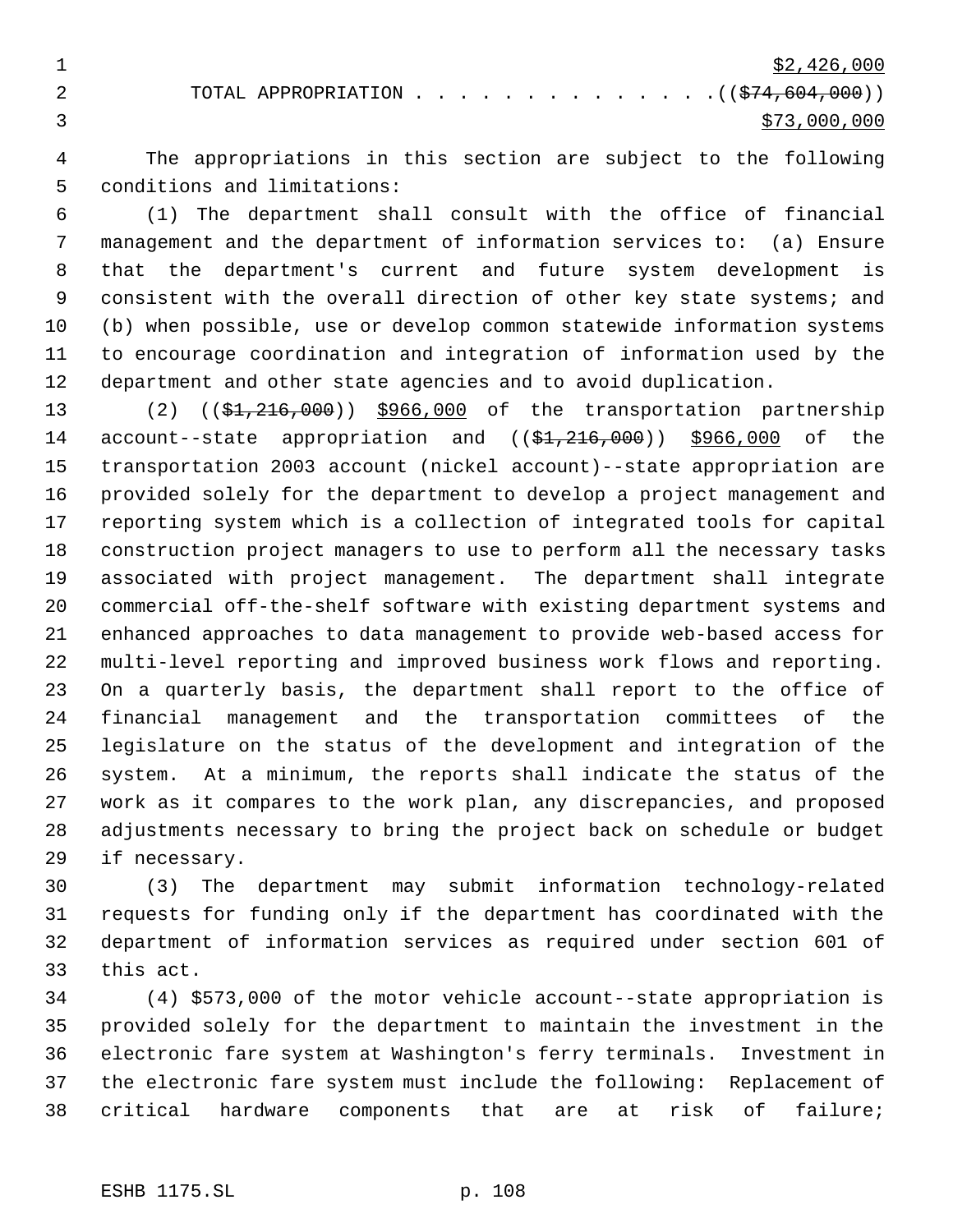1  $\frac{$2,426,000}{ }$ 2 TOTAL APPROPRIATION . . . . . . . . . . . . . . ((\$74,604,000))  $3 \times 73,000,000$ 

 The appropriations in this section are subject to the following conditions and limitations:

 (1) The department shall consult with the office of financial management and the department of information services to: (a) Ensure that the department's current and future system development is 9 consistent with the overall direction of other key state systems; and (b) when possible, use or develop common statewide information systems to encourage coordination and integration of information used by the department and other state agencies and to avoid duplication.

13 (2) ((\$1,216,000)) \$966,000 of the transportation partnership 14 account--state appropriation and ( $(\frac{1}{21}, \frac{216}{100})$ ) \$966,000 of the transportation 2003 account (nickel account)--state appropriation are provided solely for the department to develop a project management and reporting system which is a collection of integrated tools for capital construction project managers to use to perform all the necessary tasks associated with project management. The department shall integrate commercial off-the-shelf software with existing department systems and enhanced approaches to data management to provide web-based access for multi-level reporting and improved business work flows and reporting. On a quarterly basis, the department shall report to the office of financial management and the transportation committees of the legislature on the status of the development and integration of the system. At a minimum, the reports shall indicate the status of the work as it compares to the work plan, any discrepancies, and proposed adjustments necessary to bring the project back on schedule or budget if necessary.

 (3) The department may submit information technology-related requests for funding only if the department has coordinated with the department of information services as required under section 601 of this act.

 (4) \$573,000 of the motor vehicle account--state appropriation is provided solely for the department to maintain the investment in the electronic fare system at Washington's ferry terminals. Investment in the electronic fare system must include the following: Replacement of critical hardware components that are at risk of failure;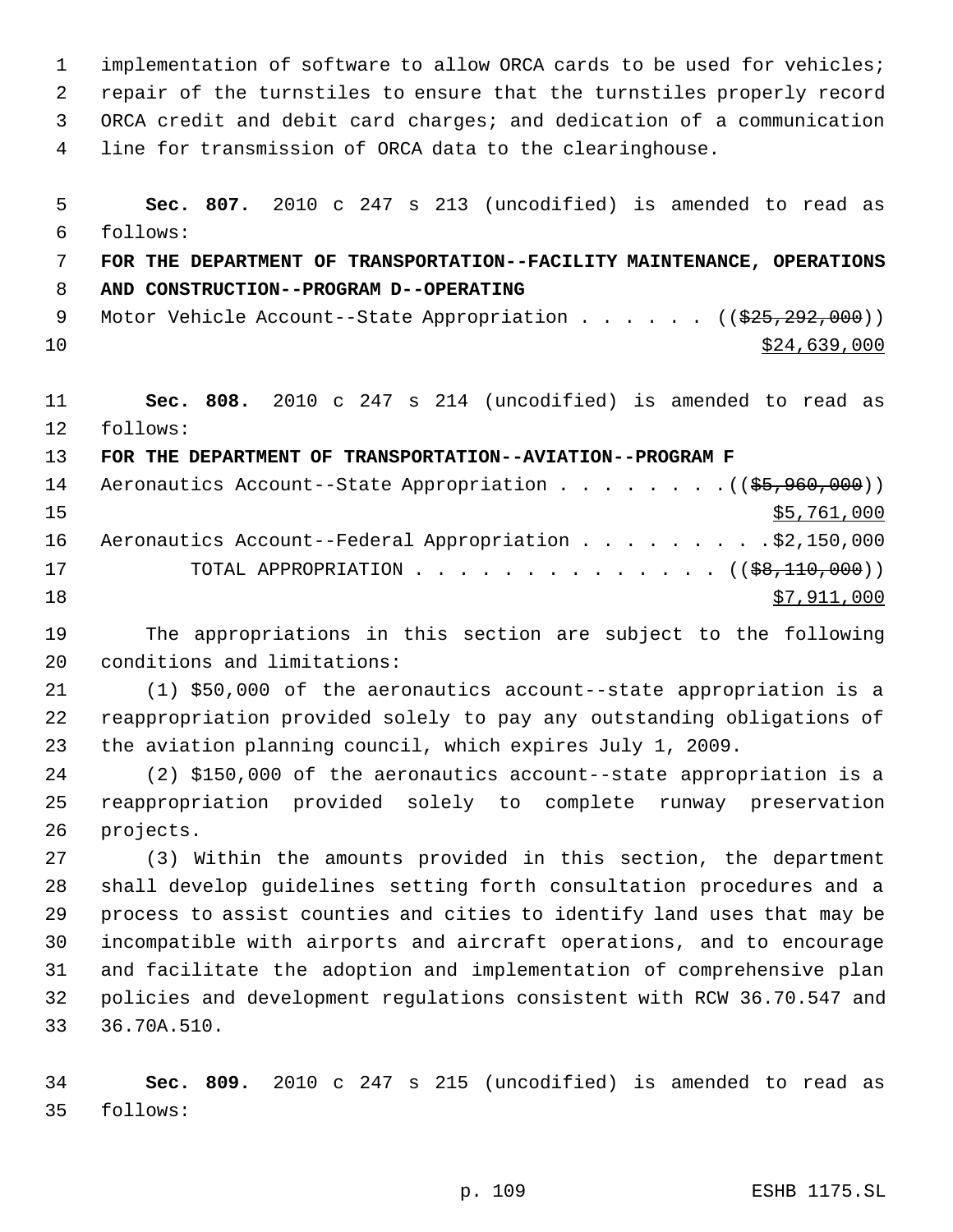implementation of software to allow ORCA cards to be used for vehicles; repair of the turnstiles to ensure that the turnstiles properly record ORCA credit and debit card charges; and dedication of a communication line for transmission of ORCA data to the clearinghouse. **Sec. 807.** 2010 c 247 s 213 (uncodified) is amended to read as follows: **FOR THE DEPARTMENT OF TRANSPORTATION--FACILITY MAINTENANCE, OPERATIONS AND CONSTRUCTION--PROGRAM D--OPERATING** 9 Motor Vehicle Account--State Appropriation . . . . . . ((\$25,292,000))  $\frac{10}{24}$ ,639,000 **Sec. 808.** 2010 c 247 s 214 (uncodified) is amended to read as follows: **FOR THE DEPARTMENT OF TRANSPORTATION--AVIATION--PROGRAM F** 14 Aeronautics Account--State Appropriation . . . . . . . . ((\$5,960,000))  $\frac{15}{15}$   $\frac{15}{1000}$ 16 Aeronautics Account--Federal Appropriation . . . . . . . . . \$2,150,000 17 TOTAL APPROPRIATION . . . . . . . . . . . . . ( (\$8,110,000))  $\frac{18}{18}$   $\frac{1}{27,911,000}$  The appropriations in this section are subject to the following conditions and limitations: (1) \$50,000 of the aeronautics account--state appropriation is a

 reappropriation provided solely to pay any outstanding obligations of the aviation planning council, which expires July 1, 2009.

 (2) \$150,000 of the aeronautics account--state appropriation is a reappropriation provided solely to complete runway preservation projects.

 (3) Within the amounts provided in this section, the department shall develop guidelines setting forth consultation procedures and a process to assist counties and cities to identify land uses that may be incompatible with airports and aircraft operations, and to encourage and facilitate the adoption and implementation of comprehensive plan policies and development regulations consistent with RCW 36.70.547 and 36.70A.510.

 **Sec. 809.** 2010 c 247 s 215 (uncodified) is amended to read as follows: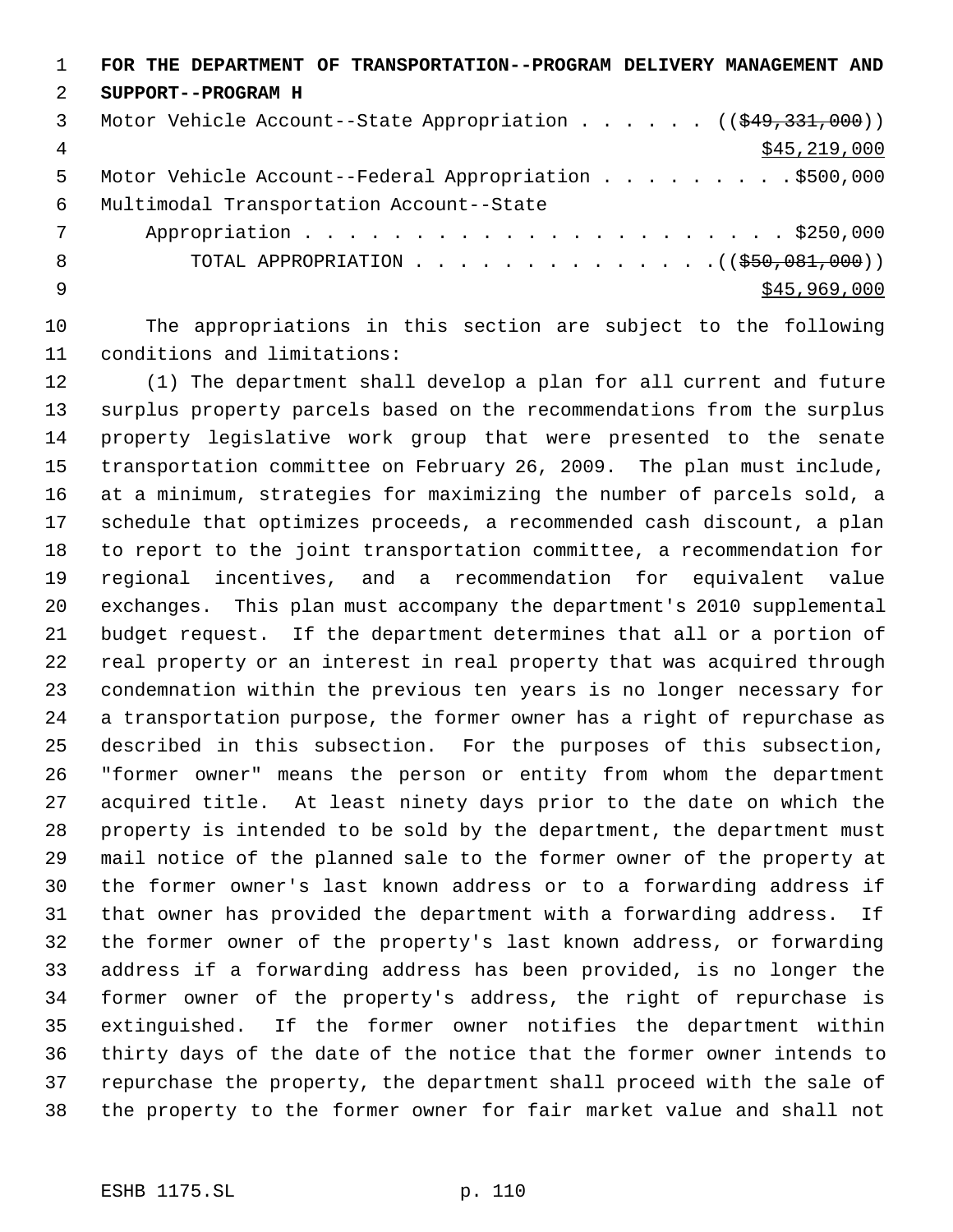|   | FOR THE DEPARTMENT OF TRANSPORTATION--PROGRAM DELIVERY MANAGEMENT AND   |
|---|-------------------------------------------------------------------------|
| 2 | SUPPORT--PROGRAM H                                                      |
| 3 | Motor Vehicle Account--State Appropriation ( $(\frac{249}{331}, 000)$ ) |
| 4 | \$45,219,000                                                            |
| 5 | Motor Vehicle Account--Federal Appropriation \$500,000                  |
| 6 | Multimodal Transportation Account--State                                |
| 7 |                                                                         |
| 8 | TOTAL APPROPRIATION $($ $($ $\frac{250}{10011100})$                     |
| 9 | \$45,969,000                                                            |
|   |                                                                         |

 The appropriations in this section are subject to the following conditions and limitations:

 (1) The department shall develop a plan for all current and future surplus property parcels based on the recommendations from the surplus property legislative work group that were presented to the senate transportation committee on February 26, 2009. The plan must include, at a minimum, strategies for maximizing the number of parcels sold, a schedule that optimizes proceeds, a recommended cash discount, a plan to report to the joint transportation committee, a recommendation for regional incentives, and a recommendation for equivalent value exchanges. This plan must accompany the department's 2010 supplemental budget request. If the department determines that all or a portion of real property or an interest in real property that was acquired through condemnation within the previous ten years is no longer necessary for a transportation purpose, the former owner has a right of repurchase as described in this subsection. For the purposes of this subsection, "former owner" means the person or entity from whom the department acquired title. At least ninety days prior to the date on which the property is intended to be sold by the department, the department must mail notice of the planned sale to the former owner of the property at the former owner's last known address or to a forwarding address if that owner has provided the department with a forwarding address. If the former owner of the property's last known address, or forwarding address if a forwarding address has been provided, is no longer the former owner of the property's address, the right of repurchase is extinguished. If the former owner notifies the department within thirty days of the date of the notice that the former owner intends to repurchase the property, the department shall proceed with the sale of the property to the former owner for fair market value and shall not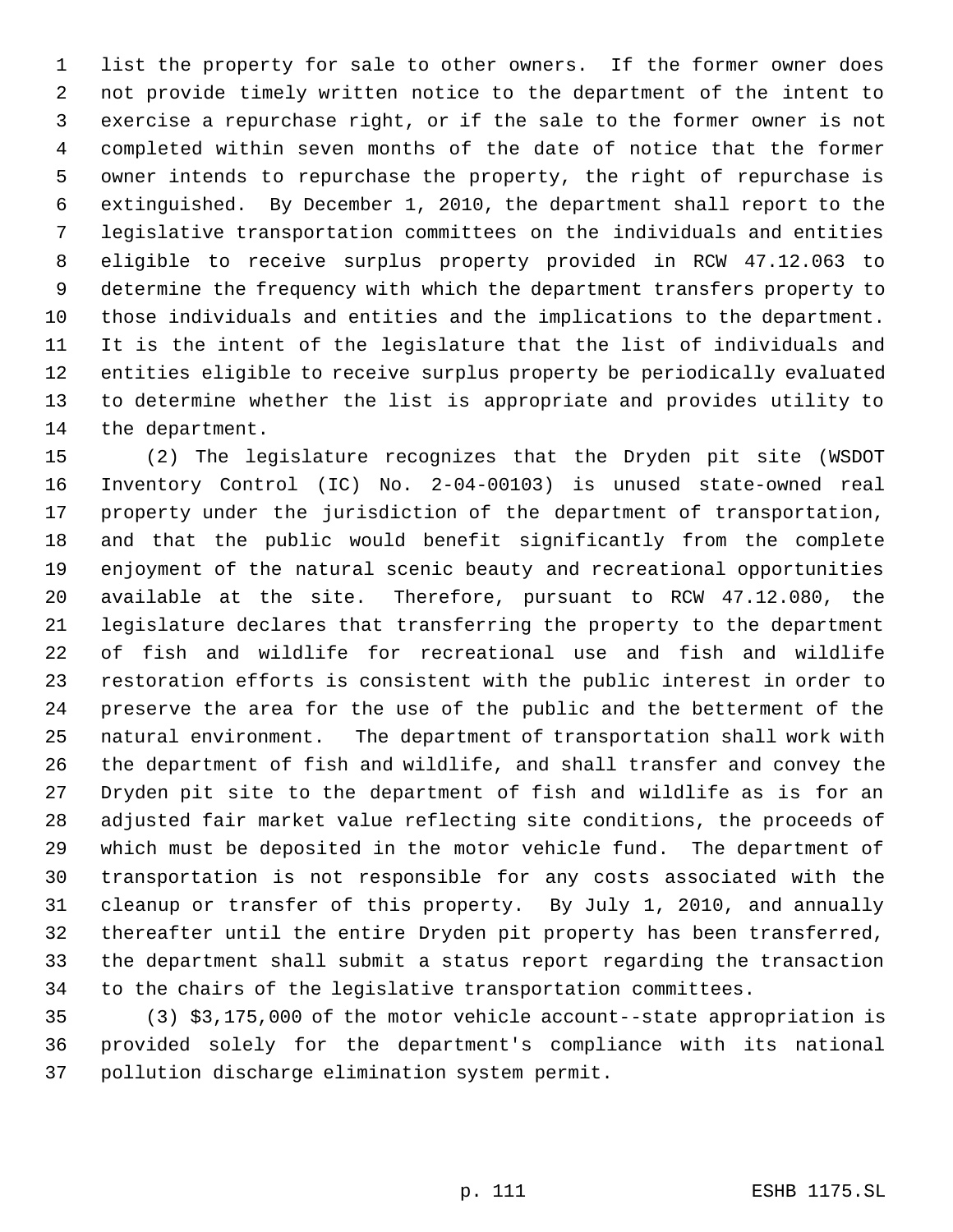list the property for sale to other owners. If the former owner does not provide timely written notice to the department of the intent to exercise a repurchase right, or if the sale to the former owner is not completed within seven months of the date of notice that the former owner intends to repurchase the property, the right of repurchase is extinguished. By December 1, 2010, the department shall report to the legislative transportation committees on the individuals and entities eligible to receive surplus property provided in RCW 47.12.063 to determine the frequency with which the department transfers property to those individuals and entities and the implications to the department. It is the intent of the legislature that the list of individuals and entities eligible to receive surplus property be periodically evaluated to determine whether the list is appropriate and provides utility to the department.

 (2) The legislature recognizes that the Dryden pit site (WSDOT Inventory Control (IC) No. 2-04-00103) is unused state-owned real property under the jurisdiction of the department of transportation, and that the public would benefit significantly from the complete enjoyment of the natural scenic beauty and recreational opportunities available at the site. Therefore, pursuant to RCW 47.12.080, the legislature declares that transferring the property to the department of fish and wildlife for recreational use and fish and wildlife restoration efforts is consistent with the public interest in order to preserve the area for the use of the public and the betterment of the natural environment. The department of transportation shall work with the department of fish and wildlife, and shall transfer and convey the Dryden pit site to the department of fish and wildlife as is for an adjusted fair market value reflecting site conditions, the proceeds of which must be deposited in the motor vehicle fund. The department of transportation is not responsible for any costs associated with the cleanup or transfer of this property. By July 1, 2010, and annually thereafter until the entire Dryden pit property has been transferred, the department shall submit a status report regarding the transaction to the chairs of the legislative transportation committees.

 (3) \$3,175,000 of the motor vehicle account--state appropriation is provided solely for the department's compliance with its national pollution discharge elimination system permit.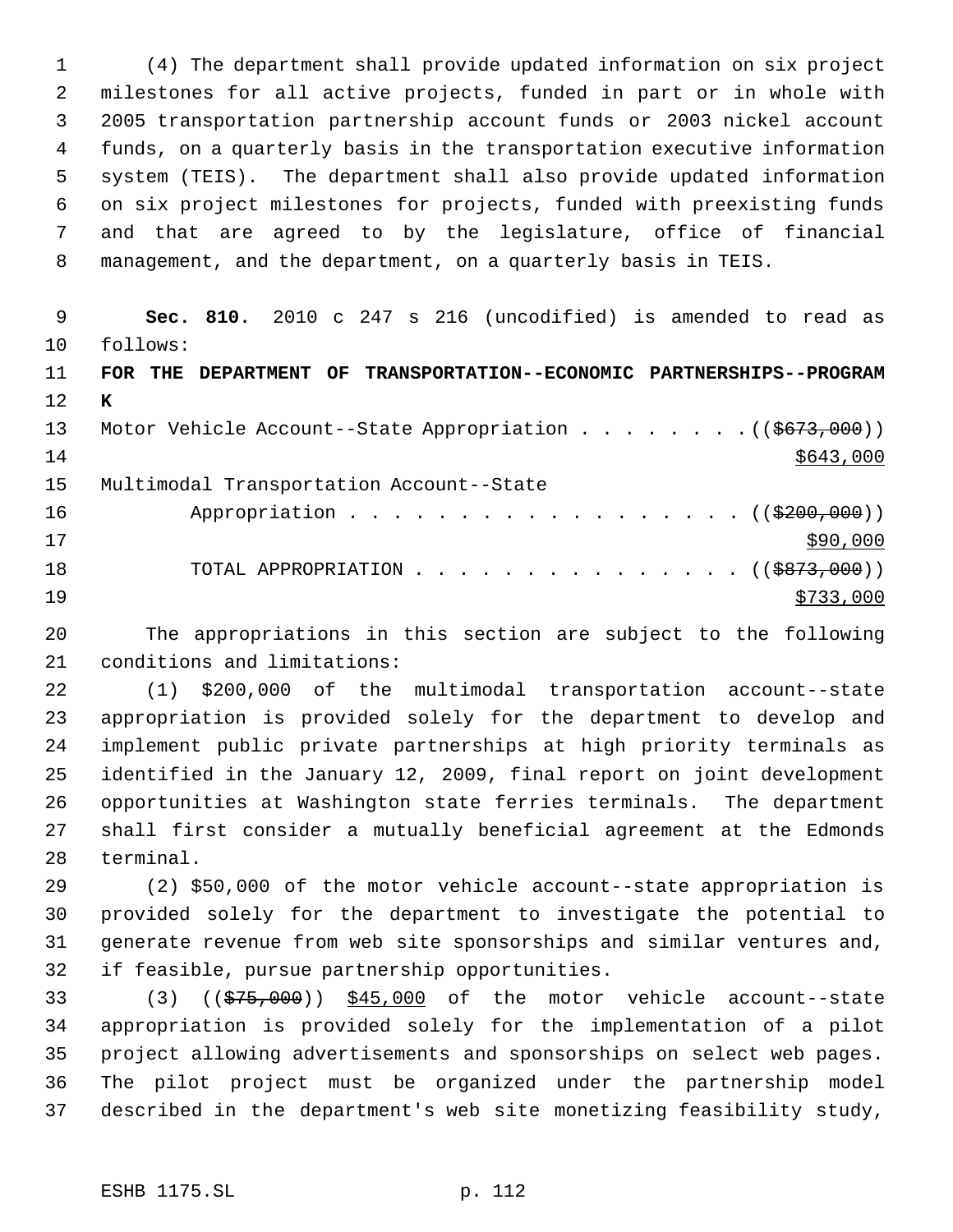(4) The department shall provide updated information on six project milestones for all active projects, funded in part or in whole with 2005 transportation partnership account funds or 2003 nickel account funds, on a quarterly basis in the transportation executive information system (TEIS). The department shall also provide updated information on six project milestones for projects, funded with preexisting funds and that are agreed to by the legislature, office of financial management, and the department, on a quarterly basis in TEIS.

 **Sec. 810.** 2010 c 247 s 216 (uncodified) is amended to read as follows: **FOR THE DEPARTMENT OF TRANSPORTATION--ECONOMIC PARTNERSHIPS--PROGRAM K** 13 Motor Vehicle Account--State Appropriation . . . . . . . ((\$673,000)) \$643,000 Multimodal Transportation Account--State 16 Appropriation . . . . . . . . . . . . . . . . ((\$200,000)) \$90,000 18 TOTAL APPROPRIATION . . . . . . . . . . . . . . ((<del>\$873,000</del>)) \$733,000

 The appropriations in this section are subject to the following conditions and limitations:

 (1) \$200,000 of the multimodal transportation account--state appropriation is provided solely for the department to develop and implement public private partnerships at high priority terminals as identified in the January 12, 2009, final report on joint development opportunities at Washington state ferries terminals. The department shall first consider a mutually beneficial agreement at the Edmonds terminal.

 (2) \$50,000 of the motor vehicle account--state appropriation is provided solely for the department to investigate the potential to generate revenue from web site sponsorships and similar ventures and, if feasible, pursue partnership opportunities.

 (3) ((\$75,000)) \$45,000 of the motor vehicle account--state appropriation is provided solely for the implementation of a pilot project allowing advertisements and sponsorships on select web pages. The pilot project must be organized under the partnership model described in the department's web site monetizing feasibility study,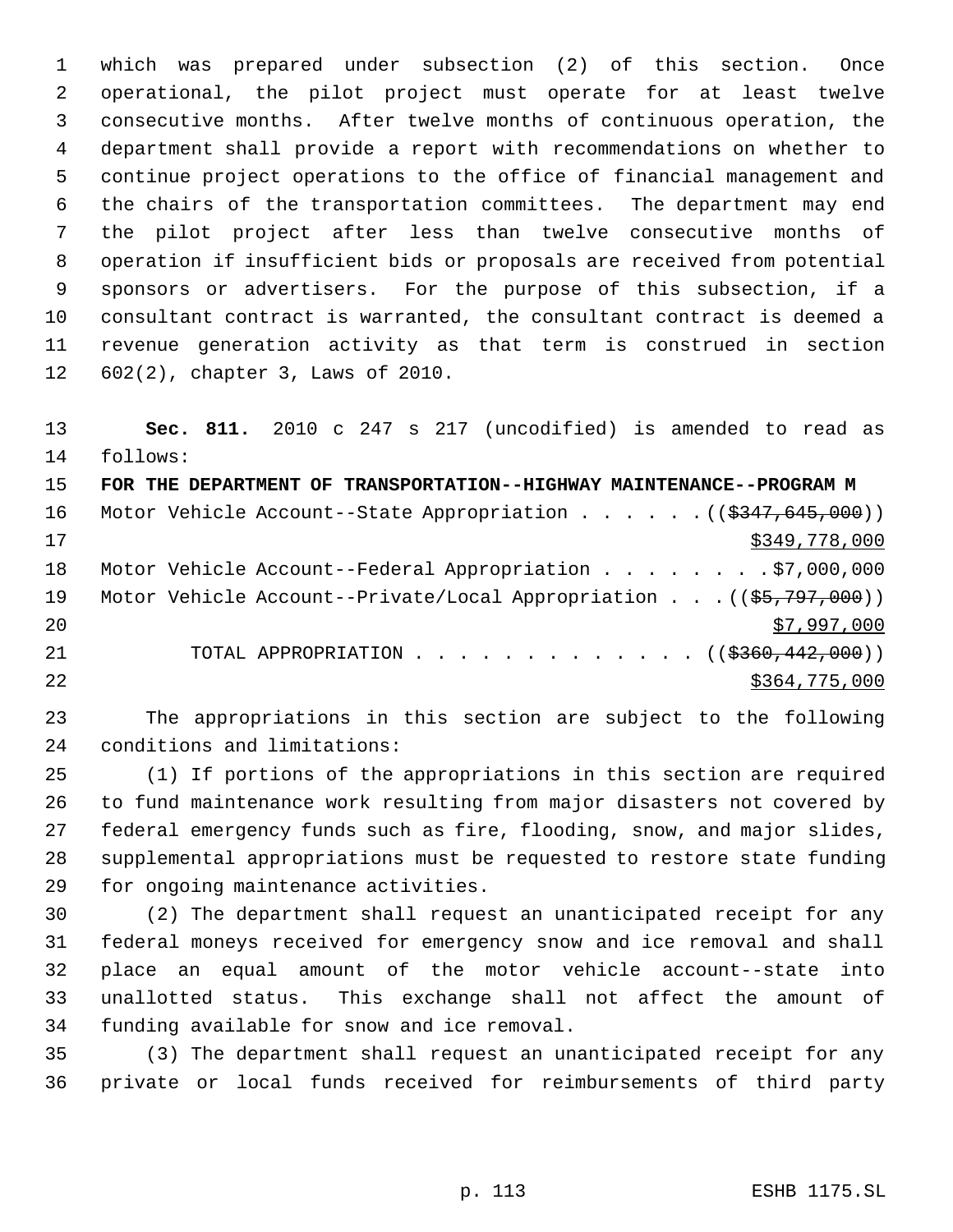which was prepared under subsection (2) of this section. Once operational, the pilot project must operate for at least twelve consecutive months. After twelve months of continuous operation, the department shall provide a report with recommendations on whether to continue project operations to the office of financial management and the chairs of the transportation committees. The department may end the pilot project after less than twelve consecutive months of operation if insufficient bids or proposals are received from potential sponsors or advertisers. For the purpose of this subsection, if a consultant contract is warranted, the consultant contract is deemed a revenue generation activity as that term is construed in section 602(2), chapter 3, Laws of 2010.

 **Sec. 811.** 2010 c 247 s 217 (uncodified) is amended to read as follows:

 **FOR THE DEPARTMENT OF TRANSPORTATION--HIGHWAY MAINTENANCE--PROGRAM M** 16 Motor Vehicle Account--State Appropriation . . . . . . ((\$347,645,000)) \$349,778,000 18 Motor Vehicle Account--Federal Appropriation . . . . . . . \$7,000,000 19 Motor Vehicle Account--Private/Local Appropriation . . . ((\$5,797,000))  $$7,997,000$ 21 TOTAL APPROPRIATION . . . . . . . . . . . . ((\$360,442,000))  $\frac{$364,775,000}{2}$ 

 The appropriations in this section are subject to the following conditions and limitations:

 (1) If portions of the appropriations in this section are required to fund maintenance work resulting from major disasters not covered by federal emergency funds such as fire, flooding, snow, and major slides, supplemental appropriations must be requested to restore state funding for ongoing maintenance activities.

 (2) The department shall request an unanticipated receipt for any federal moneys received for emergency snow and ice removal and shall place an equal amount of the motor vehicle account--state into unallotted status. This exchange shall not affect the amount of funding available for snow and ice removal.

 (3) The department shall request an unanticipated receipt for any private or local funds received for reimbursements of third party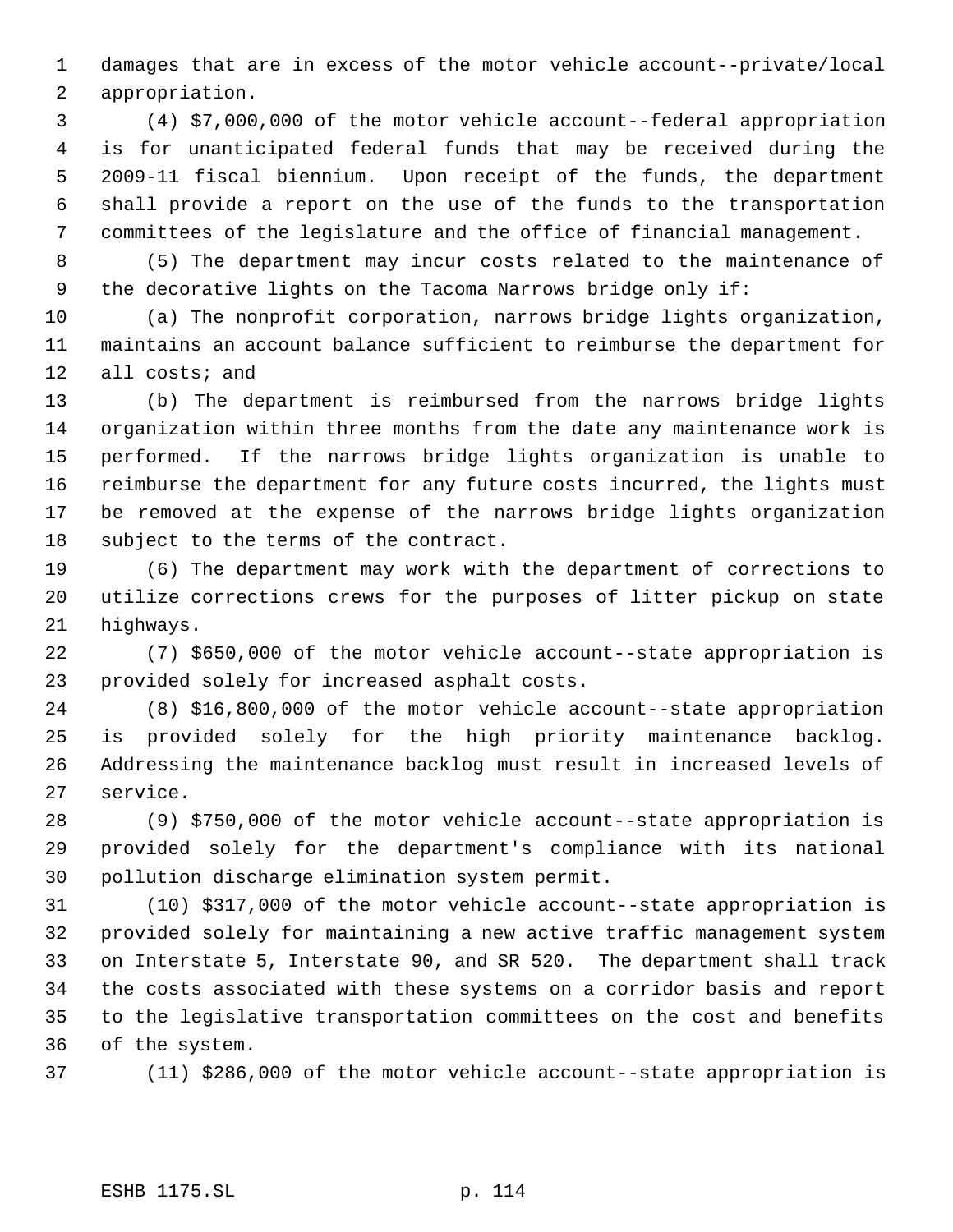damages that are in excess of the motor vehicle account--private/local appropriation.

 (4) \$7,000,000 of the motor vehicle account--federal appropriation is for unanticipated federal funds that may be received during the 2009-11 fiscal biennium. Upon receipt of the funds, the department shall provide a report on the use of the funds to the transportation committees of the legislature and the office of financial management.

 (5) The department may incur costs related to the maintenance of the decorative lights on the Tacoma Narrows bridge only if:

 (a) The nonprofit corporation, narrows bridge lights organization, maintains an account balance sufficient to reimburse the department for all costs; and

 (b) The department is reimbursed from the narrows bridge lights organization within three months from the date any maintenance work is performed. If the narrows bridge lights organization is unable to reimburse the department for any future costs incurred, the lights must be removed at the expense of the narrows bridge lights organization subject to the terms of the contract.

 (6) The department may work with the department of corrections to utilize corrections crews for the purposes of litter pickup on state highways.

 (7) \$650,000 of the motor vehicle account--state appropriation is provided solely for increased asphalt costs.

 (8) \$16,800,000 of the motor vehicle account--state appropriation is provided solely for the high priority maintenance backlog. Addressing the maintenance backlog must result in increased levels of service.

 (9) \$750,000 of the motor vehicle account--state appropriation is provided solely for the department's compliance with its national pollution discharge elimination system permit.

 (10) \$317,000 of the motor vehicle account--state appropriation is provided solely for maintaining a new active traffic management system on Interstate 5, Interstate 90, and SR 520. The department shall track the costs associated with these systems on a corridor basis and report to the legislative transportation committees on the cost and benefits of the system.

(11) \$286,000 of the motor vehicle account--state appropriation is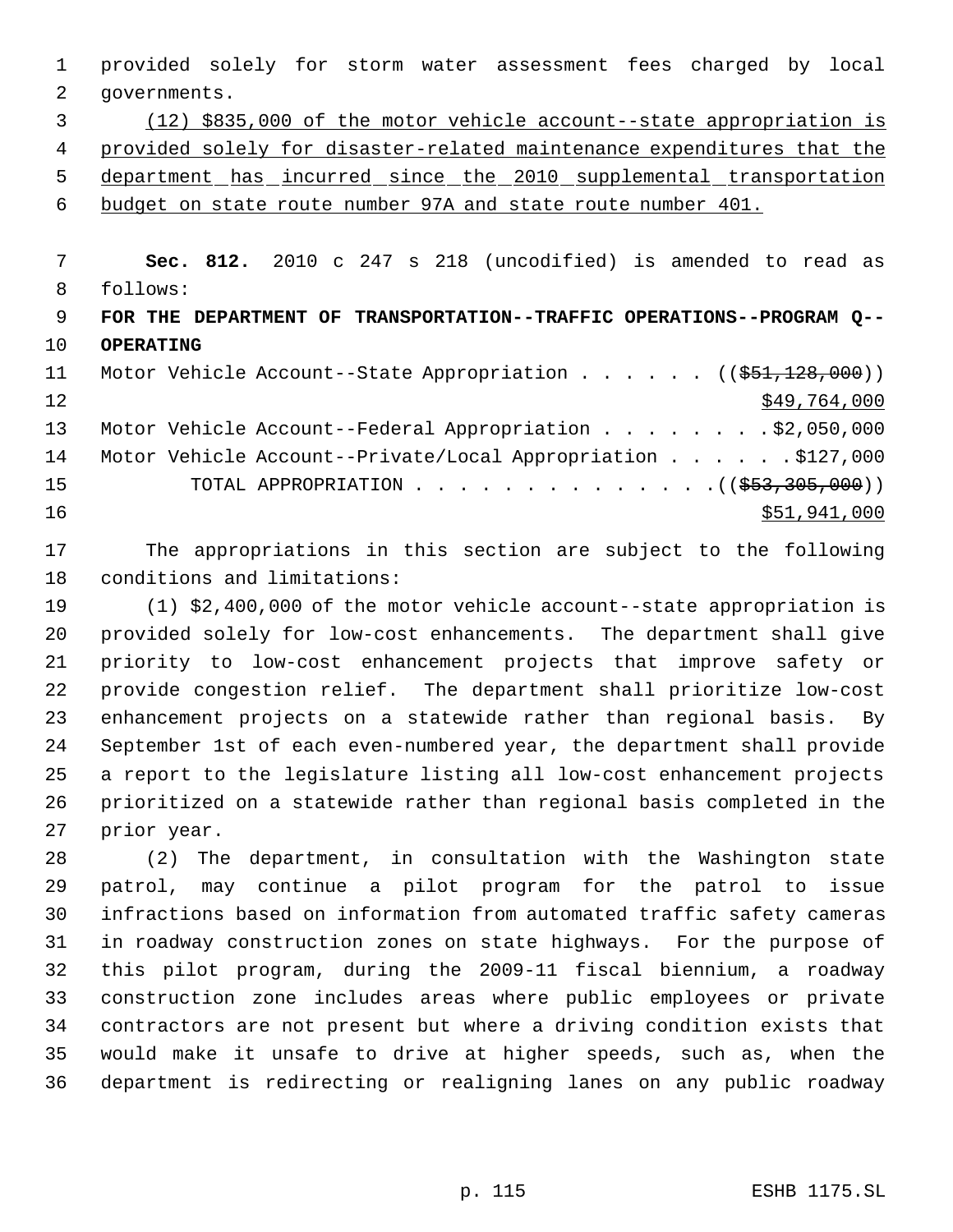provided solely for storm water assessment fees charged by local governments. (12) \$835,000 of the motor vehicle account--state appropriation is provided solely for disaster-related maintenance expenditures that the 5 department has incurred since the 2010 supplemental transportation budget on state route number 97A and state route number 401. **Sec. 812.** 2010 c 247 s 218 (uncodified) is amended to read as follows: **FOR THE DEPARTMENT OF TRANSPORTATION--TRAFFIC OPERATIONS--PROGRAM Q-- OPERATING** 11 Motor Vehicle Account--State Appropriation . . . . . ((\$51,128,000)) 12 \$49,764,000 13 Motor Vehicle Account--Federal Appropriation . . . . . . . \$2,050,000 Motor Vehicle Account--Private/Local Appropriation . . . . . . \$127,000

15 TOTAL APPROPRIATION . . . . . . . . . . . . . . ((\$53,305,000))  $\frac{$51,941,000}{2}$ 

 The appropriations in this section are subject to the following conditions and limitations:

 (1) \$2,400,000 of the motor vehicle account--state appropriation is provided solely for low-cost enhancements. The department shall give priority to low-cost enhancement projects that improve safety or provide congestion relief. The department shall prioritize low-cost enhancement projects on a statewide rather than regional basis. By September 1st of each even-numbered year, the department shall provide a report to the legislature listing all low-cost enhancement projects prioritized on a statewide rather than regional basis completed in the prior year.

 (2) The department, in consultation with the Washington state patrol, may continue a pilot program for the patrol to issue infractions based on information from automated traffic safety cameras in roadway construction zones on state highways. For the purpose of this pilot program, during the 2009-11 fiscal biennium, a roadway construction zone includes areas where public employees or private contractors are not present but where a driving condition exists that would make it unsafe to drive at higher speeds, such as, when the department is redirecting or realigning lanes on any public roadway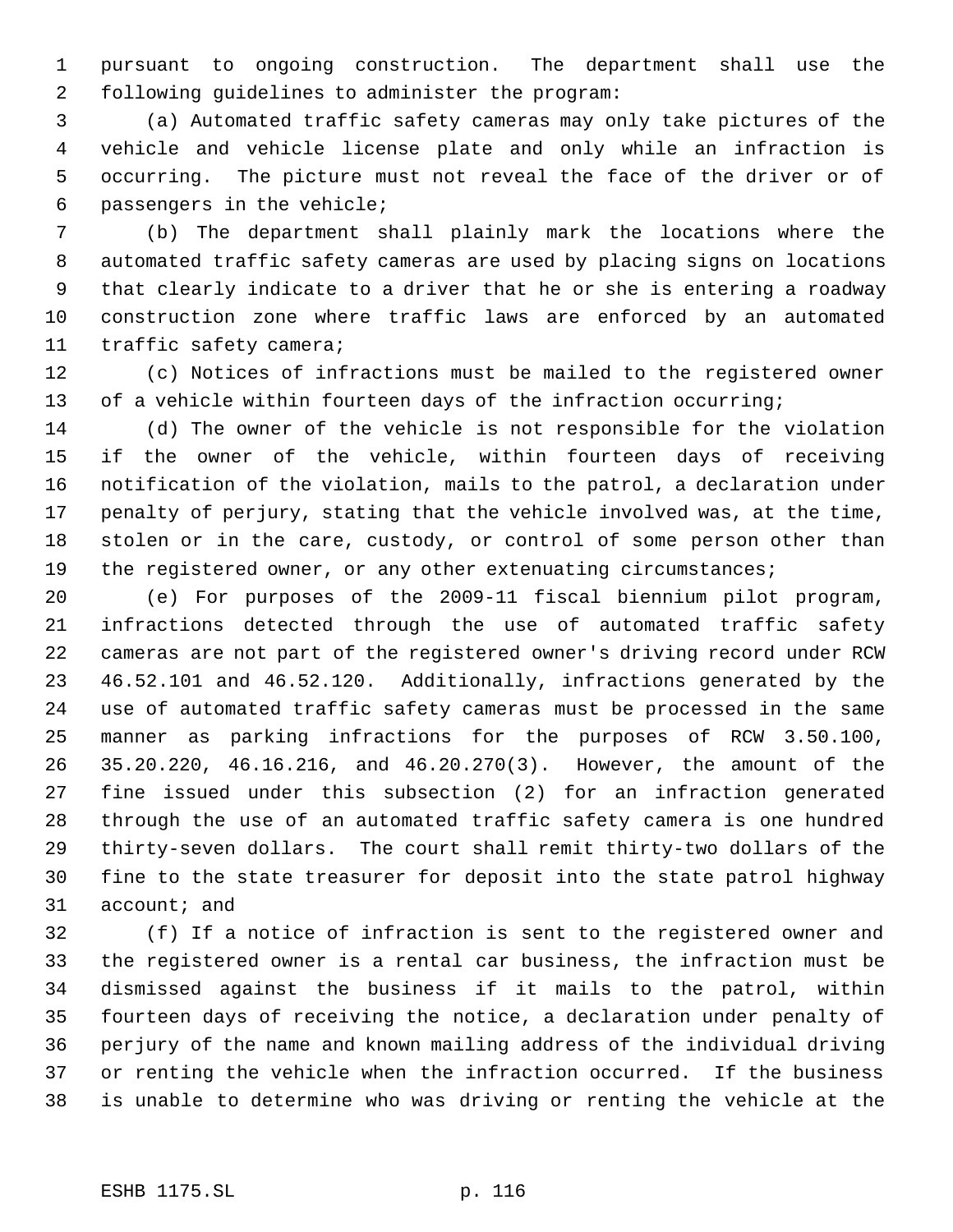pursuant to ongoing construction. The department shall use the following guidelines to administer the program:

 (a) Automated traffic safety cameras may only take pictures of the vehicle and vehicle license plate and only while an infraction is occurring. The picture must not reveal the face of the driver or of passengers in the vehicle;

 (b) The department shall plainly mark the locations where the automated traffic safety cameras are used by placing signs on locations that clearly indicate to a driver that he or she is entering a roadway construction zone where traffic laws are enforced by an automated traffic safety camera;

 (c) Notices of infractions must be mailed to the registered owner of a vehicle within fourteen days of the infraction occurring;

 (d) The owner of the vehicle is not responsible for the violation if the owner of the vehicle, within fourteen days of receiving notification of the violation, mails to the patrol, a declaration under penalty of perjury, stating that the vehicle involved was, at the time, stolen or in the care, custody, or control of some person other than the registered owner, or any other extenuating circumstances;

 (e) For purposes of the 2009-11 fiscal biennium pilot program, infractions detected through the use of automated traffic safety cameras are not part of the registered owner's driving record under RCW 46.52.101 and 46.52.120. Additionally, infractions generated by the use of automated traffic safety cameras must be processed in the same manner as parking infractions for the purposes of RCW 3.50.100, 35.20.220, 46.16.216, and 46.20.270(3). However, the amount of the fine issued under this subsection (2) for an infraction generated through the use of an automated traffic safety camera is one hundred thirty-seven dollars. The court shall remit thirty-two dollars of the fine to the state treasurer for deposit into the state patrol highway account; and

 (f) If a notice of infraction is sent to the registered owner and the registered owner is a rental car business, the infraction must be dismissed against the business if it mails to the patrol, within fourteen days of receiving the notice, a declaration under penalty of perjury of the name and known mailing address of the individual driving or renting the vehicle when the infraction occurred. If the business is unable to determine who was driving or renting the vehicle at the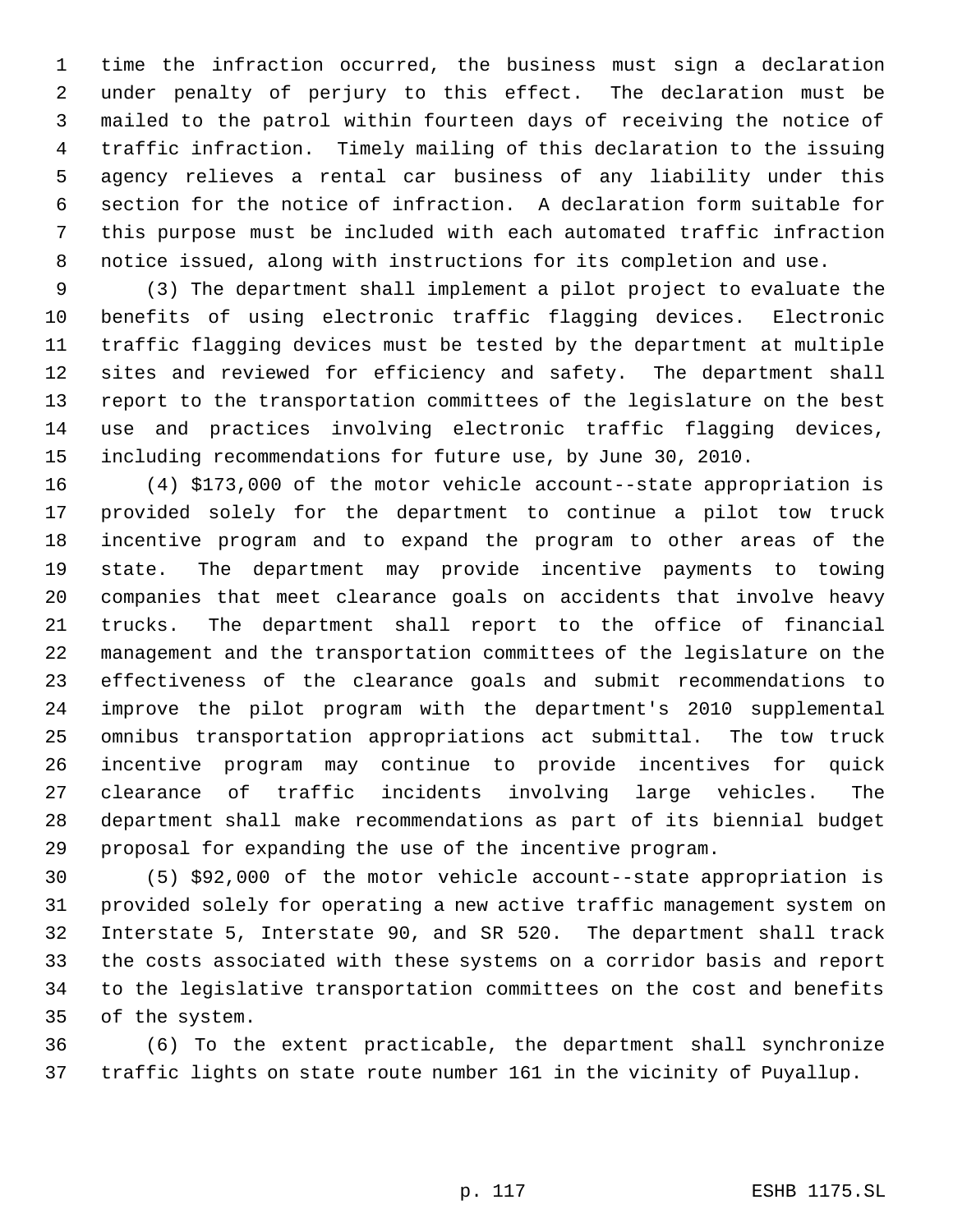time the infraction occurred, the business must sign a declaration under penalty of perjury to this effect. The declaration must be mailed to the patrol within fourteen days of receiving the notice of traffic infraction. Timely mailing of this declaration to the issuing agency relieves a rental car business of any liability under this section for the notice of infraction. A declaration form suitable for this purpose must be included with each automated traffic infraction notice issued, along with instructions for its completion and use.

 (3) The department shall implement a pilot project to evaluate the benefits of using electronic traffic flagging devices. Electronic traffic flagging devices must be tested by the department at multiple sites and reviewed for efficiency and safety. The department shall report to the transportation committees of the legislature on the best use and practices involving electronic traffic flagging devices, including recommendations for future use, by June 30, 2010.

 (4) \$173,000 of the motor vehicle account--state appropriation is provided solely for the department to continue a pilot tow truck incentive program and to expand the program to other areas of the state. The department may provide incentive payments to towing companies that meet clearance goals on accidents that involve heavy trucks. The department shall report to the office of financial management and the transportation committees of the legislature on the effectiveness of the clearance goals and submit recommendations to improve the pilot program with the department's 2010 supplemental omnibus transportation appropriations act submittal. The tow truck incentive program may continue to provide incentives for quick clearance of traffic incidents involving large vehicles. The department shall make recommendations as part of its biennial budget proposal for expanding the use of the incentive program.

 (5) \$92,000 of the motor vehicle account--state appropriation is provided solely for operating a new active traffic management system on Interstate 5, Interstate 90, and SR 520. The department shall track the costs associated with these systems on a corridor basis and report to the legislative transportation committees on the cost and benefits of the system.

 (6) To the extent practicable, the department shall synchronize traffic lights on state route number 161 in the vicinity of Puyallup.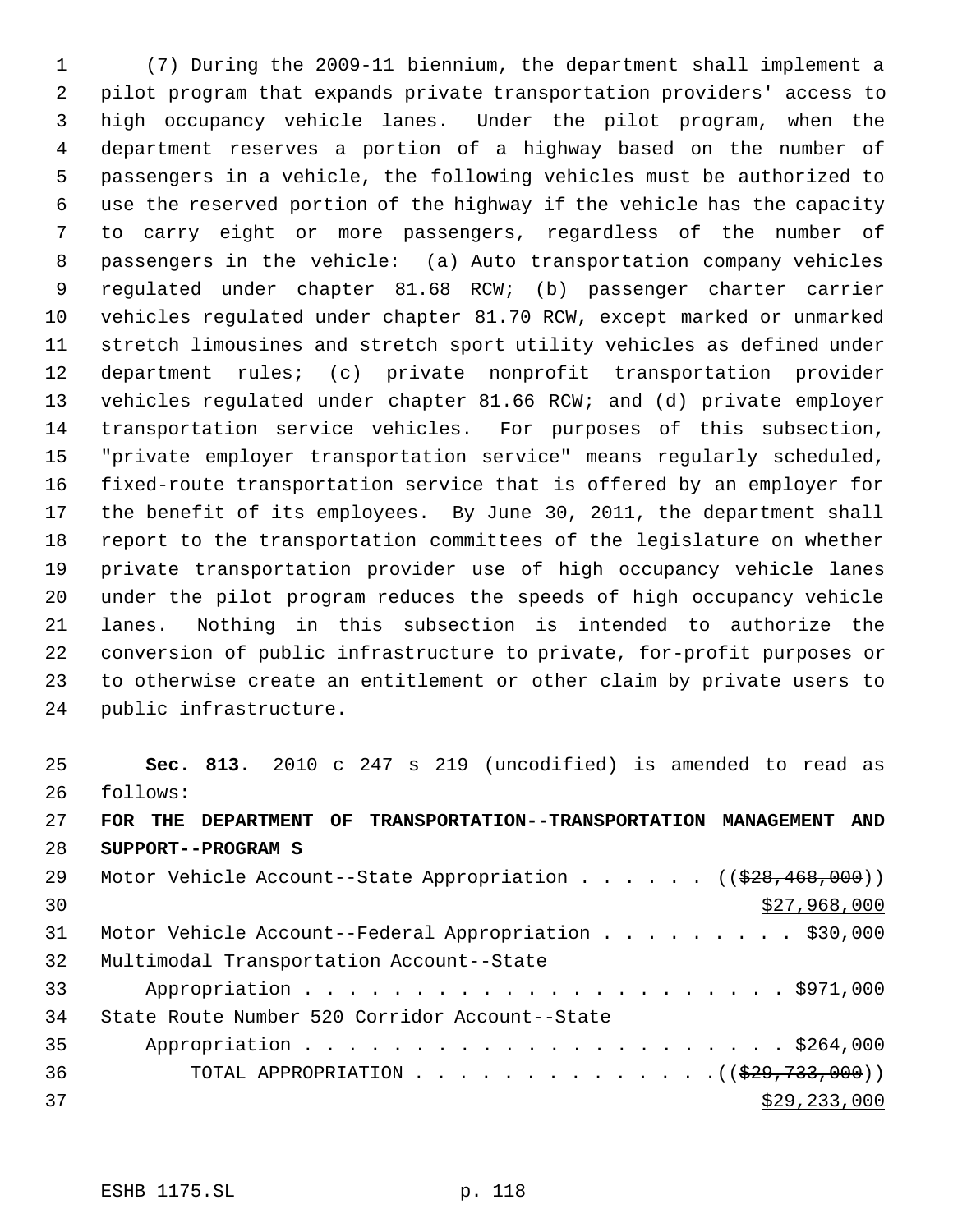(7) During the 2009-11 biennium, the department shall implement a pilot program that expands private transportation providers' access to high occupancy vehicle lanes. Under the pilot program, when the department reserves a portion of a highway based on the number of passengers in a vehicle, the following vehicles must be authorized to use the reserved portion of the highway if the vehicle has the capacity to carry eight or more passengers, regardless of the number of passengers in the vehicle: (a) Auto transportation company vehicles regulated under chapter 81.68 RCW; (b) passenger charter carrier vehicles regulated under chapter 81.70 RCW, except marked or unmarked stretch limousines and stretch sport utility vehicles as defined under department rules; (c) private nonprofit transportation provider vehicles regulated under chapter 81.66 RCW; and (d) private employer transportation service vehicles. For purposes of this subsection, "private employer transportation service" means regularly scheduled, fixed-route transportation service that is offered by an employer for the benefit of its employees. By June 30, 2011, the department shall report to the transportation committees of the legislature on whether private transportation provider use of high occupancy vehicle lanes under the pilot program reduces the speeds of high occupancy vehicle lanes. Nothing in this subsection is intended to authorize the conversion of public infrastructure to private, for-profit purposes or to otherwise create an entitlement or other claim by private users to public infrastructure.

 **Sec. 813.** 2010 c 247 s 219 (uncodified) is amended to read as follows: **FOR THE DEPARTMENT OF TRANSPORTATION--TRANSPORTATION MANAGEMENT AND SUPPORT--PROGRAM S** 29 Motor Vehicle Account--State Appropriation . . . . . ((\$28,468,000)) \$27,968,000 31 Motor Vehicle Account--Federal Appropriation . . . . . . . . \$30,000 Multimodal Transportation Account--State Appropriation . . . . . . . . . . . . . . . . . . . . . . \$971,000 State Route Number 520 Corridor Account--State Appropriation . . . . . . . . . . . . . . . . . . . . . . \$264,000 36 TOTAL APPROPRIATION . . . . . . . . . . . . . . ((\$29,733,000)) \$29,233,000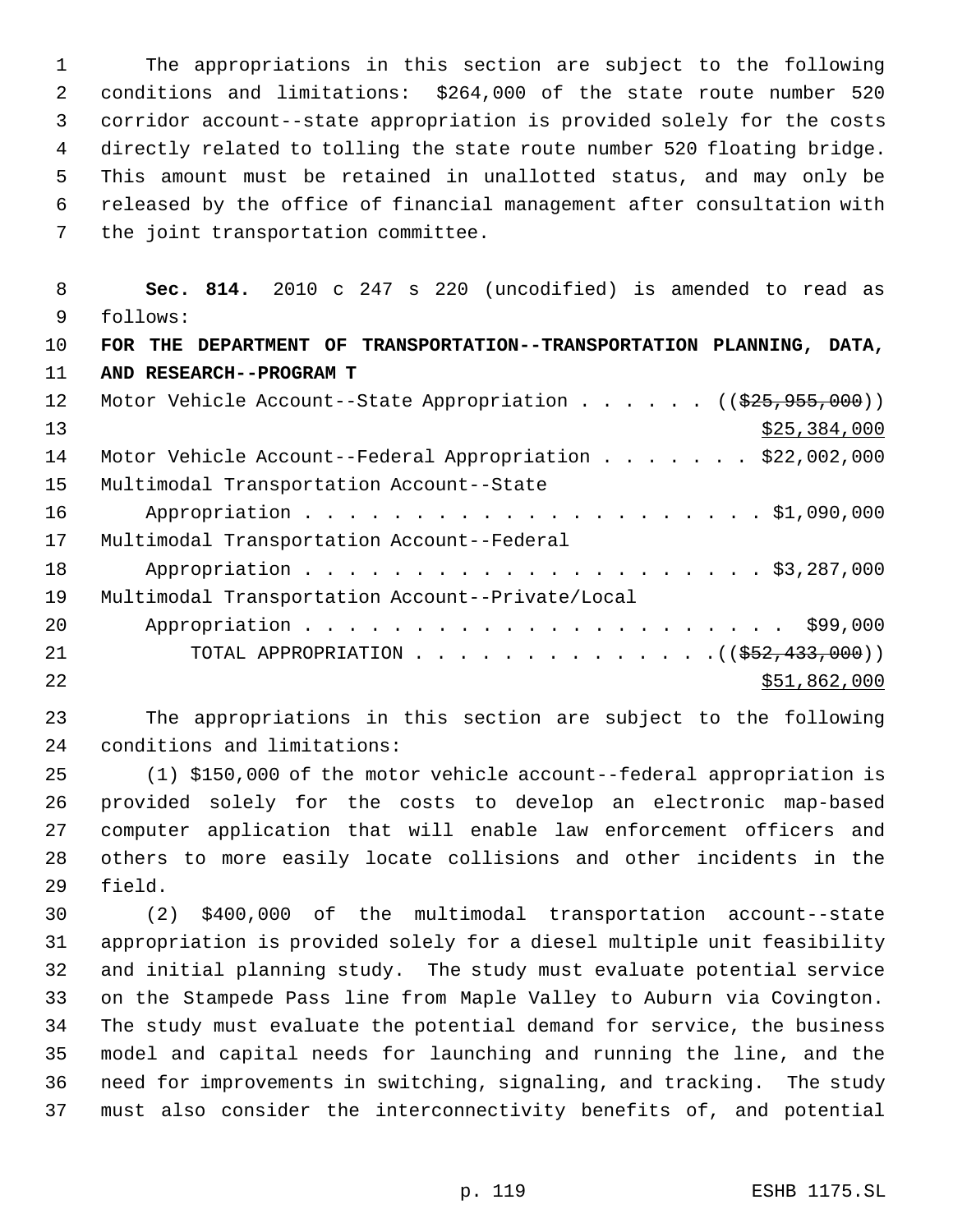The appropriations in this section are subject to the following conditions and limitations: \$264,000 of the state route number 520 corridor account--state appropriation is provided solely for the costs directly related to tolling the state route number 520 floating bridge. This amount must be retained in unallotted status, and may only be released by the office of financial management after consultation with the joint transportation committee.

 **Sec. 814.** 2010 c 247 s 220 (uncodified) is amended to read as follows: **FOR THE DEPARTMENT OF TRANSPORTATION--TRANSPORTATION PLANNING, DATA,**

| 11              | AND RESEARCH--PROGRAM T                                                            |
|-----------------|------------------------------------------------------------------------------------|
| 12 <sup>°</sup> | Motor Vehicle Account--State Appropriation ( $(\frac{225}{95}, \frac{955}{900})$ ) |
| 13              | \$25,384,000                                                                       |
| 14              | Motor Vehicle Account--Federal Appropriation \$22,002,000                          |
| 15 <sub>1</sub> | Multimodal Transportation Account--State                                           |
| 16              |                                                                                    |
| 17              | Multimodal Transportation Account--Federal                                         |
| 18              |                                                                                    |
| 19              | Multimodal Transportation Account--Private/Local                                   |
| 20              |                                                                                    |
| 21              | TOTAL APPROPRIATION $\ldots$ , ( $(\frac{252}{133}, 000)$ )                        |
| 22              | \$51,862,000                                                                       |
|                 |                                                                                    |

 The appropriations in this section are subject to the following conditions and limitations:

 (1) \$150,000 of the motor vehicle account--federal appropriation is provided solely for the costs to develop an electronic map-based computer application that will enable law enforcement officers and others to more easily locate collisions and other incidents in the field.

 (2) \$400,000 of the multimodal transportation account--state appropriation is provided solely for a diesel multiple unit feasibility and initial planning study. The study must evaluate potential service on the Stampede Pass line from Maple Valley to Auburn via Covington. The study must evaluate the potential demand for service, the business model and capital needs for launching and running the line, and the need for improvements in switching, signaling, and tracking. The study must also consider the interconnectivity benefits of, and potential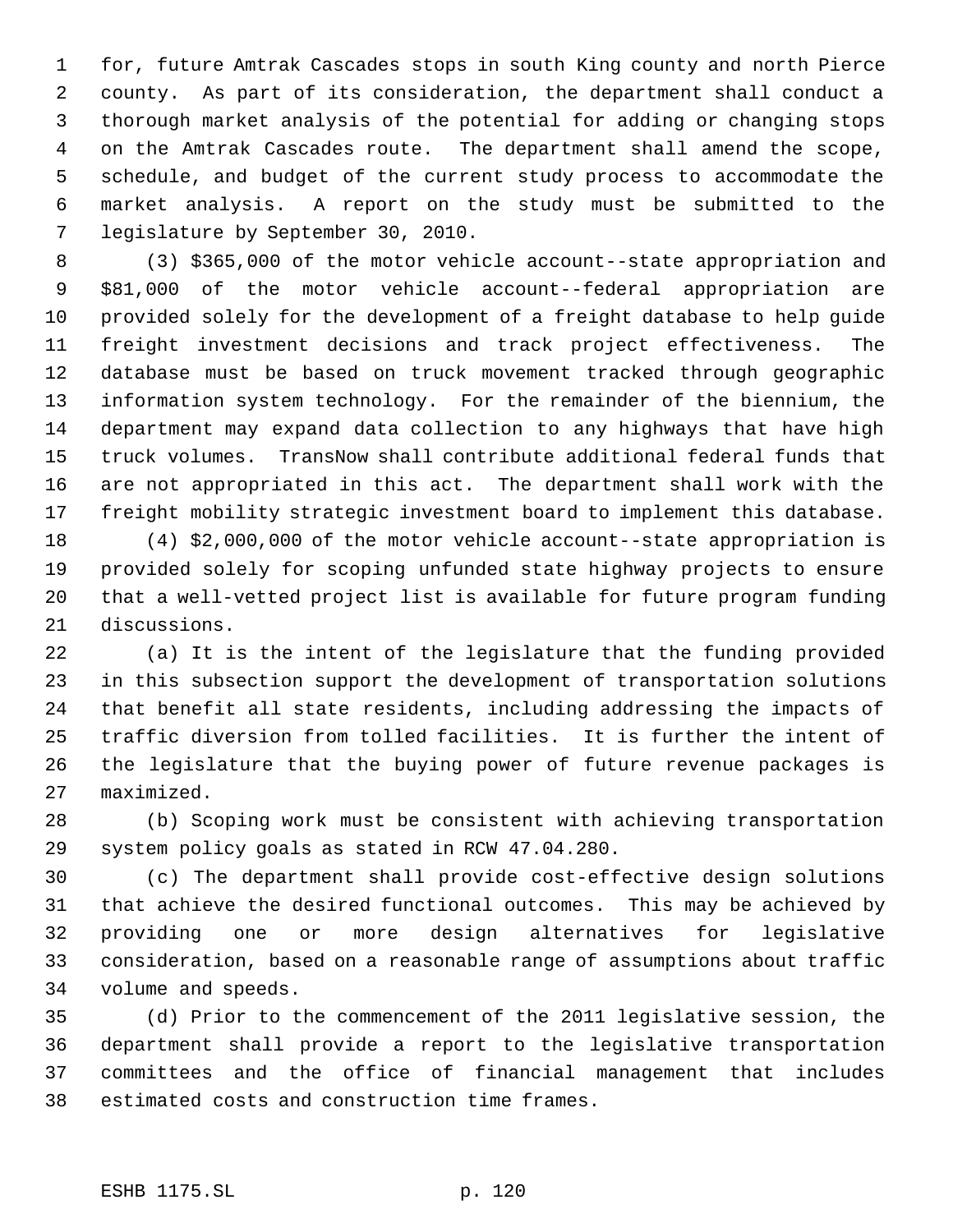for, future Amtrak Cascades stops in south King county and north Pierce county. As part of its consideration, the department shall conduct a thorough market analysis of the potential for adding or changing stops on the Amtrak Cascades route. The department shall amend the scope, schedule, and budget of the current study process to accommodate the market analysis. A report on the study must be submitted to the legislature by September 30, 2010.

 (3) \$365,000 of the motor vehicle account--state appropriation and \$81,000 of the motor vehicle account--federal appropriation are provided solely for the development of a freight database to help guide freight investment decisions and track project effectiveness. The database must be based on truck movement tracked through geographic information system technology. For the remainder of the biennium, the department may expand data collection to any highways that have high truck volumes. TransNow shall contribute additional federal funds that are not appropriated in this act. The department shall work with the freight mobility strategic investment board to implement this database.

 (4) \$2,000,000 of the motor vehicle account--state appropriation is provided solely for scoping unfunded state highway projects to ensure that a well-vetted project list is available for future program funding discussions.

 (a) It is the intent of the legislature that the funding provided in this subsection support the development of transportation solutions that benefit all state residents, including addressing the impacts of traffic diversion from tolled facilities. It is further the intent of the legislature that the buying power of future revenue packages is maximized.

 (b) Scoping work must be consistent with achieving transportation system policy goals as stated in RCW 47.04.280.

 (c) The department shall provide cost-effective design solutions that achieve the desired functional outcomes. This may be achieved by providing one or more design alternatives for legislative consideration, based on a reasonable range of assumptions about traffic volume and speeds.

 (d) Prior to the commencement of the 2011 legislative session, the department shall provide a report to the legislative transportation committees and the office of financial management that includes estimated costs and construction time frames.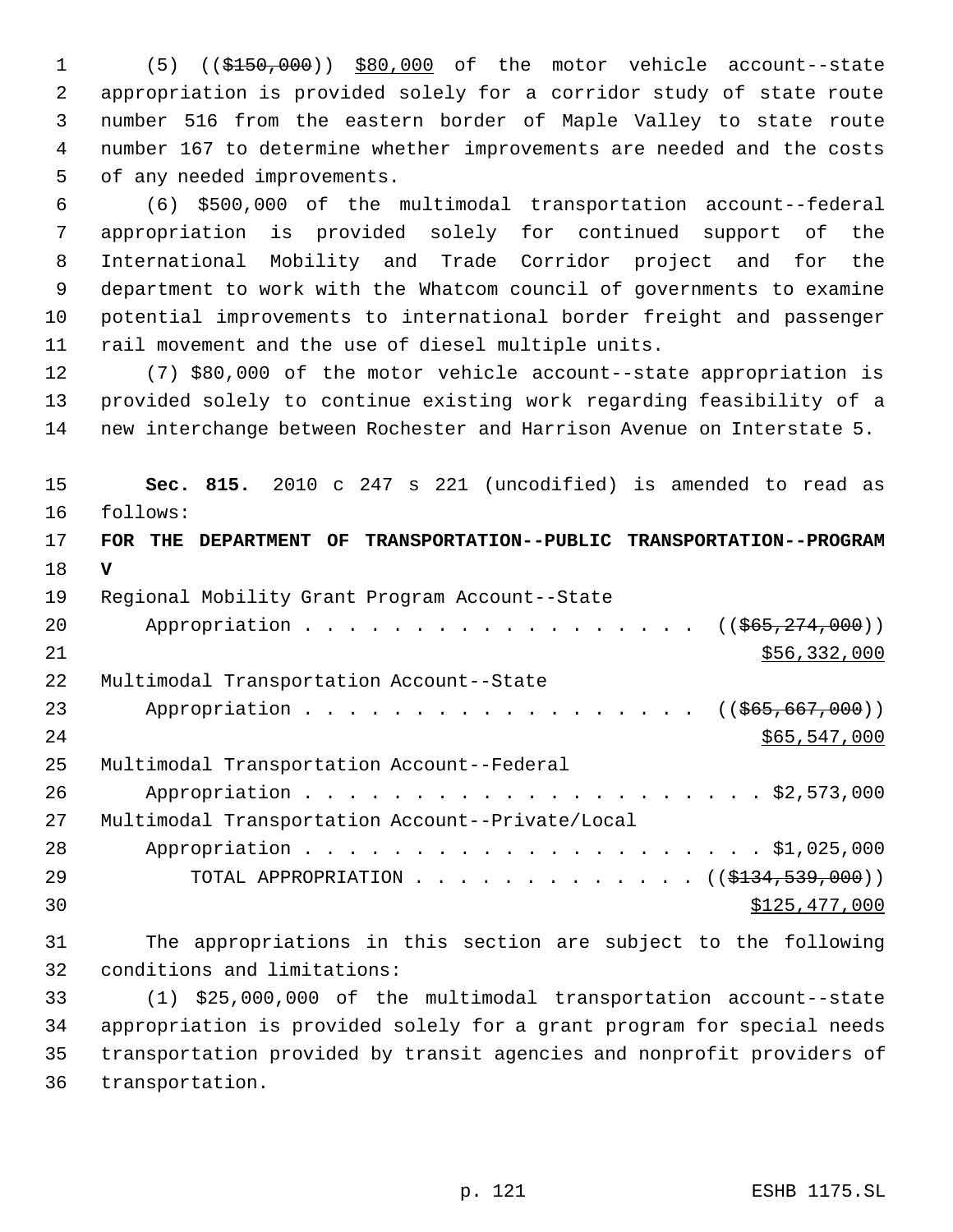1 (5) ((\$150,000)) \$80,000 of the motor vehicle account--state appropriation is provided solely for a corridor study of state route number 516 from the eastern border of Maple Valley to state route number 167 to determine whether improvements are needed and the costs of any needed improvements.

 (6) \$500,000 of the multimodal transportation account--federal appropriation is provided solely for continued support of the International Mobility and Trade Corridor project and for the department to work with the Whatcom council of governments to examine potential improvements to international border freight and passenger rail movement and the use of diesel multiple units.

 (7) \$80,000 of the motor vehicle account--state appropriation is provided solely to continue existing work regarding feasibility of a new interchange between Rochester and Harrison Avenue on Interstate 5.

 **Sec. 815.** 2010 c 247 s 221 (uncodified) is amended to read as follows: **FOR THE DEPARTMENT OF TRANSPORTATION--PUBLIC TRANSPORTATION--PROGRAM V** Regional Mobility Grant Program Account--State 20 Appropriation . . . . . . . . . . . . . . . . ((\$65,274,000)) \$56,332,000 Multimodal Transportation Account--State 23 Appropriation . . . . . . . . . . . . . . . . ((\$65,667,000)) \$65,547,000 Multimodal Transportation Account--Federal Appropriation . . . . . . . . . . . . . . . . . . . . . \$2,573,000 Multimodal Transportation Account--Private/Local Appropriation . . . . . . . . . . . . . . . . . . . . . \$1,025,000 29 TOTAL APPROPRIATION . . . . . . . . . . . . ((\$<del>134,539,000</del>)) \$125,477,000

 The appropriations in this section are subject to the following conditions and limitations:

 (1) \$25,000,000 of the multimodal transportation account--state appropriation is provided solely for a grant program for special needs transportation provided by transit agencies and nonprofit providers of transportation.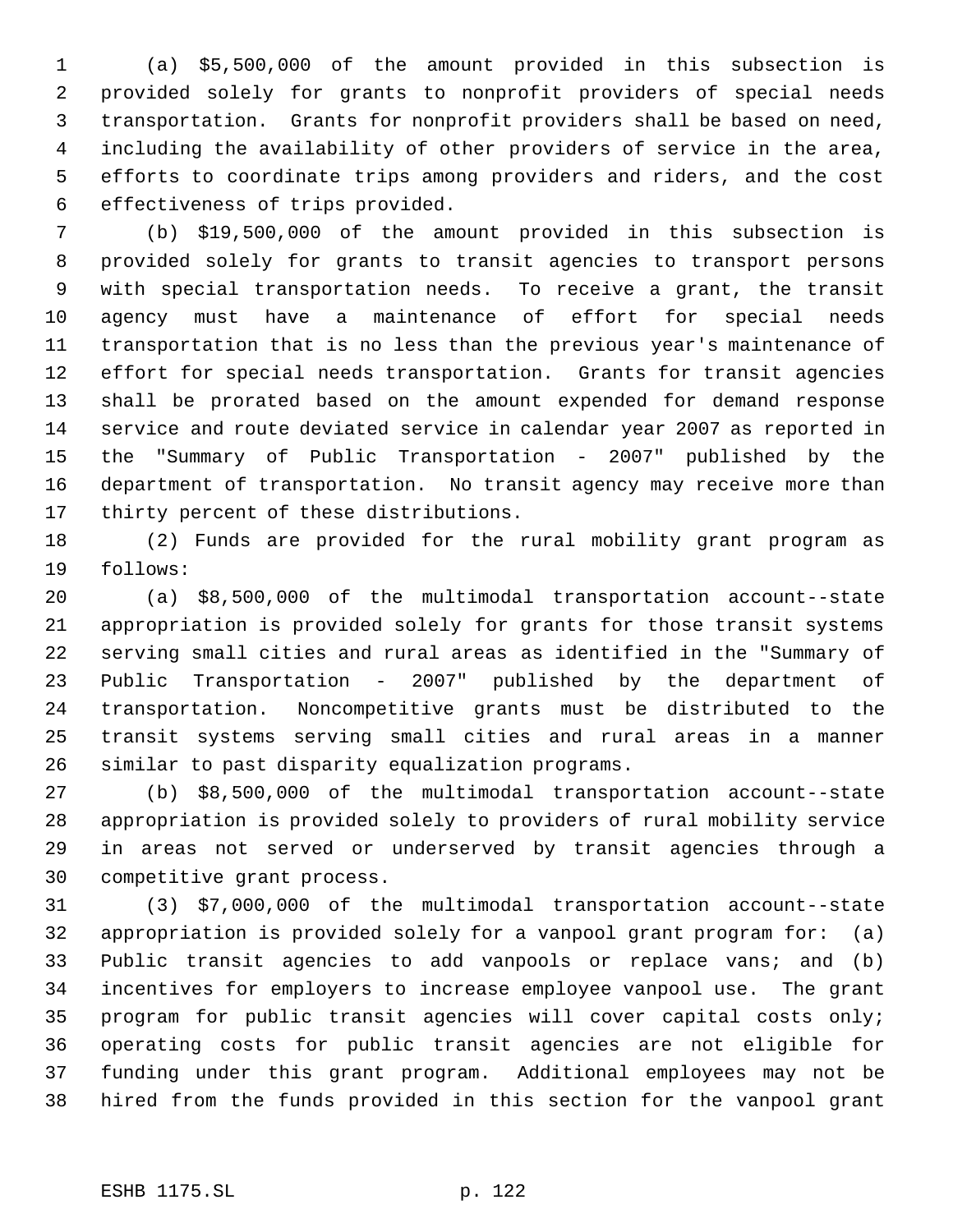(a) \$5,500,000 of the amount provided in this subsection is provided solely for grants to nonprofit providers of special needs transportation. Grants for nonprofit providers shall be based on need, including the availability of other providers of service in the area, efforts to coordinate trips among providers and riders, and the cost effectiveness of trips provided.

 (b) \$19,500,000 of the amount provided in this subsection is provided solely for grants to transit agencies to transport persons with special transportation needs. To receive a grant, the transit agency must have a maintenance of effort for special needs transportation that is no less than the previous year's maintenance of effort for special needs transportation. Grants for transit agencies shall be prorated based on the amount expended for demand response service and route deviated service in calendar year 2007 as reported in the "Summary of Public Transportation - 2007" published by the department of transportation. No transit agency may receive more than thirty percent of these distributions.

 (2) Funds are provided for the rural mobility grant program as follows:

 (a) \$8,500,000 of the multimodal transportation account--state appropriation is provided solely for grants for those transit systems serving small cities and rural areas as identified in the "Summary of Public Transportation - 2007" published by the department of transportation. Noncompetitive grants must be distributed to the transit systems serving small cities and rural areas in a manner similar to past disparity equalization programs.

 (b) \$8,500,000 of the multimodal transportation account--state appropriation is provided solely to providers of rural mobility service in areas not served or underserved by transit agencies through a competitive grant process.

 (3) \$7,000,000 of the multimodal transportation account--state appropriation is provided solely for a vanpool grant program for: (a) Public transit agencies to add vanpools or replace vans; and (b) incentives for employers to increase employee vanpool use. The grant program for public transit agencies will cover capital costs only; operating costs for public transit agencies are not eligible for funding under this grant program. Additional employees may not be hired from the funds provided in this section for the vanpool grant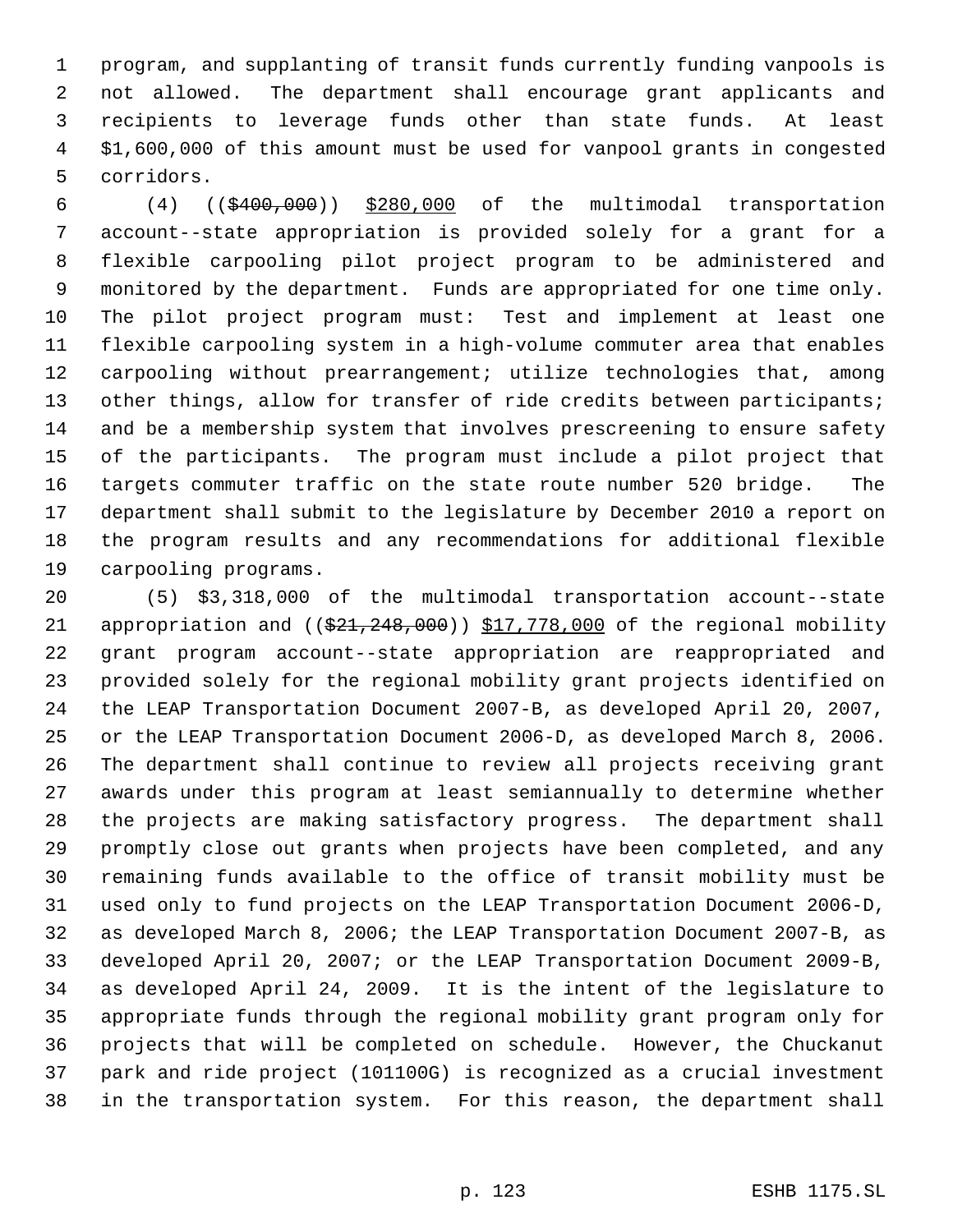program, and supplanting of transit funds currently funding vanpools is not allowed. The department shall encourage grant applicants and recipients to leverage funds other than state funds. At least \$1,600,000 of this amount must be used for vanpool grants in congested corridors.

 (4) ((\$400,000)) \$280,000 of the multimodal transportation account--state appropriation is provided solely for a grant for a flexible carpooling pilot project program to be administered and monitored by the department. Funds are appropriated for one time only. The pilot project program must: Test and implement at least one flexible carpooling system in a high-volume commuter area that enables carpooling without prearrangement; utilize technologies that, among 13 other things, allow for transfer of ride credits between participants; and be a membership system that involves prescreening to ensure safety of the participants. The program must include a pilot project that targets commuter traffic on the state route number 520 bridge. The department shall submit to the legislature by December 2010 a report on the program results and any recommendations for additional flexible carpooling programs.

 (5) \$3,318,000 of the multimodal transportation account--state 21 appropriation and ((\$21,248,000)) \$17,778,000 of the regional mobility grant program account--state appropriation are reappropriated and provided solely for the regional mobility grant projects identified on the LEAP Transportation Document 2007-B, as developed April 20, 2007, or the LEAP Transportation Document 2006-D, as developed March 8, 2006. The department shall continue to review all projects receiving grant awards under this program at least semiannually to determine whether the projects are making satisfactory progress. The department shall promptly close out grants when projects have been completed, and any remaining funds available to the office of transit mobility must be used only to fund projects on the LEAP Transportation Document 2006-D, as developed March 8, 2006; the LEAP Transportation Document 2007-B, as developed April 20, 2007; or the LEAP Transportation Document 2009-B, as developed April 24, 2009. It is the intent of the legislature to appropriate funds through the regional mobility grant program only for projects that will be completed on schedule. However, the Chuckanut park and ride project (101100G) is recognized as a crucial investment in the transportation system. For this reason, the department shall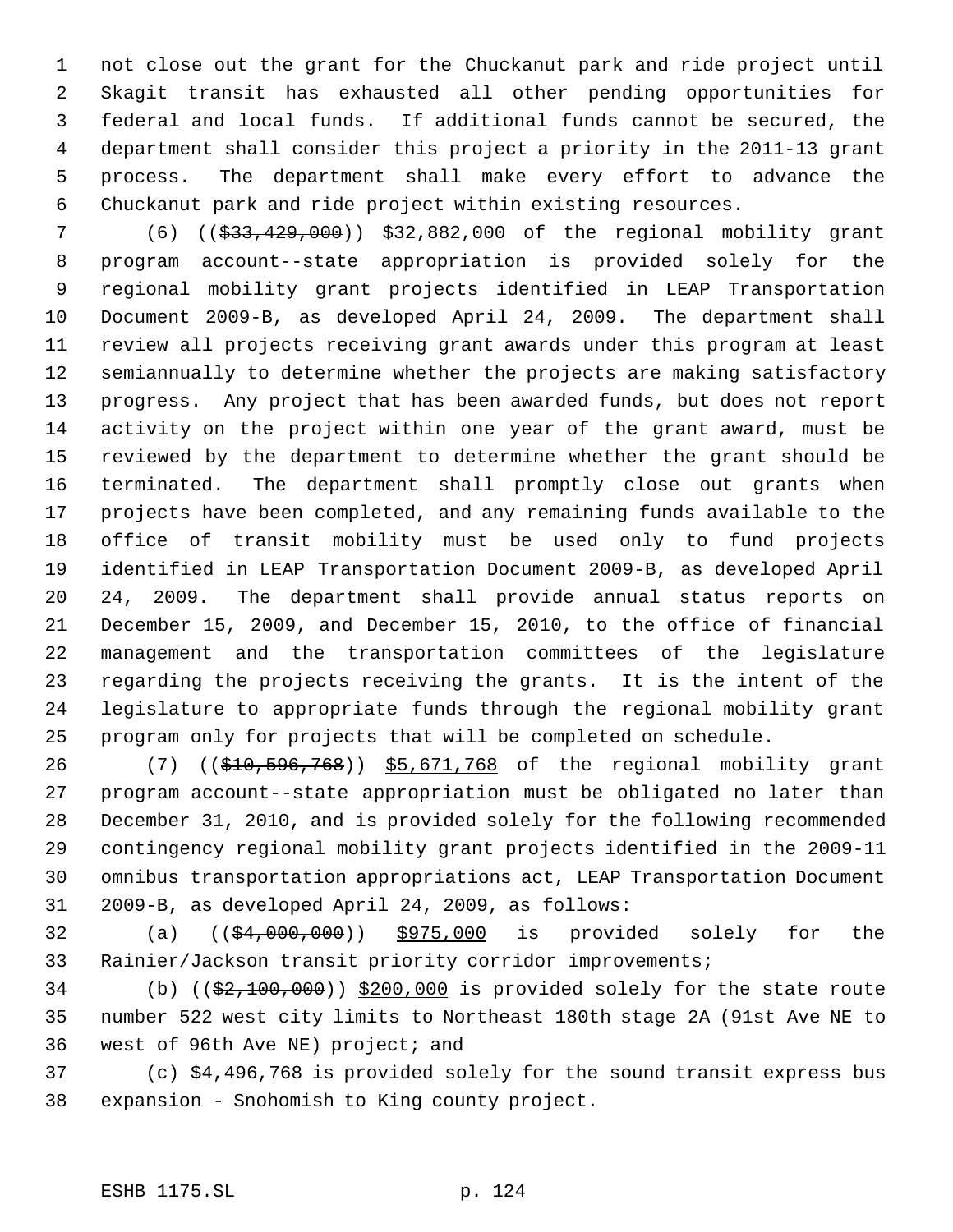not close out the grant for the Chuckanut park and ride project until Skagit transit has exhausted all other pending opportunities for federal and local funds. If additional funds cannot be secured, the department shall consider this project a priority in the 2011-13 grant process. The department shall make every effort to advance the Chuckanut park and ride project within existing resources.

7 (6) ((\$33,429,000)) \$32,882,000 of the regional mobility grant program account--state appropriation is provided solely for the regional mobility grant projects identified in LEAP Transportation Document 2009-B, as developed April 24, 2009. The department shall review all projects receiving grant awards under this program at least semiannually to determine whether the projects are making satisfactory progress. Any project that has been awarded funds, but does not report activity on the project within one year of the grant award, must be reviewed by the department to determine whether the grant should be terminated. The department shall promptly close out grants when projects have been completed, and any remaining funds available to the office of transit mobility must be used only to fund projects identified in LEAP Transportation Document 2009-B, as developed April 24, 2009. The department shall provide annual status reports on December 15, 2009, and December 15, 2010, to the office of financial management and the transportation committees of the legislature regarding the projects receiving the grants. It is the intent of the legislature to appropriate funds through the regional mobility grant program only for projects that will be completed on schedule.

26 (7) ((\$10,596,768)) \$5,671,768 of the regional mobility grant program account--state appropriation must be obligated no later than December 31, 2010, and is provided solely for the following recommended contingency regional mobility grant projects identified in the 2009-11 omnibus transportation appropriations act, LEAP Transportation Document 2009-B, as developed April 24, 2009, as follows:

 (a) ((\$4,000,000)) \$975,000 is provided solely for the Rainier/Jackson transit priority corridor improvements;

34 (b)  $($ \$2,100,000)) \$200,000 is provided solely for the state route number 522 west city limits to Northeast 180th stage 2A (91st Ave NE to west of 96th Ave NE) project; and

 (c) \$4,496,768 is provided solely for the sound transit express bus expansion - Snohomish to King county project.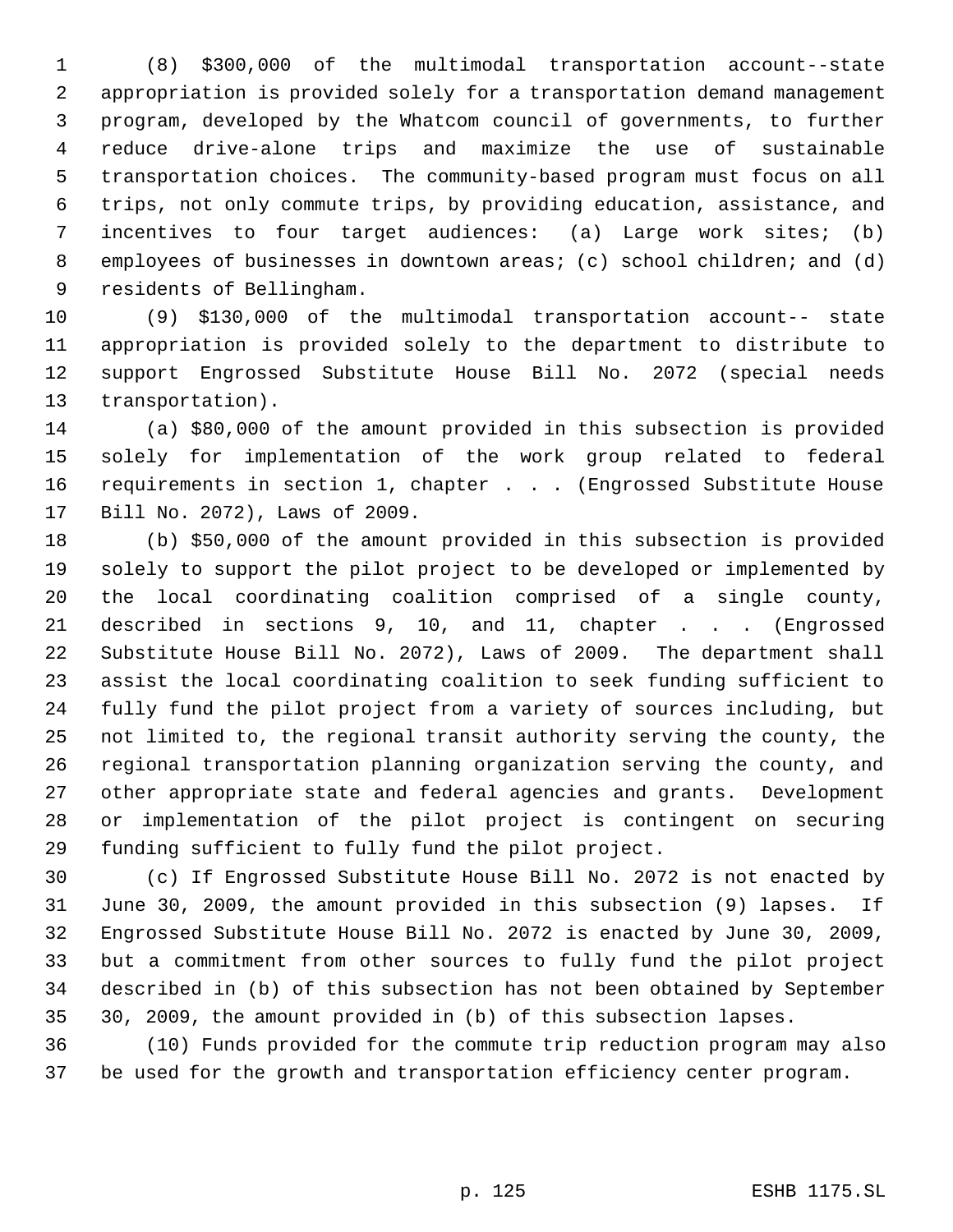(8) \$300,000 of the multimodal transportation account--state appropriation is provided solely for a transportation demand management program, developed by the Whatcom council of governments, to further reduce drive-alone trips and maximize the use of sustainable transportation choices. The community-based program must focus on all trips, not only commute trips, by providing education, assistance, and incentives to four target audiences: (a) Large work sites; (b) 8 employees of businesses in downtown areas; (c) school children; and (d) residents of Bellingham.

 (9) \$130,000 of the multimodal transportation account-- state appropriation is provided solely to the department to distribute to support Engrossed Substitute House Bill No. 2072 (special needs transportation).

 (a) \$80,000 of the amount provided in this subsection is provided solely for implementation of the work group related to federal requirements in section 1, chapter . . . (Engrossed Substitute House Bill No. 2072), Laws of 2009.

 (b) \$50,000 of the amount provided in this subsection is provided solely to support the pilot project to be developed or implemented by the local coordinating coalition comprised of a single county, 21 described in sections 9, 10, and 11, chapter . . . (Engrossed Substitute House Bill No. 2072), Laws of 2009. The department shall assist the local coordinating coalition to seek funding sufficient to fully fund the pilot project from a variety of sources including, but not limited to, the regional transit authority serving the county, the regional transportation planning organization serving the county, and other appropriate state and federal agencies and grants. Development or implementation of the pilot project is contingent on securing funding sufficient to fully fund the pilot project.

 (c) If Engrossed Substitute House Bill No. 2072 is not enacted by June 30, 2009, the amount provided in this subsection (9) lapses. If Engrossed Substitute House Bill No. 2072 is enacted by June 30, 2009, but a commitment from other sources to fully fund the pilot project described in (b) of this subsection has not been obtained by September 30, 2009, the amount provided in (b) of this subsection lapses.

 (10) Funds provided for the commute trip reduction program may also be used for the growth and transportation efficiency center program.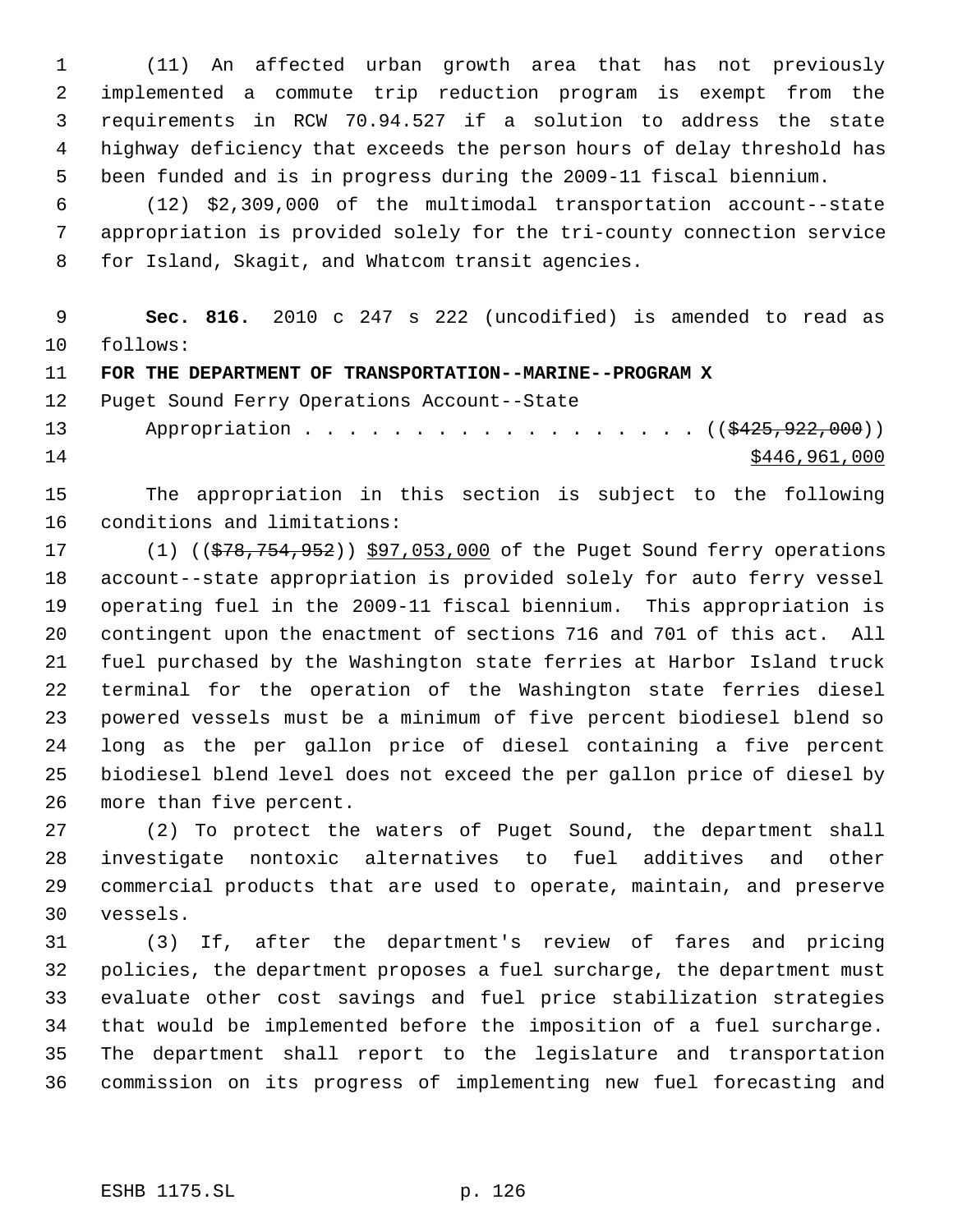(11) An affected urban growth area that has not previously implemented a commute trip reduction program is exempt from the requirements in RCW 70.94.527 if a solution to address the state highway deficiency that exceeds the person hours of delay threshold has been funded and is in progress during the 2009-11 fiscal biennium.

 (12) \$2,309,000 of the multimodal transportation account--state appropriation is provided solely for the tri-county connection service for Island, Skagit, and Whatcom transit agencies.

 **Sec. 816.** 2010 c 247 s 222 (uncodified) is amended to read as follows:

**FOR THE DEPARTMENT OF TRANSPORTATION--MARINE--PROGRAM X**

Puget Sound Ferry Operations Account--State

13 Appropriation . . . . . . . . . . . . . . . . ((\$425,922,000)) \$446,961,000

 The appropriation in this section is subject to the following conditions and limitations:

17 (1) ((\$78,754,952)) \$97,053,000 of the Puget Sound ferry operations account--state appropriation is provided solely for auto ferry vessel operating fuel in the 2009-11 fiscal biennium. This appropriation is contingent upon the enactment of sections 716 and 701 of this act. All fuel purchased by the Washington state ferries at Harbor Island truck terminal for the operation of the Washington state ferries diesel powered vessels must be a minimum of five percent biodiesel blend so long as the per gallon price of diesel containing a five percent biodiesel blend level does not exceed the per gallon price of diesel by more than five percent.

 (2) To protect the waters of Puget Sound, the department shall investigate nontoxic alternatives to fuel additives and other commercial products that are used to operate, maintain, and preserve vessels.

 (3) If, after the department's review of fares and pricing policies, the department proposes a fuel surcharge, the department must evaluate other cost savings and fuel price stabilization strategies that would be implemented before the imposition of a fuel surcharge. The department shall report to the legislature and transportation commission on its progress of implementing new fuel forecasting and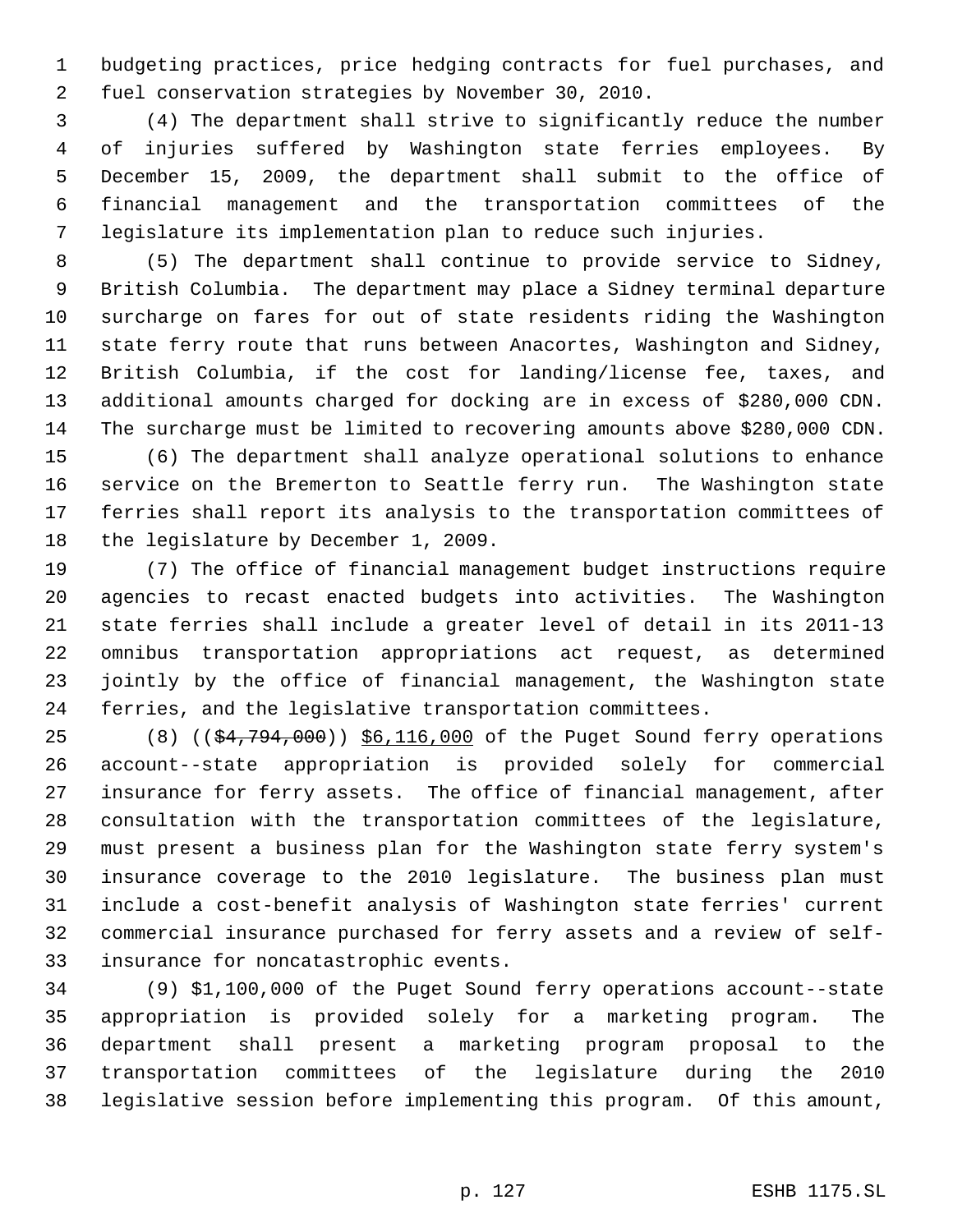budgeting practices, price hedging contracts for fuel purchases, and fuel conservation strategies by November 30, 2010.

 (4) The department shall strive to significantly reduce the number of injuries suffered by Washington state ferries employees. By December 15, 2009, the department shall submit to the office of financial management and the transportation committees of the legislature its implementation plan to reduce such injuries.

 (5) The department shall continue to provide service to Sidney, British Columbia. The department may place a Sidney terminal departure surcharge on fares for out of state residents riding the Washington state ferry route that runs between Anacortes, Washington and Sidney, British Columbia, if the cost for landing/license fee, taxes, and additional amounts charged for docking are in excess of \$280,000 CDN. The surcharge must be limited to recovering amounts above \$280,000 CDN.

 (6) The department shall analyze operational solutions to enhance service on the Bremerton to Seattle ferry run. The Washington state ferries shall report its analysis to the transportation committees of the legislature by December 1, 2009.

 (7) The office of financial management budget instructions require agencies to recast enacted budgets into activities. The Washington state ferries shall include a greater level of detail in its 2011-13 omnibus transportation appropriations act request, as determined jointly by the office of financial management, the Washington state ferries, and the legislative transportation committees.

25 (8) ((\$4,794,000)) \$6,116,000 of the Puget Sound ferry operations account--state appropriation is provided solely for commercial insurance for ferry assets. The office of financial management, after consultation with the transportation committees of the legislature, must present a business plan for the Washington state ferry system's insurance coverage to the 2010 legislature. The business plan must include a cost-benefit analysis of Washington state ferries' current commercial insurance purchased for ferry assets and a review of self-insurance for noncatastrophic events.

 (9) \$1,100,000 of the Puget Sound ferry operations account--state appropriation is provided solely for a marketing program. The department shall present a marketing program proposal to the transportation committees of the legislature during the 2010 legislative session before implementing this program. Of this amount,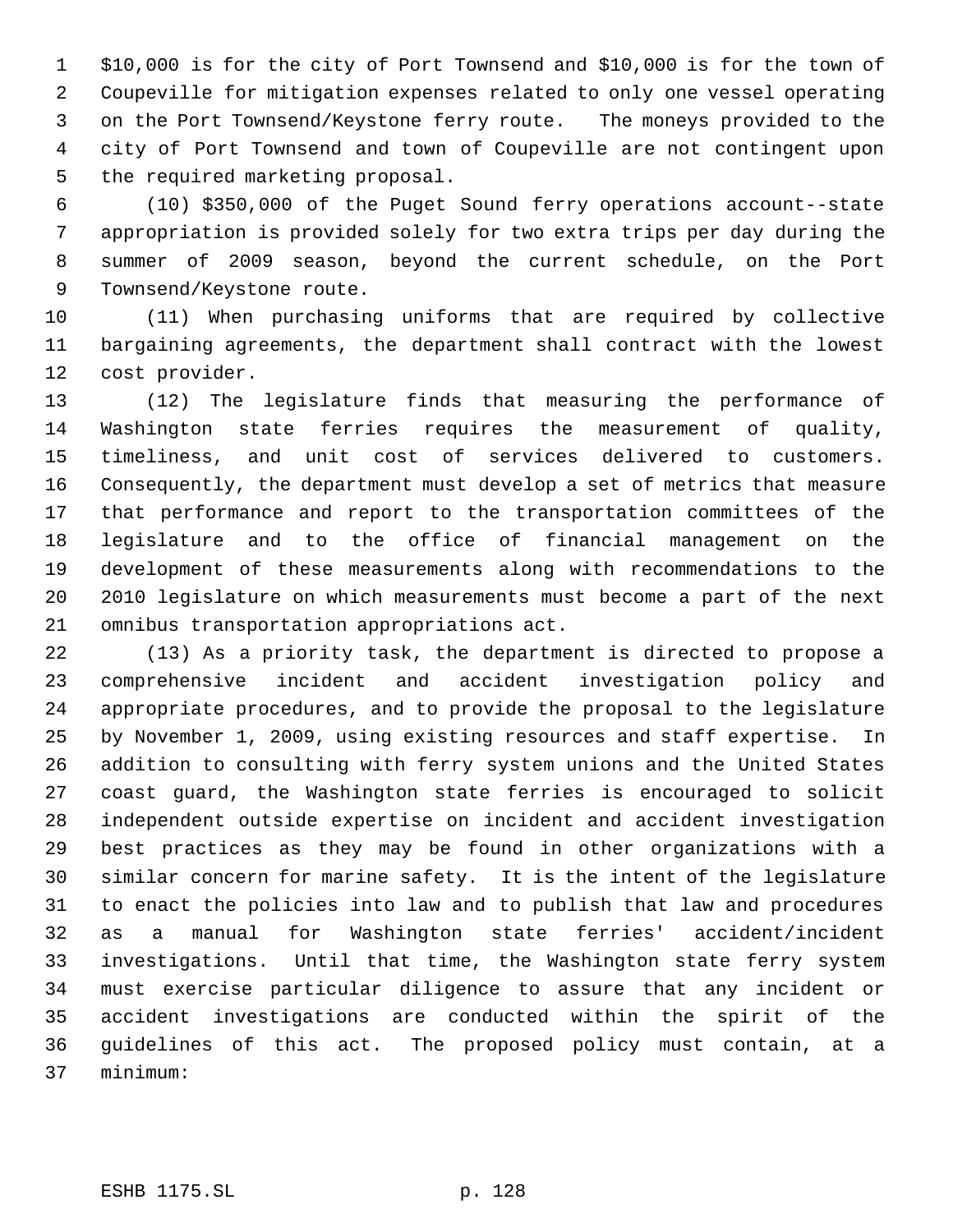\$10,000 is for the city of Port Townsend and \$10,000 is for the town of Coupeville for mitigation expenses related to only one vessel operating on the Port Townsend/Keystone ferry route. The moneys provided to the city of Port Townsend and town of Coupeville are not contingent upon the required marketing proposal.

 (10) \$350,000 of the Puget Sound ferry operations account--state appropriation is provided solely for two extra trips per day during the summer of 2009 season, beyond the current schedule, on the Port Townsend/Keystone route.

 (11) When purchasing uniforms that are required by collective bargaining agreements, the department shall contract with the lowest cost provider.

 (12) The legislature finds that measuring the performance of Washington state ferries requires the measurement of quality, timeliness, and unit cost of services delivered to customers. Consequently, the department must develop a set of metrics that measure that performance and report to the transportation committees of the legislature and to the office of financial management on the development of these measurements along with recommendations to the 2010 legislature on which measurements must become a part of the next omnibus transportation appropriations act.

 (13) As a priority task, the department is directed to propose a comprehensive incident and accident investigation policy and appropriate procedures, and to provide the proposal to the legislature by November 1, 2009, using existing resources and staff expertise. In addition to consulting with ferry system unions and the United States coast guard, the Washington state ferries is encouraged to solicit independent outside expertise on incident and accident investigation best practices as they may be found in other organizations with a similar concern for marine safety. It is the intent of the legislature to enact the policies into law and to publish that law and procedures as a manual for Washington state ferries' accident/incident investigations. Until that time, the Washington state ferry system must exercise particular diligence to assure that any incident or accident investigations are conducted within the spirit of the guidelines of this act. The proposed policy must contain, at a minimum: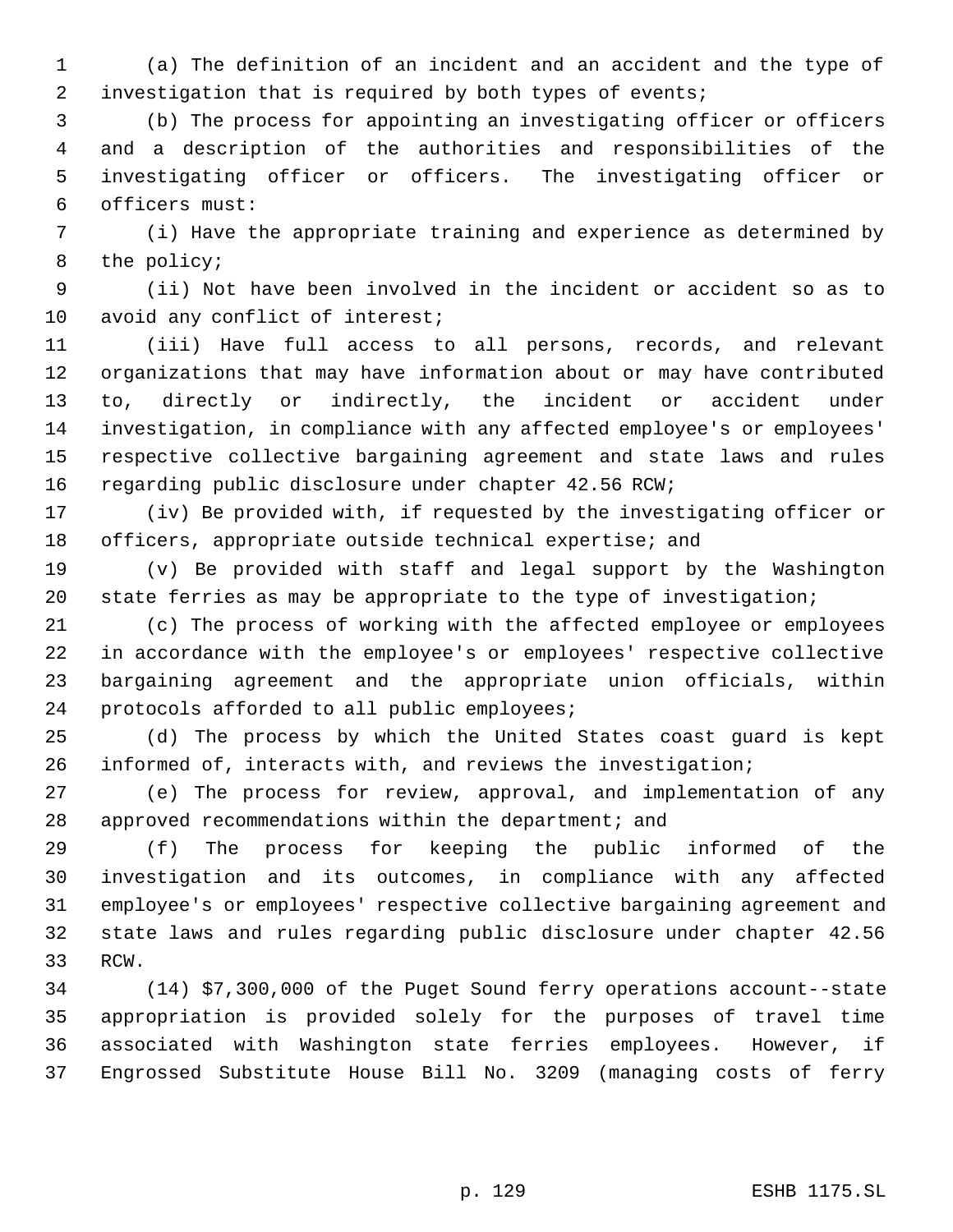(a) The definition of an incident and an accident and the type of investigation that is required by both types of events;

 (b) The process for appointing an investigating officer or officers and a description of the authorities and responsibilities of the investigating officer or officers. The investigating officer or officers must:

 (i) Have the appropriate training and experience as determined by the policy;

 (ii) Not have been involved in the incident or accident so as to 10 avoid any conflict of interest;

 (iii) Have full access to all persons, records, and relevant organizations that may have information about or may have contributed to, directly or indirectly, the incident or accident under investigation, in compliance with any affected employee's or employees' respective collective bargaining agreement and state laws and rules regarding public disclosure under chapter 42.56 RCW;

 (iv) Be provided with, if requested by the investigating officer or officers, appropriate outside technical expertise; and

 (v) Be provided with staff and legal support by the Washington state ferries as may be appropriate to the type of investigation;

 (c) The process of working with the affected employee or employees in accordance with the employee's or employees' respective collective bargaining agreement and the appropriate union officials, within protocols afforded to all public employees;

 (d) The process by which the United States coast guard is kept informed of, interacts with, and reviews the investigation;

 (e) The process for review, approval, and implementation of any approved recommendations within the department; and

 (f) The process for keeping the public informed of the investigation and its outcomes, in compliance with any affected employee's or employees' respective collective bargaining agreement and state laws and rules regarding public disclosure under chapter 42.56 RCW.

 (14) \$7,300,000 of the Puget Sound ferry operations account--state appropriation is provided solely for the purposes of travel time associated with Washington state ferries employees. However, if Engrossed Substitute House Bill No. 3209 (managing costs of ferry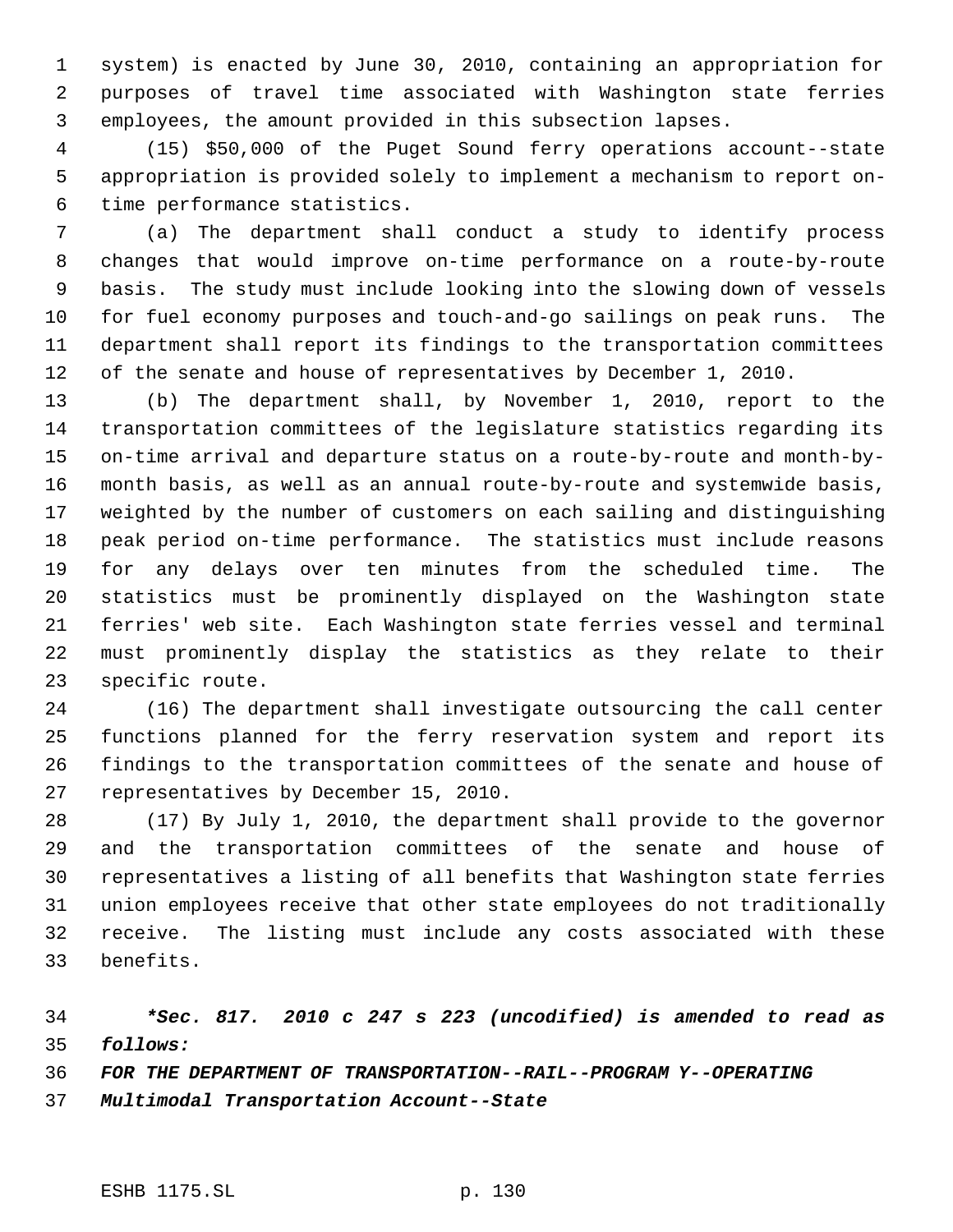system) is enacted by June 30, 2010, containing an appropriation for purposes of travel time associated with Washington state ferries employees, the amount provided in this subsection lapses.

 (15) \$50,000 of the Puget Sound ferry operations account--state appropriation is provided solely to implement a mechanism to report on- time performance statistics.

 (a) The department shall conduct a study to identify process changes that would improve on-time performance on a route-by-route basis. The study must include looking into the slowing down of vessels for fuel economy purposes and touch-and-go sailings on peak runs. The department shall report its findings to the transportation committees of the senate and house of representatives by December 1, 2010.

 (b) The department shall, by November 1, 2010, report to the transportation committees of the legislature statistics regarding its on-time arrival and departure status on a route-by-route and month-by- month basis, as well as an annual route-by-route and systemwide basis, weighted by the number of customers on each sailing and distinguishing peak period on-time performance. The statistics must include reasons for any delays over ten minutes from the scheduled time. The statistics must be prominently displayed on the Washington state ferries' web site. Each Washington state ferries vessel and terminal must prominently display the statistics as they relate to their specific route.

 (16) The department shall investigate outsourcing the call center functions planned for the ferry reservation system and report its findings to the transportation committees of the senate and house of representatives by December 15, 2010.

 (17) By July 1, 2010, the department shall provide to the governor and the transportation committees of the senate and house of representatives a listing of all benefits that Washington state ferries union employees receive that other state employees do not traditionally receive. The listing must include any costs associated with these benefits.

 *\*Sec. 817. 2010 c 247 s 223 (uncodified) is amended to read as follows:*

*FOR THE DEPARTMENT OF TRANSPORTATION--RAIL--PROGRAM Y--OPERATING*

*Multimodal Transportation Account--State*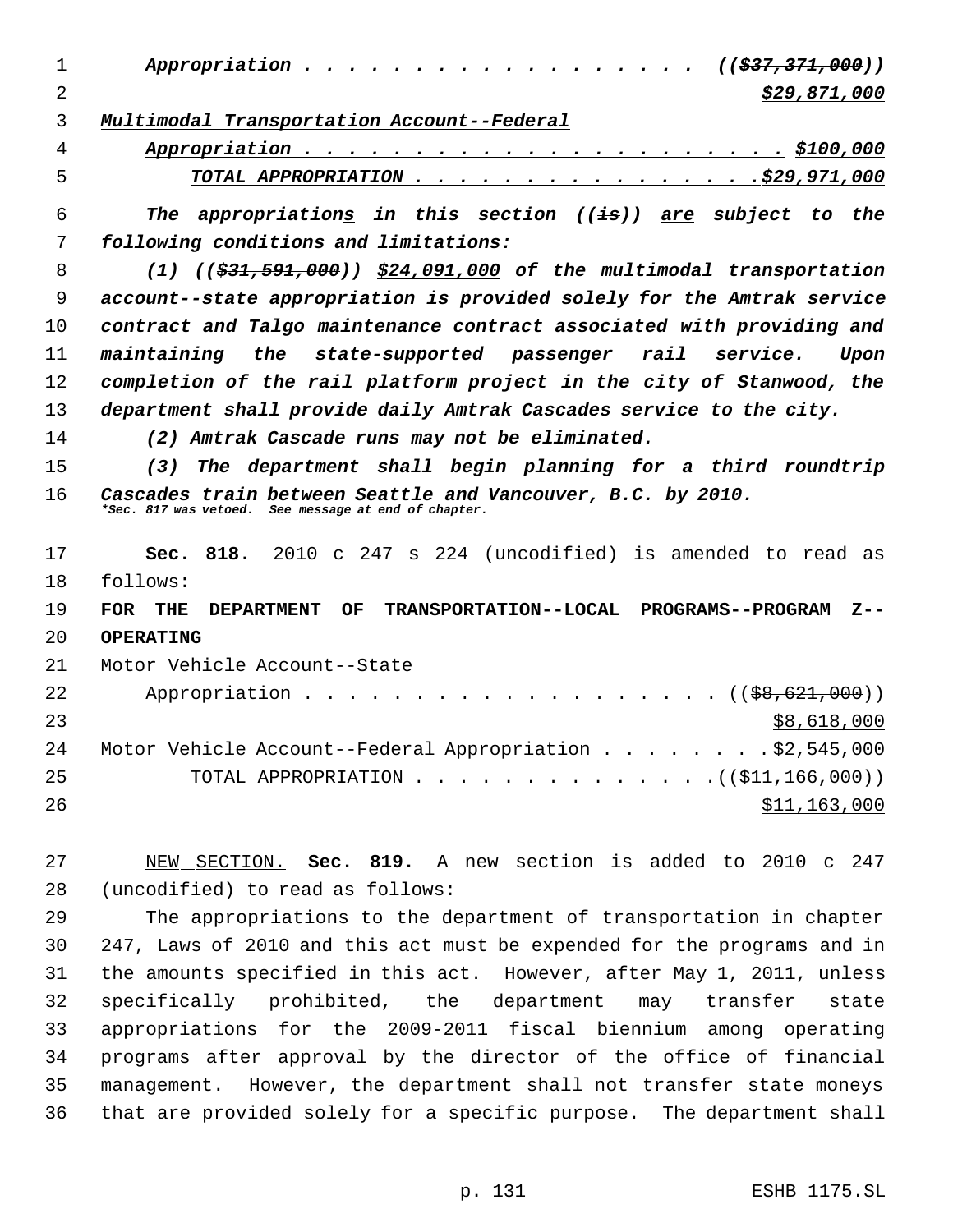| 1  | ((\$37,371,000))<br>Appropriation<br>$\bullet$ $\bullet$                                                            |
|----|---------------------------------------------------------------------------------------------------------------------|
| 2  | \$29,871,000                                                                                                        |
| 3  | Multimodal Transportation Account--Federal                                                                          |
| 4  |                                                                                                                     |
| 5  |                                                                                                                     |
| 6  | The appropriations in this section (( <del>is</del> )) are subject to the                                           |
| 7  | following conditions and limitations:                                                                               |
| 8  | $(1)$ $((\frac{231}{231}, \frac{591}{200})$ $\frac{24}{091}$ , 000 of the multimodal transportation                 |
| 9  | account--state appropriation is provided solely for the Amtrak service                                              |
| 10 | contract and Talgo maintenance contract associated with providing and                                               |
| 11 | maintaining<br>rail<br>the<br>state-supported passenger<br>service.<br>Upon                                         |
| 12 | completion of the rail platform project in the city of Stanwood, the                                                |
| 13 | department shall provide daily Amtrak Cascades service to the city.                                                 |
| 14 | (2) Amtrak Cascade runs may not be eliminated.                                                                      |
| 15 | The department shall begin planning for a third roundtrip<br>(3)                                                    |
| 16 | Cascades train between Seattle and Vancouver, B.C. by 2010.<br>*Sec. 817 was vetoed. See message at end of chapter. |
| 17 | Sec. 818. 2010 c 247 s 224 (uncodified) is amended to read as                                                       |
| 18 | follows:                                                                                                            |
| 19 | TRANSPORTATION--LOCAL PROGRAMS--PROGRAM<br><b>FOR</b><br>THE<br><b>DEPARTMENT</b><br>OF.<br>$7 - -$                 |
| 20 | <b>OPERATING</b>                                                                                                    |
| 21 | Motor Vehicle Account--State                                                                                        |
| 22 | Appropriation<br>$((\$8,621,000))$                                                                                  |
| 23 | \$8,618,000                                                                                                         |
| 24 | Motor Vehicle Account--Federal Appropriation \$2,545,000                                                            |
| 25 | TOTAL APPROPRIATION $($ $($ $\frac{211}{1000}$ , $ 000$ $))$                                                        |
| 26 | <u>\$11,163,000</u>                                                                                                 |
| 27 | NEW SECTION. Sec. 819. A new section is added to 2010 c 247                                                         |
| 28 | (uncodified) to read as follows:                                                                                    |
| 29 | The appropriations to the department of transportation in chapter                                                   |
| 30 | 247, Laws of 2010 and this act must be expended for the programs and in                                             |
| 31 | the amounts specified in this act. However, after May 1, 2011, unless                                               |
| 32 | specifically prohibited, the department<br>may transfer<br>state                                                    |
| 33 | appropriations for the 2009-2011 fiscal biennium among operating                                                    |

 programs after approval by the director of the office of financial management. However, the department shall not transfer state moneys that are provided solely for a specific purpose. The department shall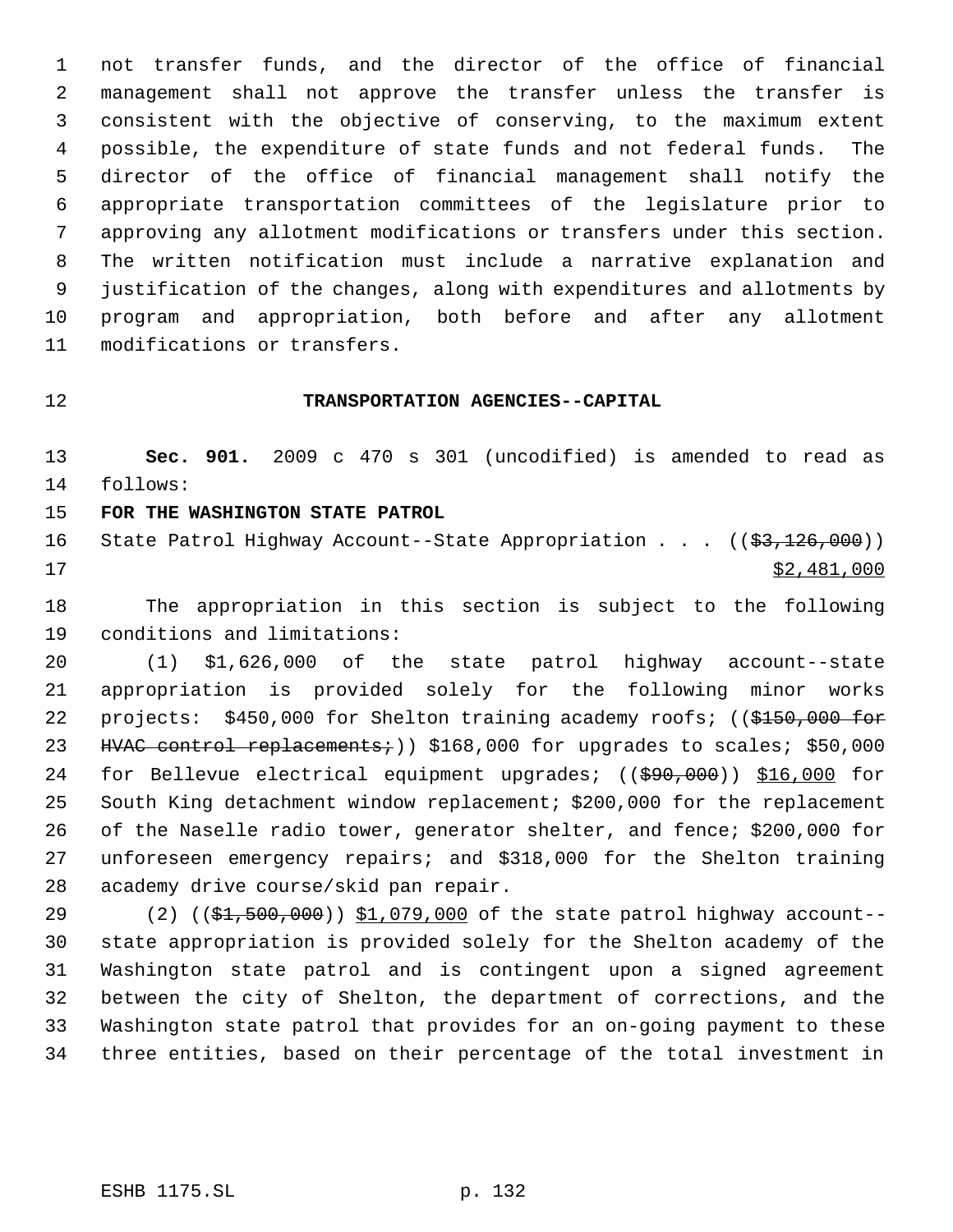not transfer funds, and the director of the office of financial management shall not approve the transfer unless the transfer is consistent with the objective of conserving, to the maximum extent possible, the expenditure of state funds and not federal funds. The director of the office of financial management shall notify the appropriate transportation committees of the legislature prior to approving any allotment modifications or transfers under this section. The written notification must include a narrative explanation and justification of the changes, along with expenditures and allotments by program and appropriation, both before and after any allotment modifications or transfers.

## **TRANSPORTATION AGENCIES--CAPITAL**

 **Sec. 901.** 2009 c 470 s 301 (uncodified) is amended to read as follows:

## **FOR THE WASHINGTON STATE PATROL**

16 State Patrol Highway Account--State Appropriation . . . ((\$3,126,000)) \$2,481,000

 The appropriation in this section is subject to the following conditions and limitations:

 (1) \$1,626,000 of the state patrol highway account--state appropriation is provided solely for the following minor works 22 projects: \$450,000 for Shelton training academy roofs; ((\$150,000 for 23 HVAC control replacements; 3168,000 for upgrades to scales; \$50,000 24 for Bellevue electrical equipment upgrades; ((\$90,000)) \$16,000 for South King detachment window replacement; \$200,000 for the replacement of the Naselle radio tower, generator shelter, and fence; \$200,000 for unforeseen emergency repairs; and \$318,000 for the Shelton training academy drive course/skid pan repair.

29 (2) ((\$1,500,000)) \$1,079,000 of the state patrol highway account-- state appropriation is provided solely for the Shelton academy of the Washington state patrol and is contingent upon a signed agreement between the city of Shelton, the department of corrections, and the Washington state patrol that provides for an on-going payment to these three entities, based on their percentage of the total investment in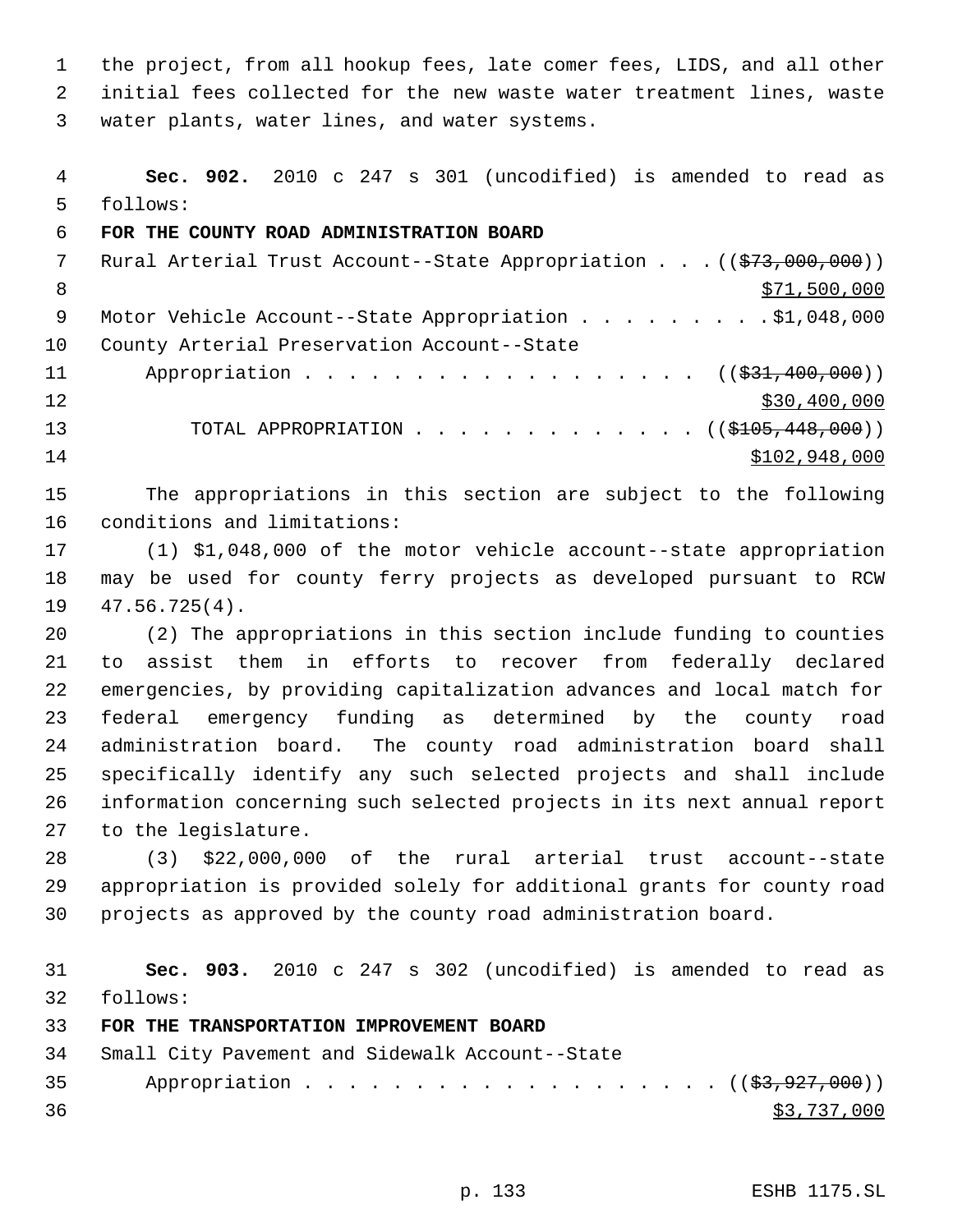the project, from all hookup fees, late comer fees, LIDS, and all other initial fees collected for the new waste water treatment lines, waste water plants, water lines, and water systems.

 **Sec. 902.** 2010 c 247 s 301 (uncodified) is amended to read as follows: **FOR THE COUNTY ROAD ADMINISTRATION BOARD**

7 Rural Arterial Trust Account--State Appropriation . . . ((\$73,000,000)) 8 \$71,500,000 \$71,500,000 \$71,500,000 \$71,500,000 \$71,500,000 \$71,500,000 \$71,500,000 \$71,500,000 \$71,500,000 \$ 9 Motor Vehicle Account--State Appropriation . . . . . . . . . \$1,048,000 County Arterial Preservation Account--State 11 Appropriation . . . . . . . . . . . . . . . . ((\$31,400,000)) 12 \$30,400,000 \$30,400,000 13 TOTAL APPROPRIATION . . . . . . . . . . . . . ((\$105,448,000)) \$102,948,000

 The appropriations in this section are subject to the following conditions and limitations:

 (1) \$1,048,000 of the motor vehicle account--state appropriation may be used for county ferry projects as developed pursuant to RCW 47.56.725(4).

 (2) The appropriations in this section include funding to counties to assist them in efforts to recover from federally declared emergencies, by providing capitalization advances and local match for federal emergency funding as determined by the county road administration board. The county road administration board shall specifically identify any such selected projects and shall include information concerning such selected projects in its next annual report to the legislature.

 (3) \$22,000,000 of the rural arterial trust account--state appropriation is provided solely for additional grants for county road projects as approved by the county road administration board.

 **Sec. 903.** 2010 c 247 s 302 (uncodified) is amended to read as follows:

**FOR THE TRANSPORTATION IMPROVEMENT BOARD**

|    | 34 Small City Pavement and Sidewalk Account--State |             |
|----|----------------------------------------------------|-------------|
|    | 35 Appropriation ( $(\frac{23}{7927}, 000)$ )      |             |
| 36 |                                                    | \$3,737,000 |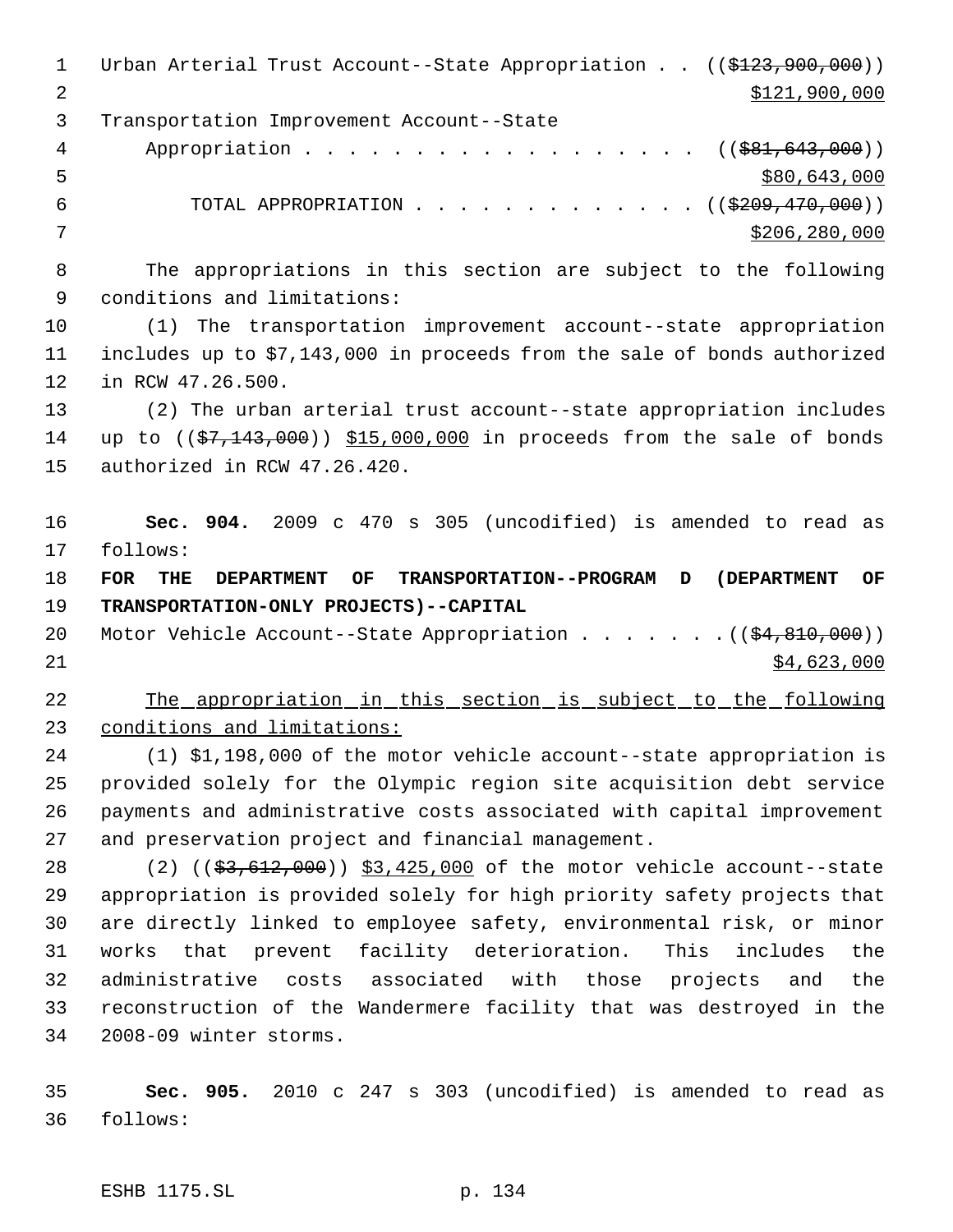1 Urban Arterial Trust Account--State Appropriation . . ((\$123,900,000)) 2 \$121,900,000 \$121,900,000 \$121,900,000 \$121,900,000 \$121,900,000 \$121,900,000 \$121,900,000 \$121,900,000 \$121,900,000 \$121,900,000 \$121,900,000 \$121,900,000 \$121,900 \$121,900 \$121,900 \$121,900 \$121,900 \$121,900 \$121,900 \$ Transportation Improvement Account--State 4 Appropriation . . . . . . . . . . . . . . . . ((\$81,643,000))  $\frac{$80,643,000}{ }$ 6 TOTAL APPROPRIATION . . . . . . . . . . . . ((\$209,470,000)) \$206,280,000 The appropriations in this section are subject to the following conditions and limitations: (1) The transportation improvement account--state appropriation includes up to \$7,143,000 in proceeds from the sale of bonds authorized in RCW 47.26.500. (2) The urban arterial trust account--state appropriation includes 14 up to ((\$7,143,000)) \$15,000,000 in proceeds from the sale of bonds authorized in RCW 47.26.420. **Sec. 904.** 2009 c 470 s 305 (uncodified) is amended to read as follows: **FOR THE DEPARTMENT OF TRANSPORTATION--PROGRAM D (DEPARTMENT OF TRANSPORTATION-ONLY PROJECTS)--CAPITAL** 20 Motor Vehicle Account--State Appropriation . . . . . . . ((\$4,810,000)) \$4,623,000 22 The appropriation in this section is subject to the following conditions and limitations: (1) \$1,198,000 of the motor vehicle account--state appropriation is provided solely for the Olympic region site acquisition debt service payments and administrative costs associated with capital improvement and preservation project and financial management. 28 (2) ((\$3,612,000)) \$3,425,000 of the motor vehicle account--state appropriation is provided solely for high priority safety projects that are directly linked to employee safety, environmental risk, or minor works that prevent facility deterioration. This includes the administrative costs associated with those projects and the reconstruction of the Wandermere facility that was destroyed in the 2008-09 winter storms. **Sec. 905.** 2010 c 247 s 303 (uncodified) is amended to read as

follows: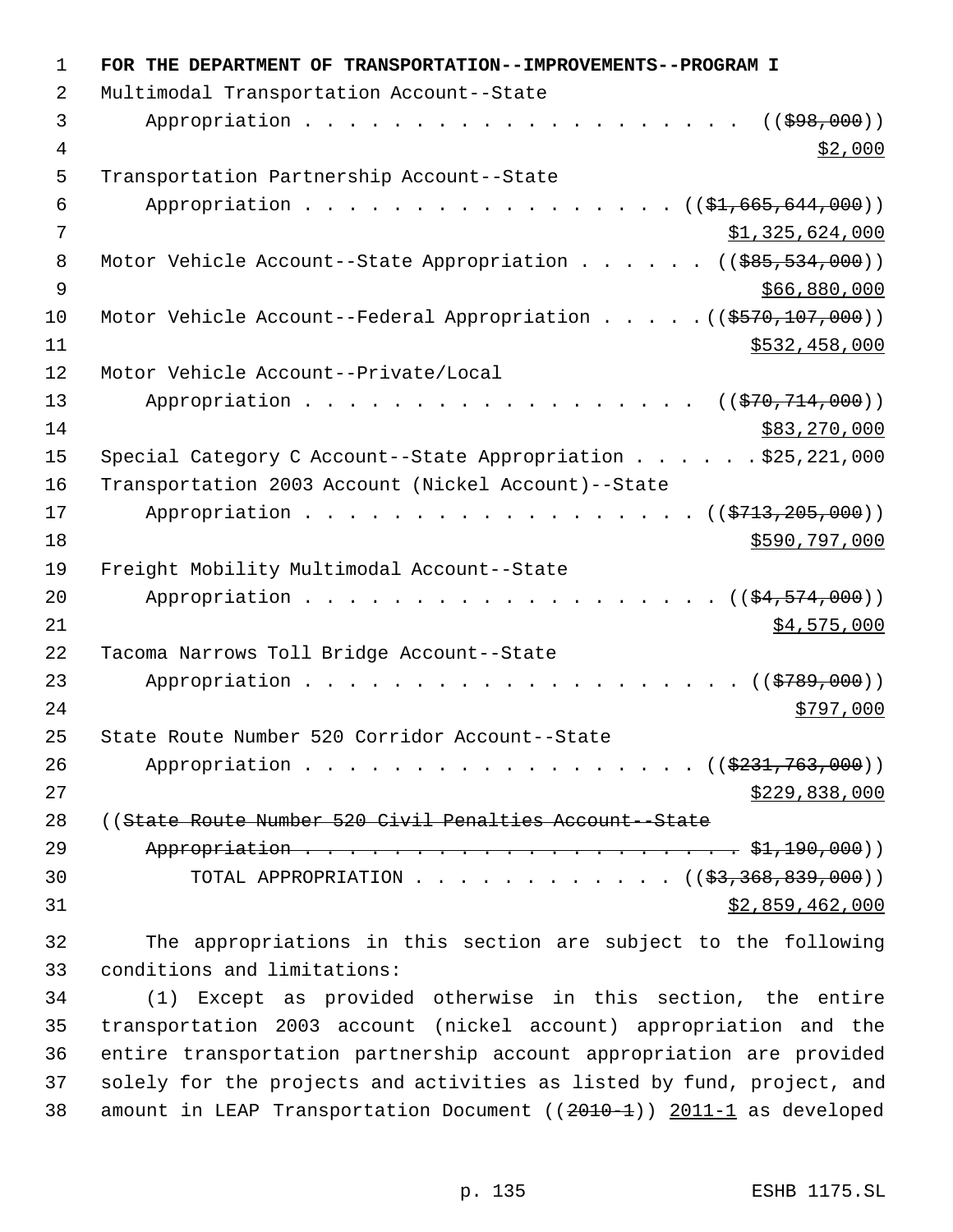| $\mathbf 1$ | FOR THE DEPARTMENT OF TRANSPORTATION--IMPROVEMENTS--PROGRAM I                       |
|-------------|-------------------------------------------------------------------------------------|
| 2           | Multimodal Transportation Account--State                                            |
| 3           | Appropriation<br>$($ (\$98,000))                                                    |
| 4           | \$2,000                                                                             |
| 5           | Transportation Partnership Account--State                                           |
| 6           | Appropriation<br>(( <del>\$1,665,644,000</del> ))                                   |
| 7           | \$1,325,624,000                                                                     |
| 8           | Motor Vehicle Account--State Appropriation ( $(\frac{285}{534}, \frac{534}{000})$ ) |
| 9           | \$66,880,000                                                                        |
| 10          | Motor Vehicle Account--Federal Appropriation ((\$570,107,000))                      |
| 11          | \$532,458,000                                                                       |
| 12          | Motor Vehicle Account--Private/Local                                                |
| 13          | $((\frac{1570}{714},000))$<br>Appropriation                                         |
| 14          | \$83,270,000                                                                        |
| 15          | Special Category C Account--State Appropriation \$25,221,000                        |
| 16          | Transportation 2003 Account (Nickel Account)--State                                 |
| 17          | Appropriation<br>$((\frac{2713}{723}, \frac{205}{600}))$                            |
| 18          | \$590,797,000                                                                       |
| 19          | Freight Mobility Multimodal Account--State                                          |
| 20          | Appropriation<br>$((\frac{154}{7574},000))$                                         |
| 21          | \$4,575,000                                                                         |
| 22          | Tacoma Narrows Toll Bridge Account--State                                           |
| 23          | ( ( \$789,000) )<br>Appropriation                                                   |
| 24          | \$797,000                                                                           |
| 25          | State Route Number 520 Corridor Account--State                                      |
| 26          | Appropriation ( $(\frac{2331}{763},000)$ )                                          |
| 27          | \$229,838,000                                                                       |
| 28          | ((State Route Number 520 Civil Penalties Account - State                            |
| 29          |                                                                                     |
| 30          | TOTAL APPROPRIATION ( $(\frac{23}{2}, \frac{368}{20}, \frac{839}{200})$ )           |
| 31          | \$2,859,462,000                                                                     |
| 32          | The appropriations in this section are subject to the following                     |
| 33          | conditions and limitations:                                                         |
| 34          | (1) Except as provided otherwise in this section, the entire                        |
| 35          | transportation 2003 account (nickel account) appropriation and the                  |
| 36          | entire transportation partnership account appropriation are provided                |
| 37          | solely for the projects and activities as listed by fund, project, and              |
| 38          | amount in LEAP Transportation Document ( $(2010-1)$ ) 2011-1 as developed           |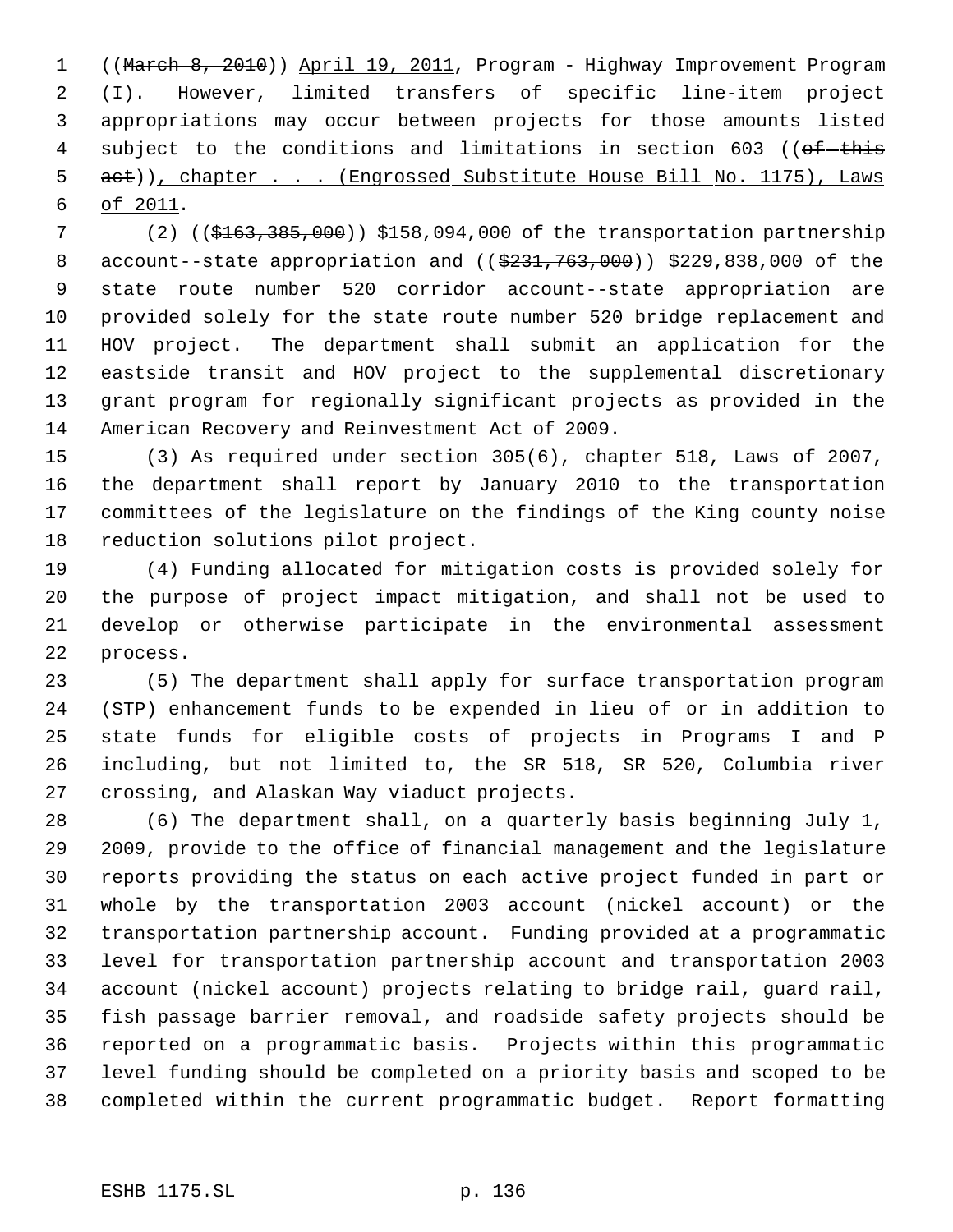((March 8, 2010)) April 19, 2011, Program - Highway Improvement Program (I). However, limited transfers of specific line-item project appropriations may occur between projects for those amounts listed 4 subject to the conditions and limitations in section 603 ((of-this 5 act)), chapter . . . (Engrossed Substitute House Bill No. 1175), Laws of 2011.

 (2) ((\$163,385,000)) \$158,094,000 of the transportation partnership 8 account--state appropriation and (( $$231,763,000$ )) \$229,838,000 of the state route number 520 corridor account--state appropriation are provided solely for the state route number 520 bridge replacement and HOV project. The department shall submit an application for the eastside transit and HOV project to the supplemental discretionary grant program for regionally significant projects as provided in the American Recovery and Reinvestment Act of 2009.

 (3) As required under section 305(6), chapter 518, Laws of 2007, the department shall report by January 2010 to the transportation committees of the legislature on the findings of the King county noise reduction solutions pilot project.

 (4) Funding allocated for mitigation costs is provided solely for the purpose of project impact mitigation, and shall not be used to develop or otherwise participate in the environmental assessment process.

 (5) The department shall apply for surface transportation program (STP) enhancement funds to be expended in lieu of or in addition to state funds for eligible costs of projects in Programs I and P including, but not limited to, the SR 518, SR 520, Columbia river crossing, and Alaskan Way viaduct projects.

 (6) The department shall, on a quarterly basis beginning July 1, 2009, provide to the office of financial management and the legislature reports providing the status on each active project funded in part or whole by the transportation 2003 account (nickel account) or the transportation partnership account. Funding provided at a programmatic level for transportation partnership account and transportation 2003 account (nickel account) projects relating to bridge rail, guard rail, fish passage barrier removal, and roadside safety projects should be reported on a programmatic basis. Projects within this programmatic level funding should be completed on a priority basis and scoped to be completed within the current programmatic budget. Report formatting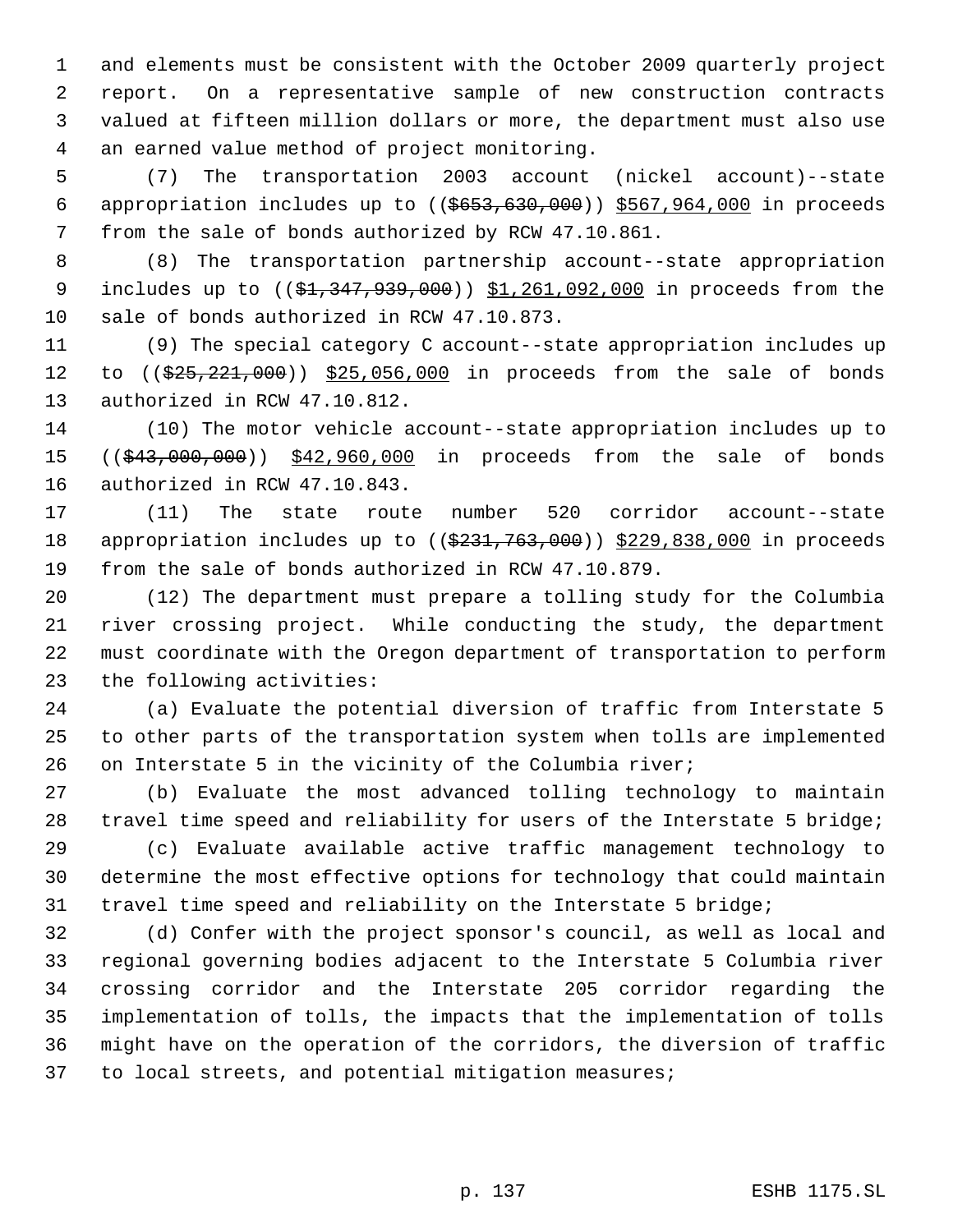and elements must be consistent with the October 2009 quarterly project report. On a representative sample of new construction contracts valued at fifteen million dollars or more, the department must also use an earned value method of project monitoring.

 (7) The transportation 2003 account (nickel account)--state 6 appropriation includes up to  $(($653,630,000) $$5567,964,000$  in proceeds from the sale of bonds authorized by RCW 47.10.861.

 (8) The transportation partnership account--state appropriation 9 includes up to ((\$1,347,939,000)) \$1,261,092,000 in proceeds from the sale of bonds authorized in RCW 47.10.873.

 (9) The special category C account--state appropriation includes up 12 to ((\$25,221,000)) \$25,056,000 in proceeds from the sale of bonds authorized in RCW 47.10.812.

 (10) The motor vehicle account--state appropriation includes up to 15 ((\$43,000,000)) \$42,960,000 in proceeds from the sale of bonds authorized in RCW 47.10.843.

 (11) The state route number 520 corridor account--state 18 appropriation includes up to  $((\$231,763,000))$  \$229,838,000 in proceeds from the sale of bonds authorized in RCW 47.10.879.

 (12) The department must prepare a tolling study for the Columbia river crossing project. While conducting the study, the department must coordinate with the Oregon department of transportation to perform the following activities:

 (a) Evaluate the potential diversion of traffic from Interstate 5 to other parts of the transportation system when tolls are implemented on Interstate 5 in the vicinity of the Columbia river;

 (b) Evaluate the most advanced tolling technology to maintain travel time speed and reliability for users of the Interstate 5 bridge;

 (c) Evaluate available active traffic management technology to determine the most effective options for technology that could maintain travel time speed and reliability on the Interstate 5 bridge;

 (d) Confer with the project sponsor's council, as well as local and regional governing bodies adjacent to the Interstate 5 Columbia river crossing corridor and the Interstate 205 corridor regarding the implementation of tolls, the impacts that the implementation of tolls might have on the operation of the corridors, the diversion of traffic to local streets, and potential mitigation measures;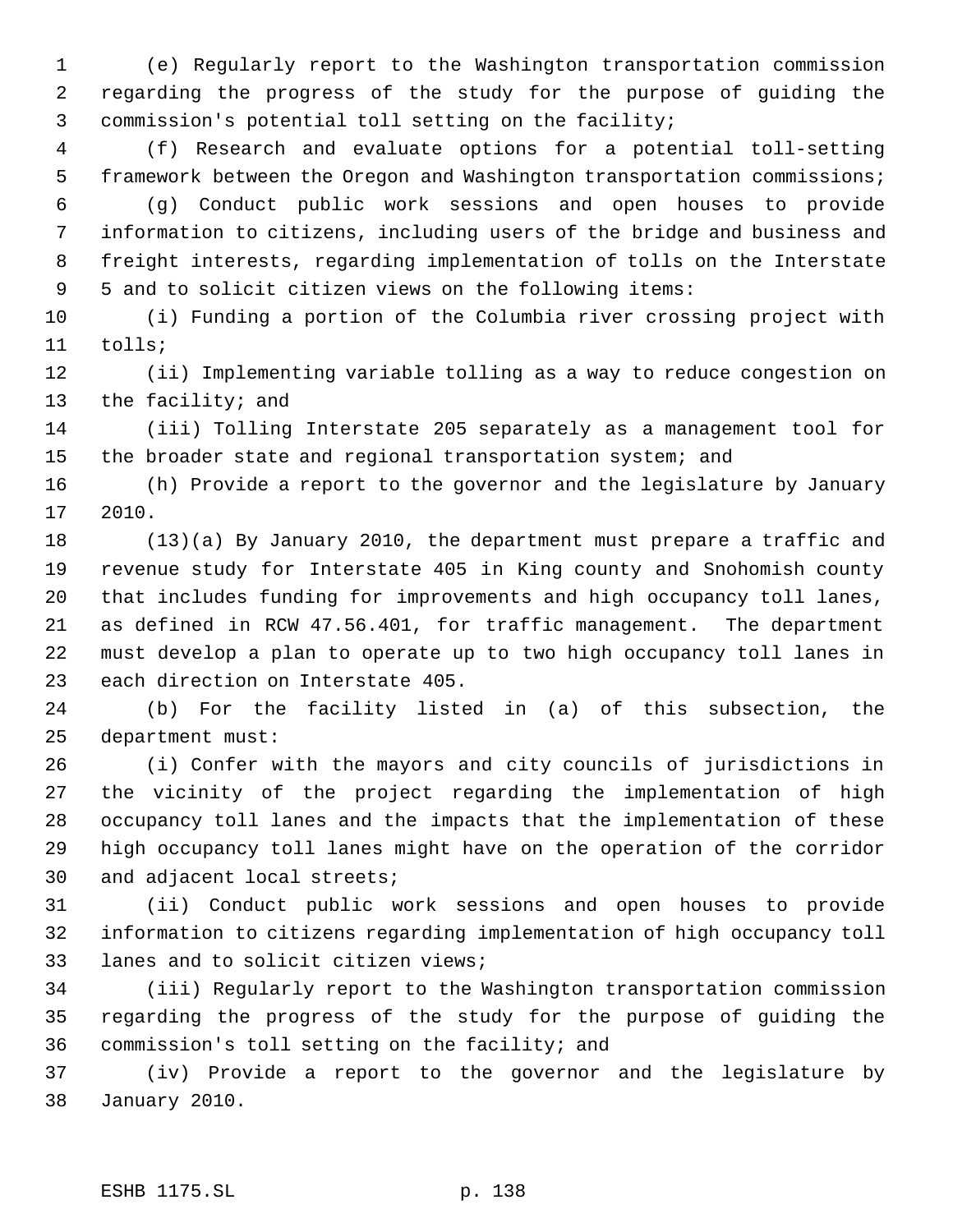(e) Regularly report to the Washington transportation commission regarding the progress of the study for the purpose of guiding the commission's potential toll setting on the facility;

 (f) Research and evaluate options for a potential toll-setting framework between the Oregon and Washington transportation commissions;

 (g) Conduct public work sessions and open houses to provide information to citizens, including users of the bridge and business and freight interests, regarding implementation of tolls on the Interstate 5 and to solicit citizen views on the following items:

 (i) Funding a portion of the Columbia river crossing project with tolls;

 (ii) Implementing variable tolling as a way to reduce congestion on the facility; and

 (iii) Tolling Interstate 205 separately as a management tool for the broader state and regional transportation system; and

 (h) Provide a report to the governor and the legislature by January 2010.

 (13)(a) By January 2010, the department must prepare a traffic and revenue study for Interstate 405 in King county and Snohomish county that includes funding for improvements and high occupancy toll lanes, as defined in RCW 47.56.401, for traffic management. The department must develop a plan to operate up to two high occupancy toll lanes in each direction on Interstate 405.

 (b) For the facility listed in (a) of this subsection, the department must:

 (i) Confer with the mayors and city councils of jurisdictions in the vicinity of the project regarding the implementation of high occupancy toll lanes and the impacts that the implementation of these high occupancy toll lanes might have on the operation of the corridor and adjacent local streets;

 (ii) Conduct public work sessions and open houses to provide information to citizens regarding implementation of high occupancy toll lanes and to solicit citizen views;

 (iii) Regularly report to the Washington transportation commission regarding the progress of the study for the purpose of guiding the commission's toll setting on the facility; and

 (iv) Provide a report to the governor and the legislature by January 2010.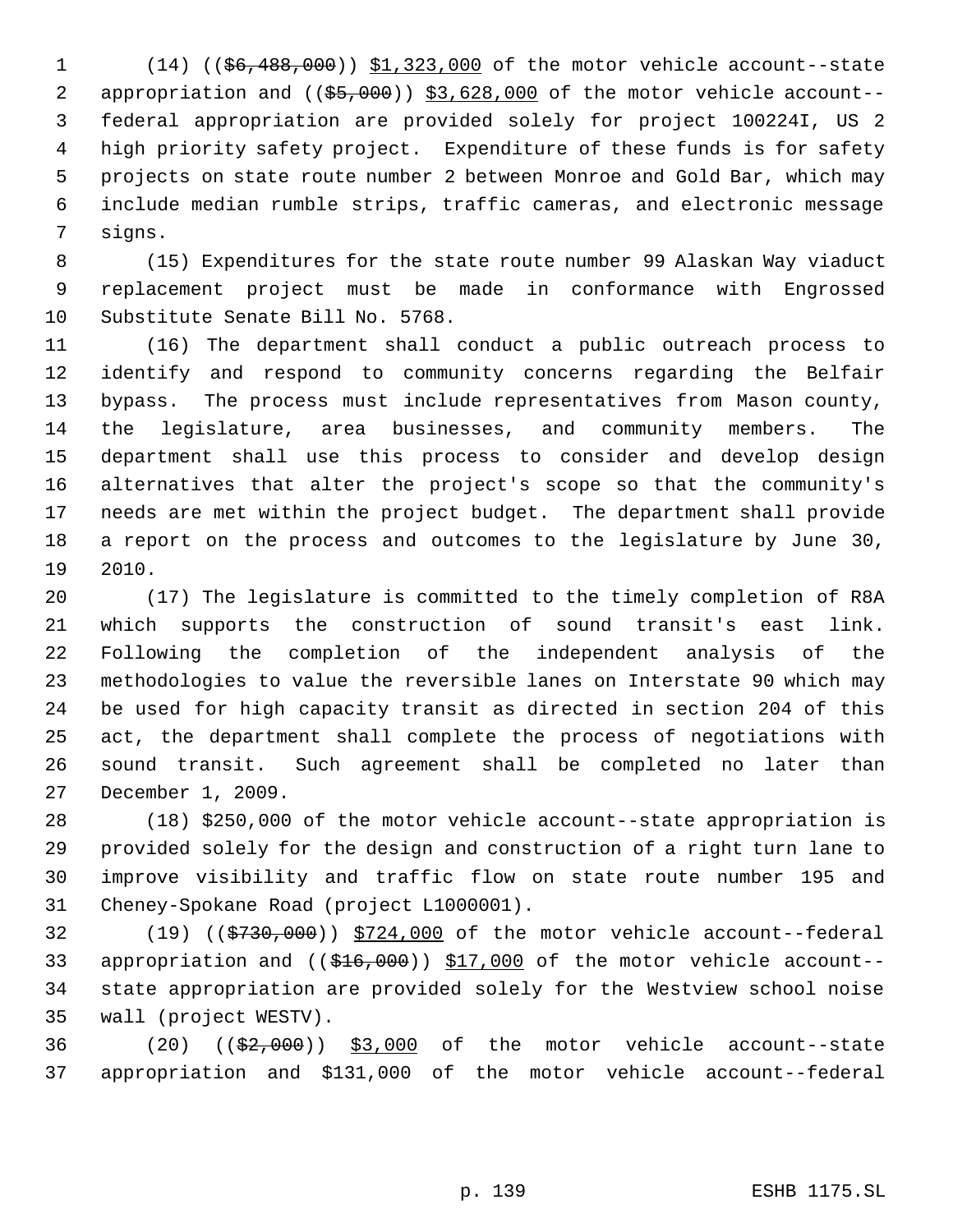1 (14) ((\$6,488,000)) \$1,323,000 of the motor vehicle account--state 2 appropriation and (( $$5,000$ )) \$3,628,000 of the motor vehicle account-- federal appropriation are provided solely for project 100224I, US 2 high priority safety project. Expenditure of these funds is for safety projects on state route number 2 between Monroe and Gold Bar, which may include median rumble strips, traffic cameras, and electronic message signs.

 (15) Expenditures for the state route number 99 Alaskan Way viaduct replacement project must be made in conformance with Engrossed Substitute Senate Bill No. 5768.

 (16) The department shall conduct a public outreach process to identify and respond to community concerns regarding the Belfair bypass. The process must include representatives from Mason county, the legislature, area businesses, and community members. The department shall use this process to consider and develop design alternatives that alter the project's scope so that the community's needs are met within the project budget. The department shall provide a report on the process and outcomes to the legislature by June 30, 2010.

 (17) The legislature is committed to the timely completion of R8A which supports the construction of sound transit's east link. Following the completion of the independent analysis of the methodologies to value the reversible lanes on Interstate 90 which may be used for high capacity transit as directed in section 204 of this act, the department shall complete the process of negotiations with sound transit. Such agreement shall be completed no later than December 1, 2009.

 (18) \$250,000 of the motor vehicle account--state appropriation is provided solely for the design and construction of a right turn lane to improve visibility and traffic flow on state route number 195 and Cheney-Spokane Road (project L1000001).

 (19) ((\$730,000)) \$724,000 of the motor vehicle account--federal 33 appropriation and ((\$16,000)) \$17,000 of the motor vehicle account-- state appropriation are provided solely for the Westview school noise wall (project WESTV).

36  $(20)$   $(\frac{2}{52},000)$  \$3,000 of the motor vehicle account--state appropriation and \$131,000 of the motor vehicle account--federal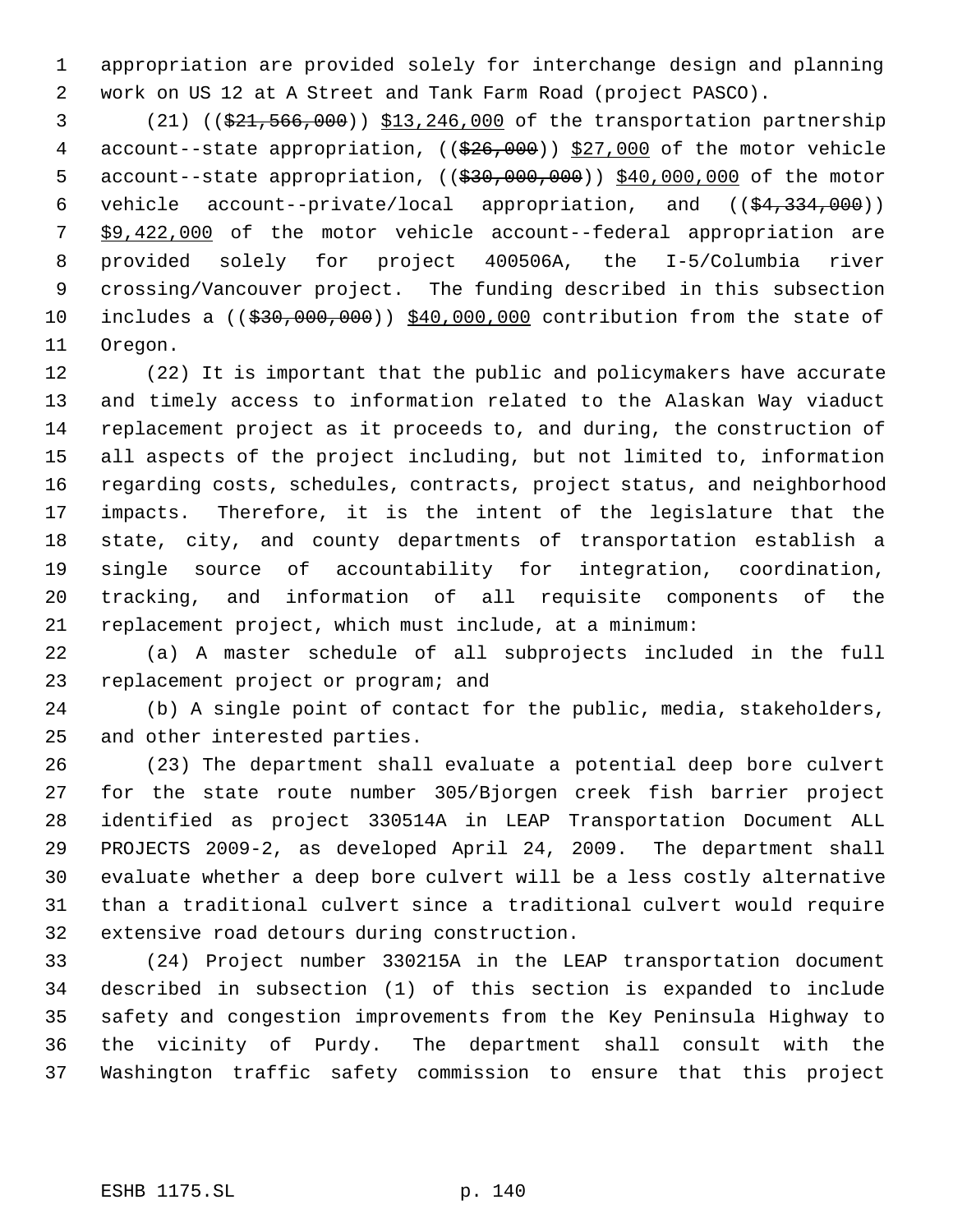appropriation are provided solely for interchange design and planning work on US 12 at A Street and Tank Farm Road (project PASCO).

 (21) ((\$21,566,000)) \$13,246,000 of the transportation partnership 4 account--state appropriation, ((\$26,000)) \$27,000 of the motor vehicle 5 account--state appropriation, ((\$30,000,000)) \$40,000,000 of the motor vehicle account--private/local appropriation, and ((\$4,334,000)) 7 \$9,422,000 of the motor vehicle account--federal appropriation are provided solely for project 400506A, the I-5/Columbia river crossing/Vancouver project. The funding described in this subsection 10 includes a ((\$30,000,000)) \$40,000,000 contribution from the state of Oregon.

 (22) It is important that the public and policymakers have accurate and timely access to information related to the Alaskan Way viaduct replacement project as it proceeds to, and during, the construction of all aspects of the project including, but not limited to, information regarding costs, schedules, contracts, project status, and neighborhood impacts. Therefore, it is the intent of the legislature that the state, city, and county departments of transportation establish a single source of accountability for integration, coordination, tracking, and information of all requisite components of the replacement project, which must include, at a minimum:

 (a) A master schedule of all subprojects included in the full replacement project or program; and

 (b) A single point of contact for the public, media, stakeholders, and other interested parties.

 (23) The department shall evaluate a potential deep bore culvert for the state route number 305/Bjorgen creek fish barrier project identified as project 330514A in LEAP Transportation Document ALL PROJECTS 2009-2, as developed April 24, 2009. The department shall evaluate whether a deep bore culvert will be a less costly alternative than a traditional culvert since a traditional culvert would require extensive road detours during construction.

 (24) Project number 330215A in the LEAP transportation document described in subsection (1) of this section is expanded to include safety and congestion improvements from the Key Peninsula Highway to the vicinity of Purdy. The department shall consult with the Washington traffic safety commission to ensure that this project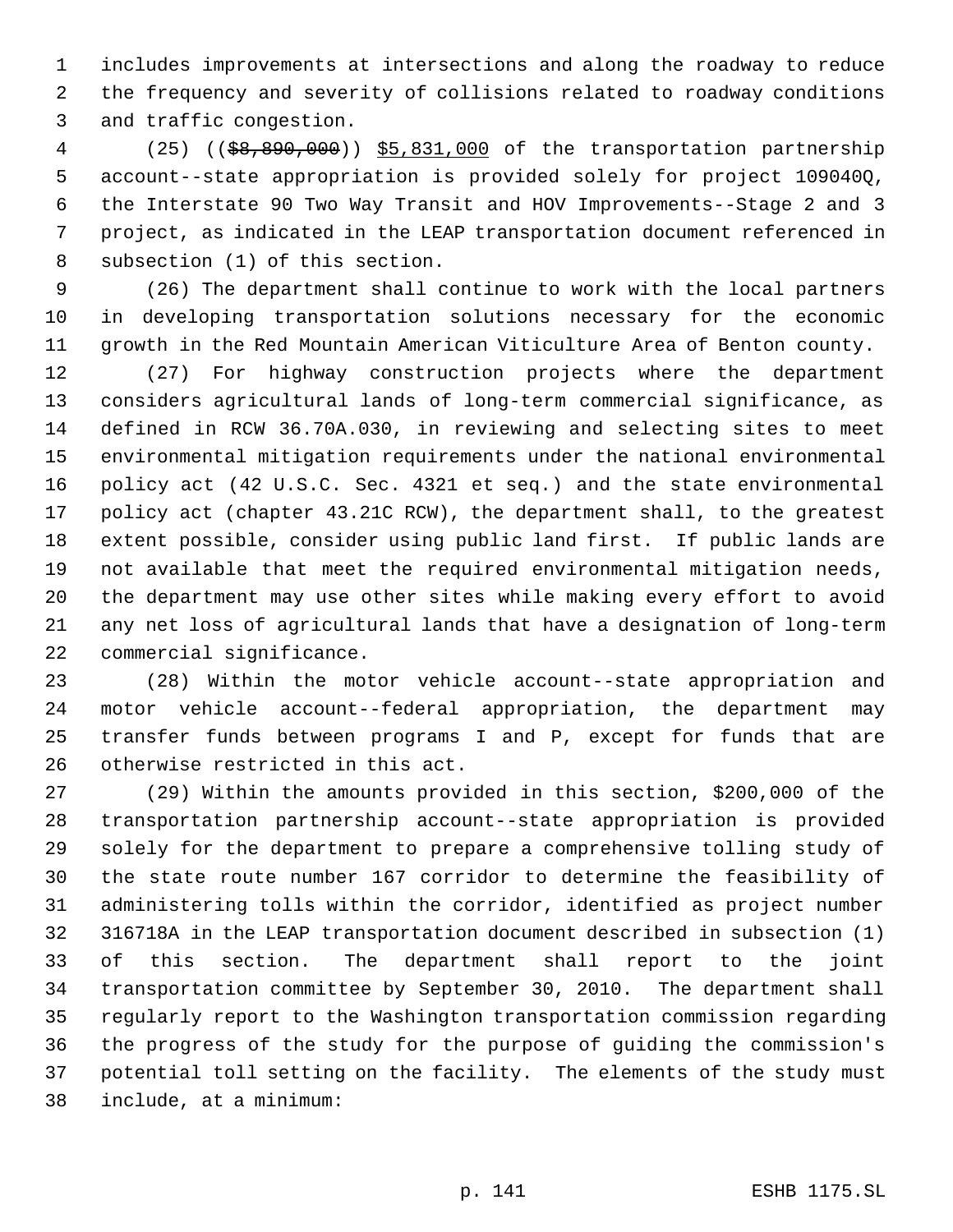includes improvements at intersections and along the roadway to reduce the frequency and severity of collisions related to roadway conditions and traffic congestion.

 (25) ((\$8,890,000)) \$5,831,000 of the transportation partnership account--state appropriation is provided solely for project 109040Q, the Interstate 90 Two Way Transit and HOV Improvements--Stage 2 and 3 project, as indicated in the LEAP transportation document referenced in subsection (1) of this section.

 (26) The department shall continue to work with the local partners in developing transportation solutions necessary for the economic growth in the Red Mountain American Viticulture Area of Benton county.

 (27) For highway construction projects where the department considers agricultural lands of long-term commercial significance, as defined in RCW 36.70A.030, in reviewing and selecting sites to meet environmental mitigation requirements under the national environmental policy act (42 U.S.C. Sec. 4321 et seq.) and the state environmental policy act (chapter 43.21C RCW), the department shall, to the greatest extent possible, consider using public land first. If public lands are not available that meet the required environmental mitigation needs, the department may use other sites while making every effort to avoid any net loss of agricultural lands that have a designation of long-term commercial significance.

 (28) Within the motor vehicle account--state appropriation and motor vehicle account--federal appropriation, the department may transfer funds between programs I and P, except for funds that are otherwise restricted in this act.

 (29) Within the amounts provided in this section, \$200,000 of the transportation partnership account--state appropriation is provided solely for the department to prepare a comprehensive tolling study of the state route number 167 corridor to determine the feasibility of administering tolls within the corridor, identified as project number 316718A in the LEAP transportation document described in subsection (1) of this section. The department shall report to the joint transportation committee by September 30, 2010. The department shall regularly report to the Washington transportation commission regarding the progress of the study for the purpose of guiding the commission's potential toll setting on the facility. The elements of the study must include, at a minimum: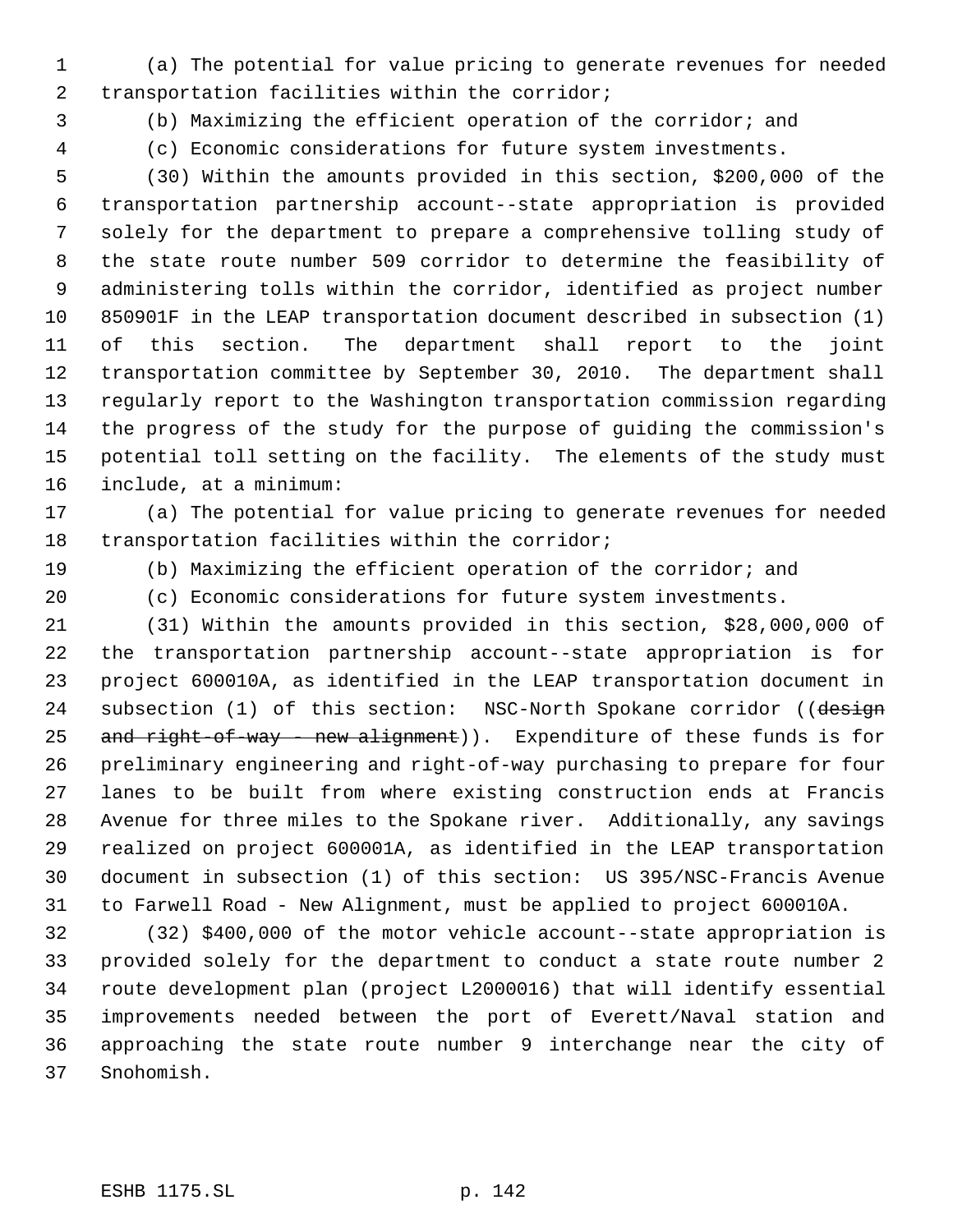(a) The potential for value pricing to generate revenues for needed transportation facilities within the corridor;

(b) Maximizing the efficient operation of the corridor; and

(c) Economic considerations for future system investments.

 (30) Within the amounts provided in this section, \$200,000 of the transportation partnership account--state appropriation is provided solely for the department to prepare a comprehensive tolling study of the state route number 509 corridor to determine the feasibility of administering tolls within the corridor, identified as project number 850901F in the LEAP transportation document described in subsection (1) of this section. The department shall report to the joint transportation committee by September 30, 2010. The department shall regularly report to the Washington transportation commission regarding the progress of the study for the purpose of guiding the commission's potential toll setting on the facility. The elements of the study must include, at a minimum:

 (a) The potential for value pricing to generate revenues for needed transportation facilities within the corridor;

(b) Maximizing the efficient operation of the corridor; and

(c) Economic considerations for future system investments.

 (31) Within the amounts provided in this section, \$28,000,000 of the transportation partnership account--state appropriation is for project 600010A, as identified in the LEAP transportation document in 24 subsection (1) of this section: NSC-North Spokane corridor ((design 25 and right-of-way - new alignment)). Expenditure of these funds is for preliminary engineering and right-of-way purchasing to prepare for four lanes to be built from where existing construction ends at Francis Avenue for three miles to the Spokane river. Additionally, any savings realized on project 600001A, as identified in the LEAP transportation document in subsection (1) of this section: US 395/NSC-Francis Avenue to Farwell Road - New Alignment, must be applied to project 600010A.

 (32) \$400,000 of the motor vehicle account--state appropriation is provided solely for the department to conduct a state route number 2 route development plan (project L2000016) that will identify essential improvements needed between the port of Everett/Naval station and approaching the state route number 9 interchange near the city of Snohomish.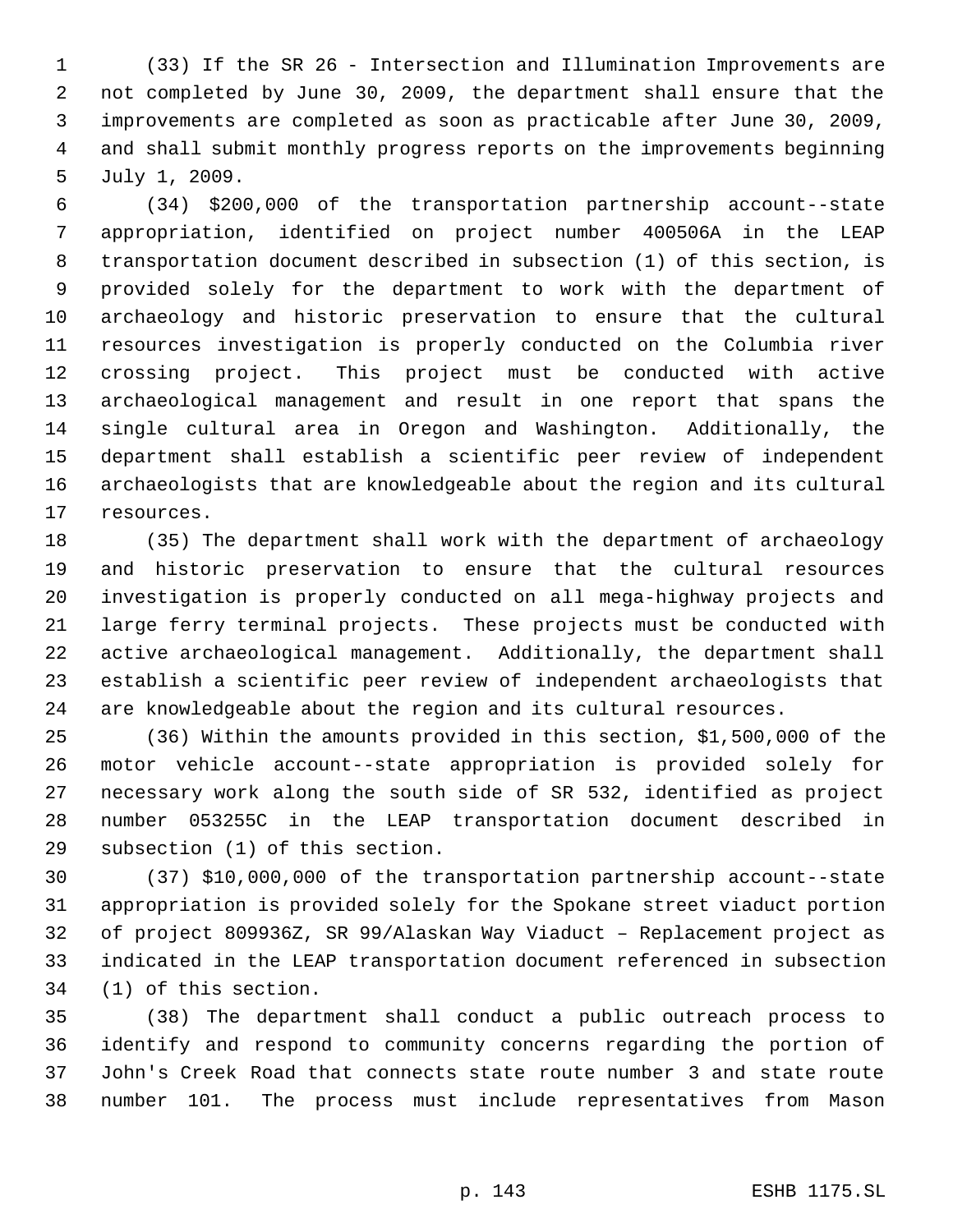(33) If the SR 26 - Intersection and Illumination Improvements are not completed by June 30, 2009, the department shall ensure that the improvements are completed as soon as practicable after June 30, 2009, and shall submit monthly progress reports on the improvements beginning July 1, 2009.

 (34) \$200,000 of the transportation partnership account--state appropriation, identified on project number 400506A in the LEAP transportation document described in subsection (1) of this section, is provided solely for the department to work with the department of archaeology and historic preservation to ensure that the cultural resources investigation is properly conducted on the Columbia river crossing project. This project must be conducted with active archaeological management and result in one report that spans the single cultural area in Oregon and Washington. Additionally, the department shall establish a scientific peer review of independent archaeologists that are knowledgeable about the region and its cultural resources.

 (35) The department shall work with the department of archaeology and historic preservation to ensure that the cultural resources investigation is properly conducted on all mega-highway projects and large ferry terminal projects. These projects must be conducted with active archaeological management. Additionally, the department shall establish a scientific peer review of independent archaeologists that are knowledgeable about the region and its cultural resources.

 (36) Within the amounts provided in this section, \$1,500,000 of the motor vehicle account--state appropriation is provided solely for necessary work along the south side of SR 532, identified as project number 053255C in the LEAP transportation document described in subsection (1) of this section.

 (37) \$10,000,000 of the transportation partnership account--state appropriation is provided solely for the Spokane street viaduct portion of project 809936Z, SR 99/Alaskan Way Viaduct – Replacement project as indicated in the LEAP transportation document referenced in subsection (1) of this section.

 (38) The department shall conduct a public outreach process to identify and respond to community concerns regarding the portion of John's Creek Road that connects state route number 3 and state route number 101. The process must include representatives from Mason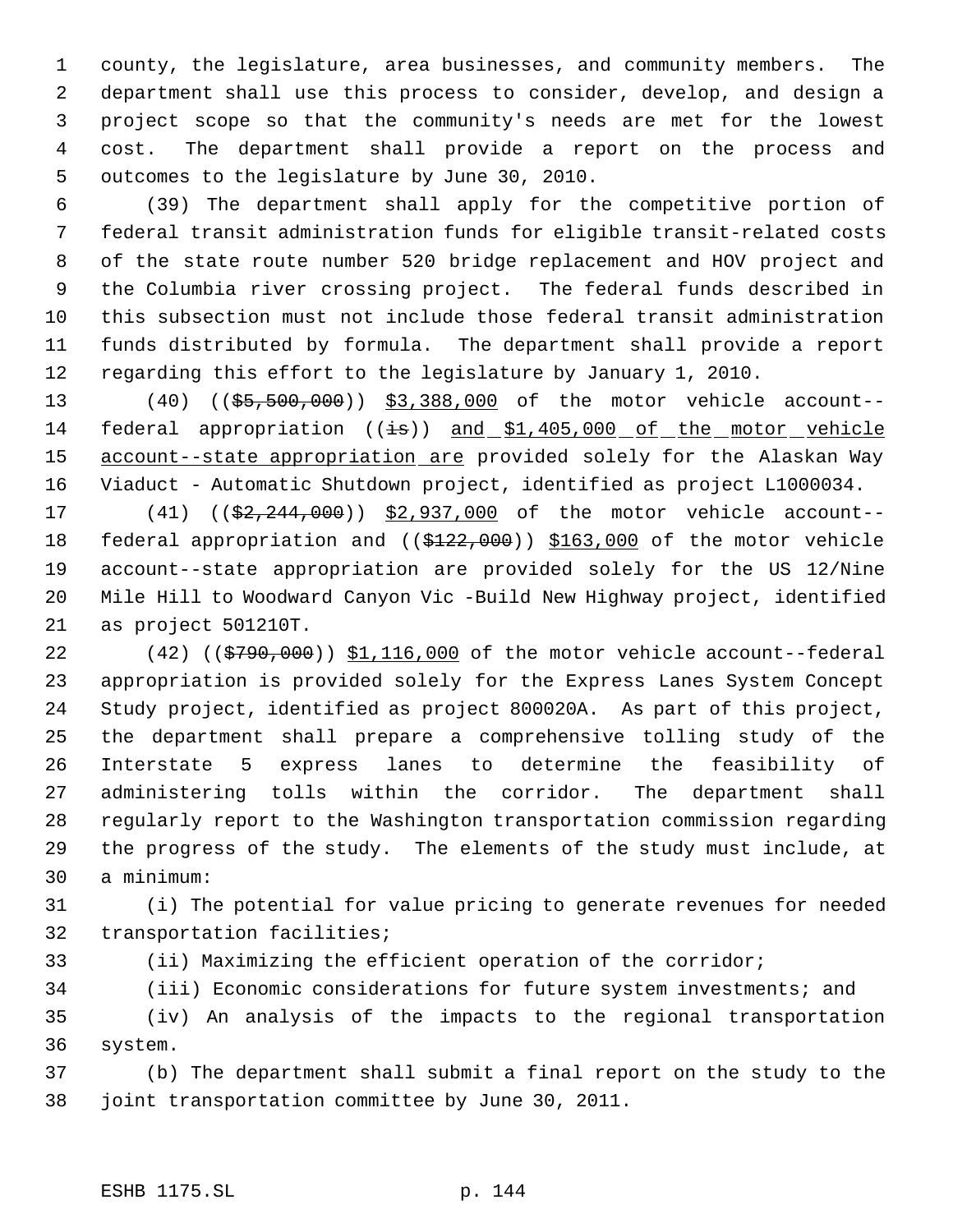county, the legislature, area businesses, and community members. The department shall use this process to consider, develop, and design a project scope so that the community's needs are met for the lowest cost. The department shall provide a report on the process and outcomes to the legislature by June 30, 2010.

 (39) The department shall apply for the competitive portion of federal transit administration funds for eligible transit-related costs of the state route number 520 bridge replacement and HOV project and the Columbia river crossing project. The federal funds described in this subsection must not include those federal transit administration funds distributed by formula. The department shall provide a report regarding this effort to the legislature by January 1, 2010.

13 (40) ((\$5,500,000)) \$3,388,000 of the motor vehicle account--14 federal appropriation  $((\frac{1}{18}))$  and \$1,405,000 of the motor vehicle 15 account--state appropriation are provided solely for the Alaskan Way Viaduct - Automatic Shutdown project, identified as project L1000034.

17 (41) ((\$2,244,000)) \$2,937,000 of the motor vehicle account--18 federal appropriation and ((\$122,000)) \$163,000 of the motor vehicle account--state appropriation are provided solely for the US 12/Nine Mile Hill to Woodward Canyon Vic -Build New Highway project, identified as project 501210T.

 (42) ((\$790,000)) \$1,116,000 of the motor vehicle account--federal appropriation is provided solely for the Express Lanes System Concept Study project, identified as project 800020A. As part of this project, the department shall prepare a comprehensive tolling study of the Interstate 5 express lanes to determine the feasibility of administering tolls within the corridor. The department shall regularly report to the Washington transportation commission regarding the progress of the study. The elements of the study must include, at a minimum:

 (i) The potential for value pricing to generate revenues for needed transportation facilities;

(ii) Maximizing the efficient operation of the corridor;

 (iii) Economic considerations for future system investments; and (iv) An analysis of the impacts to the regional transportation system.

 (b) The department shall submit a final report on the study to the joint transportation committee by June 30, 2011.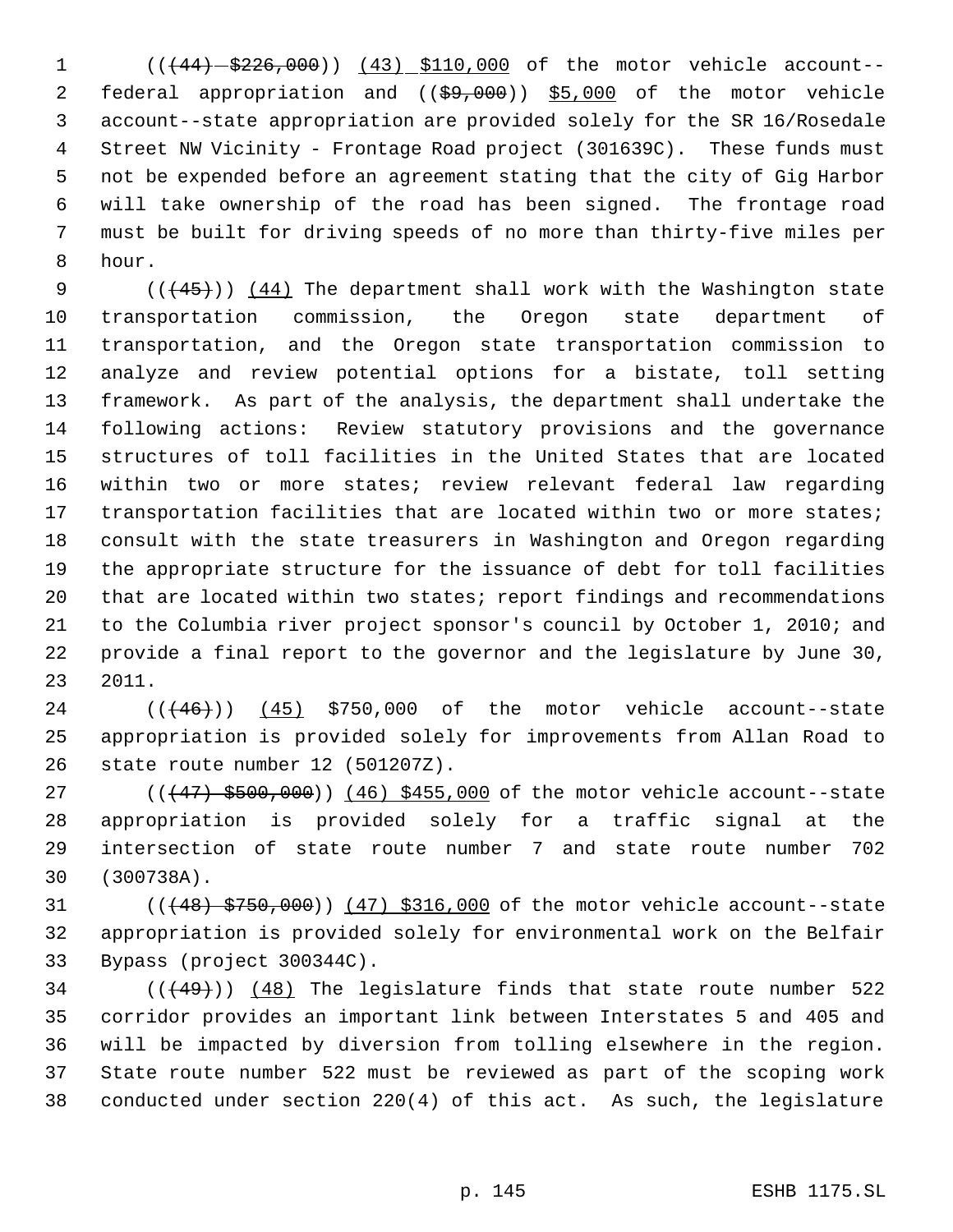1 (( $(44) - $226,000$ )) (43) \$110,000 of the motor vehicle account--2 federal appropriation and ((\$9,000)) \$5,000 of the motor vehicle account--state appropriation are provided solely for the SR 16/Rosedale Street NW Vicinity - Frontage Road project (301639C). These funds must not be expended before an agreement stating that the city of Gig Harbor will take ownership of the road has been signed. The frontage road must be built for driving speeds of no more than thirty-five miles per hour.

 $((445))$   $(44)$  The department shall work with the Washington state transportation commission, the Oregon state department of transportation, and the Oregon state transportation commission to analyze and review potential options for a bistate, toll setting framework. As part of the analysis, the department shall undertake the following actions: Review statutory provisions and the governance structures of toll facilities in the United States that are located within two or more states; review relevant federal law regarding 17 transportation facilities that are located within two or more states; consult with the state treasurers in Washington and Oregon regarding the appropriate structure for the issuance of debt for toll facilities that are located within two states; report findings and recommendations to the Columbia river project sponsor's council by October 1, 2010; and provide a final report to the governor and the legislature by June 30, 2011.

24 (( $(46)$ )) (45) \$750,000 of the motor vehicle account--state appropriation is provided solely for improvements from Allan Road to state route number 12 (501207Z).

 $((47)$   $$500,000)$   $(46)$   $$455,000$  of the motor vehicle account--state appropriation is provided solely for a traffic signal at the intersection of state route number 7 and state route number 702 (300738A).

31 (( $(48)$  \$750,000)) (47) \$316,000 of the motor vehicle account--state appropriation is provided solely for environmental work on the Belfair Bypass (project 300344C).

 $((49))$   $(48)$  The legislature finds that state route number 522 corridor provides an important link between Interstates 5 and 405 and will be impacted by diversion from tolling elsewhere in the region. State route number 522 must be reviewed as part of the scoping work conducted under section 220(4) of this act. As such, the legislature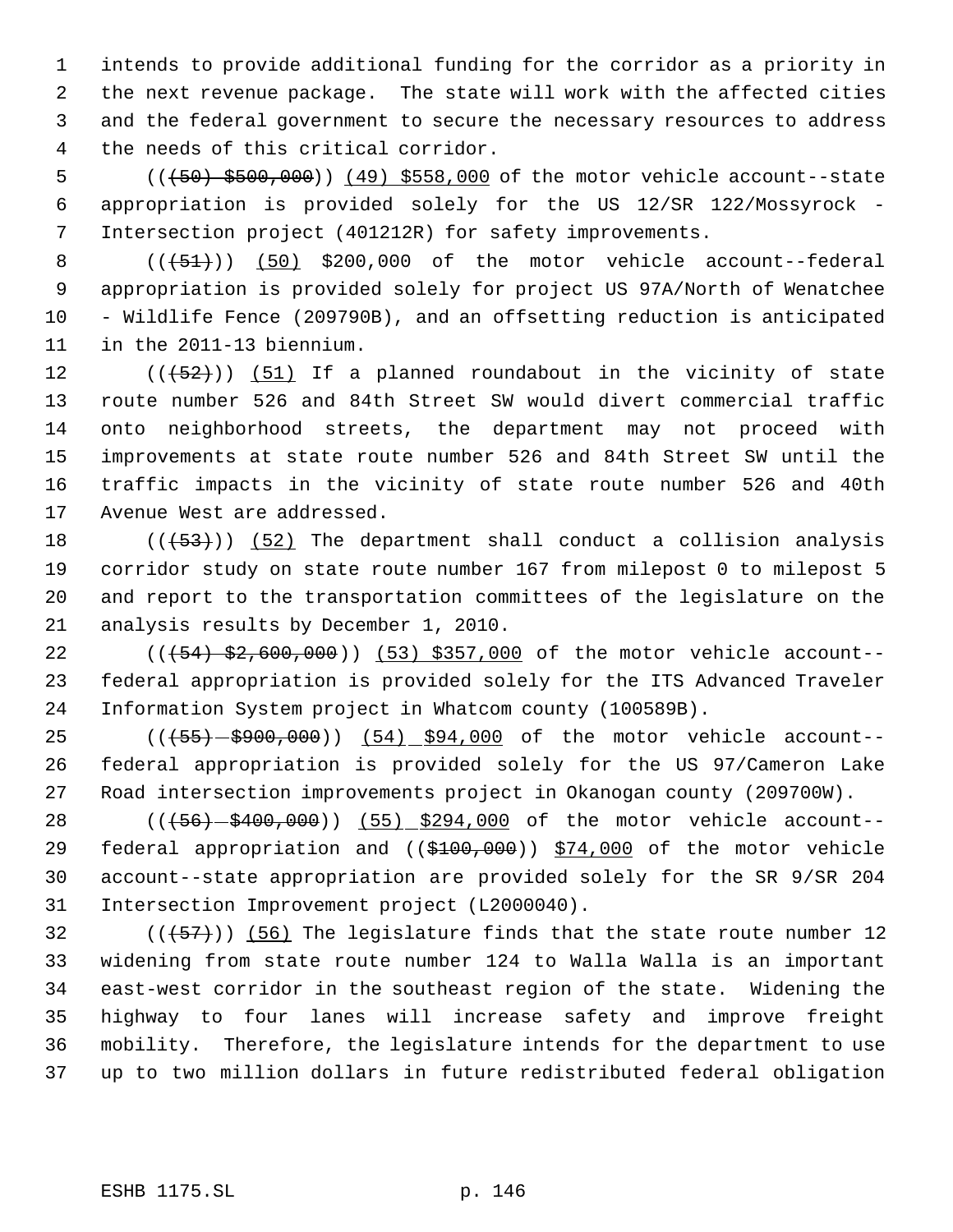intends to provide additional funding for the corridor as a priority in the next revenue package. The state will work with the affected cities and the federal government to secure the necessary resources to address the needs of this critical corridor.

5 (( $(50)$  \$500,000)) (49) \$558,000 of the motor vehicle account--state appropriation is provided solely for the US 12/SR 122/Mossyrock - Intersection project (401212R) for safety improvements.

 $((+51))$  (50) \$200,000 of the motor vehicle account--federal appropriation is provided solely for project US 97A/North of Wenatchee - Wildlife Fence (209790B), and an offsetting reduction is anticipated in the 2011-13 biennium.

 $((+52))$   $(51)$  If a planned roundabout in the vicinity of state route number 526 and 84th Street SW would divert commercial traffic onto neighborhood streets, the department may not proceed with improvements at state route number 526 and 84th Street SW until the traffic impacts in the vicinity of state route number 526 and 40th Avenue West are addressed.

 $((+53))$  (52) The department shall conduct a collision analysis corridor study on state route number 167 from milepost 0 to milepost 5 and report to the transportation committees of the legislature on the analysis results by December 1, 2010.

22 (( $\left(454\right)$  \$2,600,000)) (53) \$357,000 of the motor vehicle account-- federal appropriation is provided solely for the ITS Advanced Traveler Information System project in Whatcom county (100589B).

25 (( $\left(\frac{55}{5}+\frac{2900}{900},\frac{000}{900}\right)$ ) (54) \$94,000 of the motor vehicle account-- federal appropriation is provided solely for the US 97/Cameron Lake Road intersection improvements project in Okanogan county (209700W).

28 (( $\left( +56 \right) - $400,000$ )) (55) \$294,000 of the motor vehicle account--29 federal appropriation and ((\$100,000)) \$74,000 of the motor vehicle account--state appropriation are provided solely for the SR 9/SR 204 Intersection Improvement project (L2000040).

 $((+57))$  (56) The legislature finds that the state route number 12 widening from state route number 124 to Walla Walla is an important east-west corridor in the southeast region of the state. Widening the highway to four lanes will increase safety and improve freight mobility. Therefore, the legislature intends for the department to use up to two million dollars in future redistributed federal obligation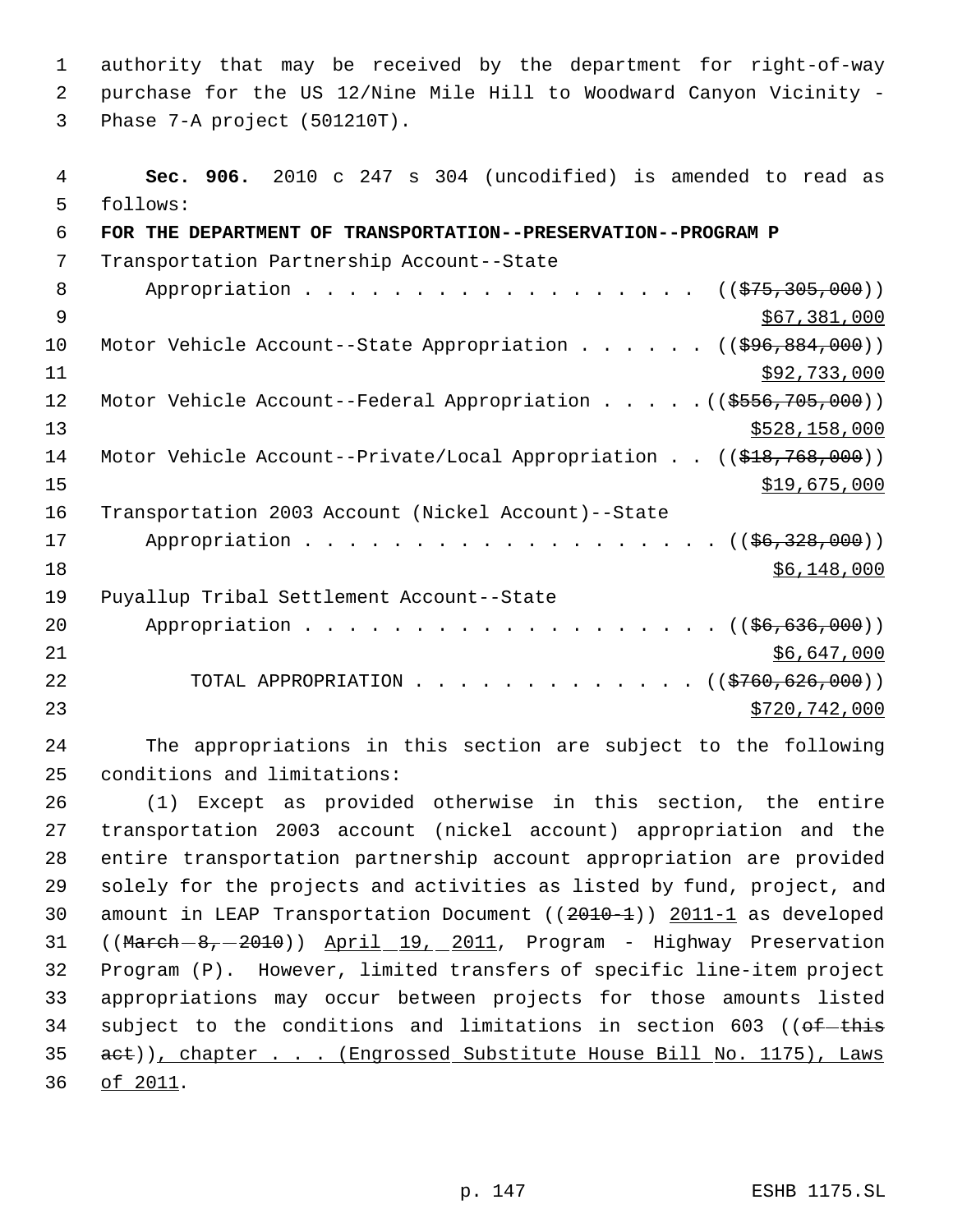authority that may be received by the department for right-of-way purchase for the US 12/Nine Mile Hill to Woodward Canyon Vicinity - Phase 7-A project (501210T).

 **Sec. 906.** 2010 c 247 s 304 (uncodified) is amended to read as follows: **FOR THE DEPARTMENT OF TRANSPORTATION--PRESERVATION--PROGRAM P**  Transportation Partnership Account--State 8 Appropriation . . . . . . . . . . . . . . . . ((\$75,305,000)) \$67,381,000 10 Motor Vehicle Account--State Appropriation . . . . . ((\$96,884,000))  $\frac{11}{20}$   $\frac{1}{20}$   $\frac{1}{20}$   $\frac{1}{20}$   $\frac{1}{20}$   $\frac{1}{20}$   $\frac{1}{20}$   $\frac{1}{20}$   $\frac{1}{20}$   $\frac{1}{20}$   $\frac{1}{20}$   $\frac{1}{20}$   $\frac{1}{20}$   $\frac{1}{20}$   $\frac{1}{20}$   $\frac{1}{20}$   $\frac{1}{20}$   $\frac{1}{20}$   $\frac{1}{20}$   $\frac{1}{20}$  12 Motor Vehicle Account--Federal Appropriation . . . . . ((\$556,705,000)) \$528,158,000 14 Motor Vehicle Account--Private/Local Appropriation . . ((\$18,768,000))  $\frac{$19,675,000}{2}$  Transportation 2003 Account (Nickel Account)--State 17 Appropriation . . . . . . . . . . . . . . . . . ((\$6,328,000)) \$6,148,000 Puyallup Tribal Settlement Account--State 20 Appropriation . . . . . . . . . . . . . . . . . ((\$6,636,000)) \$6,647,000 22 TOTAL APPROPRIATION . . . . . . . . . . . . . ((\$760,626,000)) \$720,742,000 The appropriations in this section are subject to the following conditions and limitations:

 (1) Except as provided otherwise in this section, the entire transportation 2003 account (nickel account) appropriation and the entire transportation partnership account appropriation are provided solely for the projects and activities as listed by fund, project, and amount in LEAP Transportation Document ((2010-1)) 2011-1 as developed 31 ((March - 8, - 2010)) April 19, 2011, Program - Highway Preservation Program (P). However, limited transfers of specific line-item project appropriations may occur between projects for those amounts listed 34 subject to the conditions and limitations in section 603 (( $ef$ -this 35 act)), chapter . . . (Engrossed Substitute House Bill No. 1175), Laws of 2011.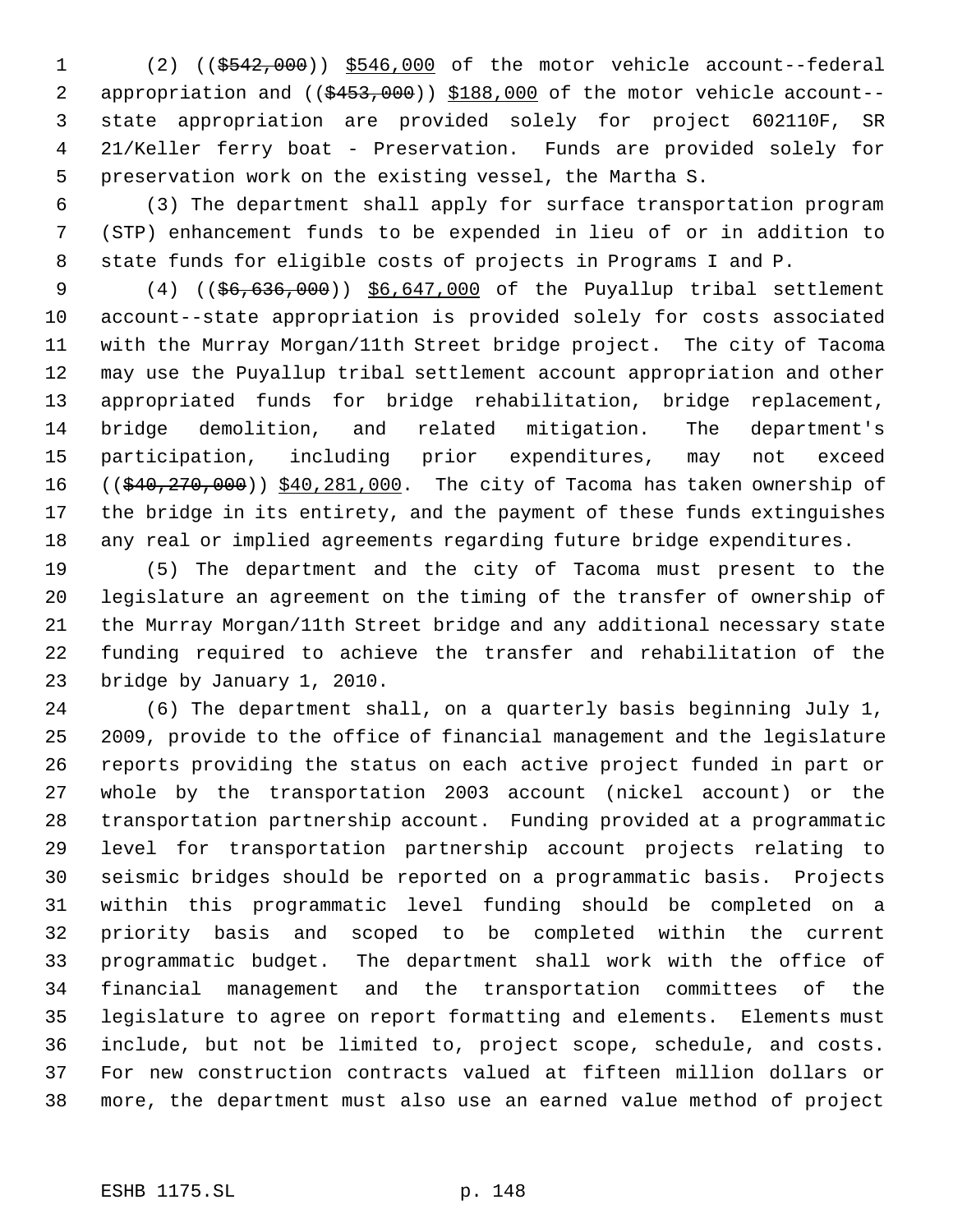1 (2) ((\$542,000)) \$546,000 of the motor vehicle account--federal 2 appropriation and ((\$453,000)) \$188,000 of the motor vehicle account-- state appropriation are provided solely for project 602110F, SR 21/Keller ferry boat - Preservation. Funds are provided solely for preservation work on the existing vessel, the Martha S.

 (3) The department shall apply for surface transportation program (STP) enhancement funds to be expended in lieu of or in addition to state funds for eligible costs of projects in Programs I and P.

9 (4) ((\$6,636,000)) \$6,647,000 of the Puyallup tribal settlement account--state appropriation is provided solely for costs associated with the Murray Morgan/11th Street bridge project. The city of Tacoma may use the Puyallup tribal settlement account appropriation and other appropriated funds for bridge rehabilitation, bridge replacement, bridge demolition, and related mitigation. The department's participation, including prior expenditures, may not exceed 16 ((\$40,270,000)) \$40,281,000. The city of Tacoma has taken ownership of the bridge in its entirety, and the payment of these funds extinguishes any real or implied agreements regarding future bridge expenditures.

 (5) The department and the city of Tacoma must present to the legislature an agreement on the timing of the transfer of ownership of the Murray Morgan/11th Street bridge and any additional necessary state funding required to achieve the transfer and rehabilitation of the bridge by January 1, 2010.

 (6) The department shall, on a quarterly basis beginning July 1, 2009, provide to the office of financial management and the legislature reports providing the status on each active project funded in part or whole by the transportation 2003 account (nickel account) or the transportation partnership account. Funding provided at a programmatic level for transportation partnership account projects relating to seismic bridges should be reported on a programmatic basis. Projects within this programmatic level funding should be completed on a priority basis and scoped to be completed within the current programmatic budget. The department shall work with the office of financial management and the transportation committees of the legislature to agree on report formatting and elements. Elements must include, but not be limited to, project scope, schedule, and costs. For new construction contracts valued at fifteen million dollars or more, the department must also use an earned value method of project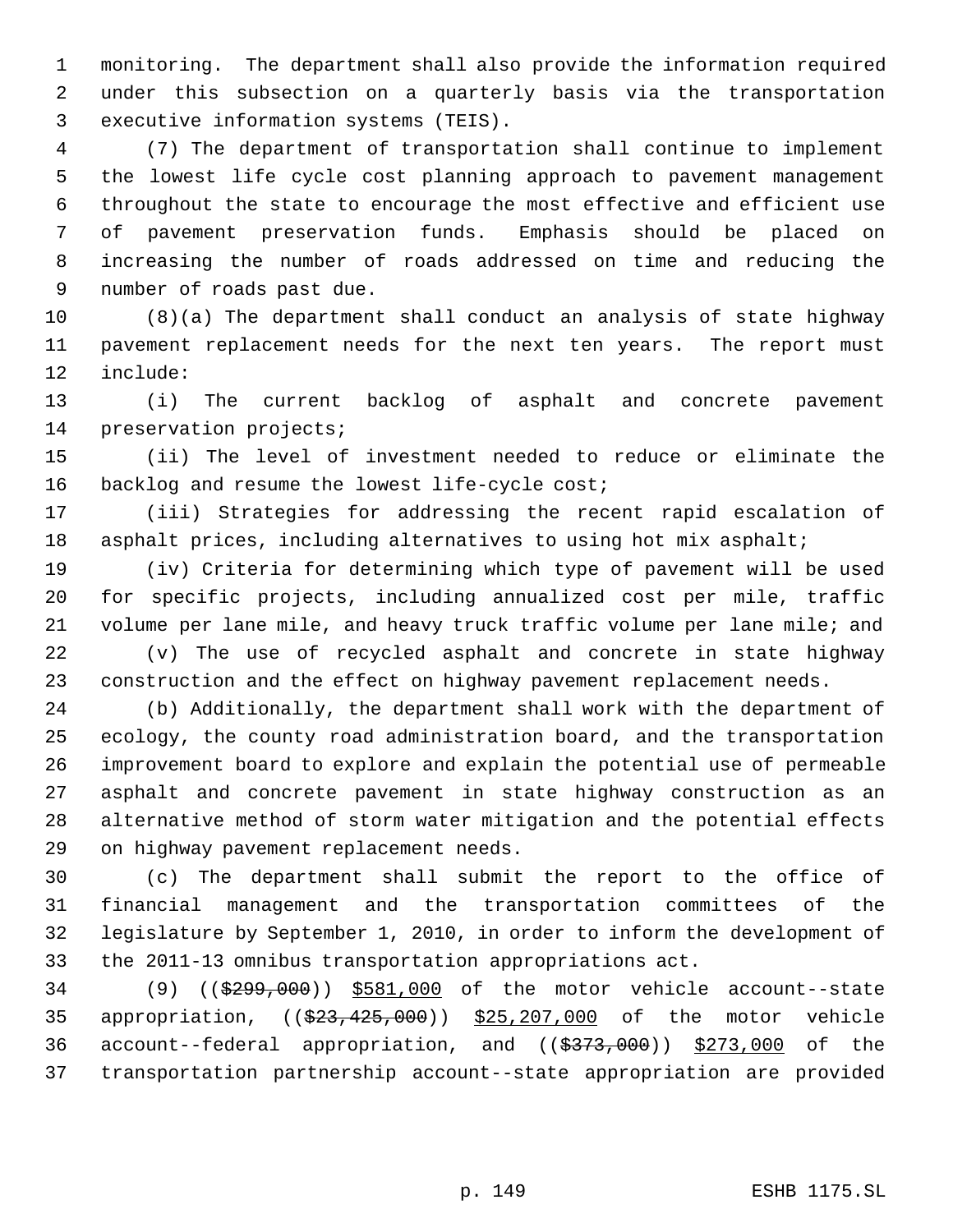monitoring. The department shall also provide the information required under this subsection on a quarterly basis via the transportation executive information systems (TEIS).

 (7) The department of transportation shall continue to implement the lowest life cycle cost planning approach to pavement management throughout the state to encourage the most effective and efficient use of pavement preservation funds. Emphasis should be placed on increasing the number of roads addressed on time and reducing the number of roads past due.

 (8)(a) The department shall conduct an analysis of state highway pavement replacement needs for the next ten years. The report must include:

 (i) The current backlog of asphalt and concrete pavement preservation projects;

 (ii) The level of investment needed to reduce or eliminate the 16 backlog and resume the lowest life-cycle cost;

 (iii) Strategies for addressing the recent rapid escalation of 18 asphalt prices, including alternatives to using hot mix asphalt;

 (iv) Criteria for determining which type of pavement will be used for specific projects, including annualized cost per mile, traffic volume per lane mile, and heavy truck traffic volume per lane mile; and

 (v) The use of recycled asphalt and concrete in state highway construction and the effect on highway pavement replacement needs.

 (b) Additionally, the department shall work with the department of ecology, the county road administration board, and the transportation improvement board to explore and explain the potential use of permeable asphalt and concrete pavement in state highway construction as an alternative method of storm water mitigation and the potential effects on highway pavement replacement needs.

 (c) The department shall submit the report to the office of financial management and the transportation committees of the legislature by September 1, 2010, in order to inform the development of the 2011-13 omnibus transportation appropriations act.

 (9) ((\$299,000)) \$581,000 of the motor vehicle account--state 35 appropriation, ((\$23,425,000)) \$25,207,000 of the motor vehicle 36 account--federal appropriation, and ((\$373,000)) \$273,000 of the transportation partnership account--state appropriation are provided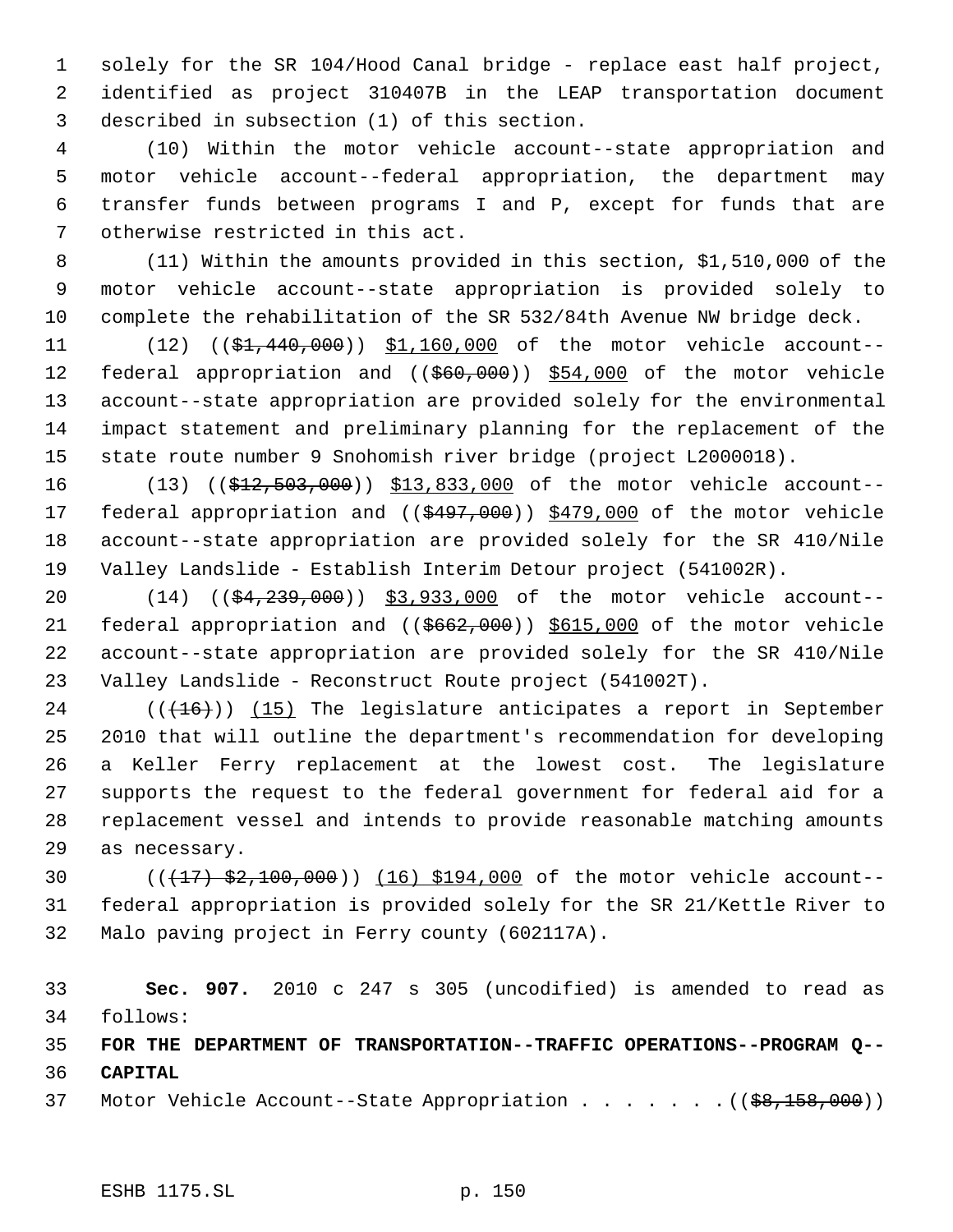solely for the SR 104/Hood Canal bridge - replace east half project, identified as project 310407B in the LEAP transportation document described in subsection (1) of this section.

 (10) Within the motor vehicle account--state appropriation and motor vehicle account--federal appropriation, the department may transfer funds between programs I and P, except for funds that are otherwise restricted in this act.

 (11) Within the amounts provided in this section, \$1,510,000 of the motor vehicle account--state appropriation is provided solely to complete the rehabilitation of the SR 532/84th Avenue NW bridge deck.

11 (12) ((\$1,440,000)) \$1,160,000 of the motor vehicle account--12 federal appropriation and ((\$60,000)) \$54,000 of the motor vehicle account--state appropriation are provided solely for the environmental impact statement and preliminary planning for the replacement of the state route number 9 Snohomish river bridge (project L2000018).

16 (13) ((\$12,503,000)) \$13,833,000 of the motor vehicle account--17 federal appropriation and ((\$497,000)) \$479,000 of the motor vehicle account--state appropriation are provided solely for the SR 410/Nile Valley Landslide - Establish Interim Detour project (541002R).

20 (14) ((\$4,239,000)) \$3,933,000 of the motor vehicle account--21 federal appropriation and ((\$662,000)) \$615,000 of the motor vehicle account--state appropriation are provided solely for the SR 410/Nile Valley Landslide - Reconstruct Route project (541002T).

 (( $\left(\frac{16}{16}\right)$ ) (15) The legislature anticipates a report in September 2010 that will outline the department's recommendation for developing a Keller Ferry replacement at the lowest cost. The legislature supports the request to the federal government for federal aid for a replacement vessel and intends to provide reasonable matching amounts as necessary.

30 (( $\left(\frac{17}{52},\frac{2}{100},000\right)$ ) (16) \$194,000 of the motor vehicle account-- federal appropriation is provided solely for the SR 21/Kettle River to Malo paving project in Ferry county (602117A).

 **Sec. 907.** 2010 c 247 s 305 (uncodified) is amended to read as follows:

 **FOR THE DEPARTMENT OF TRANSPORTATION--TRAFFIC OPERATIONS--PROGRAM Q-- CAPITAL**

37 Motor Vehicle Account--State Appropriation . . . . . . . ((\$8,158,000))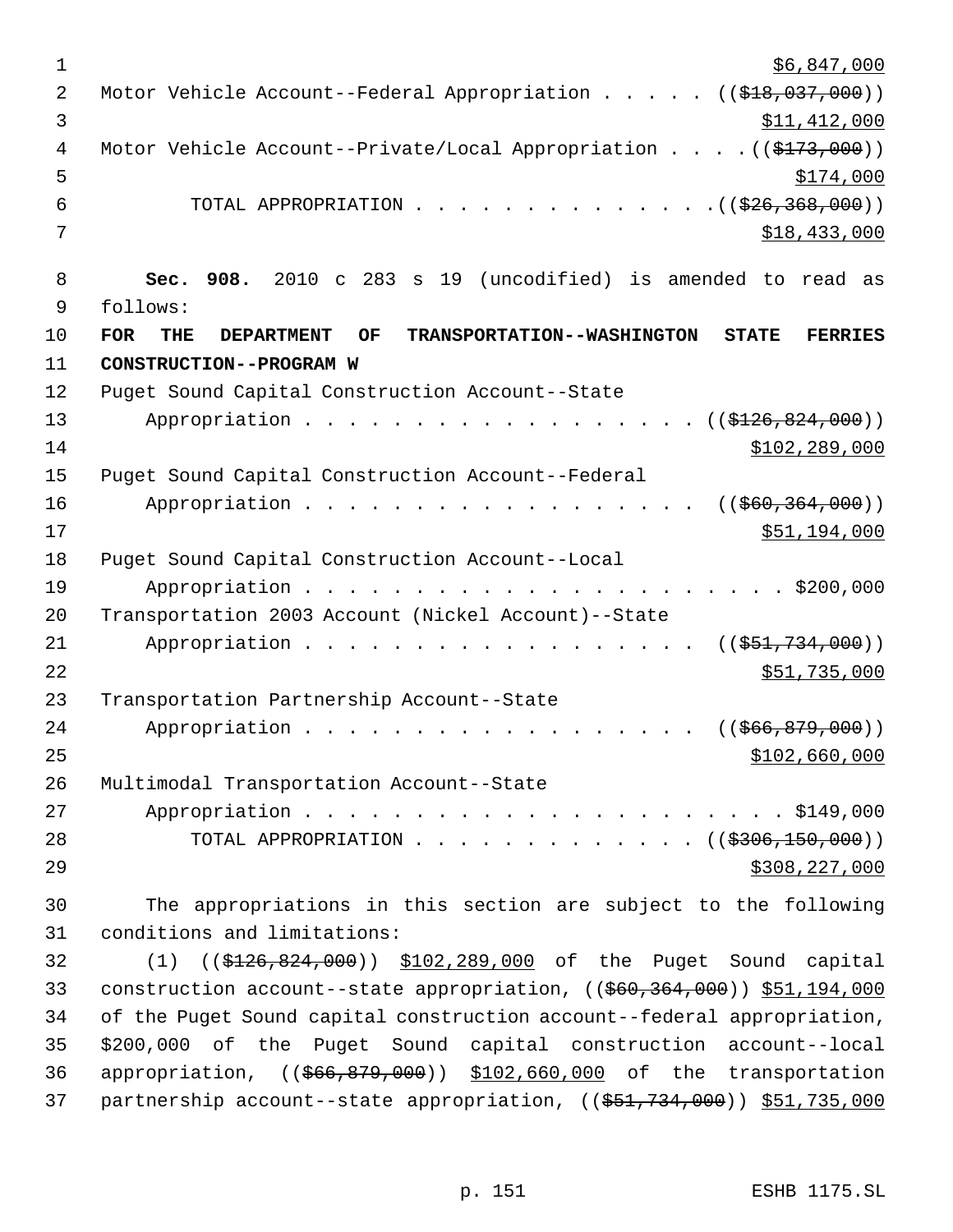$\frac{1}{56,847,000}$ 2 Motor Vehicle Account--Federal Appropriation . . . . . ((\$18,037,000))  $3 \times 11,412,000$ 4 Motor Vehicle Account--Private/Local Appropriation . . . . ((\$173,000))  $5 - 5$ 6 TOTAL APPROPRIATION . . . . . . . . . . . . . . ((\$26,368,000))  $$18,433,000$  **Sec. 908.** 2010 c 283 s 19 (uncodified) is amended to read as follows: **FOR THE DEPARTMENT OF TRANSPORTATION--WASHINGTON STATE FERRIES CONSTRUCTION--PROGRAM W** Puget Sound Capital Construction Account--State 13 Appropriation . . . . . . . . . . . . . . . . (  $(\frac{126}{126}, \frac{824}{100})$  ) \$102,289,000 Puget Sound Capital Construction Account--Federal 16 Appropriation . . . . . . . . . . . . . . . . ((\$60,364,000)) \$51,194,000 Puget Sound Capital Construction Account--Local Appropriation . . . . . . . . . . . . . . . . . . . . . . \$200,000 Transportation 2003 Account (Nickel Account)--State 21 Appropriation . . . . . . . . . . . . . . . . ((\$51,734,000)) \$51,735,000 Transportation Partnership Account--State 24 Appropriation . . . . . . . . . . . . . . . . ((\$66,879,000))  $$102,660,000$  Multimodal Transportation Account--State Appropriation . . . . . . . . . . . . . . . . . . . . . . \$149,000 28 TOTAL APPROPRIATION . . . . . . . . . . . . ((\$306,150,000)) \$308,227,000 The appropriations in this section are subject to the following conditions and limitations: (1) ((\$126,824,000)) \$102,289,000 of the Puget Sound capital

 construction account--state appropriation, ((\$60,364,000)) \$51,194,000 of the Puget Sound capital construction account--federal appropriation, \$200,000 of the Puget Sound capital construction account--local 36 appropriation, ((\$66,879,000)) \$102,660,000 of the transportation 37 partnership account--state appropriation, ((\$51,734,000)) \$51,735,000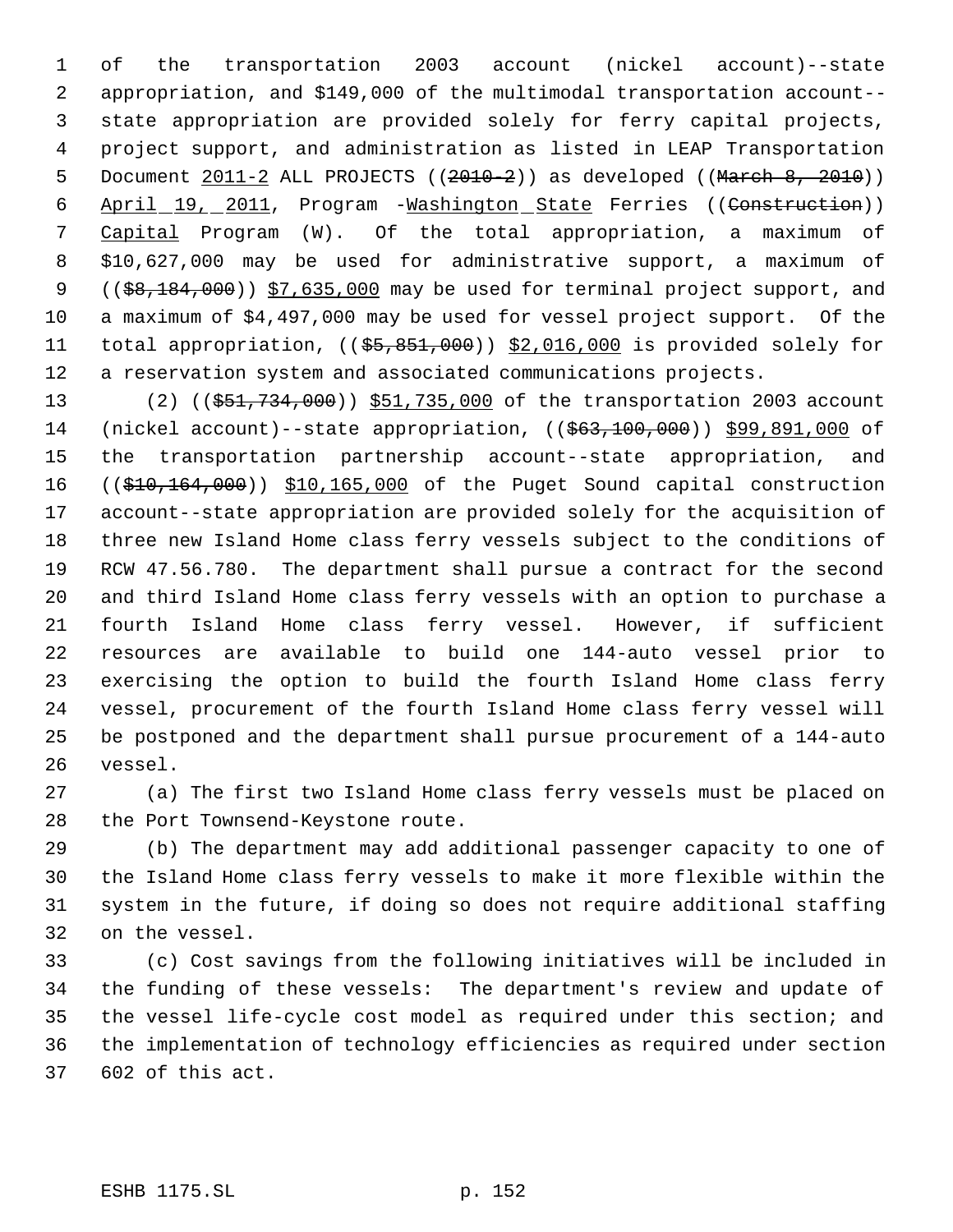of the transportation 2003 account (nickel account)--state appropriation, and \$149,000 of the multimodal transportation account-- state appropriation are provided solely for ferry capital projects, project support, and administration as listed in LEAP Transportation 5 Document  $2011-2$  ALL PROJECTS ( $(2010-2)$ ) as developed ( $(Marent 8, 2010)$ ) 6 April 19, 2011, Program - Washington State Ferries ((Construction)) Capital Program (W). Of the total appropriation, a maximum of \$10,627,000 may be used for administrative support, a maximum of 9 ((\$8,184,000)) \$7,635,000 may be used for terminal project support, and a maximum of \$4,497,000 may be used for vessel project support. Of the 11 total appropriation, ((\$5,851,000)) \$2,016,000 is provided solely for a reservation system and associated communications projects.

13 (2) ((\$51,734,000)) \$51,735,000 of the transportation 2003 account 14 (nickel account)--state appropriation, ((\$63,100,000)) \$99,891,000 of the transportation partnership account--state appropriation, and 16 ((\$10,164,000)) \$10,165,000 of the Puget Sound capital construction account--state appropriation are provided solely for the acquisition of three new Island Home class ferry vessels subject to the conditions of RCW 47.56.780. The department shall pursue a contract for the second and third Island Home class ferry vessels with an option to purchase a fourth Island Home class ferry vessel. However, if sufficient resources are available to build one 144-auto vessel prior to exercising the option to build the fourth Island Home class ferry vessel, procurement of the fourth Island Home class ferry vessel will be postponed and the department shall pursue procurement of a 144-auto vessel.

 (a) The first two Island Home class ferry vessels must be placed on the Port Townsend-Keystone route.

 (b) The department may add additional passenger capacity to one of the Island Home class ferry vessels to make it more flexible within the system in the future, if doing so does not require additional staffing on the vessel.

 (c) Cost savings from the following initiatives will be included in the funding of these vessels: The department's review and update of the vessel life-cycle cost model as required under this section; and the implementation of technology efficiencies as required under section 602 of this act.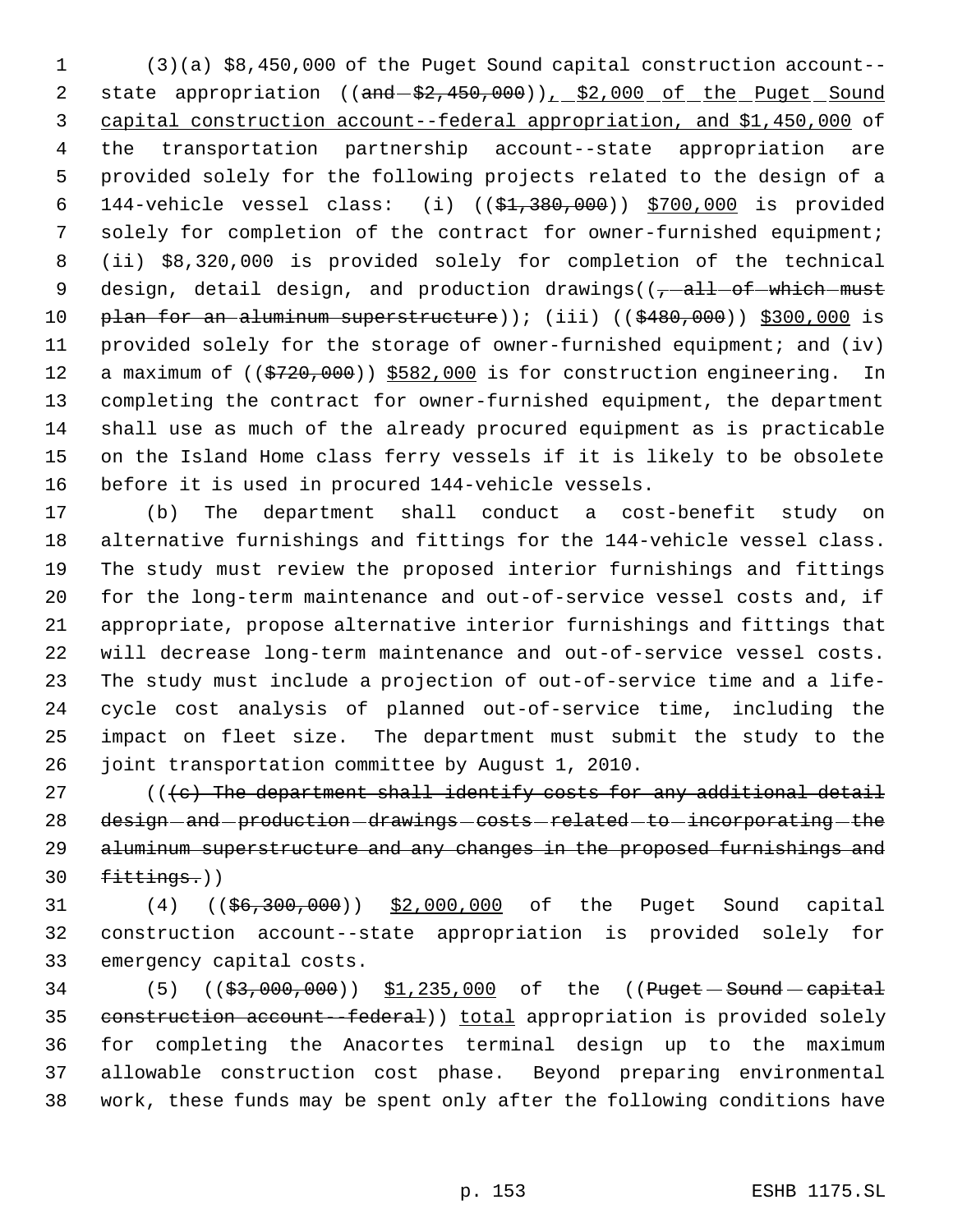(3)(a) \$8,450,000 of the Puget Sound capital construction account-- 2 state appropriation ((and  $\frac{2}{450,000}$ ),  $\frac{2}{100}$  of the Puget Sound capital construction account--federal appropriation, and \$1,450,000 of the transportation partnership account--state appropriation are provided solely for the following projects related to the design of a 144-vehicle vessel class: (i) ((\$1,380,000)) \$700,000 is provided solely for completion of the contract for owner-furnished equipment; (ii) \$8,320,000 is provided solely for completion of the technical 9 design, detail design, and production drawings( $(-,-aH - of - which - must$ 10 plan for an aluminum superstructure)); (iii) ((\$480,000)) \$300,000 is provided solely for the storage of owner-furnished equipment; and (iv) 12 a maximum of ((\$720,000)) \$582,000 is for construction engineering. In completing the contract for owner-furnished equipment, the department shall use as much of the already procured equipment as is practicable on the Island Home class ferry vessels if it is likely to be obsolete before it is used in procured 144-vehicle vessels.

 (b) The department shall conduct a cost-benefit study on alternative furnishings and fittings for the 144-vehicle vessel class. The study must review the proposed interior furnishings and fittings for the long-term maintenance and out-of-service vessel costs and, if appropriate, propose alternative interior furnishings and fittings that will decrease long-term maintenance and out-of-service vessel costs. The study must include a projection of out-of-service time and a life- cycle cost analysis of planned out-of-service time, including the impact on fleet size. The department must submit the study to the joint transportation committee by August 1, 2010.

 $($   $( $e$ )$  The department shall identify costs for any additional detail 28 design-and-production-drawings-costs-related-to-incorporating-the 29 aluminum superstructure and any changes in the proposed furnishings and  $fitting:$ )

31 (4) ((\$6,300,000)) \$2,000,000 of the Puget Sound capital construction account--state appropriation is provided solely for emergency capital costs.

34 (5) ((\$3,000,000)) \$1,235,000 of the ((Puget - Sound - capital construction account--federal)) total appropriation is provided solely for completing the Anacortes terminal design up to the maximum allowable construction cost phase. Beyond preparing environmental work, these funds may be spent only after the following conditions have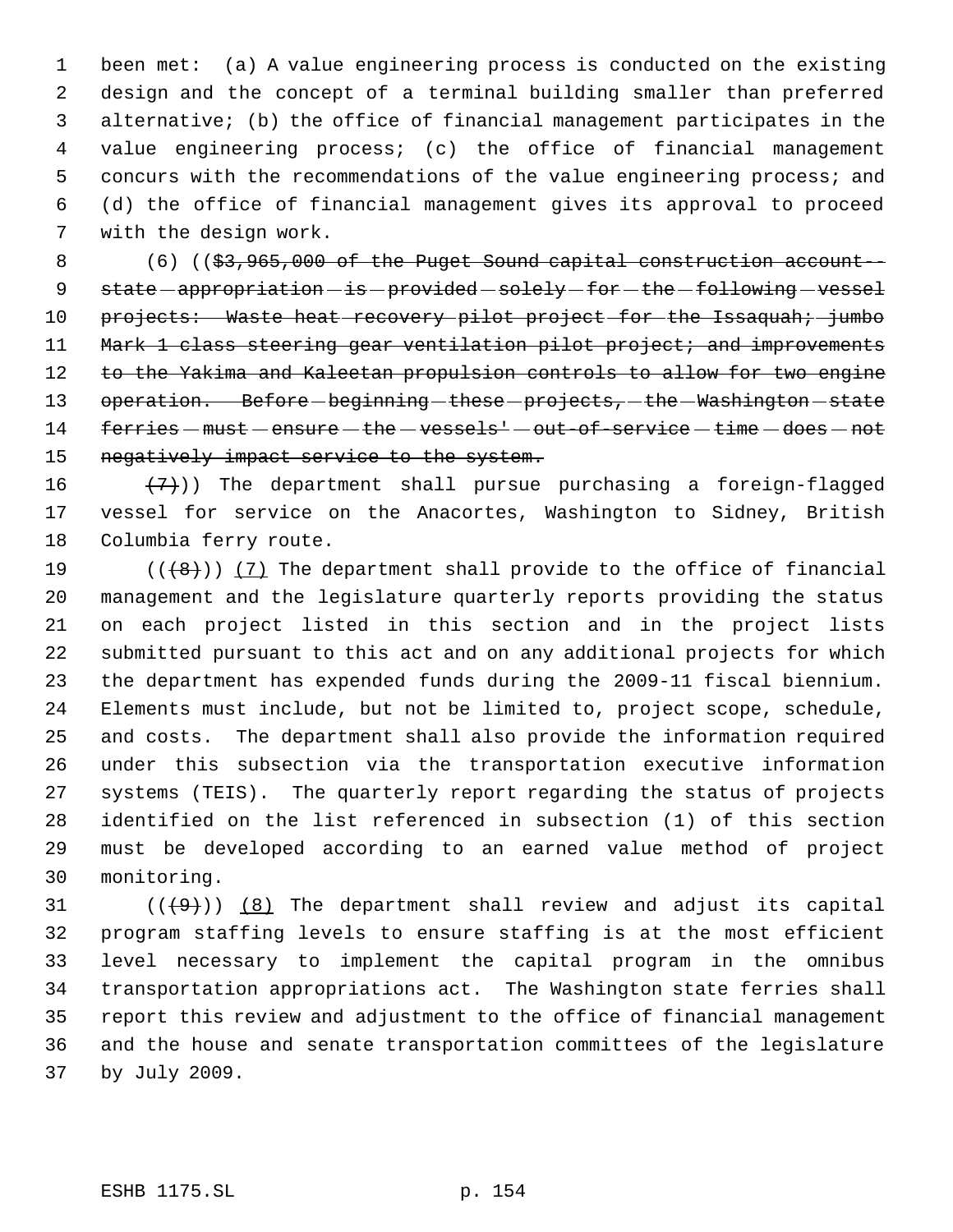been met: (a) A value engineering process is conducted on the existing design and the concept of a terminal building smaller than preferred alternative; (b) the office of financial management participates in the value engineering process; (c) the office of financial management concurs with the recommendations of the value engineering process; and (d) the office of financial management gives its approval to proceed with the design work.

 (6) ((\$3,965,000 of the Puget Sound capital construction account-- 9 state - appropriation - is - provided - solely - for - the - following - vessel 10 projects: Waste heat recovery pilot project for the Issaquah; jumbo 11 Mark 1 class steering gear ventilation pilot project; and improvements to the Yakima and Kaleetan propulsion controls to allow for two engine 13 operation. Before-beginning-these-projects, -the Washington-state 14 ferries - must - ensure - the - vessels' - out-of-service - time - does - not 15 negatively impact service to the system.

16  $(7)$ )) The department shall pursue purchasing a foreign-flagged vessel for service on the Anacortes, Washington to Sidney, British Columbia ferry route.

 $((+8))$   $(7)$  The department shall provide to the office of financial management and the legislature quarterly reports providing the status on each project listed in this section and in the project lists submitted pursuant to this act and on any additional projects for which the department has expended funds during the 2009-11 fiscal biennium. Elements must include, but not be limited to, project scope, schedule, and costs. The department shall also provide the information required under this subsection via the transportation executive information systems (TEIS). The quarterly report regarding the status of projects identified on the list referenced in subsection (1) of this section must be developed according to an earned value method of project monitoring.

 $(1 + 9)$  (( $(9)$ ) (8) The department shall review and adjust its capital program staffing levels to ensure staffing is at the most efficient level necessary to implement the capital program in the omnibus transportation appropriations act. The Washington state ferries shall report this review and adjustment to the office of financial management and the house and senate transportation committees of the legislature by July 2009.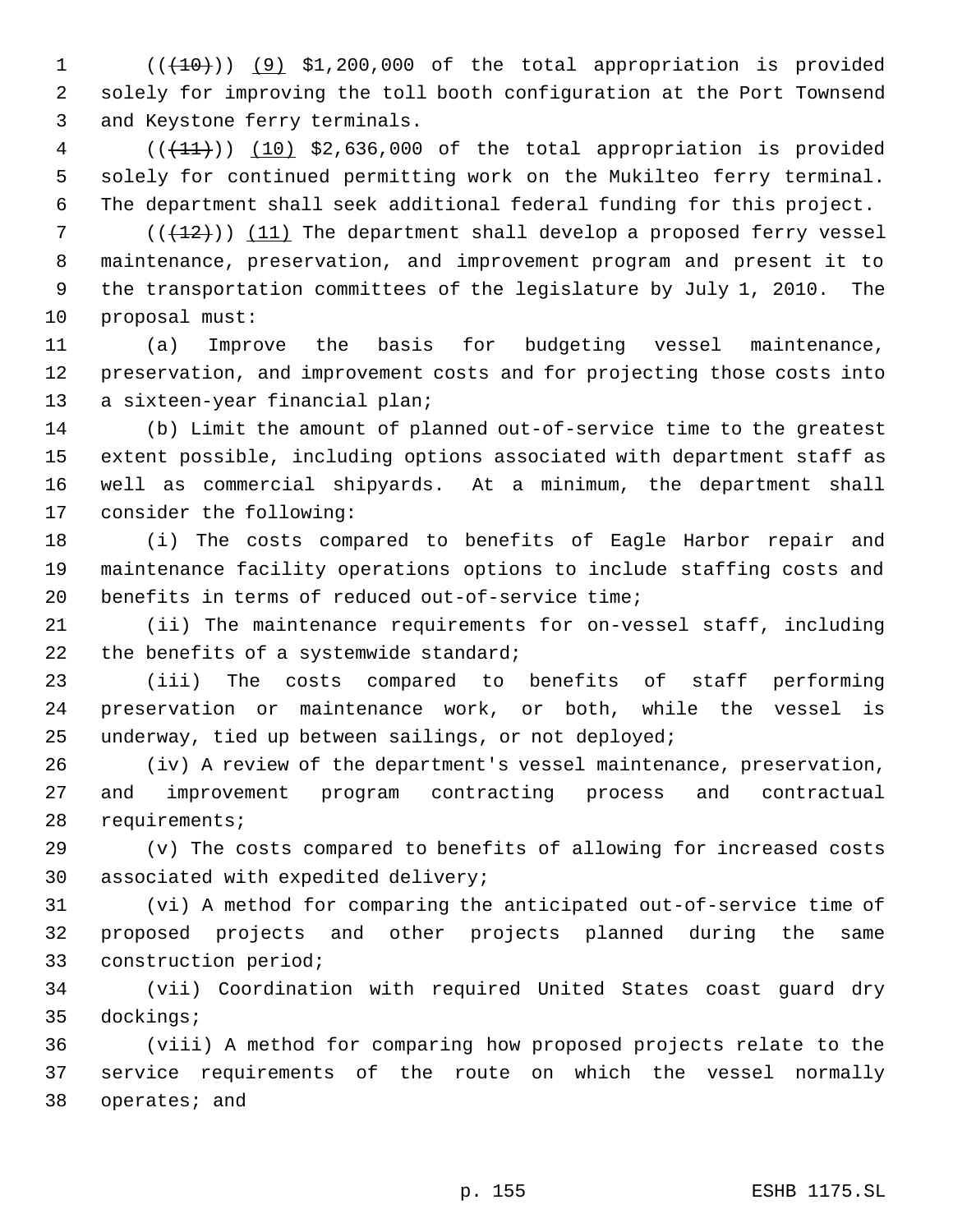1  $((+10))$   $(9)$  \$1,200,000 of the total appropriation is provided solely for improving the toll booth configuration at the Port Townsend and Keystone ferry terminals.

 ( $(\frac{11}{1})$ )  $(10)$  \$2,636,000 of the total appropriation is provided solely for continued permitting work on the Mukilteo ferry terminal. The department shall seek additional federal funding for this project.

 $((+12))$  (11) The department shall develop a proposed ferry vessel maintenance, preservation, and improvement program and present it to the transportation committees of the legislature by July 1, 2010. The proposal must:

 (a) Improve the basis for budgeting vessel maintenance, preservation, and improvement costs and for projecting those costs into a sixteen-year financial plan;

 (b) Limit the amount of planned out-of-service time to the greatest extent possible, including options associated with department staff as well as commercial shipyards. At a minimum, the department shall consider the following:

 (i) The costs compared to benefits of Eagle Harbor repair and maintenance facility operations options to include staffing costs and benefits in terms of reduced out-of-service time;

 (ii) The maintenance requirements for on-vessel staff, including 22 the benefits of a systemwide standard;

 (iii) The costs compared to benefits of staff performing preservation or maintenance work, or both, while the vessel is underway, tied up between sailings, or not deployed;

 (iv) A review of the department's vessel maintenance, preservation, and improvement program contracting process and contractual requirements;

 (v) The costs compared to benefits of allowing for increased costs associated with expedited delivery;

 (vi) A method for comparing the anticipated out-of-service time of proposed projects and other projects planned during the same construction period;

 (vii) Coordination with required United States coast guard dry dockings;

 (viii) A method for comparing how proposed projects relate to the service requirements of the route on which the vessel normally operates; and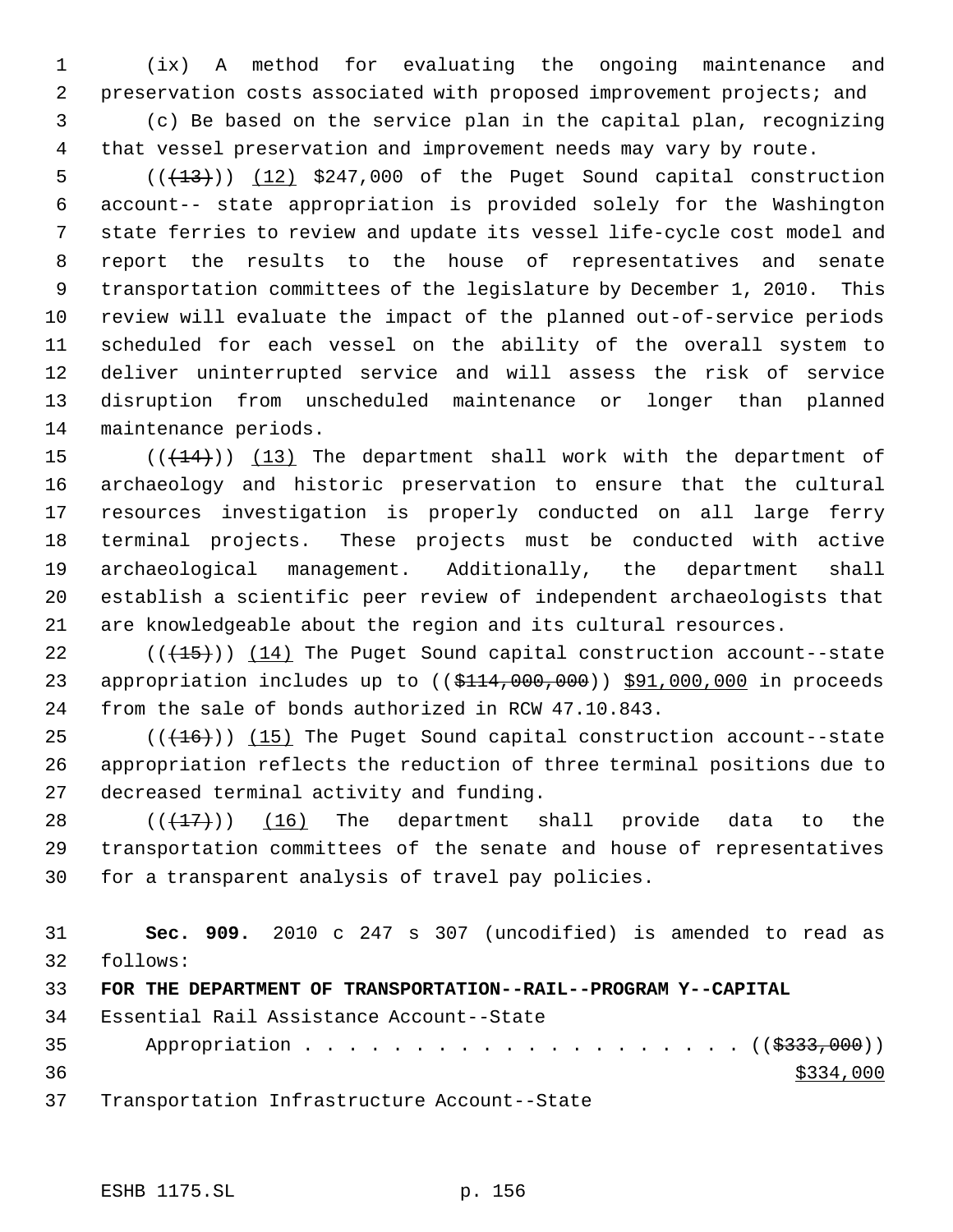(ix) A method for evaluating the ongoing maintenance and preservation costs associated with proposed improvement projects; and (c) Be based on the service plan in the capital plan, recognizing that vessel preservation and improvement needs may vary by route.

 $((+13))$   $(12)$  \$247,000 of the Puget Sound capital construction account-- state appropriation is provided solely for the Washington state ferries to review and update its vessel life-cycle cost model and report the results to the house of representatives and senate transportation committees of the legislature by December 1, 2010. This review will evaluate the impact of the planned out-of-service periods scheduled for each vessel on the ability of the overall system to deliver uninterrupted service and will assess the risk of service disruption from unscheduled maintenance or longer than planned maintenance periods.

 $((+14))$   $(13)$  The department shall work with the department of archaeology and historic preservation to ensure that the cultural resources investigation is properly conducted on all large ferry terminal projects. These projects must be conducted with active archaeological management. Additionally, the department shall establish a scientific peer review of independent archaeologists that are knowledgeable about the region and its cultural resources.

22 (( $(15)$ )) (14) The Puget Sound capital construction account--state 23 appropriation includes up to ((\$114,000,000)) \$91,000,000 in proceeds from the sale of bonds authorized in RCW 47.10.843.

 $((+16))$   $(15)$  The Puget Sound capital construction account--state appropriation reflects the reduction of three terminal positions due to decreased terminal activity and funding.

 $((+17))$   $(16)$  The department shall provide data to the transportation committees of the senate and house of representatives for a transparent analysis of travel pay policies.

 **Sec. 909.** 2010 c 247 s 307 (uncodified) is amended to read as follows: **FOR THE DEPARTMENT OF TRANSPORTATION--RAIL--PROGRAM Y--CAPITAL** Essential Rail Assistance Account--State 35 Appropriation . . . . . . . . . . . . . . . . . . ((\$333,000)) Transportation Infrastructure Account--State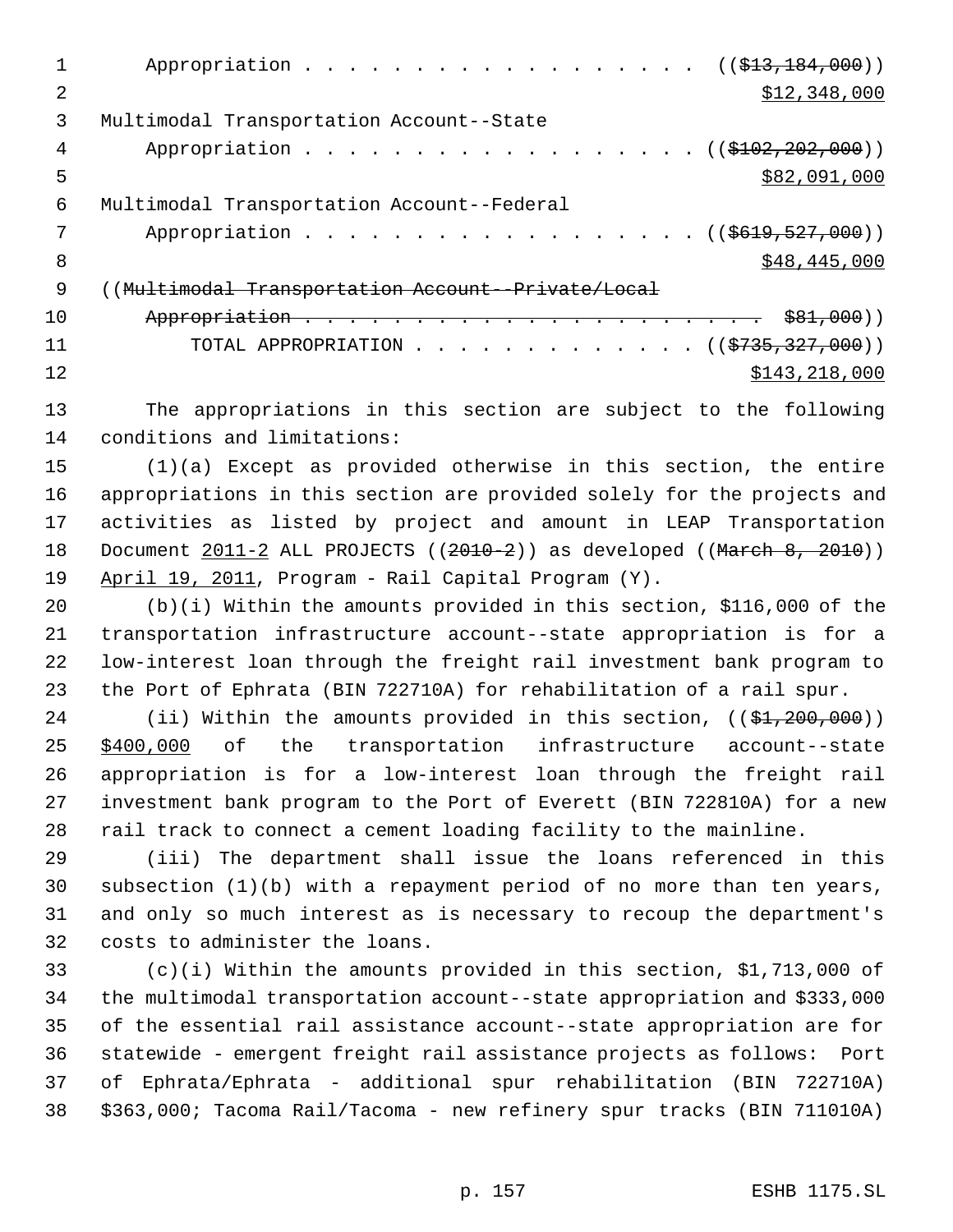|    | Appropriation ( $(\frac{137}{137184000})$ )        |
|----|----------------------------------------------------|
| 2  | \$12,348,000                                       |
| 3  | Multimodal Transportation Account--State           |
| 4  | Appropriation ((\$102,202,000))                    |
| 5  | \$82,091,000                                       |
| 6  | Multimodal Transportation Account--Federal         |
| 7  | Appropriation ((\$619,527,000))                    |
| 8  | \$48,445,000                                       |
| 9  | ((Multimodal Transportation Account--Private/Local |
| 10 | <del>\$81,000</del> ))                             |
| 11 | TOTAL APPROPRIATION ( $(\frac{2735}{327},000)$ )   |
| 12 | \$143, 218, 000                                    |

 The appropriations in this section are subject to the following conditions and limitations:

 (1)(a) Except as provided otherwise in this section, the entire appropriations in this section are provided solely for the projects and activities as listed by project and amount in LEAP Transportation 18 Document 2011-2 ALL PROJECTS ((2010-2)) as developed ((March 8, 2010)) April 19, 2011, Program - Rail Capital Program (Y).

 (b)(i) Within the amounts provided in this section, \$116,000 of the transportation infrastructure account--state appropriation is for a low-interest loan through the freight rail investment bank program to the Port of Ephrata (BIN 722710A) for rehabilitation of a rail spur.

24 (ii) Within the amounts provided in this section, ((\$1,200,000)) \$400,000 of the transportation infrastructure account--state appropriation is for a low-interest loan through the freight rail investment bank program to the Port of Everett (BIN 722810A) for a new rail track to connect a cement loading facility to the mainline.

 (iii) The department shall issue the loans referenced in this subsection (1)(b) with a repayment period of no more than ten years, and only so much interest as is necessary to recoup the department's costs to administer the loans.

 (c)(i) Within the amounts provided in this section, \$1,713,000 of the multimodal transportation account--state appropriation and \$333,000 of the essential rail assistance account--state appropriation are for statewide - emergent freight rail assistance projects as follows: Port of Ephrata/Ephrata - additional spur rehabilitation (BIN 722710A) \$363,000; Tacoma Rail/Tacoma - new refinery spur tracks (BIN 711010A)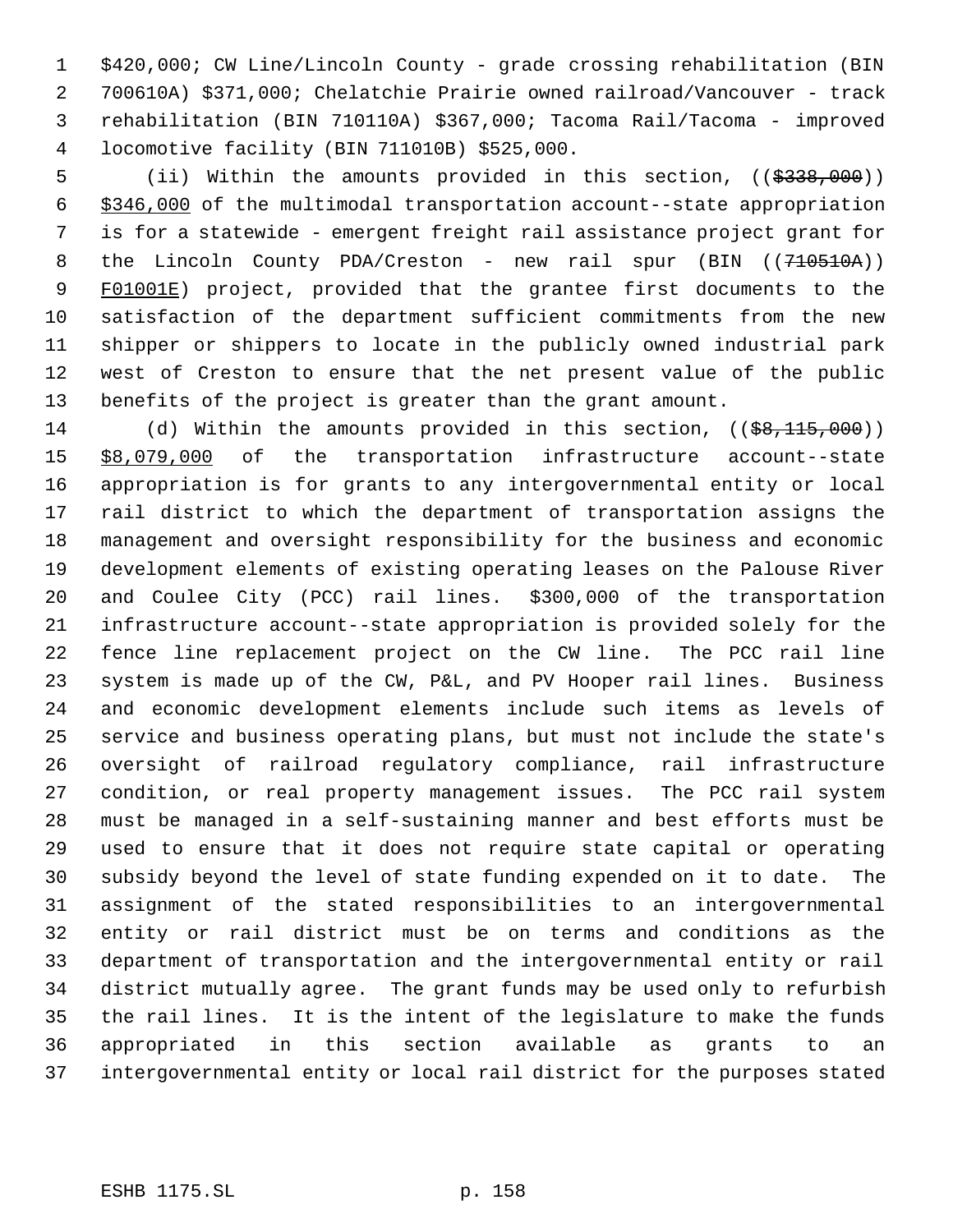\$420,000; CW Line/Lincoln County - grade crossing rehabilitation (BIN 700610A) \$371,000; Chelatchie Prairie owned railroad/Vancouver - track rehabilitation (BIN 710110A) \$367,000; Tacoma Rail/Tacoma - improved locomotive facility (BIN 711010B) \$525,000.

5 (ii) Within the amounts provided in this section, ((\$338,000)) \$346,000 of the multimodal transportation account--state appropriation is for a statewide - emergent freight rail assistance project grant for 8 the Lincoln County PDA/Creston - new rail spur (BIN ((710510A)) 9 F01001E) project, provided that the grantee first documents to the satisfaction of the department sufficient commitments from the new shipper or shippers to locate in the publicly owned industrial park west of Creston to ensure that the net present value of the public benefits of the project is greater than the grant amount.

14 (d) Within the amounts provided in this section, (( $\frac{1}{58,115,000}$ )) 15 \$8,079,000 of the transportation infrastructure account--state appropriation is for grants to any intergovernmental entity or local rail district to which the department of transportation assigns the management and oversight responsibility for the business and economic development elements of existing operating leases on the Palouse River and Coulee City (PCC) rail lines. \$300,000 of the transportation infrastructure account--state appropriation is provided solely for the fence line replacement project on the CW line. The PCC rail line system is made up of the CW, P&L, and PV Hooper rail lines. Business and economic development elements include such items as levels of service and business operating plans, but must not include the state's oversight of railroad regulatory compliance, rail infrastructure condition, or real property management issues. The PCC rail system must be managed in a self-sustaining manner and best efforts must be used to ensure that it does not require state capital or operating subsidy beyond the level of state funding expended on it to date. The assignment of the stated responsibilities to an intergovernmental entity or rail district must be on terms and conditions as the department of transportation and the intergovernmental entity or rail district mutually agree. The grant funds may be used only to refurbish the rail lines. It is the intent of the legislature to make the funds appropriated in this section available as grants to an intergovernmental entity or local rail district for the purposes stated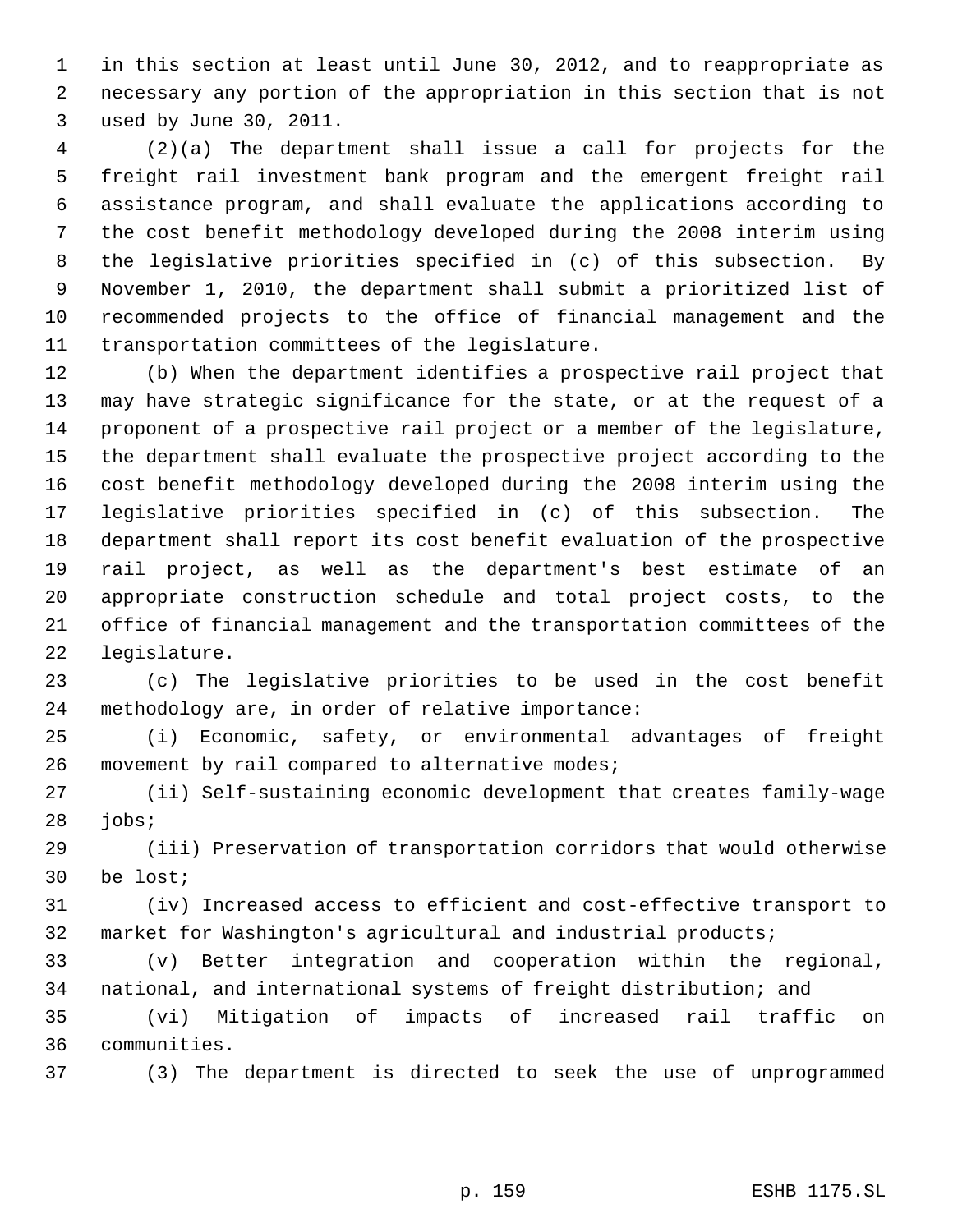in this section at least until June 30, 2012, and to reappropriate as necessary any portion of the appropriation in this section that is not used by June 30, 2011.

 (2)(a) The department shall issue a call for projects for the freight rail investment bank program and the emergent freight rail assistance program, and shall evaluate the applications according to the cost benefit methodology developed during the 2008 interim using the legislative priorities specified in (c) of this subsection. By November 1, 2010, the department shall submit a prioritized list of recommended projects to the office of financial management and the transportation committees of the legislature.

 (b) When the department identifies a prospective rail project that may have strategic significance for the state, or at the request of a proponent of a prospective rail project or a member of the legislature, the department shall evaluate the prospective project according to the cost benefit methodology developed during the 2008 interim using the legislative priorities specified in (c) of this subsection. The department shall report its cost benefit evaluation of the prospective rail project, as well as the department's best estimate of an appropriate construction schedule and total project costs, to the office of financial management and the transportation committees of the legislature.

 (c) The legislative priorities to be used in the cost benefit methodology are, in order of relative importance:

 (i) Economic, safety, or environmental advantages of freight 26 movement by rail compared to alternative modes;

 (ii) Self-sustaining economic development that creates family-wage jobs;

 (iii) Preservation of transportation corridors that would otherwise be lost;

 (iv) Increased access to efficient and cost-effective transport to market for Washington's agricultural and industrial products;

 (v) Better integration and cooperation within the regional, national, and international systems of freight distribution; and

 (vi) Mitigation of impacts of increased rail traffic on communities.

(3) The department is directed to seek the use of unprogrammed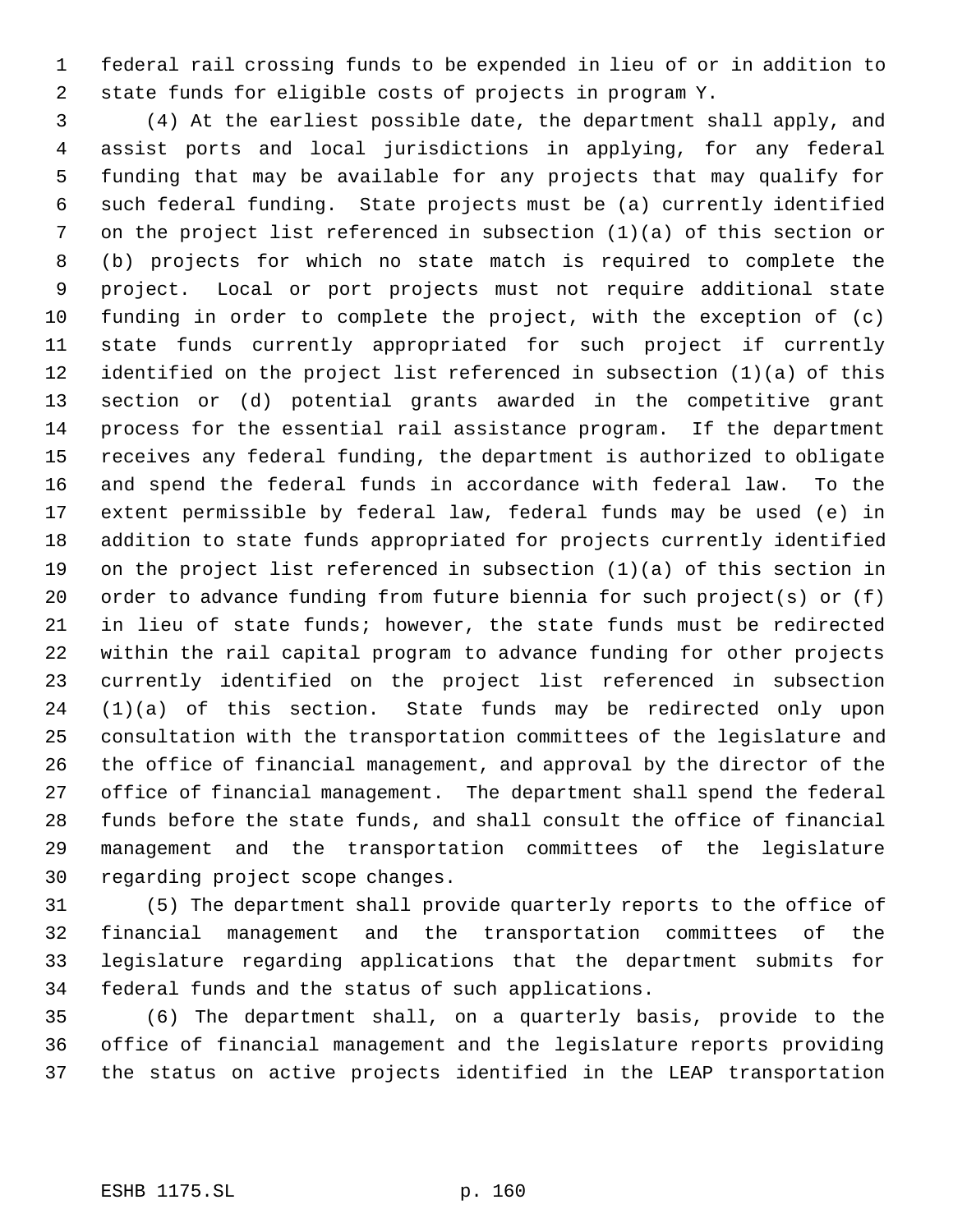federal rail crossing funds to be expended in lieu of or in addition to state funds for eligible costs of projects in program Y.

 (4) At the earliest possible date, the department shall apply, and assist ports and local jurisdictions in applying, for any federal funding that may be available for any projects that may qualify for such federal funding. State projects must be (a) currently identified on the project list referenced in subsection (1)(a) of this section or (b) projects for which no state match is required to complete the project. Local or port projects must not require additional state funding in order to complete the project, with the exception of (c) state funds currently appropriated for such project if currently identified on the project list referenced in subsection (1)(a) of this section or (d) potential grants awarded in the competitive grant process for the essential rail assistance program. If the department receives any federal funding, the department is authorized to obligate and spend the federal funds in accordance with federal law. To the extent permissible by federal law, federal funds may be used (e) in addition to state funds appropriated for projects currently identified on the project list referenced in subsection (1)(a) of this section in order to advance funding from future biennia for such project(s) or (f) in lieu of state funds; however, the state funds must be redirected within the rail capital program to advance funding for other projects currently identified on the project list referenced in subsection (1)(a) of this section. State funds may be redirected only upon consultation with the transportation committees of the legislature and the office of financial management, and approval by the director of the office of financial management. The department shall spend the federal funds before the state funds, and shall consult the office of financial management and the transportation committees of the legislature regarding project scope changes.

 (5) The department shall provide quarterly reports to the office of financial management and the transportation committees of the legislature regarding applications that the department submits for federal funds and the status of such applications.

 (6) The department shall, on a quarterly basis, provide to the office of financial management and the legislature reports providing the status on active projects identified in the LEAP transportation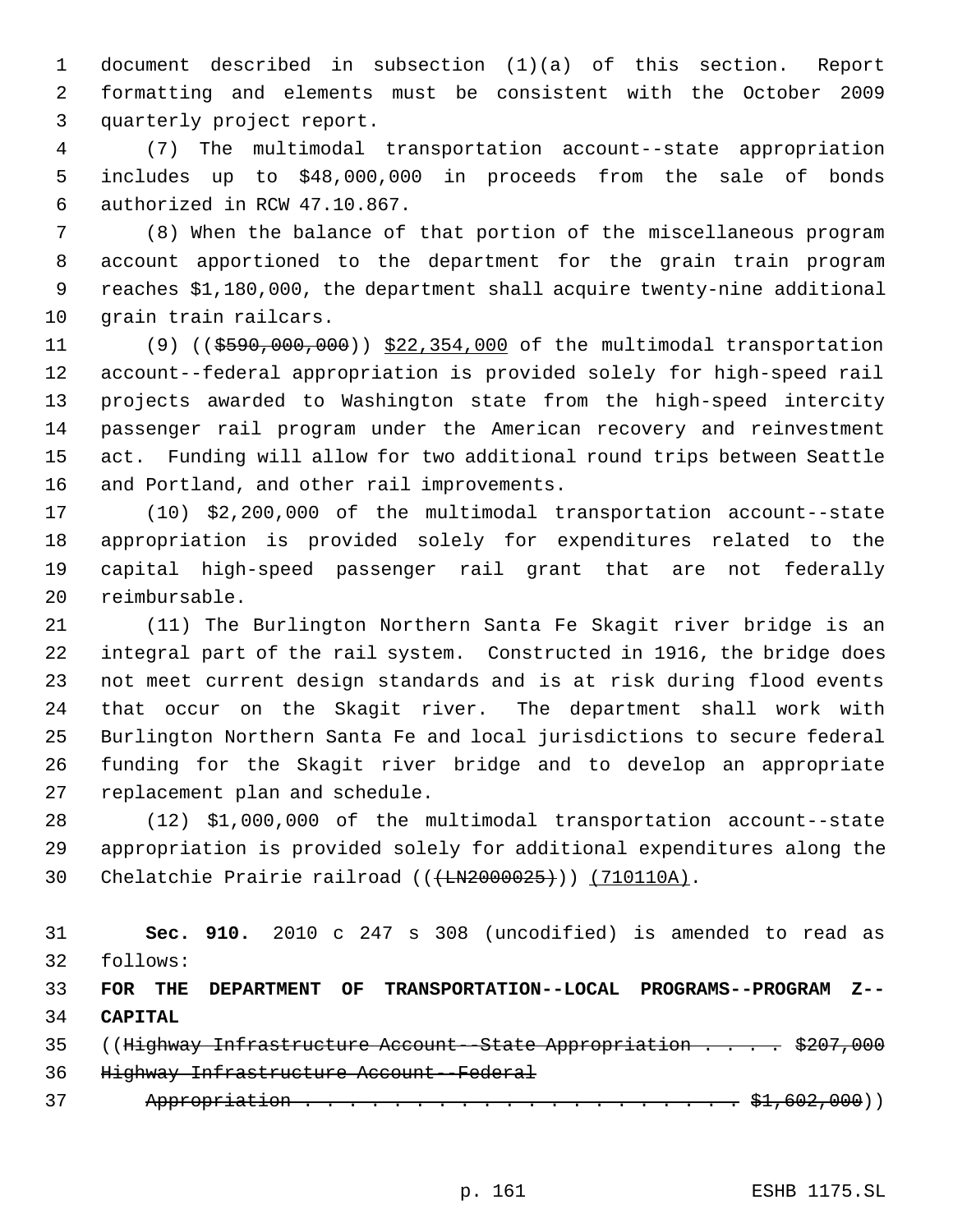document described in subsection (1)(a) of this section. Report formatting and elements must be consistent with the October 2009 quarterly project report.

 (7) The multimodal transportation account--state appropriation includes up to \$48,000,000 in proceeds from the sale of bonds authorized in RCW 47.10.867.

 (8) When the balance of that portion of the miscellaneous program account apportioned to the department for the grain train program reaches \$1,180,000, the department shall acquire twenty-nine additional grain train railcars.

11 (9) ((\$590,000,000)) \$22,354,000 of the multimodal transportation account--federal appropriation is provided solely for high-speed rail projects awarded to Washington state from the high-speed intercity passenger rail program under the American recovery and reinvestment act. Funding will allow for two additional round trips between Seattle and Portland, and other rail improvements.

 (10) \$2,200,000 of the multimodal transportation account--state appropriation is provided solely for expenditures related to the capital high-speed passenger rail grant that are not federally reimbursable.

 (11) The Burlington Northern Santa Fe Skagit river bridge is an integral part of the rail system. Constructed in 1916, the bridge does not meet current design standards and is at risk during flood events that occur on the Skagit river. The department shall work with Burlington Northern Santa Fe and local jurisdictions to secure federal funding for the Skagit river bridge and to develop an appropriate replacement plan and schedule.

 (12) \$1,000,000 of the multimodal transportation account--state appropriation is provided solely for additional expenditures along the 30 Chelatchie Prairie railroad (((LN2000025))) (710110A).

 **Sec. 910.** 2010 c 247 s 308 (uncodified) is amended to read as follows:

 **FOR THE DEPARTMENT OF TRANSPORTATION--LOCAL PROGRAMS--PROGRAM Z-- CAPITAL**

| 35 | ((Highway Infrastructure Account - State Appropriation \$207,000 |  |
|----|------------------------------------------------------------------|--|
| 36 | Highway Infrastructure Account--Federal                          |  |
| 37 |                                                                  |  |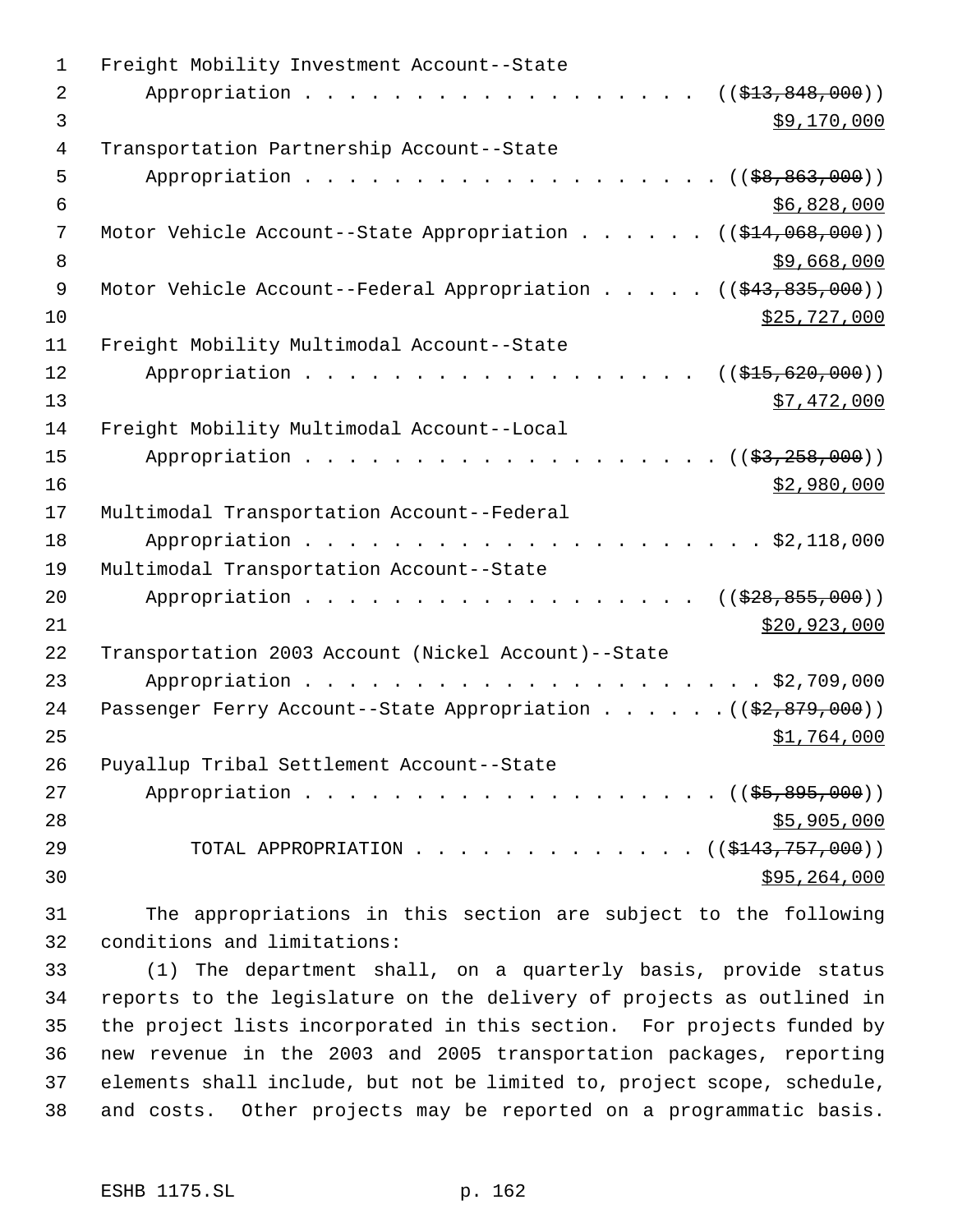| 1  | Freight Mobility Investment Account--State                                                    |
|----|-----------------------------------------------------------------------------------------------|
| 2  | Appropriation<br>((\$413,848,000))                                                            |
| 3  | \$9,170,000                                                                                   |
| 4  | Transportation Partnership Account--State                                                     |
| 5  | Appropriation<br>$(($ $$8, 863, 000)$ )                                                       |
| 6  | \$6,828,000                                                                                   |
| 7  | Motor Vehicle Account--State Appropriation<br>$((\$14,068,000))$                              |
| 8  | \$9,668,000                                                                                   |
| 9  | Motor Vehicle Account--Federal Appropriation $($ $($ $\frac{43}{7}$ , $\frac{835}{7}$ , 000)) |
| 10 | \$25,727,000                                                                                  |
| 11 | Freight Mobility Multimodal Account--State                                                    |
| 12 | Appropriation<br>$((\$15,620,000))$                                                           |
| 13 | \$7,472,000                                                                                   |
| 14 | Freight Mobility Multimodal Account--Local                                                    |
| 15 | Appropriation<br>$((\frac{25}{7}, \frac{258}{7}, 000))$                                       |
| 16 | \$2,980,000                                                                                   |
| 17 | Multimodal Transportation Account--Federal                                                    |
| 18 | Appropriation<br>$\ldots$ $\frac{2}{32}$ , 118,000                                            |
| 19 | Multimodal Transportation Account--State                                                      |
| 20 | Appropriation<br>$(($ \$28,855,000))                                                          |
| 21 | \$20,923,000                                                                                  |
| 22 | Transportation 2003 Account (Nickel Account)--State                                           |
| 23 |                                                                                               |
| 24 | Passenger Ferry Account--State Appropriation $($ $($ $\frac{2}{7}, \frac{879}{100})$          |
| 25 | <u>\$1,764,000</u>                                                                            |
| 26 | Puyallup Tribal Settlement Account--State                                                     |
| 27 | Appropriation ((\$5,895,000))                                                                 |
| 28 | \$5,905,000                                                                                   |
| 29 | TOTAL APPROPRIATION ( $(\frac{143}{757}, 000)$ )                                              |
| 30 | \$95,264,000                                                                                  |
|    |                                                                                               |

 The appropriations in this section are subject to the following conditions and limitations:

 (1) The department shall, on a quarterly basis, provide status reports to the legislature on the delivery of projects as outlined in the project lists incorporated in this section. For projects funded by new revenue in the 2003 and 2005 transportation packages, reporting elements shall include, but not be limited to, project scope, schedule, and costs. Other projects may be reported on a programmatic basis.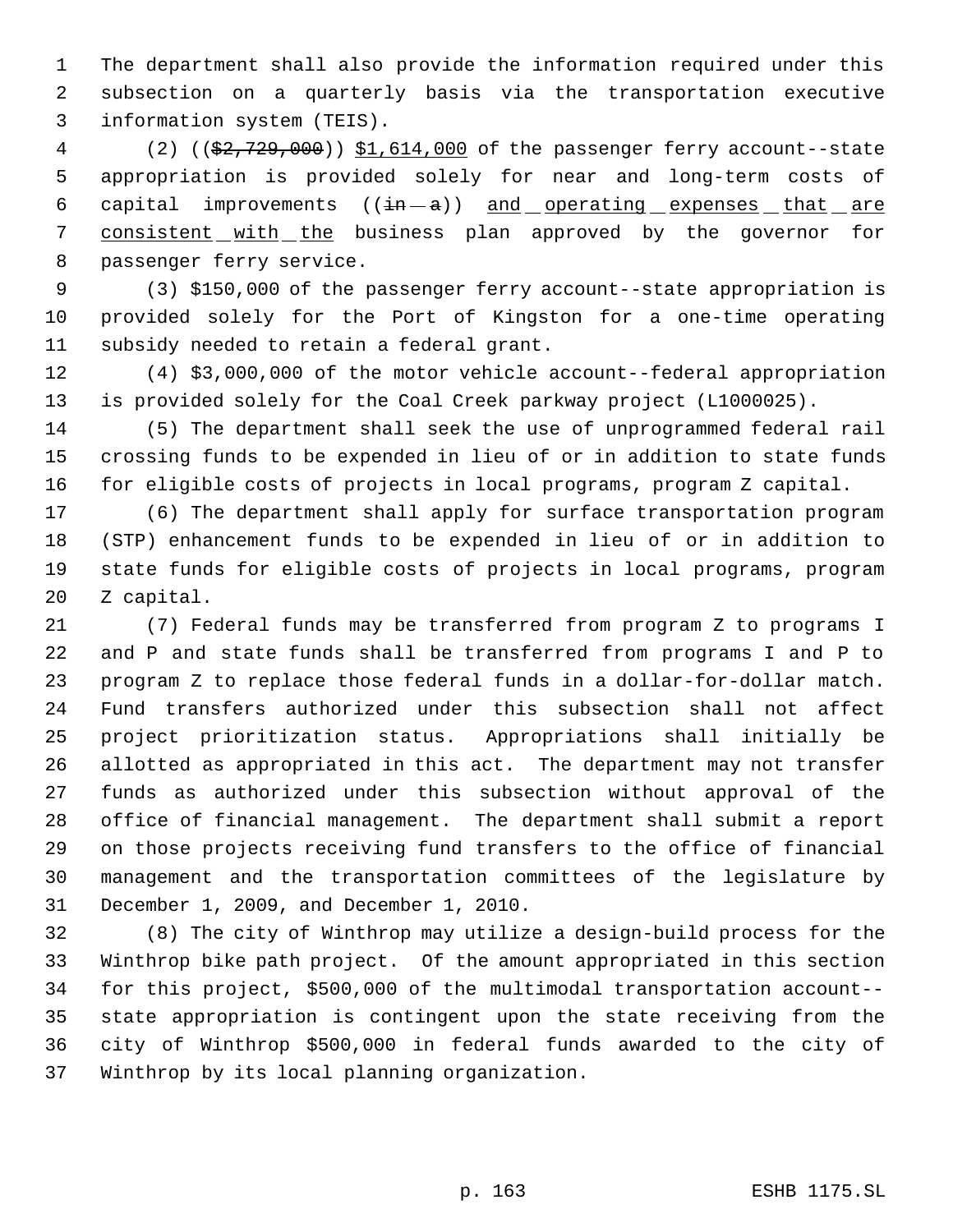The department shall also provide the information required under this subsection on a quarterly basis via the transportation executive information system (TEIS).

 (2) ((\$2,729,000)) \$1,614,000 of the passenger ferry account--state appropriation is provided solely for near and long-term costs of 6 capital improvements  $((\text{in} -a))$  and operating expenses that are 7 consistent with the business plan approved by the governor for passenger ferry service.

 (3) \$150,000 of the passenger ferry account--state appropriation is provided solely for the Port of Kingston for a one-time operating subsidy needed to retain a federal grant.

 (4) \$3,000,000 of the motor vehicle account--federal appropriation is provided solely for the Coal Creek parkway project (L1000025).

 (5) The department shall seek the use of unprogrammed federal rail crossing funds to be expended in lieu of or in addition to state funds for eligible costs of projects in local programs, program Z capital.

 (6) The department shall apply for surface transportation program (STP) enhancement funds to be expended in lieu of or in addition to state funds for eligible costs of projects in local programs, program Z capital.

 (7) Federal funds may be transferred from program Z to programs I and P and state funds shall be transferred from programs I and P to program Z to replace those federal funds in a dollar-for-dollar match. Fund transfers authorized under this subsection shall not affect project prioritization status. Appropriations shall initially be allotted as appropriated in this act. The department may not transfer funds as authorized under this subsection without approval of the office of financial management. The department shall submit a report on those projects receiving fund transfers to the office of financial management and the transportation committees of the legislature by December 1, 2009, and December 1, 2010.

 (8) The city of Winthrop may utilize a design-build process for the Winthrop bike path project. Of the amount appropriated in this section for this project, \$500,000 of the multimodal transportation account-- state appropriation is contingent upon the state receiving from the city of Winthrop \$500,000 in federal funds awarded to the city of Winthrop by its local planning organization.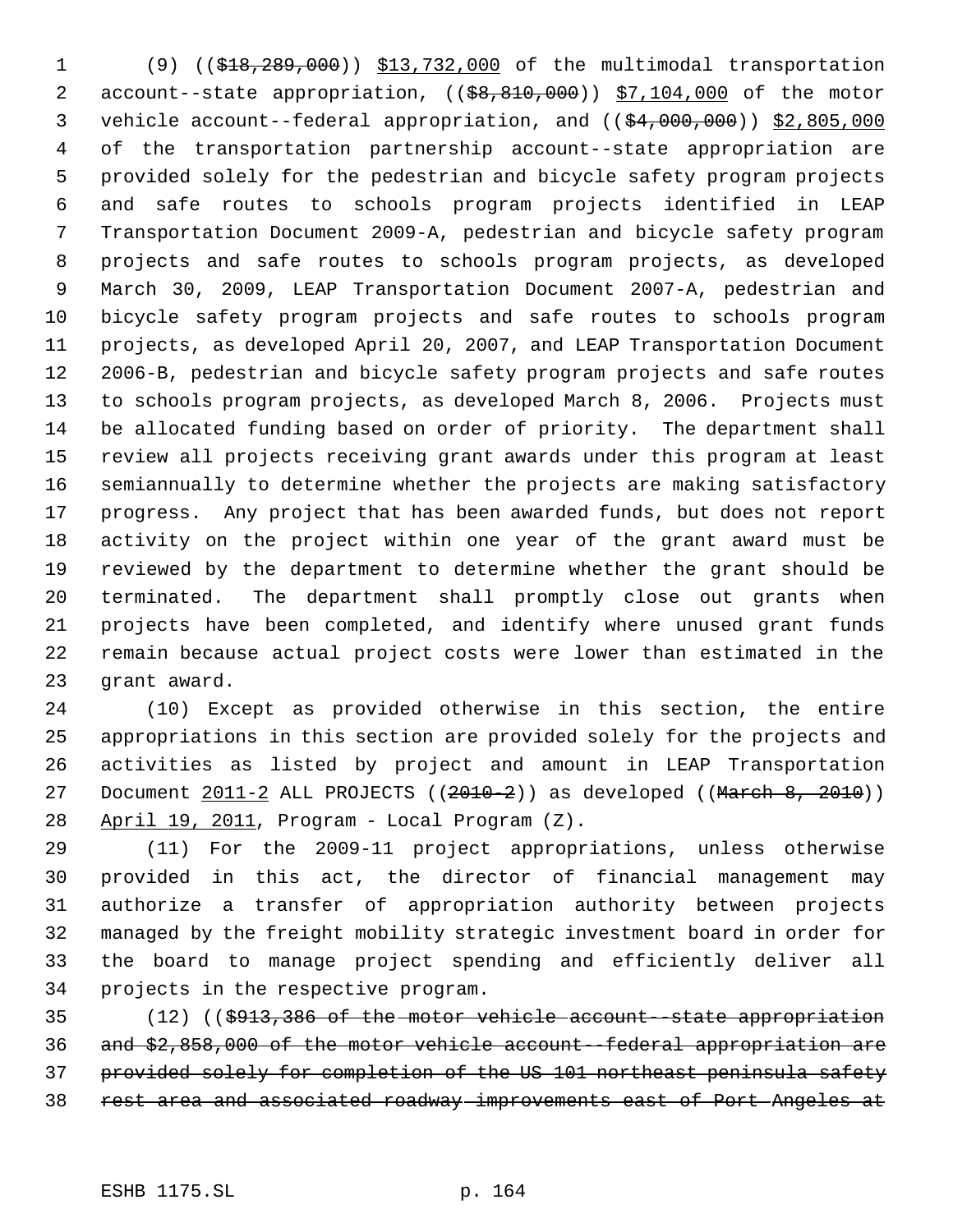1 (9) ((\$18,289,000)) \$13,732,000 of the multimodal transportation 2 account--state appropriation, ((\$8,810,000)) \$7,104,000 of the motor 3 vehicle account--federal appropriation, and ((\$4,000,000)) \$2,805,000 of the transportation partnership account--state appropriation are provided solely for the pedestrian and bicycle safety program projects and safe routes to schools program projects identified in LEAP Transportation Document 2009-A, pedestrian and bicycle safety program projects and safe routes to schools program projects, as developed March 30, 2009, LEAP Transportation Document 2007-A, pedestrian and bicycle safety program projects and safe routes to schools program projects, as developed April 20, 2007, and LEAP Transportation Document 2006-B, pedestrian and bicycle safety program projects and safe routes to schools program projects, as developed March 8, 2006. Projects must be allocated funding based on order of priority. The department shall review all projects receiving grant awards under this program at least semiannually to determine whether the projects are making satisfactory progress. Any project that has been awarded funds, but does not report activity on the project within one year of the grant award must be reviewed by the department to determine whether the grant should be terminated. The department shall promptly close out grants when projects have been completed, and identify where unused grant funds remain because actual project costs were lower than estimated in the grant award.

 (10) Except as provided otherwise in this section, the entire appropriations in this section are provided solely for the projects and activities as listed by project and amount in LEAP Transportation 27 Document  $2011-2$  ALL PROJECTS ((2010-2)) as developed ((March 8, 2010)) April 19, 2011, Program - Local Program (Z).

 (11) For the 2009-11 project appropriations, unless otherwise provided in this act, the director of financial management may authorize a transfer of appropriation authority between projects managed by the freight mobility strategic investment board in order for the board to manage project spending and efficiently deliver all projects in the respective program.

 (12) ((\$913,386 of the motor vehicle account--state appropriation and \$2,858,000 of the motor vehicle account--federal appropriation are provided solely for completion of the US 101 northeast peninsula safety rest area and associated roadway improvements east of Port Angeles at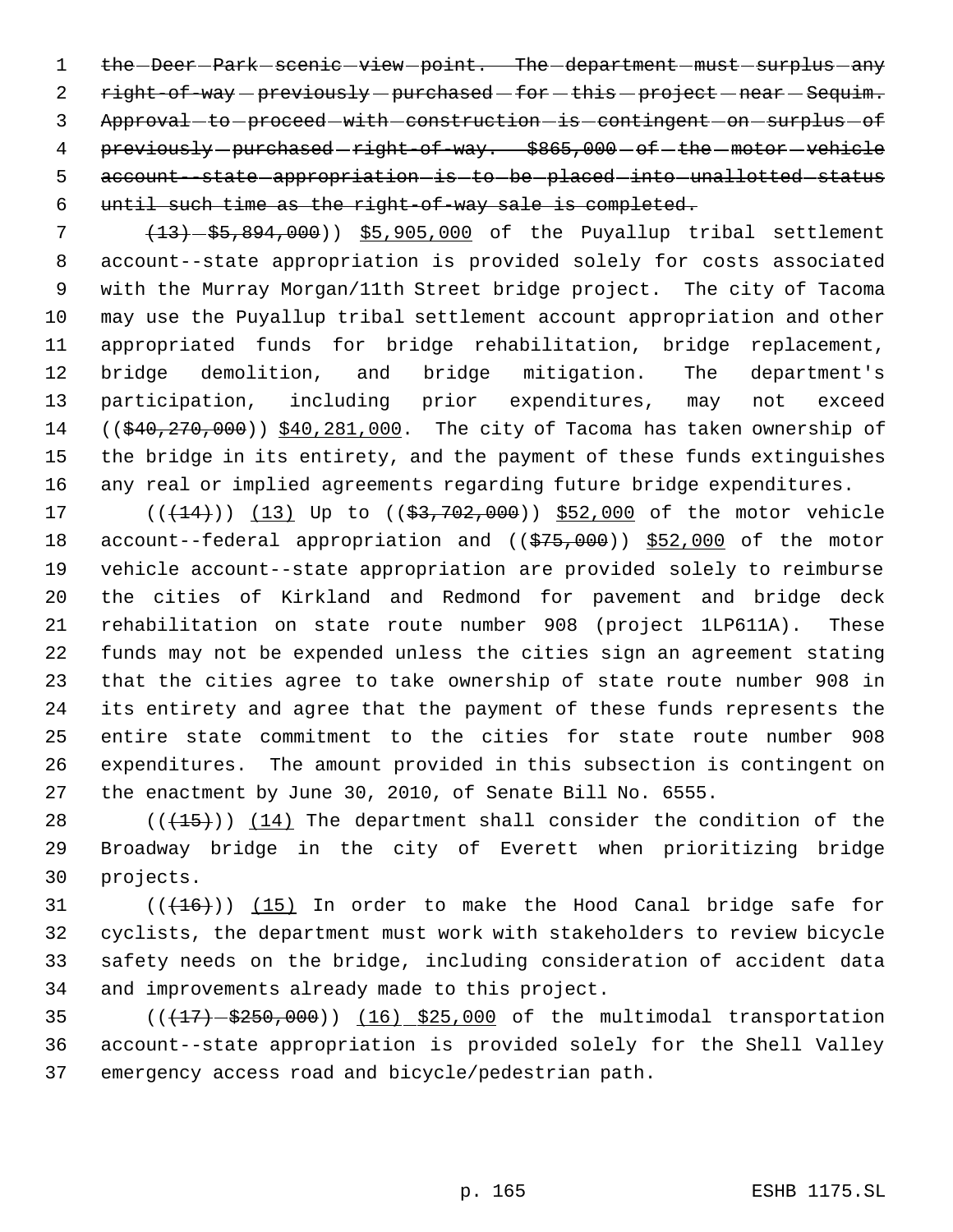1 the Deer Park scenic view point. The department must surplus any 2 right-of-way - previously - purchased - for - this - project - near - Sequim. 3 Approval-to-proceed-with-construction-is-contingent-on-surplus-of 4 previously-purchased-right-of-way. \$865,000-of-the-motor-vehicle 5 account--state-appropriation-is-to-be-placed-into-unallotted-status until such time as the right-of-way sale is completed.

7 (13) - \$5,894,000)) \$5,905,000 of the Puyallup tribal settlement account--state appropriation is provided solely for costs associated with the Murray Morgan/11th Street bridge project. The city of Tacoma may use the Puyallup tribal settlement account appropriation and other appropriated funds for bridge rehabilitation, bridge replacement, bridge demolition, and bridge mitigation. The department's participation, including prior expenditures, may not exceed 14 ((\$40,270,000)) \$40,281,000. The city of Tacoma has taken ownership of the bridge in its entirety, and the payment of these funds extinguishes any real or implied agreements regarding future bridge expenditures.

17 (( $(14)$ )) (13) Up to (( $$3,702,000$ )) \$52,000 of the motor vehicle 18 account--federal appropriation and ((\$75,000)) \$52,000 of the motor vehicle account--state appropriation are provided solely to reimburse the cities of Kirkland and Redmond for pavement and bridge deck rehabilitation on state route number 908 (project 1LP611A). These funds may not be expended unless the cities sign an agreement stating that the cities agree to take ownership of state route number 908 in its entirety and agree that the payment of these funds represents the entire state commitment to the cities for state route number 908 expenditures. The amount provided in this subsection is contingent on the enactment by June 30, 2010, of Senate Bill No. 6555.

28  $((+15))$   $(14)$  The department shall consider the condition of the Broadway bridge in the city of Everett when prioritizing bridge projects.

31 (( $(16)$ )) (15) In order to make the Hood Canal bridge safe for cyclists, the department must work with stakeholders to review bicycle safety needs on the bridge, including consideration of accident data and improvements already made to this project.

35 (( $\left(\frac{17}{-5250},000\right)$ ) (16) \$25,000 of the multimodal transportation account--state appropriation is provided solely for the Shell Valley emergency access road and bicycle/pedestrian path.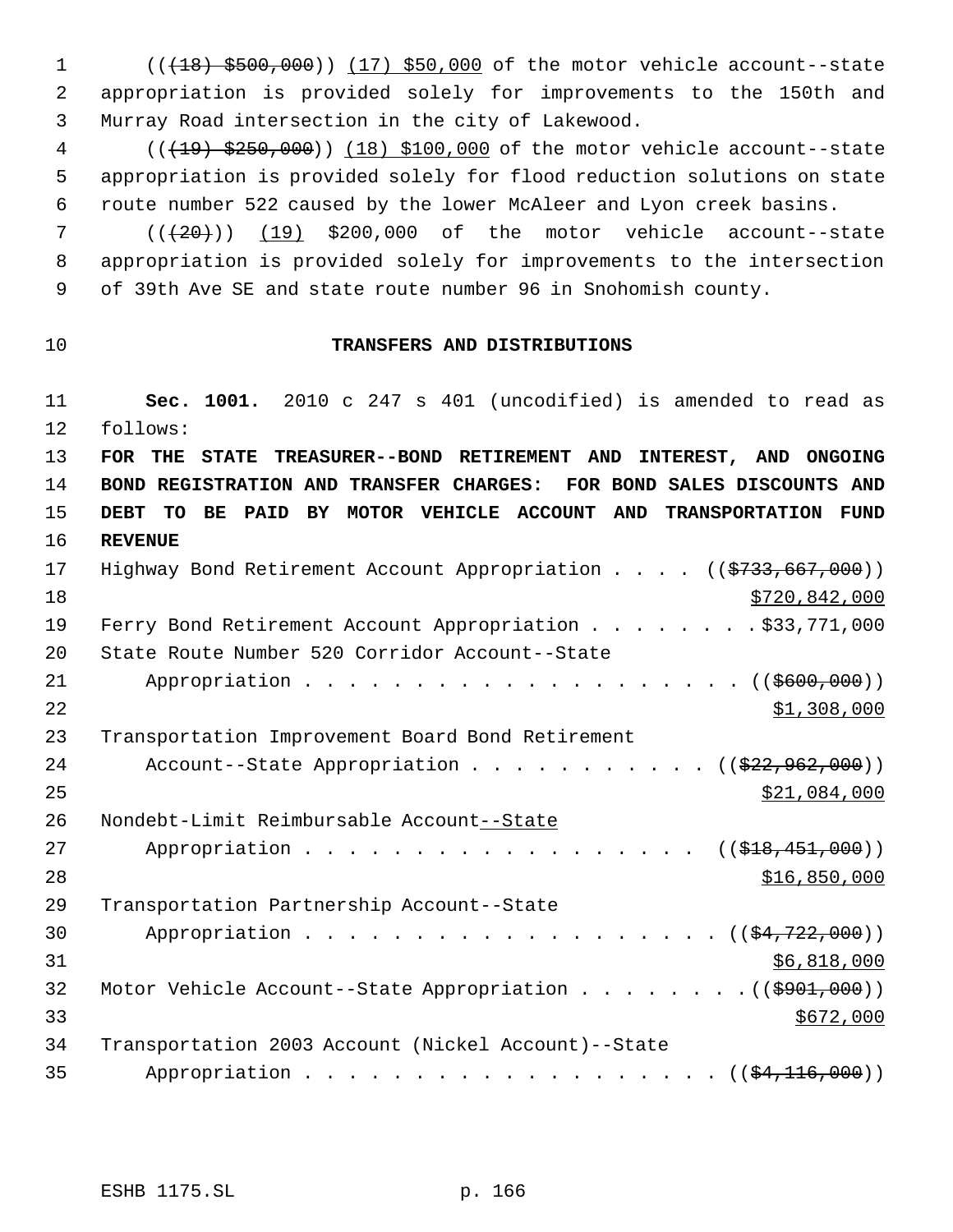1 (( $(18)$  \$500,000)) (17) \$50,000 of the motor vehicle account--state appropriation is provided solely for improvements to the 150th and Murray Road intersection in the city of Lakewood.

 (((19) \$250,000)) (18) \$100,000 of the motor vehicle account--state appropriation is provided solely for flood reduction solutions on state route number 522 caused by the lower McAleer and Lyon creek basins.

 ( $(\overline{20})$ ) (19) \$200,000 of the motor vehicle account--state appropriation is provided solely for improvements to the intersection of 39th Ave SE and state route number 96 in Snohomish county.

#### **TRANSFERS AND DISTRIBUTIONS**

 **Sec. 1001.** 2010 c 247 s 401 (uncodified) is amended to read as follows: **FOR THE STATE TREASURER--BOND RETIREMENT AND INTEREST, AND ONGOING BOND REGISTRATION AND TRANSFER CHARGES: FOR BOND SALES DISCOUNTS AND DEBT TO BE PAID BY MOTOR VEHICLE ACCOUNT AND TRANSPORTATION FUND REVENUE** 17 Highway Bond Retirement Account Appropriation . . . ((\$733,667,000))  $$720,842,000$  Ferry Bond Retirement Account Appropriation . . . . . . . . \$33,771,000 State Route Number 520 Corridor Account--State 21 Appropriation . . . . . . . . . . . . . . . . . . ((\$600,000)) \$1,308,000 Transportation Improvement Board Bond Retirement 24 Account--State Appropriation . . . . . . . . . . ((\$22,962,000)) \$21,084,000 26 Nondebt-Limit Reimbursable Account--State 27 Appropriation . . . . . . . . . . . . . . . . ((\$18,451,000)) \$16,850,000 Transportation Partnership Account--State 30 Appropriation . . . . . . . . . . . . . . . . .  $( ( $4, 722, 000) )$  \$6,818,000 32 Motor Vehicle Account--State Appropriation . . . . . . . ((\$901,000)) Transportation 2003 Account (Nickel Account)--State 35 Appropriation . . . . . . . . . . . . . . . . . ((\$4,116,000))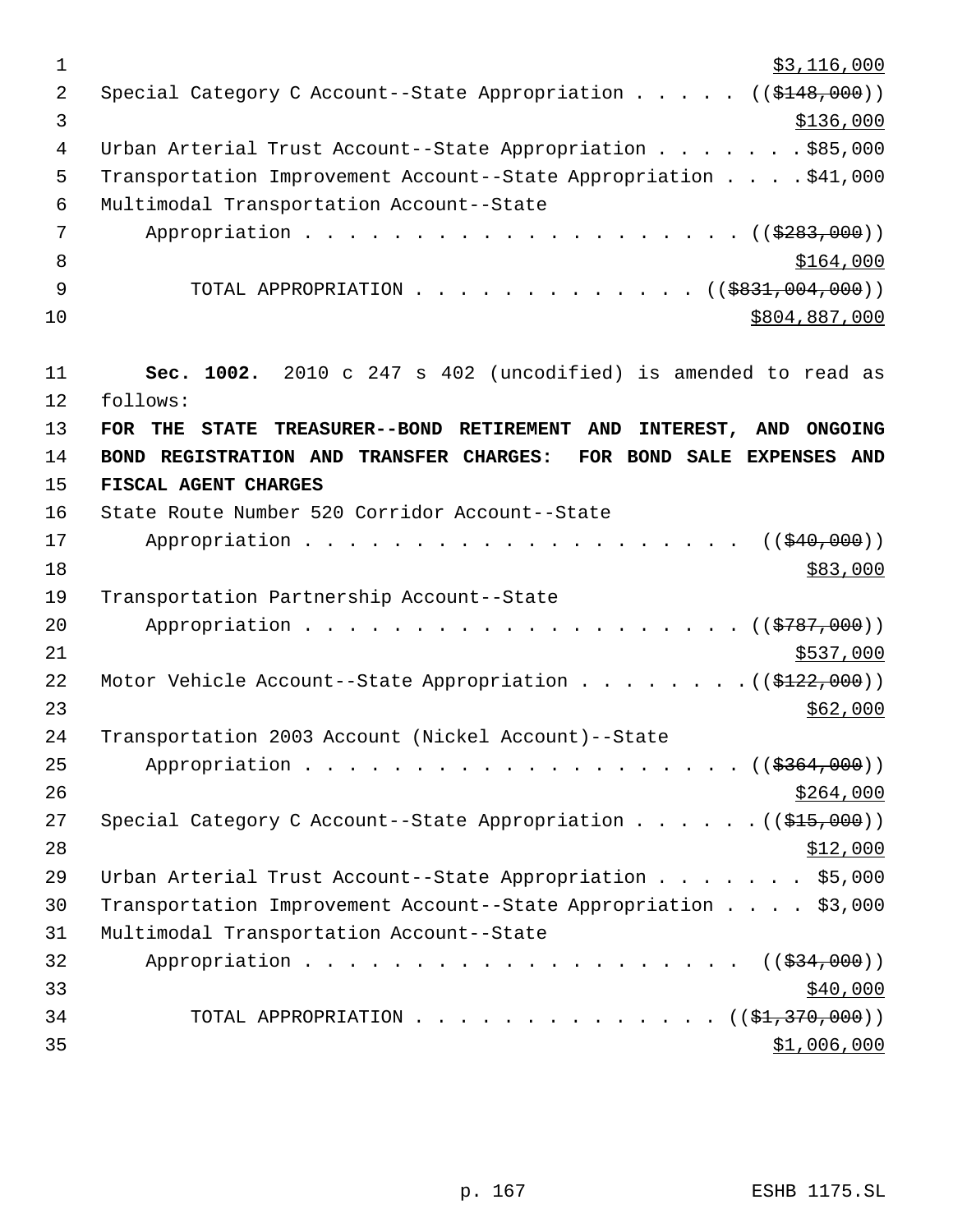$\frac{1}{2}$   $\frac{1}{2}$   $\frac{1}{2}$   $\frac{1}{6}$   $\frac{1}{6}$   $\frac{1}{6}$   $\frac{1}{6}$   $\frac{1}{6}$   $\frac{1}{6}$   $\frac{1}{6}$   $\frac{1}{6}$   $\frac{1}{6}$   $\frac{1}{6}$   $\frac{1}{6}$   $\frac{1}{6}$   $\frac{1}{6}$   $\frac{1}{6}$   $\frac{1}{6}$   $\frac{1}{6}$   $\frac{1}{6}$   $\frac{1}{6}$   $\frac{1}{6}$  2 Special Category C Account--State Appropriation . . . . . ((\$148,000))  $3 \frac{$136,000}{ }$ 4 Urban Arterial Trust Account--State Appropriation . . . . . . . \$85,000 5 Transportation Improvement Account--State Appropriation . . . . \$41,000 6 Multimodal Transportation Account--State 7 Appropriation . . . . . . . . . . . . . . . . . . ((\$283,000))  $8 \frac{$164,000}{ }$ 9 TOTAL APPROPRIATION . . . . . . . . . . . . . ((\$831,004,000))  $10$  \$804,887,000 11 **Sec. 1002.** 2010 c 247 s 402 (uncodified) is amended to read as 12 follows: 13 **FOR THE STATE TREASURER--BOND RETIREMENT AND INTEREST, AND ONGOING** 14 **BOND REGISTRATION AND TRANSFER CHARGES: FOR BOND SALE EXPENSES AND** 15 **FISCAL AGENT CHARGES** 16 State Route Number 520 Corridor Account--State 17 Appropriation . . . . . . . . . . . . . . . . . . ((\$40,000))  $18 \frac{\text{S33,000}}{}$ 19 Transportation Partnership Account--State 20 Appropriation . . . . . . . . . . . . . . . . . . ((\$787,000))  $21$   $\frac{$537,000}{ }$ 22 Motor Vehicle Account--State Appropriation . . . . . . . ((\$122,000))  $23$ 24 Transportation 2003 Account (Nickel Account)--State 25 Appropriation . . . . . . . . . . . . . . . . . . ((\$364,000))  $26$ 27 Special Category C Account--State Appropriation . . . . . . ((\$15,000))  $28$ 29 Urban Arterial Trust Account--State Appropriation . . . . . . \$5,000 30 Transportation Improvement Account--State Appropriation . . . . \$3,000 31 Multimodal Transportation Account--State 32 Appropriation . . . . . . . . . . . . . . . . . ((\$34,000))  $\frac{$40,000}{ }$ 34 TOTAL APPROPRIATION . . . . . . . . . . . . . ((<del>\$1,370,000</del>))  $35$   $35$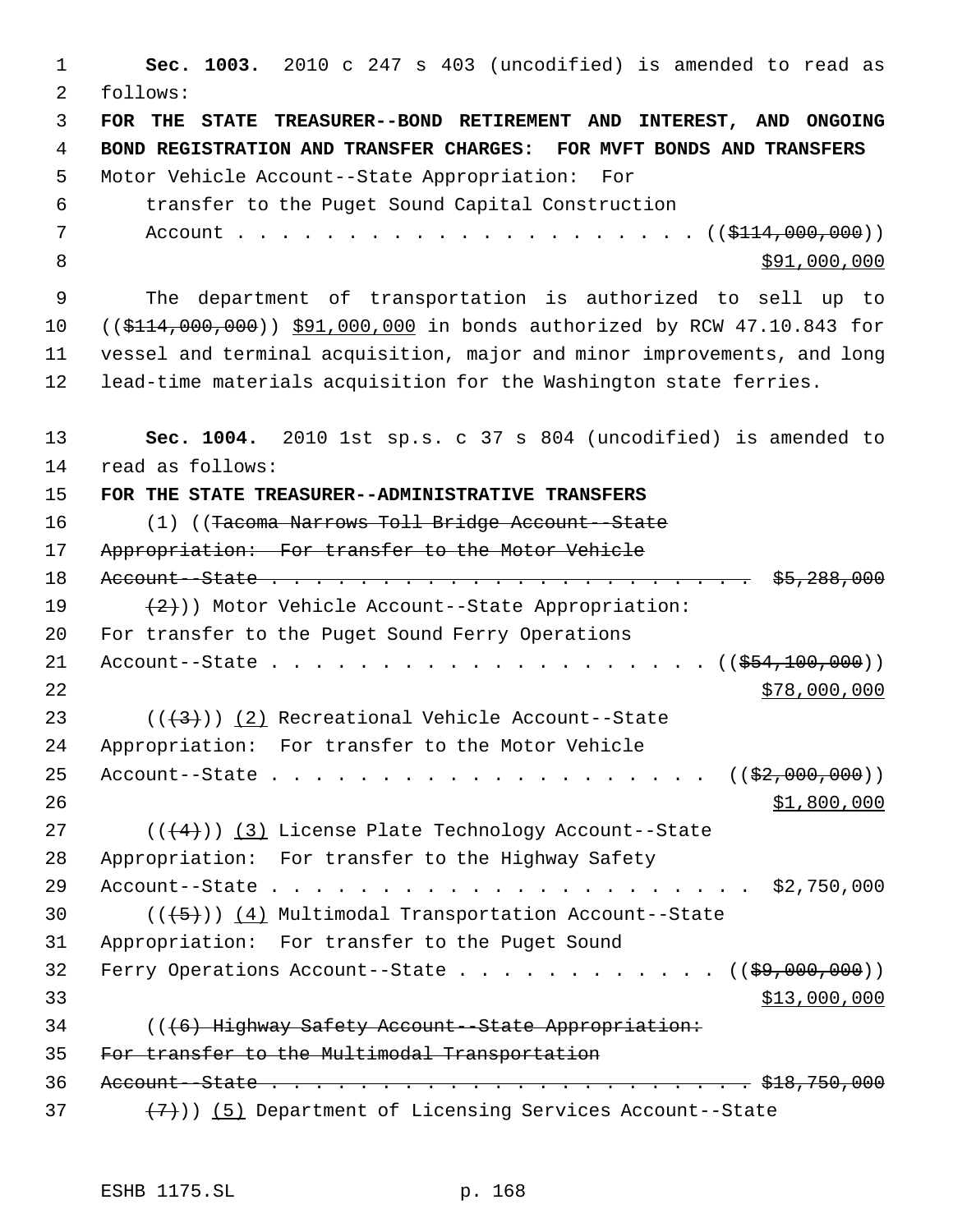**Sec. 1003.** 2010 c 247 s 403 (uncodified) is amended to read as follows: **FOR THE STATE TREASURER--BOND RETIREMENT AND INTEREST, AND ONGOING BOND REGISTRATION AND TRANSFER CHARGES: FOR MVFT BONDS AND TRANSFERS** Motor Vehicle Account--State Appropriation: For transfer to the Puget Sound Capital Construction Account . . . . . . . . . . . . . . . . . . . . . ((\$114,000,000)) \$91,000,000 The department of transportation is authorized to sell up to ((\$114,000,000)) \$91,000,000 in bonds authorized by RCW 47.10.843 for vessel and terminal acquisition, major and minor improvements, and long lead-time materials acquisition for the Washington state ferries. **Sec. 1004.** 2010 1st sp.s. c 37 s 804 (uncodified) is amended to read as follows: **FOR THE STATE TREASURER--ADMINISTRATIVE TRANSFERS** 16 (1) ((Tacoma Narrows Toll Bridge Account-State Appropriation: For transfer to the Motor Vehicle Account--State . . . . . . . . . . . . . . . . . . . . . . \$5,288,000  $(2)$ ) Motor Vehicle Account--State Appropriation: For transfer to the Puget Sound Ferry Operations 21 Account--State . . . . . . . . . . . . . . . . . . ((\$54,100,000))  $578,000,000$  $((\langle 3 \rangle)(2)$  Recreational Vehicle Account--State Appropriation: For transfer to the Motor Vehicle Account--State . . . . . . . . . . . . . . . . . . . . ((\$2,000,000))  $\frac{$1,800,000}{2}$  $((4+))$  (3) License Plate Technology Account--State Appropriation: For transfer to the Highway Safety Account--State . . . . . . . . . . . . . . . . . . . . . . \$2,750,000  $((+5))$   $(4)$  Multimodal Transportation Account--State Appropriation: For transfer to the Puget Sound 32 Ferry Operations Account--State . . . . . . . . . . .  $($   $($ \$9,000,000)) \$13,000,000 \$13,000,000 \$13,000  $33$  (((6) Highway Safety Account--State Appropriation: For transfer to the Multimodal Transportation Account--State . . . . . . . . . . . . . . . . . . . . . . \$18,750,000  $(7)$ ) (5) Department of Licensing Services Account--State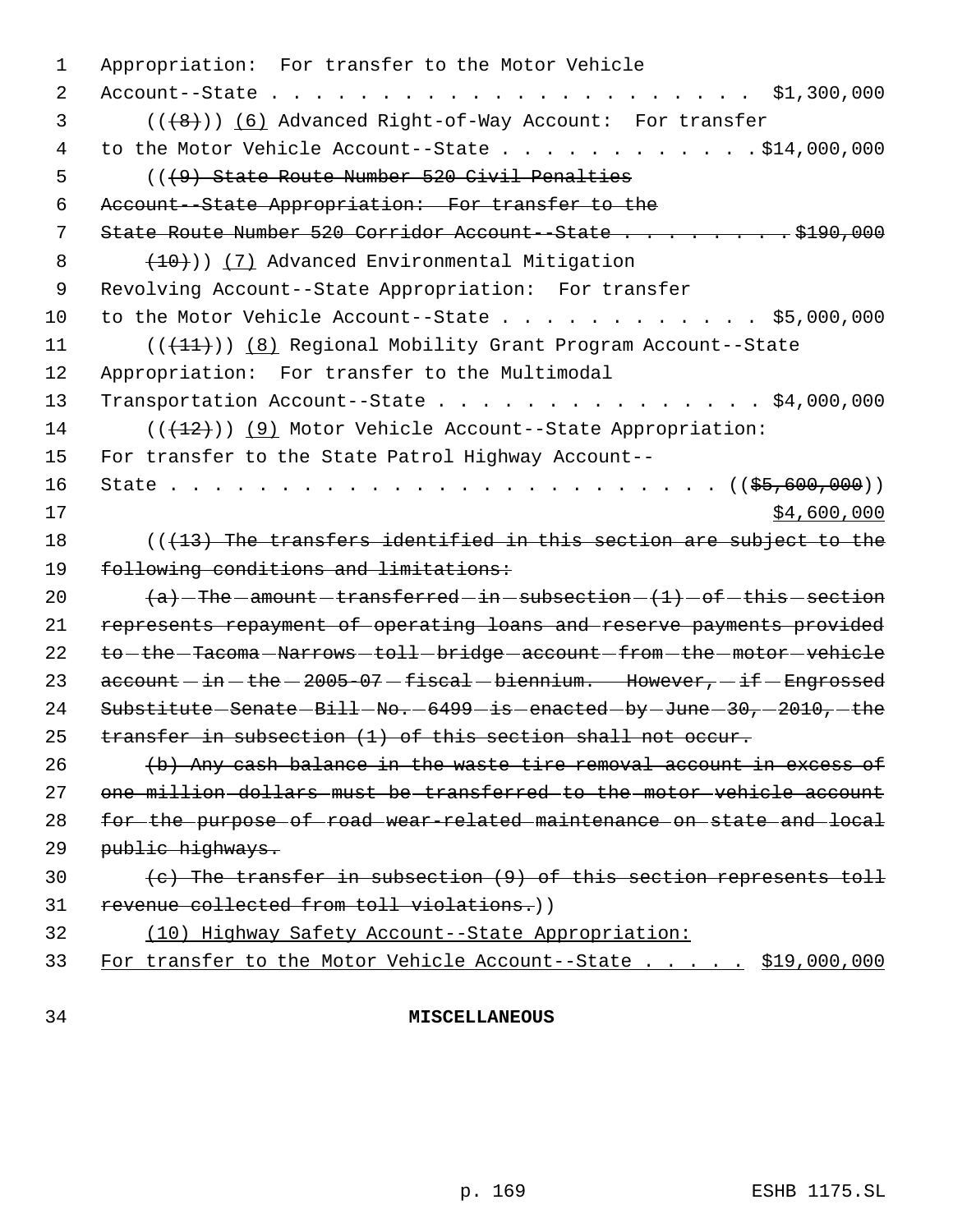| 1  | Appropriation: For transfer to the Motor Vehicle                                                                                                                                                                                                                                                                                                               |
|----|----------------------------------------------------------------------------------------------------------------------------------------------------------------------------------------------------------------------------------------------------------------------------------------------------------------------------------------------------------------|
| 2  | \$1,300,000                                                                                                                                                                                                                                                                                                                                                    |
| 3  | $((+8))$ (6) Advanced Right-of-Way Account: For transfer                                                                                                                                                                                                                                                                                                       |
| 4  | to the Motor Vehicle Account--State \$14,000,000                                                                                                                                                                                                                                                                                                               |
| 5  | (( <del>(9) State Route Number 520 Civil Penalties</del>                                                                                                                                                                                                                                                                                                       |
| 6  | Account--State Appropriation: For transfer to the                                                                                                                                                                                                                                                                                                              |
| 7  | State Route Number 520 Corridor Account - State \$190,000                                                                                                                                                                                                                                                                                                      |
| 8  | $(10)$ ) (7) Advanced Environmental Mitigation                                                                                                                                                                                                                                                                                                                 |
| 9  | Revolving Account--State Appropriation: For transfer                                                                                                                                                                                                                                                                                                           |
| 10 | to the Motor Vehicle Account--State \$5,000,000                                                                                                                                                                                                                                                                                                                |
| 11 | $((+11))$ (8) Regional Mobility Grant Program Account--State                                                                                                                                                                                                                                                                                                   |
| 12 | Appropriation: For transfer to the Multimodal                                                                                                                                                                                                                                                                                                                  |
| 13 | Transportation Account--State \$4,000,000                                                                                                                                                                                                                                                                                                                      |
| 14 | $((+12))$ (9) Motor Vehicle Account--State Appropriation:                                                                                                                                                                                                                                                                                                      |
| 15 | For transfer to the State Patrol Highway Account--                                                                                                                                                                                                                                                                                                             |
| 16 | $\cdots$ $\cdots$ $\cdots$ $\cdots$ $\cdots$ $\cdots$ $\cdots$ $\cdots$ $\cdots$ $\cdots$ $\cdots$ $\cdots$ $\cdots$ $\cdots$ $\cdots$ $\cdots$ $\cdots$ $\cdots$ $\cdots$ $\cdots$ $\cdots$ $\cdots$ $\cdots$ $\cdots$ $\cdots$ $\cdots$ $\cdots$ $\cdots$ $\cdots$ $\cdots$ $\cdots$ $\cdots$ $\cdots$ $\cdots$ $\cdots$ $\cdots$ $\cdots$<br>State $\cdots$ |
| 17 | \$4,600,000                                                                                                                                                                                                                                                                                                                                                    |
| 18 | $($ $($ $(13)$ The transfers identified in this section are subject to the                                                                                                                                                                                                                                                                                     |
| 19 | following conditions and limitations:                                                                                                                                                                                                                                                                                                                          |
| 20 | $(a)$ - The - amount - transferred - in - subsection - $(1)$ - of - this - section                                                                                                                                                                                                                                                                             |
| 21 | represents repayment of operating loans and reserve payments provided                                                                                                                                                                                                                                                                                          |
| 22 | to-the-Tacoma-Narrows-toll-bridge-account-from-the-motor-vehicle                                                                                                                                                                                                                                                                                               |
| 23 | $account - in - the - 2005 - 07 - fiseal - biennium. However, - if - Enqrossed$                                                                                                                                                                                                                                                                                |
| 24 | $Substitute-Sender-Bill-No. -6499-is-enacted-by-June-30, -2010, -the$                                                                                                                                                                                                                                                                                          |
| 25 | transfer in subsection (1) of this section shall not occur.                                                                                                                                                                                                                                                                                                    |
| 26 | (b) Any cash balance in the waste tire removal account in excess of                                                                                                                                                                                                                                                                                            |
| 27 | one million dollars must be transferred to the motor vehicle account                                                                                                                                                                                                                                                                                           |
| 28 | for the purpose of road wear-related maintenance on state and local                                                                                                                                                                                                                                                                                            |
| 29 | public highways.                                                                                                                                                                                                                                                                                                                                               |
| 30 | (c) The transfer in subsection (9) of this section represents toll                                                                                                                                                                                                                                                                                             |
| 31 | revenue collected from toll violations.))                                                                                                                                                                                                                                                                                                                      |
| 32 | (10) Highway Safety Account--State Appropriation:                                                                                                                                                                                                                                                                                                              |
| 33 | For transfer to the Motor Vehicle Account--State $\frac{$19,000,000}{2}$                                                                                                                                                                                                                                                                                       |
|    |                                                                                                                                                                                                                                                                                                                                                                |

34 **MISCELLANEOUS**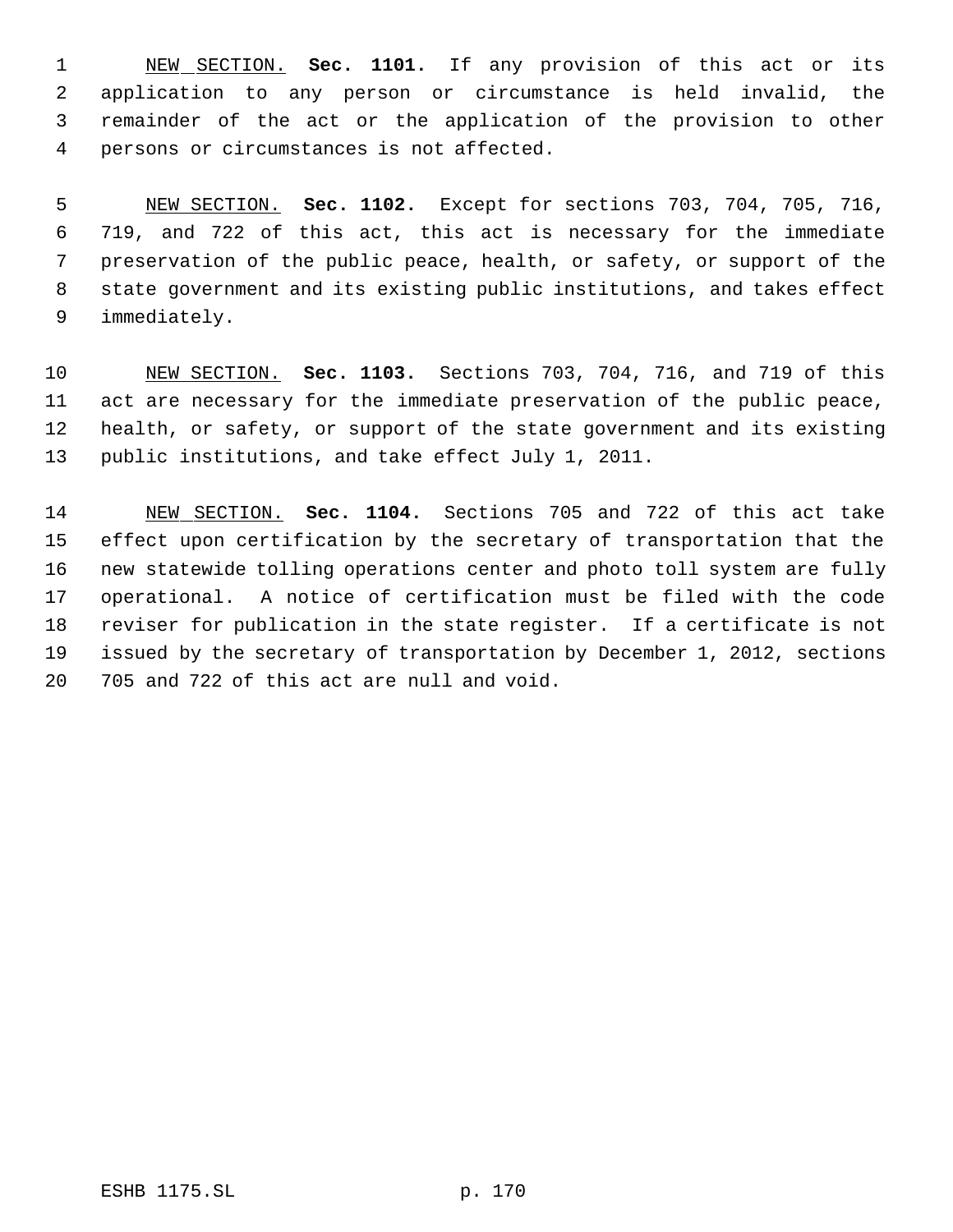NEW SECTION. **Sec. 1101.** If any provision of this act or its application to any person or circumstance is held invalid, the remainder of the act or the application of the provision to other persons or circumstances is not affected.

 NEW SECTION. **Sec. 1102.** Except for sections 703, 704, 705, 716, 719, and 722 of this act, this act is necessary for the immediate preservation of the public peace, health, or safety, or support of the state government and its existing public institutions, and takes effect immediately.

 NEW SECTION. **Sec. 1103.** Sections 703, 704, 716, and 719 of this act are necessary for the immediate preservation of the public peace, health, or safety, or support of the state government and its existing public institutions, and take effect July 1, 2011.

 NEW SECTION. **Sec. 1104.** Sections 705 and 722 of this act take effect upon certification by the secretary of transportation that the new statewide tolling operations center and photo toll system are fully operational. A notice of certification must be filed with the code reviser for publication in the state register. If a certificate is not issued by the secretary of transportation by December 1, 2012, sections 705 and 722 of this act are null and void.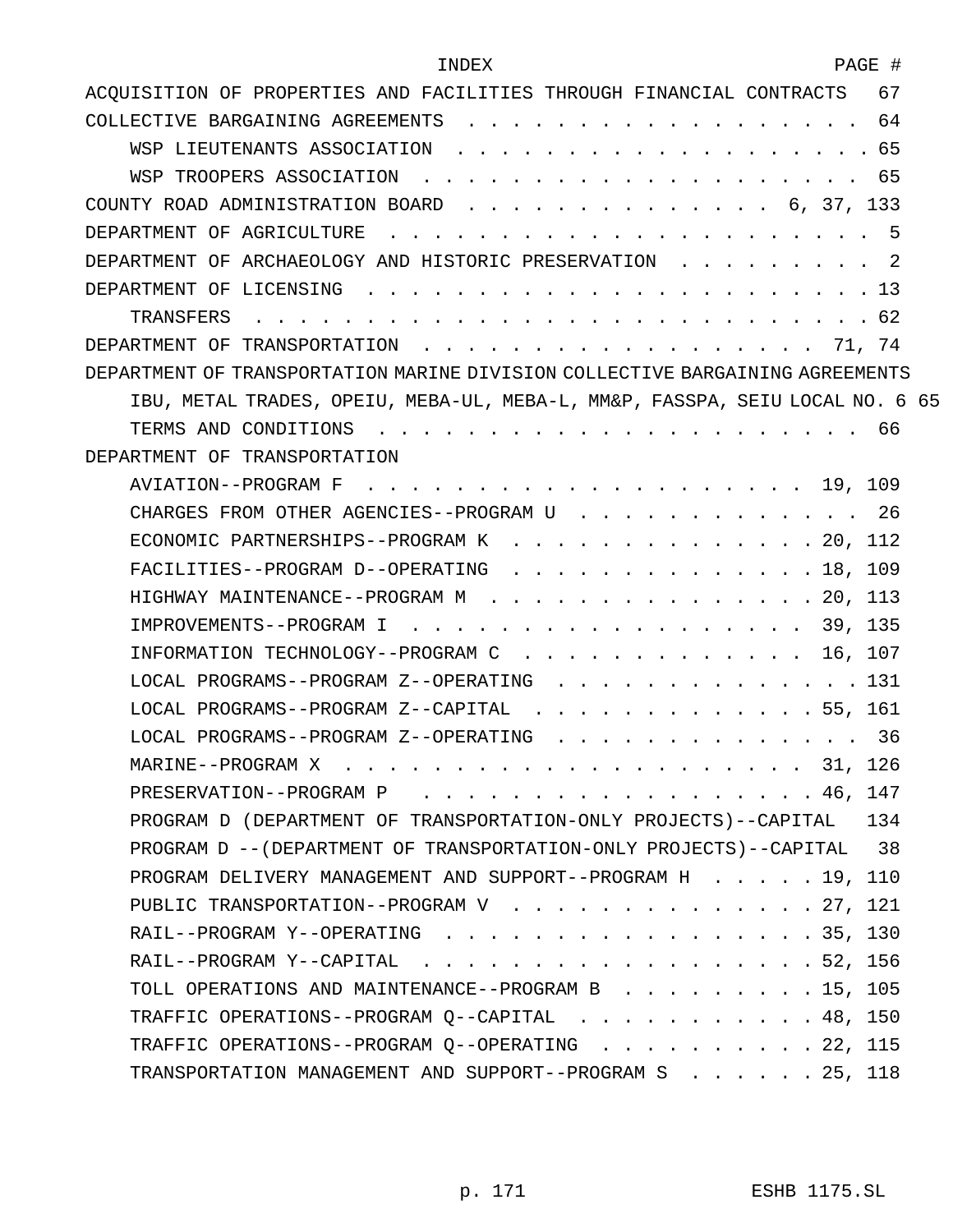| <b>TNDEX</b>                                                                  | PAGE # |
|-------------------------------------------------------------------------------|--------|
| ACOUISITION OF PROPERTIES AND FACILITIES THROUGH FINANCIAL CONTRACTS          | 67     |
| COLLECTIVE BARGAINING AGREEMENTS 64                                           |        |
| WSP LIEUTENANTS ASSOCIATION                                                   |        |
|                                                                               |        |
| COUNTY ROAD ADMINISTRATION BOARD 6, 37, 133                                   |        |
|                                                                               |        |
| DEPARTMENT OF ARCHAEOLOGY AND HISTORIC PRESERVATION 2                         |        |
|                                                                               |        |
| TRANSFERS                                                                     |        |
|                                                                               |        |
| DEPARTMENT OF TRANSPORTATION MARINE DIVISION COLLECTIVE BARGAINING AGREEMENTS |        |
| IBU, METAL TRADES, OPEIU, MEBA-UL, MEBA-L, MM&P, FASSPA, SEIU LOCAL NO. 6 65  |        |
|                                                                               |        |
| DEPARTMENT OF TRANSPORTATION                                                  |        |
|                                                                               |        |
| CHARGES FROM OTHER AGENCIES--PROGRAM U 26                                     |        |
| ECONOMIC PARTNERSHIPS--PROGRAM K<br>. 20, 112                                 |        |
| FACILITIES--PROGRAM D--OPERATING<br>. 18, 109                                 |        |
| HIGHWAY MAINTENANCE--PROGRAM M 20, 113                                        |        |
| IMPROVEMENTS--PROGRAM I 39, 135                                               |        |
| INFORMATION TECHNOLOGY--PROGRAM C 16, 107                                     |        |
| LOCAL PROGRAMS--PROGRAM Z--OPERATING 131                                      |        |
| LOCAL PROGRAMS--PROGRAM Z--CAPITAL 55, 161                                    |        |
| LOCAL PROGRAMS--PROGRAM Z--OPERATING 36                                       |        |
|                                                                               |        |
| PRESERVATION--PROGRAM P 46, 147                                               |        |
| PROGRAM D (DEPARTMENT OF TRANSPORTATION-ONLY PROJECTS)--CAPITAL 134           |        |
| PROGRAM D -- (DEPARTMENT OF TRANSPORTATION-ONLY PROJECTS) -- CAPITAL 38       |        |
| PROGRAM DELIVERY MANAGEMENT AND SUPPORT--PROGRAM H 19, 110                    |        |
| PUBLIC TRANSPORTATION--PROGRAM V 27, 121                                      |        |
| RAIL--PROGRAM Y--OPERATING 35, 130                                            |        |
| RAIL--PROGRAM Y--CAPITAL 52, 156                                              |        |
| TOLL OPERATIONS AND MAINTENANCE--PROGRAM B 15, 105                            |        |
| TRAFFIC OPERATIONS--PROGRAM Q--CAPITAL 48, 150                                |        |
| TRAFFIC OPERATIONS--PROGRAM Q--OPERATING 22, 115                              |        |
| TRANSPORTATION MANAGEMENT AND SUPPORT--PROGRAM S 25, 118                      |        |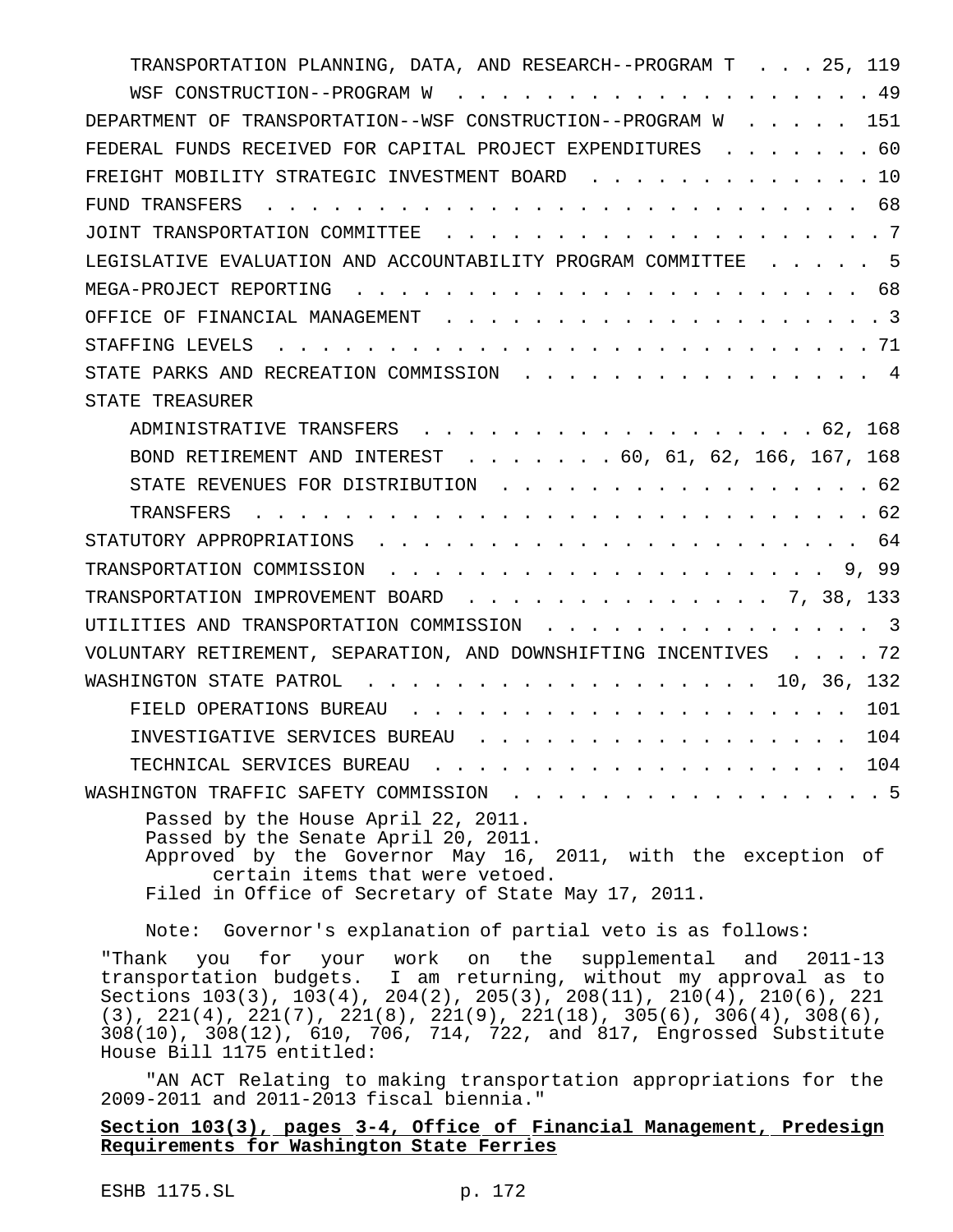| TRANSPORTATION PLANNING, DATA, AND RESEARCH--PROGRAM T 25, 119                                                                                                                                                                                                                                                                                                                        |
|---------------------------------------------------------------------------------------------------------------------------------------------------------------------------------------------------------------------------------------------------------------------------------------------------------------------------------------------------------------------------------------|
| 49<br>WSF CONSTRUCTION--PROGRAM W                                                                                                                                                                                                                                                                                                                                                     |
| DEPARTMENT OF TRANSPORTATION--WSF CONSTRUCTION--PROGRAM W 151                                                                                                                                                                                                                                                                                                                         |
| FEDERAL FUNDS RECEIVED FOR CAPITAL PROJECT EXPENDITURES<br>. 60                                                                                                                                                                                                                                                                                                                       |
| FREIGHT MOBILITY STRATEGIC INVESTMENT BOARD 10                                                                                                                                                                                                                                                                                                                                        |
| 68<br>FUND TRANSFERS<br>$\frac{1}{2}$ . The contract of the contract of the contract of the contract of the contract of the contract of the contract of the contract of the contract of the contract of the contract of the contract of the contract of t                                                                                                                             |
| $\cdot$ $\cdot$ 7                                                                                                                                                                                                                                                                                                                                                                     |
| LEGISLATIVE EVALUATION AND ACCOUNTABILITY PROGRAM COMMITTEE<br>- 5                                                                                                                                                                                                                                                                                                                    |
| 68                                                                                                                                                                                                                                                                                                                                                                                    |
|                                                                                                                                                                                                                                                                                                                                                                                       |
|                                                                                                                                                                                                                                                                                                                                                                                       |
| STATE PARKS AND RECREATION COMMISSION<br>4                                                                                                                                                                                                                                                                                                                                            |
| STATE TREASURER                                                                                                                                                                                                                                                                                                                                                                       |
| ADMINISTRATIVE TRANSFERS 62, 168                                                                                                                                                                                                                                                                                                                                                      |
| BOND RETIREMENT AND INTEREST 60, 61, 62, 166, 167, 168                                                                                                                                                                                                                                                                                                                                |
| STATE REVENUES FOR DISTRIBUTION 62                                                                                                                                                                                                                                                                                                                                                    |
|                                                                                                                                                                                                                                                                                                                                                                                       |
|                                                                                                                                                                                                                                                                                                                                                                                       |
| . 9, 99<br>TRANSPORTATION COMMISSION                                                                                                                                                                                                                                                                                                                                                  |
| TRANSPORTATION IMPROVEMENT BOARD 7, 38, 133                                                                                                                                                                                                                                                                                                                                           |
| UTILITIES AND TRANSPORTATION COMMISSION<br>$\overline{\phantom{a}3}$                                                                                                                                                                                                                                                                                                                  |
| VOLUNTARY RETIREMENT, SEPARATION, AND DOWNSHIFTING INCENTIVES 72                                                                                                                                                                                                                                                                                                                      |
| WASHINGTON STATE PATROL 10, 36, 132                                                                                                                                                                                                                                                                                                                                                   |
| 101                                                                                                                                                                                                                                                                                                                                                                                   |
| 104<br>INVESTIGATIVE SERVICES BUREAU                                                                                                                                                                                                                                                                                                                                                  |
| TECHNICAL SERVICES BUREAU 104                                                                                                                                                                                                                                                                                                                                                         |
| WASHINGTON TRAFFIC SAFETY COMMISSION 5                                                                                                                                                                                                                                                                                                                                                |
| Passed by the House April 22, 2011.<br>Passed by the Senate April 20, 2011.<br>Approved by the Governor May 16, 2011, with the exception of<br>certain items that were vetoed.<br>Filed in Office of Secretary of State May 17, 2011.                                                                                                                                                 |
|                                                                                                                                                                                                                                                                                                                                                                                       |
| Note: Governor's explanation of partial veto is as follows:                                                                                                                                                                                                                                                                                                                           |
| "Thank you for your work on the supplemental and 2011-13<br>transportation budgets. I am returning, without my approval as to<br>Sections 103(3), 103(4), 204(2), 205(3), 208(11), 210(4), 210(6), 221<br>$(3), 221(4), 221(7), 221(8), 221(9), 221(18), 305(6), 306(4), 308(6),$<br>308(10), 308(12), 610, 706, 714, 722, and 817, Engrossed Substitute<br>House Bill 1175 entitled: |

"AN ACT Relating to making transportation appropriations for the 2009-2011 and 2011-2013 fiscal biennia."

## **Section 103(3), pages 3-4, Office of Financial Management, Predesign Requirements for Washington State Ferries**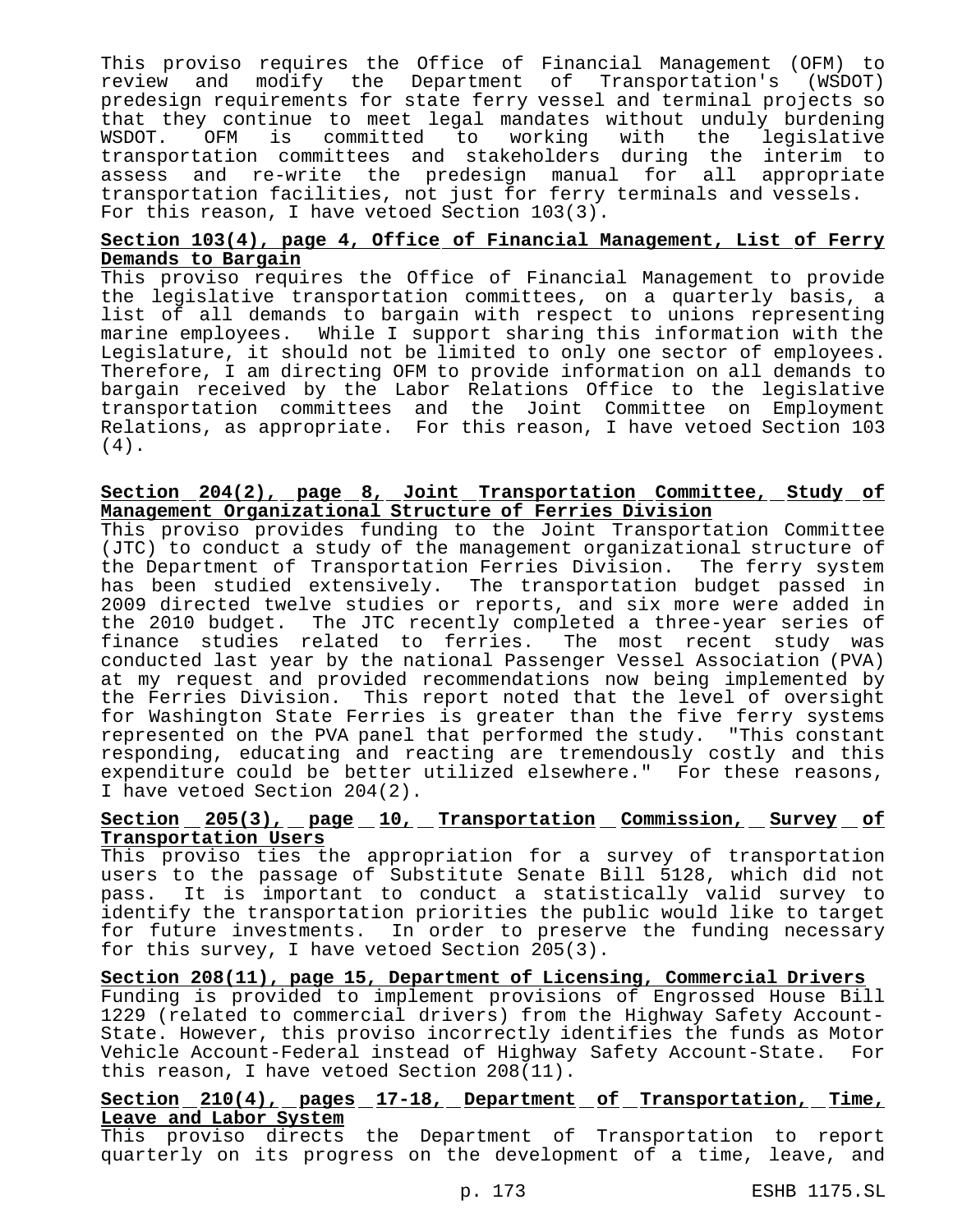This proviso requires the Office of Financial Management (OFM) to review and modify the Department of Transportation's (WSDOT) predesign requirements for state ferry vessel and terminal projects so that they continue to meet legal mandates without unduly burdening WSDOT. OFM is committed to working with the legislative transportation committees and stakeholders during the interim to assess and re-write the predesign manual for all appropriate transportation facilities, not just for ferry terminals and vessels. For this reason, I have vetoed Section  $103(3)$ .

## **Section 103(4), page 4, Office of Financial Management, List of Ferry Demands to Bargain**

This proviso requires the Office of Financial Management to provide the legislative transportation committees, on a quarterly basis, a list of all demands to bargain with respect to unions representing marine employees. While I support sharing this information with the Legislature, it should not be limited to only one sector of employees. Therefore, I am directing OFM to provide information on all demands to bargain received by the Labor Relations Office to the legislative transportation committees and the Joint Committee on Employment Relations, as appropriate. For this reason, I have vetoed Section 103 (4).

### **Section 204(2), page 8, Joint Transportation Committee, Study of Management Organizational Structure of Ferries Division**

This proviso provides funding to the Joint Transportation Committee (JTC) to conduct a study of the management organizational structure of the Department of Transportation Ferries Division. The ferry system has been studied extensively. The transportation budget passed in 2009 directed twelve studies or reports, and six more were added in the 2010 budget. The JTC recently completed a three-year series of finance studies related to ferries. The most recent study was conducted last year by the national Passenger Vessel Association (PVA) at my request and provided recommendations now being implemented by the Ferries Division. This report noted that the level of oversight for Washington State Ferries is greater than the five ferry systems represented on the PVA panel that performed the study. "This constant responding, educating and reacting are tremendously costly and this expenditure could be better utilized elsewhere." For these reasons, I have vetoed Section 204(2).

### **Section 205(3), page 10, Transportation Commission, Survey of Transportation Users**

This proviso ties the appropriation for a survey of transportation users to the passage of Substitute Senate Bill 5128, which did not pass. It is important to conduct a statistically valid survey to identify the transportation priorities the public would like to target for future investments. In order to preserve the funding necessary for this survey, I have vetoed Section 205(3).

**Section 208(11), page 15, Department of Licensing, Commercial Drivers** Funding is provided to implement provisions of Engrossed House Bill 1229 (related to commercial drivers) from the Highway Safety Account-State. However, this proviso incorrectly identifies the funds as Motor Vehicle Account-Federal instead of Highway Safety Account-State. For this reason, I have vetoed Section 208(11).

# **Section 210(4), pages 17-18, Department of Transportation, Time, Leave and Labor System**

This proviso directs the Department of Transportation to report quarterly on its progress on the development of a time, leave, and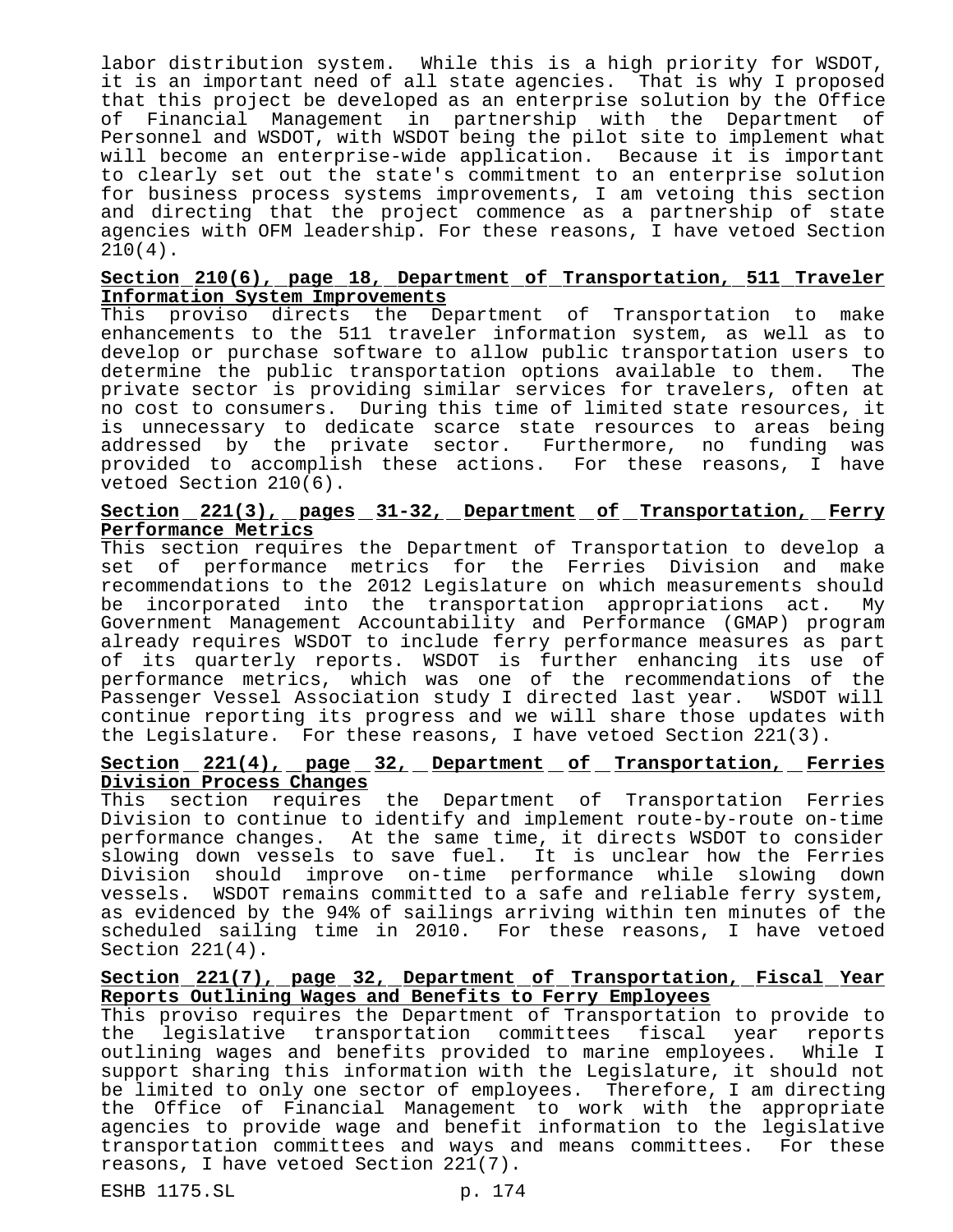labor distribution system. While this is a high priority for WSDOT, it is an important need of all state agencies. That is why I proposed that this project be developed as an enterprise solution by the Office of Financial Management in partnership with the Department of Personnel and WSDOT, with WSDOT being the pilot site to implement what will become an enterprise-wide application. Because it is important to clearly set out the state's commitment to an enterprise solution for business process systems improvements, I am vetoing this section and directing that the project commence as a partnership of state agencies with OFM leadership. For these reasons, I have vetoed Section 210(4).

### **Section 210(6), page 18, Department of Transportation, 511 Traveler Information System Improvements**

This proviso directs the Department of Transportation to make enhancements to the 511 traveler information system, as well as to develop or purchase software to allow public transportation users to determine the public transportation options available to them. The private sector is providing similar services for travelers, often at no cost to consumers. During this time of limited state resources, it is unnecessary to dedicate scarce state resources to areas being addressed by the private sector. Furthermore, no funding was provided to accomplish these actions. For these reasons, I have vetoed Section 210(6).

#### **Section 221(3), pages 31-32, Department of Transportation, Ferry Performance Metrics**

This section requires the Department of Transportation to develop a set of performance metrics for the Ferries Division and make recommendations to the 2012 Legislature on which measurements should be incorporated into the transportation appropriations act. My Government Management Accountability and Performance (GMAP) program already requires WSDOT to include ferry performance measures as part of its quarterly reports. WSDOT is further enhancing its use of performance metrics, which was one of the recommendations of the Passenger Vessel Association study I directed last year. WSDOT will continue reporting its progress and we will share those updates with the Legislature. For these reasons, I have vetoed Section 221(3).

### **Section 221(4), page 32, Department of Transportation, Ferries Division Process Changes**

This section requires the Department of Transportation Ferries Division to continue to identify and implement route-by-route on-time performance changes. At the same time, it directs WSDOT to consider slowing down vessels to save fuel. It is unclear how the Ferries Division should improve on-time performance while slowing down vessels. WSDOT remains committed to a safe and reliable ferry system, as evidenced by the 94% of sailings arriving within ten minutes of the scheduled sailing time in 2010. For these reasons, I have vetoed Section 221(4).

### **Section 221(7), page 32, Department of Transportation, Fiscal Year Reports Outlining Wages and Benefits to Ferry Employees**

This proviso requires the Department of Transportation to provide to the legislative transportation committees fiscal year reports outlining wages and benefits provided to marine employees. While I support sharing this information with the Legislature, it should not be limited to only one sector of employees. Therefore, I am directing the Office of Financial Management to work with the appropriate agencies to provide wage and benefit information to the legislative transportation committees and ways and means committees. For these reasons, I have vetoed Section 221(7).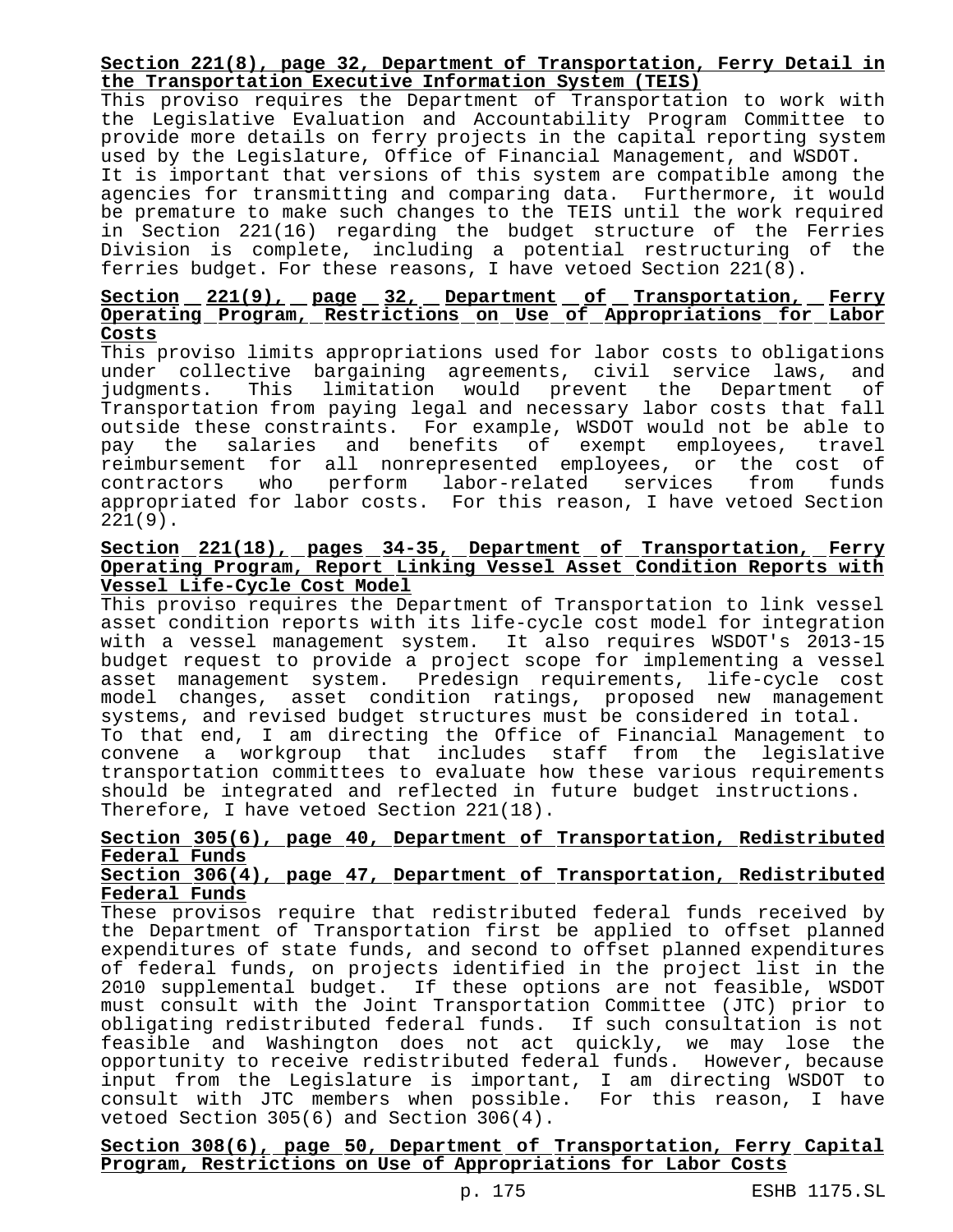### **Section 221(8), page 32, Department of Transportation, Ferry Detail in the Transportation Executive Information System (TEIS)**

This proviso requires the Department of Transportation to work with the Legislative Evaluation and Accountability Program Committee to provide more details on ferry projects in the capital reporting system used by the Legislature, Office of Financial Management, and WSDOT.

It is important that versions of this system are compatible among the agencies for transmitting and comparing data. Furthermore, it would be premature to make such changes to the TEIS until the work required in Section 221(16) regarding the budget structure of the Ferries Division is complete, including a potential restructuring of the ferries budget. For these reasons, I have vetoed Section 221(8).

#### **Section 221(9), page 32, Department of Transportation, Ferry Operating Program, Restrictions on Use of Appropriations for Labor Costs**

This proviso limits appropriations used for labor costs to obligations under collective bargaining agreements, civil service laws, and judgments. This limitation would prevent the Department of Transportation from paying legal and necessary labor costs that fall outside these constraints. For example, WSDOT would not be able to pay the salaries and benefits of exempt employees, travel reimbursement for all nonrepresented employees, or the cost of<br>contractors who perform labor-related services from funds contractors who perform labor-related services from funds appropriated for labor costs. For this reason, I have vetoed Section 221(9).

### **Section 221(18), pages 34-35, Department of Transportation, Ferry Operating Program, Report Linking Vessel Asset Condition Reports with Vessel Life-Cycle Cost Model**

This proviso requires the Department of Transportation to link vessel asset condition reports with its life-cycle cost model for integration with a vessel management system. It also requires WSDOT's 2013-15 budget request to provide a project scope for implementing a vessel asset management system. Predesign requirements, life-cycle cost model changes, asset condition ratings, proposed new management systems, and revised budget structures must be considered in total. To that end, I am directing the Office of Financial Management to convene a workgroup that includes staff from the legislative transportation committees to evaluate how these various requirements should be integrated and reflected in future budget instructions. Therefore, I have vetoed Section 221(18).

# **Section 305(6), page 40, Department of Transportation, Redistributed Federal Funds**

### **Section 306(4), page 47, Department of Transportation, Redistributed Federal Funds**

These provisos require that redistributed federal funds received by the Department of Transportation first be applied to offset planned expenditures of state funds, and second to offset planned expenditures of federal funds, on projects identified in the project list in the 2010 supplemental budget. If these options are not feasible, WSDOT must consult with the Joint Transportation Committee (JTC) prior to obligating redistributed federal funds. If such consultation is not feasible and Washington does not act quickly, we may lose the opportunity to receive redistributed federal funds. However, because input from the Legislature is important, I am directing WSDOT to consult with JTC members when possible. For this reason, I have vetoed Section 305(6) and Section 306(4).

**Section 308(6), page 50, Department of Transportation, Ferry Capital Program, Restrictions on Use of Appropriations for Labor Costs**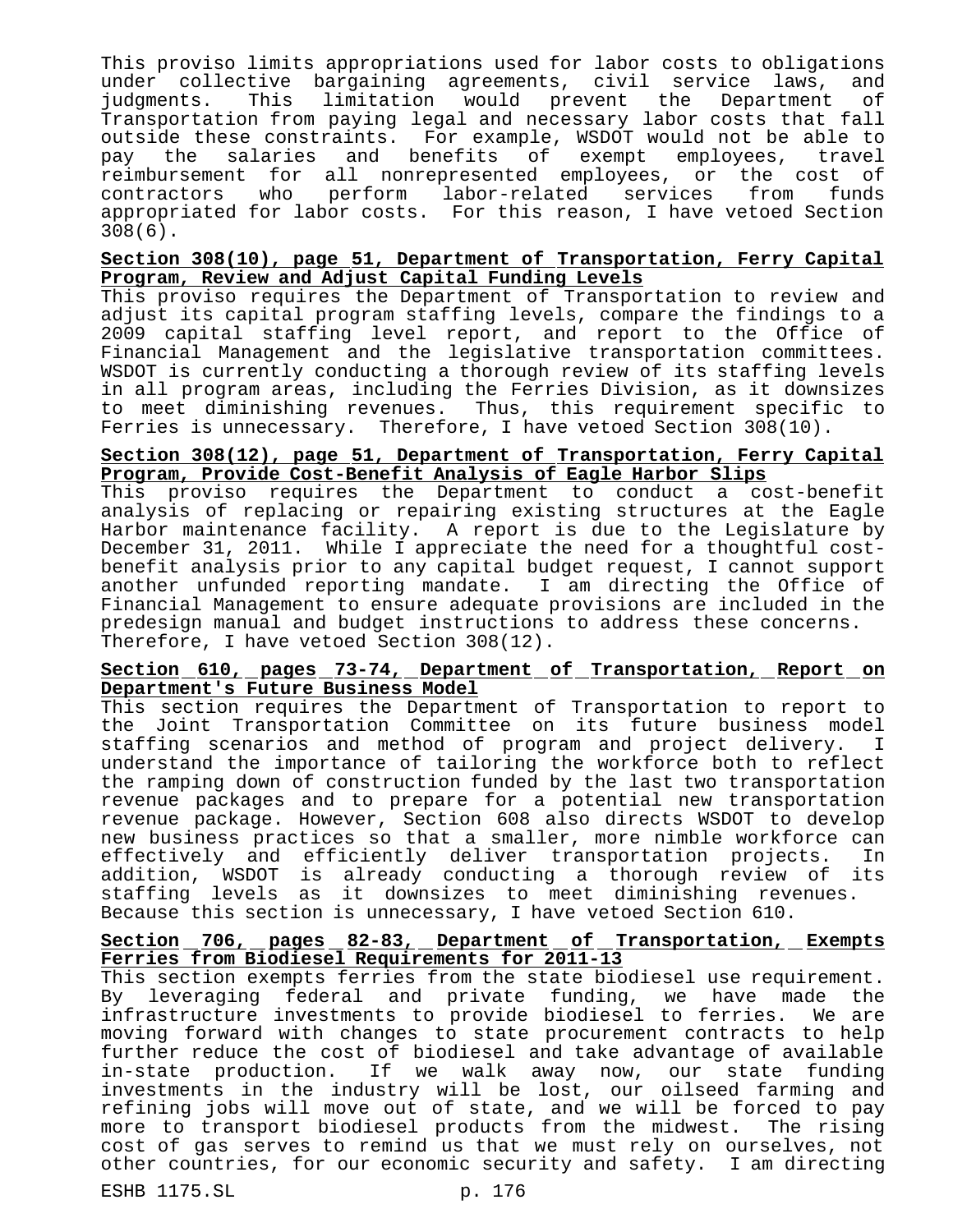This proviso limits appropriations used for labor costs to obligations under collective bargaining agreements, civil service laws, and<br>judgments. This limitation would prevent the Department of This limitation would prevent the Department of Transportation from paying legal and necessary labor costs that fall outside these constraints. For example, WSDOT would not be able to pay the salaries and benefits of exempt employees, travel reimbursement for all nonrepresented employees, or the cost of contractors who perform labor-related services from funds appropriated for labor costs. For this reason, I have vetoed Section 308(6).

#### **Section 308(10), page 51, Department of Transportation, Ferry Capital Program, Review and Adjust Capital Funding Levels**

This proviso requires the Department of Transportation to review and adjust its capital program staffing levels, compare the findings to a 2009 capital staffing level report, and report to the Office of Financial Management and the legislative transportation committees. WSDOT is currently conducting a thorough review of its staffing levels in all program areas, including the Ferries Division, as it downsizes to meet diminishing revenues. Thus, this requirement specific to Ferries is unnecessary. Therefore, I have vetoed Section 308(10).

#### **Section 308(12), page 51, Department of Transportation, Ferry Capital Program, Provide Cost-Benefit Analysis of Eagle Harbor Slips**

This proviso requires the Department to conduct a cost-benefit analysis of replacing or repairing existing structures at the Eagle Harbor maintenance facility. A report is due to the Legislature by December 31, 2011. While I appreciate the need for a thoughtful costbenefit analysis prior to any capital budget request, I cannot support another unfunded reporting mandate. I am directing the Office of Financial Management to ensure adequate provisions are included in the predesign manual and budget instructions to address these concerns. Therefore, I have vetoed Section 308(12).

#### **Section 610, pages 73-74, Department of Transportation, Report on Department's Future Business Model**

This section requires the Department of Transportation to report to the Joint Transportation Committee on its future business model staffing scenarios and method of program and project delivery. I understand the importance of tailoring the workforce both to reflect the ramping down of construction funded by the last two transportation revenue packages and to prepare for a potential new transportation revenue package. However, Section 608 also directs WSDOT to develop new business practices so that a smaller, more nimble workforce can effectively and efficiently deliver transportation projects. In addition, WSDOT is already conducting a thorough review of its staffing levels as it downsizes to meet diminishing revenues. Because this section is unnecessary, I have vetoed Section 610.

### **Section 706, pages 82-83, Department of Transportation, Exempts Ferries from Biodiesel Requirements for 2011-13**

This section exempts ferries from the state biodiesel use requirement. By leveraging federal and private funding, we have made the infrastructure investments to provide biodiesel to ferries. We are moving forward with changes to state procurement contracts to help further reduce the cost of biodiesel and take advantage of available in-state production. If we walk away now, our state funding investments in the industry will be lost, our oilseed farming and refining jobs will move out of state, and we will be forced to pay more to transport biodiesel products from the midwest. The rising cost of gas serves to remind us that we must rely on ourselves, not other countries, for our economic security and safety. I am directing